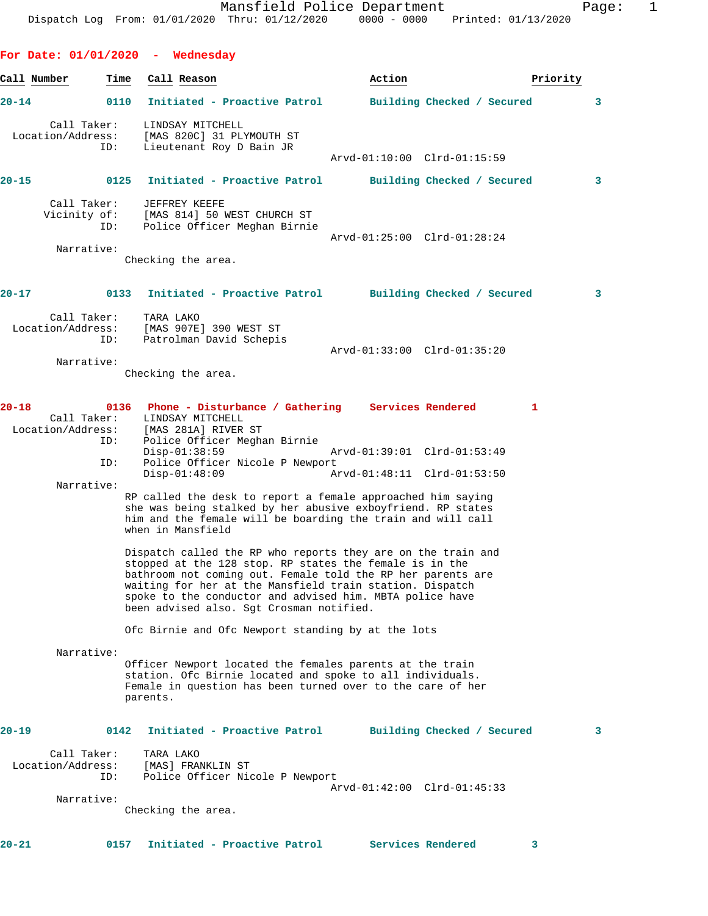**For Date: 01/01/2020 - Wednesday Call Number Time Call Reason Action Priority 20-14 0110 Initiated - Proactive Patrol Building Checked / Secured 3** Call Taker: LINDSAY MITCHELL Location/Address: [MAS 820C] 31 PLYMOUTH ST ID: Lieutenant Roy D Bain JR Arvd-01:10:00 Clrd-01:15:59 **20-15 0125 Initiated - Proactive Patrol Building Checked / Secured 3** Call Taker: JEFFREY KEEFE<br>Vicinity of: [MAS 814] 50 1 of: [MAS 814] 50 WEST CHURCH ST<br>ID: Police Officer Meghan Birnie Police Officer Meghan Birnie Arvd-01:25:00 Clrd-01:28:24 Narrative: Checking the area. **20-17 0133 Initiated - Proactive Patrol Building Checked / Secured 3** Call Taker: TARA LAKO<br>Location/Address: [MAS 907E [MAS 907E] 390 WEST ST ID: Patrolman David Schepis Arvd-01:33:00 Clrd-01:35:20 Narrative: Checking the area. **20-18 0136 Phone - Disturbance / Gathering Services Rendered 1**  LINDSAY MITCHELL Location/Address: [MAS 281A] RIVER ST Police Officer Meghan Birnie<br>Disp-01:38:59 Disp-01:38:59 Arvd-01:39:01 Clrd-01:53:49 ID: Police Officer Nicole P Newport<br>Disp-01:48:09 A Disp-01:48:09 Arvd-01:48:11 Clrd-01:53:50 Narrative: RP called the desk to report a female approached him saying she was being stalked by her abusive exboyfriend. RP states him and the female will be boarding the train and will call when in Mansfield Dispatch called the RP who reports they are on the train and stopped at the 128 stop. RP states the female is in the bathroom not coming out. Female told the RP her parents are waiting for her at the Mansfield train station. Dispatch spoke to the conductor and advised him. MBTA police have been advised also. Sgt Crosman notified. Ofc Birnie and Ofc Newport standing by at the lots Narrative: Officer Newport located the females parents at the train station. Ofc Birnie located and spoke to all individuals. Female in question has been turned over to the care of her parents. **20-19 0142 Initiated - Proactive Patrol Building Checked / Secured 3** Call Taker: TARA LAKO Location/Address: [MAS] FRANKLIN ST Police Officer Nicole P Newport Arvd-01:42:00 Clrd-01:45:33 Narrative: Checking the area.

**20-21 0157 Initiated - Proactive Patrol Services Rendered 3**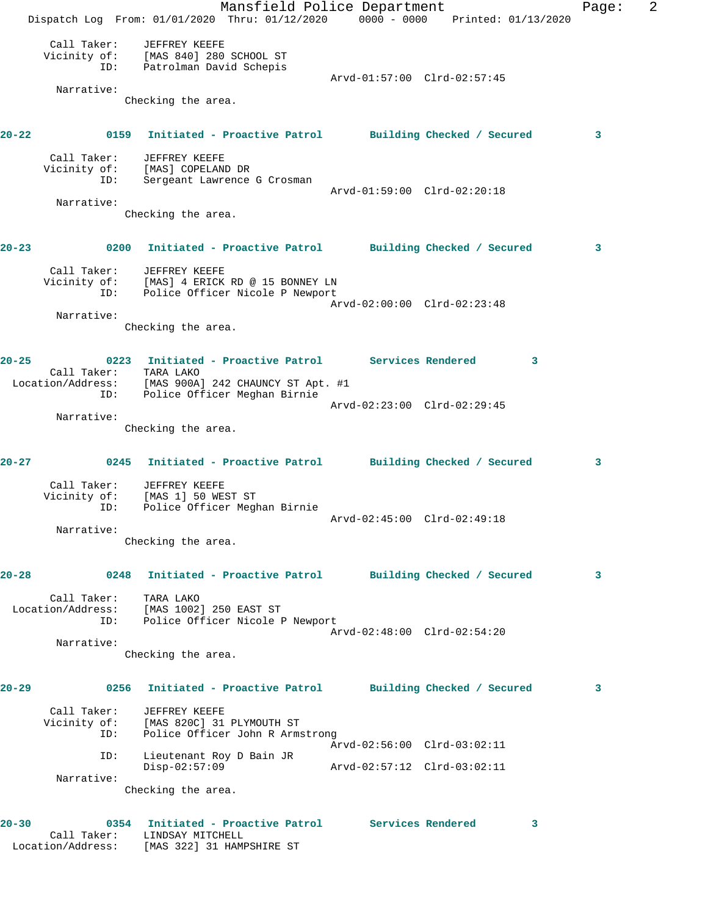Mansfield Police Department Fage: 2 Dispatch Log From: 01/01/2020 Thru: 01/12/2020 0000 - 0000 Printed: 01/13/2020 Call Taker: JEFFREY KEEFE Vicinity of: [MAS 840] 280 SCHOOL ST ID: Patrolman David Schepis Arvd-01:57:00 Clrd-02:57:45 Narrative: Checking the area. **20-22 0159 Initiated - Proactive Patrol Building Checked / Secured 3** Call Taker: JEFFREY KEEFE Vicinity of: [MAS] COPELAND DR ID: Sergeant Lawrence G Crosman Arvd-01:59:00 Clrd-02:20:18 Narrative: Checking the area. **20-23 0200 Initiated - Proactive Patrol Building Checked / Secured 3** Call Taker: JEFFREY KEEFE Vicinity of: [MAS] 4 ERICK RD @ 15 BONNEY LN ID: Police Officer Nicole P Newport Arvd-02:00:00 Clrd-02:23:48 Narrative: Checking the area. **20-25 0223 Initiated - Proactive Patrol Services Rendered 3**  Call Taker: TARA LAKO Location/Address: [MAS 900A] 242 CHAUNCY ST Apt. #1 ID: Police Officer Meghan Birnie Arvd-02:23:00 Clrd-02:29:45 Narrative: Checking the area. **20-27 0245 Initiated - Proactive Patrol Building Checked / Secured 3** Call Taker: JEFFREY KEEFE Vicinity of: [MAS 1] 50 WEST ST ID: Police Officer Meghan Birnie Arvd-02:45:00 Clrd-02:49:18 Narrative: Checking the area. **20-28 0248 Initiated - Proactive Patrol Building Checked / Secured 3** Call Taker: TARA LAKO Location/Address: [MAS 1002] 250 EAST ST ID: Police Officer Nicole P Newport Arvd-02:48:00 Clrd-02:54:20 Narrative: Checking the area. **20-29 0256 Initiated - Proactive Patrol Building Checked / Secured 3** Call Taker: JEFFREY KEEFE Vicinity of: [MAS 820C] 31 PLYMOUTH ST ID: Police Officer John R Armstrong Arvd-02:56:00 Clrd-03:02:11 ID: Lieutenant Roy D Bain JR Disp-02:57:09 Arvd-02:57:12 Clrd-03:02:11 Narrative: Checking the area. **20-30 0354 Initiated - Proactive Patrol Services Rendered 3**  Call Taker: LINDSAY MITCHELL

Location/Address: [MAS 322] 31 HAMPSHIRE ST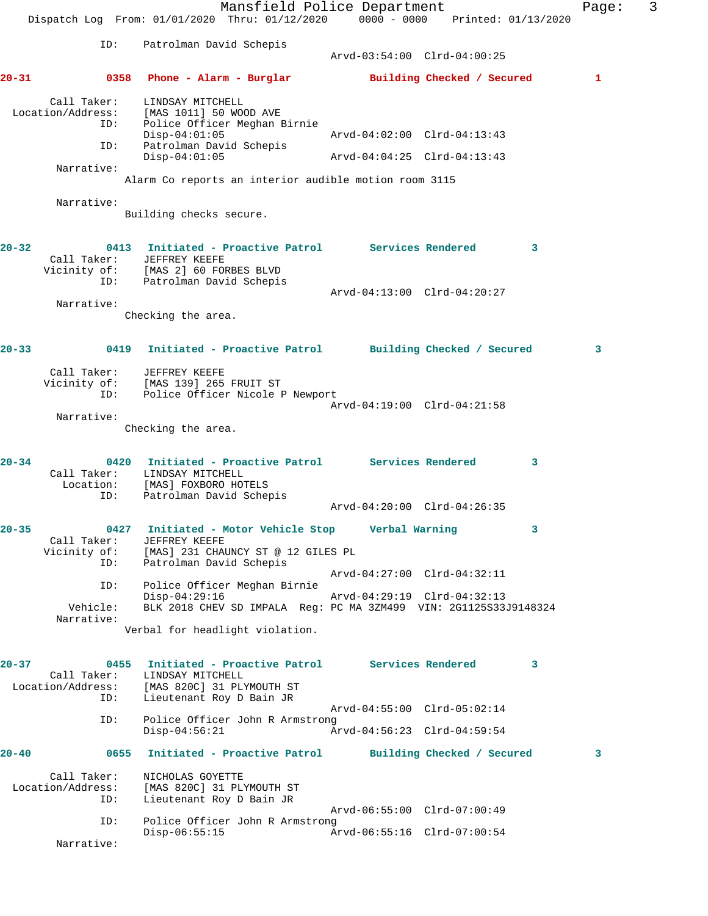|           |                                                | Mansfield Police Department<br>Dispatch Log From: 01/01/2020 Thru: 01/12/2020                                                      |                                                            | 0000 - 0000 Printed: 01/13/2020 | Page: | 3 |
|-----------|------------------------------------------------|------------------------------------------------------------------------------------------------------------------------------------|------------------------------------------------------------|---------------------------------|-------|---|
|           | ID:                                            | Patrolman David Schepis                                                                                                            | Arvd-03:54:00 Clrd-04:00:25                                |                                 |       |   |
| $20 - 31$ |                                                | 0358 Phone - Alarm - Burglar                                                                                                       |                                                            | Building Checked / Secured      | 1     |   |
|           | Call Taker:<br>Location/Address:<br>ID:<br>ID: | LINDSAY MITCHELL<br>[MAS 1011] 50 WOOD AVE<br>Police Officer Meghan Birnie<br>$Disp-04:01:05$<br>Patrolman David Schepis           | Arvd-04:02:00 Clrd-04:13:43                                |                                 |       |   |
|           | Narrative:                                     | $Disp-04:01:05$                                                                                                                    | Arvd-04:04:25 Clrd-04:13:43                                |                                 |       |   |
|           |                                                | Alarm Co reports an interior audible motion room 3115                                                                              |                                                            |                                 |       |   |
|           | Narrative:                                     | Building checks secure.                                                                                                            |                                                            |                                 |       |   |
| $20 - 32$ |                                                | 0413 Initiated - Proactive Patrol Services Rendered<br>Call Taker: JEFFREY KEEFE<br>Vicinity of: [MAS 2] 60 FORBES BLVD            |                                                            | $\mathbf{3}$                    |       |   |
|           | ID:                                            | .<br>Patrolman David Schepis                                                                                                       | Arvd-04:13:00 Clrd-04:20:27                                |                                 |       |   |
|           | Narrative:                                     | Checking the area.                                                                                                                 |                                                            |                                 |       |   |
| $20 - 33$ | 0419                                           | Initiated - Proactive Patrol Building Checked / Secured                                                                            |                                                            |                                 | 3     |   |
|           | Call Taker:<br>ID:<br>Narrative:               | JEFFREY KEEFE<br>Vicinity of: [MAS 139] 265 FRUIT ST<br>Police Officer Nicole P Newport<br>Checking the area.                      | Arvd-04:19:00 Clrd-04:21:58                                |                                 |       |   |
|           |                                                |                                                                                                                                    |                                                            |                                 |       |   |
| $20 - 34$ | Call Taker:<br>Location:<br>ID:                | 0420 Initiated - Proactive Patrol Services Rendered<br>LINDSAY MITCHELL<br>[MAS] FOXBORO HOTELS<br>Patrolman David Schepis         | Arvd-04:20:00 Clrd-04:26:35                                | 3                               |       |   |
|           |                                                |                                                                                                                                    |                                                            |                                 |       |   |
| $20 - 35$ | Call Taker:<br>ID:                             | 0427 Initiated - Motor Vehicle Stop<br>JEFFREY KEEFE<br>Vicinity of: [MAS] 231 CHAUNCY ST @ 12 GILES PL<br>Patrolman David Schepis | Verbal Warning                                             | 3                               |       |   |
|           | ID:                                            | Police Officer Meghan Birnie                                                                                                       | Arvd-04:27:00 Clrd-04:32:11                                |                                 |       |   |
|           | Vehicle:<br>Narrative:                         | $Disp-04:29:16$<br>BLK 2018 CHEV SD IMPALA Reg: PC MA 3ZM499 VIN: 2G1125S33J9148324                                                | Arvd-04:29:19 Clrd-04:32:13                                |                                 |       |   |
|           |                                                | Verbal for headlight violation.                                                                                                    |                                                            |                                 |       |   |
| $20 - 37$ | Call Taker:<br>Location/Address:<br>ID:        | 0455 Initiated - Proactive Patrol Services Rendered<br>LINDSAY MITCHELL<br>[MAS 820C] 31 PLYMOUTH ST<br>Lieutenant Roy D Bain JR   |                                                            | 3                               |       |   |
|           | ID:                                            | Police Officer John R Armstrong<br>$Disp-04:56:21$                                                                                 | Arvd-04:55:00 Clrd-05:02:14<br>Arvd-04:56:23 Clrd-04:59:54 |                                 |       |   |
| 20-40     | 0655                                           | Initiated - Proactive Patrol Building Checked / Secured                                                                            |                                                            |                                 | 3     |   |
|           | Call Taker:<br>Location/Address:<br>ID:        | NICHOLAS GOYETTE<br>[MAS 820C] 31 PLYMOUTH ST<br>Lieutenant Roy D Bain JR                                                          |                                                            |                                 |       |   |
|           | ID:                                            | Police Officer John R Armstrong                                                                                                    | Arvd-06:55:00 Clrd-07:00:49                                |                                 |       |   |
|           | Narrative:                                     | $Disp-06:55:15$                                                                                                                    | Arvd-06:55:16 Clrd-07:00:54                                |                                 |       |   |
|           |                                                |                                                                                                                                    |                                                            |                                 |       |   |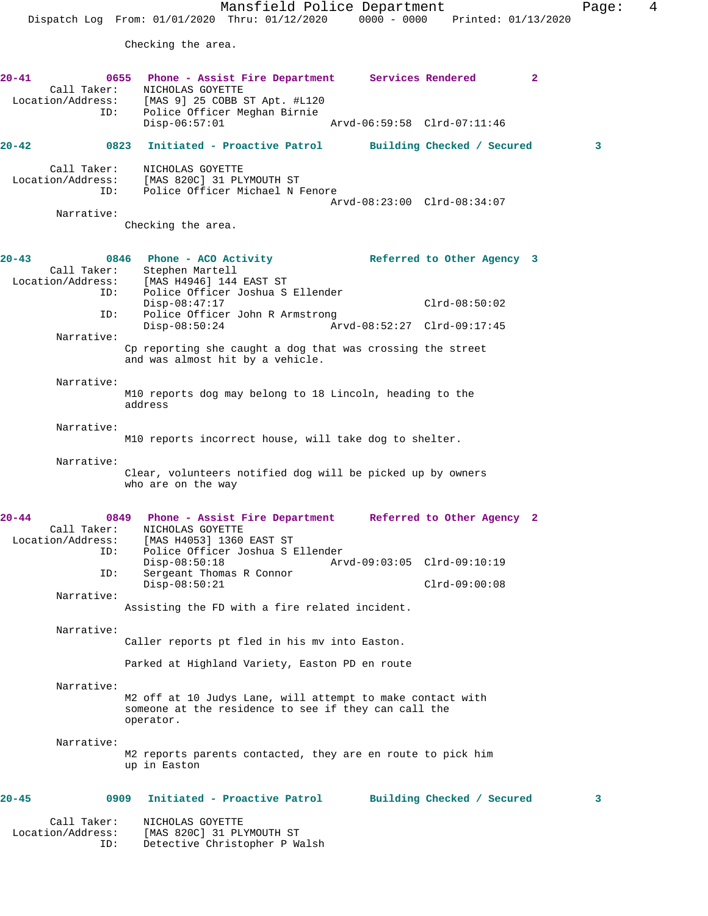Mansfield Police Department Fage: 4 Dispatch Log From: 01/01/2020 Thru: 01/12/2020 0000 - 0000 Printed: 01/13/2020 Checking the area. **20-41 0655 Phone - Assist Fire Department Services Rendered 2**  Call Taker: NICHOLAS GOYETTE Location/Address: [MAS 9] 25 COBB ST Apt. #L120 ID: Police Officer Meghan Birnie Disp-06:57:01 Arvd-06:59:58 Clrd-07:11:46 **20-42 0823 Initiated - Proactive Patrol Building Checked / Secured 3** Call Taker: NICHOLAS GOYETTE Location/Address: [MAS 820C] 31 PLYMOUTH ST ID: Police Officer Michael N Fenore Arvd-08:23:00 Clrd-08:34:07 Narrative: Checking the area. **20-43 0846 Phone - ACO Activity Referred to Other Agency 3**  Call Taker: Stephen Martell<br>Location/Address: [MAS H4946] 144 Location/Address: [MAS H4946] 144 EAST ST ID: Police Officer Joshua S Ellender Disp-08:47:17 Clrd-08:50:02 ID: Police Officer John R Armstrong Disp-08:50:24 Arvd-08:52:27 Clrd-09:17:45 Narrative: Cp reporting she caught a dog that was crossing the street and was almost hit by a vehicle. Narrative: M10 reports dog may belong to 18 Lincoln, heading to the address Narrative: M10 reports incorrect house, will take dog to shelter. Narrative: Clear, volunteers notified dog will be picked up by owners who are on the way **20-44 0849 Phone - Assist Fire Department Referred to Other Agency 2**  Call Taker: NICHOLAS GOYETTE Location/Address: [MAS H4053] 1360 EAST ST ID: Police Officer Joshua S Ellender Disp-08:50:18 Arvd-09:03:05 Clrd-09:10:19<br>ID: Sergeant Thomas R Connor Sergeant Thomas R Connor Disp-08:50:21 Clrd-09:00:08 Narrative: Assisting the FD with a fire related incident. Narrative: Caller reports pt fled in his mv into Easton. Parked at Highland Variety, Easton PD en route Narrative: M2 off at 10 Judys Lane, will attempt to make contact with someone at the residence to see if they can call the operator. Narrative: M2 reports parents contacted, they are en route to pick him up in Easton **20-45 0909 Initiated - Proactive Patrol Building Checked / Secured 3** Call Taker: NICHOLAS GOYETTE<br>Location/Address: [MAS 820C] 31 PL

ess: [MAS 820C] 31 PLYMOUTH ST<br>ID: Detective Christopher P W

Detective Christopher P Walsh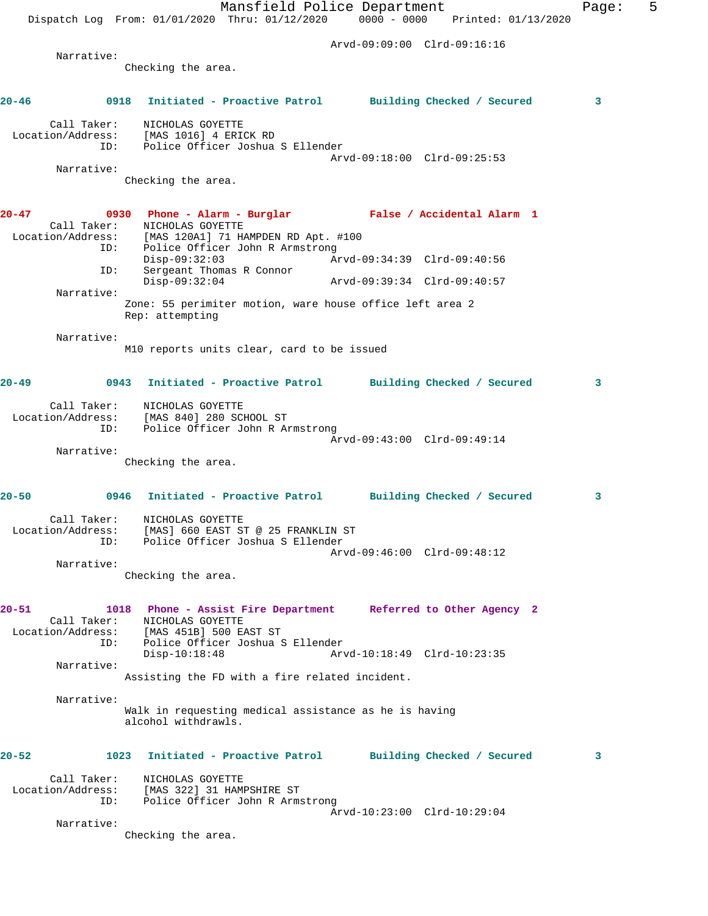Mansfield Police Department Fage: 5 Dispatch Log From: 01/01/2020 Thru: 01/12/2020 0000 - 0000 Printed: 01/13/2020 Arvd-09:09:00 Clrd-09:16:16 Narrative: Checking the area. **20-46 0918 Initiated - Proactive Patrol Building Checked / Secured 3** Call Taker: NICHOLAS GOYETTE Location/Address: [MAS 1016] 4 ERICK RD ID: Police Officer Joshua S Ellender Arvd-09:18:00 Clrd-09:25:53 Narrative: Checking the area. **20-47 0930 Phone - Alarm - Burglar False / Accidental Alarm 1**  Call Taker: NICHOLAS GOYETTE Location/Address: [MAS 120A1] 71 HAMPDEN RD Apt. #100 ID: Police Officer John R Armstrong<br>Disp-09:32:03 Ar Disp-09:32:03 Arvd-09:34:39 Clrd-09:40:56 ID: Sergeant Thomas R Connor Disp-09:32:04 Arvd-09:39:34 Clrd-09:40:57 Narrative: Zone: 55 perimiter motion, ware house office left area 2 Rep: attempting Narrative: M10 reports units clear, card to be issued **20-49 0943 Initiated - Proactive Patrol Building Checked / Secured 3** Call Taker: NICHOLAS GOYETTE Location/Address: [MAS 840] 280 SCHOOL ST ID: Police Officer John R Armstrong Arvd-09:43:00 Clrd-09:49:14 Narrative: Checking the area. **20-50 0946 Initiated - Proactive Patrol Building Checked / Secured 3** Call Taker: NICHOLAS GOYETTE Location/Address: [MAS] 660 EAST ST @ 25 FRANKLIN ST ID: Police Officer Joshua S Ellender Arvd-09:46:00 Clrd-09:48:12 Narrative: Checking the area. **20-51 1018 Phone - Assist Fire Department Referred to Other Agency 2**  Call Taker: NICHOLAS GOYETTE Location/Address: [MAS 451B] 500 EAST ST ID: Police Officer Joshua S Ellender Arvd-10:18:49 Clrd-10:23:35 Narrative: Assisting the FD with a fire related incident. Narrative: Walk in requesting medical assistance as he is having alcohol withdrawls. **20-52 1023 Initiated - Proactive Patrol Building Checked / Secured 3** Call Taker: NICHOLAS GOYETTE Location/Address: [MAS 322] 31 HAMPSHIRE ST ID: Police Officer John R Armstrong Arvd-10:23:00 Clrd-10:29:04 Narrative: Checking the area.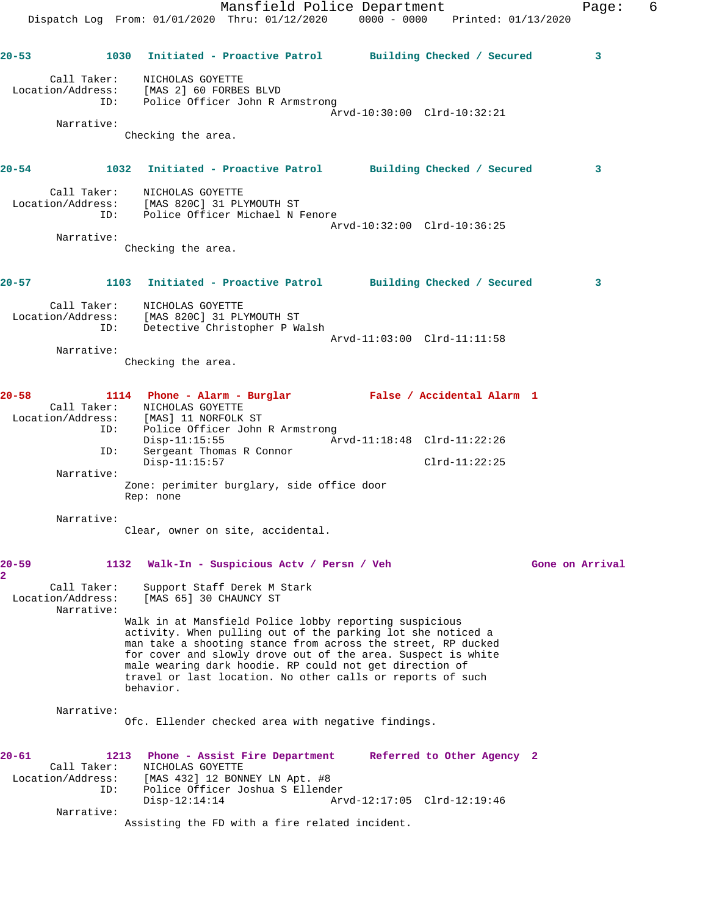|                                                | Dispatch Log From: 01/01/2020 Thru: 01/12/2020 0000 - 0000 Printed: 01/13/2020                                                                                           | Mansfield Police Department |                 | 6<br>Page:      |
|------------------------------------------------|--------------------------------------------------------------------------------------------------------------------------------------------------------------------------|-----------------------------|-----------------|-----------------|
| $20 - 53$                                      | 1030 Initiated - Proactive Patrol Building Checked / Secured                                                                                                             |                             |                 | 3               |
|                                                | Call Taker: NICHOLAS GOYETTE<br>Location/Address: [MAS 2] 60 FORBES BLVD<br>ID: Police Officer John R Armstrong                                                          | Arvd-10:30:00 Clrd-10:32:21 |                 |                 |
| Narrative:                                     |                                                                                                                                                                          |                             |                 |                 |
|                                                | Checking the area.                                                                                                                                                       |                             |                 |                 |
| $20 - 54$                                      | 1032 Initiated - Proactive Patrol Building Checked / Secured                                                                                                             |                             |                 | 3               |
|                                                | Call Taker: NICHOLAS GOYETTE<br>Location/Address: [MAS 820C] 31 PLYMOUTH ST<br>ID: Police Officer Michael N Fenore                                                       |                             |                 |                 |
|                                                |                                                                                                                                                                          | Arvd-10:32:00 Clrd-10:36:25 |                 |                 |
| Narrative:                                     | Checking the area.                                                                                                                                                       |                             |                 |                 |
| 20-57                                          | 1103 Initiated - Proactive Patrol Building Checked / Secured                                                                                                             |                             |                 | 3               |
| Call Taker:<br>ID:                             | NICHOLAS GOYETTE<br>Location/Address: [MAS 820C] 31 PLYMOUTH ST<br>Detective Christopher P Walsh                                                                         | Arvd-11:03:00 Clrd-11:11:58 |                 |                 |
| Narrative:                                     | Checking the area.                                                                                                                                                       |                             |                 |                 |
| $20 - 58$<br>ID:                               | 1114 Phone - Alarm - Burglar Mars False / Accidental Alarm 1<br>Call Taker: NICHOLAS GOYETTE<br>Location/Address: [MAS] 11 NORFOLK ST<br>Police Officer John R Armstrong |                             |                 |                 |
| ID:                                            | $Disp-11:15:55$<br>Sergeant Thomas R Connor<br>$Disp-11:15:57$                                                                                                           | Arvd-11:18:48 Clrd-11:22:26 | $Clrd-11:22:25$ |                 |
| Narrative:                                     | Zone: perimiter burglary, side office door<br>Rep: none                                                                                                                  |                             |                 |                 |
| Narrative:                                     | Clear, owner on site, accidental.                                                                                                                                        |                             |                 |                 |
| $20 - 59$<br>1132<br>2                         | Walk-In - Suspicious Actv / Persn / Veh                                                                                                                                  |                             |                 | Gone on Arrival |
| Call Taker:<br>Location/Address:<br>Narrative: | Support Staff Derek M Stark<br>[MAS 65] 30 CHAUNCY ST                                                                                                                    |                             |                 |                 |
|                                                | and wand as in the                                                                                                                                                       |                             |                 |                 |

Walk in at Mansfield Police lobby reporting suspicious activity. When pulling out of the parking lot she noticed a man take a shooting stance from across the street, RP ducked for cover and slowly drove out of the area. Suspect is white male wearing dark hoodie. RP could not get direction of travel or last location. No other calls or reports of such behavior.

## Narrative:

Ofc. Ellender checked area with negative findings.

| $20 - 61$         | 1213 | Phone - Assist Fire Department                 |                             | Referred to Other Agency 2 |  |
|-------------------|------|------------------------------------------------|-----------------------------|----------------------------|--|
| Call Taker:       |      | NICHOLAS GOYETTE                               |                             |                            |  |
| Location/Address: |      | [MAS 432] 12 BONNEY LN Apt. #8                 |                             |                            |  |
|                   | ID:  | Police Officer Joshua S Ellender               |                             |                            |  |
|                   |      | $Disp-12:14:14$                                | Arvd-12:17:05 Clrd-12:19:46 |                            |  |
| Narrative:        |      |                                                |                             |                            |  |
|                   |      | Assisting the FD with a fire related incident. |                             |                            |  |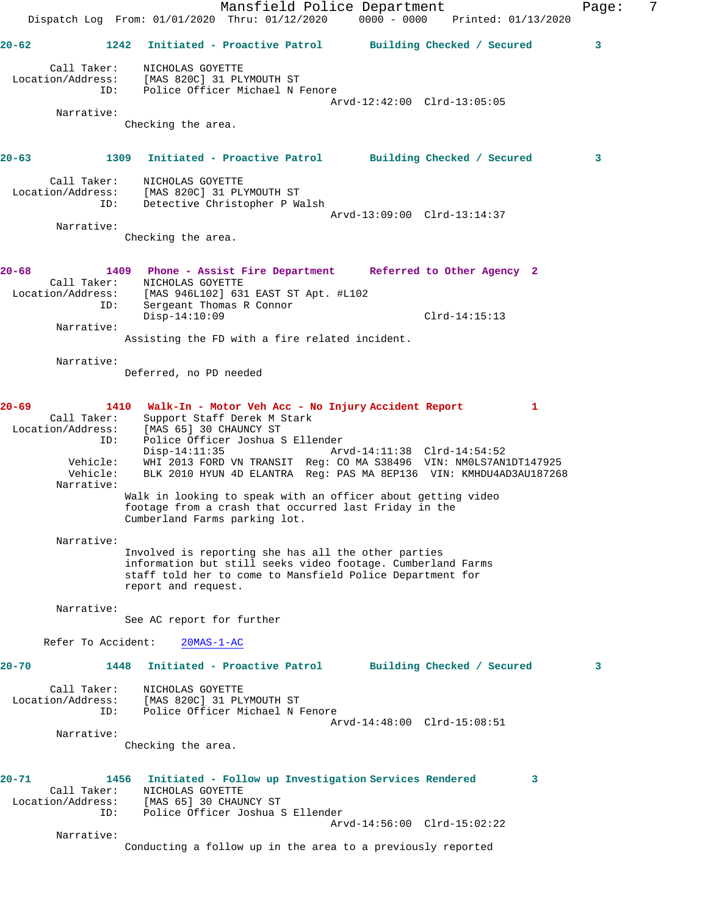Mansfield Police Department Fage: 7 Dispatch Log From: 01/01/2020 Thru: 01/12/2020 0000 - 0000 Printed: 01/13/2020 **20-62 1242 Initiated - Proactive Patrol Building Checked / Secured 3** Call Taker: NICHOLAS GOYETTE Location/Address: [MAS 820C] 31 PLYMOUTH ST ID: Police Officer Michael N Fenore Arvd-12:42:00 Clrd-13:05:05 Narrative: Checking the area. **20-63 1309 Initiated - Proactive Patrol Building Checked / Secured 3** Call Taker: NICHOLAS GOYETTE Location/Address: [MAS 820C] 31 PLYMOUTH ST ID: Detective Christopher P Walsh Arvd-13:09:00 Clrd-13:14:37 Narrative: Checking the area. **20-68 1409 Phone - Assist Fire Department Referred to Other Agency 2**  Call Taker: NICHOLAS GOYETTE Location/Address: [MAS 946L102] 631 EAST ST Apt. #L102 ID: Sergeant Thomas R Connor Disp-14:10:09 Clrd-14:15:13 Narrative: Assisting the FD with a fire related incident. Narrative: Deferred, no PD needed **20-69 1410 Walk-In - Motor Veh Acc - No Injury Accident Report 1**  Call Taker: Support Staff Derek M Stark Location/Address: [MAS 65] 30 CHAUNCY ST ID: Police Officer Joshua S Ellender Disp-14:11:35 Arvd-14:11:38 Clrd-14:54:52 Vehicle: WHI 2013 FORD VN TRANSIT Reg: CO MA S38496 VIN: NM0LS7AN1DT147925 Vehicle: White 2015 FORE WA INSTRUCT Reg: 00 PM SOUTH POTT RAHDU4AD3AU187268 Narrative: Walk in looking to speak with an officer about getting video footage from a crash that occurred last Friday in the Cumberland Farms parking lot. Narrative: Involved is reporting she has all the other parties information but still seeks video footage. Cumberland Farms staff told her to come to Mansfield Police Department for report and request. Narrative: See AC report for further Refer To Accident: 20MAS-1-AC **20-70 1448 Initiated - Proactive Patrol Building Checked / Secured 3** Call Taker: NICHOLAS GOYETTE Location/Address: [MAS 820C] 31 PLYMOUTH ST ID: Police Officer Michael N Fenore Arvd-14:48:00 Clrd-15:08:51 Narrative: Checking the area. **20-71 1456 Initiated - Follow up Investigation Services Rendered 3**  Call Taker: NICHOLAS GOYETTE Location/Address: [MAS 65] 30 CHAUNCY ST ID: Police Officer Joshua S Ellender Arvd-14:56:00 Clrd-15:02:22 Narrative: Conducting a follow up in the area to a previously reported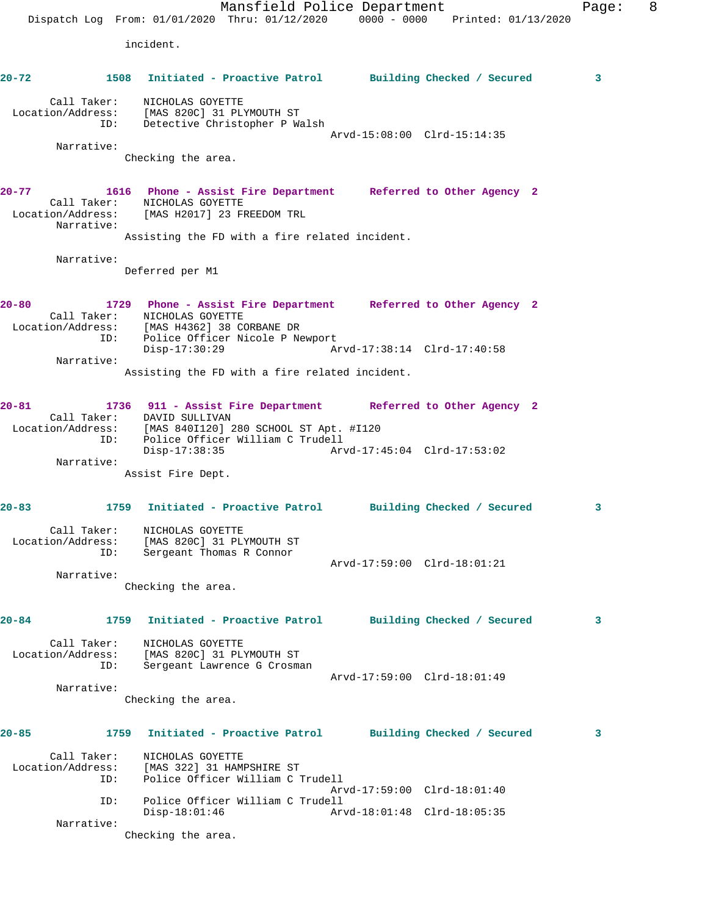Mansfield Police Department Fage: 8 Dispatch Log From: 01/01/2020 Thru: 01/12/2020 0000 - 0000 Printed: 01/13/2020 incident. **20-72 1508 Initiated - Proactive Patrol Building Checked / Secured 3** Call Taker: NICHOLAS GOYETTE Location/Address: [MAS 820C] 31 PLYMOUTH ST ID: Detective Christopher P Walsh Arvd-15:08:00 Clrd-15:14:35 Narrative: Checking the area. **20-77 1616 Phone - Assist Fire Department Referred to Other Agency 2**  Call Taker: NICHOLAS GOYETTE Location/Address: [MAS H2017] 23 FREEDOM TRL Narrative: Assisting the FD with a fire related incident. Narrative: Deferred per M1 **20-80 1729 Phone - Assist Fire Department Referred to Other Agency 2**  Call Taker: NICHOLAS GOYETTE Location/Address: [MAS H4362] 38 CORBANE DR ID: Police Officer Nicole P Newport<br>Disp-17:30:29 Ar Disp-17:30:29 Arvd-17:38:14 Clrd-17:40:58 Narrative: Assisting the FD with a fire related incident. **20-81 1736 911 - Assist Fire Department Referred to Other Agency 2**  Call Taker: DAVID SULLIVAN Location/Address: [MAS 840I120] 280 SCHOOL ST Apt. #I120 ID: Police Officer William C Trudell Disp-17:38:35 Arvd-17:45:04 Clrd-17:53:02 Narrative: Assist Fire Dept. **20-83 1759 Initiated - Proactive Patrol Building Checked / Secured 3** Call Taker: NICHOLAS GOYETTE Location/Address: [MAS 820C] 31 PLYMOUTH ST ID: Sergeant Thomas R Connor Arvd-17:59:00 Clrd-18:01:21 Narrative: Checking the area. **20-84 1759 Initiated - Proactive Patrol Building Checked / Secured 3** Call Taker: NICHOLAS GOYETTE Location/Address: [MAS 820C] 31 PLYMOUTH ST ID: Sergeant Lawrence G Crosman Arvd-17:59:00 Clrd-18:01:49 Narrative: Checking the area. **20-85 1759 Initiated - Proactive Patrol Building Checked / Secured 3** Call Taker: NICHOLAS GOYETTE Location/Address: [MAS 322] 31 HAMPSHIRE ST ID: Police Officer William C Trudell Arvd-17:59:00 Clrd-18:01:40 ID: Police Officer William C Trudell Arvd-18:01:48 Clrd-18:05:35 Narrative: Checking the area.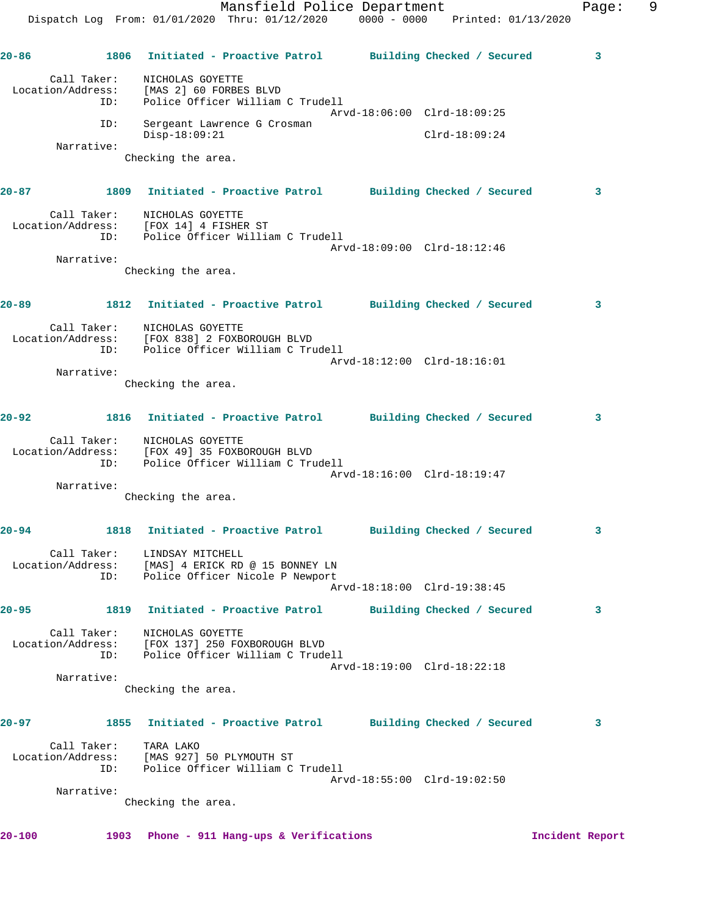|                                         |             |                                                                                     |                                                                                                                                                                                                                                                                                                                                                                                                                                                                                                                                                                         |                                                                                                                                                                                                                                                                                                                                                                                                                                   |                                                                                                                                                                                                                                                                         |                                                                                                                                                                                                                                                                                                                                                                                                                                                                            | 9                        |
|-----------------------------------------|-------------|-------------------------------------------------------------------------------------|-------------------------------------------------------------------------------------------------------------------------------------------------------------------------------------------------------------------------------------------------------------------------------------------------------------------------------------------------------------------------------------------------------------------------------------------------------------------------------------------------------------------------------------------------------------------------|-----------------------------------------------------------------------------------------------------------------------------------------------------------------------------------------------------------------------------------------------------------------------------------------------------------------------------------------------------------------------------------------------------------------------------------|-------------------------------------------------------------------------------------------------------------------------------------------------------------------------------------------------------------------------------------------------------------------------|----------------------------------------------------------------------------------------------------------------------------------------------------------------------------------------------------------------------------------------------------------------------------------------------------------------------------------------------------------------------------------------------------------------------------------------------------------------------------|--------------------------|
|                                         |             |                                                                                     |                                                                                                                                                                                                                                                                                                                                                                                                                                                                                                                                                                         |                                                                                                                                                                                                                                                                                                                                                                                                                                   |                                                                                                                                                                                                                                                                         | 3                                                                                                                                                                                                                                                                                                                                                                                                                                                                          |                          |
|                                         |             |                                                                                     |                                                                                                                                                                                                                                                                                                                                                                                                                                                                                                                                                                         |                                                                                                                                                                                                                                                                                                                                                                                                                                   |                                                                                                                                                                                                                                                                         |                                                                                                                                                                                                                                                                                                                                                                                                                                                                            |                          |
| ID:                                     |             |                                                                                     |                                                                                                                                                                                                                                                                                                                                                                                                                                                                                                                                                                         |                                                                                                                                                                                                                                                                                                                                                                                                                                   |                                                                                                                                                                                                                                                                         |                                                                                                                                                                                                                                                                                                                                                                                                                                                                            |                          |
| Narrative:                              |             |                                                                                     |                                                                                                                                                                                                                                                                                                                                                                                                                                                                                                                                                                         |                                                                                                                                                                                                                                                                                                                                                                                                                                   |                                                                                                                                                                                                                                                                         |                                                                                                                                                                                                                                                                                                                                                                                                                                                                            |                          |
|                                         |             |                                                                                     |                                                                                                                                                                                                                                                                                                                                                                                                                                                                                                                                                                         |                                                                                                                                                                                                                                                                                                                                                                                                                                   |                                                                                                                                                                                                                                                                         |                                                                                                                                                                                                                                                                                                                                                                                                                                                                            |                          |
|                                         |             |                                                                                     |                                                                                                                                                                                                                                                                                                                                                                                                                                                                                                                                                                         |                                                                                                                                                                                                                                                                                                                                                                                                                                   |                                                                                                                                                                                                                                                                         | 3                                                                                                                                                                                                                                                                                                                                                                                                                                                                          |                          |
|                                         |             |                                                                                     |                                                                                                                                                                                                                                                                                                                                                                                                                                                                                                                                                                         |                                                                                                                                                                                                                                                                                                                                                                                                                                   |                                                                                                                                                                                                                                                                         |                                                                                                                                                                                                                                                                                                                                                                                                                                                                            |                          |
| Narrative:                              |             |                                                                                     |                                                                                                                                                                                                                                                                                                                                                                                                                                                                                                                                                                         |                                                                                                                                                                                                                                                                                                                                                                                                                                   |                                                                                                                                                                                                                                                                         |                                                                                                                                                                                                                                                                                                                                                                                                                                                                            |                          |
|                                         |             |                                                                                     |                                                                                                                                                                                                                                                                                                                                                                                                                                                                                                                                                                         |                                                                                                                                                                                                                                                                                                                                                                                                                                   |                                                                                                                                                                                                                                                                         |                                                                                                                                                                                                                                                                                                                                                                                                                                                                            |                          |
|                                         |             |                                                                                     |                                                                                                                                                                                                                                                                                                                                                                                                                                                                                                                                                                         |                                                                                                                                                                                                                                                                                                                                                                                                                                   |                                                                                                                                                                                                                                                                         | 3                                                                                                                                                                                                                                                                                                                                                                                                                                                                          |                          |
|                                         |             |                                                                                     |                                                                                                                                                                                                                                                                                                                                                                                                                                                                                                                                                                         |                                                                                                                                                                                                                                                                                                                                                                                                                                   |                                                                                                                                                                                                                                                                         |                                                                                                                                                                                                                                                                                                                                                                                                                                                                            |                          |
|                                         |             |                                                                                     |                                                                                                                                                                                                                                                                                                                                                                                                                                                                                                                                                                         |                                                                                                                                                                                                                                                                                                                                                                                                                                   |                                                                                                                                                                                                                                                                         |                                                                                                                                                                                                                                                                                                                                                                                                                                                                            |                          |
| Narrative:                              |             |                                                                                     |                                                                                                                                                                                                                                                                                                                                                                                                                                                                                                                                                                         |                                                                                                                                                                                                                                                                                                                                                                                                                                   |                                                                                                                                                                                                                                                                         |                                                                                                                                                                                                                                                                                                                                                                                                                                                                            |                          |
|                                         |             |                                                                                     |                                                                                                                                                                                                                                                                                                                                                                                                                                                                                                                                                                         |                                                                                                                                                                                                                                                                                                                                                                                                                                   |                                                                                                                                                                                                                                                                         |                                                                                                                                                                                                                                                                                                                                                                                                                                                                            |                          |
|                                         |             |                                                                                     |                                                                                                                                                                                                                                                                                                                                                                                                                                                                                                                                                                         |                                                                                                                                                                                                                                                                                                                                                                                                                                   |                                                                                                                                                                                                                                                                         | 3                                                                                                                                                                                                                                                                                                                                                                                                                                                                          |                          |
| ID:                                     |             |                                                                                     |                                                                                                                                                                                                                                                                                                                                                                                                                                                                                                                                                                         |                                                                                                                                                                                                                                                                                                                                                                                                                                   |                                                                                                                                                                                                                                                                         |                                                                                                                                                                                                                                                                                                                                                                                                                                                                            |                          |
| Narrative:                              |             |                                                                                     |                                                                                                                                                                                                                                                                                                                                                                                                                                                                                                                                                                         |                                                                                                                                                                                                                                                                                                                                                                                                                                   |                                                                                                                                                                                                                                                                         |                                                                                                                                                                                                                                                                                                                                                                                                                                                                            |                          |
|                                         |             |                                                                                     |                                                                                                                                                                                                                                                                                                                                                                                                                                                                                                                                                                         |                                                                                                                                                                                                                                                                                                                                                                                                                                   |                                                                                                                                                                                                                                                                         |                                                                                                                                                                                                                                                                                                                                                                                                                                                                            |                          |
|                                         |             |                                                                                     |                                                                                                                                                                                                                                                                                                                                                                                                                                                                                                                                                                         |                                                                                                                                                                                                                                                                                                                                                                                                                                   |                                                                                                                                                                                                                                                                         | 3                                                                                                                                                                                                                                                                                                                                                                                                                                                                          |                          |
|                                         |             |                                                                                     |                                                                                                                                                                                                                                                                                                                                                                                                                                                                                                                                                                         |                                                                                                                                                                                                                                                                                                                                                                                                                                   |                                                                                                                                                                                                                                                                         |                                                                                                                                                                                                                                                                                                                                                                                                                                                                            |                          |
| ID:                                     |             |                                                                                     |                                                                                                                                                                                                                                                                                                                                                                                                                                                                                                                                                                         |                                                                                                                                                                                                                                                                                                                                                                                                                                   |                                                                                                                                                                                                                                                                         |                                                                                                                                                                                                                                                                                                                                                                                                                                                                            |                          |
|                                         |             |                                                                                     |                                                                                                                                                                                                                                                                                                                                                                                                                                                                                                                                                                         |                                                                                                                                                                                                                                                                                                                                                                                                                                   |                                                                                                                                                                                                                                                                         | 3                                                                                                                                                                                                                                                                                                                                                                                                                                                                          |                          |
|                                         |             |                                                                                     |                                                                                                                                                                                                                                                                                                                                                                                                                                                                                                                                                                         |                                                                                                                                                                                                                                                                                                                                                                                                                                   |                                                                                                                                                                                                                                                                         |                                                                                                                                                                                                                                                                                                                                                                                                                                                                            |                          |
| Location/Address:<br>ID:                |             |                                                                                     |                                                                                                                                                                                                                                                                                                                                                                                                                                                                                                                                                                         |                                                                                                                                                                                                                                                                                                                                                                                                                                   |                                                                                                                                                                                                                                                                         |                                                                                                                                                                                                                                                                                                                                                                                                                                                                            |                          |
| Narrative:                              |             |                                                                                     |                                                                                                                                                                                                                                                                                                                                                                                                                                                                                                                                                                         |                                                                                                                                                                                                                                                                                                                                                                                                                                   |                                                                                                                                                                                                                                                                         |                                                                                                                                                                                                                                                                                                                                                                                                                                                                            |                          |
|                                         |             |                                                                                     |                                                                                                                                                                                                                                                                                                                                                                                                                                                                                                                                                                         |                                                                                                                                                                                                                                                                                                                                                                                                                                   |                                                                                                                                                                                                                                                                         |                                                                                                                                                                                                                                                                                                                                                                                                                                                                            |                          |
|                                         |             |                                                                                     |                                                                                                                                                                                                                                                                                                                                                                                                                                                                                                                                                                         |                                                                                                                                                                                                                                                                                                                                                                                                                                   |                                                                                                                                                                                                                                                                         | 3                                                                                                                                                                                                                                                                                                                                                                                                                                                                          |                          |
| Call Taker:<br>Location/Address:<br>ID: | TARA LAKO   |                                                                                     |                                                                                                                                                                                                                                                                                                                                                                                                                                                                                                                                                                         |                                                                                                                                                                                                                                                                                                                                                                                                                                   |                                                                                                                                                                                                                                                                         |                                                                                                                                                                                                                                                                                                                                                                                                                                                                            |                          |
| Narrative:                              |             |                                                                                     |                                                                                                                                                                                                                                                                                                                                                                                                                                                                                                                                                                         |                                                                                                                                                                                                                                                                                                                                                                                                                                   |                                                                                                                                                                                                                                                                         |                                                                                                                                                                                                                                                                                                                                                                                                                                                                            |                          |
|                                         |             |                                                                                     |                                                                                                                                                                                                                                                                                                                                                                                                                                                                                                                                                                         |                                                                                                                                                                                                                                                                                                                                                                                                                                   |                                                                                                                                                                                                                                                                         |                                                                                                                                                                                                                                                                                                                                                                                                                                                                            |                          |
|                                         |             |                                                                                     |                                                                                                                                                                                                                                                                                                                                                                                                                                                                                                                                                                         |                                                                                                                                                                                                                                                                                                                                                                                                                                   |                                                                                                                                                                                                                                                                         |                                                                                                                                                                                                                                                                                                                                                                                                                                                                            |                          |
|                                         | Call Taker: | Call Taker:<br>ID:<br>$Disp-18:09:21$<br>Call Taker:<br>1818<br>Call Taker:<br>1903 | NICHOLAS GOYETTE<br>Location/Address: [MAS 2] 60 FORBES BLVD<br>Sergeant Lawrence G Crosman<br>Checking the area.<br>Call Taker: NICHOLAS GOYETTE<br>Location/Address: [FOX 14] 4 FISHER ST<br>Checking the area.<br>Call Taker:<br>NICHOLAS GOYETTE<br>Location/Address: [FOX 838] 2 FOXBOROUGH BLVD<br>Checking the area.<br>NICHOLAS GOYETTE<br>Location/Address: [FOX 49] 35 FOXBOROUGH BLVD<br>Checking the area.<br>LINDSAY MITCHELL<br>NICHOLAS GOYETTE<br>[FOX 137] 250 FOXBOROUGH BLVD<br>Checking the area.<br>[MAS 927] 50 PLYMOUTH ST<br>Checking the area. | Police Officer William C Trudell<br>ID: Police Officer William C Trudell<br>ID: Police Officer William C Trudell<br>Police Officer William C Trudell<br>Initiated - Proactive Patrol<br>Location/Address: [MAS] 4 ERICK RD @ 15 BONNEY LN<br>Police Officer Nicole P Newport<br>Police Officer William C Trudell<br>1855 Initiated - Proactive Patrol<br>Police Officer William C Trudell<br>Phone - 911 Hang-ups & Verifications | Mansfield Police Department<br>Arvd-18:06:00 Clrd-18:09:25<br>$Clrd-18:09:24$<br>Arvd-18:09:00 Clrd-18:12:46<br>Arvd-18:12:00 Clrd-18:16:01<br>Arvd-18:16:00 Clrd-18:19:47<br>Arvd-18:18:00 Clrd-19:38:45<br>Arvd-18:19:00 Clrd-18:22:18<br>Arvd-18:55:00 Clrd-19:02:50 | Dispatch Log From: 01/01/2020 Thru: 01/12/2020 0000 - 0000 Printed: 01/13/2020<br>1806 Initiated - Proactive Patrol Building Checked / Secured<br>1809 Initiated - Proactive Patrol Building Checked / Secured<br>1812 Initiated - Proactive Patrol Building Checked / Secured<br>1816 Initiated - Proactive Patrol Building Checked / Secured<br>Building Checked / Secured<br>1819 Initiated - Proactive Patrol Building Checked / Secured<br>Building Checked / Secured | Page:<br>Incident Report |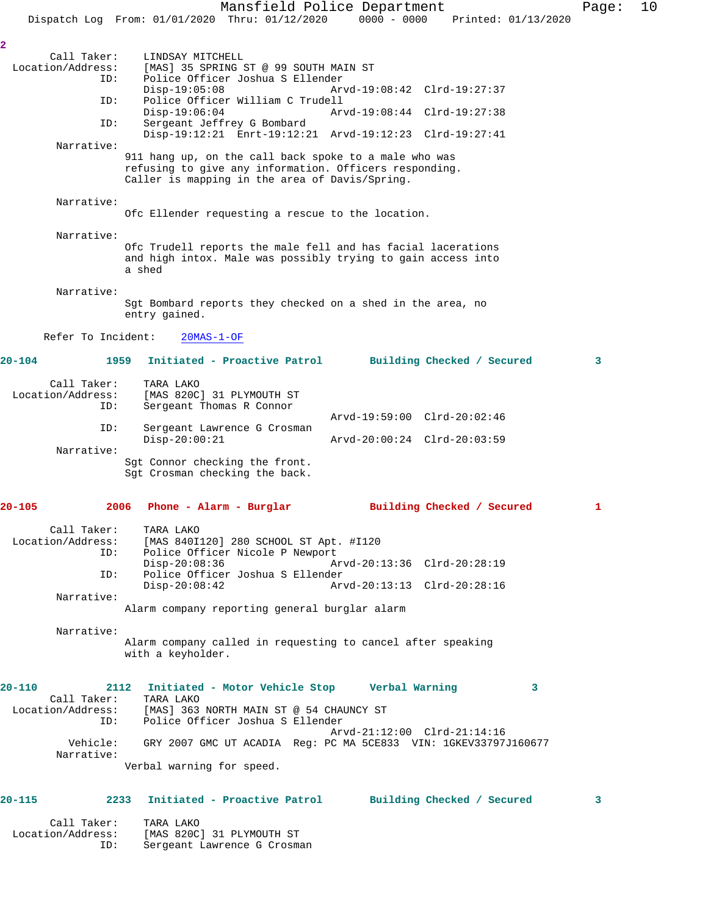Mansfield Police Department Page: 10 Dispatch Log From: 01/01/2020 Thru: 01/12/2020 0000 - 0000 Printed: 01/13/2020 **2**  Call Taker: LINDSAY MITCHELL<br>Location/Address: [MAS] 35 SPRING : [MAS] 35 SPRING ST @ 99 SOUTH MAIN ST ID: Police Officer Joshua S Ellender Disp-19:05:08 Arvd-19:08:42 Clrd-19:27:37<br>TD: Police Officer William C Trudell Police Officer William C Trudell<br>Disp-19:06:04 Arv Disp-19:06:04 Arvd-19:08:44 Clrd-19:27:38 ID: Sergeant Jeffrey G Bombard Disp-19:12:21 Enrt-19:12:21 Arvd-19:12:23 Clrd-19:27:41 Narrative: 911 hang up, on the call back spoke to a male who was refusing to give any information. Officers responding. Caller is mapping in the area of Davis/Spring. Narrative: Ofc Ellender requesting a rescue to the location. Narrative: Ofc Trudell reports the male fell and has facial lacerations and high intox. Male was possibly trying to gain access into a shed Narrative: Sgt Bombard reports they checked on a shed in the area, no entry gained. Refer To Incident: 20MAS-1-OF **20-104 1959 Initiated - Proactive Patrol Building Checked / Secured 3** Call Taker: TARA LAKO<br>Location/Address: [MAS 820C ess: [MAS 820C] 31 PLYMOUTH ST<br>ID: Sergeant Thomas R Connor Sergeant Thomas R Connor Arvd-19:59:00 Clrd-20:02:46 ID: Sergeant Lawrence G Crosman<br>Disp-20:00:21 Disp-20:00:21 Arvd-20:00:24 Clrd-20:03:59 Narrative: Sgt Connor checking the front. Sgt Crosman checking the back. **20-105 2006 Phone - Alarm - Burglar Building Checked / Secured 1** Call Taker: TARA LAKO<br>Location/Address: [MAS 840I ess: [MAS 840I120] 280 SCHOOL ST Apt. #I120<br>ID: Police Officer Nicole P Newport Police Officer Nicole P Newport Disp-20:08:36 Arvd-20:13:36 Clrd-20:28:19<br>ID: Police Officer Joshua S Ellender Police Officer Joshua S Ellender<br>Disp-20:08:42 Ar Arvd-20:13:13 Clrd-20:28:16 Narrative: Alarm company reporting general burglar alarm Narrative: Alarm company called in requesting to cancel after speaking with a keyholder. **20-110 2112 Initiated - Motor Vehicle Stop Verbal Warning 3**  Call Taker: TARA LAKO Location/Address: [MAS] 363 NORTH MAIN ST @ 54 CHAUNCY ST Police Officer Joshua S Ellender Arvd-21:12:00 Clrd-21:14:16 Vehicle: GRY 2007 GMC UT ACADIA Reg: PC MA 5CE833 VIN: 1GKEV33797J160677 Narrative: Verbal warning for speed. **20-115 2233 Initiated - Proactive Patrol Building Checked / Secured 3** Call Taker: TARA LAKO<br>Location/Address: [MAS 820C ess: [MAS 820C] 31 PLYMOUTH ST<br>ID: Sergeant Lawrence G Crosm

Sergeant Lawrence G Crosman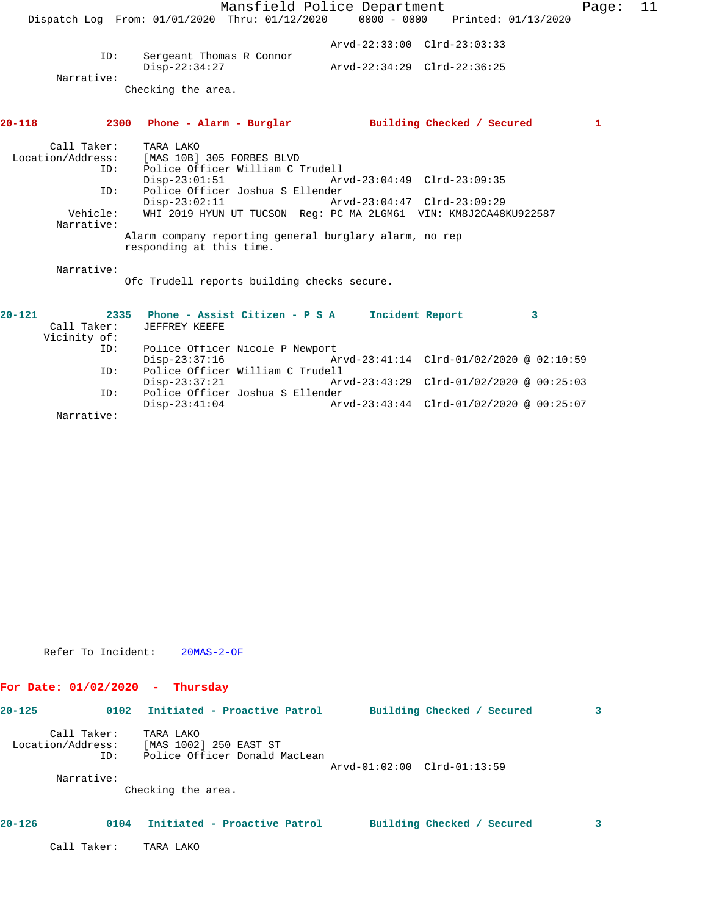|                             |                                                    | Mansfield Police Department                                      | Page: | -11 |
|-----------------------------|----------------------------------------------------|------------------------------------------------------------------|-------|-----|
|                             | Dispatch Log From: $01/01/2020$ Thru: $01/12/2020$ | $0000 - 0000$ Printed: $01/13/2020$                              |       |     |
|                             |                                                    |                                                                  |       |     |
| ID:                         |                                                    | Arvd-22:33:00 Clrd-23:03:33                                      |       |     |
|                             | Sergeant Thomas R Connor<br>$Disp-22:34:27$        | Arvd-22:34:29 Clrd-22:36:25                                      |       |     |
| Narrative:                  |                                                    |                                                                  |       |     |
|                             | Checking the area.                                 |                                                                  |       |     |
| 20-118                      |                                                    | 2300 Phone - Alarm - Burglar building Checked / Secured          | 1     |     |
|                             |                                                    |                                                                  |       |     |
| Call Taker:                 | TARA LAKO                                          |                                                                  |       |     |
| Location/Address:           | [MAS 10B] 305 FORBES BLVD                          |                                                                  |       |     |
| ID:                         | Police Officer William C Trudell                   |                                                                  |       |     |
|                             | $Disp-23:01:51$                                    | Arvd-23:04:49 Clrd-23:09:35                                      |       |     |
| ID:                         | Police Officer Joshua S Ellender                   |                                                                  |       |     |
|                             |                                                    | Disp-23:02:11 Arvd-23:04:47 Clrd-23:09:29                        |       |     |
| Vehicle:                    |                                                    | WHI 2019 HYUN UT TUCSON Req: PC MA 2LGM61 VIN: KM8J2CA48KU922587 |       |     |
| Narrative:                  |                                                    |                                                                  |       |     |
|                             | responding at this time.                           | Alarm company reporting general burglary alarm, no rep           |       |     |
| Narrative:                  |                                                    |                                                                  |       |     |
|                             | Ofc Trudell reports building checks secure.        |                                                                  |       |     |
| $20 - 121$                  | 2335 Phone - Assist Citizen - P S A                | Incident Report<br>$\mathbf{3}$                                  |       |     |
| Call Taker:<br>Vicinity of: | JEFFREY KEEFE                                      |                                                                  |       |     |
| ID:                         | Police Officer Nicole P Newport                    |                                                                  |       |     |
|                             | $Disp-23:37:16$                                    | Arvd-23:41:14 Clrd-01/02/2020 @ 02:10:59                         |       |     |

 ID: Police Officer William C Trudell Disp-23:37:21 Arvd-23:43:29 Clrd-01/02/2020 @ 00:25:03<br>ID: Police Officer Joshua S Ellender ID: Police Officer Joshua S Ellender Disp-23:41:04 Arvd-23:43:44 Clrd-01/02/2020 @ 00:25:07 Narrative:

Refer To Incident: 20MAS-2-OF

# **For Date: 01/02/2020 - Thursday**

| $20 - 125$ | 0102                                    | Initiated - Proactive Patrol                                         |                             | Building Checked / Secured | 3 |
|------------|-----------------------------------------|----------------------------------------------------------------------|-----------------------------|----------------------------|---|
|            | Call Taker:<br>Location/Address:<br>ID: | TARA LAKO<br>[MAS 1002] 250 EAST ST<br>Police Officer Donald MacLean | Arvd-01:02:00 Clrd-01:13:59 |                            |   |
|            | Narrative:                              | Checking the area.                                                   |                             |                            |   |
| $20 - 126$ | 0104                                    | Initiated - Proactive Patrol                                         |                             | Building Checked / Secured | 3 |
|            | Call Taker:                             | TARA LAKO                                                            |                             |                            |   |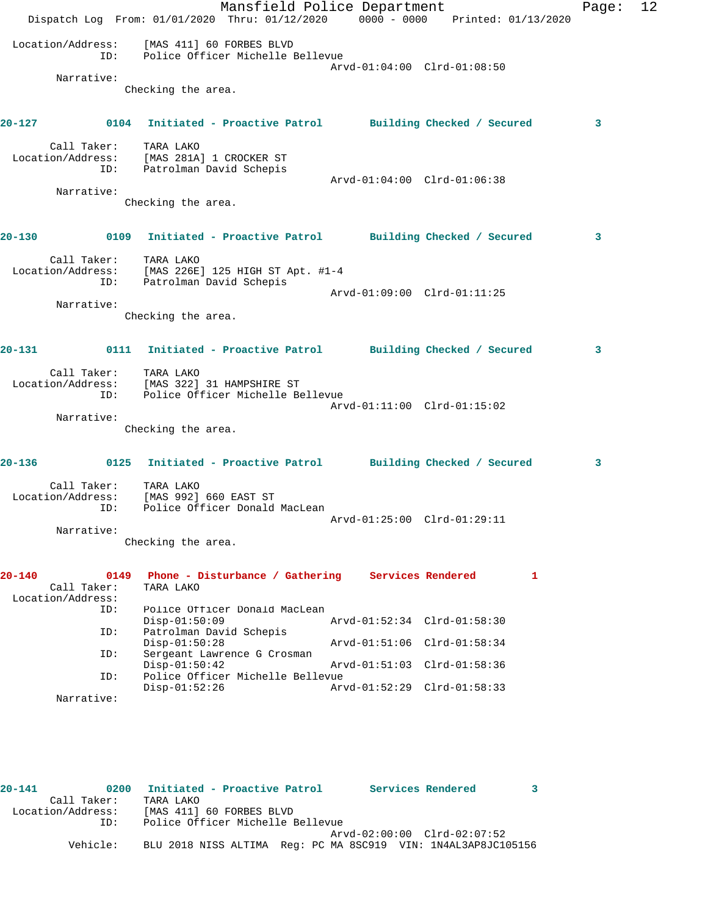|            |                              | Dispatch Log From: 01/01/2020 Thru: 01/12/2020 0000 - 0000 Printed: 01/13/2020        | Mansfield Police Department |                             |   | Page: | 12 |
|------------|------------------------------|---------------------------------------------------------------------------------------|-----------------------------|-----------------------------|---|-------|----|
|            | Location/Address:<br>ID:     | [MAS 411] 60 FORBES BLVD<br>Police Officer Michelle Bellevue                          |                             | Arvd-01:04:00 Clrd-01:08:50 |   |       |    |
|            | Narrative:                   |                                                                                       |                             |                             |   |       |    |
|            |                              | Checking the area.                                                                    |                             |                             |   |       |    |
|            |                              | 20-127 120 0104 Initiated - Proactive Patrol Building Checked / Secured               |                             |                             |   | 3     |    |
|            | Call Taker:                  | TARA LAKO<br>Location/Address: [MAS 281A] 1 CROCKER ST<br>ID: Patrolman David Schepis |                             | Arvd-01:04:00 Clrd-01:06:38 |   |       |    |
|            | Narrative:                   |                                                                                       |                             |                             |   |       |    |
|            |                              | Checking the area.                                                                    |                             |                             |   |       |    |
|            |                              | 20-130 			 0109 Initiated - Proactive Patrol 				 Building Checked / Secured          |                             |                             |   | 3     |    |
|            | Call Taker:                  | TARA LAKO                                                                             |                             |                             |   |       |    |
|            |                              | Location/Address: [MAS 226E] 125 HIGH ST Apt. #1-4<br>ID: Patrolman David Schepis     |                             |                             |   |       |    |
|            |                              |                                                                                       |                             | Arvd-01:09:00 Clrd-01:11:25 |   |       |    |
|            | Narrative:                   |                                                                                       |                             |                             |   |       |    |
|            |                              | Checking the area.                                                                    |                             |                             |   |       |    |
|            | $20 - 131$                   | 0111 Initiated - Proactive Patrol Building Checked / Secured                          |                             |                             |   | 3     |    |
|            | Call Taker: TARA LAKO<br>ID: | Location/Address: [MAS 322] 31 HAMPSHIRE ST<br>Police Officer Michelle Bellevue       |                             |                             |   |       |    |
|            | Narrative:                   |                                                                                       |                             | Arvd-01:11:00 Clrd-01:15:02 |   |       |    |
|            |                              | Checking the area.                                                                    |                             |                             |   |       |    |
| 20-136     |                              | 0125 Initiated - Proactive Patrol Building Checked / Secured                          |                             |                             |   | 3     |    |
|            | Call Taker:<br>ID:           | TARA LAKO<br>Location/Address: [MAS 992] 660 EAST ST<br>Police Officer Donald MacLean |                             |                             |   |       |    |
|            |                              |                                                                                       |                             | Arvd-01:25:00 Clrd-01:29:11 |   |       |    |
|            | Narrative:                   |                                                                                       |                             |                             |   |       |    |
|            |                              | Checking the area.                                                                    |                             |                             |   |       |    |
| $20 - 140$ | 0149<br>Call Taker:          | Phone - Disturbance / Gathering Services Rendered<br>TARA LAKO                        |                             |                             | 1 |       |    |
|            | Location/Address:            |                                                                                       |                             |                             |   |       |    |
|            | ID:                          | Police Officer Donald MacLean<br>$Disp-01:50:09$                                      |                             | Arvd-01:52:34 Clrd-01:58:30 |   |       |    |
|            | ID:                          | Patrolman David Schepis<br>$Disp-01:50:28$                                            |                             | Arvd-01:51:06 Clrd-01:58:34 |   |       |    |
|            | ID:                          | Sergeant Lawrence G Crosman                                                           |                             |                             |   |       |    |
|            | ID:                          | $Disp-01:50:42$<br>Police Officer Michelle Bellevue                                   |                             | Arvd-01:51:03 Clrd-01:58:36 |   |       |    |
|            | Narrative:                   | $Disp-01:52:26$                                                                       |                             | Arvd-01:52:29 Clrd-01:58:33 |   |       |    |
|            |                              |                                                                                       |                             |                             |   |       |    |

| $20 - 141$        |             | 0200 Initiated - Proactive Patrol<br>Services Rendered        |  |
|-------------------|-------------|---------------------------------------------------------------|--|
|                   | Call Taker: | TARA LAKO                                                     |  |
| Location/Address: |             | [MAS 411] 60 FORBES BLVD                                      |  |
|                   | TD:         | Police Officer Michelle Bellevue                              |  |
|                   |             | Arvd-02:00:00 Clrd-02:07:52                                   |  |
|                   | Vehicle:    | BLU 2018 NISS ALTIMA Req: PC MA 8SC919 VIN: 1N4AL3AP8JC105156 |  |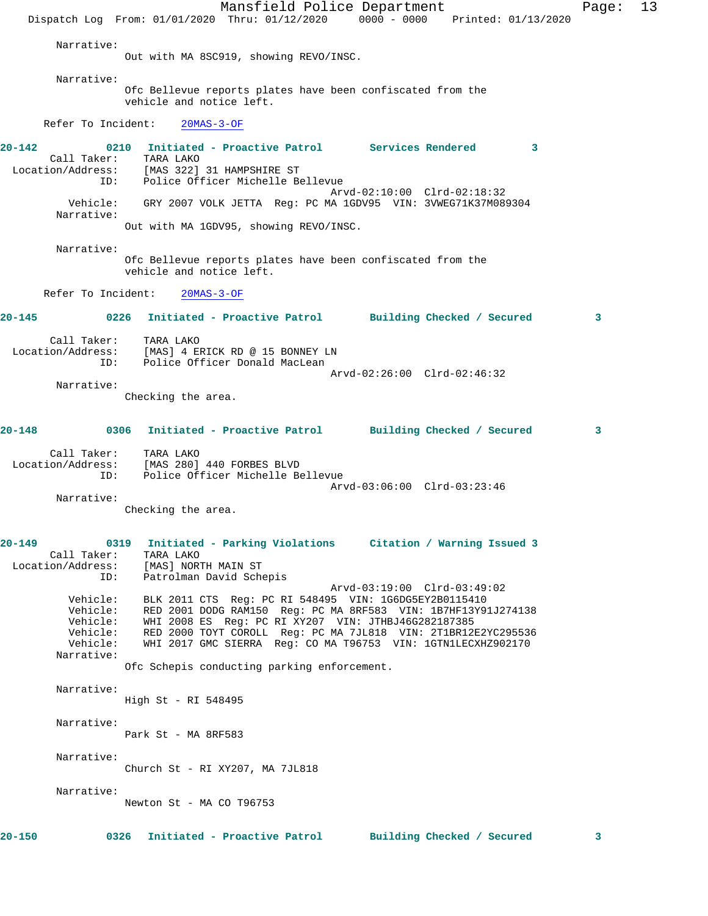Mansfield Police Department Fage: 13 Dispatch Log From: 01/01/2020 Thru: 01/12/2020 0000 - 0000 Printed: 01/13/2020 Narrative: Out with MA 8SC919, showing REVO/INSC. Narrative: Ofc Bellevue reports plates have been confiscated from the vehicle and notice left. Refer To Incident: 20MAS-3-OF **20-142 0210 Initiated - Proactive Patrol Services Rendered 3**  Call Taker: TARA LAKO Location/Address: [MAS 322] 31 HAMPSHIRE ST ress.<br>ID: Police Officer Michelle Bellevue<br>میں میں میں میں اللہ میں اللہ میں اللہ میں اللہ میں اللہ میں اللہ میں اللہ میں اللہ میں اللہ میں اللہ میں اللہ Arvd-02:10:00 Clrd-02:18:32 Vehicle: GRY 2007 VOLK JETTA Reg: PC MA 1GDV95 VIN: 3VWEG71K37M089304 Narrative: Out with MA 1GDV95, showing REVO/INSC. Narrative: Ofc Bellevue reports plates have been confiscated from the vehicle and notice left. Refer To Incident: 20MAS-3-OF **20-145 0226 Initiated - Proactive Patrol Building Checked / Secured 3** Call Taker: TARA LAKO Location/Address: [MAS] 4 ERICK RD @ 15 BONNEY LN ID: Police Officer Donald MacLean Arvd-02:26:00 Clrd-02:46:32 Narrative: Checking the area. **20-148 0306 Initiated - Proactive Patrol Building Checked / Secured 3** Call Taker: TARA LAKO Location/Address: [MAS 280] 440 FORBES BLVD ID: Police Officer Michelle Bellevue Arvd-03:06:00 Clrd-03:23:46 Narrative: Checking the area. **20-149 0319 Initiated - Parking Violations Citation / Warning Issued 3**  Call Taker: TARA LAKO Location/Address: [MAS] NORTH MAIN ST ID: Patrolman David Schepis Arvd-03:19:00 Clrd-03:49:02 Vehicle: BLK 2011 CTS Reg: PC RI 548495 VIN: 1G6DG5EY2B0115410 Vehicle: RED 2001 DODG RAM150 Reg: PC MA 8RF583 VIN: 1B7HF13Y91J274138 Vehicle: WHI 2008 ES Reg: PC RI XY207 VIN: JTHBJ46G282187385 Vehicle: RED 2000 TOYT COROLL Reg: PC MA 7JL818 VIN: 2T1BR12E2YC295536 Vehicle: WHI 2017 GMC SIERRA Reg: CO MA T96753 VIN: 1GTN1LECXHZ902170 Narrative: Ofc Schepis conducting parking enforcement. Narrative: High St - RI 548495 Narrative: Park St - MA 8RF583 Narrative: Church St - RI XY207, MA 7JL818 Narrative: Newton St - MA CO T96753 **20-150 0326 Initiated - Proactive Patrol Building Checked / Secured 3**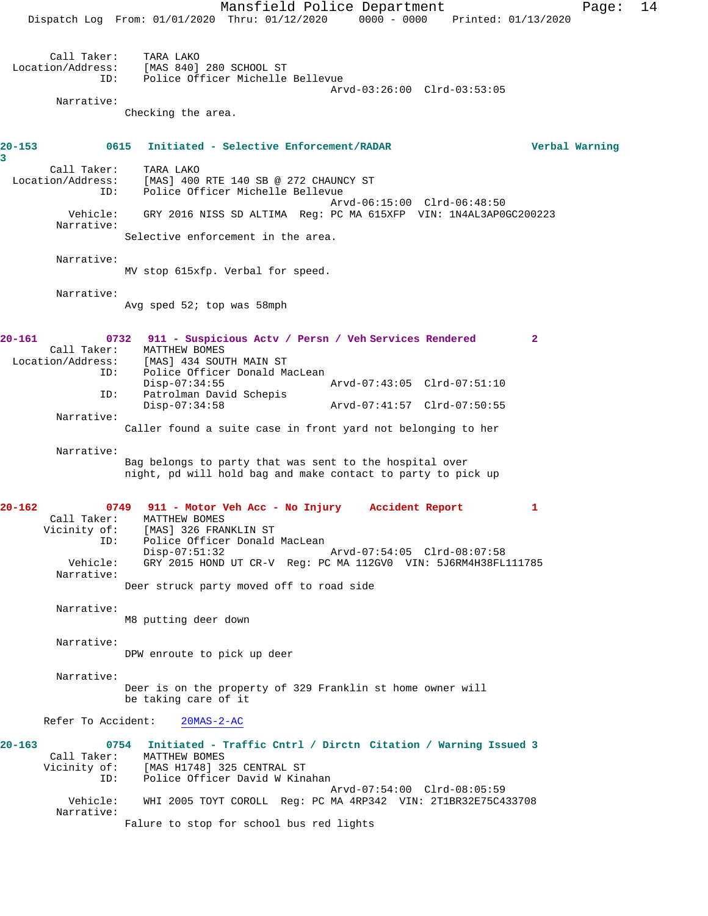Mansfield Police Department Page: 14 Dispatch Log From: 01/01/2020 Thru: 01/12/2020 0000 - 0000 Printed: 01/13/2020 Call Taker: TARA LAKO<br>Location/Address: [MAS 840] لمصدر المصدر<br>Stas: [MAS 840] 280 SCHOOL ST<br>ID: Police Officer Michelle Police Officer Michelle Bellevue Arvd-03:26:00 Clrd-03:53:05 Narrative: Checking the area. **20-153 0615 Initiated - Selective Enforcement/RADAR Verbal Warning 3**  Call Taker: TARA LAKO Location/Address: [MAS] 400 RTE 140 SB @ 272 CHAUNCY ST ID: Police Officer Michelle Bellevue Arvd-06:15:00 Clrd-06:48:50 Vehicle: GRY 2016 NISS SD ALTIMA Reg: PC MA 615XFP VIN: 1N4AL3AP0GC200223 Narrative: Selective enforcement in the area. Narrative: MV stop 615xfp. Verbal for speed. Narrative: Avg sped 52; top was 58mph **20-161 0732 911 - Suspicious Actv / Persn / Veh Services Rendered 2**  Call Taker: MATTHEW BOMES<br>Location/Address: [MAS] 434 SOU [MAS] 434 SOUTH MAIN ST ID: Police Officer Donald MacLean Disp-07:34:55 Arvd-07:43:05 Clrd-07:51:10 ID: Patrolman David Schepis Disp-07:34:58 Arvd-07:41:57 Clrd-07:50:55 Narrative: Caller found a suite case in front yard not belonging to her Narrative: Bag belongs to party that was sent to the hospital over night, pd will hold bag and make contact to party to pick up **20-162 0749 911 - Motor Veh Acc - No Injury Accident Report 1**  Call Taker: MATTHEW BOMES<br>Vicinity of: [MAS] 326 FRA [MAS] 326 FRANKLIN ST ID: Police Officer Donald MacLean Disp-07:51:32 Arvd-07:54:05 Clrd-08:07:58 Vehicle: GRY 2015 HOND UT CR-V Reg: PC MA 112GV0 VIN: 5J6RM4H38FL111785 Narrative: Deer struck party moved off to road side Narrative: M8 putting deer down Narrative: DPW enroute to pick up deer Narrative: Deer is on the property of 329 Franklin st home owner will be taking care of it Refer To Accident: 20MAS-2-AC **20-163 0754 Initiated - Traffic Cntrl / Dirctn Citation / Warning Issued 3**  Call Taker: MATTHEW BOMES<br>Vicinity of: [MAS H1748] 3 [MAS H1748] 325 CENTRAL ST ID: Police Officer David W Kinahan Arvd-07:54:00 Clrd-08:05:59<br>Vehicle: WHI 2005 TOYT COROLL Reg: PC MA 4RP342 VIN: 2T1BR32E75C4 Vehicle: WHI 2005 TOYT COROLL Reg: PC MA 4RP342 VIN: 2T1BR32E75C433708 Narrative: Falure to stop for school bus red lights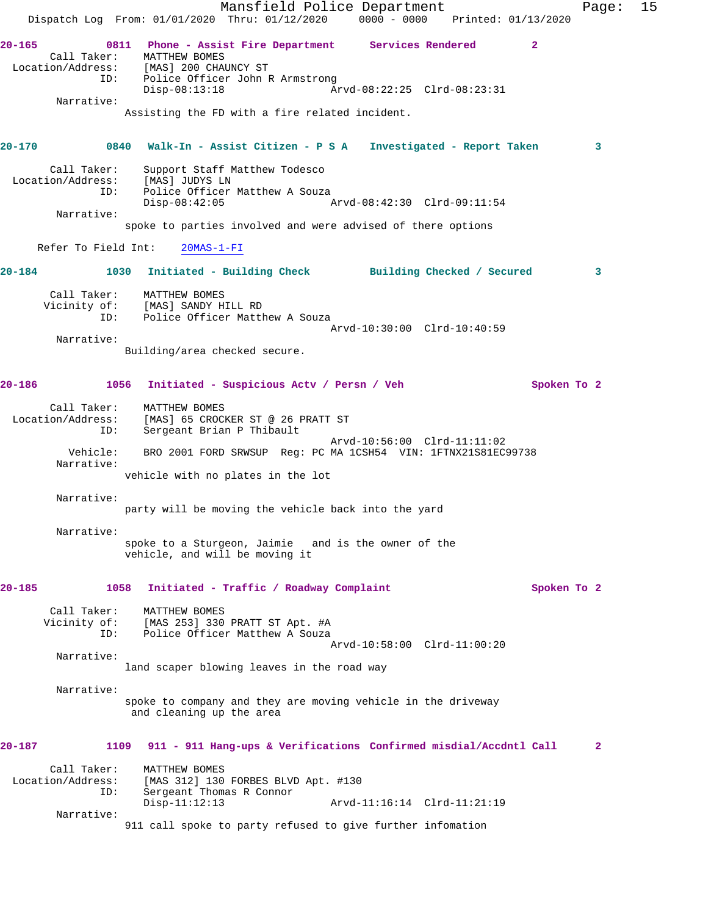|                                                | Dispatch Log From: 01/01/2020 Thru: 01/12/2020                                                                                             | Mansfield Police Department                                       | $0000 - 0000$ Printed: $01/13/2020$ |              | Page:        | 15 |
|------------------------------------------------|--------------------------------------------------------------------------------------------------------------------------------------------|-------------------------------------------------------------------|-------------------------------------|--------------|--------------|----|
| $20 - 165$<br>Call Taker:<br>Narrative:        | 0811 Phone - Assist Fire Department Services Rendered<br>MATTHEW BOMES<br>Location/Address: [MAS] 200 CHAUNCY ST<br>ID:<br>$Disp-08:13:18$ | Police Officer John R Armstrong                                   | Arvd-08:22:25 Clrd-08:23:31         | $\mathbf{2}$ |              |    |
|                                                |                                                                                                                                            | Assisting the FD with a fire related incident.                    |                                     |              |              |    |
| $20 - 170$                                     | 0840                                                                                                                                       | Walk-In - Assist Citizen - P S A Investigated - Report Taken      |                                     |              | 3            |    |
| Call Taker:<br>Location/Address:<br>Narrative: | [MAS] JUDYS LN<br>ID:<br>$Disp-08:42:05$                                                                                                   | Support Staff Matthew Todesco<br>Police Officer Matthew A Souza   | Arvd-08:42:30 Clrd-09:11:54         |              |              |    |
|                                                |                                                                                                                                            | spoke to parties involved and were advised of there options       |                                     |              |              |    |
| Refer To Field Int:                            | $20MAS - 1 - FI$                                                                                                                           |                                                                   |                                     |              |              |    |
| $20 - 184$                                     | 1030 Initiated - Building Check Building Checked / Secured                                                                                 |                                                                   |                                     |              | 3            |    |
|                                                | Call Taker: MATTHEW BOMES<br>Vicinity of: [MAS] SANDY HILL RD<br>ID:                                                                       | Police Officer Matthew A Souza                                    |                                     |              |              |    |
| Narrative:                                     |                                                                                                                                            |                                                                   | Arvd-10:30:00 Clrd-10:40:59         |              |              |    |
|                                                | Building/area checked secure.                                                                                                              |                                                                   |                                     |              |              |    |
| 20-186                                         | 1056 Initiated - Suspicious Actv / Persn / Veh                                                                                             |                                                                   |                                     | Spoken To 2  |              |    |
| Call Taker:<br>Location/Address:               | MATTHEW BOMES<br>Sergeant Brian P Thibault<br>ID:                                                                                          | [MAS] 65 CROCKER ST @ 26 PRATT ST                                 | Arvd-10:56:00 Clrd-11:11:02         |              |              |    |
| Vehicle:<br>Narrative:                         |                                                                                                                                            | BRO 2001 FORD SRWSUP Reg: PC MA 1CSH54 VIN: 1FTNX21S81EC99738     |                                     |              |              |    |
|                                                |                                                                                                                                            | vehicle with no plates in the lot                                 |                                     |              |              |    |
| Narrative:                                     |                                                                                                                                            | party will be moving the vehicle back into the yard               |                                     |              |              |    |
| Narrative:                                     |                                                                                                                                            |                                                                   |                                     |              |              |    |
|                                                | vehicle, and will be moving it                                                                                                             | spoke to a Sturgeon, Jaimie and is the owner of the               |                                     |              |              |    |
| 20-185                                         | 1058                                                                                                                                       | Initiated - Traffic / Roadway Complaint                           |                                     | Spoken To 2  |              |    |
| Call Taker:                                    | MATTHEW BOMES<br>Vicinity of: [MAS 253] 330 PRATT ST Apt. #A<br>ID:                                                                        | Police Officer Matthew A Souza                                    |                                     |              |              |    |
| Narrative:                                     |                                                                                                                                            |                                                                   | Arvd-10:58:00 Clrd-11:00:20         |              |              |    |
|                                                |                                                                                                                                            | land scaper blowing leaves in the road way                        |                                     |              |              |    |
| Narrative:                                     | and cleaning up the area                                                                                                                   | spoke to company and they are moving vehicle in the driveway      |                                     |              |              |    |
| 20-187                                         | 1109                                                                                                                                       | 911 - 911 Hang-ups & Verifications Confirmed misdial/Accdntl Call |                                     |              | $\mathbf{2}$ |    |
| Call Taker:<br>Location/Address:               | MATTHEW BOMES                                                                                                                              | [MAS 312] 130 FORBES BLVD Apt. #130                               |                                     |              |              |    |
|                                                | ID:<br>Sergeant Thomas R Connor<br>$Disp-11:12:13$                                                                                         |                                                                   | Arvd-11:16:14 Clrd-11:21:19         |              |              |    |
| Narrative:                                     |                                                                                                                                            | 911 call spoke to party refused to give further infomation        |                                     |              |              |    |
|                                                |                                                                                                                                            |                                                                   |                                     |              |              |    |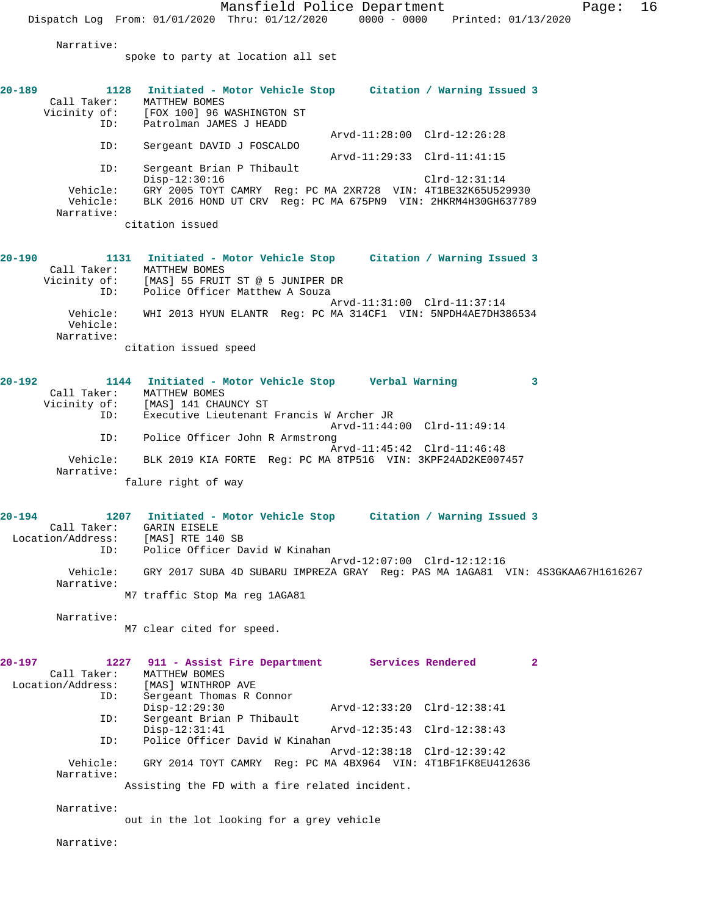Mansfield Police Department Fage: 16 Dispatch Log From: 01/01/2020 Thru: 01/12/2020 0000 - 0000 Printed: 01/13/2020 Narrative: spoke to party at location all set **20-189 1128 Initiated - Motor Vehicle Stop Citation / Warning Issued 3**  Call Taker: MATTHEW BOMES<br>Vicinity of: [FOX 100] 96 1 [FOX 100] 96 WASHINGTON ST ID: Patrolman JAMES J HEADD Arvd-11:28:00 Clrd-12:26:28<br>ID: Sergeant DAVID J FOSCALDO Sergeant DAVID J FOSCALDO Arvd-11:29:33 Clrd-11:41:15 ID: Sergeant Brian P Thibault Disp-12:30:16 Clrd-12:31:14 Vehicle: GRY 2005 TOYT CAMRY Reg: PC MA 2XR728 VIN: 4T1BE32K65U529930 BLK 2016 HOND UT CRV Reg: PC MA 675PN9 VIN: 2HKRM4H30GH637789 Narrative: citation issued **20-190 1131 Initiated - Motor Vehicle Stop Citation / Warning Issued 3**  Call Taker: MATTHEW BOMES Vicinity of: [MAS] 55 FRUIT ST @ 5 JUNIPER DR<br>ID: Police Officer Matthew A Soura Police Officer Matthew A Souza Arvd-11:31:00 Clrd-11:37:14 Vehicle: WHI 2013 HYUN ELANTR Reg: PC MA 314CF1 VIN: 5NPDH4AE7DH386534 Vehicle: Narrative: citation issued speed **20-192 1144 Initiated - Motor Vehicle Stop Verbal Warning 3**  Call Taker: MATTHEW BOMES<br>Vicinity of: [MAS] 141 CHA of: [MAS] 141 CHAUNCY ST<br>ID: Executive Lieutenant Executive Lieutenant Francis W Archer JR Arvd-11:44:00 Clrd-11:49:14<br>TD: Police Officer John R Armstrong Police Officer John R Armstrong Arvd-11:45:42 Clrd-11:46:48 Vehicle: BLK 2019 KIA FORTE Reg: PC MA 8TP516 VIN: 3KPF24AD2KE007457 Narrative: falure right of way **20-194 1207 Initiated - Motor Vehicle Stop Citation / Warning Issued 3**  Call Taker: GARIN EISELE Location/Address: [MAS] RTE 140 SB<br>ID: Police Officer Da Police Officer David W Kinahan Arvd-12:07:00 Clrd-12:12:16 Vehicle: GRY 2017 SUBA 4D SUBARU IMPREZA GRAY Reg: PAS MA 1AGA81 VIN: 4S3GKAA67H1616267 Narrative: M7 traffic Stop Ma reg 1AGA81 Narrative: M7 clear cited for speed. **20-197 1227 911 - Assist Fire Department Services Rendered 2**  Call Taker: MATTHEW BOMES<br>Location/Address: [MAS] WINTHRO ess: [MAS] WINTHROP AV<mark>E</mark><br>ID: Sergeant Thomas R ( Sergeant Thomas R Connor Disp-12:29:30 Arvd-12:33:20 Clrd-12:38:41<br>TD: Sergeant Brian P Thibault Sergeant Brian P Thibault<br>Disp-12:31:41 Arvd-12:35:43 Clrd-12:38:43 ID: Police Officer David W Kinahan Arvd-12:38:18 Clrd-12:39:42 Vehicle: GRY 2014 TOYT CAMRY Reg: PC MA 4BX964 VIN: 4T1BF1FK8EU412636 Narrative: Assisting the FD with a fire related incident. Narrative:

out in the lot looking for a grey vehicle

Narrative: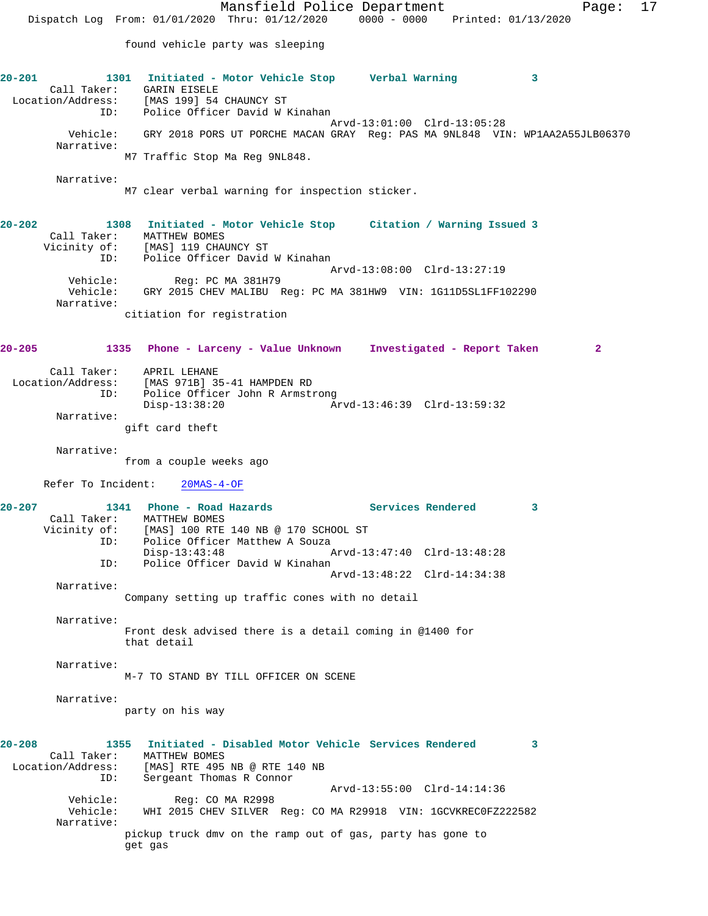Mansfield Police Department Fage: 17 Dispatch Log From: 01/01/2020 Thru: 01/12/2020 0000 - 0000 Printed: 01/13/2020 found vehicle party was sleeping **20-201 1301 Initiated - Motor Vehicle Stop Verbal Warning 3**  Call Taker: GARIN EISELE Location/Address: [MAS 199] 54 CHAUNCY ST ID: Police Officer David W Kinahan Arvd-13:01:00 Clrd-13:05:28 Vehicle: GRY 2018 PORS UT PORCHE MACAN GRAY Reg: PAS MA 9NL848 VIN: WP1AA2A55JLB06370 Narrative: M7 Traffic Stop Ma Reg 9NL848. Narrative: M7 clear verbal warning for inspection sticker. **20-202 1308 Initiated - Motor Vehicle Stop Citation / Warning Issued 3**  Call Taker: MATTHEW BOMES Vicinity of: [MAS] 119 CHAUNCY ST ID: Police Officer David W Kinahan Arvd-13:08:00 Clrd-13:27:19 Vehicle: Reg: PC MA 381H79 Vehicle: GRY 2015 CHEV MALIBU Reg: PC MA 381HW9 VIN: 1G11D5SL1FF102290 Narrative: citiation for registration **20-205 1335 Phone - Larceny - Value Unknown Investigated - Report Taken 2** Call Taker: APRIL LEHANE Location/Address: [MAS 971B] 35-41 HAMPDEN RD ID: Police Officer John R Armstrong<br>Disp-13:38:20 Am Arvd-13:46:39 Clrd-13:59:32 Narrative: gift card theft Narrative: from a couple weeks ago Refer To Incident: 20MAS-4-OF **20-207 1341 Phone - Road Hazards Services Rendered 3**  Call Taker: MATTHEW BOMES<br>Vicinity of: [MAS] 100 RTE [MAS] 100 RTE 140 NB @ 170 SCHOOL ST ID: Police Officer Matthew A Souza<br>Disp-13:43:48 Disp-13:43:48 Arvd-13:47:40 Clrd-13:48:28 ID: Police Officer David W Kinahan Arvd-13:48:22 Clrd-14:34:38 Narrative: Company setting up traffic cones with no detail Narrative: Front desk advised there is a detail coming in @1400 for that detail Narrative: M-7 TO STAND BY TILL OFFICER ON SCENE Narrative: party on his way **20-208 1355 Initiated - Disabled Motor Vehicle Services Rendered 3**  Call Taker: MATTHEW BOMES Location/Address: [MAS] RTE 495 NB @ RTE 140 NB ID: Sergeant Thomas R Connor Arvd-13:55:00 Clrd-14:14:36 Vehicle: Reg: CO MA R2998 Vehicle: WHI 2015 CHEV SILVER Reg: CO MA R29918 VIN: 1GCVKREC0FZ222582 Narrative: pickup truck dmv on the ramp out of gas, party has gone to get gas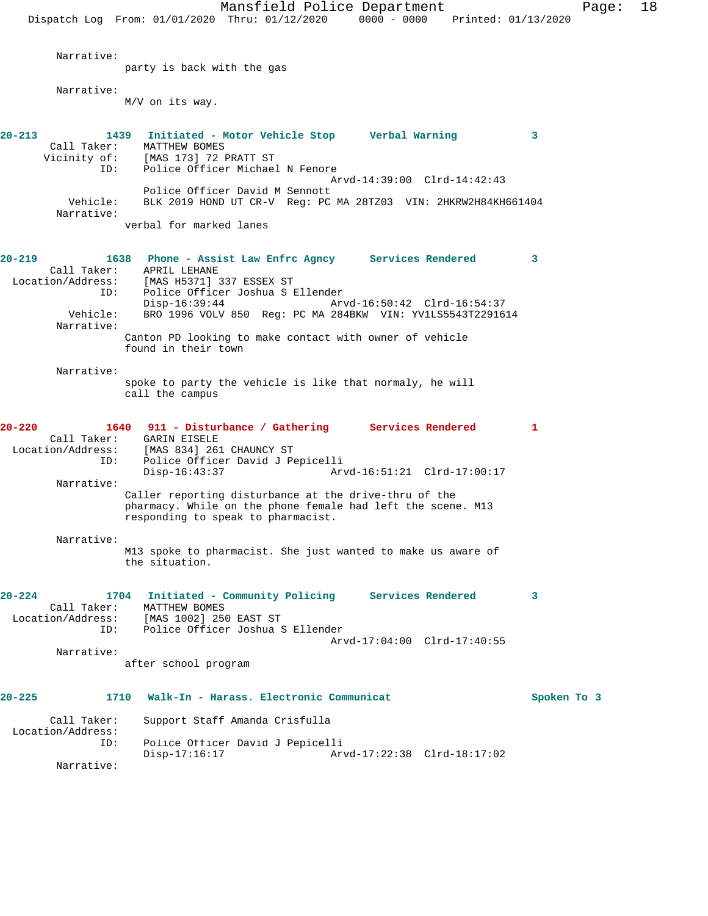Mansfield Police Department Fage: 18 Dispatch Log From: 01/01/2020 Thru: 01/12/2020 0000 - 0000 Printed: 01/13/2020 Narrative: party is back with the gas Narrative: M/V on its way. **20-213 1439 Initiated - Motor Vehicle Stop Verbal Warning 3**  Call Taker: MATTHEW BOMES<br>Vicinity of: [MAS 173] 72 J of: [MAS 173] 72 PRATT ST<br>ID: Police Officer Michae Police Officer Michael N Fenore Arvd-14:39:00 Clrd-14:42:43 Police Officer David M Sennott<br>Vehicle: BLK 2019 HOND UT CR-V Req: PC BLK 2019 HOND UT CR-V Reg: PC MA 28TZ03 VIN: 2HKRW2H84KH661404 Narrative: verbal for marked lanes **20-219 1638 Phone - Assist Law Enfrc Agncy Services Rendered 3**  Call Taker: APRIL LEHANE Location/Address: [MAS H5371] 337 ESSEX ST ID: Police Officer Joshua S Ellender Disp-16:39:44 Arvd-16:50:42 Clrd-16:54:37 Vehicle: BRO 1996 VOLV 850 Reg: PC MA 284BKW VIN: YV1LS5543T2291614 Narrative: Canton PD looking to make contact with owner of vehicle found in their town Narrative: spoke to party the vehicle is like that normaly, he will call the campus **20-220 1640 911 - Disturbance / Gathering Services Rendered 1**  Call Taker: GARIN EISELE Location/Address: [MAS 834] 261 CHAUNCY ST ID: Police Officer David J Pepicelli Disp-16:43:37 Arvd-16:51:21 Clrd-17:00:17 Narrative: Caller reporting disturbance at the drive-thru of the pharmacy. While on the phone female had left the scene. M13 responding to speak to pharmacist. Narrative: M13 spoke to pharmacist. She just wanted to make us aware of the situation. **20-224 1704 Initiated - Community Policing Services Rendered 3**  Call Taker: MATTHEW BOMES Location/Address: [MAS 1002] 250 EAST ST ID: Police Officer Joshua S Ellender Arvd-17:04:00 Clrd-17:40:55 Narrative: after school program **20-225 1710 Walk-In - Harass. Electronic Communicat Spoken To 3** Call Taker: Support Staff Amanda Crisfulla Location/Address:<br>ID: ID: Police Officer David J Pepicelli Disp-17:16:17 Arvd-17:22:38 Clrd-18:17:02 Narrative: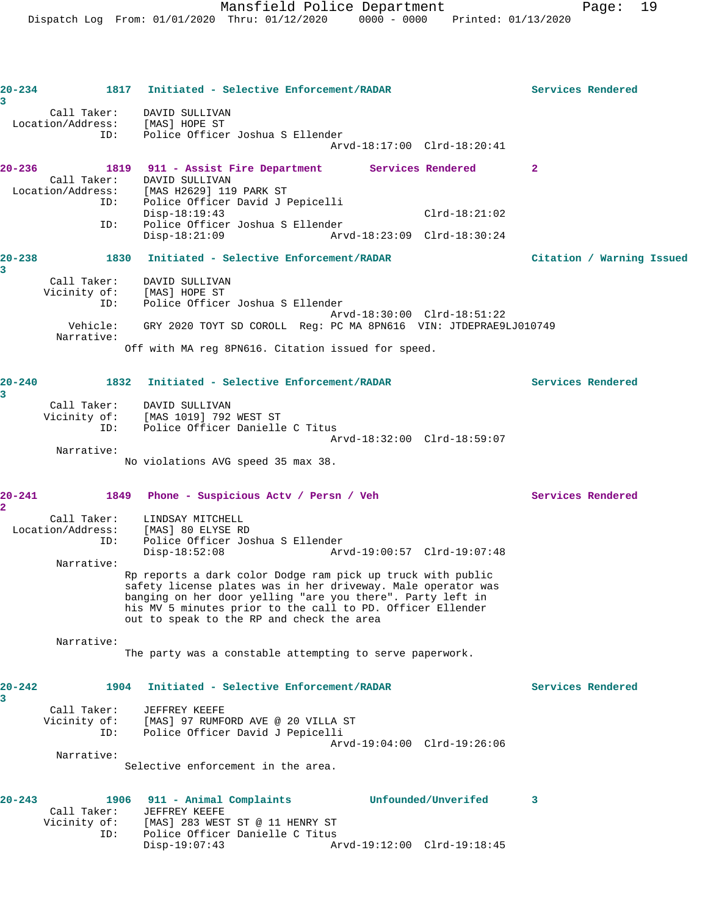| 3                      | $20 - 234$                         | 1817 Initiated - Selective Enforcement/RADAR                                                                                                                                                                                                            | Services Rendered         |
|------------------------|------------------------------------|---------------------------------------------------------------------------------------------------------------------------------------------------------------------------------------------------------------------------------------------------------|---------------------------|
|                        | Location/Address:                  | Call Taker: DAVID SULLIVAN<br>[MAS] HOPE ST                                                                                                                                                                                                             |                           |
|                        | ID:                                | Police Officer Joshua S Ellender<br>Arvd-18:17:00 Clrd-18:20:41                                                                                                                                                                                         |                           |
| $20 - 236$             | Call Taker:                        | 1819 911 - Assist Fire Department Services Rendered<br>DAVID SULLIVAN                                                                                                                                                                                   | $\mathbf{2}$              |
|                        | ID:                                | Location/Address: [MAS H2629] 119 PARK ST<br>Police Officer David J Pepicelli                                                                                                                                                                           |                           |
|                        | ID:                                | $Disp-18:19:43$<br>$Clrd-18:21:02$<br>Police Officer Joshua S Ellender<br>$Disp-18:21:09$<br>Arvd-18:23:09 Clrd-18:30:24                                                                                                                                |                           |
| $20 - 238$             |                                    | 1830 Initiated - Selective Enforcement/RADAR                                                                                                                                                                                                            | Citation / Warning Issued |
| 3                      |                                    |                                                                                                                                                                                                                                                         |                           |
|                        | Call Taker:<br>Vicinity of:<br>ID: | DAVID SULLIVAN<br>[MAS] HOPE ST<br>Police Officer Joshua S Ellender                                                                                                                                                                                     |                           |
|                        | Vehicle:                           | Arvd-18:30:00 Clrd-18:51:22<br>GRY 2020 TOYT SD COROLL Req: PC MA 8PN616 VIN: JTDEPRAE9LJ010749                                                                                                                                                         |                           |
|                        | Narrative:                         | Off with MA reg 8PN616. Citation issued for speed.                                                                                                                                                                                                      |                           |
|                        |                                    |                                                                                                                                                                                                                                                         |                           |
| $20 - 240$<br>3        |                                    | 1832 Initiated - Selective Enforcement/RADAR                                                                                                                                                                                                            | Services Rendered         |
|                        | Call Taker:<br>Vicinity of:        | DAVID SULLIVAN<br>[MAS 1019] 792 WEST ST                                                                                                                                                                                                                |                           |
|                        | ID:                                | Police Officer Danielle C Titus<br>Arvd-18:32:00 Clrd-18:59:07                                                                                                                                                                                          |                           |
|                        | Narrative:                         |                                                                                                                                                                                                                                                         |                           |
|                        |                                    | No violations AVG speed 35 max 38.                                                                                                                                                                                                                      |                           |
| 20-241<br>$\mathbf{2}$ |                                    | 1849 Phone - Suspicious Actv / Persn / Veh                                                                                                                                                                                                              | Services Rendered         |
|                        | Call Taker:                        | LINDSAY MITCHELL                                                                                                                                                                                                                                        |                           |
|                        | ID:                                | Location/Address: [MAS] 80 ELYSE RD<br>Police Officer Joshua S Ellender<br>Arvd-19:00:57 Clrd-19:07:48<br>$Disp-18:52:08$                                                                                                                               |                           |
|                        | Narrative:                         |                                                                                                                                                                                                                                                         |                           |
|                        |                                    | Rp reports a dark color Dodge ram pick up truck with public<br>safety license plates was in her driveway. Male operator was<br>banging on her door yelling "are you there". Party left in<br>his MV 5 minutes prior to the call to PD. Officer Ellender |                           |
|                        |                                    | out to speak to the RP and check the area                                                                                                                                                                                                               |                           |
|                        | Narrative:                         |                                                                                                                                                                                                                                                         |                           |
|                        |                                    | The party was a constable attempting to serve paperwork.                                                                                                                                                                                                |                           |
| $20 - 242$<br>3        | 1904                               | Initiated - Selective Enforcement/RADAR                                                                                                                                                                                                                 | Services Rendered         |
|                        | Call Taker:<br>Vicinity of:        | JEFFREY KEEFE<br>[MAS] 97 RUMFORD AVE @ 20 VILLA ST                                                                                                                                                                                                     |                           |
|                        | ID:                                | Police Officer David J Pepicelli                                                                                                                                                                                                                        |                           |
|                        | Narrative:                         | Arvd-19:04:00 Clrd-19:26:06                                                                                                                                                                                                                             |                           |
|                        |                                    | Selective enforcement in the area.                                                                                                                                                                                                                      |                           |
| $20 - 243$             |                                    | Unfounded/Unverifed<br>1906 911 - Animal Complaints                                                                                                                                                                                                     | 3                         |
|                        | Call Taker:<br>Vicinity of:        | JEFFREY KEEFE<br>[MAS] 283 WEST ST @ 11 HENRY ST                                                                                                                                                                                                        |                           |
|                        | ID:                                | Police Officer Danielle C Titus<br>Disp-19:07:43<br>Arvd-19:12:00 Clrd-19:18:45                                                                                                                                                                         |                           |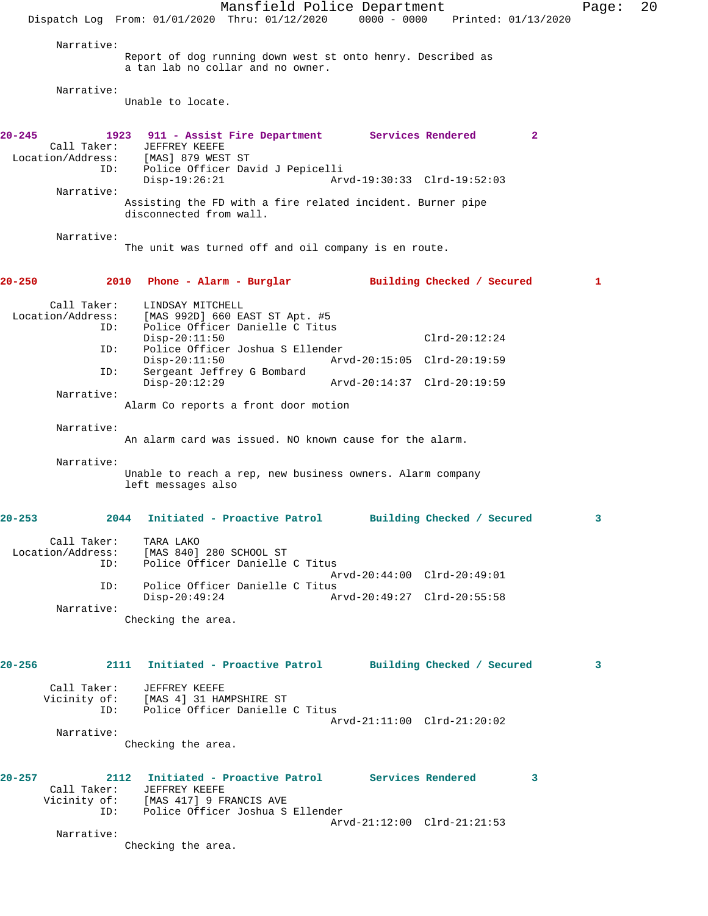Mansfield Police Department Fage: 20 Dispatch Log From: 01/01/2020 Thru: 01/12/2020 0000 - 0000 Printed: 01/13/2020 Narrative: Report of dog running down west st onto henry. Described as a tan lab no collar and no owner. Narrative: Unable to locate. **20-245 1923 911 - Assist Fire Department Services Rendered 2**  Call Taker: JEFFREY KEEFE Location/Address: [MAS] 879 WEST ST ID: Police Officer David J Pepicelli<br>Disp-19:26:21 Arv Disp-19:26:21 Arvd-19:30:33 Clrd-19:52:03 Narrative: Assisting the FD with a fire related incident. Burner pipe disconnected from wall. Narrative: The unit was turned off and oil company is en route. **20-250 2010 Phone - Alarm - Burglar Building Checked / Secured 1** Call Taker: LINDSAY MITCHELL Location/Address: [MAS 992D] 660 EAST ST Apt. #5 ID: Police Officer Danielle C Titus Disp-20:11:50 Clrd-20:12:24 ID: Police Officer Joshua S Ellender Disp-20:11:50 Arvd-20:15:05 Clrd-20:19:59 ID: Sergeant Jeffrey G Bombard Disp-20:12:29 Arvd-20:14:37 Clrd-20:19:59 Narrative: Alarm Co reports a front door motion Narrative: An alarm card was issued. NO known cause for the alarm. Narrative: Unable to reach a rep, new business owners. Alarm company left messages also **20-253 2044 Initiated - Proactive Patrol Building Checked / Secured 3** Call Taker: TARA LAKO Location/Address: [MAS 840] 280 SCHOOL ST ID: Police Officer Danielle C Titus Arvd-20:44:00 Clrd-20:49:01<br>ID: Police Officer Danielle C Titus<br>Disp-20:49:24 Arvd-20:49:27 Clrd-20:55:58 Police Officer Danielle C Titus Disp-20:49:24 Arvd-20:49:27 Clrd-20:55:58 Narrative: Checking the area. **20-256 2111 Initiated - Proactive Patrol Building Checked / Secured 3** Call Taker: JEFFREY KEEFE Vicinity of: [MAS 4] 31 HAMPSHIRE ST ID: Police Officer Danielle C Titus Arvd-21:11:00 Clrd-21:20:02 Narrative: Checking the area. **20-257 2112 Initiated - Proactive Patrol Services Rendered 3**  Call Taker: JEFFREY KEEFE Vicinity of: [MAS 417] 9 FRANCIS AVE ID: Police Officer Joshua S Ellender Arvd-21:12:00 Clrd-21:21:53 Narrative: Checking the area.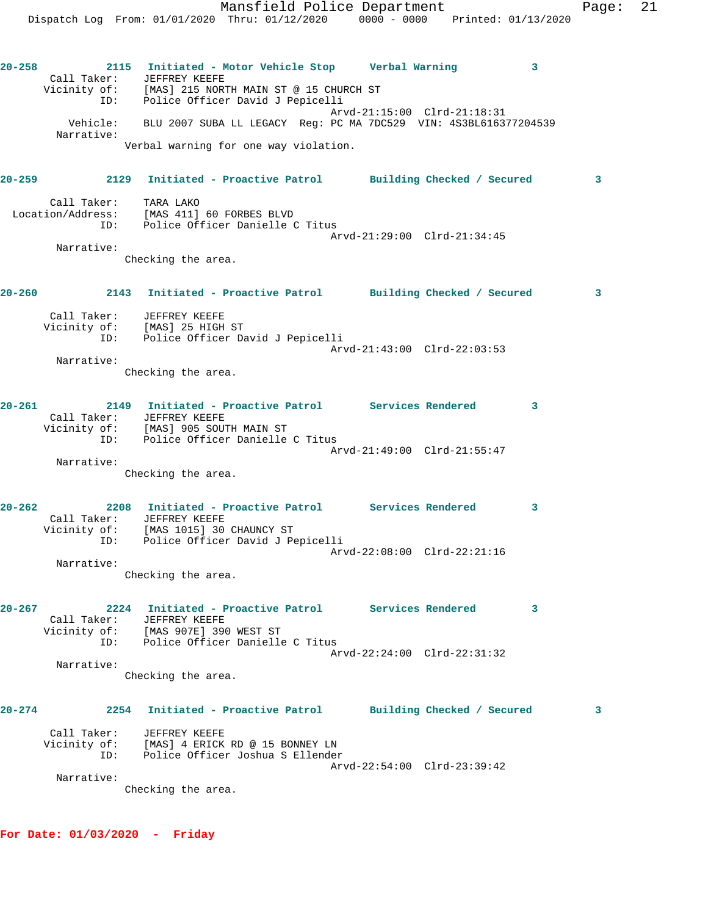Dispatch Log From: 01/01/2020 Thru: 01/12/2020 0000 - 0000 Printed: 01/13/2020 **20-258 2115 Initiated - Motor Vehicle Stop Verbal Warning 3**  Call Taker: JEFFREY KEEFE Vicinity of: [MAS] 215 NORTH MAIN ST @ 15 CHURCH ST ID: Police Officer David J Pepicelli Arvd-21:15:00 Clrd-21:18:31 Vehicle: BLU 2007 SUBA LL LEGACY Reg: PC MA 7DC529 VIN: 4S3BL616377204539 Narrative: Verbal warning for one way violation. **20-259 2129 Initiated - Proactive Patrol Building Checked / Secured 3** Call Taker: TARA LAKO Location/Address: [MAS 411] 60 FORBES BLVD ID: Police Officer Danielle C Titus Arvd-21:29:00 Clrd-21:34:45 Narrative: Checking the area. **20-260 2143 Initiated - Proactive Patrol Building Checked / Secured 3** Call Taker: JEFFREY KEEFE Vicinity of: [MAS] 25 HIGH ST ID: Police Officer David J Pepicelli Arvd-21:43:00 Clrd-22:03:53 Narrative: Checking the area. **20-261 2149 Initiated - Proactive Patrol Services Rendered 3**  Call Taker: JEFFREY KEEFE Vicinity of: [MAS] 905 SOUTH MAIN ST ID: Police Officer Danielle C Titus Arvd-21:49:00 Clrd-21:55:47 Narrative: Checking the area. **20-262 2208 Initiated - Proactive Patrol Services Rendered 3**  Call Taker: JEFFREY KEEFE Vicinity of: [MAS 1015] 30 CHAUNCY ST ID: Police Officer David J Pepicelli Arvd-22:08:00 Clrd-22:21:16 Narrative: Checking the area. **20-267 2224 Initiated - Proactive Patrol Services Rendered 3**  Call Taker: JEFFREY KEEFE Vicinity of: [MAS 907E] 390 WEST ST ID: Police Officer Danielle C Titus Arvd-22:24:00 Clrd-22:31:32 Narrative: Checking the area. **20-274 2254 Initiated - Proactive Patrol Building Checked / Secured 3** Call Taker: JEFFREY KEEFE Vicinity of: [MAS] 4 ERICK RD @ 15 BONNEY LN ID: Police Officer Joshua S Ellender Arvd-22:54:00 Clrd-23:39:42 Narrative:

Mansfield Police Department Fage: 21

Checking the area.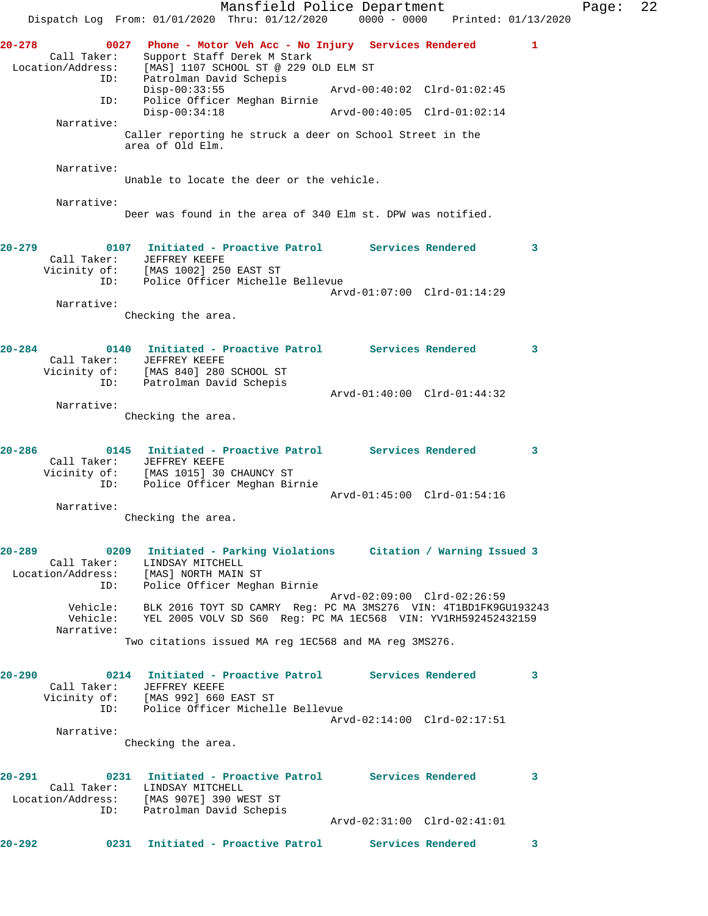Mansfield Police Department Page: 22 Dispatch Log From: 01/01/2020 Thru: 01/12/2020 0000 - 0000 Printed: 01/13/2020 **20-278 0027 Phone - Motor Veh Acc - No Injury Services Rendered 1**  Call Taker: Support Staff Derek M Stark Location/Address: [MAS] 1107 SCHOOL ST @ 229 OLD ELM ST ID: Patrolman David Schepis Disp-00:33:55 Arvd-00:40:02 Clrd-01:02:45 ID: Police Officer Meghan Birnie Disp-00:34:18 Arvd-00:40:05 Clrd-01:02:14 Narrative: Caller reporting he struck a deer on School Street in the area of Old Elm. Narrative: Unable to locate the deer or the vehicle. Narrative: Deer was found in the area of 340 Elm st. DPW was notified. **20-279 0107 Initiated - Proactive Patrol Services Rendered 3**  Call Taker: JEFFREY KEEFE Vicinity of: [MAS 1002] 250 EAST ST ID: Police Officer Michelle Bellevue Arvd-01:07:00 Clrd-01:14:29 Narrative: Checking the area. **20-284 0140 Initiated - Proactive Patrol Services Rendered 3**  Call Taker: JEFFREY KEEFE Vicinity of: [MAS 840] 280 SCHOOL ST ID: Patrolman David Schepis Arvd-01:40:00 Clrd-01:44:32 Narrative: Checking the area. **20-286 0145 Initiated - Proactive Patrol Services Rendered 3**  Call Taker: JEFFREY KEEFE Vicinity of: [MAS 1015] 30 CHAUNCY ST ID: Police Officer Meghan Birnie Arvd-01:45:00 Clrd-01:54:16 Narrative: Checking the area. **20-289 0209 Initiated - Parking Violations Citation / Warning Issued 3**  Call Taker: LINDSAY MITCHELL Location/Address: [MAS] NORTH MAIN ST ID: Police Officer Meghan Birnie Arvd-02:09:00 Clrd-02:26:59 Vehicle: BLK 2016 TOYT SD CAMRY Reg: PC MA 3MS276 VIN: 4T1BD1FK9GU193243 Vehicle: YEL 2005 VOLV SD S60 Reg: PC MA 1EC568 VIN: YV1RH592452432159 Narrative: Two citations issued MA reg 1EC568 and MA reg 3MS276. **20-290 0214 Initiated - Proactive Patrol Services Rendered 3**  Call Taker: JEFFREY KEEFE Vicinity of: [MAS 992] 660 EAST ST ID: Police Officer Michelle Bellevue Arvd-02:14:00 Clrd-02:17:51 Narrative: Checking the area. **20-291 0231 Initiated - Proactive Patrol Services Rendered 3**  Call Taker: LINDSAY MITCHELL Location/Address: [MAS 907E] 390 WEST ST ID: Patrolman David Schepis<br>ID: Patrolman David Schepis Arvd-02:31:00 Clrd-02:41:01 **20-292 0231 Initiated - Proactive Patrol Services Rendered 3**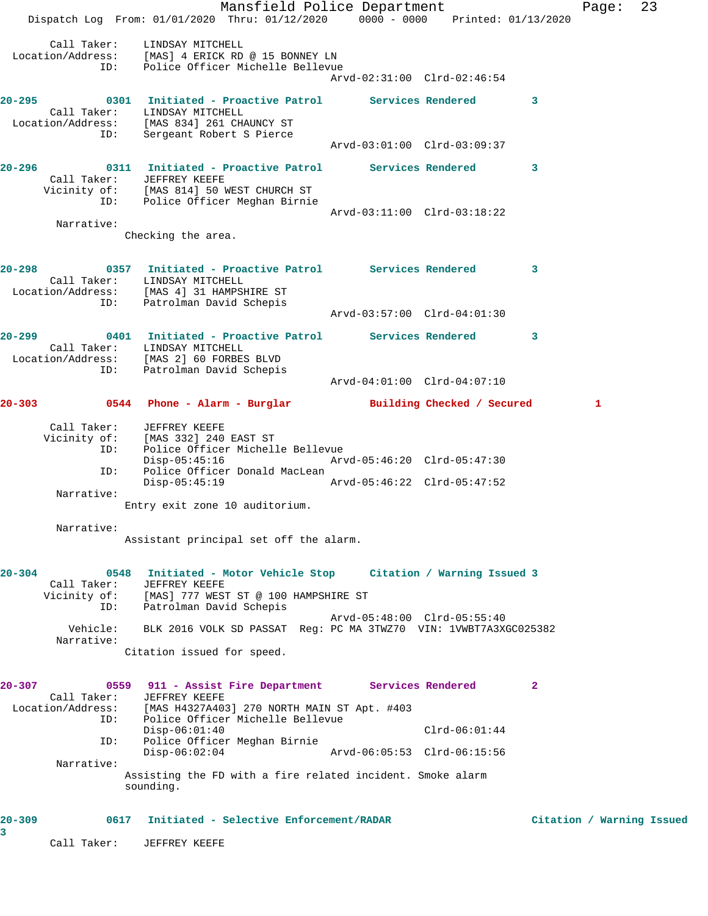Mansfield Police Department Fage: 23 Dispatch Log From: 01/01/2020 Thru: 01/12/2020 0000 - 0000 Printed: 01/13/2020 Call Taker: LINDSAY MITCHELL Location/Address: [MAS] 4 ERICK RD @ 15 BONNEY LN ID: Police Officer Michelle Bellevue Arvd-02:31:00 Clrd-02:46:54 **20-295 0301 Initiated - Proactive Patrol Services Rendered 3**  Call Taker: LINDSAY MITCHELL Location/Address: [MAS 834] 261 CHAUNCY ST ID: Sergeant Robert S Pierce Arvd-03:01:00 Clrd-03:09:37 **20-296 0311 Initiated - Proactive Patrol Services Rendered 3**  Call Taker: JEFFREY KEEFE Vicinity of: [MAS 814] 50 WEST CHURCH ST ID: Police Officer Meghan Birnie Arvd-03:11:00 Clrd-03:18:22 Narrative: Checking the area. **20-298 0357 Initiated - Proactive Patrol Services Rendered 3**  Call Taker: LINDSAY MITCHELL Location/Address: [MAS 4] 31 HAMPSHIRE ST ID: Patrolman David Schepis Arvd-03:57:00 Clrd-04:01:30 **20-299 0401 Initiated - Proactive Patrol Services Rendered 3**  Call Taker: LINDSAY MITCHELL Location/Address: [MAS 2] 60 FORBES BLVD ID: Patrolman David Schepis Arvd-04:01:00 Clrd-04:07:10 **20-303 0544 Phone - Alarm - Burglar Building Checked / Secured 1** Call Taker: JEFFREY KEEFE Vicinity of: [MAS 332] 240 EAST ST ID: Police Officer Michelle Bellevue Disp-05:45:16 Arvd-05:46:20 Clrd-05:47:30 ID: Police Officer Donald MacLean<br>Disp-05:45:19 Disp-05:45:19 Arvd-05:46:22 Clrd-05:47:52 Narrative: Entry exit zone 10 auditorium. Narrative: Assistant principal set off the alarm. **20-304 0548 Initiated - Motor Vehicle Stop Citation / Warning Issued 3**  Call Taker: JEFFREY KEEFE Vicinity of: [MAS] 777 WEST ST @ 100 HAMPSHIRE ST ID: Patrolman David Schepis Arvd-05:48:00 Clrd-05:55:40 Vehicle: BLK 2016 VOLK SD PASSAT Reg: PC MA 3TWZ70 VIN: 1VWBT7A3XGC025382 Narrative: Citation issued for speed. **20-307 0559 911 - Assist Fire Department Services Rendered 2**  Call Taker: JEFFREY KEEFE<br>Location/Address: [MAS H4327A40] [MAS H4327A403] 270 NORTH MAIN ST Apt. #403 ID: Police Officer Michelle Bellevue Disp-06:01:40 Clrd-06:01:44 ID: Police Officer Meghan Birnie Disp-06:02:04 Arvd-06:05:53 Clrd-06:15:56 Narrative: Assisting the FD with a fire related incident. Smoke alarm sounding. **20-309 0617 Initiated - Selective Enforcement/RADAR Citation / Warning Issued 3** 

Call Taker: JEFFREY KEEFE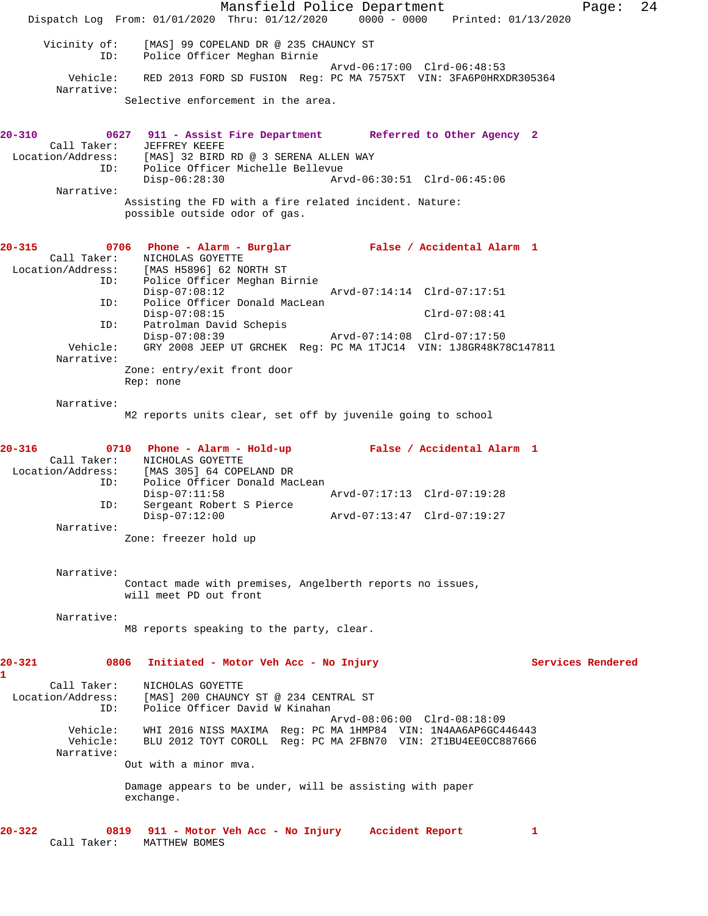Mansfield Police Department Fage: 24 Dispatch Log From: 01/01/2020 Thru: 01/12/2020 0000 - 0000 Printed: 01/13/2020 Vicinity of: [MAS] 99 COPELAND DR @ 235 CHAUNCY ST ID: Police Officer Meghan Birnie Arvd-06:17:00 Clrd-06:48:53 Vehicle: RED 2013 FORD SD FUSION Reg: PC MA 7575XT VIN: 3FA6P0HRXDR305364 Narrative: Selective enforcement in the area. **20-310 0627 911 - Assist Fire Department Referred to Other Agency 2**  Call Taker: JEFFREY KEEFE Location/Address: [MAS] 32 BIRD RD @ 3 SERENA ALLEN WAY ID: Police Officer Michelle Bellevue Disp-06:28:30 Arvd-06:30:51 Clrd-06:45:06 Narrative: Assisting the FD with a fire related incident. Nature: possible outside odor of gas. **20-315 0706 Phone - Alarm - Burglar False / Accidental Alarm 1**  Call Taker: NICHOLAS GOYETTE Location/Address: [MAS H5896] 62 NORTH ST<br>ID: Police Officer Meghan Bi Police Officer Meghan Birnie<br>Disp-07:08:12 Disp-07:08:12 Arvd-07:14:14 Clrd-07:17:51 ID: Police Officer Donald MacLean Disp-07:08:15 Clrd-07:08:41 ID: Patrolman David Schepis Disp-07:08:39 Arvd-07:14:08 Clrd-07:17:50 Vehicle: GRY 2008 JEEP UT GRCHEK Reg: PC MA 1TJC14 VIN: 1J8GR48K78C147811 Narrative: Zone: entry/exit front door Rep: none Narrative: M2 reports units clear, set off by juvenile going to school **20-316 0710 Phone - Alarm - Hold-up False / Accidental Alarm 1**  Call Taker: NICHOLAS GOYETTE Location/Address: [MAS 305] 64 COPELAND DR Police Officer Donald MacLean<br>Disp-07:11:58 Disp-07:11:58 Arvd-07:17:13 Clrd-07:19:28 ID: Sergeant Robert S Pierce Disp-07:12:00 Arvd-07:13:47 Clrd-07:19:27 Narrative: Zone: freezer hold up Narrative: Contact made with premises, Angelberth reports no issues, will meet PD out front Narrative: M8 reports speaking to the party, clear. **20-321 0806 Initiated - Motor Veh Acc - No Injury Services Rendered 1**  Call Taker: NICHOLAS GOYETTE Location/Address: [MAS] 200 CHAUNCY ST @ 234 CENTRAL ST ID: Police Officer David W Kinahan Arvd-08:06:00 Clrd-08:18:09 Vehicle: WHI 2016 NISS MAXIMA Reg: PC MA 1HMP84 VIN: 1N4AA6AP6GC446443 Vehicle: BLU 2012 TOYT COROLL Reg: PC MA 2FBN70 VIN: 2T1BU4EE0CC887666 Narrative: Out with a minor mva. Damage appears to be under, will be assisting with paper exchange. **20-322 0819 911 - Motor Veh Acc - No Injury Accident Report 1**  Call Taker: MATTHEW BOMES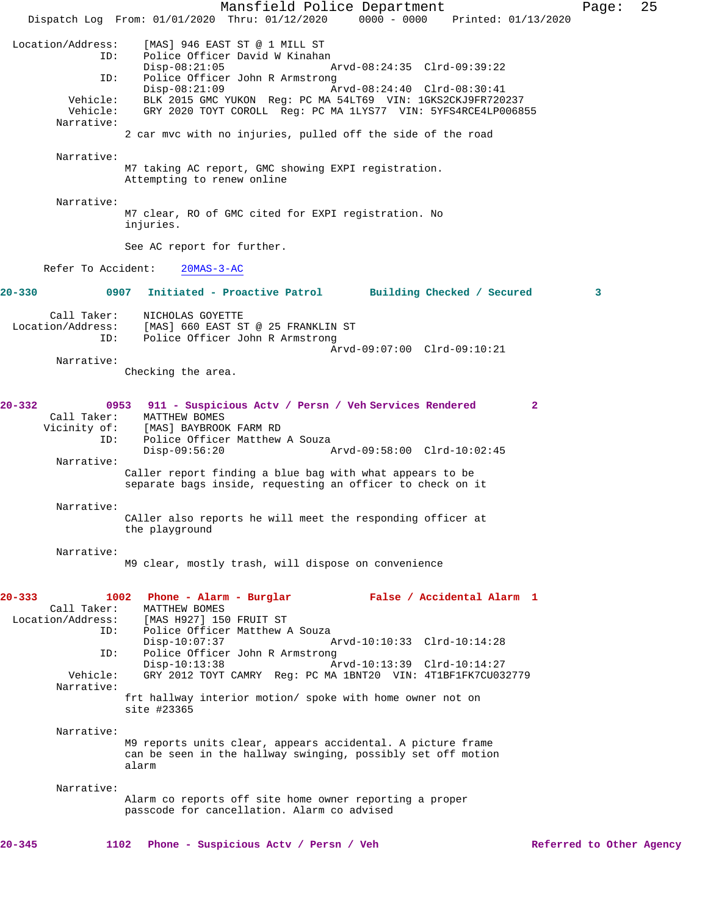Mansfield Police Department Page: 25 Dispatch Log From: 01/01/2020 Thru: 01/12/2020 0000 - 0000 Printed: 01/13/2020 Location/Address: [MAS] 946 EAST ST @ 1 MILL ST Police Officer David W Kinahan<br>Disp-08:21:05 Disp-08:21:05 Arvd-08:24:35 Clrd-09:39:22 ID: Police Officer John R Armstrong<br>Disp-08:21:09 A Disp-08:21:09 Arvd-08:24:40 Clrd-08:30:41 Vehicle: BLK 2015 GMC YUKON Reg: PC MA 54LT69 VIN: 1GKS2CKJ9FR720237 Vehicle: GRY 2020 TOYT COROLL Reg: PC MA 1LYS77 VIN: 5YFS4RCE4LP006855 Narrative: 2 car mvc with no injuries, pulled off the side of the road Narrative: M7 taking AC report, GMC showing EXPI registration. Attempting to renew online Narrative: M7 clear, RO of GMC cited for EXPI registration. No injuries. See AC report for further. Refer To Accident: 20MAS-3-AC **20-330 0907 Initiated - Proactive Patrol Building Checked / Secured 3** Call Taker: NICHOLAS GOYETTE Location/Address: [MAS] 660 EAST ST @ 25 FRANKLIN ST ID: Police Officer John R Armstrong Arvd-09:07:00 Clrd-09:10:21 Narrative: Checking the area. **20-332 0953 911 - Suspicious Actv / Persn / Veh Services Rendered 2**  Call Taker: MATTHEW BOMES Vicinity of: [MAS] BAYBROOK FARM RD<br>ID: Police Officer Matthew Police Officer Matthew A Souza<br>Disp-09:56:20  $P$  Disp-09:56:20 Arvd-09:58:00 Clrd-10:02:45 Narrative: Caller report finding a blue bag with what appears to be separate bags inside, requesting an officer to check on it Narrative: CAller also reports he will meet the responding officer at the playground Narrative: M9 clear, mostly trash, will dispose on convenience **20-333 1002 Phone - Alarm - Burglar False / Accidental Alarm 1**  Call Taker: MATTHEW BOMES<br>Location/Address: [MAS H927] 150 [MAS H927] 150 FRUIT ST ID: Police Officer Matthew A Souza<br>Disp-10:07:37 Disp-10:07:37 Arvd-10:10:33 Clrd-10:14:28<br>ID: Police Officer John R Armstrong Police Officer John R Armstrong Disp-10:13:38 Arvd-10:13:39 Clrd-10:14:27<br>Vehicle: GRY 2012 TOYT CAMRY Req: PC MA 1BNT20 VIN: 4T1BF1FK7CU03 GRY 2012 TOYT CAMRY Reg: PC MA 1BNT20 VIN: 4T1BF1FK7CU032779 Narrative: frt hallway interior motion/ spoke with home owner not on site #23365 Narrative: M9 reports units clear, appears accidental. A picture frame can be seen in the hallway swinging, possibly set off motion alarm Narrative: Alarm co reports off site home owner reporting a proper passcode for cancellation. Alarm co advised **20-345 1102 Phone - Suspicious Actv / Persn / Veh Referred to Other Agency**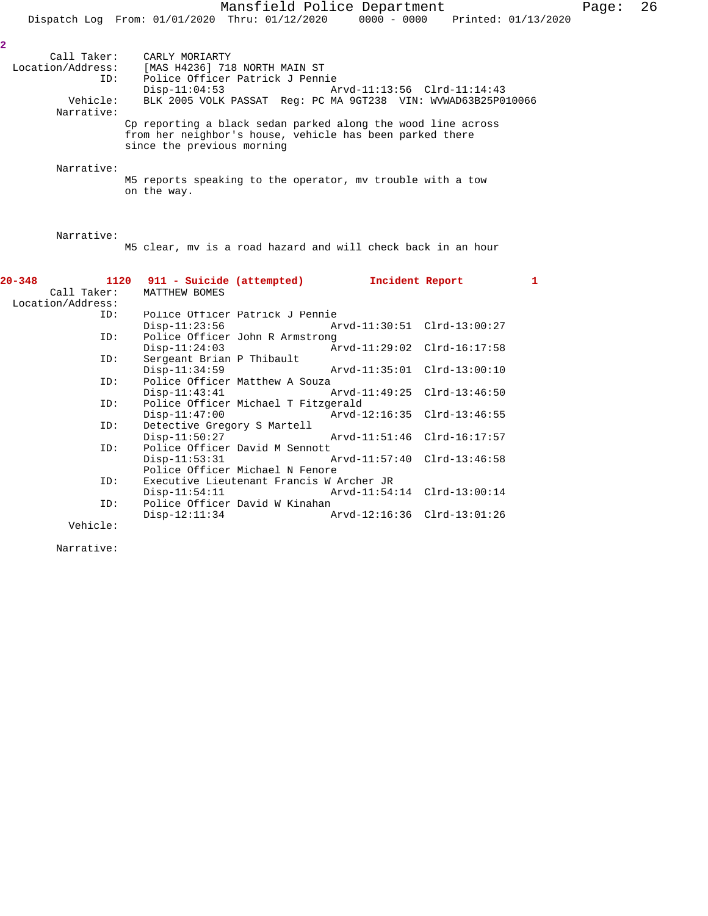#### Narrative:

**2** 

M5 reports speaking to the operator, mv trouble with a tow on the way.

# Narrative:

M5 clear, mv is a road hazard and will check back in an hour

| $20 - 348$        | 1120 911 - Suicide (attempted) 1ncident Report<br>Call Taker: MATTHEW BOMES |                                          |                                                 | $\mathbf{1}$ |
|-------------------|-----------------------------------------------------------------------------|------------------------------------------|-------------------------------------------------|--------------|
| Location/Address: |                                                                             |                                          |                                                 |              |
| ID:               | Police Officer Patrick J Pennie                                             |                                          |                                                 |              |
|                   |                                                                             |                                          | $Disp-11:23:56$ $Arvd-11:30:51$ $Clrd-13:00:27$ |              |
| ID:               | Police Officer John R Armstrong                                             |                                          |                                                 |              |
|                   |                                                                             |                                          | Disp-11:24:03 Arvd-11:29:02 Clrd-16:17:58       |              |
| ID:               | Sergeant Brian P Thibault                                                   |                                          |                                                 |              |
|                   | $Disp-11:34:59$                                                             |                                          |                                                 |              |
| ID:               | Police Officer Matthew A Souza                                              |                                          |                                                 |              |
|                   |                                                                             |                                          | $Divd-11:43:41$ $Avd-11:49:25$ $Clrd-13:46:50$  |              |
|                   | ID: Police Officer Michael T Fitzgerald                                     |                                          |                                                 |              |
|                   | $Disp-11:47:00$                                                             |                                          |                                                 |              |
| ID:               | Detective Gregory S Martell                                                 |                                          |                                                 |              |
|                   | $Disp-11:50:27$                                                             |                                          |                                                 |              |
|                   | ID: Police Officer David M Sennott                                          |                                          |                                                 |              |
|                   |                                                                             |                                          | Disp-11:53:31 Arvd-11:57:40 Clrd-13:46:58       |              |
|                   |                                                                             | Police Officer Michael N Fenore          |                                                 |              |
| ID:               |                                                                             | Executive Lieutenant Francis W Archer JR |                                                 |              |
|                   |                                                                             |                                          | Disp-11:54:11 Arvd-11:54:14 Clrd-13:00:14       |              |
| ID:               | Police Officer David W Kinahan                                              |                                          |                                                 |              |
|                   |                                                                             |                                          | Disp-12:11:34 Arvd-12:16:36 Clrd-13:01:26       |              |
| Vehicle:          |                                                                             |                                          |                                                 |              |

Narrative: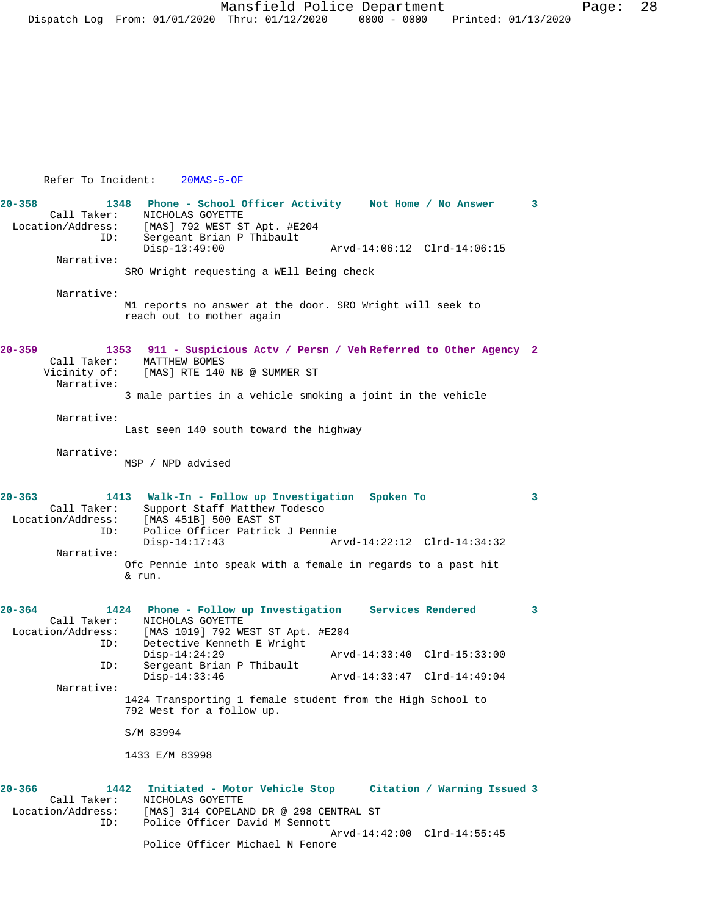## Refer To Incident: 20MAS-5-OF

**20-358 1348 Phone - School Officer Activity Not Home / No Answer 3**  Call Taker: NICHOLAS GOYETTE<br>Location/Address: [MAS] 792 WEST S [MAS] 792 WEST ST Apt. #E204 ID: Sergeant Brian P Thibault Disp-13:49:00 Arvd-14:06:12 Clrd-14:06:15 Narrative: SRO Wright requesting a WEll Being check Narrative: M1 reports no answer at the door. SRO Wright will seek to reach out to mother again **20-359 1353 911 - Suspicious Actv / Persn / Veh Referred to Other Agency 2**  MATTHEW BOMES Vicinity of: [MAS] RTE 140 NB @ SUMMER ST Narrative: 3 male parties in a vehicle smoking a joint in the vehicle Narrative: Last seen 140 south toward the highway Narrative: MSP / NPD advised **20-363 1413 Walk-In - Follow up Investigation Spoken To 3**  Call Taker: Support Staff Matthew Todesco<br>Location/Address: [MAS 451B] 500 EAST ST [MAS 451B] 500 EAST ST ID: Police Officer Patrick J Pennie Disp-14:17:43 Arvd-14:22:12 Clrd-14:34:32 Narrative: Ofc Pennie into speak with a female in regards to a past hit & run. **20-364 1424 Phone - Follow up Investigation Services Rendered 3**  Call Taker: NICHOLAS GOYETTE<br>Location/Address: [MAS 1019] 792 W. ess: [MAS 1019] 792 WEST ST Apt. #E204<br>ID: Detective Kenneth E Wright Detective Kenneth E Wright Disp-14:24:29 Arvd-14:33:40 Clrd-15:33:00 Sergeant Brian P Thibault<br>Disp-14:33:46 Disp-14:33:46 Arvd-14:33:47 Clrd-14:49:04 Narrative: 1424 Transporting 1 female student from the High School to 792 West for a follow up. S/M 83994 1433 E/M 83998 **20-366 1442 Initiated - Motor Vehicle Stop Citation / Warning Issued 3**  NICHOLAS GOYETTE Location/Address: [MAS] 314 COPELAND DR @ 298 CENTRAL ST ID: Police Officer David M Sennott Arvd-14:42:00 Clrd-14:55:45 Police Officer Michael N Fenore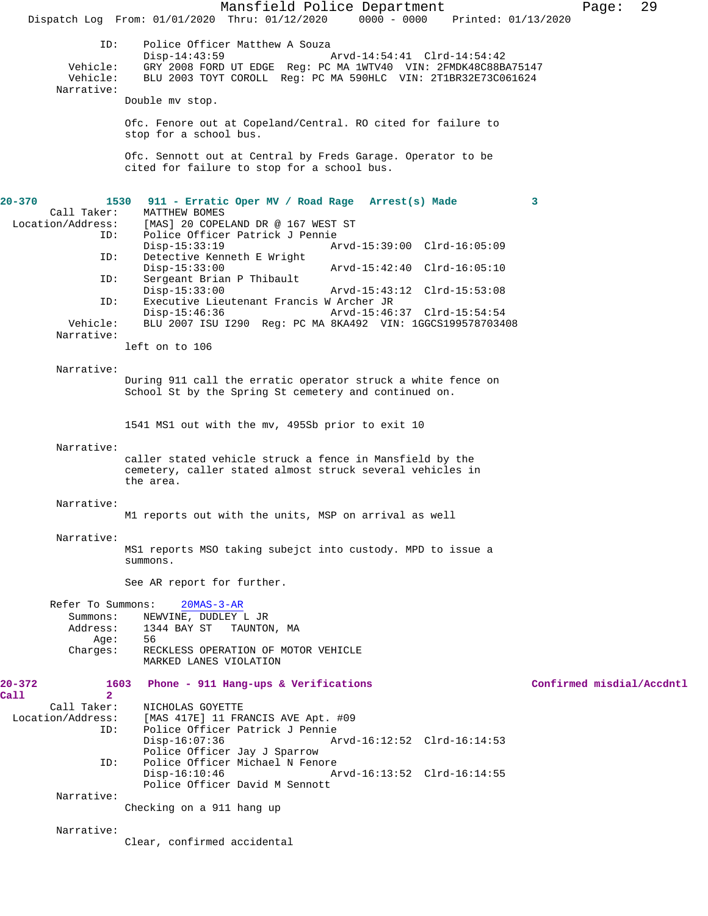Mansfield Police Department Fage: 29 Dispatch Log From: 01/01/2020 Thru: 01/12/2020 0000 - 0000 Printed: 01/13/2020 ID: Police Officer Matthew A Souza<br>Disp-14:43:59 Disp-14:43:59 <br>Vehicle: GRY 2008 FORD UT EDGE Reg: PC MA 1WTV40 VIN: 2FMDK48C88B Vehicle: GRY 2008 FORD UT EDGE Reg: PC MA 1WTV40 VIN: 2FMDK48C88BA75147 Vehicle: BLU 2003 TOYT COROLL Reg: PC MA 590HLC VIN: 2T1BR32E73C061624 Narrative: Double mv stop. Ofc. Fenore out at Copeland/Central. RO cited for failure to stop for a school bus. Ofc. Sennott out at Central by Freds Garage. Operator to be cited for failure to stop for a school bus. **20-370 1530 911 - Erratic Oper MV / Road Rage Arrest(s) Made 3**  Call Taker: MATTHEW BOMES Location/Address: [MAS] 20 COPELAND DR @ 167 WEST ST Police Officer Patrick J Pennie Disp-15:33:19 Arvd-15:39:00 Clrd-16:05:09<br>ID: Detective Kenneth E Wright Detective Kenneth E Wright<br>Disp-15:33:00 Disp-15:33:00 Arvd-15:42:40 Clrd-16:05:10<br>ID: Sergeant Brian P Thibault Sergeant Brian P Thibault<br>Disp-15:33:00 Disp-15:33:00 Arvd-15:43:12 Clrd-15:53:08 ID: Executive Lieutenant Francis W Archer JR Disp-15:46:36 Arvd-15:46:37 Clrd-15:54:54<br>Vehicle: BLU 2007 ISU I290 Reg: PC MA 8KA492 VIN: 1GGCS1995787034 BLU 2007 ISU I290 Reg: PC MA 8KA492 VIN: 1GGCS199578703408 Narrative: left on to 106 Narrative: During 911 call the erratic operator struck a white fence on School St by the Spring St cemetery and continued on. 1541 MS1 out with the mv, 495Sb prior to exit 10 Narrative: caller stated vehicle struck a fence in Mansfield by the cemetery, caller stated almost struck several vehicles in the area. Narrative: M1 reports out with the units, MSP on arrival as well Narrative: MS1 reports MSO taking subejct into custody. MPD to issue a summons. See AR report for further. Refer To Summons: 20MAS-3-AR Summons: NEWVINE, DUDLEY L JR<br>Address: 1344 BAY ST TAUNTOI 1344 BAY ST TAUNTON, MA Age: 56 Charges: RECKLESS OPERATION OF MOTOR VEHICLE MARKED LANES VIOLATION **20-372 1603 Phone - 911 Hang-ups & Verifications Confirmed misdial/Accdntl Call** 2<br>Call Taker: Call Taker: <br> NICHOLAS GOYETTE<br>
Location/Address: [MAS 417E] 11 FR ess: [MAS 417E] 11 FRANCIS AVE Apt. #09<br>ID: Police Officer Patrick J Pennie Police Officer Patrick J Pennie Disp-16:07:36 Arvd-16:12:52 Clrd-16:14:53 Police Officer Jay J Sparrow<br>ID: Police Officer Michael N Feno Police Officer Michael N Fenore<br>Disp-16:10:46 A Arvd-16:13:52 Clrd-16:14:55 Police Officer David M Sennott Narrative: Checking on a 911 hang up Narrative: Clear, confirmed accidental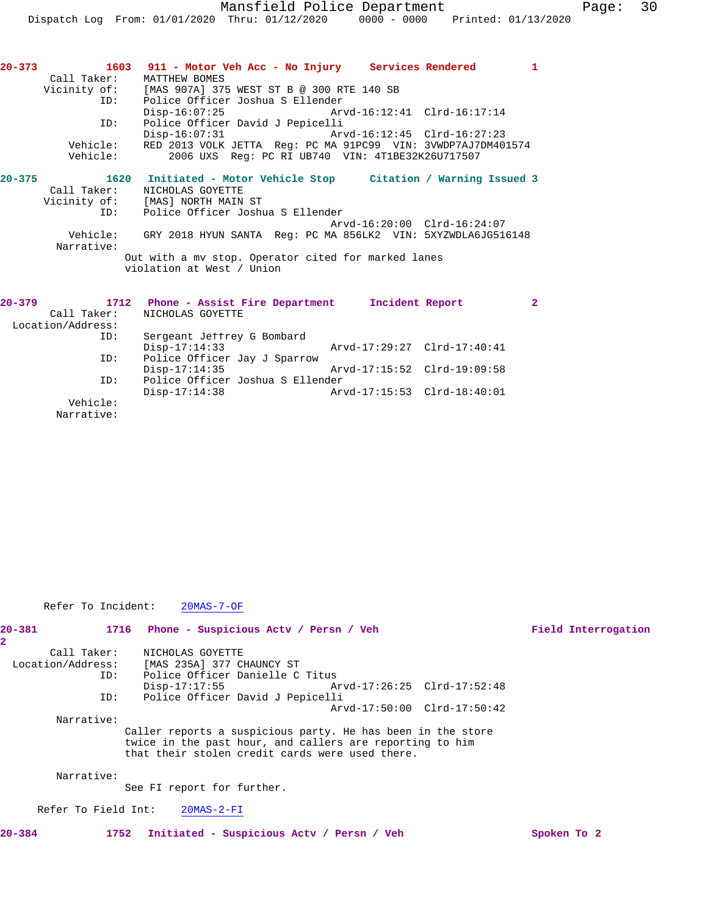| $20 - 373$ | 1603                      | 911 - Motor Veh Acc - No Injury Services Rendered            |                             |                             | $\mathbf{1}$ |
|------------|---------------------------|--------------------------------------------------------------|-----------------------------|-----------------------------|--------------|
|            | Call Taker: MATTHEW BOMES |                                                              |                             |                             |              |
|            |                           | Vicinity of: [MAS 907A] 375 WEST ST B @ 300 RTE 140 SB       |                             |                             |              |
|            | ID:                       | Police Officer Joshua S Ellender                             |                             |                             |              |
|            |                           | Disp-16:07:25 Arvd-16:12:41 Clrd-16:17:14                    |                             |                             |              |
|            | ID:                       | Police Officer David J Pepicelli                             |                             |                             |              |
|            |                           | $Disp-16:07:31$                                              | Arvd-16:12:45 Clrd-16:27:23 |                             |              |
|            | Vehicle:                  | RED 2013 VOLK JETTA Req: PC MA 91PC99 VIN: 3VWDP7AJ7DM401574 |                             |                             |              |
|            | Vehicle:                  | 2006 UXS Req: PC RI UB740 VIN: 4T1BE32K26U717507             |                             |                             |              |
| $20 - 375$ | 1620                      | Initiated - Motor Vehicle Stop Citation / Warning Issued 3   |                             |                             |              |
|            | Call Taker:               | NICHOLAS GOYETTE                                             |                             |                             |              |
|            |                           | Vicinity of: [MAS] NORTH MAIN ST                             |                             |                             |              |
|            | ID:                       | Police Officer Joshua S Ellender                             |                             |                             |              |
|            |                           |                                                              |                             | Arvd-16:20:00 Clrd-16:24:07 |              |
|            | Vehicle:                  | GRY 2018 HYUN SANTA Req: PC MA 856LK2 VIN: 5XYZWDLA6JG516148 |                             |                             |              |
|            | Narrative:                |                                                              |                             |                             |              |
|            |                           | Out with a my stop. Operator cited for marked lanes          |                             |                             |              |
|            |                           | violation at West / Union                                    |                             |                             |              |
|            |                           |                                                              |                             |                             |              |
|            | 20–379 1712               | Phone - Assist Fire Department 1ncident Report               |                             |                             | $\mathbf{2}$ |
|            | Call Taker:               | NICHOLAS GOYETTE                                             |                             |                             |              |
|            | Location/Address:         |                                                              |                             |                             |              |
|            | ID:                       | Sergeant Jeffrey G Bombard                                   |                             |                             |              |
|            |                           | $Disp-17:14:33$                                              | Arvd-17:29:27 Clrd-17:40:41 |                             |              |
|            | ID:                       | Police Officer Jay J Sparrow                                 |                             |                             |              |
|            |                           | $Disp-17:14:35$                                              | Arvd-17:15:52 Clrd-19:09:58 |                             |              |
|            | ID:                       | Police Officer Joshua S Ellender                             |                             |                             |              |
|            |                           | $Disp-17:14:38$                                              | Arvd-17:15:53 Clrd-18:40:01 |                             |              |
|            | Vehicle:                  |                                                              |                             |                             |              |
|            | Narrative:                |                                                              |                             |                             |              |

Refer To Incident: 20MAS-7-OF

| $20 - 381$<br>2   |     | 1716 Phone - Suspicious Acty / Persn / Veh                                                                                                                                 |                             | Field Interrogation |
|-------------------|-----|----------------------------------------------------------------------------------------------------------------------------------------------------------------------------|-----------------------------|---------------------|
| Call Taker:       |     | NICHOLAS GOYETTE                                                                                                                                                           |                             |                     |
| Location/Address: |     | [MAS 235A] 377 CHAUNCY ST                                                                                                                                                  |                             |                     |
|                   | ID: | Police Officer Danielle C Titus                                                                                                                                            |                             |                     |
|                   |     | Disp-17:17:55                                                                                                                                                              |                             |                     |
|                   | ID: | Police Officer David J Pepicelli                                                                                                                                           |                             |                     |
|                   |     |                                                                                                                                                                            | Arvd-17:50:00 Clrd-17:50:42 |                     |
| Narrative:        |     |                                                                                                                                                                            |                             |                     |
|                   |     | Caller reports a suspicious party. He has been in the store<br>twice in the past hour, and callers are reporting to him<br>that their stolen credit cards were used there. |                             |                     |
| Narrative:        |     | See FI report for further.                                                                                                                                                 |                             |                     |

Refer To Field Int: 20MAS-2-FI

**20-384 1752 Initiated - Suspicious Actv / Persn / Veh Spoken To 2**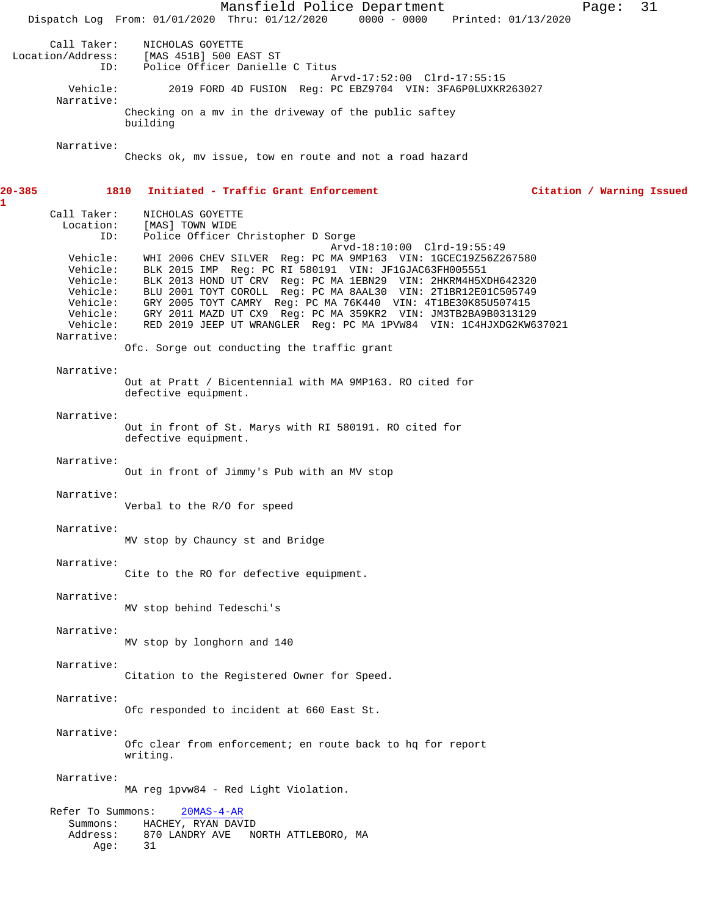Mansfield Police Department Page: 31 Dispatch Log From: 01/01/2020 Thru: 01/12/2020 0000 - 0000 Printed: 01/13/2020 Call Taker: NICHOLAS GOYETTE<br>Location/Address: [MAS 451B] 500 E. [MAS 451B] 500 EAST ST ID: Police Officer Danielle C Titus Arvd-17:52:00 Clrd-17:55:15<br>Vehicle: 2019 FORD 4D FUSION Reg: PC EBZ9704 VIN: 3FA6POLUXKR 2019 FORD 4D FUSION Reg: PC EBZ9704 VIN: 3FA6P0LUXKR263027 Narrative: Checking on a mv in the driveway of the public saftey building Narrative: Checks ok, mv issue, tow en route and not a road hazard **20-385 1810 Initiated - Traffic Grant Enforcement Citation / Warning Issued** Call Taker: NICHOLAS GOYETTE Location: [MAS] TOWN WIDE ID: Police Officer Christopher D Sorge Arvd-18:10:00 Clrd-19:55:49 Vehicle: WHI 2006 CHEV SILVER Reg: PC MA 9MP163 VIN: 1GCEC19Z56Z267580 Vehicle: BLK 2015 IMP Reg: PC RI 580191 VIN: JF1GJAC63FH005551 Vehicle: BLK 2013 HOND UT CRV Reg: PC MA 1EBN29 VIN: 2HKRM4H5XDH642320 Vehicle: BLU 2001 TOYT COROLL Reg: PC MA 8AAL30 VIN: 2T1BR12E01C505749 Vehicle: GRY 2005 TOYT CAMRY Reg: PC MA 76K440 VIN: 4T1BE30K85U507415 Vehicle: GRY 2011 MAZD UT CX9 Reg: PC MA 359KR2 VIN: JM3TB2BA9B0313129 Vehicle: RED 2019 JEEP UT WRANGLER Reg: PC MA 1PVW84 VIN: 1C4HJXDG2KW637021 Narrative: Ofc. Sorge out conducting the traffic grant Narrative: Out at Pratt / Bicentennial with MA 9MP163. RO cited for defective equipment. Narrative: Out in front of St. Marys with RI 580191. RO cited for defective equipment. Narrative: Out in front of Jimmy's Pub with an MV stop Narrative: Verbal to the R/O for speed Narrative: MV stop by Chauncy st and Bridge Narrative: Cite to the RO for defective equipment. Narrative: MV stop behind Tedeschi's Narrative: MV stop by longhorn and 140 Narrative: Citation to the Registered Owner for Speed. Narrative: Ofc responded to incident at 660 East St. Narrative: Ofc clear from enforcement; en route back to hq for report writing. Narrative: MA reg 1pvw84 - Red Light Violation. Refer To Summons: 20MAS-4-AR Summons: HACHEY, RYAN DAVID Address: 870 LANDRY AVE NORTH ATTLEBORO, MA<br>Aqe: 31  $Age:$ 

**1**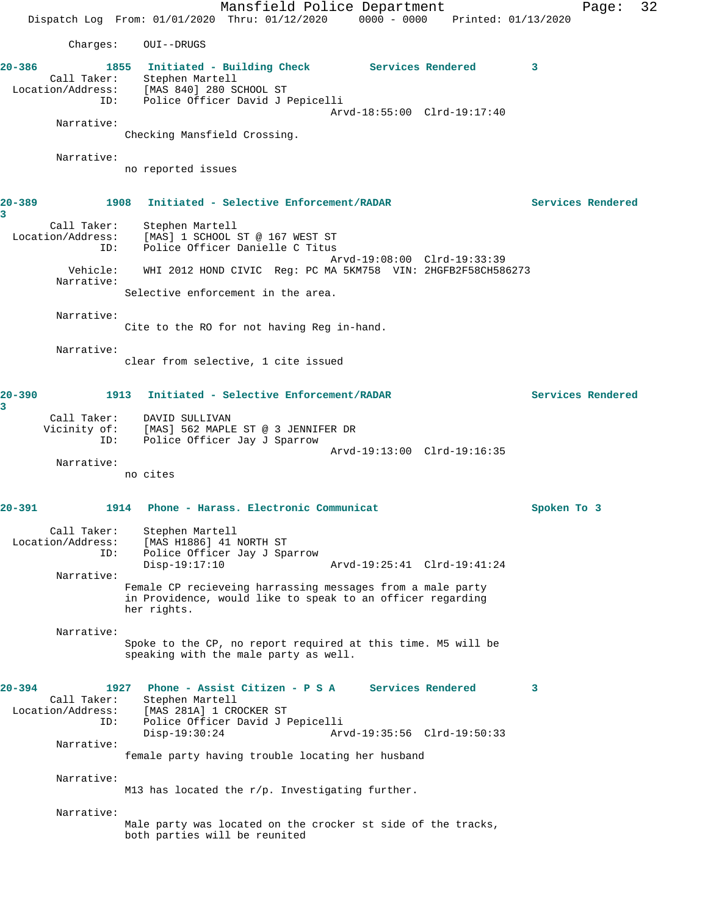Mansfield Police Department Page: 32 Dispatch Log From: 01/01/2020 Thru: 01/12/2020 0000 - 0000 Printed: 01/13/2020 Charges: OUI--DRUGS **20-386 1855 Initiated - Building Check Services Rendered 3**  Call Taker: Stephen Martell Location/Address: [MAS 840] 280 SCHOOL ST ID: Police Officer David J Pepicelli Arvd-18:55:00 Clrd-19:17:40 Narrative: Checking Mansfield Crossing. Narrative: no reported issues **20-389 1908 Initiated - Selective Enforcement/RADAR Services Rendered 3**  Call Taker: Stephen Martell Location/Address: [MAS] 1 SCHOOL ST @ 167 WEST ST ID: Police Officer Danielle C Titus Arvd-19:08:00 Clrd-19:33:39 Vehicle: WHI 2012 HOND CIVIC Reg: PC MA 5KM758 VIN: 2HGFB2F58CH586273 Narrative: Selective enforcement in the area. Narrative: Cite to the RO for not having Reg in-hand. Narrative: clear from selective, 1 cite issued **20-390 1913 Initiated - Selective Enforcement/RADAR Services Rendered 3**  Call Taker: DAVID SULLIVAN Vicinity of: [MAS] 562 MAPLE ST @ 3 JENNIFER DR ID: Police Officer Jay J Sparrow Arvd-19:13:00 Clrd-19:16:35 Narrative: no cites **20-391 1914 Phone - Harass. Electronic Communicat Spoken To 3** Call Taker: Stephen Martell Location/Address: [MAS H1886] 41 NORTH ST ID: Police Officer Jay J Sparrow<br>Disp-19:17:10 Disp-19:17:10 Arvd-19:25:41 Clrd-19:41:24 Narrative: Female CP recieveing harrassing messages from a male party in Providence, would like to speak to an officer regarding her rights. Narrative: Spoke to the CP, no report required at this time. M5 will be speaking with the male party as well. **20-394 1927 Phone - Assist Citizen - P S A Services Rendered 3**  Call Taker: Stephen Martell Location/Address: [MAS 281A] 1 CROCKER ST ID: Police Officer David J Pepicelli Disp-19:30:24 Arvd-19:35:56 Clrd-19:50:33 Narrative: female party having trouble locating her husband Narrative: M13 has located the r/p. Investigating further. Narrative: Male party was located on the crocker st side of the tracks, both parties will be reunited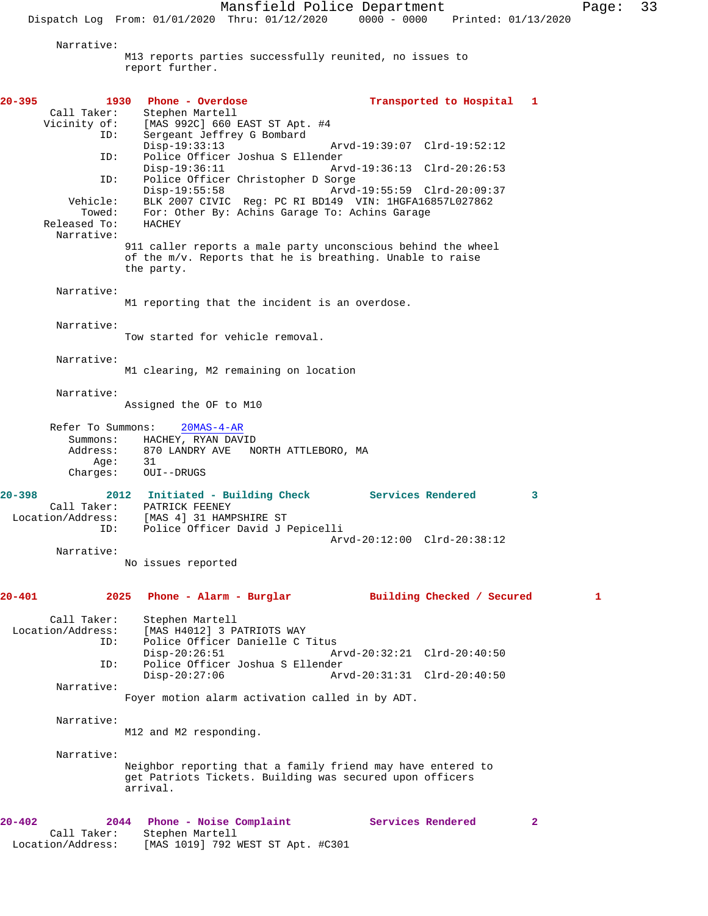Mansfield Police Department Page: 33

Dispatch Log From: 01/01/2020 Thru: 01/12/2020 0000 - 0000 Printed: 01/13/2020

Narrative:

M13 reports parties successfully reunited, no issues to report further.

**20-395 1930 Phone - Overdose Transported to Hospital 1**  Call Taker: Stephen Martell Vicinity of: [MAS 992C] 660 EAST ST Apt. #4 ID: Sergeant Jeffrey G Bombard Disp-19:33:13 Arvd-19:39:07 Clrd-19:52:12<br>TD: Police Officer Joshua S Ellender Police Officer Joshua S Ellender<br>Disp-19:36:11 Ar Disp-19:36:11 Arvd-19:36:13 Clrd-20:26:53 ID: Police Officer Christopher D Sorge Disp-19:55:58 Arvd-19:55:59 Clrd-20:09:37<br>Vehicle: BLK 2007 CIVIC Req: PC RI BD149 VIN: 1HGFA16857L027862 ehicle: BLK 2007 CIVIC Reg: PC RI BD149 VIN: 1HGFA16857L027862<br>Towed: For: Other By: Achins Garage To: Achins Garage For: Other By: Achins Garage To: Achins Garage<br>HACHEY Released To: Narrative: 911 caller reports a male party unconscious behind the wheel of the m/v. Reports that he is breathing. Unable to raise the party. Narrative: M1 reporting that the incident is an overdose. Narrative: Tow started for vehicle removal. Narrative: M1 clearing, M2 remaining on location Narrative: Assigned the OF to M10 Refer To Summons: 20MAS-4-AR Summons: HACHEY, RYAN DAVID Address: 870 LANDRY AVE NORTH ATTLEBORO, MA<br>Age: 31 Age: Charges: OUI--DRUGS **20-398 2012 Initiated - Building Check Services Rendered 3**  Call Taker: PATRICK FEENEY Location/Address: [MAS 4] 31 HAMPSHIRE ST ID: Police Officer David J Pepicelli Arvd-20:12:00 Clrd-20:38:12 Narrative: No issues reported **20-401 2025 Phone - Alarm - Burglar Building Checked / Secured 1** Call Taker: Stephen Martell Location/Address: [MAS H4012] 3 PATRIOTS WAY Police Officer Danielle C Titus<br>Disp-20:26:51 A Disp-20:26:51 Arvd-20:32:21 Clrd-20:40:50 ID: Police Officer Joshua S Ellender Disp-20:27:06 Arvd-20:31:31 Clrd-20:40:50 Narrative: Foyer motion alarm activation called in by ADT. Narrative: M12 and M2 responding. Narrative: Neighbor reporting that a family friend may have entered to get Patriots Tickets. Building was secured upon officers arrival. **20-402 2044 Phone - Noise Complaint Services Rendered 2**  Call Taker: Stephen Martell Location/Address: [MAS 1019] 792 WEST ST Apt. #C301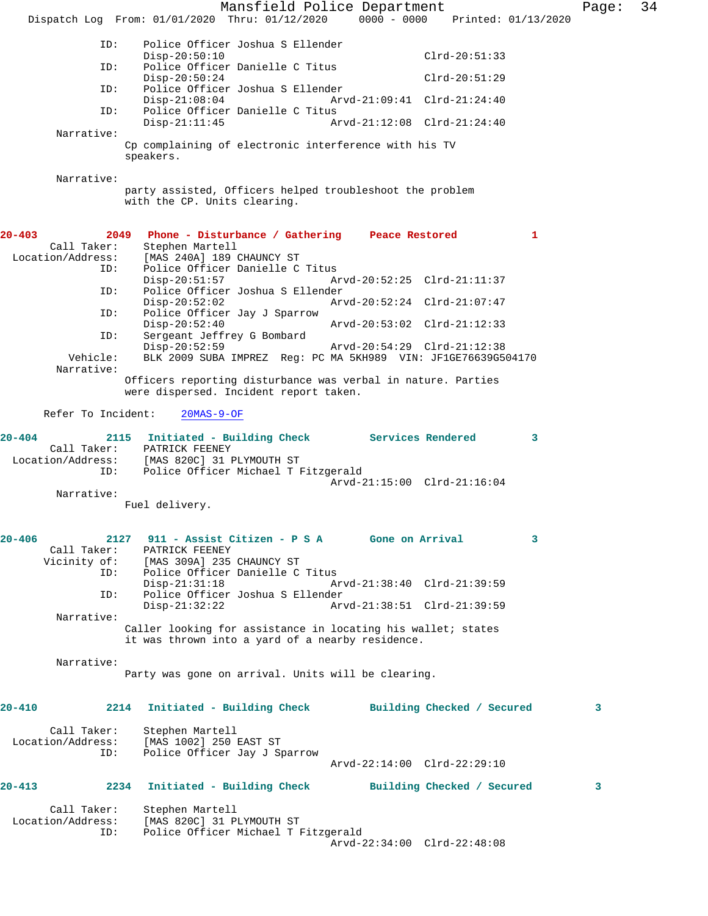Mansfield Police Department Page: 34 Dispatch Log From: 01/01/2020 Thru: 01/12/2020 0000 - 0000 Printed: 01/13/2020 ID: Police Officer Joshua S Ellender Disp-20:50:10 Clrd-20:51:33 ID: Police Officer Danielle C Titus Disp-20:50:24 Clrd-20:51:29<br>ID: Police Officer Joshua S Ellender Police Officer Joshua S Ellender Disp-21:08:04 Arvd-21:09:41 Clrd-21:24:40 ID: Police Officer Danielle C Titus Arvd-21:12:08 Clrd-21:24:40 Narrative: Cp complaining of electronic interference with his TV speakers. Narrative: party assisted, Officers helped troubleshoot the problem with the CP. Units clearing. **20-403 2049 Phone - Disturbance / Gathering Peace Restored 1**  Stephen Martell Location/Address: [MAS 240A] 189 CHAUNCY ST<br>ID: Police Officer Danielle C Police Officer Danielle C Titus<br>Disp-20:51:57 Am Disp-20:51:57 Arvd-20:52:25 Clrd-21:11:37 ID: Police Officer Joshua S Ellender Disp-20:52:02 Arvd-20:52:24 Clrd-21:07:47 ID: Police Officer Jay J Sparrow Disp-20:52:40 Arvd-20:53:02 Clrd-21:12:33<br>ID: Sergeant Jeffrey G Bombard Sergeant Jeffrey G Bombard Disp-20:52:59 Arvd-20:54:29 Clrd-21:12:38 BLK 2009 SUBA IMPREZ Reg: PC MA 5KH989 VIN: JF1GE76639G504170 Narrative: Officers reporting disturbance was verbal in nature. Parties were dispersed. Incident report taken. Refer To Incident: 20MAS-9-OF **20-404 2115 Initiated - Building Check Services Rendered 3**  Call Taker: PATRICK FEENEY Location/Address: [MAS 820C] 31 PLYMOUTH ST ID: Police Officer Michael T Fitzgerald Arvd-21:15:00 Clrd-21:16:04 Narrative: Fuel delivery. **20-406 2127 911 - Assist Citizen - P S A Gone on Arrival 3**  Call Taker: PATRICK FEENEY<br>Vicinity of: [MAS 309A] 235 [MAS 309A] 235 CHAUNCY ST ID: Police Officer Danielle C Titus Disp-21:31:18 Arvd-21:38:40 Clrd-21:39:59 ID: Police Officer Joshua S Ellender Disp-21:32:22 Arvd-21:38:51 Clrd-21:39:59 Narrative: Caller looking for assistance in locating his wallet; states it was thrown into a yard of a nearby residence. Narrative: Party was gone on arrival. Units will be clearing. **20-410 2214 Initiated - Building Check Building Checked / Secured 3** Call Taker: Stephen Martell<br>Location/Address: [MAS 1002] 250 [MAS 1002] 250 EAST ST ID: Police Officer Jay J Sparrow Arvd-22:14:00 Clrd-22:29:10 **20-413 2234 Initiated - Building Check Building Checked / Secured 3** Call Taker: Stephen Martell<br>Location/Address: [MAS 820C] 31 P ess: [MAS 820C] 31 PLYMOUTH ST<br>ID: Police Officer Michael T L Police Officer Michael T Fitzgerald Arvd-22:34:00 Clrd-22:48:08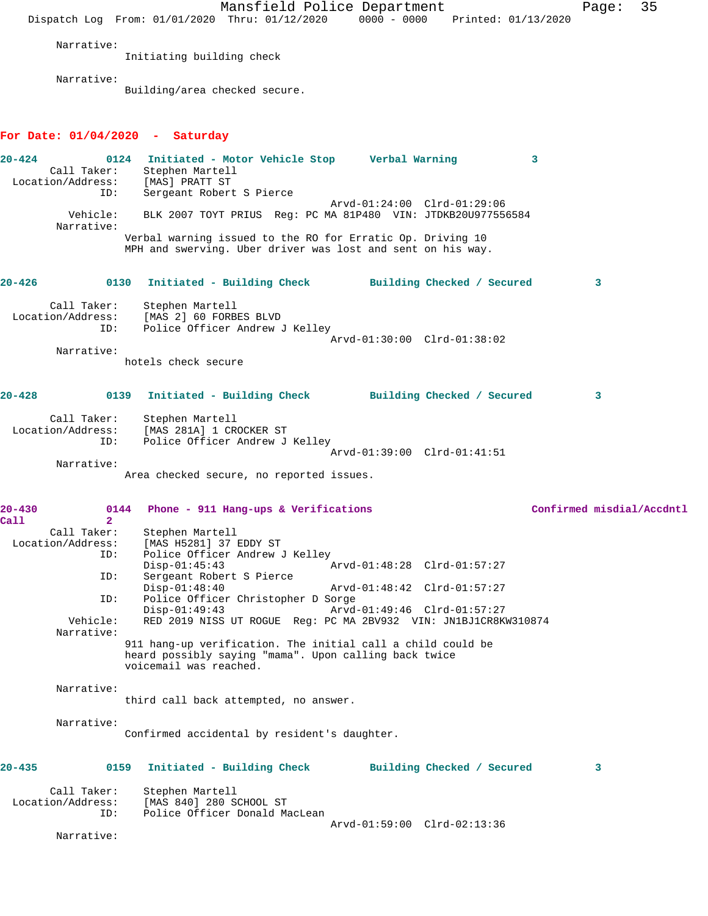Mansfield Police Department Page: 35 Dispatch Log From: 01/01/2020 Thru: 01/12/2020 0000 - 0000 Printed: 01/13/2020 Narrative: Initiating building check Narrative: Building/area checked secure. **For Date: 01/04/2020 - Saturday 20-424 0124 Initiated - Motor Vehicle Stop Verbal Warning 3**  Call Taker: Stephen Martell Location/Address: [MAS] PRATT ST Sergeant Robert S Pierce Arvd-01:24:00 Clrd-01:29:06 Vehicle: BLK 2007 TOYT PRIUS Reg: PC MA 81P480 VIN: JTDKB20U977556584 Narrative: Verbal warning issued to the RO for Erratic Op. Driving 10 MPH and swerving. Uber driver was lost and sent on his way. **20-426 0130 Initiated - Building Check Building Checked / Secured 3** Call Taker: Stephen Martell<br>ion/Address: [MAS 2] 60 FORBES BLVD Location/Address:<br>ID: Police Officer Andrew J Kelley Arvd-01:30:00 Clrd-01:38:02 Narrative: hotels check secure **20-428 0139 Initiated - Building Check Building Checked / Secured 3** Call Taker: Stephen Martell Location/Address: [MAS 281A] 1 CROCKER ST ID: Police Officer Andrew J Kelley Arvd-01:39:00 Clrd-01:41:51 Narrative: Area checked secure, no reported issues. **20-430 0144 Phone - 911 Hang-ups & Verifications Confirmed misdial/Accdntl Call 2**  Call Taker: Stephen Martell<br>Location/Address: [MAS H5281] 37 [MAS H5281] 37 EDDY ST ID: Police Officer Andrew J Kelley Disp-01:45:43 Arvd-01:48:28 Clrd-01:57:27<br>ID: Sergeant Robert S Pierce Sergeant Robert S Pierce Disp-01:48:40 Arvd-01:48:42 Clrd-01:57:27<br>ID: Police Officer Christopher D Sorge Police Officer Christopher D Sorge<br>Disp-01:49:43 Arvd Disp-01:49:43 Arvd-01:49:46 Clrd-01:57:27<br>Vehicle: RED 2019 NISS UT ROGUE Reg: PC MA 2RV932 VIN: JNIBJICR8K RED 2019 NISS UT ROGUE Reg: PC MA 2BV932 VIN: JN1BJ1CR8KW310874 Narrative: 911 hang-up verification. The initial call a child could be heard possibly saying "mama". Upon calling back twice voicemail was reached. Narrative: third call back attempted, no answer. Narrative: Confirmed accidental by resident's daughter. **20-435 0159 Initiated - Building Check Building Checked / Secured 3** Call Taker: Stephen Martell Location/Address: [MAS 840] 280 SCHOOL ST ID: Police Officer Donald MacLean Arvd-01:59:00 Clrd-02:13:36 Narrative: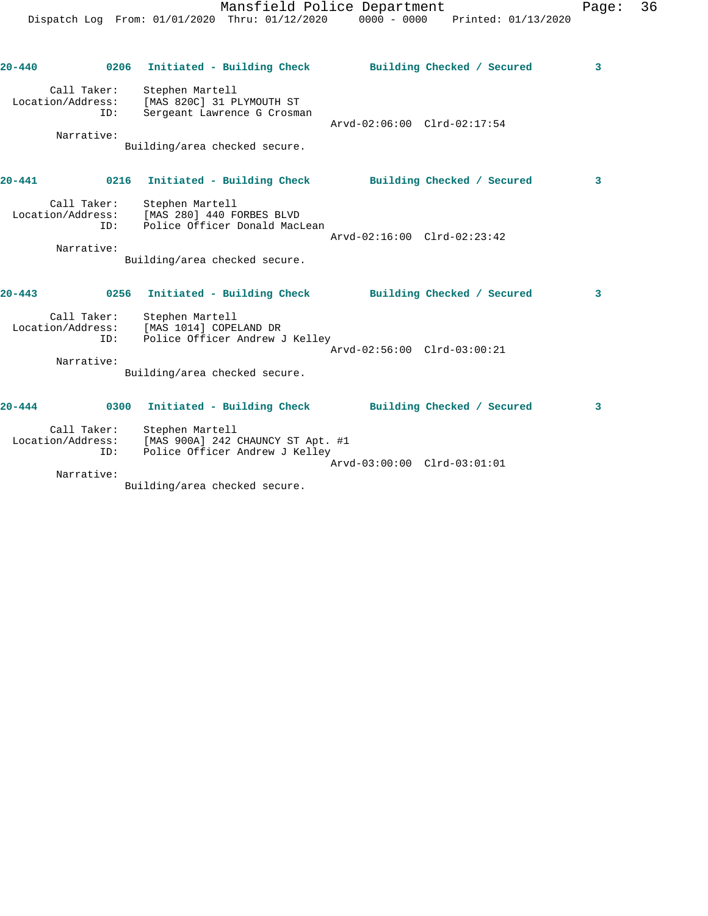Dispatch Log From: 01/01/2020 Thru: 01/12/2020 0000 - 0000 Printed: 01/13/2020 **20-440 0206 Initiated - Building Check Building Checked / Secured 3** Call Taker: Stephen Martell Location/Address: [MAS 820C] 31 PLYMOUTH ST ID: Sergeant Lawrence G Crosman Arvd-02:06:00 Clrd-02:17:54 Narrative: Building/area checked secure. **20-441 0216 Initiated - Building Check Building Checked / Secured 3** Call Taker: Stephen Martell Location/Address: [MAS 280] 440 FORBES BLVD ID: Police Officer Donald MacLean Arvd-02:16:00 Clrd-02:23:42 Narrative: Building/area checked secure. **20-443 0256 Initiated - Building Check Building Checked / Secured 3** Call Taker: Stephen Martell Location/Address: [MAS 1014] COPELAND DR ID: Police Officer Andrew J Kelley Arvd-02:56:00 Clrd-03:00:21

Mansfield Police Department Fage: 36

**20-444 0300 Initiated - Building Check Building Checked / Secured 3** Call Taker: Stephen Martell Location/Address: [MAS 900A] 242 CHAUNCY ST Apt. #1 ID: Police Officer Andrew J Kelley Arvd-03:00:00 Clrd-03:01:01 Narrative:

Building/area checked secure.

Building/area checked secure.

Narrative: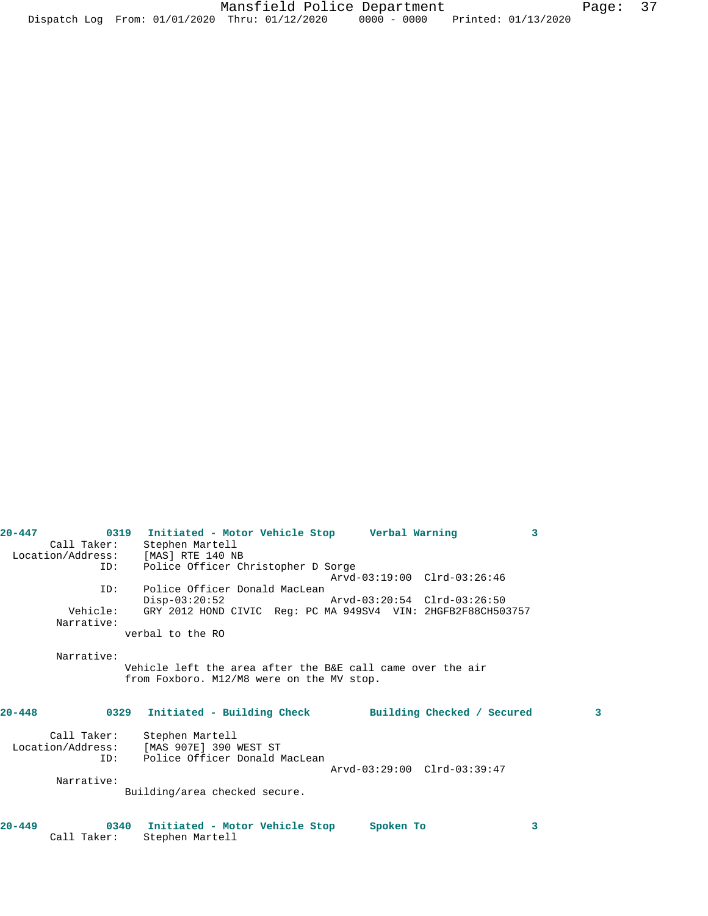| Call Taker:       | Stephen Martell                                               |   |
|-------------------|---------------------------------------------------------------|---|
|                   | Location/Address: [MAS] RTE 140 NB                            |   |
| ID:               | Police Officer Christopher D Sorge                            |   |
|                   | Arvd-03:19:00 Clrd-03:26:46                                   |   |
| ID:               | Police Officer Donald MacLean                                 |   |
|                   | $Disp-03:20:52$<br>Arvd-03:20:54 Clrd-03:26:50                |   |
| Vehicle:          | GRY 2012 HOND CIVIC Req: PC MA 949SV4 VIN: 2HGFB2F88CH503757  |   |
| Narrative:        |                                                               |   |
|                   | verbal to the RO                                              |   |
|                   |                                                               |   |
| Narrative:        |                                                               |   |
|                   | Vehicle left the area after the B&E call came over the air    |   |
|                   | from Foxboro. M12/M8 were on the MV stop.                     |   |
|                   |                                                               |   |
| $20 - 448$        | 0329 Initiated - Building Check<br>Building Checked / Secured | 3 |
|                   |                                                               |   |
| Call Taker:       | Stephen Martell                                               |   |
| Location/Address: | [MAS 907E] 390 WEST ST                                        |   |
| ID:               | Police Officer Donald MacLean                                 |   |
|                   | Arvd-03:29:00 Clrd-03:39:47                                   |   |
| Narrative:        |                                                               |   |
|                   | Building/area checked secure.                                 |   |
|                   |                                                               |   |
|                   |                                                               |   |
| $20 - 449$        | 3<br>0340 Initiated - Motor Vehicle Stop<br>Spoken To         |   |
| Call Taker:       | Stephen Martell                                               |   |

**20-447 0319 Initiated - Motor Vehicle Stop Verbal Warning 3**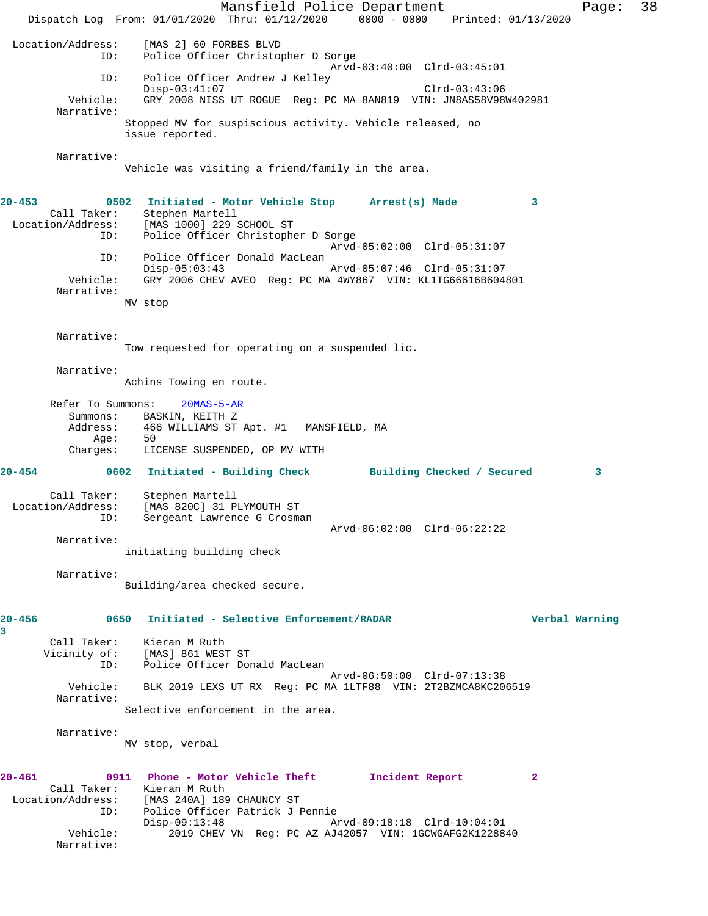Mansfield Police Department Fage: 38 Dispatch Log From: 01/01/2020 Thru: 01/12/2020 0000 - 0000 Printed: 01/13/2020 Location/Address: [MAS 2] 60 FORBES BLVD ID: Police Officer Christopher D Sorge Arvd-03:40:00 Clrd-03:45:01 ID: Police Officer Andrew J Kelley Disp-03:41:07 Clrd-03:43:06 Vehicle: GRY 2008 NISS UT ROGUE Reg: PC MA 8AN819 VIN: JN8AS58V98W402981 Narrative: Stopped MV for suspiscious activity. Vehicle released, no issue reported. Narrative: Vehicle was visiting a friend/family in the area. **20-453 0502 Initiated - Motor Vehicle Stop Arrest(s) Made 3**  Call Taker: Stephen Martell Location/Address: [MAS 1000] 229 SCHOOL ST ID: Police Officer Christopher D Sorge Arvd-05:02:00 Clrd-05:31:07 ID: Police Officer Donald MacLean Disp-05:03:43 Arvd-05:07:46 Clrd-05:31:07 Vehicle: GRY 2006 CHEV AVEO Reg: PC MA 4WY867 VIN: KL1TG66616B604801 Narrative: MV stop Narrative: Tow requested for operating on a suspended lic. Narrative: Achins Towing en route. Refer To Summons: 20MAS-5-AR Summons: BASKIN, KEITH Z<br>Address: 466 WILLIAMS ST Address: 1992.<br>466 WILLIAMS ST Apt. #1 MANSFIELD, MA Age: 50 Charges: LICENSE SUSPENDED, OP MV WITH **20-454 0602 Initiated - Building Check Building Checked / Secured 3** Call Taker: Stephen Martell Location/Address: [MAS 820C] 31 PLYMOUTH ST ID: Sergeant Lawrence G Crosman Arvd-06:02:00 Clrd-06:22:22 Narrative: initiating building check Narrative: Building/area checked secure. **20-456 0650 Initiated - Selective Enforcement/RADAR Verbal Warning 3**  Call Taker: Kieran M Ruth Vicinity of: [MAS] 861 WEST ST ID: Police Officer Donald MacLean Arvd-06:50:00 Clrd-07:13:38 Vehicle: BLK 2019 LEXS UT RX Reg: PC MA 1LTF88 VIN: 2T2BZMCA8KC206519 Narrative: Selective enforcement in the area. Narrative: MV stop, verbal **20-461 0911 Phone - Motor Vehicle Theft Incident Report 2**  Call Taker: Kieran M Ruth Location/Address: [MAS 240A] 189 CHAUNCY ST ID: Police Officer Patrick J Pennie Disp-09:13:48 Arvd-09:18:18 Clrd-10:04:01 Vehicle: 2019 CHEV VN Reg: PC AZ AJ42057 VIN: 1GCWGAFG2K1228840 Narrative: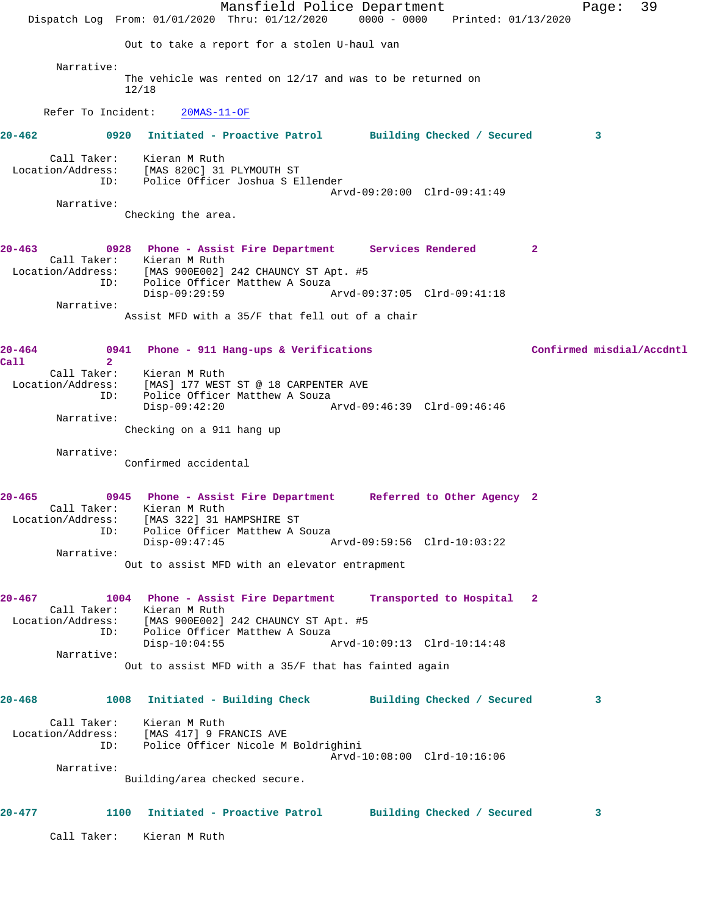Mansfield Police Department Fage: 39 Dispatch Log From: 01/01/2020 Thru: 01/12/2020 0000 - 0000 Printed: 01/13/2020 Out to take a report for a stolen U-haul van Narrative: The vehicle was rented on 12/17 and was to be returned on 12/18 Refer To Incident: 20MAS-11-OF **20-462 0920 Initiated - Proactive Patrol Building Checked / Secured 3** Call Taker: Kieran M Ruth Location/Address: [MAS 820C] 31 PLYMOUTH ST ID: Police Officer Joshua S Ellender Arvd-09:20:00 Clrd-09:41:49 Narrative: Checking the area. **20-463 0928 Phone - Assist Fire Department Services Rendered 2**  Call Taker: Kieran M Ruth Location/Address: [MAS 900E002] 242 CHAUNCY ST Apt. #5 ID: Police Officer Matthew A Souza Disp-09:29:59 Narrative: Assist MFD with a 35/F that fell out of a chair **20-464 0941 Phone - 911 Hang-ups & Verifications Confirmed misdial/Accdntl Call 2**  Call Taker: Kieran M Ruth Location/Address: [MAS] 177 WEST ST @ 18 CARPENTER AVE ID: Police Officer Matthew A Souza Disp-09:42:20 Arvd-09:46:39 Clrd-09:46:46 Narrative: Checking on a 911 hang up Narrative: Confirmed accidental **20-465 0945 Phone - Assist Fire Department Referred to Other Agency 2**  Call Taker: Kieran M Ruth Location/Address: [MAS 322] 31 HAMPSHIRE ST ID: Police Officer Matthew A Souza Disp-09:47:45 Arvd-09:59:56 Clrd-10:03:22 Narrative: Out to assist MFD with an elevator entrapment **20-467 1004 Phone - Assist Fire Department Transported to Hospital 2**  Call Taker: Kieran M Ruth Location/Address: [MAS 900E002] 242 CHAUNCY ST Apt. #5 ID: Police Officer Matthew A Souza Disp-10:04:55 Arvd-10:09:13 Clrd-10:14:48 Narrative: Out to assist MFD with a 35/F that has fainted again **20-468 1008 Initiated - Building Check Building Checked / Secured 3** Call Taker: Kieran M Ruth Location/Address: [MAS 417] 9 FRANCIS AVE ID: Police Officer Nicole M Boldrighini Arvd-10:08:00 Clrd-10:16:06 Narrative: Building/area checked secure. **20-477 1100 Initiated - Proactive Patrol Building Checked / Secured 3** Call Taker: Kieran M Ruth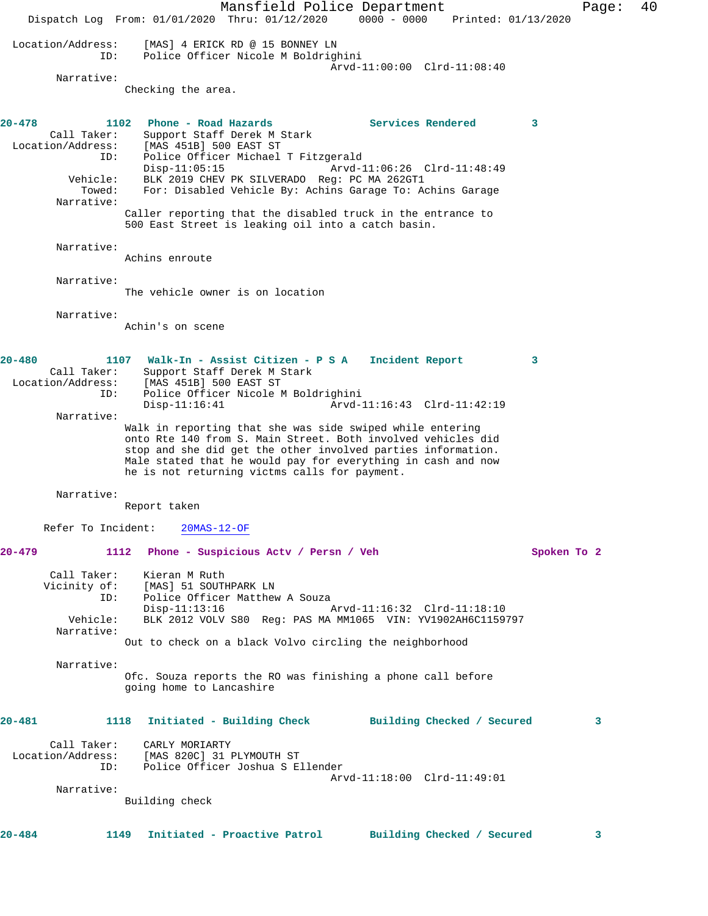Mansfield Police Department Form Page: 40 Dispatch Log From: 01/01/2020 Thru: 01/12/2020 0000 - 0000 Printed: 01/13/2020 Location/Address: [MAS] 4 ERICK RD @ 15 BONNEY LN Police Officer Nicole M Boldrighini Arvd-11:00:00 Clrd-11:08:40 Narrative: Checking the area. **20-478 1102 Phone - Road Hazards Services Rendered 3**  Call Taker: Support Staff Derek M Stark<br>Location/Address: [MAS 451B] 500 EAST ST [MAS 451B] 500 EAST ST ID: Police Officer Michael T Fitzgerald<br>Disp-11:05:15 Arvd-1 Disp-11:05:15 Arvd-11:06:26 Clrd-11:48:49 Vehicle: BLK 2019 CHEV PK SILVERADO Reg: PC MA 262GT1 Towed: For: Disabled Vehicle By: Achins Garage To: Achins Garage Narrative: Caller reporting that the disabled truck in the entrance to 500 East Street is leaking oil into a catch basin. Narrative: Achins enroute Narrative: The vehicle owner is on location Narrative: Achin's on scene **20-480 1107 Walk-In - Assist Citizen - P S A Incident Report 3**  Call Taker: Support Staff Derek M Stark Location/Address: [MAS 451B] 500 EAST ST ID: Police Officer Nicole M Boldrighini Arvd-11:16:43 Clrd-11:42:19 Narrative: Walk in reporting that she was side swiped while entering onto Rte 140 from S. Main Street. Both involved vehicles did stop and she did get the other involved parties information. Male stated that he would pay for everything in cash and now he is not returning victms calls for payment. Narrative: Report taken Refer To Incident: 20MAS-12-OF **20-479 1112 Phone - Suspicious Actv / Persn / Veh Spoken To 2** Call Taker: Kieran M Ruth<br>Vicinity of: [MAS] 51 SOUTH المحمد المسلم من المحمد ...<br>Of: [MAS] 51 SOUTHPARK LN<br>ID: Police Officer Matthew Police Officer Matthew A Souza<br>Disp-11:13:16 Disp-11:13:16 Arvd-11:16:32 Clrd-11:18:10 Vehicle: BLK 2012 VOLV S80 Reg: PAS MA MM1065 VIN: YV1902AH6C1159797 Narrative: Out to check on a black Volvo circling the neighborhood Narrative: Ofc. Souza reports the RO was finishing a phone call before going home to Lancashire **20-481 1118 Initiated - Building Check Building Checked / Secured 3** Call Taker: CARLY MORIARTY Location/Address: [MAS 820C] 31 PLYMOUTH ST ID: Police Officer Joshua S Ellender Arvd-11:18:00 Clrd-11:49:01 Narrative: Building check **20-484 1149 Initiated - Proactive Patrol Building Checked / Secured 3**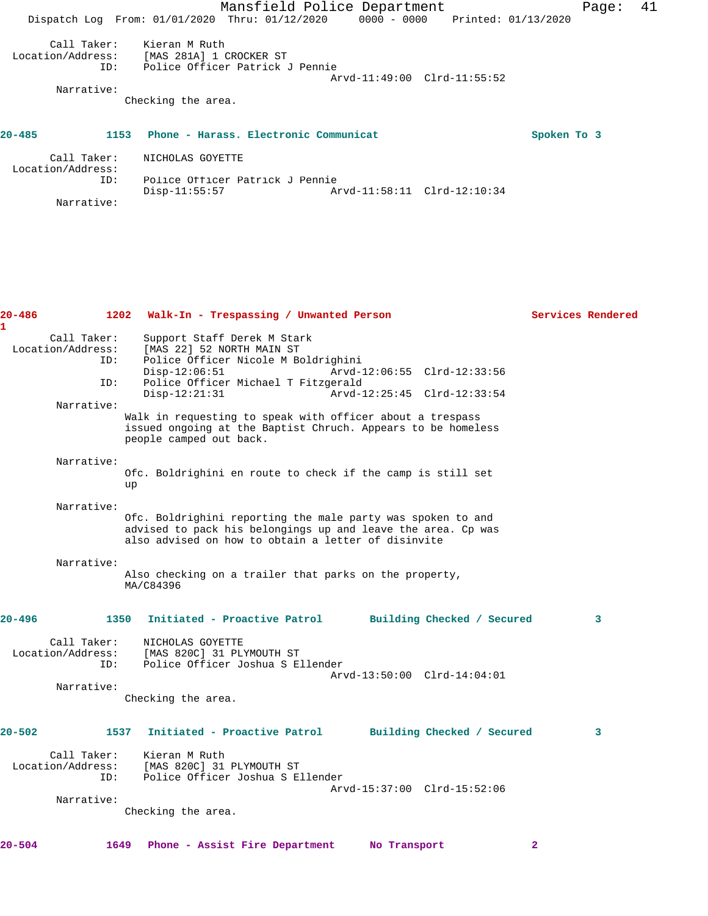|                                         |                                                                                | Mansfield Police Department           |                             |             | Page: | 41 |
|-----------------------------------------|--------------------------------------------------------------------------------|---------------------------------------|-----------------------------|-------------|-------|----|
|                                         | Dispatch Log From: 01/01/2020 Thru: 01/12/2020 0000 - 0000 Printed: 01/13/2020 |                                       |                             |             |       |    |
| Call Taker:<br>Location/Address:<br>ID: | Kieran M Ruth<br>[MAS 281A] 1 CROCKER ST<br>Police Officer Patrick J Pennie    |                                       |                             |             |       |    |
|                                         |                                                                                |                                       | Arvd-11:49:00 Clrd-11:55:52 |             |       |    |
| Narrative:                              |                                                                                |                                       |                             |             |       |    |
|                                         | Checking the area.                                                             |                                       |                             |             |       |    |
| $20 - 485$                              | 1153                                                                           | Phone - Harass, Electronic Communicat |                             | Spoken To 3 |       |    |
| Call Taker:<br>Location/Address:        | NICHOLAS GOYETTE                                                               |                                       |                             |             |       |    |
| ID:                                     | Police Officer Patrick J Pennie<br>$Disp-11:55:57$                             |                                       | Arvd-11:58:11 Clrd-12:10:34 |             |       |    |
| Narrative:                              |                                                                                |                                       |                             |             |       |    |

| 20-486<br>$\mathbf{1}$                         | 1202 Walk-In - Trespassing / Unwanted Person                                                                                                                                                                                               | Services Rendered       |
|------------------------------------------------|--------------------------------------------------------------------------------------------------------------------------------------------------------------------------------------------------------------------------------------------|-------------------------|
| Call Taker:<br>Location/Address:<br>ID:<br>ID: | Support Staff Derek M Stark<br>[MAS 22] 52 NORTH MAIN ST<br>Police Officer Nicole M Boldrighini<br>$Disp-12:06:51$<br>Arvd-12:06:55 Clrd-12:33:56<br>Police Officer Michael T Fitzgerald<br>$Disp-12:21:31$<br>Arvd-12:25:45 Clrd-12:33:54 |                         |
| Narrative:                                     | Walk in requesting to speak with officer about a trespass<br>issued ongoing at the Baptist Chruch. Appears to be homeless<br>people camped out back.                                                                                       |                         |
| Narrative:                                     | Ofc. Boldrighini en route to check if the camp is still set<br>up                                                                                                                                                                          |                         |
| Narrative:                                     | Ofc. Boldrighini reporting the male party was spoken to and<br>advised to pack his belongings up and leave the area. Cp was<br>also advised on how to obtain a letter of disinvite                                                         |                         |
| Narrative:                                     | Also checking on a trailer that parks on the property,<br>MA/C84396                                                                                                                                                                        |                         |
| $20 - 496$                                     | 1350 Initiated - Proactive Patrol Building Checked / Secured                                                                                                                                                                               | $\overline{\mathbf{3}}$ |
| Call Taker:<br>Location/Address:<br>ID:        | NICHOLAS GOYETTE<br>[MAS 820C] 31 PLYMOUTH ST<br>Police Officer Joshua S Ellender<br>Arvd-13:50:00 Clrd-14:04:01                                                                                                                           |                         |
| Narrative:                                     | Checking the area.                                                                                                                                                                                                                         |                         |
| $20 - 502$                                     | Initiated - Proactive Patrol Building Checked / Secured<br>1537                                                                                                                                                                            | 3                       |
| Call Taker:<br>Location/Address:<br>ID:        | Kieran M Ruth<br>[MAS 820C] 31 PLYMOUTH ST<br>Police Officer Joshua S Ellender<br>Arvd-15:37:00 Clrd-15:52:06                                                                                                                              |                         |
| Narrative:                                     | Checking the area.                                                                                                                                                                                                                         |                         |
| 20–504                                         | 1649 Phone - Assist Fire Department Mo Transport                                                                                                                                                                                           | 2                       |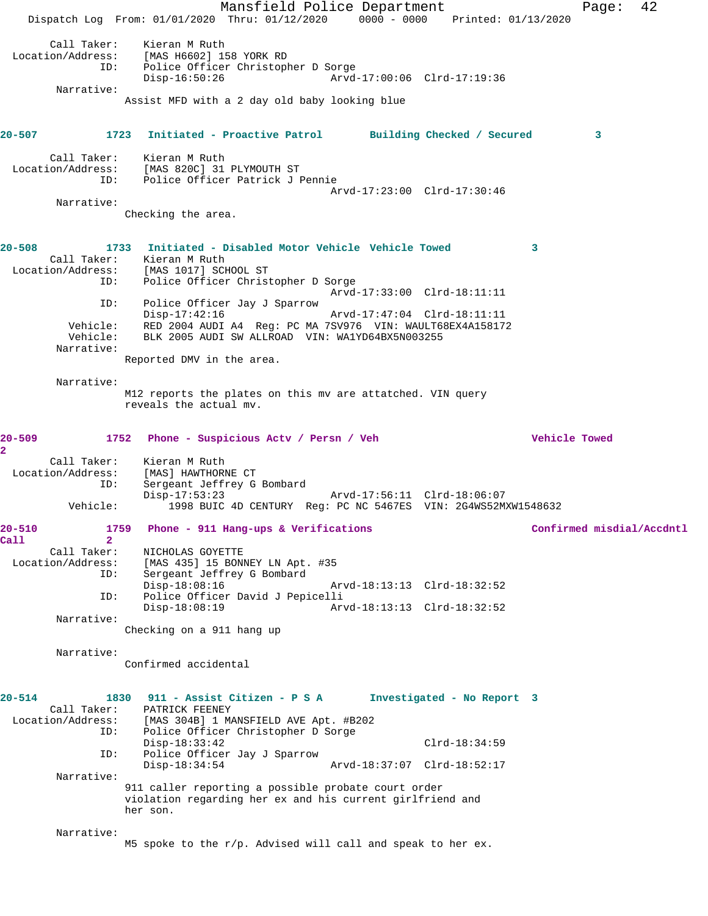Mansfield Police Department Page: 42 Dispatch Log From: 01/01/2020 Thru: 01/12/2020 0000 - 0000 Printed: 01/13/2020 Call Taker: Kieran M Ruth<br>Location/Address: [MAS H6602] 15 ess: [MAS H6602] 158 YORK RD<br>ID: Police Officer Christop] Police Officer Christopher D Sorge<br>Disp-16:50:26 Arvd Disp-16:50:26 Arvd-17:00:06 Clrd-17:19:36 Narrative: Assist MFD with a 2 day old baby looking blue **20-507 1723 Initiated - Proactive Patrol Building Checked / Secured 3** Call Taker: Kieran M Ruth Location/Address: [MAS 820C] 31 PLYMOUTH ST ID: Police Officer Patrick J Pennie Arvd-17:23:00 Clrd-17:30:46 Narrative: Checking the area. **20-508 1733 Initiated - Disabled Motor Vehicle Vehicle Towed 3**  Call Taker: Kieran M Ruth Location/Address: [MAS 1017] SCHOOL ST<br>TD: Police Officer Christ Police Officer Christopher D Sorge Arvd-17:33:00 Clrd-18:11:11 ID: Police Officer Jay J Sparrow Disp-17:42:16 Arvd-17:47:04 Clrd-18:11:11 Vehicle: RED 2004 AUDI A4 Reg: PC MA 7SV976 VIN: WAULT68EX4A158172<br>Vehicle: BLK 2005 AUDI SW ALLROAD VIN: WA1YD64BX5N003255 BLK 2005 AUDI SW ALLROAD VIN: WA1YD64BX5N003255 Narrative: Reported DMV in the area. Narrative: M12 reports the plates on this mv are attatched. VIN query reveals the actual mv. **20-509 1752 Phone - Suspicious Actv / Persn / Veh Vehicle Towed 2**  Call Taker: Kieran M Ruth Location/Address: [MAS] HAWTHORNE CT ID: Sergeant Jeffrey G Bombard<br>Disp-17:53:23 Disp-17:53:23 Arvd-17:56:11 Clrd-18:06:07 Vehicle: 1998 BUIC 4D CENTURY Reg: PC NC 5467ES VIN: 2G4WS52MXW1548632 **20-510 1759 Phone - 911 Hang-ups & Verifications Confirmed misdial/Accdntl Call 2**  Call Taker: NICHOLAS GOYETTE<br>Location/Address: [MAS 435] 15 BONI ess: [MAS 435] 15 BONNEY LN Apt. #35<br>ID: Sergeant Jeffrey G Bombard Sergeant Jeffrey G Bombard<br>Disp-18:08:16 Arvd-18:13:13 Clrd-18:32:52 ID: Police Officer David J Pepicelli Arvd-18:13:13 Clrd-18:32:52 Narrative: Checking on a 911 hang up Narrative: Confirmed accidental **20-514 1830 911 - Assist Citizen - P S A Investigated - No Report 3**  Call Taker: PATRICK FEENEY<br>Location/Address: [MAS 304B] 1 M [MAS 304B] 1 MANSFIELD AVE Apt. #B202 ID: Police Officer Christopher D Sorge Disp-18:33:42 Clrd-18:34:59 ID: Police Officer Jay J Sparrow Disp-18:34:54 Arvd-18:37:07 Clrd-18:52:17 Narrative: 911 caller reporting a possible probate court order violation regarding her ex and his current girlfriend and her son. Narrative: M5 spoke to the r/p. Advised will call and speak to her ex.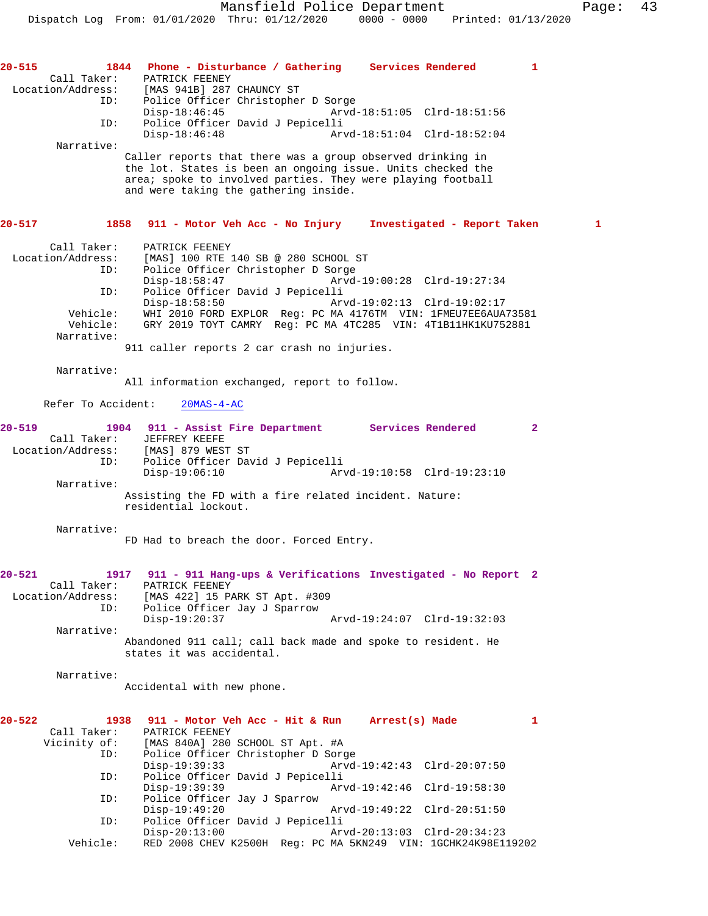Narrative:

Caller reports that there was a group observed drinking in the lot. States is been an ongoing issue. Units checked the area; spoke to involved parties. They were playing football and were taking the gathering inside.

## **20-517 1858 911 - Motor Veh Acc - No Injury Investigated - Report Taken 1**

| Call Taker:       | PATRICK FEENEY                                                |
|-------------------|---------------------------------------------------------------|
| Location/Address: | [MAS] 100 RTE 140 SB @ 280 SCHOOL ST                          |
| ID:               | Police Officer Christopher D Sorge                            |
|                   | Arvd-19:00:28 Clrd-19:27:34<br>$Disp-18:58:47$                |
| ID:               | Police Officer David J Pepicelli                              |
|                   | $Disp-18:58:50$<br>Arvd-19:02:13 Clrd-19:02:17                |
| Vehicle:          | WHI 2010 FORD EXPLOR Req: PC MA 4176TM VIN: 1FMEU7EE6AUA73581 |
| Vehicle:          | GRY 2019 TOYT CAMRY Req: PC MA 4TC285 VIN: 4T1B11HK1KU752881  |
| Narrative:        |                                                               |

911 caller reports 2 car crash no injuries.

Narrative:

All information exchanged, report to follow.

Refer To Accident: 20MAS-4-AC

| $20 - 519$        | 1904 911 - Assist Fire Department |                                                        | Services Rendered           |  |
|-------------------|-----------------------------------|--------------------------------------------------------|-----------------------------|--|
| Call Taker:       | JEFFREY KEEFE                     |                                                        |                             |  |
| Location/Address: | [MAS] 879 WEST ST                 |                                                        |                             |  |
| ID:               | Police Officer David J Pepicelli  |                                                        |                             |  |
|                   | $Disp-19:06:10$                   |                                                        | Arvd-19:10:58 Clrd-19:23:10 |  |
| Narrative:        |                                   |                                                        |                             |  |
|                   | residential lockout.              | Assisting the FD with a fire related incident. Nature: |                             |  |

Narrative:

FD Had to breach the door. Forced Entry.

## **20-521 1917 911 - 911 Hang-ups & Verifications Investigated - No Report 2**  PATRICK FEENEY Location/Address: [MAS 422] 15 PARK ST Apt. #309 ID: Police Officer Jay J Sparrow Disp-19:20:37 Arvd-19:24:07 Clrd-19:32:03 Narrative: Abandoned 911 call; call back made and spoke to resident. He

states it was accidental.

Narrative:

Accidental with new phone.

| $20 - 522$ | 1938         | 911 - Motor Veh Acc - Hit & Run<br>Arrest(s) Made             |  |
|------------|--------------|---------------------------------------------------------------|--|
|            | Call Taker:  | PATRICK FEENEY                                                |  |
|            | Vicinity of: | [MAS 840A] 280 SCHOOL ST Apt. #A                              |  |
|            | ID:          | Police Officer Christopher D Sorge                            |  |
|            |              | $Disp-19:39:33$<br>Arvd-19:42:43 Clrd-20:07:50                |  |
|            | ID:          | Police Officer David J Pepicelli                              |  |
|            |              | Arvd-19:42:46 Clrd-19:58:30<br>$Disp-19:39:39$                |  |
|            | ID:          | Police Officer Jay J Sparrow                                  |  |
|            |              | Arvd-19:49:22 Clrd-20:51:50<br>$Disp-19:49:20$                |  |
|            | ID:          | Police Officer David J Pepicelli                              |  |
|            |              | Arvd-20:13:03 Clrd-20:34:23<br>$Disp-20:13:00$                |  |
|            | Vehicle:     | RED 2008 CHEV K2500H Req: PC MA 5KN249 VIN: 1GCHK24K98E119202 |  |
|            |              |                                                               |  |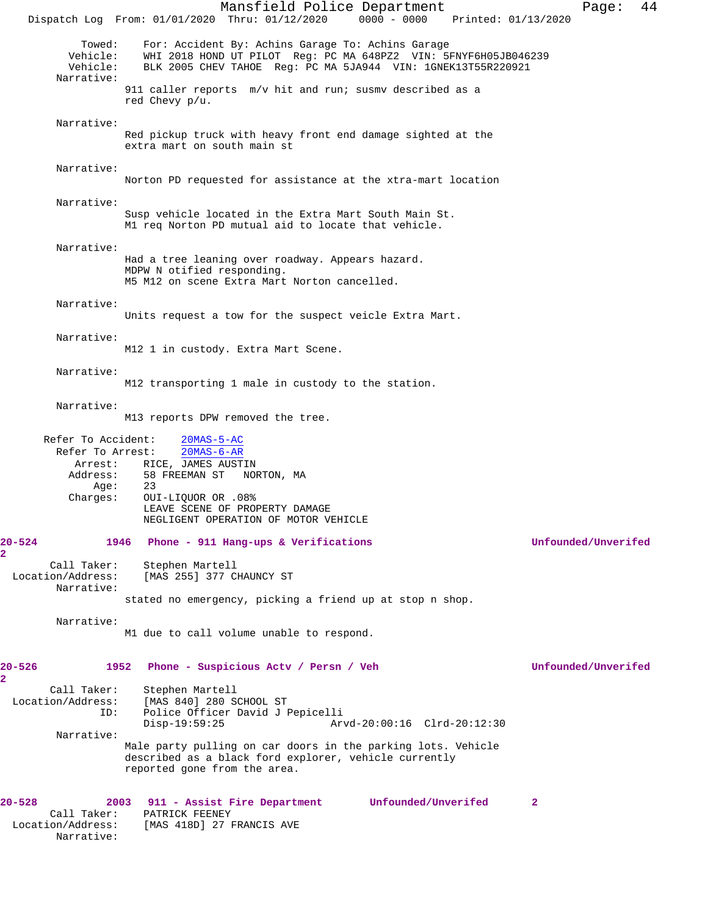Mansfield Police Department Form Page: 44 Dispatch Log From: 01/01/2020 Thru: 01/12/2020 0000 - 0000 Printed: 01/13/2020 Towed: For: Accident By: Achins Garage To: Achins Garage Vehicle: WHI 2018 HOND UT PILOT Reg: PC MA 648PZ2 VIN: 5FNYF6H05JB046239 BLK 2005 CHEV TAHOE Reg: PC MA 5JA944 VIN: 1GNEK13T55R220921 Narrative: 911 caller reports m/v hit and run; susmv described as a red Chevy p/u. Narrative: Red pickup truck with heavy front end damage sighted at the extra mart on south main st Narrative: Norton PD requested for assistance at the xtra-mart location Narrative: Susp vehicle located in the Extra Mart South Main St. M1 req Norton PD mutual aid to locate that vehicle. Narrative: Had a tree leaning over roadway. Appears hazard. MDPW N otified responding. M5 M12 on scene Extra Mart Norton cancelled. Narrative: Units request a tow for the suspect veicle Extra Mart. Narrative: M12 1 in custody. Extra Mart Scene. Narrative: M12 transporting 1 male in custody to the station. Narrative: M13 reports DPW removed the tree. Refer To Accident: 20MAS-5-AC Refer To Arrest: 20MAS-6-AR Arrest: RICE, JAMES AUSTIN<br>Address: 58 FREEMAN ST NOI 58 FREEMAN ST NORTON, MA<br>23 Age: Charges: OUI-LIQUOR OR .08% LEAVE SCENE OF PROPERTY DAMAGE NEGLIGENT OPERATION OF MOTOR VEHICLE **20-524 1946 Phone - 911 Hang-ups & Verifications Unfounded/Unverifed** Call Taker: Stephen Martell Location/Address: [MAS 255] 377 CHAUNCY ST Narrative: stated no emergency, picking a friend up at stop n shop. Narrative: M1 due to call volume unable to respond. **20-526 1952 Phone - Suspicious Actv / Persn / Veh Unfounded/Unverifed** Call Taker: Stephen Martell Location/Address: [MAS 840] 280 SCHOOL ST Police Officer David J Pepicelli<br>Disp-19:59:25 Art Disp-19:59:25 Arvd-20:00:16 Clrd-20:12:30 Narrative: Male party pulling on car doors in the parking lots. Vehicle described as a black ford explorer, vehicle currently reported gone from the area. **20-528 2003 911 - Assist Fire Department Unfounded/Unverifed 2**  Call Taker: PATRICK FEENEY<br>Location/Address: [MAS 418D] 27 1 [MAS 418D] 27 FRANCIS AVE Narrative:

**2** 

**2**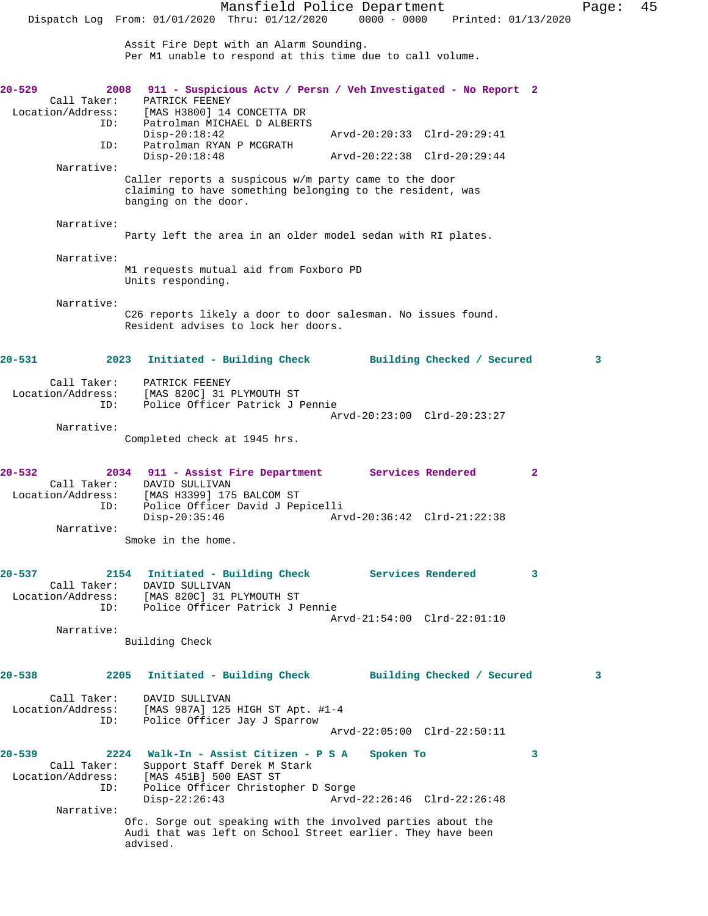Mansfield Police Department Page: 45 Dispatch Log From: 01/01/2020 Thru: 01/12/2020 0000 - 0000 Printed: 01/13/2020 Assit Fire Dept with an Alarm Sounding. Per M1 unable to respond at this time due to call volume. **20-529 2008 911 - Suspicious Actv / Persn / Veh Investigated - No Report 2**  Call Taker: PATRICK FEENEY<br>Location/Address: [MAS H3800] 14 [MAS H3800] 14 CONCETTA DR ID: Patrolman MICHAEL D ALBERTS Disp-20:18:42 Arvd-20:20:33 Clrd-20:29:41 ID: Patrolman RYAN P MCGRATH Disp-20:18:48 Arvd-20:22:38 Clrd-20:29:44 Narrative: Caller reports a suspicous w/m party came to the door claiming to have something belonging to the resident, was banging on the door. Narrative: Party left the area in an older model sedan with RI plates. Narrative: M1 requests mutual aid from Foxboro PD Units responding. Narrative: C26 reports likely a door to door salesman. No issues found. Resident advises to lock her doors. **20-531 2023 Initiated - Building Check Building Checked / Secured 3** Call Taker: PATRICK FEENEY Location/Address: [MAS 820C] 31 PLYMOUTH ST ID: Police Officer Patrick J Pennie Arvd-20:23:00 Clrd-20:23:27 Narrative: Completed check at 1945 hrs. **20-532 2034 911 - Assist Fire Department Services Rendered 2**  Call Taker: DAVID SULLIVAN<br>Location/Address: [MAS H3399] 175 [MAS H3399] 175 BALCOM ST ID: Police Officer David J Pepicelli Disp-20:35:46 Arvd-20:36:42 Clrd-21:22:38 Narrative: Smoke in the home. **20-537 2154 Initiated - Building Check Services Rendered 3**  Call Taker: DAVID SULLIVAN<br>Location/Address: [MAS 820C] 31 1 [MAS 820C] 31 PLYMOUTH ST ID: Police Officer Patrick J Pennie Arvd-21:54:00 Clrd-22:01:10 Narrative: Building Check **20-538 2205 Initiated - Building Check Building Checked / Secured 3** Call Taker: DAVID SULLIVAN Location/Address: [MAS 987A] 125 HIGH ST Apt. #1-4<br>ID: Police Officer Jay J Sparrow Police Officer Jay J Sparrow Arvd-22:05:00 Clrd-22:50:11 **20-539 2224 Walk-In - Assist Citizen - P S A Spoken To 3**  Call Taker: Support Staff Derek M Stark Location/Address: [MAS 451B] 500 EAST ST Police Officer Christopher D Sorge<br>Disp-22:26:43 Arvd- Disp-22:26:43 Arvd-22:26:46 Clrd-22:26:48 Narrative: Ofc. Sorge out speaking with the involved parties about the Audi that was left on School Street earlier. They have been advised.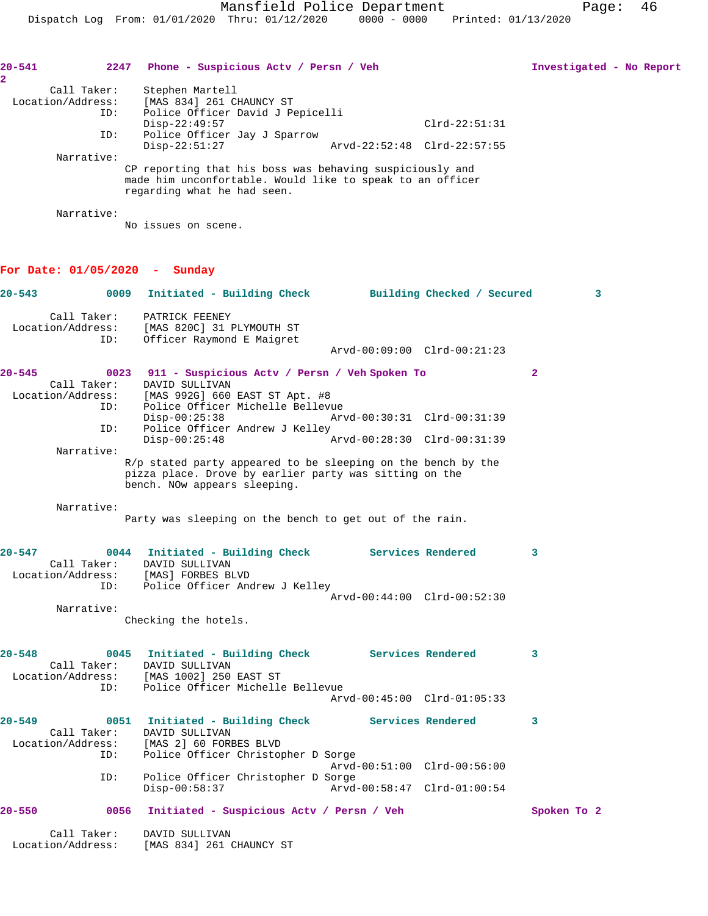| $20 - 541$<br>$\overline{\mathbf{2}}$ | 2247                                            | Phone - Suspicious Acty / Persn / Veh                                                                                                                  | Investigated - No Report |
|---------------------------------------|-------------------------------------------------|--------------------------------------------------------------------------------------------------------------------------------------------------------|--------------------------|
|                                       | Call Taker:<br>Location/Address:<br>ID:         | Stephen Martell<br>[MAS 834] 261 CHAUNCY ST<br>Police Officer David J Pepicelli<br>$Disp-22:49:57$<br>$Clrd-22:51:31$                                  |                          |
|                                       | ID:                                             | Police Officer Jay J Sparrow<br>$Disp-22:51:27$<br>Arvd-22:52:48 Clrd-22:57:55                                                                         |                          |
|                                       | Narrative:                                      | CP reporting that his boss was behaving suspiciously and<br>made him unconfortable. Would like to speak to an officer<br>regarding what he had seen.   |                          |
|                                       | Narrative:                                      | No issues on scene.                                                                                                                                    |                          |
|                                       |                                                 | For Date: $01/05/2020$ - Sunday                                                                                                                        |                          |
| $20 - 543$                            | 0009                                            | Initiated - Building Check Building Checked / Secured                                                                                                  | 3                        |
|                                       | Call Taker:<br>Location/Address:<br>ID:         | PATRICK FEENEY<br>[MAS 820C] 31 PLYMOUTH ST<br>Officer Raymond E Maigret                                                                               |                          |
|                                       |                                                 | Arvd-00:09:00 Clrd-00:21:23                                                                                                                            |                          |
| $20 - 545$                            | Call Taker:<br>Location/Address:                | 0023 911 - Suspicious Actv / Persn / Veh Spoken To<br>DAVID SULLIVAN<br>[MAS 992G] 660 EAST ST Apt. #8                                                 | $\mathbf{2}$             |
|                                       | ID:<br>ID:                                      | Police Officer Michelle Bellevue<br>$Disp-00:25:38$<br>Arvd-00:30:31 Clrd-00:31:39<br>Police Officer Andrew J Kelley                                   |                          |
|                                       | Narrative:                                      | $Disp-00:25:48$<br>Arvd-00:28:30 Clrd-00:31:39                                                                                                         |                          |
|                                       |                                                 | R/p stated party appeared to be sleeping on the bench by the<br>pizza place. Drove by earlier party was sitting on the<br>bench. NOw appears sleeping. |                          |
|                                       | Narrative:                                      | Party was sleeping on the bench to get out of the rain.                                                                                                |                          |
| $20 - 547$                            | 0044<br>Call Taker:<br>Location/Address:<br>ID: | Initiated - Building Check<br>Services Rendered<br>DAVID SULLIVAN<br>[MAS] FORBES BLVD<br>Police Officer Andrew J Kelley                               | 3                        |
|                                       | Narrative:                                      | Arvd-00:44:00 Clrd-00:52:30<br>Checking the hotels.                                                                                                    |                          |
| 20-548                                |                                                 | 0045 Initiated - Building Check Services Rendered<br>Call Taker: DAVID SULLIVAN                                                                        | 3                        |
|                                       | ID:                                             | Location/Address: [MAS 1002] 250 EAST ST<br>Police Officer Michelle Bellevue<br>Arvd-00:45:00 Clrd-01:05:33                                            |                          |
| $20 - 549$                            | Call Taker:                                     | 0051 Initiated - Building Check Services Rendered<br>DAVID SULLIVAN                                                                                    | 3                        |
|                                       | Location/Address:<br>ID:                        | [MAS 2] 60 FORBES BLVD<br>Police Officer Christopher D Sorge<br>Arvd-00:51:00 Clrd-00:56:00                                                            |                          |
|                                       | ID:                                             | Police Officer Christopher D Sorge<br>$Disp-00:58:37$<br>Arvd-00:58:47 Clrd-01:00:54                                                                   |                          |
| $20 - 550$                            |                                                 | 0056 Initiated - Suspicious Actv / Persn / Veh                                                                                                         | Spoken To 2              |
|                                       | Call Taker:<br>Location/Address:                | DAVID SULLIVAN<br>[MAS 834] 261 CHAUNCY ST                                                                                                             |                          |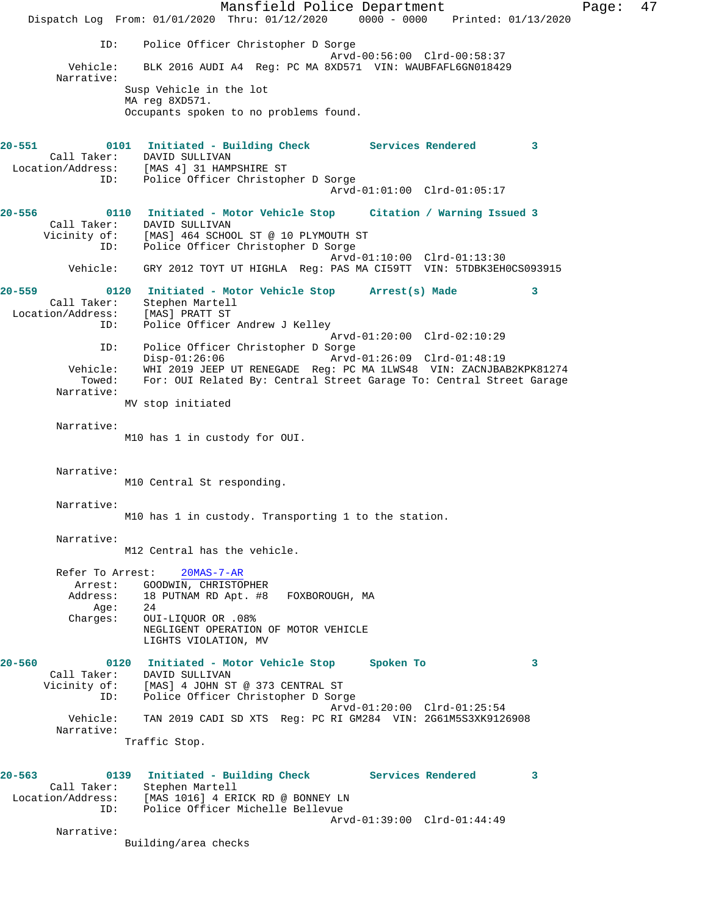Mansfield Police Department Page: 47 Dispatch Log From: 01/01/2020 Thru: 01/12/2020 0000 - 0000 Printed: 01/13/2020 ID: Police Officer Christopher D Sorge Arvd-00:56:00 Clrd-00:58:37 Vehicle: BLK 2016 AUDI A4 Reg: PC MA 8XD571 VIN: WAUBFAFL6GN018429 Narrative: Susp Vehicle in the lot MA reg 8XD571. Occupants spoken to no problems found. **20-551 0101 Initiated - Building Check Services Rendered 3**  Call Taker: DAVID SULLIVAN Location/Address: [MAS 4] 31 HAMPSHIRE ST ID: Police Officer Christopher D Sorge Arvd-01:01:00 Clrd-01:05:17 **20-556 0110 Initiated - Motor Vehicle Stop Citation / Warning Issued 3**  Call Taker: DAVID SULLIVAN Vicinity of: [MAS] 464 SCHOOL ST @ 10 PLYMOUTH ST ID: Police Officer Christopher D Sorge Arvd-01:10:00 Clrd-01:13:30 Vehicle: GRY 2012 TOYT UT HIGHLA Reg: PAS MA CI59TT VIN: 5TDBK3EH0CS093915 **20-559 0120 Initiated - Motor Vehicle Stop Arrest(s) Made 3**  Call Taker: Stephen Martell Location/Address: [MAS] PRATT ST ID: Police Officer Andrew J Kelley Arvd-01:20:00 Clrd-02:10:29 ID: Police Officer Christopher D Sorge Disp-01:26:06 Arvd-01:26:09 Clrd-01:48:19 Vehicle: WHI 2019 JEEP UT RENEGADE Reg: PC MA 1LWS48 VIN: ZACNJBAB2KPK81274 Towed: For: OUI Related By: Central Street Garage To: Central Street Garage Narrative: MV stop initiated Narrative: M10 has 1 in custody for OUI. Narrative: M10 Central St responding. Narrative: M10 has 1 in custody. Transporting 1 to the station. Narrative: M12 Central has the vehicle. Refer To Arrest: 20MAS-7-AR Arrest: GOODWIN, CHRISTOPHER<br>Address: 18 PUTNAM RD Apt. #8 18 PUTNAM RD Apt. #8 FOXBOROUGH, MA Age: 24 Charges: OUI-LIQUOR OR .08% NEGLIGENT OPERATION OF MOTOR VEHICLE LIGHTS VIOLATION, MV **20-560 0120 Initiated - Motor Vehicle Stop Spoken To 3**  Call Taker: DAVID SULLIVAN Vicinity of: [MAS] 4 JOHN ST @ 373 CENTRAL ST ID: Police Officer Christopher D Sorge Arvd-01:20:00 Clrd-01:25:54 Vehicle: TAN 2019 CADI SD XTS Reg: PC RI GM284 VIN: 2G61M5S3XK9126908 Narrative: Traffic Stop. **20-563 0139 Initiated - Building Check Services Rendered 3**  Call Taker: Stephen Martell Location/Address: [MAS 1016] 4 ERICK RD @ BONNEY LN ID: Police Officer Michelle Bellevue Arvd-01:39:00 Clrd-01:44:49 Narrative: Building/area checks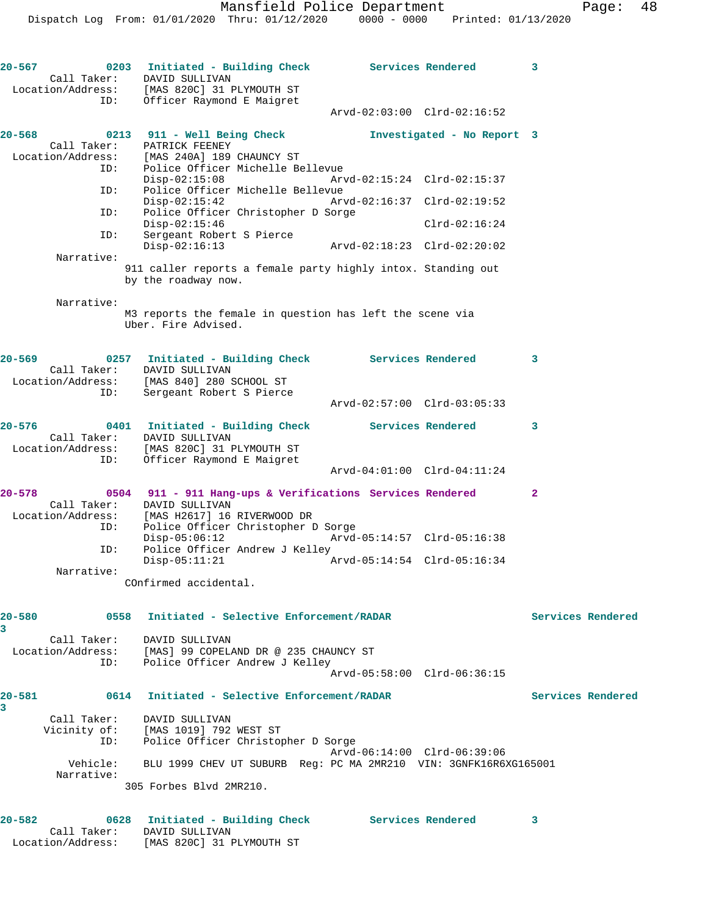**20-567 0203 Initiated - Building Check Services Rendered 3**  Call Taker: DAVID SULLIVAN Location/Address: [MAS 820C] 31 PLYMOUTH ST ID: Officer Raymond E Maigret Arvd-02:03:00 Clrd-02:16:52 **20-568 0213 911 - Well Being Check Investigated - No Report 3**  Call Taker: PATRICK FEENEY Location/Address: [MAS 240A] 189 CHAUNCY ST ID: Police Officer Michelle Bellevue<br>Disp-02:15:08 Arv Disp-02:15:08 Arvd-02:15:24 Clrd-02:15:37 ID: Police Officer Michelle Bellevue Disp-02:15:42 Arvd-02:16:37 Clrd-02:19:52<br>ID: Police Officer Christopher D Sorge Police Officer Christopher D Sorge Disp-02:15:46 Clrd-02:16:24 ID: Sergeant Robert S Pierce Disp-02:16:13 Arvd-02:18:23 Clrd-02:20:02 Narrative: 911 caller reports a female party highly intox. Standing out by the roadway now. Narrative: M3 reports the female in question has left the scene via Uber. Fire Advised. **20-569 0257 Initiated - Building Check Services Rendered 3**  Call Taker: DAVID SULLIVAN Location/Address: [MAS 840] 280 SCHOOL ST ID: Sergeant Robert S Pierce Arvd-02:57:00 Clrd-03:05:33 **20-576 0401 Initiated - Building Check Services Rendered 3**  Call Taker: DAVID SULLIVAN Location/Address: [MAS 820C] 31 PLYMOUTH ST ID: Officer Raymond E Maigret Arvd-04:01:00 Clrd-04:11:24 **20-578 0504 911 - 911 Hang-ups & Verifications Services Rendered 2**  Call Taker: DAVID SULLIVAN Location/Address: [MAS H2617] 16 RIVERWOOD DR ID: Police Officer Christopher D Sorge<br>Disp-05:06:12 Arvd-05:14:57 Clrd-05:16:38 Disp-05:06:12<br>ID: Police Officer Andrew J Kell<br>Disp-05:11:21 Police Officer Andrew J Kelley Disp-05:11:21 Arvd-05:14:54 Clrd-05:16:34 Narrative: COnfirmed accidental. **20-580 0558 Initiated - Selective Enforcement/RADAR Services Rendered 3**  Call Taker: DAVID SULLIVAN Location/Address: [MAS] 99 COPELAND DR @ 235 CHAUNCY ST ID: Police Officer Andrew J Kelley Arvd-05:58:00 Clrd-06:36:15 **20-581 0614 Initiated - Selective Enforcement/RADAR Services Rendered 3**  Call Taker: DAVID SULLIVAN Vicinity of: [MAS 1019] 792 WEST ST ID: Police Officer Christopher D Sorge Arvd-06:14:00 Clrd-06:39:06 Vehicle: BLU 1999 CHEV UT SUBURB Reg: PC MA 2MR210 VIN: 3GNFK16R6XG165001 Narrative: 305 Forbes Blvd 2MR210. **20-582 0628 Initiated - Building Check Services Rendered 3**  Call Taker: DAVID SULLIVAN

Location/Address: [MAS 820C] 31 PLYMOUTH ST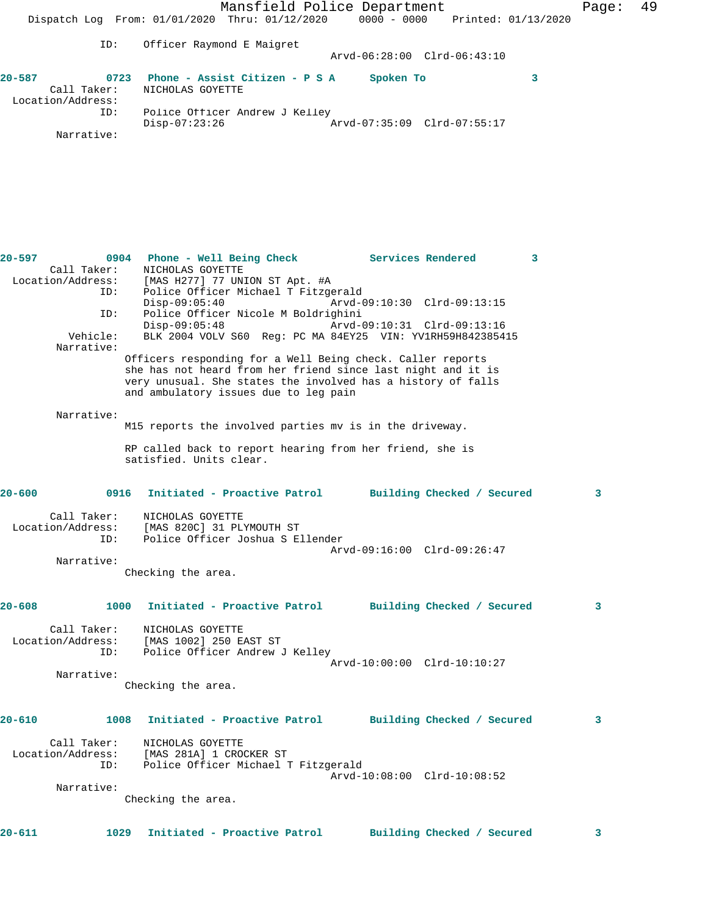Mansfield Police Department Page: 49 Dispatch Log From: 01/01/2020 Thru: 01/12/2020 0000 - 0000 Printed: 01/13/2020 ID: Officer Raymond E Maigret Arvd-06:28:00 Clrd-06:43:10 **20-587 0723 Phone - Assist Citizen - P S A Spoken To 3**  Call Taker: NICHOLAS GOYETTE Location/Address: ID: Police Officer Andrew J Kelley  $Disp-07:23:26$  Narrative: **20-597 0904 Phone - Well Being Check Services Rendered 3**  Call Taker: NICHOLAS GOYETTE Location/Address: [MAS H277] 77 UNION ST Apt. #A ID: Police Officer Michael T Fitzgerald Disp-09:05:40 Arvd-09:10:30 Clrd-09:13:15 ID: Police Officer Nicole M Boldrighini Disp-09:05:48 Arvd-09:10:31 Clrd-09:13:16 Vehicle: BLK 2004 VOLV S60 Reg: PC MA 84EY25 VIN: YV1RH59H842385415 Narrative: Officers responding for a Well Being check. Caller reports she has not heard from her friend since last night and it is very unusual. She states the involved has a history of falls and ambulatory issues due to leg pain Narrative: M15 reports the involved parties mv is in the driveway. RP called back to report hearing from her friend, she is satisfied. Units clear. **20-600 0916 Initiated - Proactive Patrol Building Checked / Secured 3** Call Taker: NICHOLAS GOYETTE Location/Address: [MAS 820C] 31 PLYMOUTH ST ID: Police Officer Joshua S Ellender Arvd-09:16:00 Clrd-09:26:47 Narrative: Checking the area. **20-608 1000 Initiated - Proactive Patrol Building Checked / Secured 3** Call Taker: NICHOLAS GOYETTE Location/Address: [MAS 1002] 250 EAST ST ID: Police Officer Andrew J Kelley Arvd-10:00:00 Clrd-10:10:27 Narrative: Checking the area. **20-610 1008 Initiated - Proactive Patrol Building Checked / Secured 3** Call Taker: NICHOLAS GOYETTE Location/Address: [MAS 281A] 1 CROCKER ST ID: Police Officer Michael T Fitzgerald Arvd-10:08:00 Clrd-10:08:52 Narrative: Checking the area. **20-611 1029 Initiated - Proactive Patrol Building Checked / Secured 3**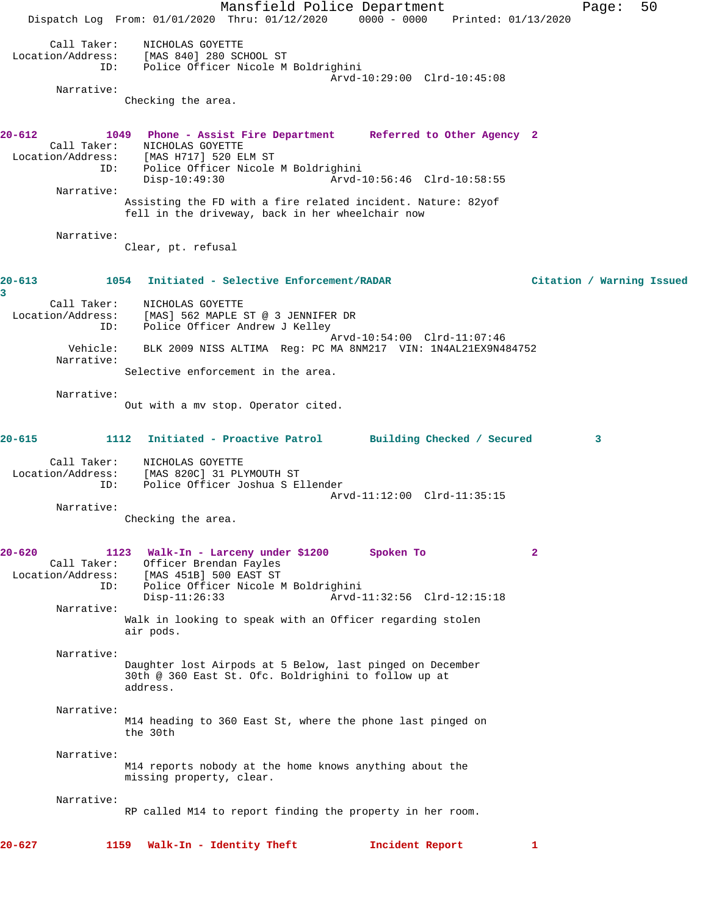Mansfield Police Department Fage: 50 Dispatch Log From: 01/01/2020 Thru: 01/12/2020 0000 - 0000 Printed: 01/13/2020 Call Taker: NICHOLAS GOYETTE Location/Address: [MAS 840] 280 SCHOOL ST ID: Police Officer Nicole M Boldrighini Arvd-10:29:00 Clrd-10:45:08 Narrative: Checking the area. **20-612 1049 Phone - Assist Fire Department Referred to Other Agency 2**  Call Taker: NICHOLAS GOYETTE Location/Address: [MAS H717] 520 ELM ST ID: Police Officer Nicole M Boldrighini Disp-10:49:30 Arvd-10:56:46 Clrd-10:58:55 Narrative: Assisting the FD with a fire related incident. Nature: 82yof fell in the driveway, back in her wheelchair now Narrative: Clear, pt. refusal **20-613 1054 Initiated - Selective Enforcement/RADAR Citation / Warning Issued 3**  Call Taker: NICHOLAS GOYETTE Location/Address: [MAS] 562 MAPLE ST @ 3 JENNIFER DR ID: Police Officer Andrew J Kelley Arvd-10:54:00 Clrd-11:07:46 Vehicle: BLK 2009 NISS ALTIMA Reg: PC MA 8NM217 VIN: 1N4AL21EX9N484752 Narrative: Selective enforcement in the area. Narrative: Out with a mv stop. Operator cited. **20-615 1112 Initiated - Proactive Patrol Building Checked / Secured 3** Call Taker: NICHOLAS GOYETTE Location/Address: [MAS 820C] 31 PLYMOUTH ST ID: Police Officer Joshua S Ellender Arvd-11:12:00 Clrd-11:35:15 Narrative: Checking the area. **20-620 1123 Walk-In - Larceny under \$1200 Spoken To 2**  Call Taker: Officer Brendan Fayles Location/Address: [MAS 451B] 500 EAST ST<br>ID: Police Officer Nicole M<br>Disp-11:26:33 Police Officer Nicole M Boldrighini Disp-11:26:33 Arvd-11:32:56 Clrd-12:15:18 Narrative: Walk in looking to speak with an Officer regarding stolen air pods. Narrative: Daughter lost Airpods at 5 Below, last pinged on December 30th @ 360 East St. Ofc. Boldrighini to follow up at address. Narrative: M14 heading to 360 East St, where the phone last pinged on the 30th Narrative: M14 reports nobody at the home knows anything about the missing property, clear. Narrative: RP called M14 to report finding the property in her room. **20-627 1159 Walk-In - Identity Theft Incident Report 1**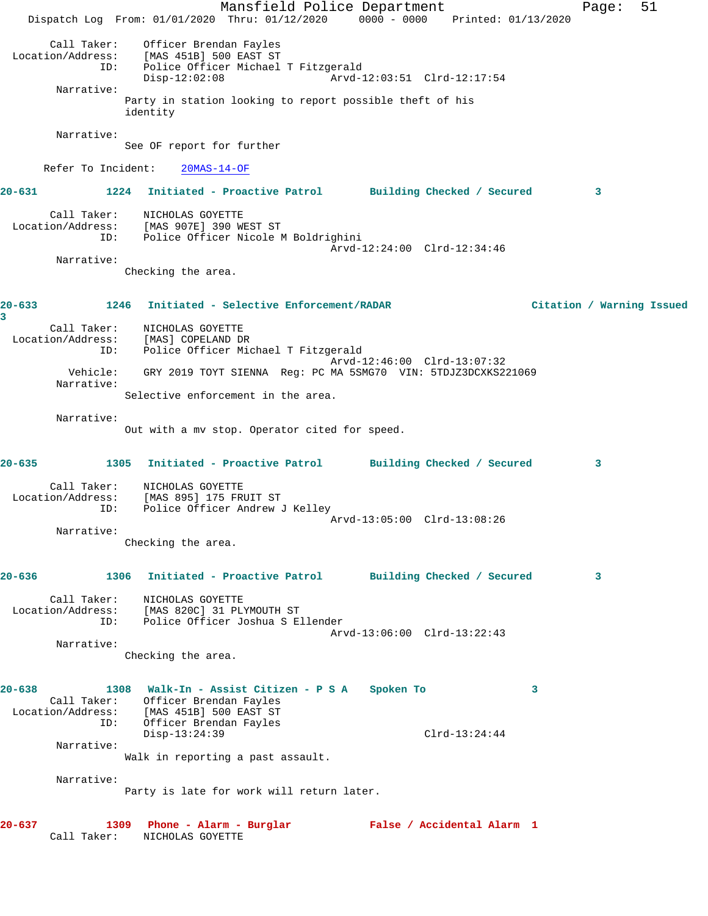Mansfield Police Department Fage: 51 Dispatch Log From: 01/01/2020 Thru: 01/12/2020 0000 - 0000 Printed: 01/13/2020 Call Taker: Officer Brendan Fayles Location/Address: [MAS 451B] 500 EAST ST ID: Police Officer Michael T Fitzgerald Disp-12:02:08 Arvd-12:03:51 Clrd-12:17:54 Narrative: Party in station looking to report possible theft of his identity Narrative: See OF report for further Refer To Incident: 20MAS-14-OF **20-631 1224 Initiated - Proactive Patrol Building Checked / Secured 3** Call Taker: NICHOLAS GOYETTE Location/Address: [MAS 907E] 390 WEST ST ID: Police Officer Nicole M Boldrighini Arvd-12:24:00 Clrd-12:34:46 Narrative: Checking the area. **20-633 1246 Initiated - Selective Enforcement/RADAR Citation / Warning Issued 3**  Call Taker: NICHOLAS GOYETTE Location/Address: [MAS] COPELAND DR ID: Police Officer Michael T Fitzgerald Arvd-12:46:00 Clrd-13:07:32 Vehicle: GRY 2019 TOYT SIENNA Reg: PC MA 5SMG70 VIN: 5TDJZ3DCXKS221069 Narrative: Selective enforcement in the area. Narrative: Out with a mv stop. Operator cited for speed. **20-635 1305 Initiated - Proactive Patrol Building Checked / Secured 3** Call Taker: NICHOLAS GOYETTE Location/Address: [MAS 895] 175 FRUIT ST ID: Police Officer Andrew J Kelley Arvd-13:05:00 Clrd-13:08:26 Narrative: Checking the area. **20-636 1306 Initiated - Proactive Patrol Building Checked / Secured 3** Call Taker: NICHOLAS GOYETTE Location/Address: [MAS 820C] 31 PLYMOUTH ST ID: Police Officer Joshua S Ellender Arvd-13:06:00 Clrd-13:22:43 Narrative: Checking the area. **20-638 1308 Walk-In - Assist Citizen - P S A Spoken To 3**  Call Taker: Officer Brendan Fayles Location/Address: [MAS 451B] 500 EAST ST ID: Officer Brendan Fayles Disp-13:24:39 Clrd-13:24:44 Narrative: Walk in reporting a past assault. Narrative: Party is late for work will return later. **20-637 1309 Phone - Alarm - Burglar False / Accidental Alarm 1**  Call Taker: NICHOLAS GOYETTE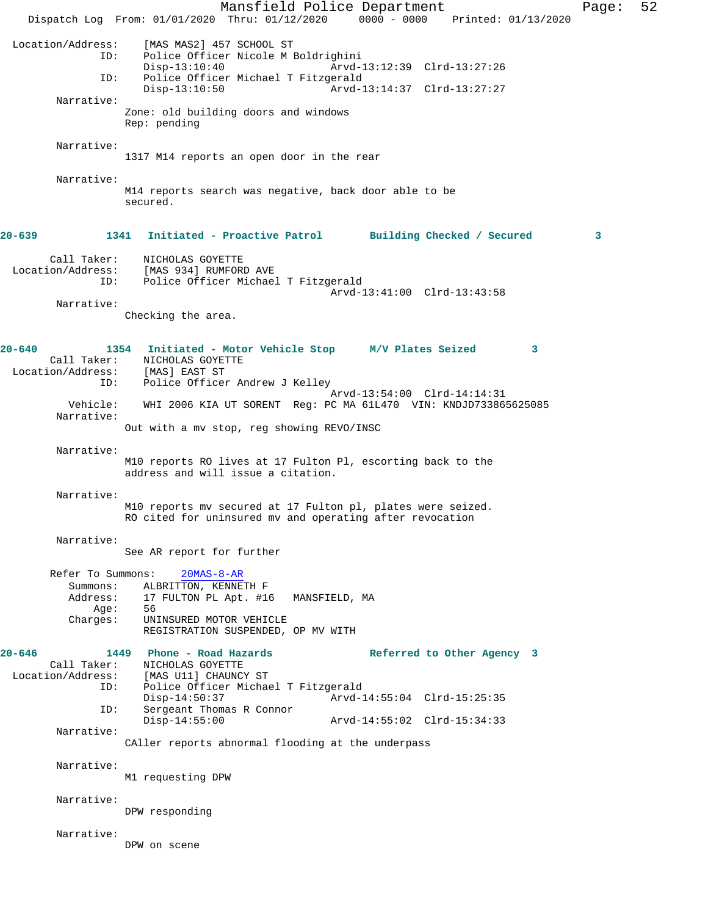Mansfield Police Department Page: 52 Dispatch Log From: 01/01/2020 Thru: 01/12/2020 0000 - 0000 Printed: 01/13/2020 Location/Address: [MAS MAS2] 457 SCHOOL ST Police Officer Nicole M Boldrighini<br>Disp-13:10:40 Arvd-1 Disp-13:10:40 Arvd-13:12:39 Clrd-13:27:26 ID: Police Officer Michael T Fitzgerald Disp-13:10:50 Arvd-13:14:37 Clrd-13:27:27 Narrative: Zone: old building doors and windows Rep: pending Narrative: 1317 M14 reports an open door in the rear Narrative: M14 reports search was negative, back door able to be secured. **20-639 1341 Initiated - Proactive Patrol Building Checked / Secured 3** Call Taker: NICHOLAS GOYETTE Location/Address: [MAS 934] RUMFORD AVE Police Officer Michael T Fitzgerald Arvd-13:41:00 Clrd-13:43:58 Narrative: Checking the area. **20-640 1354 Initiated - Motor Vehicle Stop M/V Plates Seized 3**  Call Taker: NICHOLAS GOYETTE Location/Address: [MAS] EAST ST ID: Police Officer Andrew J Kelley Arvd-13:54:00 Clrd-14:14:31 Vehicle: WHI 2006 KIA UT SORENT Reg: PC MA 61L470 VIN: KNDJD733865625085 Narrative: Out with a mv stop, reg showing REVO/INSC Narrative: M10 reports RO lives at 17 Fulton Pl, escorting back to the address and will issue a citation. Narrative: M10 reports mv secured at 17 Fulton pl, plates were seized. RO cited for uninsured mv and operating after revocation Narrative: See AR report for further Refer To Summons: 20MAS-8-AR Summons: ALBRITTON, KENNETH F<br>Address: 17 FULTON PL Apt. #16 17 FULTON PL Apt. #16 MANSFIELD, MA Age: 56 Charges: UNINSURED MOTOR VEHICLE REGISTRATION SUSPENDED, OP MV WITH **20-646 1449 Phone - Road Hazards Referred to Other Agency 3**  NICHOLAS GOYETTE Location/Address: [MAS U11] CHAUNCY ST<br>ID: Police Officer Michae Police Officer Michael T Fitzgerald<br>Disp-14:50:37 Arvd-1 Arvd-14:55:04 Clrd-15:25:35 ID: Sergeant Thomas R Connor Disp-14:55:00 Arvd-14:55:02 Clrd-15:34:33 Narrative: CAller reports abnormal flooding at the underpass Narrative: M1 requesting DPW Narrative: DPW responding Narrative: DPW on scene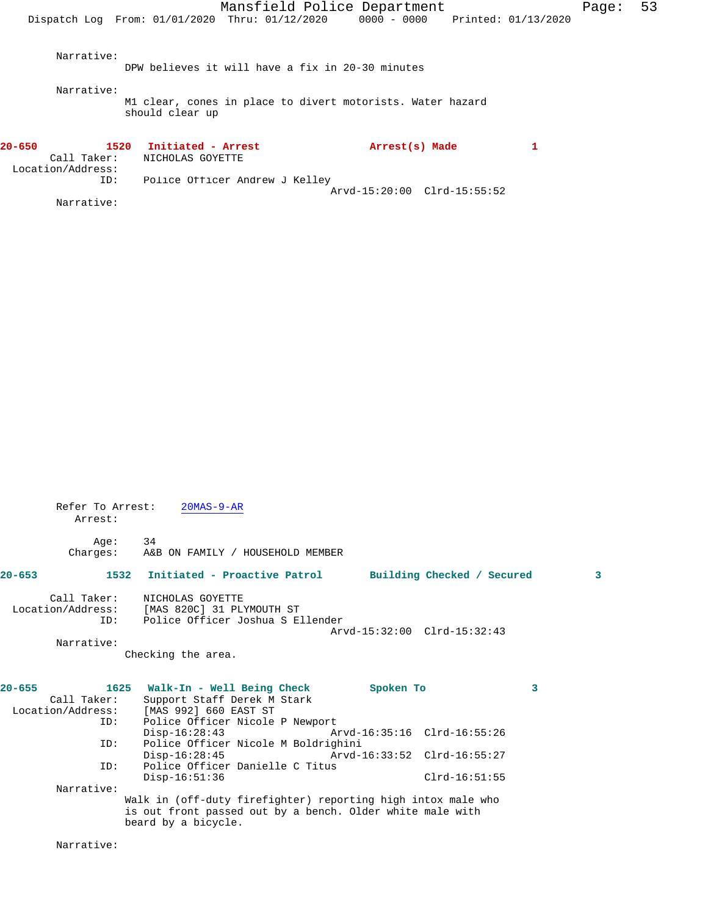Arvd-15:20:00 Clrd-15:55:52

| Refer To Arrest:<br>$20MAS-9-AR$                                            |                    |                                                                                                                                                                                                                      |                                                                                                                                                                                                                                                                                                              |
|-----------------------------------------------------------------------------|--------------------|----------------------------------------------------------------------------------------------------------------------------------------------------------------------------------------------------------------------|--------------------------------------------------------------------------------------------------------------------------------------------------------------------------------------------------------------------------------------------------------------------------------------------------------------|
| 34                                                                          |                    |                                                                                                                                                                                                                      |                                                                                                                                                                                                                                                                                                              |
| 1532                                                                        |                    |                                                                                                                                                                                                                      | 3                                                                                                                                                                                                                                                                                                            |
| Call Taker: NICHOLAS GOYETTE<br>Location/Address: [MAS 820C] 31 PLYMOUTH ST |                    |                                                                                                                                                                                                                      |                                                                                                                                                                                                                                                                                                              |
|                                                                             |                    |                                                                                                                                                                                                                      |                                                                                                                                                                                                                                                                                                              |
|                                                                             |                    |                                                                                                                                                                                                                      |                                                                                                                                                                                                                                                                                                              |
|                                                                             |                    |                                                                                                                                                                                                                      |                                                                                                                                                                                                                                                                                                              |
|                                                                             |                    |                                                                                                                                                                                                                      | 3                                                                                                                                                                                                                                                                                                            |
| Call Taker:<br>Support Staff Derek M Stark                                  |                    |                                                                                                                                                                                                                      |                                                                                                                                                                                                                                                                                                              |
| Location/Address: [MAS 992] 660 EAST ST                                     |                    |                                                                                                                                                                                                                      |                                                                                                                                                                                                                                                                                                              |
|                                                                             |                    |                                                                                                                                                                                                                      |                                                                                                                                                                                                                                                                                                              |
| $Disp-16:28:43$                                                             |                    |                                                                                                                                                                                                                      |                                                                                                                                                                                                                                                                                                              |
|                                                                             |                    |                                                                                                                                                                                                                      |                                                                                                                                                                                                                                                                                                              |
|                                                                             |                    |                                                                                                                                                                                                                      |                                                                                                                                                                                                                                                                                                              |
|                                                                             |                    |                                                                                                                                                                                                                      |                                                                                                                                                                                                                                                                                                              |
| $Disp-16:51:36$                                                             |                    | $Clrd-16:51:55$                                                                                                                                                                                                      |                                                                                                                                                                                                                                                                                                              |
|                                                                             |                    |                                                                                                                                                                                                                      |                                                                                                                                                                                                                                                                                                              |
|                                                                             |                    |                                                                                                                                                                                                                      |                                                                                                                                                                                                                                                                                                              |
|                                                                             |                    |                                                                                                                                                                                                                      |                                                                                                                                                                                                                                                                                                              |
|                                                                             | Checking the area. | A&B ON FAMILY / HOUSEHOLD MEMBER<br>Police Officer Joshua S Ellender<br>1625 Walk-In - Well Being Check<br>Police Officer Nicole P Newport<br>Police Officer Nicole M Boldrighini<br>Police Officer Danielle C Titus | Initiated - Proactive Patrol Building Checked / Secured<br>Arvd-15:32:00 Clrd-15:32:43<br>Spoken To<br>Arvd-16:35:16 Clrd-16:55:26<br>Disp-16:28:45 Arvd-16:33:52 Clrd-16:55:27<br>Walk in (off-duty firefighter) reporting high intox male who<br>is out front passed out by a bench. Older white male with |

beard by a bicycle.

Narrative: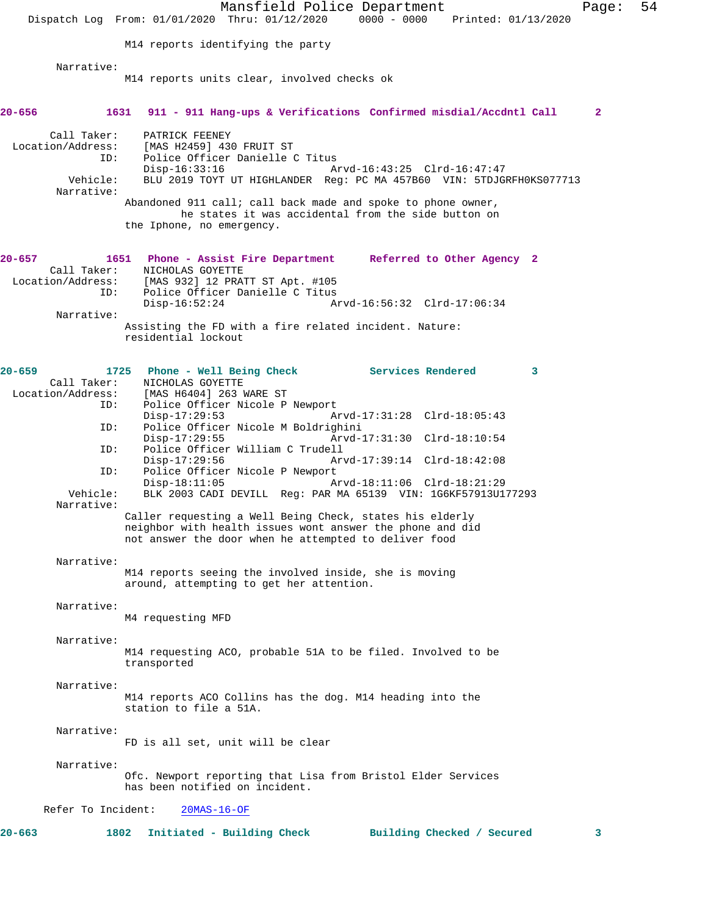Mansfield Police Department Page: 54 Dispatch Log From: 01/01/2020 Thru: 01/12/2020 0000 - 0000 Printed: 01/13/2020 M14 reports identifying the party Narrative: M14 reports units clear, involved checks ok **20-656 1631 911 - 911 Hang-ups & Verifications Confirmed misdial/Accdntl Call 2** Call Taker: PATRICK FEENEY<br>Location/Address: [MAS H2459] 430 ess: [MAS H2459] 430 FRUIT ST<br>ID: Police Officer Danielle ( Police Officer Danielle C Titus<br>Disp-16:33:16 A Disp-16:33:16 Arvd-16:43:25 Clrd-16:47:47 Vehicle: BLU 2019 TOYT UT HIGHLANDER Reg: PC MA 457B60 VIN: 5TDJGRFH0KS077713 Narrative: Abandoned 911 call; call back made and spoke to phone owner, he states it was accidental from the side button on the Iphone, no emergency. **20-657 1651 Phone - Assist Fire Department Referred to Other Agency 2**  Call Taker: NICHOLAS GOYETTE<br>Location/Address: [MAS 932] 12 PRA ess: [MAS 932] 12 PRATT ST Apt. #105<br>ID: Police Officer Danielle C Titus Police Officer Danielle C Titus<br>Disp-16:52:24 A Disp-16:52:24 Arvd-16:56:32 Clrd-17:06:34 Narrative: Assisting the FD with a fire related incident. Nature: residential lockout **20-659 1725 Phone - Well Being Check Services Rendered 3**  Call Taker: NICHOLAS GOYETTE<br>Location/Address: [MAS H6404] 263 I ess: [MAS H6404] 263 WARE ST<br>ID: Police Officer Nicole P Police Officer Nicole P Newport Disp-17:29:53 Arvd-17:31:28 Clrd-18:05:43 ID: Police Officer Nicole M Boldrighini Disp-17:29:55 Arvd-17:31:30 Clrd-18:10:54<br>TD: Police Officer William C Trudell Police Officer William C Trudell<br>Disp-17:29:56 Ar Disp-17:29:56 Arvd-17:39:14 Clrd-18:42:08 ID: Police Officer Nicole P Newport<br>Disp-18:11:05 A: Disp-18:11:05 Arvd-18:11:06 Clrd-18:21:29<br>Vehicle: BLK 2003 CADI DEVILL Req: PAR MA 65139 VIN: 1G6KF57913U1 BLK 2003 CADI DEVILL Reg: PAR MA 65139 VIN: 1G6KF57913U177293 Narrative: Caller requesting a Well Being Check, states his elderly neighbor with health issues wont answer the phone and did not answer the door when he attempted to deliver food Narrative: M14 reports seeing the involved inside, she is moving around, attempting to get her attention. Narrative: M4 requesting MFD Narrative: M14 requesting ACO, probable 51A to be filed. Involved to be transported Narrative: M14 reports ACO Collins has the dog. M14 heading into the station to file a 51A. Narrative: FD is all set, unit will be clear Narrative: Ofc. Newport reporting that Lisa from Bristol Elder Services has been notified on incident. Refer To Incident: 20MAS-16-OF **20-663 1802 Initiated - Building Check Building Checked / Secured 3**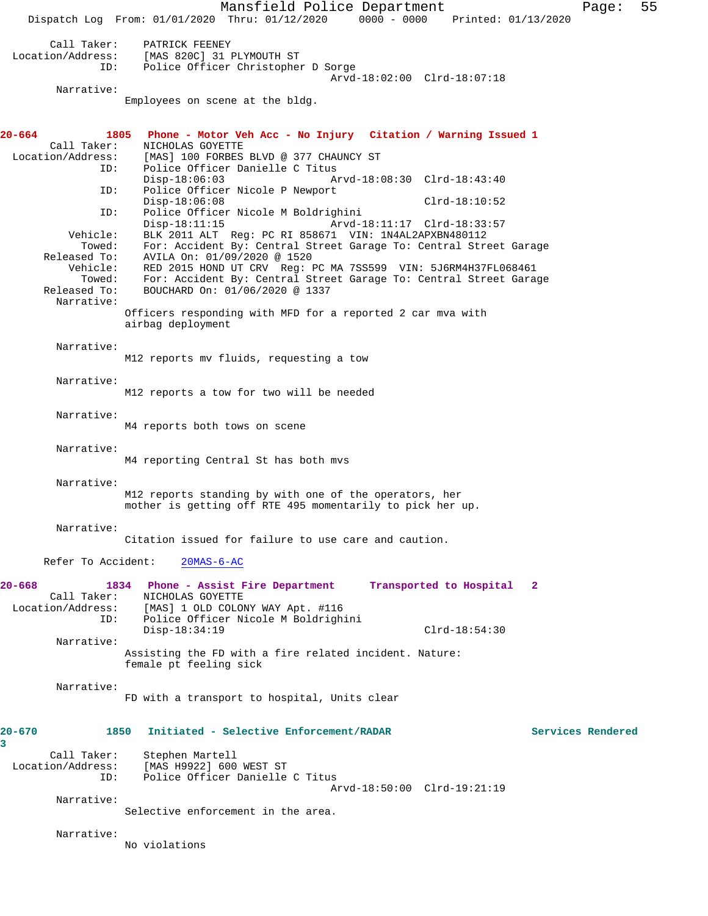Mansfield Police Department Page: 55 Dispatch Log From: 01/01/2020 Thru: 01/12/2020 0000 - 0000 Printed: 01/13/2020 Call Taker: PATRICK FEENEY<br>Location/Address: [MAS 820C] 31 1 ess: [MAS 820C] 31 PLYMOUTH ST<br>ID: Police Officer Christophe: Police Officer Christopher D Sorge Arvd-18:02:00 Clrd-18:07:18 Narrative: Employees on scene at the bldg. **20-664 1805 Phone - Motor Veh Acc - No Injury Citation / Warning Issued 1**  Call Taker: NICHOLAS GOYETTE<br>Location/Address: [MAS] 100 FORBES [MAS] 100 FORBES BLVD @ 377 CHAUNCY ST ID: Police Officer Danielle C Titus<br>Disp-18:06:03 A Disp-18:06:03 Arvd-18:08:30 Clrd-18:43:40 ID: Police Officer Nicole P Newport Disp-18:06:08 Clrd-18:10:52 ID: Police Officer Nicole M Boldrighini Disp-18:11:15 Arvd-18:11:17 Clrd-18:33:57<br>Vehicle: BLK 2011 ALT Reg: PC RI 858671 VIN: 1N4AL2APXBN480112 BLK 2011 ALT Reg: PC RI 858671 VIN: 1N4AL2APXBN480112 Towed: For: Accident By: Central Street Garage To: Central Street Garage Released To: AVILA On: 01/09/2020 @ 1520 released To: AVILA On: 01/09/2020 @ 1520<br>Vehicle: RED 2015 HOND UT CRV Reg: I Vehicle: RED 2015 HOND UT CRV Reg: PC MA 7SS599 VIN: 5J6RM4H37FL068461 Towed: For: Accident By: Central Street Garage To: Central Street Garage Released To: BOUCHARD On: 01/06/2020 @ 1337 Narrative: Officers responding with MFD for a reported 2 car mva with airbag deployment Narrative: M12 reports mv fluids, requesting a tow Narrative: M12 reports a tow for two will be needed Narrative: M4 reports both tows on scene Narrative: M4 reporting Central St has both mvs Narrative: M12 reports standing by with one of the operators, her mother is getting off RTE 495 momentarily to pick her up. Narrative: Citation issued for failure to use care and caution. Refer To Accident: 20MAS-6-AC 20-668 1834 Phone - Assist Fire Department Transported to Hospital Call Taker: NICHOLAS GOYETTE Call Taker: <br>
NICHOLAS GOYETTE<br>
Location/Address: [MAS] 1 OLD COLOI [MAS] 1 OLD COLONY WAY Apt. #116 ID: Police Officer Nicole M Boldrighini Disp-18:34:19 Clrd-18:54:30 Narrative: Assisting the FD with a fire related incident. Nature: female pt feeling sick Narrative: FD with a transport to hospital, Units clear **20-670 1850 Initiated - Selective Enforcement/RADAR Services Rendered 3**  Call Taker: Stephen Martell<br>Location/Address: [MAS H9922] 600 [MAS H9922] 600 WEST ST ID: Police Officer Danielle C Titus Arvd-18:50:00 Clrd-19:21:19 Narrative: Selective enforcement in the area. Narrative: No violations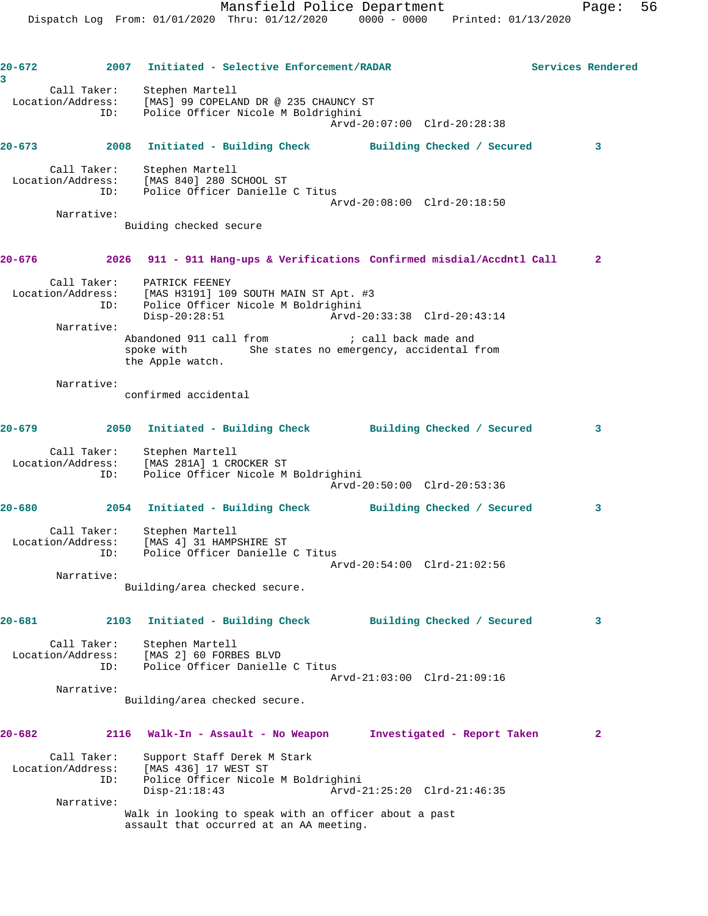**20-672 2007 Initiated - Selective Enforcement/RADAR Services Rendered 3**  Call Taker: Stephen Martell Location/Address: [MAS] 99 COPELAND DR @ 235 CHAUNCY ST ID: Police Officer Nicole M Boldrighini Arvd-20:07:00 Clrd-20:28:38 **20-673 2008 Initiated - Building Check Building Checked / Secured 3** Call Taker: Stephen Martell Location/Address: [MAS 840] 280 SCHOOL ST ID: Police Officer Danielle C Titus Arvd-20:08:00 Clrd-20:18:50 Narrative: Buiding checked secure **20-676 2026 911 - 911 Hang-ups & Verifications Confirmed misdial/Accdntl Call 2** Call Taker: PATRICK FEENEY Location/Address: [MAS H3191] 109 SOUTH MAIN ST Apt. #3 ID: Police Officer Nicole M Boldrighini Disp-20:28:51 Arvd-20:33:38 Clrd-20:43:14 Narrative: Abandoned 911 call from  $\qquad \qquad ;$  call back made and spoke with She states no emergency, accidental from the Apple watch. Narrative: confirmed accidental **20-679 2050 Initiated - Building Check Building Checked / Secured 3** Call Taker: Stephen Martell Location/Address: [MAS 281A] 1 CROCKER ST ID: Police Officer Nicole M Boldrighini Arvd-20:50:00 Clrd-20:53:36 **20-680 2054 Initiated - Building Check Building Checked / Secured 3** Call Taker: Stephen Martell Location/Address: [MAS 4] 31 HAMPSHIRE ST ID: Police Officer Danielle C Titus Arvd-20:54:00 Clrd-21:02:56 Narrative: Building/area checked secure. **20-681 2103 Initiated - Building Check Building Checked / Secured 3** Call Taker: Stephen Martell Location/Address: [MAS 2] 60 FORBES BLVD ID: Police Officer Danielle C Titus Arvd-21:03:00 Clrd-21:09:16 Narrative: Building/area checked secure. **20-682 2116 Walk-In - Assault - No Weapon Investigated - Report Taken 2** Call Taker: Support Staff Derek M Stark Location/Address: [MAS 436] 17 WEST ST ESS. [MAS 450] I/ WEST SI<br>ID: Police Officer Nicole M Boldrighini<br>Disp-21:18:43 Arvd-2 Disp-21:18:43 Arvd-21:25:20 Clrd-21:46:35 Narrative: Walk in looking to speak with an officer about a past assault that occurred at an AA meeting.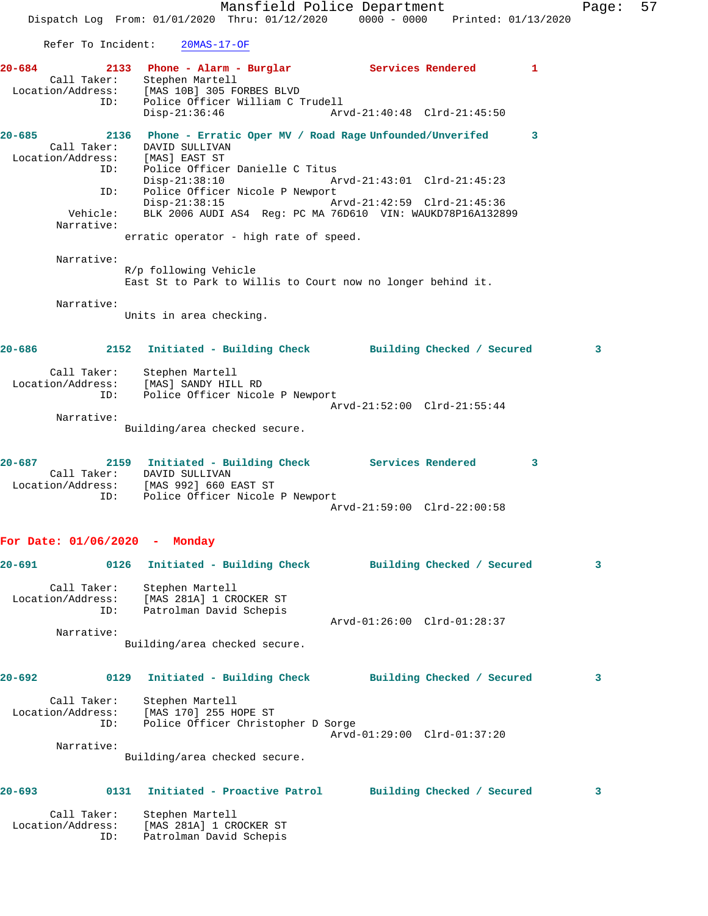Mansfield Police Department Fage: 57 Dispatch Log From: 01/01/2020 Thru: 01/12/2020 0000 - 0000 Printed: 01/13/2020 Refer To Incident: 20MAS-17-OF 2133 Phone - Alarm - Burglar **Services Rendered** 1 Call Taker: Stephen Martell Location/Address: [MAS 10B] 305 FORBES BLVD ID: Police Officer William C Trudell Disp-21:36:46 Arvd-21:40:48 Clrd-21:45:50 **20-685 2136 Phone - Erratic Oper MV / Road Rage Unfounded/Unverifed 3**  Call Taker: DAVID SULLIVAN Location/Address: [MAS] EAST ST ID: Police Officer Danielle C Titus<br>Disp-21:38:10 Ar Disp-21:38:10 Arvd-21:43:01 Clrd-21:45:23 ID: Police Officer Nicole P Newport Disp-21:38:15 Arvd-21:42:59 Clrd-21:45:36 Vehicle: BLK 2006 AUDI AS4 Reg: PC MA 76D610 VIN: WAUKD78P16A132899 Narrative: erratic operator - high rate of speed. Narrative: R/p following Vehicle East St to Park to Willis to Court now no longer behind it. Narrative: Units in area checking. **20-686 2152 Initiated - Building Check Building Checked / Secured 3** Call Taker: Stephen Martell Location/Address: [MAS] SANDY HILL RD ID: Police Officer Nicole P Newport Arvd-21:52:00 Clrd-21:55:44 Narrative: Building/area checked secure. **20-687 2159 Initiated - Building Check Services Rendered 3**  Call Taker: DAVID SULLIVAN Location/Address: [MAS 992] 660 EAST ST ID: Police Officer Nicole P Newport Arvd-21:59:00 Clrd-22:00:58 **For Date: 01/06/2020 - Monday 20-691 0126 Initiated - Building Check Building Checked / Secured 3** Call Taker: Stephen Martell Location/Address: [MAS 281A] 1 CROCKER ST ID: Patrolman David Schepis Arvd-01:26:00 Clrd-01:28:37 Narrative: Building/area checked secure. **20-692 0129 Initiated - Building Check Building Checked / Secured 3** Call Taker: Stephen Martell Location/Address: [MAS 170] 255 HOPE ST ID: Police Officer Christopher D Sorge Arvd-01:29:00 Clrd-01:37:20 Narrative: Building/area checked secure.

## **20-693 0131 Initiated - Proactive Patrol Building Checked / Secured 3**

 Call Taker: Stephen Martell Location/Address: [MAS 281A] 1 CROCKER ST ID: Patrolman David Schepis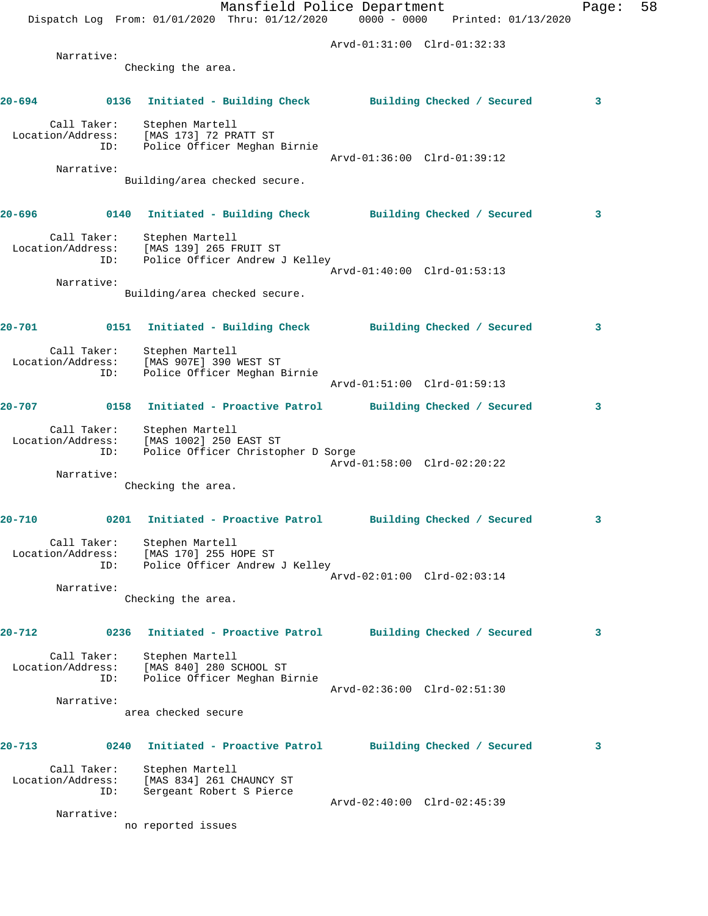|        |                                         |                                                                                           | Mansfield Police Department<br>Dispatch Log From: 01/01/2020 Thru: 01/12/2020 0000 - 0000 Printed: 01/13/2020 |                             |  | Page: | 58 |
|--------|-----------------------------------------|-------------------------------------------------------------------------------------------|---------------------------------------------------------------------------------------------------------------|-----------------------------|--|-------|----|
|        |                                         |                                                                                           |                                                                                                               | Arvd-01:31:00 Clrd-01:32:33 |  |       |    |
|        | Narrative:                              |                                                                                           |                                                                                                               |                             |  |       |    |
|        |                                         | Checking the area.                                                                        |                                                                                                               |                             |  |       |    |
| 20-694 |                                         |                                                                                           | 0136 Initiated - Building Check Building Checked / Secured                                                    |                             |  | 3     |    |
|        | Call Taker:<br>Location/Address:<br>ID: | Stephen Martell<br>[MAS 173] 72 PRATT ST                                                  | Police Officer Meghan Birnie                                                                                  |                             |  |       |    |
|        | Narrative:                              |                                                                                           |                                                                                                               | Arvd-01:36:00 Clrd-01:39:12 |  |       |    |
|        |                                         | Building/area checked secure.                                                             |                                                                                                               |                             |  |       |    |
| 20-696 |                                         |                                                                                           | 0140 Initiated - Building Check Building Checked / Secured                                                    |                             |  | 3     |    |
|        | Location/Address:<br>ID:                | Call Taker: Stephen Martell<br>ion/Address: [MAS 139] 265 FRUIT ST                        | Police Officer Andrew J Kelley                                                                                |                             |  |       |    |
|        |                                         |                                                                                           |                                                                                                               | Arvd-01:40:00 Clrd-01:53:13 |  |       |    |
|        | Narrative:                              | Building/area checked secure.                                                             |                                                                                                               |                             |  |       |    |
| 20-701 |                                         |                                                                                           | 0151 Initiated - Building Check Building Checked / Secured                                                    |                             |  | 3     |    |
|        | Call Taker:<br>ID:                      | Stephen Martell<br>Location/Address: [MAS 907E] 390 WEST ST                               | Police Officer Meghan Birnie                                                                                  | Arvd-01:51:00 Clrd-01:59:13 |  |       |    |
| 20-707 | 0158                                    |                                                                                           | Initiated - Proactive Patrol Building Checked / Secured                                                       |                             |  | 3     |    |
|        | Call Taker:<br>Location/Address:<br>ID: | Stephen Martell<br>[MAS 1002] 250 EAST ST                                                 | Police Officer Christopher D Sorge                                                                            | Arvd-01:58:00 Clrd-02:20:22 |  |       |    |
|        | Narrative:                              |                                                                                           |                                                                                                               |                             |  |       |    |
|        |                                         | Checking the area.                                                                        |                                                                                                               |                             |  |       |    |
| 20-710 |                                         |                                                                                           | 0201 Initiated - Proactive Patrol Building Checked / Secured                                                  |                             |  |       |    |
|        |                                         | Call Taker: Stephen Martell<br>Location/Address: [MAS 170] 255 HOPE ST                    | ID: Police Officer Andrew J Kelley                                                                            |                             |  |       |    |
|        | Narrative:                              |                                                                                           |                                                                                                               | Arvd-02:01:00 Clrd-02:03:14 |  |       |    |
|        |                                         | Checking the area.                                                                        |                                                                                                               |                             |  |       |    |
| 20-712 |                                         |                                                                                           | 0236 Initiated - Proactive Patrol Building Checked / Secured                                                  |                             |  | 3     |    |
|        | Call Taker:<br>Location/Address:<br>ID: | Stephen Martell<br>[MAS 840] 280 SCHOOL ST                                                | Police Officer Meghan Birnie                                                                                  |                             |  |       |    |
|        |                                         |                                                                                           |                                                                                                               | Arvd-02:36:00 Clrd-02:51:30 |  |       |    |
|        | Narrative:                              | area checked secure                                                                       |                                                                                                               |                             |  |       |    |
| 20-713 | 0240                                    |                                                                                           | Initiated - Proactive Patrol Building Checked / Secured                                                       |                             |  | 3     |    |
|        | Call Taker:<br>ID:                      | Stephen Martell<br>Location/Address: [MAS 834] 261 CHAUNCY ST<br>Sergeant Robert S Pierce |                                                                                                               |                             |  |       |    |
|        | Narrative:                              | no reported issues                                                                        |                                                                                                               | Arvd-02:40:00 Clrd-02:45:39 |  |       |    |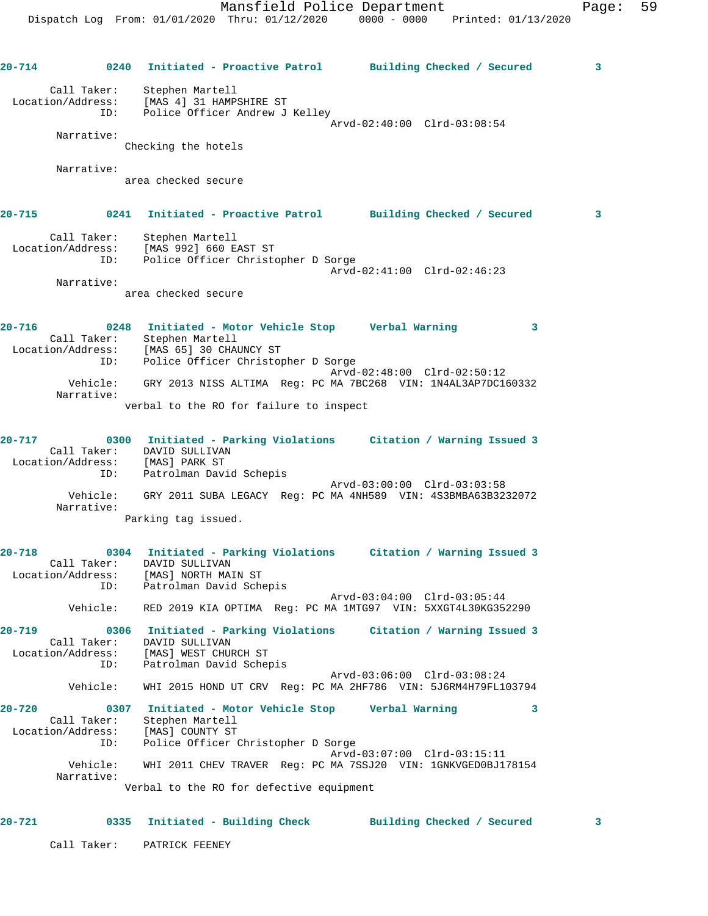**20-714 0240 Initiated - Proactive Patrol Building Checked / Secured 3** Call Taker: Stephen Martell Location/Address: [MAS 4] 31 HAMPSHIRE ST ID: Police Officer Andrew J Kelley Arvd-02:40:00 Clrd-03:08:54 Narrative: Checking the hotels Narrative: area checked secure **20-715 0241 Initiated - Proactive Patrol Building Checked / Secured 3** Call Taker: Stephen Martell Location/Address: [MAS 992] 660 EAST ST ID: Police Officer Christopher D Sorge Arvd-02:41:00 Clrd-02:46:23 Narrative: area checked secure **20-716 0248 Initiated - Motor Vehicle Stop Verbal Warning 3**  Call Taker: Stephen Martell Location/Address: [MAS 65] 30 CHAUNCY ST ID: Police Officer Christopher D Sorge Arvd-02:48:00 Clrd-02:50:12 Vehicle: GRY 2013 NISS ALTIMA Reg: PC MA 7BC268 VIN: 1N4AL3AP7DC160332 Narrative: verbal to the RO for failure to inspect **20-717 0300 Initiated - Parking Violations Citation / Warning Issued 3**  Call Taker: DAVID SULLIVAN Location/Address: [MAS] PARK ST ID: Patrolman David Schepis Arvd-03:00:00 Clrd-03:03:58 Vehicle: GRY 2011 SUBA LEGACY Reg: PC MA 4NH589 VIN: 4S3BMBA63B3232072 Narrative: Parking tag issued. **20-718 0304 Initiated - Parking Violations Citation / Warning Issued 3**  Call Taker: DAVID SULLIVAN Location/Address: [MAS] NORTH MAIN ST ess. Inne, Northern<br>ID: Patrolman David Schepis Arvd-03:04:00 Clrd-03:05:44 Vehicle: RED 2019 KIA OPTIMA Reg: PC MA 1MTG97 VIN: 5XXGT4L30KG352290 **20-719 0306 Initiated - Parking Violations Citation / Warning Issued 3**  Call Taker: DAVID SULLIVAN Location/Address: [MAS] WEST CHURCH ST ID: Patrolman David Schepis Arvd-03:06:00 Clrd-03:08:24 Vehicle: WHI 2015 HOND UT CRV Reg: PC MA 2HF786 VIN: 5J6RM4H79FL103794 **20-720 0307 Initiated - Motor Vehicle Stop Verbal Warning 3**  Call Taker: Stephen Martell Location/Address: [MAS] COUNTY ST ID: Police Officer Christopher D Sorge Arvd-03:07:00 Clrd-03:15:11 Vehicle: WHI 2011 CHEV TRAVER Reg: PC MA 7SSJ20 VIN: 1GNKVGED0BJ178154 Narrative: Verbal to the RO for defective equipment

**20-721 0335 Initiated - Building Check Building Checked / Secured 3**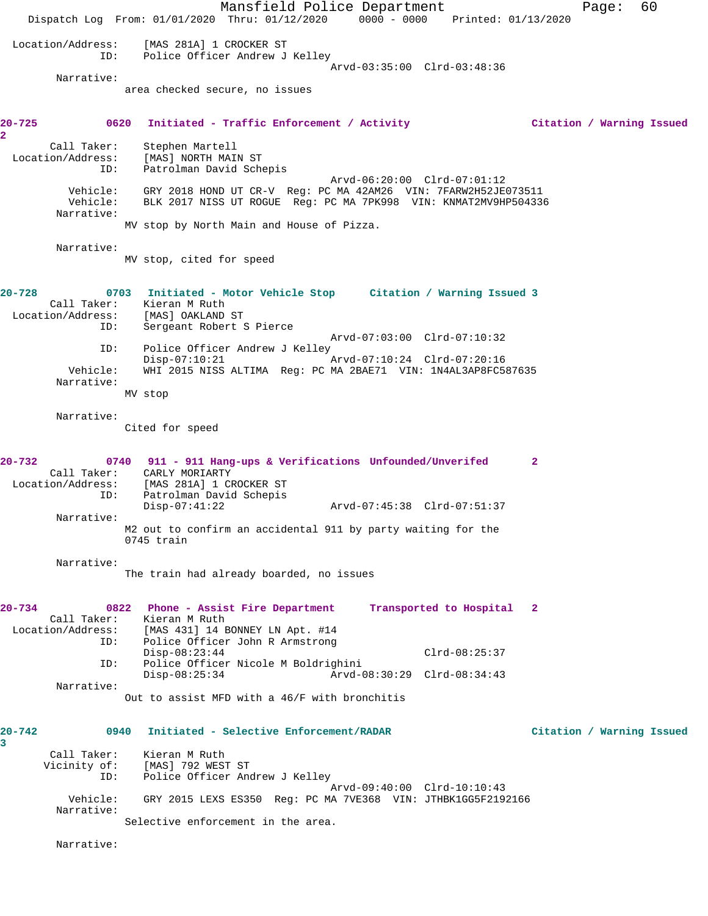Mansfield Police Department Fage: 60 Dispatch Log From: 01/01/2020 Thru: 01/12/2020 0000 - 0000 Printed: 01/13/2020 Location/Address: [MAS 281A] 1 CROCKER ST ID: Police Officer Andrew J Kelley Arvd-03:35:00 Clrd-03:48:36 Narrative: area checked secure, no issues **20-725 0620 Initiated - Traffic Enforcement / Activity Citation / Warning Issued 2**  Call Taker: Stephen Martell<br>Location/Address: [MAS] NORTH MAI [MAS] NORTH MAIN ST ID: Patrolman David Schepis Arvd-06:20:00 Clrd-07:01:12 Vehicle: GRY 2018 HOND UT CR-V Reg: PC MA 42AM26 VIN: 7FARW2H52JE073511 Vehicle: BLK 2017 NISS UT ROGUE Reg: PC MA 7PK998 VIN: KNMAT2MV9HP504336 Narrative: MV stop by North Main and House of Pizza. Narrative: MV stop, cited for speed **20-728 0703 Initiated - Motor Vehicle Stop Citation / Warning Issued 3**  Call Taker: Kieran M Ruth Location/Address: [MAS] OAKLAND ST ID: Sergeant Robert S Pierce Arvd-07:03:00 Clrd-07:10:32 ID: Police Officer Andrew J Kelley<br>Disp-07:10:21 A Disp-07:10:21 Arvd-07:10:24 Clrd-07:20:16 Vehicle: WHI 2015 NISS ALTIMA Reg: PC MA 2BAE71 VIN: 1N4AL3AP8FC587635 Narrative: MV stop Narrative: Cited for speed **20-732 0740 911 - 911 Hang-ups & Verifications Unfounded/Unverifed 2**  Call Taker: CARLY MORIARTY Location/Address: [MAS 281A] 1 CROCKER ST ID: Patrolman David Schepis Disp-07:41:22 Arvd-07:45:38 Clrd-07:51:37 Narrative: M2 out to confirm an accidental 911 by party waiting for the 0745 train Narrative: The train had already boarded, no issues **20-734 0822 Phone - Assist Fire Department Transported to Hospital 2**  Call Taker: Kieran M Ruth Location/Address: [MAS 431] 14 BONNEY LN Apt. #14 Police Officer John R Armstrong Disp-08:23:44 Clrd-08:25:37 ID: Police Officer Nicole M Boldrighini Disp-08:25:34 Arvd-08:30:29 Clrd-08:34:43 Narrative: Out to assist MFD with a 46/F with bronchitis **20-742 0940 Initiated - Selective Enforcement/RADAR Citation / Warning Issued 3**  Call Taker: Kieran M Ruth Vicinity of: [MAS] 792 WEST ST ID: Police Officer Andrew J Kelley Arvd-09:40:00 Clrd-10:10:43 Vehicle: GRY 2015 LEXS ES350 Reg: PC MA 7VE368 VIN: JTHBK1GG5F2192166 Narrative: Selective enforcement in the area. Narrative: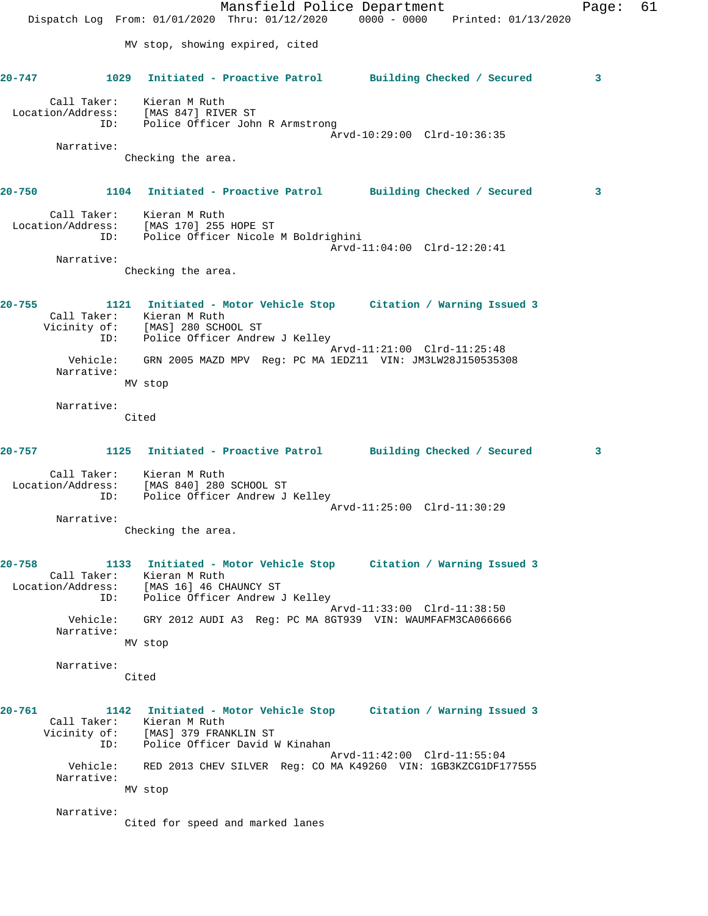Mansfield Police Department Fage: 61 Dispatch Log From: 01/01/2020 Thru: 01/12/2020 0000 - 0000 Printed: 01/13/2020 MV stop, showing expired, cited **20-747 1029 Initiated - Proactive Patrol Building Checked / Secured 3** Call Taker: Kieran M Ruth Location/Address: [MAS 847] RIVER ST ID: Police Officer John R Armstrong Arvd-10:29:00 Clrd-10:36:35 Narrative: Checking the area. **20-750 1104 Initiated - Proactive Patrol Building Checked / Secured 3** Call Taker: Kieran M Ruth Location/Address: [MAS 170] 255 HOPE ST ID: Police Officer Nicole M Boldrighini Arvd-11:04:00 Clrd-12:20:41 Narrative: Checking the area. **20-755 1121 Initiated - Motor Vehicle Stop Citation / Warning Issued 3**  Call Taker: Kieran M Ruth Vicinity of: [MAS] 280 SCHOOL ST ID: Police Officer Andrew J Kelley Arvd-11:21:00 Clrd-11:25:48 Vehicle: GRN 2005 MAZD MPV Reg: PC MA 1EDZ11 VIN: JM3LW28J150535308 Narrative: MV stop Narrative: Cited **20-757 1125 Initiated - Proactive Patrol Building Checked / Secured 3** Call Taker: Kieran M Ruth Location/Address: [MAS 840] 280 SCHOOL ST ID: Police Officer Andrew J Kelley Arvd-11:25:00 Clrd-11:30:29 Narrative: Checking the area. **20-758 1133 Initiated - Motor Vehicle Stop Citation / Warning Issued 3**  Call Taker: Kieran M Ruth Location/Address: [MAS 16] 46 CHAUNCY ST ID: Police Officer Andrew J Kelley Arvd-11:33:00 Clrd-11:38:50 Vehicle: GRY 2012 AUDI A3 Reg: PC MA 8GT939 VIN: WAUMFAFM3CA066666 Narrative: MV stop Narrative: Cited **20-761 1142 Initiated - Motor Vehicle Stop Citation / Warning Issued 3**  Call Taker: Kieran M Ruth Vicinity of: [MAS] 379 FRANKLIN ST ID: Police Officer David W Kinahan Arvd-11:42:00 Clrd-11:55:04 Vehicle: RED 2013 CHEV SILVER Reg: CO MA K49260 VIN: 1GB3KZCG1DF177555 Narrative: MV stop Narrative: Cited for speed and marked lanes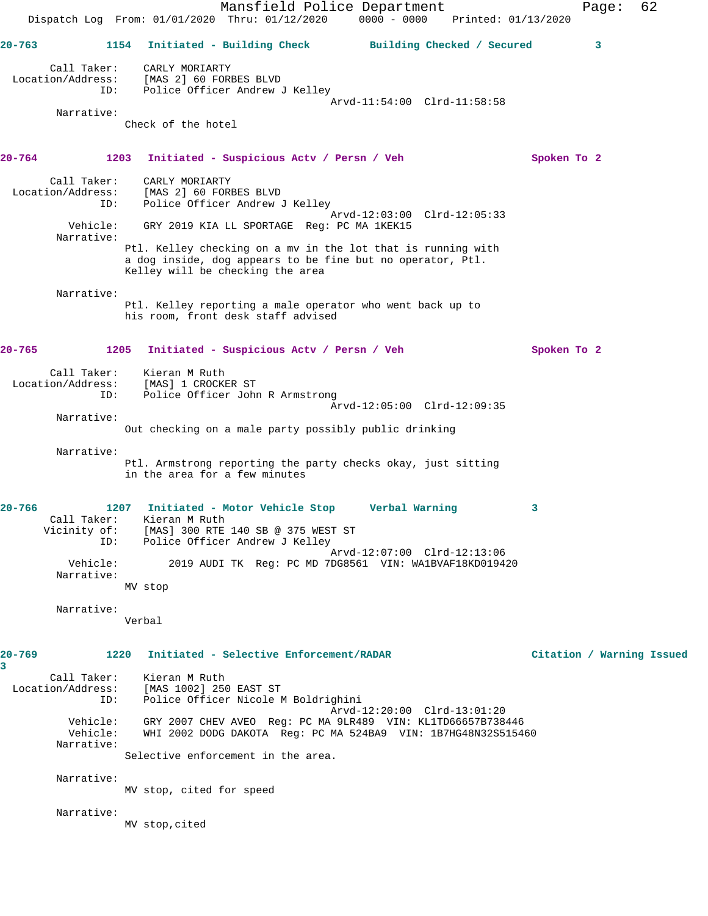Mansfield Police Department Page: 62 Dispatch Log From: 01/01/2020 Thru: 01/12/2020 0000 - 0000 Printed: 01/13/2020 **20-763 1154 Initiated - Building Check Building Checked / Secured 3** Call Taker: CARLY MORIARTY Location/Address: [MAS 2] 60 FORBES BLVD ID: Police Officer Andrew J Kelley Arvd-11:54:00 Clrd-11:58:58 Narrative: Check of the hotel **20-764 1203 Initiated - Suspicious Actv / Persn / Veh Spoken To 2** Call Taker: CARLY MORIARTY Location/Address: [MAS 2] 60 FORBES BLVD ID: Police Officer Andrew J Kelley Arvd-12:03:00 Clrd-12:05:33 Vehicle: GRY 2019 KIA LL SPORTAGE Reg: PC MA 1KEK15 Narrative: Ptl. Kelley checking on a mv in the lot that is running with a dog inside, dog appears to be fine but no operator, Ptl. Kelley will be checking the area Narrative: Ptl. Kelley reporting a male operator who went back up to his room, front desk staff advised **20-765 1205 Initiated - Suspicious Actv / Persn / Veh Spoken To 2** Call Taker: Kieran M Ruth Location/Address: [MAS] 1 CROCKER ST ID: Police Officer John R Armstrong Arvd-12:05:00 Clrd-12:09:35 Narrative: Out checking on a male party possibly public drinking Narrative: Ptl. Armstrong reporting the party checks okay, just sitting in the area for a few minutes **20-766 1207 Initiated - Motor Vehicle Stop Verbal Warning 3**  Call Taker: Kieran M Ruth Vicinity of: [MAS] 300 RTE 140 SB @ 375 WEST ST ID: Police Officer Andrew J Kelley Arvd-12:07:00 Clrd-12:13:06 Vehicle: 2019 AUDI TK Reg: PC MD 7DG8561 VIN: WA1BVAF18KD019420 Narrative: MV stop Narrative: Verbal **20-769 1220 Initiated - Selective Enforcement/RADAR Citation / Warning Issued 3**  Call Taker: Kieran M Ruth Location/Address: [MAS 1002] 250 EAST ST ID: Police Officer Nicole M Boldrighini Arvd-12:20:00 Clrd-13:01:20 Vehicle: GRY 2007 CHEV AVEO Reg: PC MA 9LR489 VIN: KL1TD66657B738446 Vehicle: WHI 2002 DODG DAKOTA Reg: PC MA 524BA9 VIN: 1B7HG48N32S515460 Narrative: Selective enforcement in the area. Narrative: MV stop, cited for speed Narrative: MV stop,cited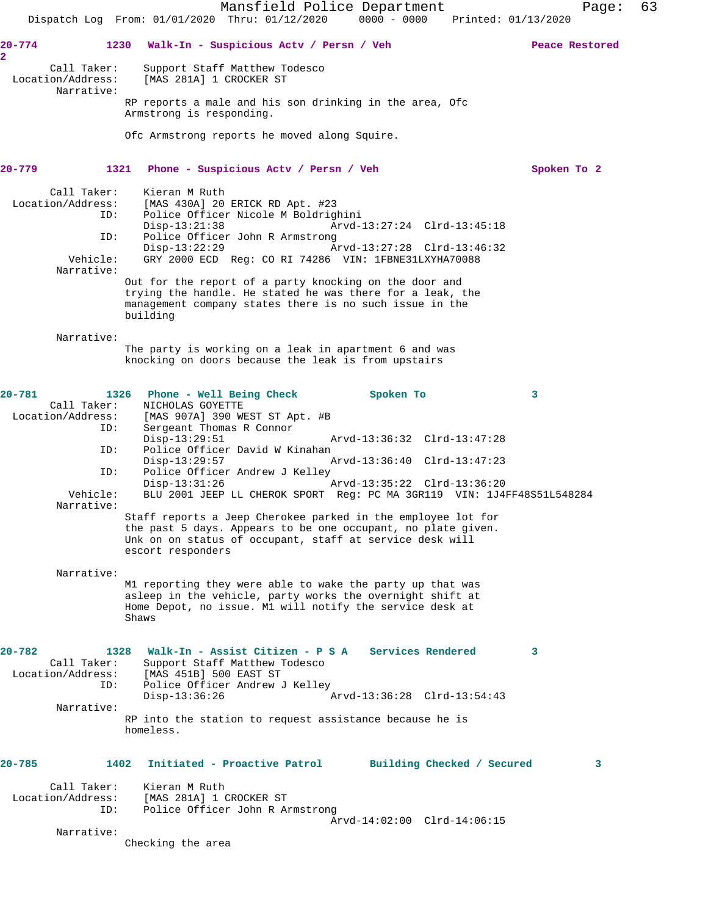Mansfield Police Department Fage: 63 Dispatch Log From: 01/01/2020 Thru: 01/12/2020 0000 - 0000 Printed: 01/13/2020 **20-774 1230 Walk-In - Suspicious Actv / Persn / Veh Peace Restored 2**  Call Taker: Support Staff Matthew Todesco<br>Location/Address: [MAS 281A] 1 CROCKER ST [MAS 281A] 1 CROCKER ST Narrative: RP reports a male and his son drinking in the area, Ofc Armstrong is responding. Ofc Armstrong reports he moved along Squire. **20-779 1321 Phone - Suspicious Actv / Persn / Veh Spoken To 2** Call Taker: Kieran M Ruth Location/Address: [MAS 430A] 20 ERICK RD Apt. #23 ID: Police Officer Nicole M Boldrighini Disp-13:21:38 Arvd-13:27:24 Clrd-13:45:18<br>ID: Police Officer John R Armstrong Police Officer John R Armstrong Disp-13:22:29 Arvd-13:27:28 Clrd-13:46:32 Vehicle: GRY 2000 ECD Reg: CO RI 74286 VIN: 1FBNE31LXYHA70088 Narrative: Out for the report of a party knocking on the door and trying the handle. He stated he was there for a leak, the management company states there is no such issue in the building Narrative: The party is working on a leak in apartment 6 and was knocking on doors because the leak is from upstairs **20-781 1326 Phone - Well Being Check Spoken To 3**  Call Taker: NICHOLAS GOYETTE Location/Address: [MAS 907A] 390 WEST ST Apt. #B Sergeant Thomas R Connor<br>Disp-13:29:51 Disp-13:29:51 Arvd-13:36:32 Clrd-13:47:28<br>ID: Police Officer David W Kinahan Police Officer David W Kinahan Disp-13:29:57 Arvd-13:36:40 Clrd-13:47:23 ID: Police Officer Andrew J Kelley<br>Disp-13:31:26 Disp-13:31:26 <br>Vehicle: BLU 2001 JEEP LL CHEROK SPORT Req: PC MA 3GR119 VIN: 1J41 Vehicle: BLU 2001 JEEP LL CHEROK SPORT Reg: PC MA 3GR119 VIN: 1J4FF48S51L548284 Narrative: Staff reports a Jeep Cherokee parked in the employee lot for the past 5 days. Appears to be one occupant, no plate given. Unk on on status of occupant, staff at service desk will escort responders Narrative: M1 reporting they were able to wake the party up that was asleep in the vehicle, party works the overnight shift at Home Depot, no issue. M1 will notify the service desk at Shaws **20-782 1328 Walk-In - Assist Citizen - P S A Services Rendered 3**  Call Taker: Support Staff Matthew Todesco Location/Address: [MAS 451B] 500 EAST ST ID: Police Officer Andrew J Kelley<br>Disp-13:36:26 Disp-13:36:26 Arvd-13:36:28 Clrd-13:54:43 Narrative: RP into the station to request assistance because he is homeless. **20-785 1402 Initiated - Proactive Patrol Building Checked / Secured 3** Call Taker: Kieran M Ruth Location/Address: [MAS 281A] 1 CROCKER ST ID: Police Officer John R Armstrong Arvd-14:02:00 Clrd-14:06:15 Narrative: Checking the area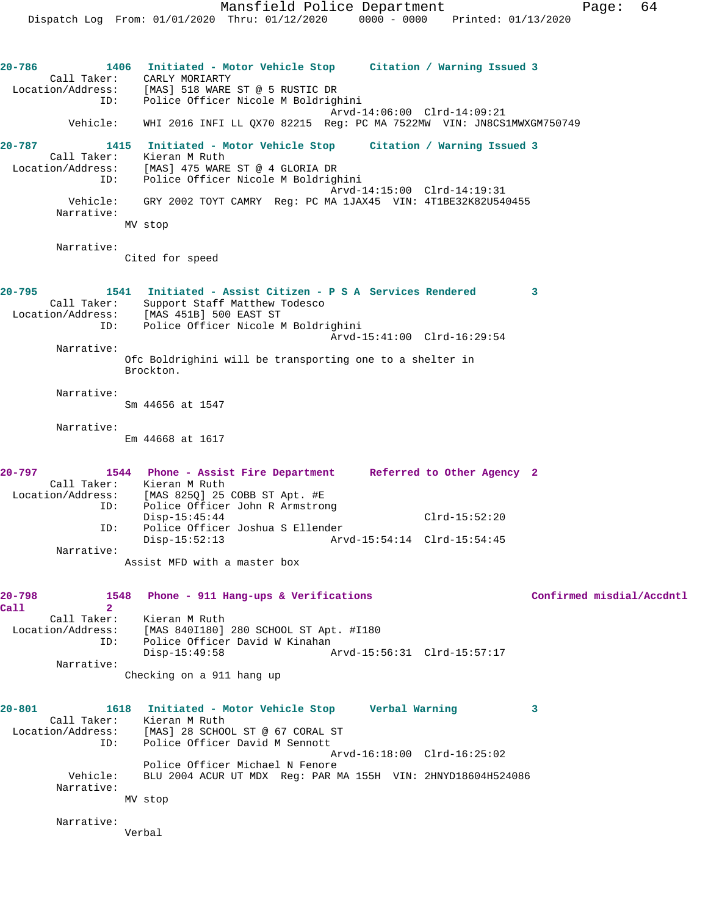**20-786 1406 Initiated - Motor Vehicle Stop Citation / Warning Issued 3**  Call Taker: CARLY MORIARTY Location/Address: [MAS] 518 WARE ST @ 5 RUSTIC DR ID: Police Officer Nicole M Boldrighini Arvd-14:06:00 Clrd-14:09:21 Vehicle: WHI 2016 INFI LL QX70 82215 Reg: PC MA 7522MW VIN: JN8CS1MWXGM750749 **20-787 1415 Initiated - Motor Vehicle Stop Citation / Warning Issued 3**  Call Taker: Kieran M Ruth Location/Address: [MAS] 475 WARE ST @ 4 GLORIA DR ID: Police Officer Nicole M Boldrighini Arvd-14:15:00 Clrd-14:19:31 Vehicle: GRY 2002 TOYT CAMRY Reg: PC MA 1JAX45 VIN: 4T1BE32K82U540455 Narrative: MV stop Narrative: Cited for speed **20-795 1541 Initiated - Assist Citizen - P S A Services Rendered 3**  Call Taker: Support Staff Matthew Todesco Location/Address: [MAS 451B] 500 EAST ST ID: Police Officer Nicole M Boldrighini Arvd-15:41:00 Clrd-16:29:54 Narrative: Ofc Boldrighini will be transporting one to a shelter in Brockton. Narrative: Sm 44656 at 1547 Narrative: Em 44668 at 1617 **20-797 1544 Phone - Assist Fire Department Referred to Other Agency 2**  Call Taker: Kieran M Ruth<br>Location/Address: [MAS 825Q] 25  $[MAS 825Q] 25 COBB ST Apt. #E$  ID: Police Officer John R Armstrong Disp-15:45:44 Clrd-15:52:20 ID: Police Officer Joshua S Ellender Disp-15:52:13 Arvd-15:54:14 Clrd-15:54:45 Narrative: Assist MFD with a master box **20-798 1548 Phone - 911 Hang-ups & Verifications Confirmed misdial/Accdntl Call 2**  Call Taker: Kieran M Ruth Location/Address: [MAS 840I180] 280 SCHOOL ST Apt. #I180 Police Officer David W Kinahan Disp-15:49:58 Arvd-15:56:31 Clrd-15:57:17 Narrative: Checking on a 911 hang up **20-801 1618 Initiated - Motor Vehicle Stop Verbal Warning 3**  Call Taker: Kieran M Ruth Location/Address: [MAS] 28 SCHOOL ST @ 67 CORAL ST<br>ID: Police Officer David M Sennott Police Officer David M Sennott Arvd-16:18:00 Clrd-16:25:02 Police Officer Michael N Fenore<br>Vehicle: BLU 2004 ACUR UT MDX Reg: PAR 1 BLU 2004 ACUR UT MDX Reg: PAR MA 155H VIN: 2HNYD18604H524086 Narrative: MV stop Narrative: Verbal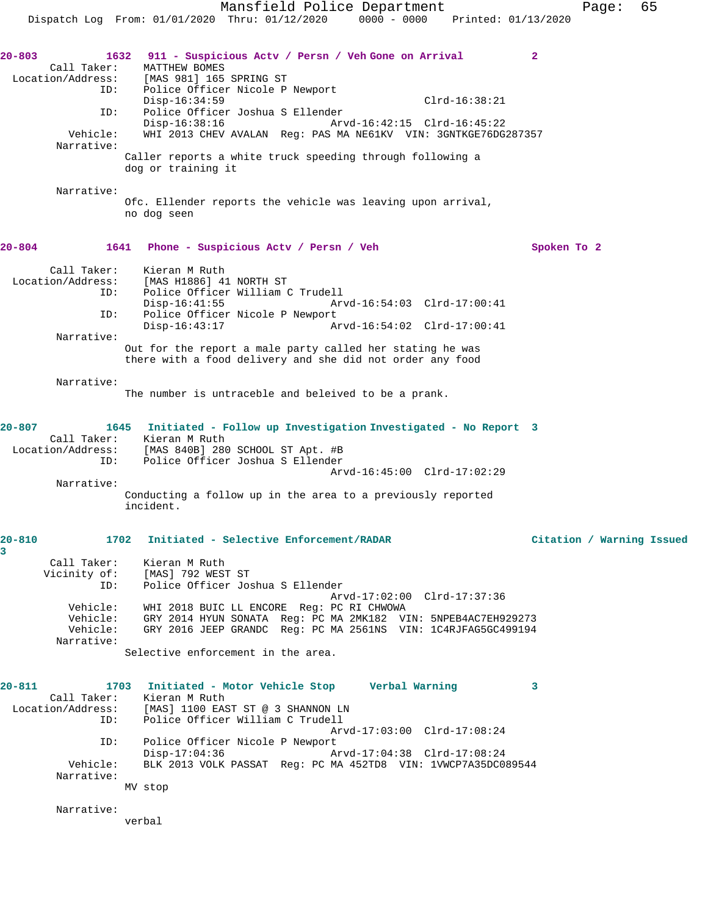|                                                                                        | Mansfield Police Department                                                                                                                                                                                                                                                                                                                                                                                                 | 65<br>Page:               |
|----------------------------------------------------------------------------------------|-----------------------------------------------------------------------------------------------------------------------------------------------------------------------------------------------------------------------------------------------------------------------------------------------------------------------------------------------------------------------------------------------------------------------------|---------------------------|
|                                                                                        | 0000 - 0000 Printed: 01/13/2020<br>Dispatch Log From: 01/01/2020 Thru: 01/12/2020                                                                                                                                                                                                                                                                                                                                           |                           |
| $20 - 803$<br>Call Taker:<br>Location/Address:<br>ID:<br>ID:<br>Vehicle:<br>Narrative: | 1632<br>911 - Suspicious Actv / Persn / Veh Gone on Arrival<br>MATTHEW BOMES<br>[MAS 981] 165 SPRING ST<br>Police Officer Nicole P Newport<br>$Disp-16:34:59$<br>$Clrd-16:38:21$<br>Police Officer Joshua S Ellender<br>$Disp-16:38:16$<br>Arvd-16:42:15 Clrd-16:45:22<br>WHI 2013 CHEV AVALAN Reg: PAS MA NE61KV VIN: 3GNTKGE76DG287357<br>Caller reports a white truck speeding through following a<br>dog or training it | $\mathbf{2}$              |
| Narrative:                                                                             | Ofc. Ellender reports the vehicle was leaving upon arrival,<br>no dog seen                                                                                                                                                                                                                                                                                                                                                  |                           |
| 20-804                                                                                 | 1641<br>Phone - Suspicious Acty / Persn / Veh                                                                                                                                                                                                                                                                                                                                                                               | Spoken To 2               |
| Call Taker:<br>Location/Address:<br>ID:<br>ID:<br>Narrative:                           | Kieran M Ruth<br>[MAS H1886] 41 NORTH ST<br>Police Officer William C Trudell<br>$Disp-16:41:55$<br>Arvd-16:54:03 Clrd-17:00:41<br>Police Officer Nicole P Newport<br>$Disp-16:43:17$<br>Arvd-16:54:02 Clrd-17:00:41<br>Out for the report a male party called her stating he was<br>there with a food delivery and she did not order any food                                                                               |                           |
| Narrative:                                                                             | The number is untraceble and beleived to be a prank.                                                                                                                                                                                                                                                                                                                                                                        |                           |
| $20 - 807$<br>Call Taker:<br>Location/Address:<br>ID:<br>Narrative:                    | 1645<br>Initiated - Follow up Investigation Investigated - No Report 3<br>Kieran M Ruth<br>[MAS 840B] 280 SCHOOL ST Apt. #B<br>Police Officer Joshua S Ellender<br>Arvd-16:45:00 Clrd-17:02:29<br>Conducting a follow up in the area to a previously reported<br>incident.                                                                                                                                                  |                           |
| $20 - 810$                                                                             | 1702 Initiated - Selective Enforcement/RADAR                                                                                                                                                                                                                                                                                                                                                                                | Citation / Warning Issued |
| 3<br>Call Taker:<br>Vicinity of:<br>ID:<br>Narrative:                                  | Kieran M Ruth<br>[MAS] 792 WEST ST<br>Police Officer Joshua S Ellender<br>Arvd-17:02:00 Clrd-17:37:36<br>Vehicle: WHI 2018 BUIC LL ENCORE Reg: PC RI CHWOWA<br>Vehicle: GRY 2014 HYUN SONATA Reg: PC MA 2MK182 VIN: 5NPEB4AC7EH929273<br>Vehicle: GRY 2016 JEEP GRANDC Reg: PC MA 2561NS VIN: 1C4RJFAG5GC499194<br>Selective enforcement in the area.                                                                       |                           |
| $20 - 811$<br>ID:<br>ID:<br>Vehicle:                                                   | 1703 Initiated - Motor Vehicle Stop Verbal Warning<br>Call Taker: Kieran M Ruth<br>Location/Address: [MAS] 1100 EAST ST @ 3 SHANNON LN<br>Police Officer William C Trudell<br>Arvd-17:03:00 Clrd-17:08:24<br>Police Officer Nicole P Newport<br>Disp-17:04:36<br>Arvd-17:04:38 Clrd-17:08:24<br>BLK 2013 VOLK PASSAT Req: PC MA 452TD8 VIN: 1VWCP7A35DC089544                                                               | 3                         |
| Narrative:<br>Narrative:                                                               | MV stop                                                                                                                                                                                                                                                                                                                                                                                                                     |                           |
|                                                                                        | verbal                                                                                                                                                                                                                                                                                                                                                                                                                      |                           |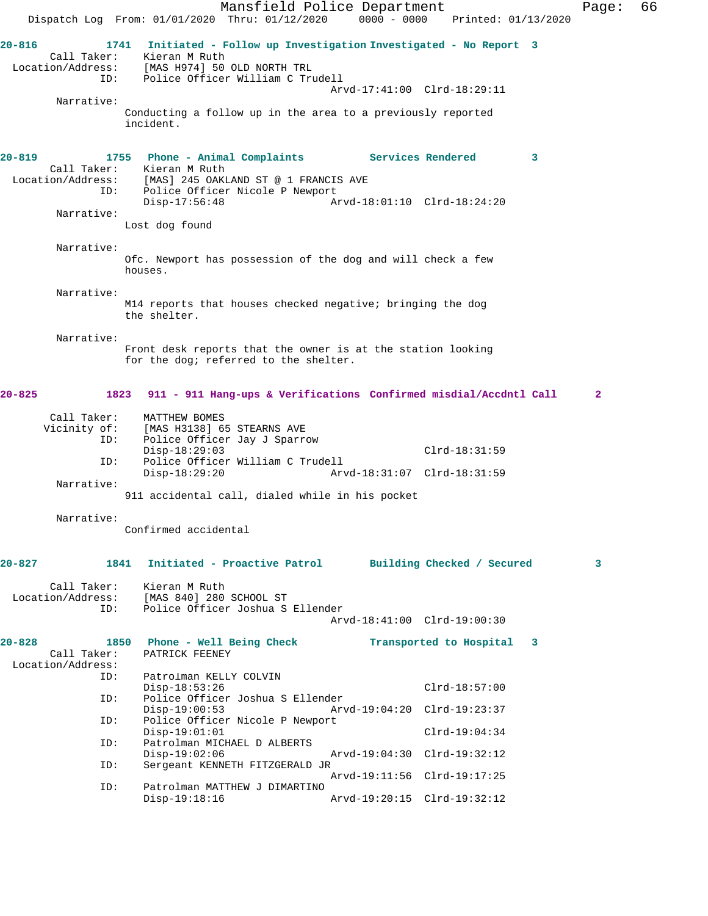|                                                       | Dispatch Log From: 01/01/2020 Thru: 01/12/2020                                                                                                                  | Mansfield Police Department                                       | $0000 - 0000$               |                         | Printed: 01/13/2020 | Page:        | 66 |
|-------------------------------------------------------|-----------------------------------------------------------------------------------------------------------------------------------------------------------------|-------------------------------------------------------------------|-----------------------------|-------------------------|---------------------|--------------|----|
| $20 - 816$<br>Call Taker:<br>Location/Address:<br>ID: | 1741<br>Kieran M Ruth<br>[MAS H974] 50 OLD NORTH TRL<br>Police Officer William C Trudell                                                                        | Initiated - Follow up Investigation Investigated - No Report 3    | Arvd-17:41:00 Clrd-18:29:11 |                         |                     |              |    |
| Narrative:                                            | Conducting a follow up in the area to a previously reported<br>incident.                                                                                        |                                                                   |                             |                         |                     |              |    |
| $20 - 819$<br>Call Taker:<br>Location/Address:<br>ID: | 1755 Phone - Animal Complaints Services Rendered<br>Kieran M Ruth<br>[MAS] 245 OAKLAND ST @ 1 FRANCIS AVE<br>Police Officer Nicole P Newport<br>$Disp-17:56:48$ |                                                                   | Arvd-18:01:10 Clrd-18:24:20 |                         | 3                   |              |    |
| Narrative:                                            | Lost dog found                                                                                                                                                  |                                                                   |                             |                         |                     |              |    |
| Narrative:                                            | Ofc. Newport has possession of the dog and will check a few<br>houses.                                                                                          |                                                                   |                             |                         |                     |              |    |
| Narrative:                                            | M14 reports that houses checked negative; bringing the dog<br>the shelter.                                                                                      |                                                                   |                             |                         |                     |              |    |
| Narrative:                                            | Front desk reports that the owner is at the station looking<br>for the dog; referred to the shelter.                                                            |                                                                   |                             |                         |                     |              |    |
| $20 - 825$                                            | 1823                                                                                                                                                            | 911 - 911 Hang-ups & Verifications Confirmed misdial/Accdntl Call |                             |                         |                     | $\mathbf{2}$ |    |
| Call Taker:<br>Vicinity of:<br>ID:<br>ID:             | MATTHEW BOMES<br>[MAS H3138] 65 STEARNS AVE<br>Police Officer Jay J Sparrow<br>$Disp-18:29:03$<br>Police Officer William C Trudell                              |                                                                   |                             | $Clrd-18:31:59$         |                     |              |    |
| Narrative:                                            | $Disp-18:29:20$                                                                                                                                                 |                                                                   | Arvd-18:31:07 Clrd-18:31:59 |                         |                     |              |    |
| Narrative:                                            | 911 accidental call, dialed while in his pocket                                                                                                                 |                                                                   |                             |                         |                     |              |    |
|                                                       | Confirmed accidental                                                                                                                                            |                                                                   |                             |                         |                     |              |    |
| $20 - 827$                                            | 1841                                                                                                                                                            | Initiated - Proactive Patrol                                      | Building Checked / Secured  |                         |                     | 3            |    |
| Call Taker:<br>Location/Address:<br>ID:               | Kieran M Ruth<br>[MAS 840] 280 SCHOOL ST<br>Police Officer Joshua S Ellender                                                                                    |                                                                   | Arvd-18:41:00 Clrd-19:00:30 |                         |                     |              |    |
| $20 - 828$<br>Call Taker:<br>Location/Address:        | 1850<br>PATRICK FEENEY                                                                                                                                          | Phone - Well Being Check                                          |                             | Transported to Hospital | 3                   |              |    |
| ID:                                                   | Patrolman KELLY COLVIN<br>$Disp-18:53:26$                                                                                                                       |                                                                   |                             | $Clrd-18:57:00$         |                     |              |    |
| ID:<br>ID:                                            | Police Officer Joshua S Ellender<br>$Disp-19:00:53$<br>Police Officer Nicole P Newport                                                                          |                                                                   | Arvd-19:04:20 Clrd-19:23:37 |                         |                     |              |    |
| ID:                                                   | $Disp-19:01:01$<br>Patrolman MICHAEL D ALBERTS                                                                                                                  |                                                                   |                             | $Clrd-19:04:34$         |                     |              |    |
| ID:                                                   | $Disp-19:02:06$<br>Sergeant KENNETH FITZGERALD JR                                                                                                               |                                                                   | Arvd-19:04:30 Clrd-19:32:12 |                         |                     |              |    |
| ID:                                                   | Patrolman MATTHEW J DIMARTINO                                                                                                                                   |                                                                   | Arvd-19:11:56 Clrd-19:17:25 |                         |                     |              |    |
|                                                       | $Disp-19:18:16$                                                                                                                                                 |                                                                   | Arvd-19:20:15 Clrd-19:32:12 |                         |                     |              |    |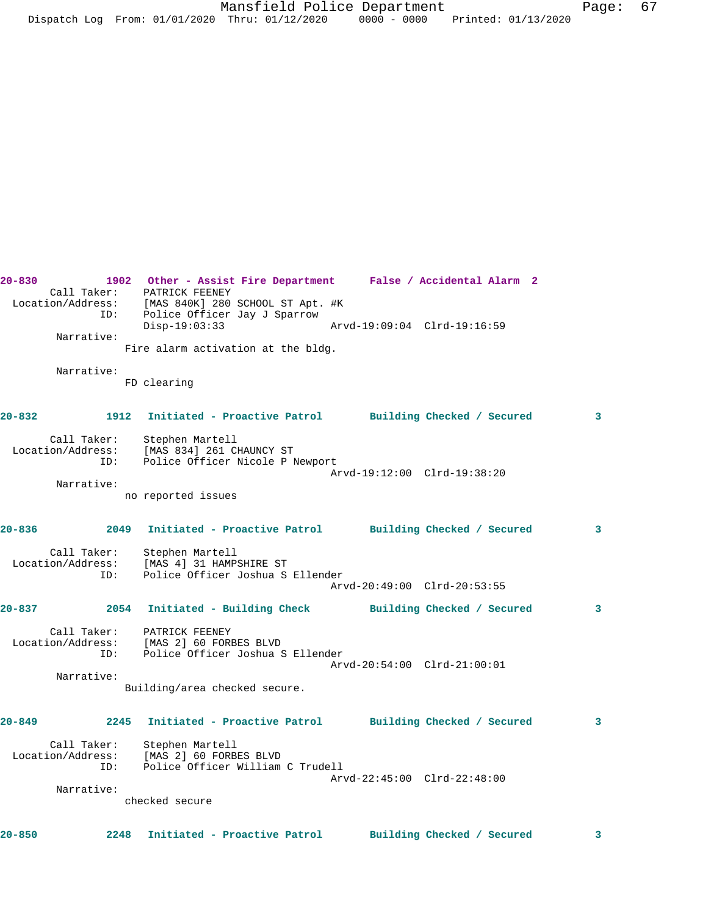Call Taker: PATRICK FEENEY Location/Address: [MAS 840K] 280 SCHOOL ST Apt. #K ID: Police Officer Jay J Sparrow Disp-19:03:33 Arvd-19:09:04 Clrd-19:16:59 Narrative: Fire alarm activation at the bldg. Narrative: FD clearing **20-832 1912 Initiated - Proactive Patrol Building Checked / Secured 3** Call Taker: Stephen Martell Location/Address: [MAS 834] 261 CHAUNCY ST ID: Police Officer Nicole P Newport Arvd-19:12:00 Clrd-19:38:20 Narrative: no reported issues **20-836 2049 Initiated - Proactive Patrol Building Checked / Secured 3** Call Taker: Stephen Martell Location/Address: [MAS 4] 31 HAMPSHIRE ST ID: Police Officer Joshua S Ellender Arvd-20:49:00 Clrd-20:53:55 **20-837 2054 Initiated - Building Check Building Checked / Secured 3** Call Taker: PATRICK FEENEY Location/Address: [MAS 2] 60 FORBES BLVD ID: Police Officer Joshua S Ellender Arvd-20:54:00 Clrd-21:00:01 Narrative: Building/area checked secure. **20-849 2245 Initiated - Proactive Patrol Building Checked / Secured 3** Call Taker: Stephen Martell Location/Address: [MAS 2] 60 FORBES BLVD ID: Police Officer William C Trudell Arvd-22:45:00 Clrd-22:48:00 Narrative: checked secure **20-850 2248 Initiated - Proactive Patrol Building Checked / Secured 3**

**20-830 1902 Other - Assist Fire Department False / Accidental Alarm 2**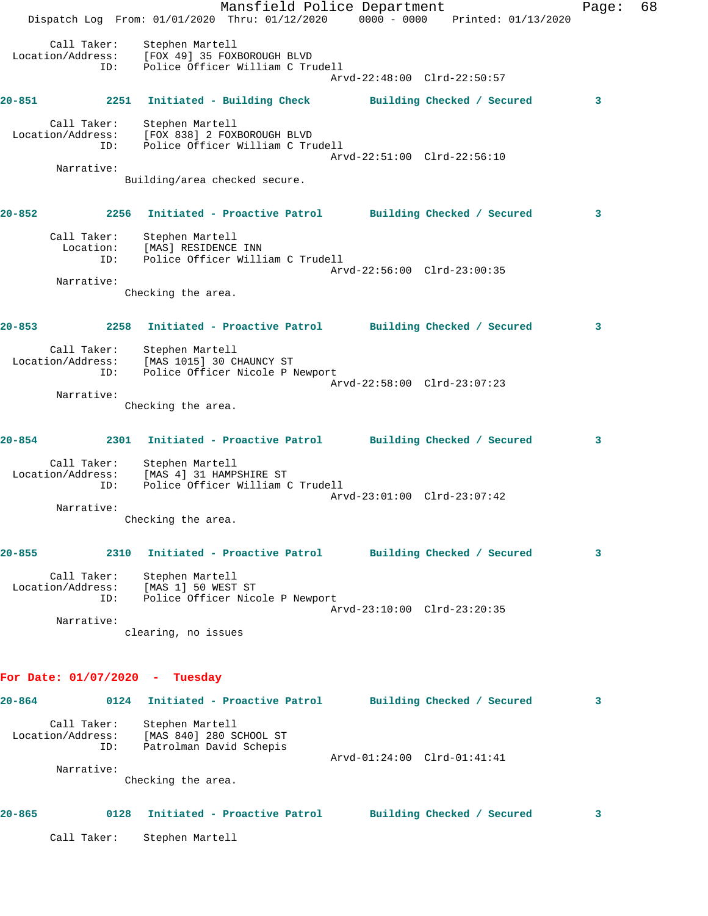|            |                                         | Dispatch Log From: 01/01/2020 Thru: 01/12/2020 0000 - 0000 Printed: 01/13/2020                                                           | Mansfield Police Department |                             |  | Page: | 68 |
|------------|-----------------------------------------|------------------------------------------------------------------------------------------------------------------------------------------|-----------------------------|-----------------------------|--|-------|----|
|            | Call Taker:<br>ID:                      | Stephen Martell<br>Location/Address: [FOX 49] 35 FOXBOROUGH BLVD<br>ID: Police Officer William C Tru<br>Police Officer William C Trudell |                             | Arvd-22:48:00 Clrd-22:50:57 |  |       |    |
|            |                                         | 20-851 2251 Initiated - Building Check Building Checked / Secured                                                                        |                             |                             |  | 3     |    |
|            | Call Taker:<br>ID:                      | Stephen Martell<br>Location/Address: [FOX 838] 2 FOXBOROUGH BLVD<br>Police Officer William C Trudell                                     |                             | Arvd-22:51:00 Clrd-22:56:10 |  |       |    |
|            | Narrative:                              | Building/area checked secure.                                                                                                            |                             |                             |  |       |    |
| $20 - 852$ |                                         | 2256 Initiated - Proactive Patrol Building Checked / Secured                                                                             |                             |                             |  | 3     |    |
|            | ID:                                     | Call Taker: Stephen Martell<br>Location: [MAS] RESIDENCE INN<br>Police Officer William C Trudell                                         |                             |                             |  |       |    |
|            | Narrative:                              |                                                                                                                                          |                             | Arvd-22:56:00 Clrd-23:00:35 |  |       |    |
|            |                                         | Checking the area.                                                                                                                       |                             |                             |  |       |    |
| $20 - 853$ |                                         | 2258 Initiated - Proactive Patrol Building Checked / Secured                                                                             |                             |                             |  | 3     |    |
|            | Call Taker:<br>Location/Address:<br>ID: | Stephen Martell<br>[MAS 1015] 30 CHAUNCY ST<br>Police Officer Nicole P Newport                                                           |                             |                             |  |       |    |
|            | Narrative:                              |                                                                                                                                          |                             | Arvd-22:58:00 Clrd-23:07:23 |  |       |    |
|            |                                         | Checking the area.                                                                                                                       |                             |                             |  |       |    |
| 20-854     |                                         | 2301 Initiated - Proactive Patrol Building Checked / Secured                                                                             |                             |                             |  | 3     |    |
|            | ID:                                     | Call Taker: Stephen Martell<br>Location/Address: [MAS 4] 31 HAMPSHIRE ST<br>Police Officer William C Trudell                             |                             |                             |  |       |    |
|            | Narrative:                              |                                                                                                                                          |                             | Arvd-23:01:00 Clrd-23:07:42 |  |       |    |
|            |                                         | Checking the area.                                                                                                                       |                             |                             |  |       |    |
| $20 - 855$ |                                         | 2310 Initiated - Proactive Patrol Building Checked / Secured                                                                             |                             |                             |  | 3     |    |
|            | ID:                                     | Call Taker: Stephen Martell<br>Location/Address: [MAS 1] 50 WEST ST<br>Police Officer Nicole P Newport                                   |                             |                             |  |       |    |
|            | Narrative:                              |                                                                                                                                          |                             | Arvd-23:10:00 Clrd-23:20:35 |  |       |    |
|            |                                         | clearing, no issues                                                                                                                      |                             |                             |  |       |    |
|            | For Date: $01/07/2020$ - Tuesday        |                                                                                                                                          |                             |                             |  |       |    |
|            |                                         | 20-864 		 0124 Initiated - Proactive Patrol 		 Building Checked / Secured                                                                |                             |                             |  | 3     |    |
|            | Call Taker:<br>ID:                      | Stephen Martell<br>Location/Address: [MAS 840] 280 SCHOOL ST<br>Patrolman David Schepis                                                  |                             |                             |  |       |    |
|            | Narrative:                              |                                                                                                                                          |                             | Arvd-01:24:00 Clrd-01:41:41 |  |       |    |
|            |                                         | Checking the area.                                                                                                                       |                             |                             |  |       |    |
| $20 - 865$ |                                         | 0128 Initiated - Proactive Patrol Building Checked / Secured                                                                             |                             |                             |  | 3     |    |
|            | Call Taker:                             | Stephen Martell                                                                                                                          |                             |                             |  |       |    |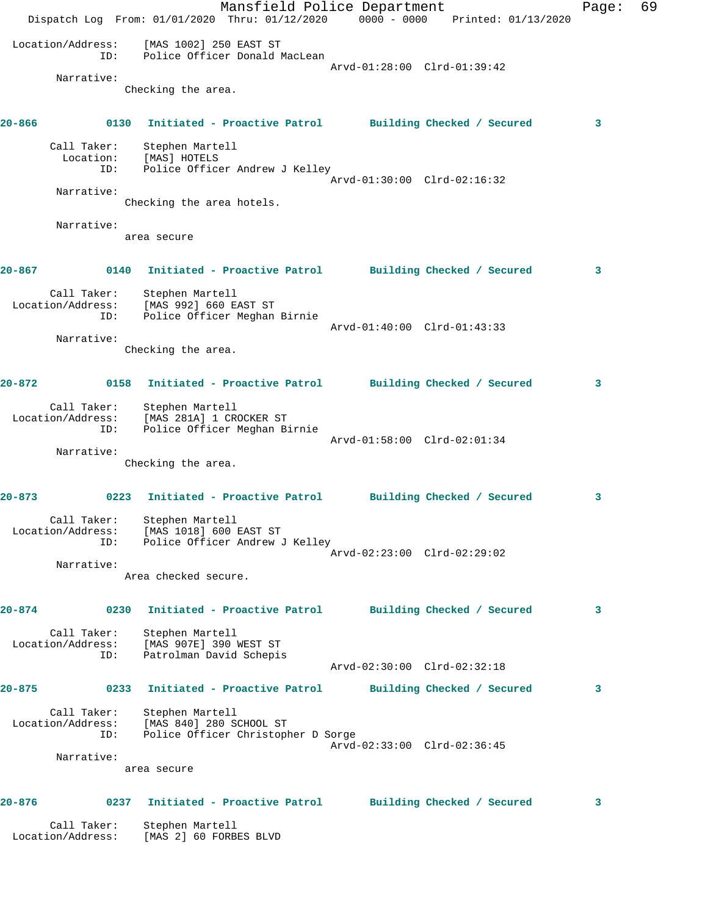Mansfield Police Department Fage: 69 Dispatch Log From: 01/01/2020 Thru: 01/12/2020 0000 - 0000 Printed: 01/13/2020 Location/Address: [MAS 1002] 250 EAST ST ID: Police Officer Donald MacLean Arvd-01:28:00 Clrd-01:39:42 Narrative: Checking the area. **20-866 0130 Initiated - Proactive Patrol Building Checked / Secured 3** Call Taker: Stephen Martell Location: [MAS] HOTELS ID: Police Officer Andrew J Kelley Arvd-01:30:00 Clrd-02:16:32 Narrative: Checking the area hotels. Narrative: area secure **20-867 0140 Initiated - Proactive Patrol Building Checked / Secured 3** Call Taker: Stephen Martell Location/Address: [MAS 992] 660 EAST ST ID: Police Officer Meghan Birnie Arvd-01:40:00 Clrd-01:43:33 Narrative: Checking the area. **20-872 0158 Initiated - Proactive Patrol Building Checked / Secured 3** Call Taker: Stephen Martell Location/Address: [MAS 281A] 1 CROCKER ST ID: Police Officer Meghan Birnie Arvd-01:58:00 Clrd-02:01:34 Narrative: Checking the area. **20-873 0223 Initiated - Proactive Patrol Building Checked / Secured 3** Call Taker: Stephen Martell Location/Address: [MAS 1018] 600 EAST ST ID: Police Officer Andrew J Kelley Arvd-02:23:00 Clrd-02:29:02 Narrative: Area checked secure. **20-874 0230 Initiated - Proactive Patrol Building Checked / Secured 3** Call Taker: Stephen Martell Location/Address: [MAS 907E] 390 WEST ST ID: Patrolman David Schepis Arvd-02:30:00 Clrd-02:32:18 **20-875 0233 Initiated - Proactive Patrol Building Checked / Secured 3** Call Taker: Stephen Martell Location/Address: [MAS 840] 280 SCHOOL ST ID: Police Officer Christopher D Sorge Arvd-02:33:00 Clrd-02:36:45 Narrative: area secure **20-876 0237 Initiated - Proactive Patrol Building Checked / Secured 3** Call Taker: Stephen Martell Location/Address: [MAS 2] 60 FORBES BLVD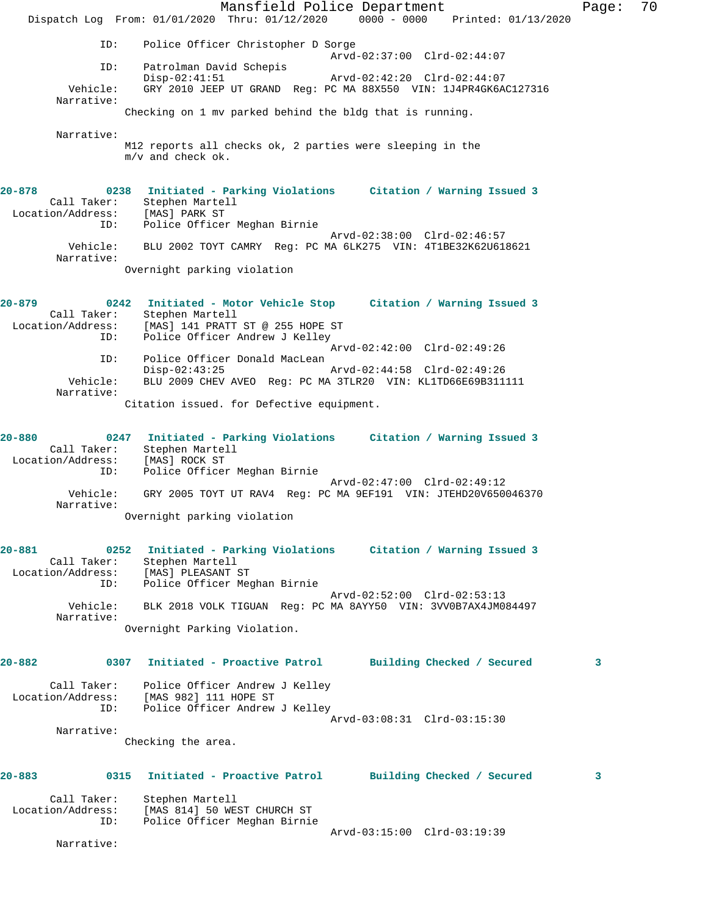Mansfield Police Department Page: 70 Dispatch Log From: 01/01/2020 Thru: 01/12/2020 0000 - 0000 Printed: 01/13/2020 ID: Police Officer Christopher D Sorge Arvd-02:37:00 Clrd-02:44:07 ID: Patrolman David Schepis Disp-02:41:51 Arvd-02:42:20 Clrd-02:44:07 Vehicle: GRY 2010 JEEP UT GRAND Reg: PC MA 88X550 VIN: 1J4PR4GK6AC127316 Narrative: Checking on 1 mv parked behind the bldg that is running. Narrative: M12 reports all checks ok, 2 parties were sleeping in the m/v and check ok. **20-878 0238 Initiated - Parking Violations Citation / Warning Issued 3**  Call Taker: Stephen Martell Location/Address: [MAS] PARK ST ID: Police Officer Meghan Birnie Arvd-02:38:00 Clrd-02:46:57 Vehicle: BLU 2002 TOYT CAMRY Reg: PC MA 6LK275 VIN: 4T1BE32K62U618621 Narrative: Overnight parking violation **20-879 0242 Initiated - Motor Vehicle Stop Citation / Warning Issued 3**  Call Taker: Stephen Martell Location/Address: [MAS] 141 PRATT ST @ 255 HOPE ST ID: Police Officer Andrew J Kelley Arvd-02:42:00 Clrd-02:49:26 ID: Police Officer Donald MacLean Disp-02:43:25 Arvd-02:44:58 Clrd-02:49:26 Vehicle: BLU 2009 CHEV AVEO Reg: PC MA 3TLR20 VIN: KL1TD66E69B311111 Narrative: Citation issued. for Defective equipment. **20-880 0247 Initiated - Parking Violations Citation / Warning Issued 3**  Call Taker: Stephen Martell Location/Address: [MAS] ROCK ST ID: Police Officer Meghan Birnie Arvd-02:47:00 Clrd-02:49:12 Vehicle: GRY 2005 TOYT UT RAV4 Reg: PC MA 9EF191 VIN: JTEHD20V650046370 Narrative: Overnight parking violation **20-881 0252 Initiated - Parking Violations Citation / Warning Issued 3**  Call Taker: Stephen Martell Location/Address: [MAS] PLEASANT ST ID: Police Officer Meghan Birnie Arvd-02:52:00 Clrd-02:53:13 Vehicle: BLK 2018 VOLK TIGUAN Reg: PC MA 8AYY50 VIN: 3VV0B7AX4JM084497 Narrative: Overnight Parking Violation. **20-882 0307 Initiated - Proactive Patrol Building Checked / Secured 3** Call Taker: Police Officer Andrew J Kelley Location/Address: [MAS 982] 111 HOPE ST ID: Police Officer Andrew J Kelley Arvd-03:08:31 Clrd-03:15:30 Narrative: Checking the area. **20-883 0315 Initiated - Proactive Patrol Building Checked / Secured 3** Call Taker: Stephen Martell Location/Address: [MAS 814] 50 WEST CHURCH ST ID: Police Officer Meghan Birnie Arvd-03:15:00 Clrd-03:19:39 Narrative: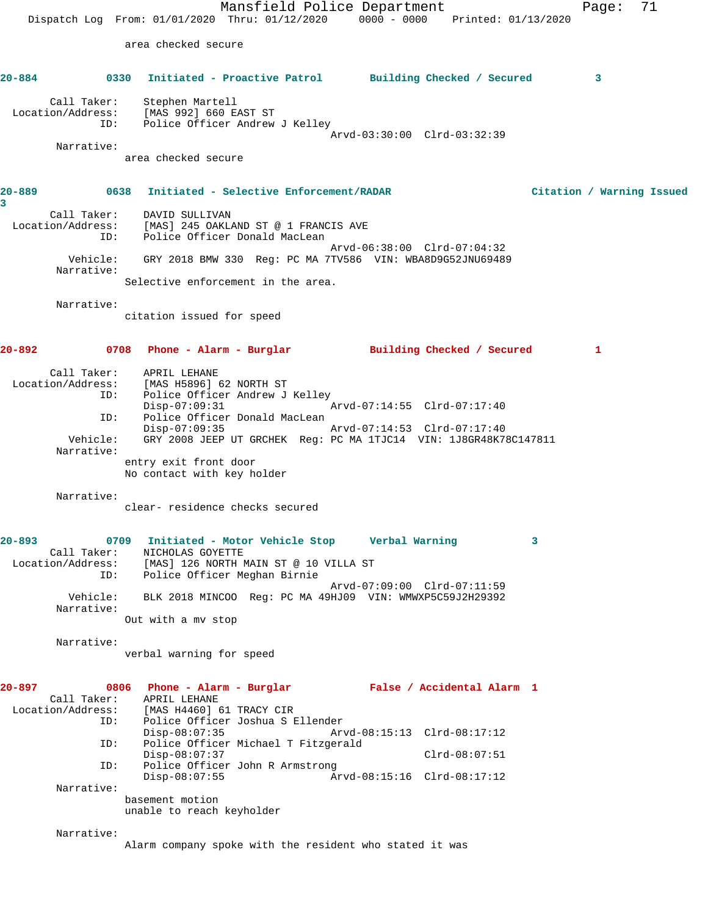Mansfield Police Department Page: 71 Dispatch Log From: 01/01/2020 Thru: 01/12/2020 0000 - 0000 Printed: 01/13/2020 area checked secure **20-884 0330 Initiated - Proactive Patrol Building Checked / Secured 3** Call Taker: Stephen Martell Location/Address: [MAS 992] 660 EAST ST ID: Police Officer Andrew J Kelley Arvd-03:30:00 Clrd-03:32:39 Narrative: area checked secure **20-889 0638 Initiated - Selective Enforcement/RADAR Citation / Warning Issued 3**  Call Taker: DAVID SULLIVAN Location/Address: [MAS] 245 OAKLAND ST @ 1 FRANCIS AVE ID: Police Officer Donald MacLean Arvd-06:38:00 Clrd-07:04:32 Vehicle: GRY 2018 BMW 330 Reg: PC MA 7TV586 VIN: WBA8D9G52JNU69489 Narrative: Selective enforcement in the area. Narrative: citation issued for speed **20-892 0708 Phone - Alarm - Burglar Building Checked / Secured 1** Call Taker: APRIL LEHANE Location/Address: [MAS H5896] 62 NORTH ST ID: Police Officer Andrew J Kelley Disp-07:09:31 Arvd-07:14:55 Clrd-07:17:40 ID: Police Officer Donald MacLean Disp-07:09:35 Arvd-07:14:53 Clrd-07:17:40 Vehicle: GRY 2008 JEEP UT GRCHEK Reg: PC MA 1TJC14 VIN: 1J8GR48K78C147811 Narrative: entry exit front door No contact with key holder Narrative: clear- residence checks secured **20-893 0709 Initiated - Motor Vehicle Stop Verbal Warning 3**  Call Taker: NICHOLAS GOYETTE Location/Address: [MAS] 126 NORTH MAIN ST @ 10 VILLA ST ID: Police Officer Meghan Birnie Arvd-07:09:00 Clrd-07:11:59 Vehicle: BLK 2018 MINCOO Reg: PC MA 49HJ09 VIN: WMWXP5C59J2H29392 Narrative: Out with a mv stop Narrative: verbal warning for speed **20-897 0806 Phone - Alarm - Burglar False / Accidental Alarm 1**  Call Taker: APRIL LEHANE Location/Address: [MAS H4460] 61 TRACY CIR ID: Police Officer Joshua S Ellender Disp-08:07:35 Arvd-08:15:13 Clrd-08:17:12<br>TD: Police Officer Michael T Fitzgerald Police Officer Michael T Fitzgerald Disp-08:07:37 Clrd-08:07:51 ID: Police Officer John R Armstrong Disp-08:07:55 Arvd-08:15:16 Clrd-08:17:12 Narrative: basement motion unable to reach keyholder Narrative: Alarm company spoke with the resident who stated it was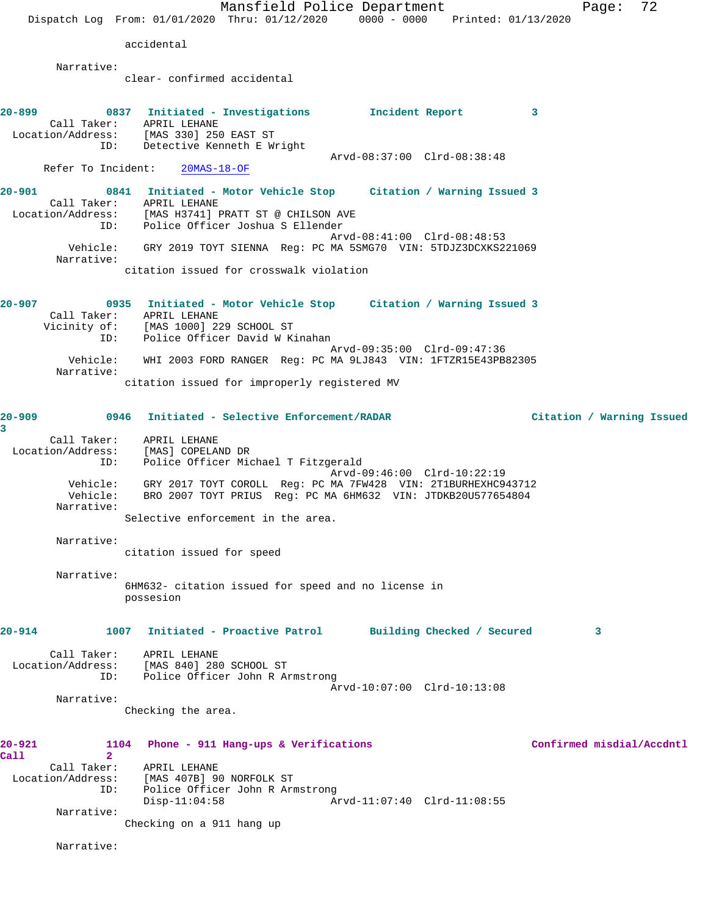|                                                                      | Mansfield Police Department<br>0000 - 0000 Printed: 01/13/2020<br>Dispatch Log From: 01/01/2020 Thru: 01/12/2020                                                                        | 72<br>Page:               |
|----------------------------------------------------------------------|-----------------------------------------------------------------------------------------------------------------------------------------------------------------------------------------|---------------------------|
|                                                                      | accidental                                                                                                                                                                              |                           |
| Narrative:                                                           |                                                                                                                                                                                         |                           |
|                                                                      | clear- confirmed accidental                                                                                                                                                             |                           |
| 20-899                                                               | 0837 Initiated - Investigations 1ncident Report<br>3<br>Call Taker: APRIL LEHANE<br>Location/Address: [MAS 330] 250 EAST ST<br>ID: Detective Kenneth E Wright                           |                           |
| Refer To Incident:                                                   | Arvd-08:37:00 Clrd-08:38:48<br>$20MAS-18-OF$                                                                                                                                            |                           |
| $20 - 901$<br>ID:                                                    | 0841 Initiated - Motor Vehicle Stop Citation / Warning Issued 3<br>Call Taker: APRIL LEHANE<br>Location/Address: [MAS H3741] PRATT ST @ CHILSON AVE<br>Police Officer Joshua S Ellender |                           |
| Narrative:                                                           | Arvd-08:41:00 Clrd-08:48:53<br>Vehicle: GRY 2019 TOYT SIENNA Req: PC MA 5SMG70 VIN: 5TDJZ3DCXKS221069<br>citation issued for crosswalk violation                                        |                           |
| $20 - 907$<br>ID:                                                    | 0935 Initiated - Motor Vehicle Stop Citation / Warning Issued 3<br>Call Taker: APRIL LEHANE<br>Vicinity of: [MAS 1000] 229 SCHOOL ST<br>Police Officer David W Kinahan                  |                           |
| Vehicle:<br>Narrative:                                               | Arvd-09:35:00 Clrd-09:47:36<br>WHI 2003 FORD RANGER Reg: PC MA 9LJ843 VIN: 1FTZR15E43PB82305<br>citation issued for improperly registered MV                                            |                           |
|                                                                      |                                                                                                                                                                                         |                           |
| 20-909<br>3                                                          | 0946<br>Initiated - Selective Enforcement/RADAR<br>Call Taker: APRIL LEHANE                                                                                                             | Citation / Warning Issued |
| Location/Address:<br>ID:                                             | [MAS] COPELAND DR<br>Police Officer Michael T Fitzgerald<br>Arvd-09:46:00 Clrd-10:22:19<br>Vehicle: GRY 2017 TOYT COROLL Reg: PC MA 7FW428 VIN: 2T1BURHEXHC943712                       |                           |
| Vehicle:<br>Narrative:                                               | BRO 2007 TOYT PRIUS Reg: PC MA 6HM632 VIN: JTDKB20U577654804<br>Selective enforcement in the area.                                                                                      |                           |
| Narrative:                                                           | citation issued for speed                                                                                                                                                               |                           |
| Narrative:                                                           | 6HM632- citation issued for speed and no license in<br>possesion                                                                                                                        |                           |
| 20-914                                                               | Initiated - Proactive Patrol Building Checked / Secured<br>1007                                                                                                                         | 3                         |
| ID:                                                                  | Call Taker: APRIL LEHANE<br>Location/Address: [MAS 840] 280 SCHOOL ST<br>Police Officer John R Armstrong<br>Arvd-10:07:00 Clrd-10:13:08                                                 |                           |
| Narrative:                                                           | Checking the area.                                                                                                                                                                      |                           |
| 20-921<br>$\overline{2}$<br>Call<br>Call Taker:<br>Location/Address: | 1104<br>Phone - 911 Hang-ups & Verifications<br>APRIL LEHANE<br>[MAS 407B] 90 NORFOLK ST                                                                                                | Confirmed misdial/Accdntl |
| ID:                                                                  | Police Officer John R Armstrong<br>$Disp-11:04:58$<br>Arvd-11:07:40 Clrd-11:08:55                                                                                                       |                           |
| Narrative:                                                           | Checking on a 911 hang up                                                                                                                                                               |                           |
| Narrative:                                                           |                                                                                                                                                                                         |                           |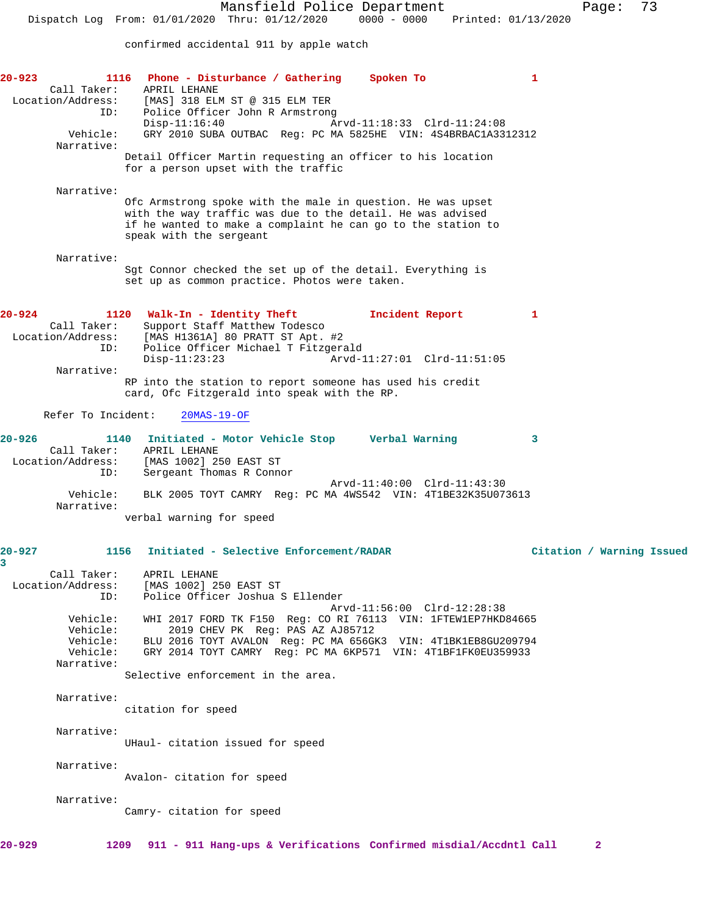confirmed accidental 911 by apple watch

| 20-923                    | 1116 Phone - Disturbance / Gathering<br>Spoken To                                                           | 1                         |
|---------------------------|-------------------------------------------------------------------------------------------------------------|---------------------------|
| Call Taker:               | APRIL LEHANE<br>Location/Address: [MAS] 318 ELM ST @ 315 ELM TER                                            |                           |
| ID:                       | Police Officer John R Armstrong                                                                             |                           |
|                           | Arvd-11:18:33 Clrd-11:24:08<br>$Disp-11:16:40$                                                              |                           |
| Vehicle:<br>Narrative:    | GRY 2010 SUBA OUTBAC Req: PC MA 5825HE VIN: 4S4BRBAC1A3312312                                               |                           |
|                           | Detail Officer Martin requesting an officer to his location                                                 |                           |
|                           | for a person upset with the traffic                                                                         |                           |
| Narrative:                |                                                                                                             |                           |
|                           | Ofc Armstrong spoke with the male in question. He was upset                                                 |                           |
|                           | with the way traffic was due to the detail. He was advised                                                  |                           |
|                           | if he wanted to make a complaint he can go to the station to<br>speak with the sergeant                     |                           |
|                           |                                                                                                             |                           |
| Narrative:                |                                                                                                             |                           |
|                           | Sgt Connor checked the set up of the detail. Everything is<br>set up as common practice. Photos were taken. |                           |
|                           |                                                                                                             |                           |
| 20-924                    | 1120 Walk-In - Identity Theft<br>Incident Report                                                            | 1                         |
| Call Taker:               | Support Staff Matthew Todesco                                                                               |                           |
|                           | Location/Address: [MAS H1361A] 80 PRATT ST Apt. #2<br>ID: Police Officer Michael T Fitzger                  |                           |
| ID:                       | Police Officer Michael T Fitzgerald<br>Arvd-11:27:01 Clrd-11:51:05<br>$Disp-11:23:23$                       |                           |
| Narrative:                |                                                                                                             |                           |
|                           | RP into the station to report someone has used his credit                                                   |                           |
|                           | card, Ofc Fitzgerald into speak with the RP.                                                                |                           |
| Refer To Incident:        | $20MAS-19-OF$                                                                                               |                           |
|                           |                                                                                                             |                           |
| $20 - 926$<br>Call Taker: | 1140 Initiated - Motor Vehicle Stop Verbal Warning<br>APRIL LEHANE                                          | 3                         |
| Location/Address:         | [MAS 1002] 250 EAST ST                                                                                      |                           |
| ID:                       | Sergeant Thomas R Connor<br>Arvd-11:40:00 Clrd-11:43:30                                                     |                           |
| Vehicle:                  | BLK 2005 TOYT CAMRY Reg: PC MA 4WS542 VIN: 4T1BE32K35U073613                                                |                           |
| Narrative:                |                                                                                                             |                           |
|                           | verbal warning for speed                                                                                    |                           |
|                           |                                                                                                             |                           |
| 20-927<br>3               | 1156 Initiated - Selective Enforcement/RADAR                                                                | Citation / Warning Issued |
| Call Taker:               | APRIL LEHANE                                                                                                |                           |
| Location/Address:         | [MAS 1002] 250 EAST ST                                                                                      |                           |
| ID:                       | Police Officer Joshua S Ellender<br>Arvd-11:56:00 Clrd-12:28:38                                             |                           |
| Vehicle:                  | WHI 2017 FORD TK F150 Req: CO RI 76113 VIN: 1FTEW1EP7HKD84665                                               |                           |
| Vehicle:<br>Vehicle:      | 2019 CHEV PK Reg: PAS AZ AJ85712<br>BLU 2016 TOYT AVALON Req: PC MA 656GK3 VIN: 4T1BK1EB8GU209794           |                           |
| Vehicle:                  | GRY 2014 TOYT CAMRY Req: PC MA 6KP571 VIN: 4T1BF1FK0EU359933                                                |                           |
| Narrative:                |                                                                                                             |                           |
|                           | Selective enforcement in the area.                                                                          |                           |
| Narrative:                |                                                                                                             |                           |
|                           | citation for speed                                                                                          |                           |
| Narrative:                |                                                                                                             |                           |
|                           | UHaul- citation issued for speed                                                                            |                           |
|                           |                                                                                                             |                           |
| Narrative:                | Avalon- citation for speed                                                                                  |                           |
|                           |                                                                                                             |                           |
| Narrative:                |                                                                                                             |                           |
|                           | Camry- citation for speed                                                                                   |                           |
|                           |                                                                                                             |                           |
| 20-929<br>1209            | 911 - 911 Hang-ups & Verifications Confirmed misdial/Accdntl Call                                           | $\mathbf{2}$              |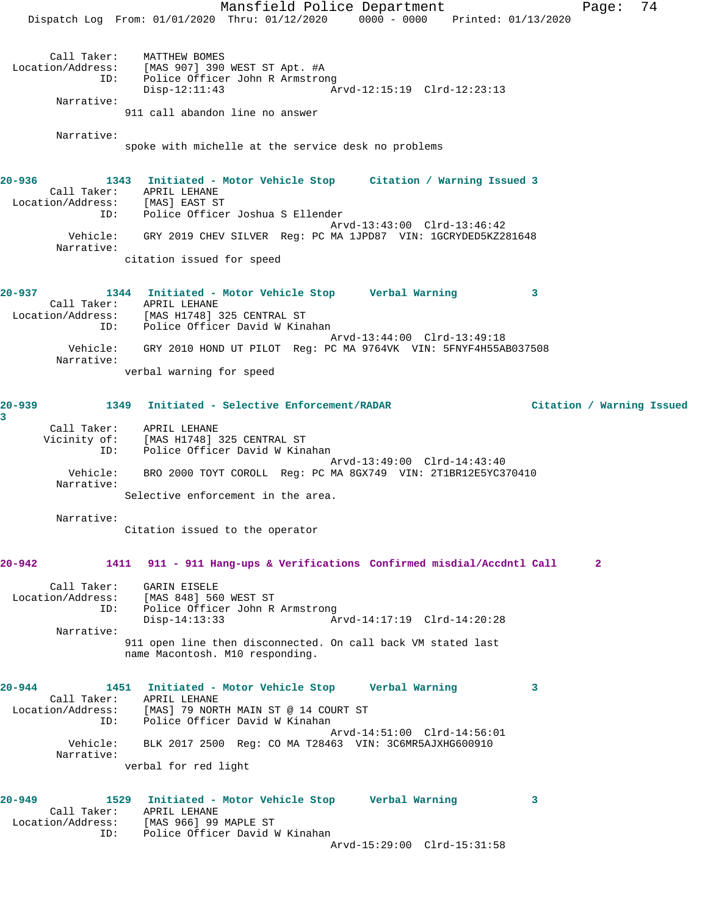Mansfield Police Department Page: 74 Dispatch Log From: 01/01/2020 Thru: 01/12/2020 0000 - 0000 Printed: 01/13/2020 Call Taker: MATTHEW BOMES Location/Address: [MAS 907] 390 WEST ST Apt. #A ID: Police Officer John R Armstrong Disp-12:11:43 Arvd-12:15:19 Clrd-12:23:13 Narrative: 911 call abandon line no answer Narrative: spoke with michelle at the service desk no problems **20-936 1343 Initiated - Motor Vehicle Stop Citation / Warning Issued 3**  Call Taker: APRIL LEHANE Location/Address: [MAS] EAST ST ID: Police Officer Joshua S Ellender Arvd-13:43:00 Clrd-13:46:42 Vehicle: GRY 2019 CHEV SILVER Reg: PC MA 1JPD87 VIN: 1GCRYDED5KZ281648 Narrative: citation issued for speed **20-937 1344 Initiated - Motor Vehicle Stop Verbal Warning 3**  Call Taker: APRIL LEHANE Location/Address: [MAS H1748] 325 CENTRAL ST ID: Police Officer David W Kinahan Arvd-13:44:00 Clrd-13:49:18 Vehicle: GRY 2010 HOND UT PILOT Reg: PC MA 9764VK VIN: 5FNYF4H55AB037508 Narrative: verbal warning for speed **20-939 1349 Initiated - Selective Enforcement/RADAR Citation / Warning Issued 3**  Call Taker: APRIL LEHANE Vicinity of: [MAS H1748] 325 CENTRAL ST ID: Police Officer David W Kinahan Arvd-13:49:00 Clrd-14:43:40 Vehicle: BRO 2000 TOYT COROLL Reg: PC MA 8GX749 VIN: 2T1BR12E5YC370410 Narrative: Selective enforcement in the area. Narrative: Citation issued to the operator **20-942 1411 911 - 911 Hang-ups & Verifications Confirmed misdial/Accdntl Call 2** Call Taker: GARIN EISELE Location/Address: [MAS 848] 560 WEST ST ID: Police Officer John R Armstrong<br>Disp-14:13:33 Ar Disp-14:13:33 Arvd-14:17:19 Clrd-14:20:28 Narrative: 911 open line then disconnected. On call back VM stated last name Macontosh. M10 responding. **20-944 1451 Initiated - Motor Vehicle Stop Verbal Warning 3**  Call Taker: APRIL LEHANE Location/Address: [MAS] 79 NORTH MAIN ST @ 14 COURT ST ID: Police Officer David W Kinahan Arvd-14:51:00 Clrd-14:56:01 Vehicle: BLK 2017 2500 Reg: CO MA T28463 VIN: 3C6MR5AJXHG600910 Narrative: verbal for red light **20-949 1529 Initiated - Motor Vehicle Stop Verbal Warning 3**  Call Taker: APRIL LEHANE Location/Address: [MAS 966] 99 MAPLE ST ID: Police Officer David W Kinahan Arvd-15:29:00 Clrd-15:31:58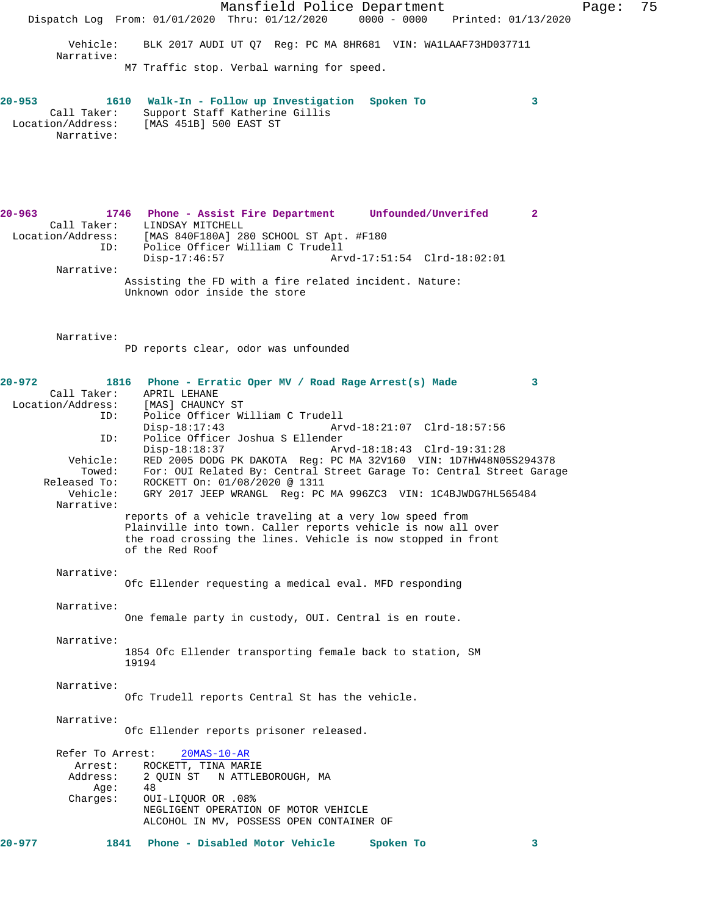Mansfield Police Department Fage: 75 Dispatch Log From: 01/01/2020 Thru: 01/12/2020 0000 - 0000 Printed: 01/13/2020 Vehicle: BLK 2017 AUDI UT Q7 Reg: PC MA 8HR681 VIN: WA1LAAF73HD037711 Narrative: M7 Traffic stop. Verbal warning for speed. **20-953 1610 Walk-In - Follow up Investigation Spoken To 3**  Call Taker: Support Staff Katherine Gillis Location/Address: [MAS 451B] 500 EAST ST Narrative: **20-963 1746 Phone - Assist Fire Department Unfounded/Unverifed 2**  Call Taker: LINDSAY MITCHELL Location/Address: [MAS 840F180A] 280 SCHOOL ST Apt. #F180 ID: Police Officer William C Trudell Arvd-17:51:54 Clrd-18:02:01 Narrative: Assisting the FD with a fire related incident. Nature: Unknown odor inside the store Narrative: PD reports clear, odor was unfounded **20-972 1816 Phone - Erratic Oper MV / Road Rage Arrest(s) Made 3**  Call Taker: APRIL LEHANE<br>.on/Address: [MAS] CHAUNCY ST Location/Address: ID: Police Officer William C Trudell Disp-18:17:43 Arvd-18:21:07 Clrd-18:57:56<br>ID: Police Officer Joshua S Ellender Police Officer Joshua S Ellender<br>Disp-18:18:37 Ar Disp-18:18:37 Arvd-18:18:43 Clrd-19:31:28 Vehicle: RED 2005 DODG PK DAKOTA Reg: PC MA 32V160 VIN: 1D7HW48N05S294378 Towed: For: OUI Related By: Central Street Garage To: Central Street Garage Released To: ROCKETT On: 01/08/2020 @ 1311 Vehicle: GRY 2017 JEEP WRANGL Reg: PC MA 996ZC3 VIN: 1C4BJWDG7HL565484 Narrative: reports of a vehicle traveling at a very low speed from Plainville into town. Caller reports vehicle is now all over the road crossing the lines. Vehicle is now stopped in front of the Red Roof Narrative: Ofc Ellender requesting a medical eval. MFD responding Narrative: One female party in custody, OUI. Central is en route. Narrative: 1854 Ofc Ellender transporting female back to station, SM 19194 Narrative: Ofc Trudell reports Central St has the vehicle. Narrative: Ofc Ellender reports prisoner released. Refer To Arrest: 20MAS-10-AR Arrest: ROCKETT, TINA MARIE<br>Address: 2 QUIN ST N ATTLE 2 QUIN ST N ATTLEBOROUGH, MA<br>48 Age:<br>:Charges OUI-LIQUOR OR .08% NEGLIGENT OPERATION OF MOTOR VEHICLE ALCOHOL IN MV, POSSESS OPEN CONTAINER OF **20-977 1841 Phone - Disabled Motor Vehicle Spoken To 3**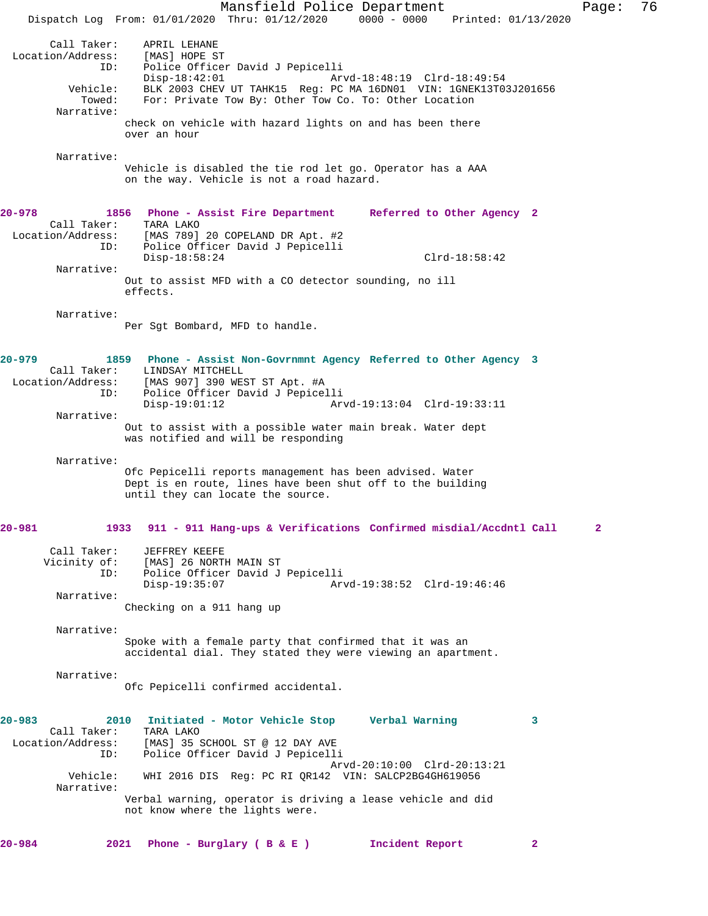Mansfield Police Department Page: 76 Dispatch Log From: 01/01/2020 Thru: 01/12/2020 0000 - 0000 Printed: 01/13/2020 Call Taker: APRIL LEHANE<br>on/Address: [MAS] HOPE ST Location/Address:<br>ID: Police Officer David J Pepicelli Disp-18:42:01 Arvd-18:48:19 Clrd-18:49:54<br>Vehicle: BLK 2003 CHEV UT TAHK15 Reg: PC MA 16DN01 VIN: 1GNEK13T0 BLK 2003 CHEV UT TAHK15 Reg: PC MA 16DN01 VIN: 1GNEK13T03J201656 Towed: For: Private Tow By: Other Tow Co. To: Other Location Narrative: check on vehicle with hazard lights on and has been there over an hour Narrative: Vehicle is disabled the tie rod let go. Operator has a AAA on the way. Vehicle is not a road hazard. **20-978 1856 Phone - Assist Fire Department Referred to Other Agency 2**  Call Taker: TARA LAKO Location/Address: [MAS 789] 20 COPELAND DR Apt. #2 ID: Police Officer David J Pepicelli Disp-18:58:24 Clrd-18:58:42 Narrative: Out to assist MFD with a CO detector sounding, no ill effects. Narrative: Per Sgt Bombard, MFD to handle. **20-979 1859 Phone - Assist Non-Govrnmnt Agency Referred to Other Agency 3**  Call Taker: LINDSAY MITCHELL<br>Location/Address: [MAS 907] 390 WE [MAS 907] 390 WEST ST Apt. #A ID: Police Officer David J Pepicelli Disp-19:01:12 Arvd-19:13:04 Clrd-19:33:11 Narrative: Out to assist with a possible water main break. Water dept was notified and will be responding Narrative: Ofc Pepicelli reports management has been advised. Water Dept is en route, lines have been shut off to the building until they can locate the source. **20-981 1933 911 - 911 Hang-ups & Verifications Confirmed misdial/Accdntl Call 2** Call Taker: JEFFREY KEEFE<br>Vicinity of: [MAS] 26 NORTI of: [MAS] 26 NORTH MAIN ST<br>ID: Police Officer David J Police Officer David J Pepicelli<br>Disp-19:35:07 Ar Disp-19:35:07 Arvd-19:38:52 Clrd-19:46:46 Narrative: Checking on a 911 hang up Narrative: Spoke with a female party that confirmed that it was an accidental dial. They stated they were viewing an apartment. Narrative: Ofc Pepicelli confirmed accidental. **20-983 2010 Initiated - Motor Vehicle Stop Verbal Warning 3**  Call Taker: TARA LAKO<br>Location/Address: [MAS] 35 ; [MAS] 35 SCHOOL ST @ 12 DAY AVE ID: Police Officer David J Pepicelli Arvd-20:10:00 Clrd-20:13:21<br>Vehicle: WHI 2016 DIS Reg: PC RI OR142 VIN: SALCP2BG4GH619056 WHI 2016 DIS Reg: PC RI QR142 VIN: SALCP2BG4GH619056 Narrative: Verbal warning, operator is driving a lease vehicle and did not know where the lights were. **20-984 2021 Phone - Burglary ( B & E ) Incident Report 2**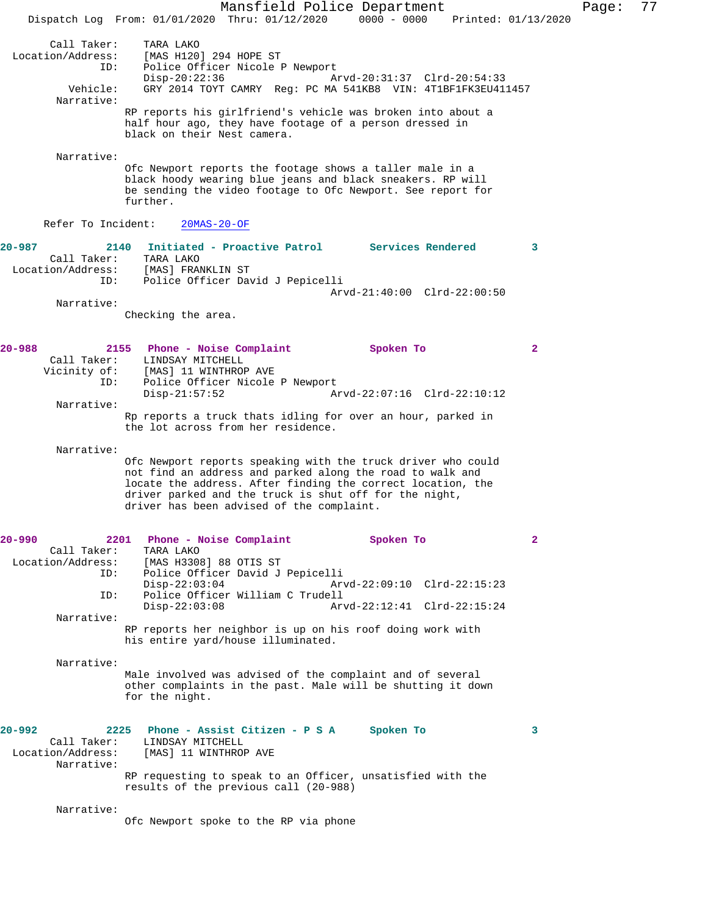Mansfield Police Department Fage: 77 Dispatch Log From: 01/01/2020 Thru: 01/12/2020 0000 - 0000 Printed: 01/13/2020 Call Taker: TARA LAKO<br>Location/Address: [MAS H120] ess: [MAS H120] 294 HOPE ST<br>ID: Police Officer Nicole I Police Officer Nicole P Newport Disp-20:22:36 Arvd-20:31:37 Clrd-20:54:33<br>Vehicle: GRY 2014 TOYT CAMRY Reg: PC MA 541KB8 VIN: 4T1BF1FK3EU41 GRY 2014 TOYT CAMRY Reg: PC MA 541KB8 VIN: 4T1BF1FK3EU411457 Narrative: RP reports his girlfriend's vehicle was broken into about a half hour ago, they have footage of a person dressed in black on their Nest camera. Narrative: Ofc Newport reports the footage shows a taller male in a black hoody wearing blue jeans and black sneakers. RP will be sending the video footage to Ofc Newport. See report for further. Refer To Incident: 20MAS-20-OF **20-987 2140 Initiated - Proactive Patrol Services Rendered 3**  Call Taker: TARA LAKO Location/Address: [MAS] FRANKLIN ST<br>TD: Police Officer Day Police Officer David J Pepicelli Arvd-21:40:00 Clrd-22:00:50 Narrative: Checking the area. **20-988 2155 Phone - Noise Complaint Spoken To 2**  Call Taker: LINDSAY MITCHELL Vicinity of: [MAS] 11 WINTHROP AVE ID: Police Officer Nicole P Newport Disp-21:57:52 Arvd-22:07:16 Clrd-22:10:12 Narrative: Rp reports a truck thats idling for over an hour, parked in the lot across from her residence. Narrative: Ofc Newport reports speaking with the truck driver who could not find an address and parked along the road to walk and locate the address. After finding the correct location, the driver parked and the truck is shut off for the night, driver has been advised of the complaint. **20-990 2201 Phone - Noise Complaint Spoken To 2**  Call Taker: TARA LAKO<br>Location/Address: [MAS H3308 ess: [MAS H3308] 88 OTIS ST<br>ID: Police Officer David J Police Officer David J Pepicelli Disp-22:03:04 Arvd-22:09:10 Clrd-22:15:23 ID: Police Officer William C Trudell Disp-22:03:08 Arvd-22:12:41 Clrd-22:15:24 Narrative: RP reports her neighbor is up on his roof doing work with his entire yard/house illuminated. Narrative: Male involved was advised of the complaint and of several other complaints in the past. Male will be shutting it down for the night. **20-992 2225 Phone - Assist Citizen - P S A Spoken To 3**  Call Taker: LINDSAY MITCHELL Location/Address: [MAS] 11 WINTHROP AVE Narrative: RP requesting to speak to an Officer, unsatisfied with the results of the previous call (20-988) Narrative: Ofc Newport spoke to the RP via phone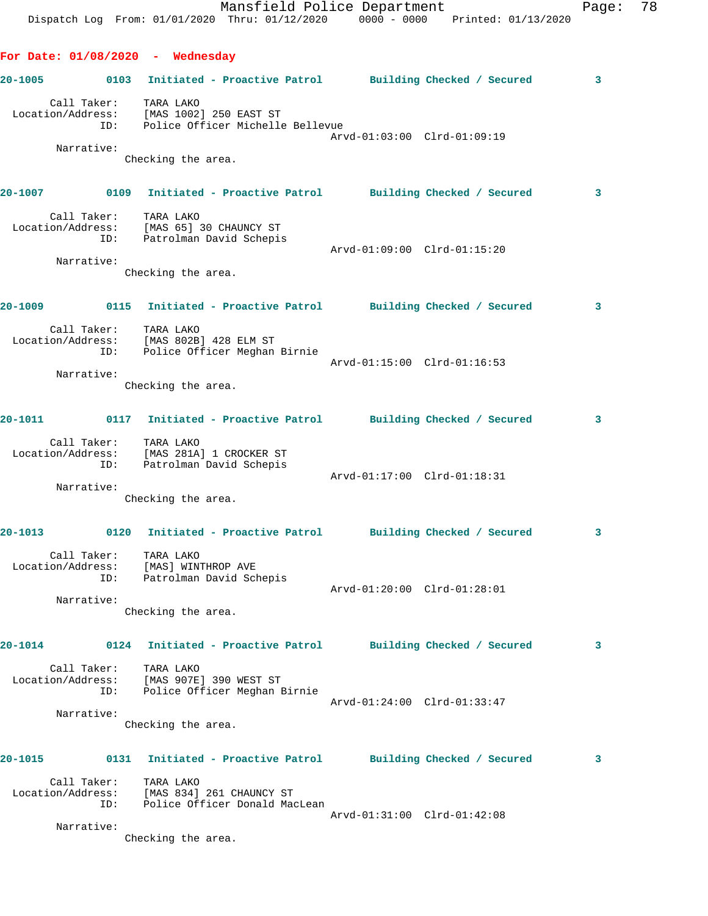**20-1005 0103 Initiated - Proactive Patrol Building Checked / Secured 3** Call Taker: TARA LAKO Location/Address: [MAS 1002] 250 EAST ST ID: Police Officer Michelle Bellevue Arvd-01:03:00 Clrd-01:09:19 Narrative: Checking the area. **20-1007 0109 Initiated - Proactive Patrol Building Checked / Secured 3** Call Taker: TARA LAKO Location/Address: [MAS 65] 30 CHAUNCY ST ID: Patrolman David Schepis Arvd-01:09:00 Clrd-01:15:20 Narrative: Checking the area. **20-1009 0115 Initiated - Proactive Patrol Building Checked / Secured 3** Call Taker: TARA LAKO Location/Address: [MAS 802B] 428 ELM ST ID: Police Officer Meghan Birnie Arvd-01:15:00 Clrd-01:16:53 Narrative: Checking the area. **20-1011 0117 Initiated - Proactive Patrol Building Checked / Secured 3** Call Taker: TARA LAKO Location/Address: [MAS 281A] 1 CROCKER ST ress: المستحدث تعسر العامة<br>ID: Patrolman David Schepis Arvd-01:17:00 Clrd-01:18:31 Narrative: Checking the area. **20-1013 0120 Initiated - Proactive Patrol Building Checked / Secured 3** Call Taker: TARA LAKO Location/Address: [MAS] WINTHROP AVE ID: Patrolman David Schepis Arvd-01:20:00 Clrd-01:28:01 Narrative: Checking the area. **20-1014 0124 Initiated - Proactive Patrol Building Checked / Secured 3** Call Taker: TARA LAKO Location/Address: [MAS 907E] 390 WEST ST ID: Police Officer Meghan Birnie Arvd-01:24:00 Clrd-01:33:47 Narrative: Checking the area. **20-1015 0131 Initiated - Proactive Patrol Building Checked / Secured 3** Call Taker: TARA LAKO Location/Address: [MAS 834] 261 CHAUNCY ST ID: Police Officer Donald MacLean Arvd-01:31:00 Clrd-01:42:08 Narrative:

Checking the area.

**For Date: 01/08/2020 - Wednesday**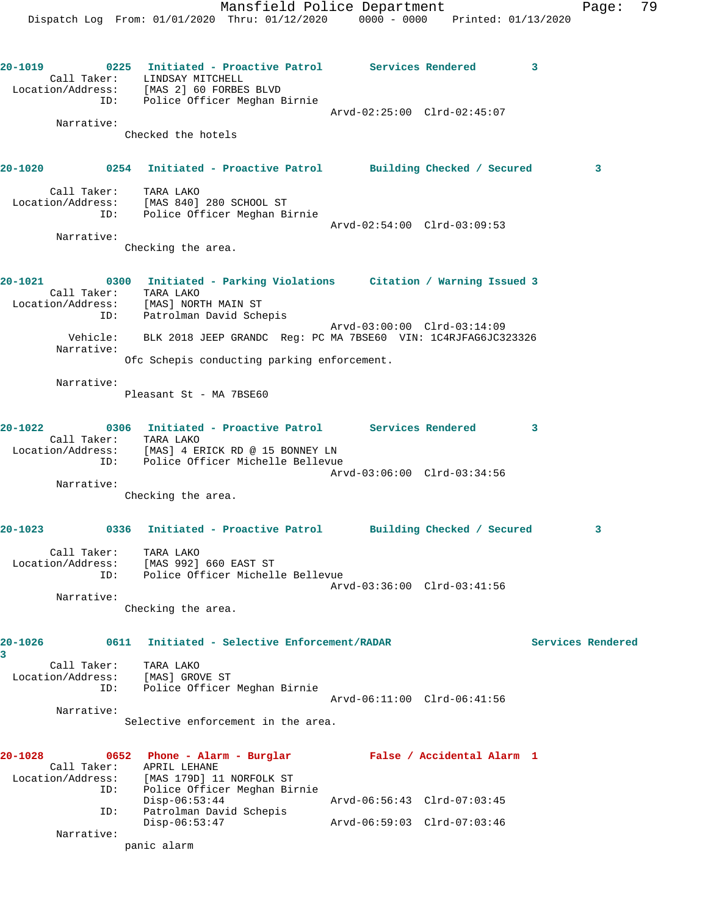**20-1019 0225 Initiated - Proactive Patrol Services Rendered 3** 

 Call Taker: LINDSAY MITCHELL Location/Address: [MAS 2] 60 FORBES BLVD ID: Police Officer Meghan Birnie Arvd-02:25:00 Clrd-02:45:07 Narrative: Checked the hotels **20-1020 0254 Initiated - Proactive Patrol Building Checked / Secured 3** Call Taker: TARA LAKO Location/Address: [MAS 840] 280 SCHOOL ST ID: Police Officer Meghan Birnie Arvd-02:54:00 Clrd-03:09:53 Narrative: Checking the area. **20-1021 0300 Initiated - Parking Violations Citation / Warning Issued 3**  Call Taker: TARA LAKO Location/Address: [MAS] NORTH MAIN ST ID: Patrolman David Schepis Arvd-03:00:00 Clrd-03:14:09 Vehicle: BLK 2018 JEEP GRANDC Reg: PC MA 7BSE60 VIN: 1C4RJFAG6JC323326 Narrative: Ofc Schepis conducting parking enforcement. Narrative: Pleasant St - MA 7BSE60 **20-1022 0306 Initiated - Proactive Patrol Services Rendered 3**  Call Taker: TARA LAKO Location/Address: [MAS] 4 ERICK RD @ 15 BONNEY LN ID: Police Officer Michelle Bellevue Arvd-03:06:00 Clrd-03:34:56 Narrative: Checking the area. **20-1023 0336 Initiated - Proactive Patrol Building Checked / Secured 3** Call Taker: TARA LAKO Location/Address: [MAS 992] 660 EAST ST ID: Police Officer Michelle Bellevue Arvd-03:36:00 Clrd-03:41:56 Narrative: Checking the area. **20-1026 0611 Initiated - Selective Enforcement/RADAR Services Rendered 3**  Call Taker: TARA LAKO Location/Address: [MAS] GROVE ST ID: Police Officer Meghan Birnie Arvd-06:11:00 Clrd-06:41:56 Narrative: Selective enforcement in the area. **20-1028 0652 Phone - Alarm - Burglar False / Accidental Alarm 1**  Call Taker: APRIL LEHANE Location/Address: [MAS 179D] 11 NORFOLK ST ID: Police Officer Meghan Birnie Disp-06:53:44 Arvd-06:56:43 Clrd-07:03:45 ID: Patrolman David Schepis Disp-06:53:47 Arvd-06:59:03 Clrd-07:03:46 Narrative:

panic alarm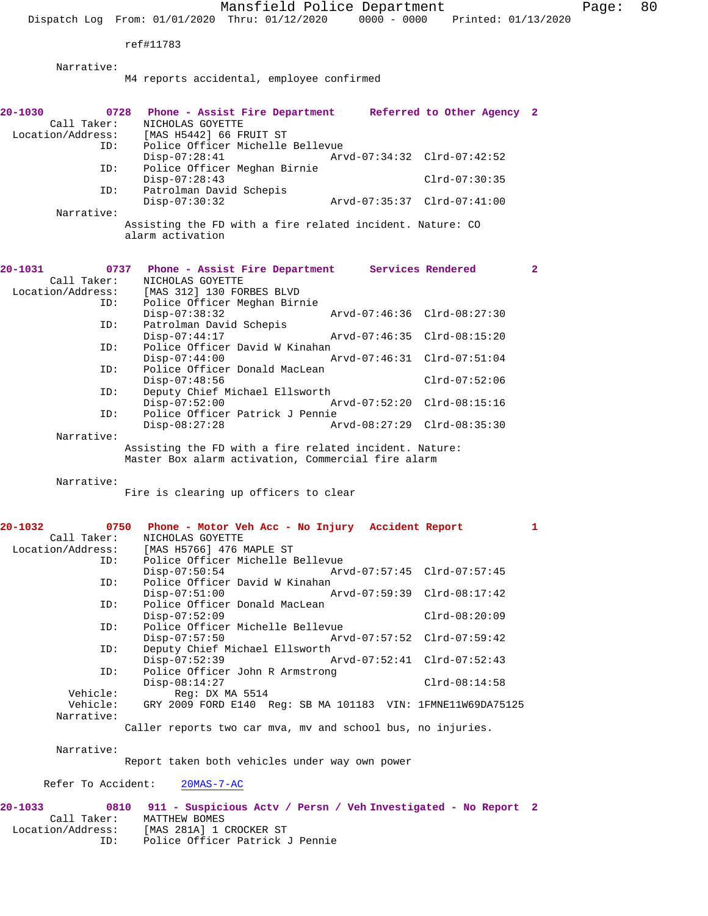Mansfield Police Department Fage: 80

Dispatch Log From: 01/01/2020 Thru: 01/12/2020 0000 - 0000 Printed: 01/13/2020

ref#11783

Narrative:

M4 reports accidental, employee confirmed

| 20-1030<br>Call Taker: | 0728 Phone - Assist Fire Department Referred to Other Agency 2<br>NICHOLAS GOYETTE |                             |                 |              |
|------------------------|------------------------------------------------------------------------------------|-----------------------------|-----------------|--------------|
| Location/Address:      | [MAS H5442] 66 FRUIT ST                                                            |                             |                 |              |
| ID:                    | Police Officer Michelle Bellevue                                                   |                             |                 |              |
|                        | $Disp-07:28:41$                                                                    | Arvd-07:34:32 Clrd-07:42:52 |                 |              |
| ID:                    | Police Officer Meghan Birnie                                                       |                             |                 |              |
|                        | $Disp-07:28:43$                                                                    |                             | $Clrd-07:30:35$ |              |
| ID:                    | Patrolman David Schepis                                                            |                             |                 |              |
|                        | $Disp-07:30:32$                                                                    | Arvd-07:35:37 Clrd-07:41:00 |                 |              |
| Narrative:             |                                                                                    |                             |                 |              |
|                        | Assisting the FD with a fire related incident. Nature: CO                          |                             |                 |              |
|                        | alarm activation                                                                   |                             |                 |              |
|                        |                                                                                    |                             |                 |              |
|                        |                                                                                    |                             |                 |              |
| 20-1031                | Phone - Assist Fire Department Services Rendered<br>0737                           |                             |                 | $\mathbf{2}$ |
| Call Taker:            | NICHOLAS GOYETTE                                                                   |                             |                 |              |
| Location/Address:      | [MAS 312] 130 FORBES BLVD                                                          |                             |                 |              |
|                        |                                                                                    |                             |                 |              |
| ID:                    | Police Officer Meghan Birnie                                                       |                             |                 |              |
|                        | $Disp-07:38:32$                                                                    | Arvd-07:46:36 Clrd-08:27:30 |                 |              |
| ID:                    | Patrolman David Schepis                                                            |                             |                 |              |
|                        | $Disp-07:44:17$                                                                    | Arvd-07:46:35 Clrd-08:15:20 |                 |              |
| ID:                    | Police Officer David W Kinahan                                                     |                             |                 |              |
|                        | $Disp-07:44:00$                                                                    | Arvd-07:46:31 Clrd-07:51:04 |                 |              |
| ID:                    | Police Officer Donald MacLean                                                      |                             |                 |              |
|                        | $Disp-07:48:56$                                                                    |                             | $Clrd-07:52:06$ |              |
| ID:                    | Deputy Chief Michael Ellsworth                                                     |                             |                 |              |
|                        | $Disp-07:52:00$                                                                    | Arvd-07:52:20 Clrd-08:15:16 |                 |              |
| ID:                    | Police Officer Patrick J Pennie                                                    |                             |                 |              |
|                        | $Disp-08:27:28$                                                                    | Arvd-08:27:29 Clrd-08:35:30 |                 |              |
| Narrative:             |                                                                                    |                             |                 |              |
|                        |                                                                                    |                             |                 |              |
|                        |                                                                                    |                             |                 |              |
|                        | Assisting the FD with a fire related incident. Nature:                             |                             |                 |              |
|                        | Master Box alarm activation, Commercial fire alarm                                 |                             |                 |              |
| Narrative:             |                                                                                    |                             |                 |              |
|                        |                                                                                    |                             |                 |              |
|                        | Fire is clearing up officers to clear                                              |                             |                 |              |
|                        |                                                                                    |                             |                 |              |
| 20-1032                | 0750                                                                               |                             |                 | $\mathbf{1}$ |
|                        | Phone - Motor Veh Acc - No Injury Accident Report                                  |                             |                 |              |
| Call Taker:            | NICHOLAS GOYETTE<br>[MAS H5766] 476 MAPLE ST                                       |                             |                 |              |
| Location/Address:      |                                                                                    |                             |                 |              |
| ID:                    | Police Officer Michelle Bellevue                                                   |                             |                 |              |
|                        | $Disp-07:50:54$                                                                    | Arvd-07:57:45 Clrd-07:57:45 |                 |              |
| ID:                    | Police Officer David W Kinahan                                                     |                             |                 |              |
|                        | $Disp-07:51:00$                                                                    | Arvd-07:59:39 Clrd-08:17:42 |                 |              |
| ID:                    | Police Officer Donald MacLean                                                      |                             |                 |              |
|                        | $Disp-07:52:09$                                                                    |                             | $Clrd-08:20:09$ |              |
| ID:                    | Police Officer Michelle Bellevue                                                   |                             |                 |              |
|                        | $Disp-07:57:50$                                                                    | Arvd-07:57:52               | $Clrd-07:59:42$ |              |
| ID:                    | Deputy Chief Michael Ellsworth                                                     |                             |                 |              |
|                        | $Disp-07:52:39$                                                                    | Arvd-07:52:41 Clrd-07:52:43 |                 |              |
| ID:                    | Police Officer John R Armstrong                                                    |                             |                 |              |
|                        | $Disp-08:14:27$                                                                    |                             | $Clrd-08:14:58$ |              |
| Vehicle:               | Reg: DX MA 5514                                                                    |                             |                 |              |
| Vehicle:               | GRY 2009 FORD E140 Reg: SB MA 101183 VIN: 1FMNE11W69DA75125                        |                             |                 |              |
| Narrative:             |                                                                                    |                             |                 |              |
|                        | Caller reports two car mva, mv and school bus, no injuries.                        |                             |                 |              |
|                        |                                                                                    |                             |                 |              |
| Narrative:             |                                                                                    |                             |                 |              |
|                        | Report taken both vehicles under way own power                                     |                             |                 |              |

Refer To Accident: 20MAS-7-AC

**20-1033 0810 911 - Suspicious Actv / Persn / Veh Investigated - No Report 2**  Call Taker: MATTHEW BOMES Location/Address: [MAS 281A] 1 CROCKER ST ID: Police Officer Patrick J Pennie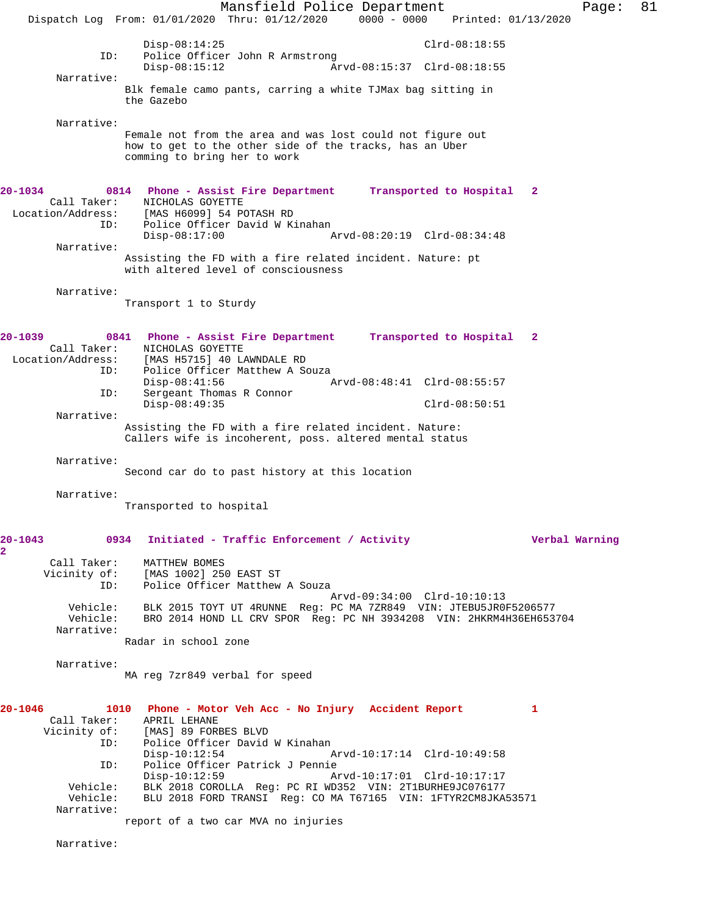Mansfield Police Department Page: 81 Dispatch Log From: 01/01/2020 Thru: 01/12/2020 0000 - 0000 Printed: 01/13/2020 Disp-08:14:25 Clrd-08:18:55<br>TD: Police Officer John R Armstrong Police Officer John R Armstrong<br>Disp-08:15:12 Ar Disp-08:15:12 Arvd-08:15:37 Clrd-08:18:55 Narrative: Blk female camo pants, carring a white TJMax bag sitting in the Gazebo Narrative: Female not from the area and was lost could not figure out how to get to the other side of the tracks, has an Uber comming to bring her to work **20-1034 0814 Phone - Assist Fire Department Transported to Hospital 2**  Call Taker: NICHOLAS GOYETTE Location/Address: [MAS H6099] 54 POTASH RD ess: [MAS H6099] 54 POTASH RD<br>ID: Police Officer David W Kinahan<br>Disp-08:17:00 A Disp-08:17:00 Arvd-08:20:19 Clrd-08:34:48 Narrative: Assisting the FD with a fire related incident. Nature: pt with altered level of consciousness Narrative: Transport 1 to Sturdy **20-1039 0841 Phone - Assist Fire Department Transported to Hospital 2**  Call Taker: <br>
MICHOLAS GOYETTE<br>
Location/Address: [MAS H5715] 40 L [MAS H5715] 40 LAWNDALE RD ID: Police Officer Matthew A Souza<br>Disp-08:41:56 Disp-08:41:56 Arvd-08:48:41 Clrd-08:55:57 ID: Sergeant Thomas R Connor Disp-08:49:35 Clrd-08:50:51 Narrative: Assisting the FD with a fire related incident. Nature: Callers wife is incoherent, poss. altered mental status Narrative: Second car do to past history at this location Narrative: Transported to hospital **20-1043 0934 Initiated - Traffic Enforcement / Activity Verbal Warning 2**  Call Taker: MATTHEW BOMES Vicinity of: [MAS 1002] 250 EAST ST ID: Police Officer Matthew A Souza Arvd-09:34:00 Clrd-10:10:13 Vehicle: BLK 2015 TOYT UT 4RUNNE Reg: PC MA 7ZR849 VIN: JTEBU5JR0F5206577 Vehicle: BRO 2014 HOND LL CRV SPOR Reg: PC NH 3934208 VIN: 2HKRM4H36EH653704 Narrative: Radar in school zone Narrative: MA reg 7zr849 verbal for speed **20-1046 1010 Phone - Motor Veh Acc - No Injury Accident Report 1**  Call Taker: APRIL LEHANE Vicinity of: [MAS] 89 FORBES BLVD<br>ID: Police Officer David Police Officer David W Kinahan<br>Disp-10:12:54 Disp-10:12:54 Arvd-10:17:14 Clrd-10:49:58 ID: Police Officer Patrick J Pennie Disp-10:12:59 Arvd-10:17:01 Clrd-10:17:17 Vehicle: BLK 2018 COROLLA Reg: PC RI WD352 VIN: 2T1BURHE9JC076177 Vehicle: BLU 2018 FORD TRANSI Reg: CO MA T67165 VIN: 1FTYR2CM8JKA53571 Narrative: report of a two car MVA no injuries Narrative: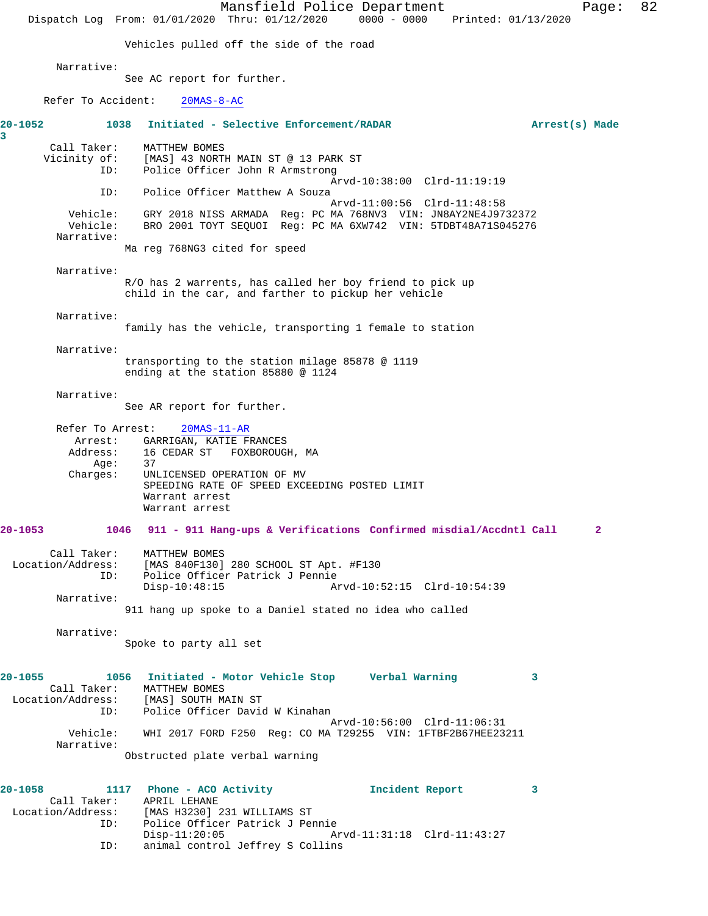Mansfield Police Department Page: 82 Dispatch Log From: 01/01/2020 Thru: 01/12/2020 0000 - 0000 Printed: 01/13/2020 Vehicles pulled off the side of the road Narrative: See AC report for further. Refer To Accident: 20MAS-8-AC **20-1052 1038 Initiated - Selective Enforcement/RADAR Arrest(s) Made 3**  Call Taker: MATTHEW BOMES<br>Vicinity of: [MAS] 43 NORTH of: [MAS] 43 NORTH MAIN ST @ 13 PARK ST<br>TD: Police Officer John R Armstrong Police Officer John R Armstrong Arvd-10:38:00 Clrd-11:19:19 ID: Police Officer Matthew A Souza Arvd-11:00:56 Clrd-11:48:58 Vehicle: GRY 2018 NISS ARMADA Reg: PC MA 768NV3 VIN: JN8AY2NE4J9732372 Vehicle: BRO 2001 TOYT SEQUOI Reg: PC MA 6XW742 VIN: 5TDBT48A71S045276 Narrative: Ma reg 768NG3 cited for speed Narrative: R/O has 2 warrents, has called her boy friend to pick up child in the car, and farther to pickup her vehicle Narrative: family has the vehicle, transporting 1 female to station Narrative: transporting to the station milage 85878 @ 1119 ending at the station 85880 @ 1124 Narrative: See AR report for further. Refer To Arrest: 20MAS-11-AR Arrest: GARRIGAN, KATIE FRANCES<br>Address: 16 CEDAR ST FOXBOROUGH 16 CEDAR ST FOXBOROUGH, MA<br>37 Age: Charges: UNLICENSED OPERATION OF MV SPEEDING RATE OF SPEED EXCEEDING POSTED LIMIT Warrant arrest Warrant arrest **20-1053 1046 911 - 911 Hang-ups & Verifications Confirmed misdial/Accdntl Call 2** Call Taker: MATTHEW BOMES Location/Address: [MAS 840F130] 280 SCHOOL ST Apt. #F130 ID: Police Officer Patrick J Pennie Disp-10:48:15 Arvd-10:52:15 Clrd-10:54:39 Narrative: 911 hang up spoke to a Daniel stated no idea who called Narrative: Spoke to party all set **20-1055 1056 Initiated - Motor Vehicle Stop Verbal Warning 3**  Call Taker: MATTHEW BOMES Location/Address: [MAS] SOUTH MAIN ST ID: Police Officer David W Kinahan Arvd-10:56:00 Clrd-11:06:31<br>Vehicle: WHI 2017 FORD F250 Req: CO MA T29255 VIN: 1FTBF2B67HEE23 Vehicle: WHI 2017 FORD F250 Reg: CO MA T29255 VIN: 1FTBF2B67HEE23211 Narrative: Obstructed plate verbal warning **20-1058 1117 Phone - ACO Activity Incident Report 3**  Call Taker: APRIL LEHANE<br>: Location/Address: [MAS H3230] Location/Address: [MAS H3230] 231 WILLIAMS ST ID: Police Officer Patrick J Pennie Disp-11:20:05 Arvd-11:31:18 Clrd-11:43:27 ID: animal control Jeffrey S Collins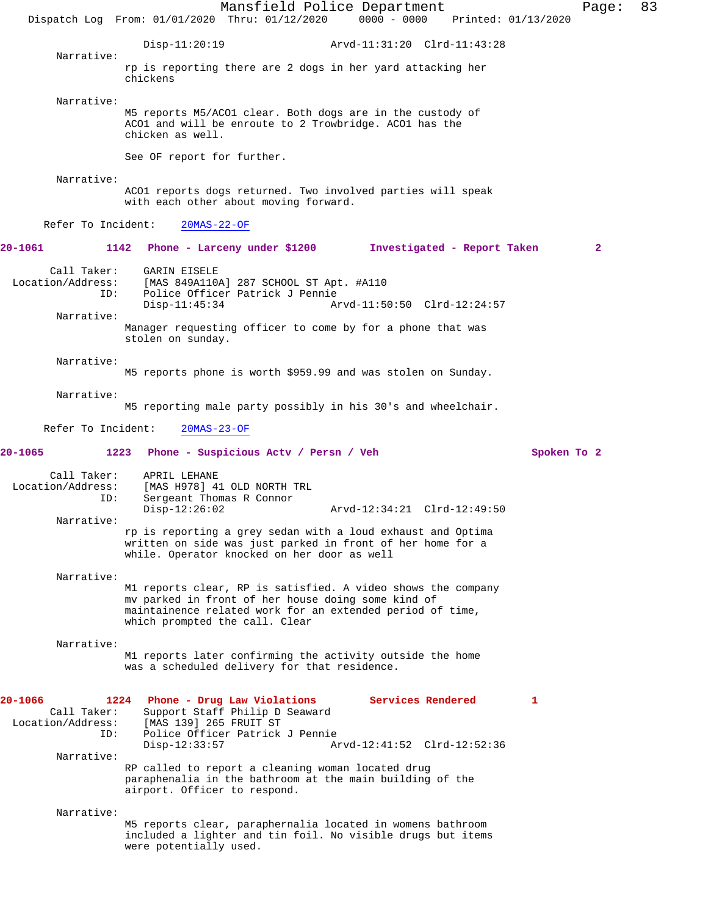Mansfield Police Department Page: 83 Dispatch Log From: 01/01/2020 Thru: 01/12/2020 0000 - 0000 Printed: 01/13/2020 Disp-11:20:19 Arvd-11:31:20 Clrd-11:43:28 Narrative: rp is reporting there are 2 dogs in her yard attacking her chickens Narrative: M5 reports M5/ACO1 clear. Both dogs are in the custody of ACO1 and will be enroute to 2 Trowbridge. ACO1 has the chicken as well. See OF report for further. Narrative: ACO1 reports dogs returned. Two involved parties will speak with each other about moving forward. Refer To Incident: 20MAS-22-OF **20-1061 1142 Phone - Larceny under \$1200 Investigated - Report Taken 2** Call Taker: GARIN EISELE Location/Address: [MAS 849A110A] 287 SCHOOL ST Apt. #A110<br>ID: Police Officer Patrick J Pennie Police Officer Patrick J Pennie<br>Disp-11:45:34 A Arvd-11:50:50 Clrd-12:24:57 Narrative: Manager requesting officer to come by for a phone that was stolen on sunday. Narrative: M5 reports phone is worth \$959.99 and was stolen on Sunday. Narrative: M5 reporting male party possibly in his 30's and wheelchair. Refer To Incident: 20MAS-23-OF **20-1065 1223 Phone - Suspicious Actv / Persn / Veh Spoken To 2** Call Taker: APRIL LEHANE Location/Address: [MAS H978] 41 OLD NORTH TRL ID: Sergeant Thomas R Connor Disp-12:26:02 Arvd-12:34:21 Clrd-12:49:50 Narrative: rp is reporting a grey sedan with a loud exhaust and Optima written on side was just parked in front of her home for a while. Operator knocked on her door as well Narrative: M1 reports clear, RP is satisfied. A video shows the company mv parked in front of her house doing some kind of maintainence related work for an extended period of time, which prompted the call. Clear Narrative: M1 reports later confirming the activity outside the home was a scheduled delivery for that residence. **20-1066 1224 Phone - Drug Law Violations Services Rendered 1**  Call Taker: Support Staff Philip D Seaward<br>Location/Address: [MAS 139] 265 FRUIT ST Location/Address: [MAS 139] 265 FRUIT ST ID: Police Officer Patrick J Pennie Arvd-12:41:52 Clrd-12:52:36 Narrative: RP called to report a cleaning woman located drug paraphenalia in the bathroom at the main building of the airport. Officer to respond. Narrative: M5 reports clear, paraphernalia located in womens bathroom included a lighter and tin foil. No visible drugs but items were potentially used.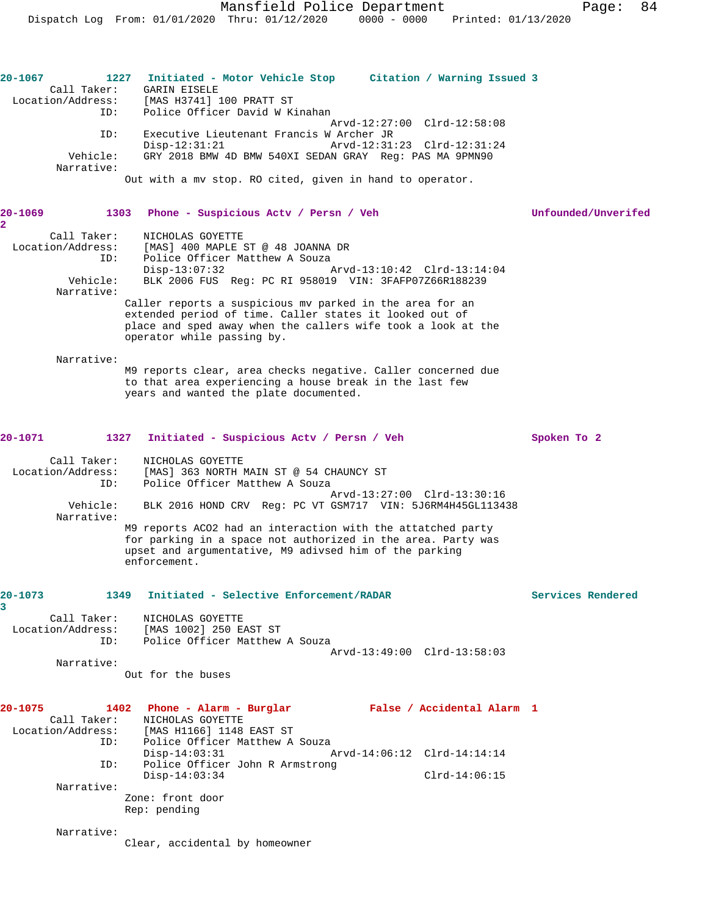| 20-1067<br>Call Taker:<br>Location/Address: | 1227 Initiated - Motor Vehicle Stop Citation / Warning Issued 3<br>GARIN EISELE<br>[MAS H3741] 100 PRATT ST                                                                                                       |                     |
|---------------------------------------------|-------------------------------------------------------------------------------------------------------------------------------------------------------------------------------------------------------------------|---------------------|
| ID:                                         | Police Officer David W Kinahan                                                                                                                                                                                    |                     |
| ID:                                         | Arvd-12:27:00 Clrd-12:58:08<br>Executive Lieutenant Francis W Archer JR                                                                                                                                           |                     |
|                                             | $Disp-12:31:21$<br>Arvd-12:31:23 Clrd-12:31:24                                                                                                                                                                    |                     |
| Vehicle:<br>Narrative:                      | GRY 2018 BMW 4D BMW 540XI SEDAN GRAY Reg: PAS MA 9PMN90                                                                                                                                                           |                     |
|                                             | Out with a my stop. RO cited, given in hand to operator.                                                                                                                                                          |                     |
| 20-1069<br>$\overline{\mathbf{2}}$          | 1303 Phone - Suspicious Acty / Persn / Veh                                                                                                                                                                        | Unfounded/Unverifed |
| Call Taker:                                 | NICHOLAS GOYETTE                                                                                                                                                                                                  |                     |
| Location/Address:<br>ID:                    | [MAS] 400 MAPLE ST @ 48 JOANNA DR<br>Police Officer Matthew A Souza                                                                                                                                               |                     |
|                                             | Disp-13:07:32<br>Arvd-13:10:42 Clrd-13:14:04                                                                                                                                                                      |                     |
| Vehicle:<br>Narrative:                      | BLK 2006 FUS Req: PC RI 958019 VIN: 3FAFP07Z66R188239                                                                                                                                                             |                     |
|                                             | Caller reports a suspicious my parked in the area for an<br>extended period of time. Caller states it looked out of<br>place and sped away when the callers wife took a look at the<br>operator while passing by. |                     |
| Narrative:                                  |                                                                                                                                                                                                                   |                     |
|                                             | M9 reports clear, area checks negative. Caller concerned due<br>to that area experiencing a house break in the last few<br>years and wanted the plate documented.                                                 |                     |
| 20-1071                                     | 1327 Initiated - Suspicious Actv / Persn / Veh                                                                                                                                                                    | Spoken To 2         |
| Call Taker:<br>Location/Address:<br>ID:     | NICHOLAS GOYETTE<br>[MAS] 363 NORTH MAIN ST @ 54 CHAUNCY ST<br>Police Officer Matthew A Souza<br>Arvd-13:27:00 Clrd-13:30:16                                                                                      |                     |
| Vehicle:<br>Narrative:                      | BLK 2016 HOND CRV Req: PC VT GSM717 VIN: 5J6RM4H45GL113438                                                                                                                                                        |                     |
|                                             | M9 reports ACO2 had an interaction with the attatched party<br>for parking in a space not authorized in the area. Party was<br>upset and argumentative, M9 adivsed him of the parking<br>enforcement.             |                     |
| 20-1073<br>3                                | 1349 Initiated - Selective Enforcement/RADAR                                                                                                                                                                      | Services Rendered   |
| Call Taker:<br>Location/Address:            | NICHOLAS GOYETTE<br>[MAS 1002] 250 EAST ST                                                                                                                                                                        |                     |
| ID:                                         | Police Officer Matthew A Souza<br>Arvd-13:49:00 Clrd-13:58:03                                                                                                                                                     |                     |
| Narrative:                                  | Out for the buses                                                                                                                                                                                                 |                     |
|                                             |                                                                                                                                                                                                                   |                     |
| 20-1075<br>Call Taker:                      | 1402 Phone - Alarm - Burglar Malse / Accidental Alarm 1<br>NICHOLAS GOYETTE<br>Location/Address: [MAS H1166] 1148 EAST ST                                                                                         |                     |
| ID:                                         | Police Officer Matthew A Souza<br>$Disp-14:03:31$<br>Arvd-14:06:12 Clrd-14:14:14                                                                                                                                  |                     |
| ID:                                         | Police Officer John R Armstrong<br>$Disp-14:03:34$<br>$Clrd-14:06:15$                                                                                                                                             |                     |
| Narrative:                                  |                                                                                                                                                                                                                   |                     |
|                                             | Zone: front door<br>Rep: pending                                                                                                                                                                                  |                     |
| Narrative:                                  |                                                                                                                                                                                                                   |                     |
|                                             | Clear, accidental by homeowner                                                                                                                                                                                    |                     |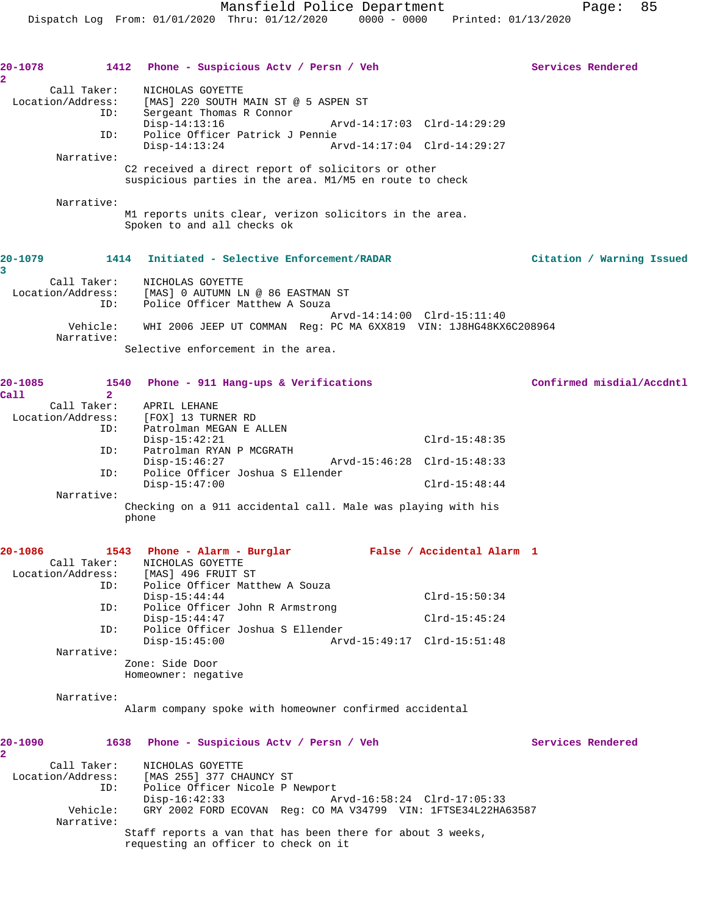| 20-1078<br>$\overline{\mathbf{2}}$ |                                         | 1412 Phone - Suspicious Actv / Persn / Veh                                                                                                           | Services Rendered         |
|------------------------------------|-----------------------------------------|------------------------------------------------------------------------------------------------------------------------------------------------------|---------------------------|
|                                    | Call Taker:<br>Location/Address:<br>ID: | NICHOLAS GOYETTE<br>[MAS] 220 SOUTH MAIN ST @ 5 ASPEN ST<br>Sergeant Thomas R Connor                                                                 |                           |
|                                    | ID:                                     | $Disp-14:13:16$<br>Arvd-14:17:03 Clrd-14:29:29<br>Police Officer Patrick J Pennie                                                                    |                           |
|                                    |                                         | Arvd-14:17:04 Clrd-14:29:27<br>$Disp-14:13:24$                                                                                                       |                           |
|                                    | Narrative:                              | C2 received a direct report of solicitors or other<br>suspicious parties in the area. M1/M5 en route to check                                        |                           |
|                                    | Narrative:                              | M1 reports units clear, verizon solicitors in the area.<br>Spoken to and all checks ok                                                               |                           |
| 20-1079<br>3                       |                                         | 1414 Initiated - Selective Enforcement/RADAR                                                                                                         | Citation / Warning Issued |
|                                    | ID:                                     | Call Taker: NICHOLAS GOYETTE<br>Location/Address: [MAS] 0 AUTUMN LN @ 86 EASTMAN ST<br>Police Officer Matthew A Souza<br>Arvd-14:14:00 Clrd-15:11:40 |                           |
|                                    | Vehicle:<br>Narrative:                  | WHI 2006 JEEP UT COMMAN Reg: PC MA 6XX819 VIN: 1J8HG48KX6C208964                                                                                     |                           |
|                                    |                                         | Selective enforcement in the area.                                                                                                                   |                           |
| 20-1085<br>Call                    | 1540<br>$\overline{2}$                  | Phone - 911 Hang-ups & Verifications                                                                                                                 | Confirmed misdial/Accdntl |
|                                    |                                         | Call Taker: APRIL LEHANE                                                                                                                             |                           |
|                                    | ID:                                     | Location/Address: [FOX] 13 TURNER RD<br>Patrolman MEGAN E ALLEN                                                                                      |                           |
|                                    |                                         | $Clrd-15:48:35$<br>$Disp-15:42:21$                                                                                                                   |                           |
|                                    | ID:                                     | Patrolman RYAN P MCGRATH<br>$Disp-15:46:27$                                                                                                          |                           |
|                                    | ID:                                     | Police Officer Joshua S Ellender<br>$Disp-15:47:00$<br>$Clrd-15:48:44$                                                                               |                           |
|                                    | Narrative:                              |                                                                                                                                                      |                           |
|                                    |                                         | Checking on a 911 accidental call. Male was playing with his<br>phone                                                                                |                           |
| 20-1086                            |                                         | 1543 Phone - Alarm - Burglar<br>False / Accidental Alarm 1                                                                                           |                           |
|                                    |                                         | Call Taker: NICHOLAS GOYETTE<br>Location/Address: [MAS] 496 FRUIT ST                                                                                 |                           |
|                                    | ID:                                     | Police Officer Matthew A Souza<br>$Disp-15:44:44$<br>$Clrd-15:50:34$                                                                                 |                           |
|                                    | ID:                                     | Police Officer John R Armstrong<br>$Disp-15:44:47$<br>$Clrd-15:45:24$                                                                                |                           |
|                                    | ID:                                     | Police Officer Joshua S Ellender<br>$Disp-15:45:00$<br>Arvd-15:49:17 Clrd-15:51:48                                                                   |                           |
|                                    | Narrative:                              |                                                                                                                                                      |                           |
|                                    |                                         | Zone: Side Door<br>Homeowner: negative                                                                                                               |                           |
|                                    | Narrative:                              |                                                                                                                                                      |                           |
|                                    |                                         | Alarm company spoke with homeowner confirmed accidental                                                                                              |                           |
| 20-1090<br>$\overline{\mathbf{2}}$ |                                         | 1638 Phone - Suspicious Acty / Persn / Veh                                                                                                           | Services Rendered         |
|                                    | Call Taker:<br>Location/Address:        | NICHOLAS GOYETTE<br>[MAS 255] 377 CHAUNCY ST                                                                                                         |                           |
|                                    | ID:                                     | Police Officer Nicole P Newport                                                                                                                      |                           |
|                                    | Vehicle:                                | $Disp-16:42:33$<br>Arvd-16:58:24 Clrd-17:05:33<br>GRY 2002 FORD ECOVAN Reg: CO MA V34799 VIN: 1FTSE34L22HA63587                                      |                           |
|                                    | Narrative:                              | Staff reports a van that has been there for about 3 weeks,                                                                                           |                           |
|                                    |                                         | requesting an officer to check on it                                                                                                                 |                           |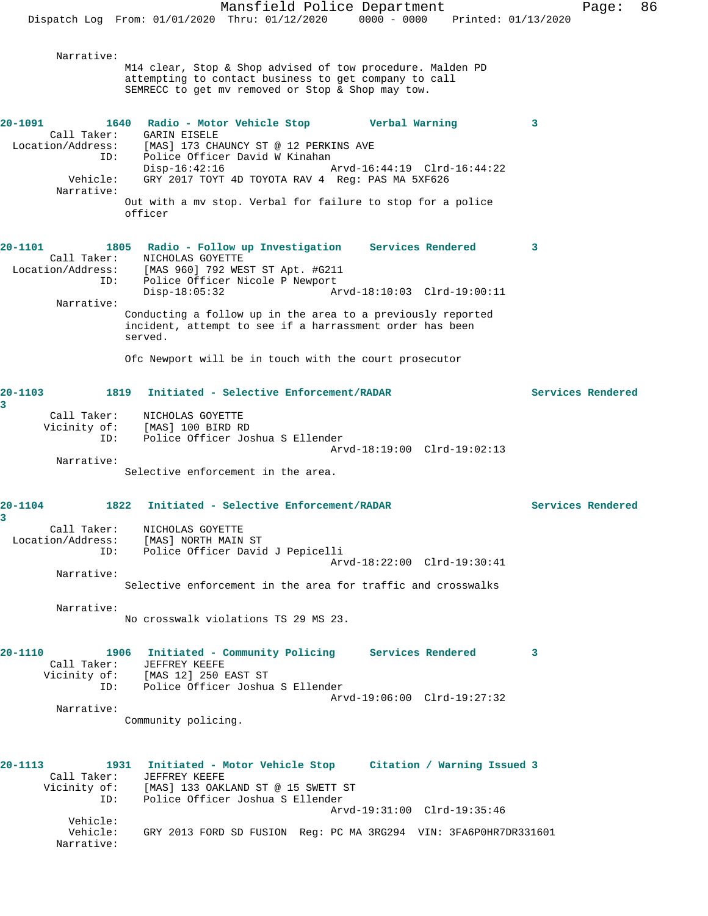Mansfield Police Department Fage: 86 Dispatch Log From: 01/01/2020 Thru: 01/12/2020 0000 - 0000 Printed: 01/13/2020 Narrative: M14 clear, Stop & Shop advised of tow procedure. Malden PD attempting to contact business to get company to call SEMRECC to get mv removed or Stop & Shop may tow. **20-1091 1640 Radio - Motor Vehicle Stop Verbal Warning 3**  Call Taker: GARIN EISELE Location/Address: [MAS] 173 CHAUNCY ST @ 12 PERKINS AVE ISS: المصدر المصدر الوطنية<br>ID: Police Officer David W Kinahan<br>Disp-16:42:16 Disp-16:42:16 Arvd-16:44:19 Clrd-16:44:22 Vehicle: GRY 2017 TOYT 4D TOYOTA RAV 4 Reg: PAS MA 5XF626 Narrative: Out with a mv stop. Verbal for failure to stop for a police officer **20-1101 1805 Radio - Follow up Investigation Services Rendered 3**  Call Taker: NICHOLAS GOYETTE Location/Address: [MAS 960] 792 WEST ST Apt. #G211 ID: Police Officer Nicole P Newport Disp-18:05:32 Arvd-18:10:03 Clrd-19:00:11 Narrative: Conducting a follow up in the area to a previously reported incident, attempt to see if a harrassment order has been served. Ofc Newport will be in touch with the court prosecutor **20-1103 1819 Initiated - Selective Enforcement/RADAR Services Rendered 3**  Call Taker: NICHOLAS GOYETTE Vicinity of: [MAS] 100 BIRD RD ID: Police Officer Joshua S Ellender Arvd-18:19:00 Clrd-19:02:13 Narrative: Selective enforcement in the area. **20-1104 1822 Initiated - Selective Enforcement/RADAR Services Rendered 3**  Call Taker: NICHOLAS GOYETTE Location/Address: [MAS] NORTH MAIN ST ID: Police Officer David J Pepicelli Arvd-18:22:00 Clrd-19:30:41 Narrative: Selective enforcement in the area for traffic and crosswalks Narrative: No crosswalk violations TS 29 MS 23. **20-1110 1906 Initiated - Community Policing Services Rendered 3**  Call Taker: JEFFREY KEEFE Vicinity of: [MAS 12] 250 EAST ST ID: Police Officer Joshua S Ellender Arvd-19:06:00 Clrd-19:27:32 Narrative: Community policing. **20-1113 1931 Initiated - Motor Vehicle Stop Citation / Warning Issued 3**  Call Taker: JEFFREY KEEFE<br>Vicinity of: [MAS] 133 OAKI Vicinity of: [MAS] 133 OAKLAND ST @ 15 SWETT ST ID: Police Officer Joshua S Ellender Arvd-19:31:00 Clrd-19:35:46 Vehicle: Vehicle: GRY 2013 FORD SD FUSION Reg: PC MA 3RG294 VIN: 3FA6P0HR7DR331601 Narrative: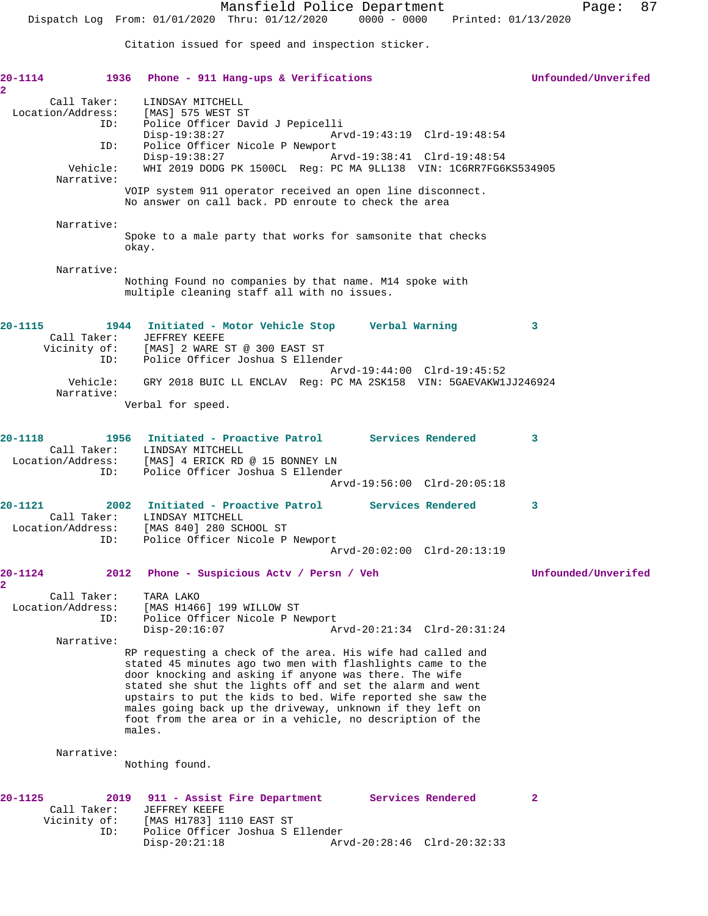Dispatch Log From: 01/01/2020 Thru: 01/12/2020 0000 - 0000 Printed: 01/13/2020

Citation issued for speed and inspection sticker.

| $20 - 1114$<br>$\overline{\mathbf{2}}$          | 1936 Phone - 911 Hang-ups & Verifications                                                                                                                                                                                                                                                                                                                                                                                                         | Unfounded/Unverifed |
|-------------------------------------------------|---------------------------------------------------------------------------------------------------------------------------------------------------------------------------------------------------------------------------------------------------------------------------------------------------------------------------------------------------------------------------------------------------------------------------------------------------|---------------------|
| Call Taker:<br>Location/Address:<br>ID:         | LINDSAY MITCHELL<br>[MAS] 575 WEST ST<br>Police Officer David J Pepicelli                                                                                                                                                                                                                                                                                                                                                                         |                     |
| ID:                                             | $Disp-19:38:27$<br>Arvd-19:43:19 Clrd-19:48:54<br>Police Officer Nicole P Newport                                                                                                                                                                                                                                                                                                                                                                 |                     |
| Vehicle:<br>Narrative:                          | Disp-19:38:27<br>Arvd-19:38:41 Clrd-19:48:54<br>WHI 2019 DODG PK 1500CL Reg: PC MA 9LL138 VIN: 1C6RR7FG6KS534905                                                                                                                                                                                                                                                                                                                                  |                     |
|                                                 | VOIP system 911 operator received an open line disconnect.<br>No answer on call back. PD enroute to check the area                                                                                                                                                                                                                                                                                                                                |                     |
| Narrative:                                      | Spoke to a male party that works for samsonite that checks<br>okay.                                                                                                                                                                                                                                                                                                                                                                               |                     |
| Narrative:                                      |                                                                                                                                                                                                                                                                                                                                                                                                                                                   |                     |
|                                                 | Nothing Found no companies by that name. M14 spoke with<br>multiple cleaning staff all with no issues.                                                                                                                                                                                                                                                                                                                                            |                     |
| $20 - 1115$                                     | 1944 Initiated - Motor Vehicle Stop Verbal Warning<br>Call Taker: JEFFREY KEEFE                                                                                                                                                                                                                                                                                                                                                                   | 3                   |
| ID:                                             | Vicinity of: [MAS] 2 WARE ST @ 300 EAST ST<br>Police Officer Joshua S Ellender<br>Arvd-19:44:00 Clrd-19:45:52                                                                                                                                                                                                                                                                                                                                     |                     |
| Vehicle:<br>Narrative:                          | GRY 2018 BUIC LL ENCLAV Req: PC MA 2SK158 VIN: 5GAEVAKW1JJ246924                                                                                                                                                                                                                                                                                                                                                                                  |                     |
|                                                 | Verbal for speed.                                                                                                                                                                                                                                                                                                                                                                                                                                 |                     |
| $20 - 1118$<br>Call Taker:<br>Location/Address: | 1956 Initiated - Proactive Patrol Services Rendered<br>LINDSAY MITCHELL<br>[MAS] 4 ERICK RD @ 15 BONNEY LN                                                                                                                                                                                                                                                                                                                                        | 3                   |
| ID:                                             | Police Officer Joshua S Ellender<br>Arvd-19:56:00 Clrd-20:05:18                                                                                                                                                                                                                                                                                                                                                                                   |                     |
| $20 - 1121$<br>Call Taker:                      | 2002 Initiated - Proactive Patrol Services Rendered<br>LINDSAY MITCHELL                                                                                                                                                                                                                                                                                                                                                                           | 3                   |
| ID:                                             | Location/Address: [MAS 840] 280 SCHOOL ST<br>Police Officer Nicole P Newport<br>Arvd-20:02:00 Clrd-20:13:19                                                                                                                                                                                                                                                                                                                                       |                     |
| 20-1124                                         | 2012 Phone - Suspicious Actv / Persn / Veh                                                                                                                                                                                                                                                                                                                                                                                                        | Unfounded/Unverifed |
| Call Taker:<br>Location/Address:<br>ID:         | TARA LAKO<br>[MAS H1466] 199 WILLOW ST<br>Police Officer Nicole P Newport                                                                                                                                                                                                                                                                                                                                                                         |                     |
| Narrative:                                      | $Disp-20:16:07$<br>Arvd-20:21:34 Clrd-20:31:24                                                                                                                                                                                                                                                                                                                                                                                                    |                     |
|                                                 | RP requesting a check of the area. His wife had called and<br>stated 45 minutes ago two men with flashlights came to the<br>door knocking and asking if anyone was there. The wife<br>stated she shut the lights off and set the alarm and went<br>upstairs to put the kids to bed. Wife reported she saw the<br>males going back up the driveway, unknown if they left on<br>foot from the area or in a vehicle, no description of the<br>males. |                     |
| Narrative:                                      | Nothing found.                                                                                                                                                                                                                                                                                                                                                                                                                                    |                     |
|                                                 |                                                                                                                                                                                                                                                                                                                                                                                                                                                   |                     |
| 20-1125<br>Call Taker:<br>Vicinity of:<br>ID:   | <b>Services Rendered</b><br>2019<br>911 - Assist Fire Department<br>JEFFREY KEEFE<br>[MAS H1783] 1110 EAST ST<br>Police Officer Joshua S Ellender<br>$Disp-20:21:18$<br>Arvd-20:28:46 Clrd-20:32:33                                                                                                                                                                                                                                               | $\mathbf{2}$        |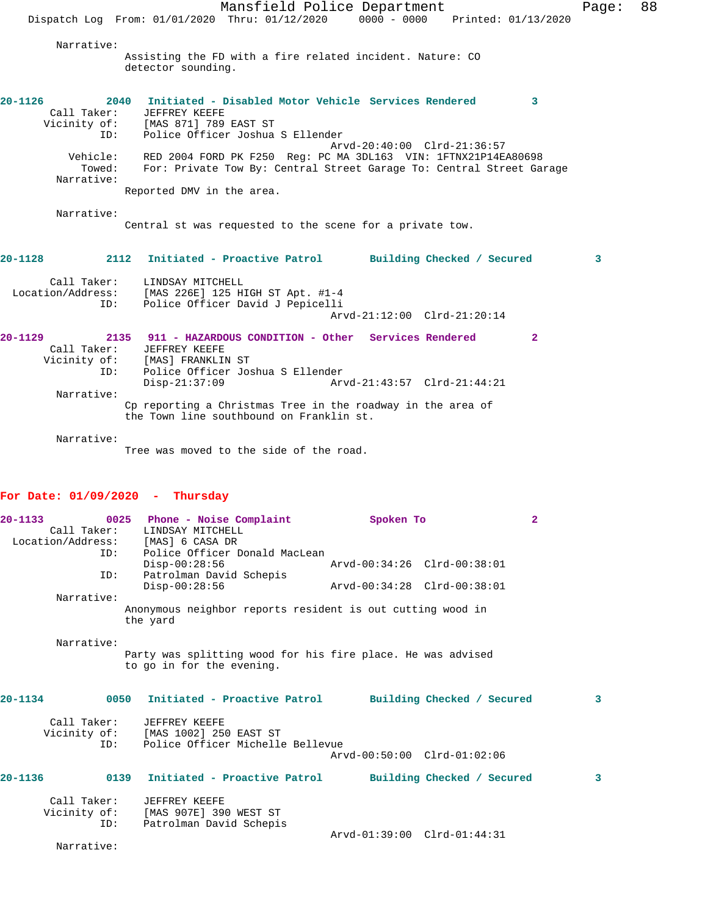Mansfield Police Department Page: 88 Dispatch Log From: 01/01/2020 Thru: 01/12/2020 0000 - 0000 Printed: 01/13/2020 Narrative: Assisting the FD with a fire related incident. Nature: CO detector sounding. **20-1126 2040 Initiated - Disabled Motor Vehicle Services Rendered 3**  Call Taker: JEFFREY KEEFE Vicinity of: [MAS 871] 789 EAST ST ID: Police Officer Joshua S Ellender Arvd-20:40:00 Clrd-21:36:57 Vehicle: RED 2004 FORD PK F250 Reg: PC MA 3DL163 VIN: 1FTNX21P14EA80698 Towed: For: Private Tow By: Central Street Garage To: Central Street Garage Narrative: Reported DMV in the area. Narrative: Central st was requested to the scene for a private tow. **20-1128 2112 Initiated - Proactive Patrol Building Checked / Secured 3** Call Taker: LINDSAY MITCHELL Location/Address: [MAS 226E] 125 HIGH ST Apt. #1-4 ID: Police Officer David J Pepicelli Arvd-21:12:00 Clrd-21:20:14 **20-1129 2135 911 - HAZARDOUS CONDITION - Other Services Rendered 2**  Call Taker: JEFFREY KEEFE Vicinity of: [MAS] FRANKLIN ST ID: Police Officer Joshua S Ellender Disp-21:37:09 Arvd-21:43:57 Clrd-21:44:21 Narrative: Cp reporting a Christmas Tree in the roadway in the area of the Town line southbound on Franklin st.

Narrative:

Tree was moved to the side of the road.

## **For Date: 01/09/2020 - Thursday**

| $20 - 1133$ | Location/Address: [MAS] 6 CASA DR |          | 0025 Phone - Noise Complaint<br>Call Taker: LINDSAY MITCHELL                             | Spoken To                                                   |                            | $\overline{2}$ |   |
|-------------|-----------------------------------|----------|------------------------------------------------------------------------------------------|-------------------------------------------------------------|----------------------------|----------------|---|
|             |                                   |          | ID: Police Officer Donald MacLean<br>$Disp-00:28:56$                                     | Arvd-00:34:26 Clrd-00:38:01                                 |                            |                |   |
|             | ID:                               |          | Patrolman David Schepis<br>$Disp-00:28:56$                                               | Arvd-00:34:28 Clrd-00:38:01                                 |                            |                |   |
|             | Narrative:                        |          |                                                                                          |                                                             |                            |                |   |
|             |                                   | the yard |                                                                                          | Anonymous neighbor reports resident is out cutting wood in  |                            |                |   |
|             | Narrative:                        |          |                                                                                          | Party was splitting wood for his fire place. He was advised |                            |                |   |
|             |                                   |          | to go in for the evening.                                                                |                                                             |                            |                |   |
| 20-1134     |                                   |          | 0050 Initiated - Proactive Patrol                                                        |                                                             | Building Checked / Secured |                | 3 |
|             | Call Taker:<br>ID:                |          | JEFFREY KEEFE<br>Vicinity of: [MAS 1002] 250 EAST ST<br>Police Officer Michelle Bellevue |                                                             |                            |                |   |
|             |                                   |          |                                                                                          | Arvd-00:50:00 Clrd-01:02:06                                 |                            |                |   |
| $20 - 1136$ |                                   | 0139     | Initiated - Proactive Patrol                                                             |                                                             | Building Checked / Secured |                | 3 |
|             | Call Taker:<br>ID:                |          | JEFFREY KEEFE<br>Vicinity of: [MAS 907E] 390 WEST ST<br>Patrolman David Schepis          |                                                             |                            |                |   |
|             |                                   |          |                                                                                          | Arvd-01:39:00 Clrd-01:44:31                                 |                            |                |   |

Narrative: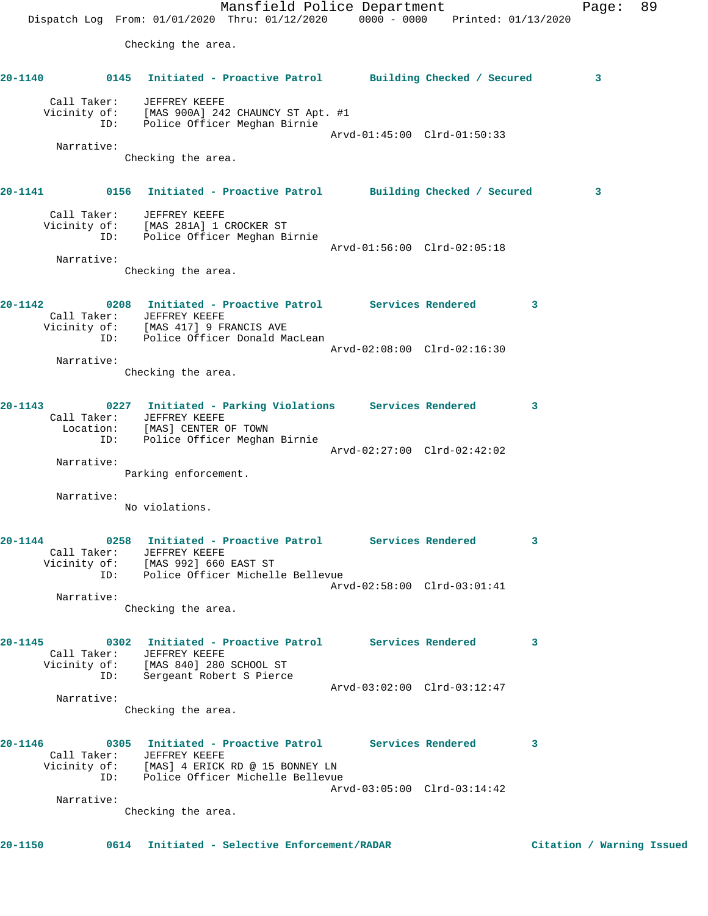Mansfield Police Department Fage: 89 Dispatch Log From: 01/01/2020 Thru: 01/12/2020 0000 - 0000 Printed: 01/13/2020 Checking the area. **20-1140 0145 Initiated - Proactive Patrol Building Checked / Secured 3** Call Taker: JEFFREY KEEFE Vicinity of: [MAS 900A] 242 CHAUNCY ST Apt. #1 ID: Police Officer Meghan Birnie Arvd-01:45:00 Clrd-01:50:33 Narrative: Checking the area. **20-1141 0156 Initiated - Proactive Patrol Building Checked / Secured 3** Call Taker: JEFFREY KEEFE Vicinity of: [MAS 281A] 1 CROCKER ST ID: Police Officer Meghan Birnie Arvd-01:56:00 Clrd-02:05:18 Narrative: Checking the area. **20-1142 0208 Initiated - Proactive Patrol Services Rendered 3**  Call Taker: JEFFREY KEEFE Vicinity of: [MAS 417] 9 FRANCIS AVE ID: Police Officer Donald MacLean Arvd-02:08:00 Clrd-02:16:30 Narrative: Checking the area. **20-1143 0227 Initiated - Parking Violations Services Rendered 3**  Call Taker: JEFFREY KEEFE Location: [MAS] CENTER OF TOWN ID: Police Officer Meghan Birnie Arvd-02:27:00 Clrd-02:42:02 Narrative: Parking enforcement. Narrative: No violations. **20-1144 0258 Initiated - Proactive Patrol Services Rendered 3**  Call Taker: JEFFREY KEEFE Vicinity of: [MAS 992] 660 EAST ST ID: Police Officer Michelle Bellevue Arvd-02:58:00 Clrd-03:01:41 Narrative: Checking the area. **20-1145 0302 Initiated - Proactive Patrol Services Rendered 3**  Call Taker: JEFFREY KEEFE Vicinity of: [MAS 840] 280 SCHOOL ST ID: Sergeant Robert S Pierce Arvd-03:02:00 Clrd-03:12:47 Narrative: Checking the area. **20-1146 0305 Initiated - Proactive Patrol Services Rendered 3**  Call Taker: JEFFREY KEEFE Vicinity of: [MAS] 4 ERICK RD @ 15 BONNEY LN ID: Police Officer Michelle Bellevue Arvd-03:05:00 Clrd-03:14:42 Narrative: Checking the area.

**20-1150 0614 Initiated - Selective Enforcement/RADAR Citation / Warning Issued**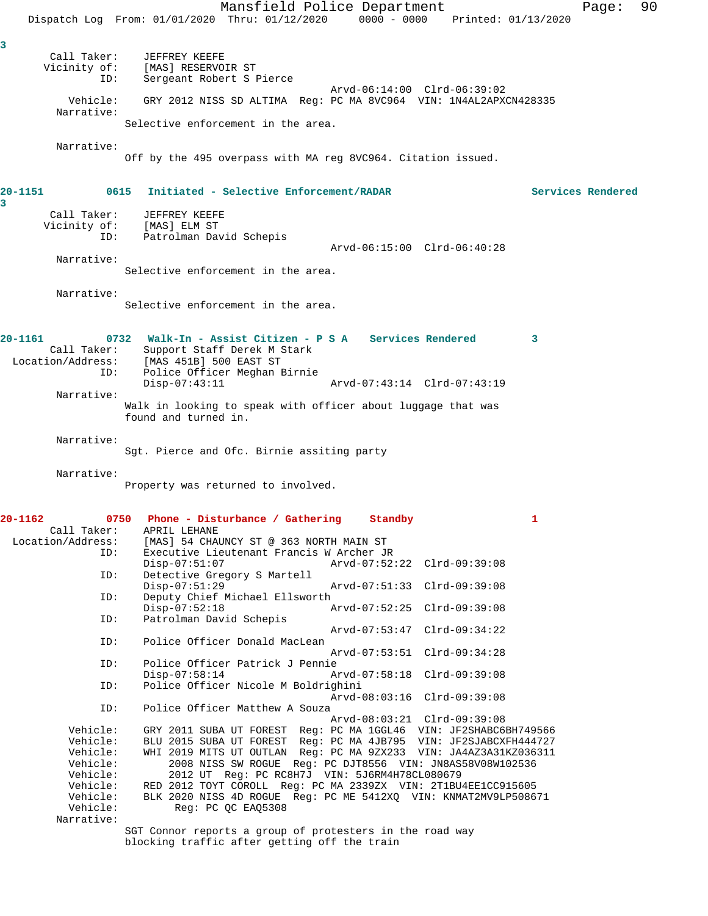Mansfield Police Department Page: 90 Dispatch Log From: 01/01/2020 Thru: 01/12/2020 0000 - 0000 Printed: 01/13/2020 **3**  Call Taker: JEFFREY KEEFE Vicinity of: [MAS] RESERVOIR ST ID: Sergeant Robert S Pierce Arvd-06:14:00 Clrd-06:39:02 Vehicle: GRY 2012 NISS SD ALTIMA Reg: PC MA 8VC964 VIN: 1N4AL2APXCN428335 Narrative: Selective enforcement in the area. Narrative: Off by the 495 overpass with MA reg 8VC964. Citation issued. **20-1151 0615 Initiated - Selective Enforcement/RADAR Services Rendered** Call Taker: JEFFREY KEEFE<br>Vicinity of: [MAS] ELM ST Vicinity of:<br>ID: Patrolman David Schepis Arvd-06:15:00 Clrd-06:40:28 Narrative: Selective enforcement in the area. Narrative: Selective enforcement in the area. **20-1161 0732 Walk-In - Assist Citizen - P S A Services Rendered 3**  Call Taker: Support Staff Derek M Stark<br>Location/Address: [MAS 451B] 500 EAST ST ess: [MAS 451B] 500 EAST ST<br>ID: Police Officer Meghan E Police Officer Meghan Birnie Disp-07:43:11 Arvd-07:43:14 Clrd-07:43:19 Narrative: Walk in looking to speak with officer about luggage that was found and turned in. Narrative: Sgt. Pierce and Ofc. Birnie assiting party Narrative: Property was returned to involved. **20-1162 0750 Phone - Disturbance / Gathering Standby 1**  Call Taker: APRIL LEHANE<br>Location/Address: [MAS] 54 CHA ess: [MAS] 54 CHAUNCY ST @ 363 NORTH MAIN ST<br>ID: Executive Lieutenant Francis W Archer JJ Executive Lieutenant Francis W Archer JR<br>Disp-07:51:07 Arvd-07:52 Disp-07:51:07 Arvd-07:52:22 Clrd-09:39:08 ID: Detective Gregory S Martell Disp-07:51:29 Arvd-07:51:33 Clrd-09:39:08 ID: Deputy Chief Michael Ellsworth Disp-07:52:18 Arvd-07:52:25 Clrd-09:39:08 ID: Patrolman David Schepis Arvd-07:53:47 Clrd-09:34:22 ID: Police Officer Donald MacLean Arvd-07:53:51 Clrd-09:34:28 ID: Police Officer Patrick J Pennie Disp-07:58:14 Arvd-07:58:18 Clrd-09:39:08<br>ID: Police Officer Nicole M Boldrighini Police Officer Nicole M Boldrighini Arvd-08:03:16 Clrd-09:39:08 ID: Police Officer Matthew A Souza Arvd-08:03:21 Clrd-09:39:08<br>Vehicle: GRY 2011 SUBA UT FOREST Reg: PC MA 1GGL46 VIN: JE2SHARC6 GRY 2011 SUBA UT FOREST Reg: PC MA 1GGL46 VIN: JF2SHABC6BH749566 Vehicle: BLU 2015 SUBA UT FOREST Reg: PC MA 4JB795 VIN: JF2SJABCXFH444727 Vehicle: WHI 2019 MITS UT OUTLAN Reg: PC MA 9ZX233 VIN: JA4AZ3A31KZ036311<br>Vehicle: 2008 NISS SW ROGUE Reg: PC DJT8556 VIN: JN8AS58V08W102536 Vehicle: 2008 NISS SW ROGUE Reg: PC DJT8556 VIN: JN8AS58V08W102536 Vehicle: 2012 UT Reg: PC RC8H7J VIN: 5J6RM4H78CL080679 Vehicle: RED 2012 TOYT COROLL Reg: PC MA 2339ZX VIN: 2T1BU4EE1CC915605 Vehicle: BLK 2020 NISS 4D ROGUE Reg: PC ME 5412XQ VIN: KNMAT2MV9LP508671 Vehicle: Reg: PC QC EAQ5308 Narrative: SGT Connor reports a group of protesters in the road way

blocking traffic after getting off the train

**3**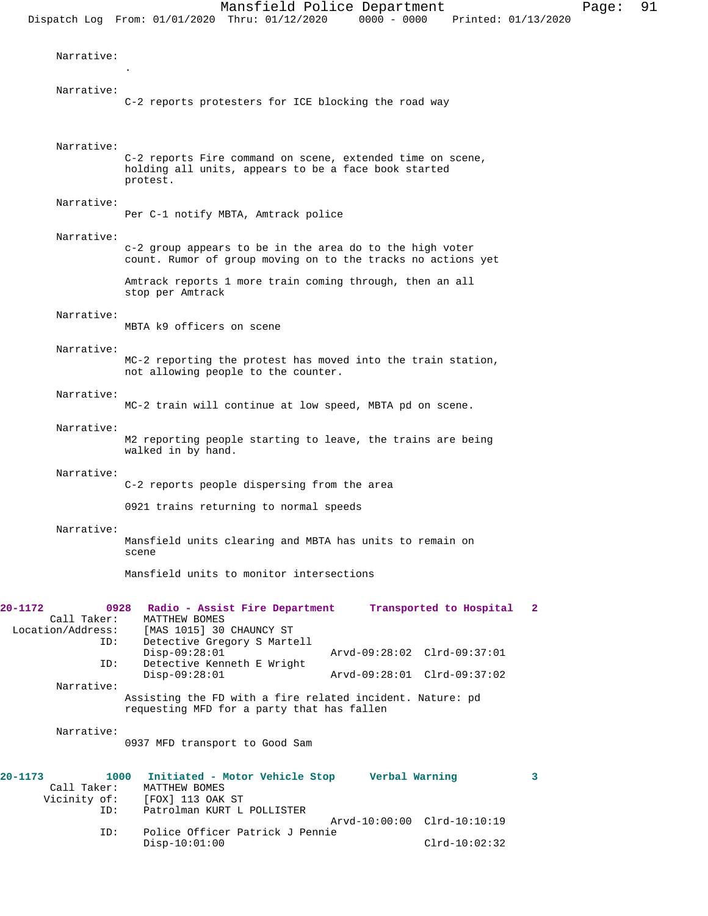Narrative: . Narrative: C-2 reports protesters for ICE blocking the road way Narrative: C-2 reports Fire command on scene, extended time on scene, holding all units, appears to be a face book started protest. Narrative: Per C-1 notify MBTA, Amtrack police Narrative: c-2 group appears to be in the area do to the high voter count. Rumor of group moving on to the tracks no actions yet Amtrack reports 1 more train coming through, then an all stop per Amtrack Narrative: MBTA k9 officers on scene Narrative: MC-2 reporting the protest has moved into the train station, not allowing people to the counter. Narrative: MC-2 train will continue at low speed, MBTA pd on scene. Narrative: M2 reporting people starting to leave, the trains are being walked in by hand. Narrative: C-2 reports people dispersing from the area 0921 trains returning to normal speeds Narrative: Mansfield units clearing and MBTA has units to remain on scene Mansfield units to monitor intersections **20-1172 0928 Radio - Assist Fire Department Transported to Hospital 2**  Call Taker: MATTHEW BOMES Location/Address: [MAS 1015] 30 CHAUNCY ST ID: Detective Gregory S Martell Disp-09:28:01 Arvd-09:28:02 Clrd-09:37:01 ID: Detective Kenneth E Wright<br>Disp-09:28:01 Disp-09:28:01 Arvd-09:28:01 Clrd-09:37:02 Narrative: Assisting the FD with a fire related incident. Nature: pd requesting MFD for a party that has fallen Narrative: 0937 MFD transport to Good Sam **20-1173 1000 Initiated - Motor Vehicle Stop Verbal Warning 3**  Call Taker: MATTHEW BOMES<br>Vicinity of: [FOX] 113 OAK [FOX] 113 OAK ST

ID: Patrolman KURT L POLLISTER

ID: Police Officer Patrick J Pennie

Arvd-10:00:00 Clrd-10:10:19

Disp-10:01:00 Clrd-10:02:32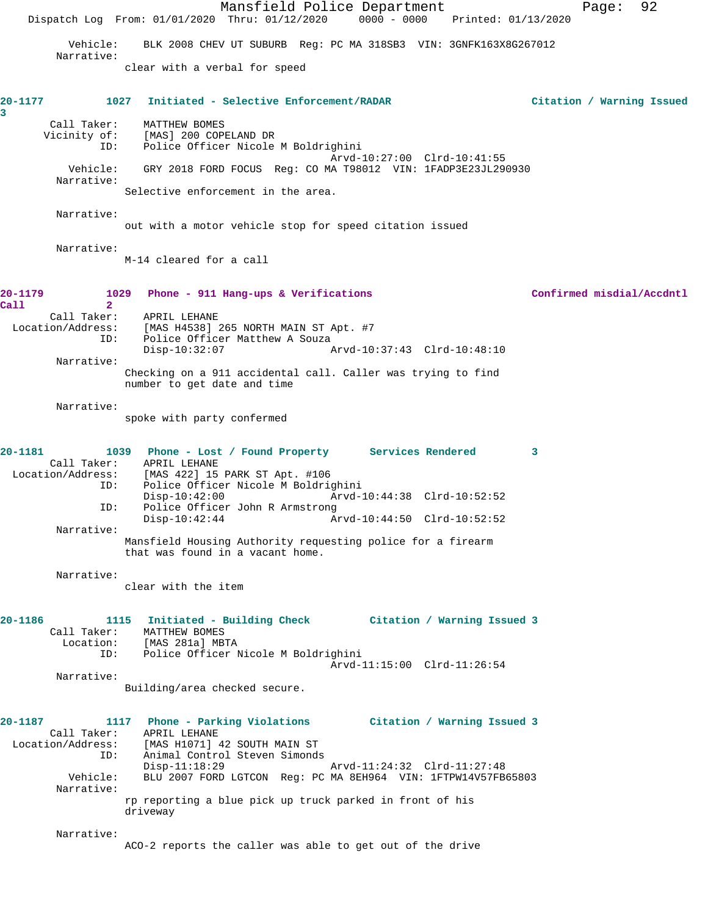Mansfield Police Department Fage: 92 Dispatch Log From: 01/01/2020 Thru: 01/12/2020 0000 - 0000 Printed: 01/13/2020 Vehicle: BLK 2008 CHEV UT SUBURB Reg: PC MA 318SB3 VIN: 3GNFK163X8G267012 Narrative: clear with a verbal for speed **20-1177 1027 Initiated - Selective Enforcement/RADAR Citation / Warning Issued 3**  Call Taker: MATTHEW BOMES<br>Vicinity of: [MAS] 200 COPI of: [MAS] 200 COPELAND DR<br>TD: Police Officer Nicole Police Officer Nicole M Boldrighini Arvd-10:27:00 Clrd-10:41:55 Vehicle: GRY 2018 FORD FOCUS Reg: CO MA T98012 VIN: 1FADP3E23JL290930 Narrative: Selective enforcement in the area. Narrative: out with a motor vehicle stop for speed citation issued Narrative: M-14 cleared for a call **20-1179 1029 Phone - 911 Hang-ups & Verifications Confirmed misdial/Accdntl Call 2**  Call Taker: APRIL LEHANE Location/Address: [MAS H4538] 265 NORTH MAIN ST Apt. #7 ID: Police Officer Matthew A Souza Disp-10:32:07 Arvd-10:37:43 Clrd-10:48:10 Narrative: Checking on a 911 accidental call. Caller was trying to find number to get date and time Narrative: spoke with party confermed **20-1181 1039 Phone - Lost / Found Property Services Rendered 3**  Call Taker: APRIL LEHANE Location/Address: [MAS 422] 15 PARK ST Apt. #106 ess: [MAS 422] 15 PARK ST Apt. #106<br>ID: Police Officer Nicole M Boldrighini Disp-10:42:00 Arvd-10:44:38 Clrd-10:52:52 ID: Police Officer John R Armstrong<br>Disp-10:42:44 Am Arvd-10:44:50 Clrd-10:52:52 Narrative: Mansfield Housing Authority requesting police for a firearm that was found in a vacant home. Narrative: clear with the item **20-1186 1115 Initiated - Building Check Citation / Warning Issued 3**  Call Taker: MATTHEW BOMES Location: [MAS 281a] MBTA ID: Police Officer Nicole M Boldrighini Arvd-11:15:00 Clrd-11:26:54 Narrative: Building/area checked secure. **20-1187 1117 Phone - Parking Violations Citation / Warning Issued 3**  Call Taker: APRIL LEHANE<br>Location/Address: [MAS H1071] [MAS H1071] 42 SOUTH MAIN ST ID: Animal Control Steven Simonds Disp-11:18:29 Arvd-11:24:32 Clrd-11:27:48 Vehicle: BLU 2007 FORD LGTCON Reg: PC MA 8EH964 VIN: 1FTPW14V57FB65803 Narrative: rp reporting a blue pick up truck parked in front of his driveway Narrative: ACO-2 reports the caller was able to get out of the drive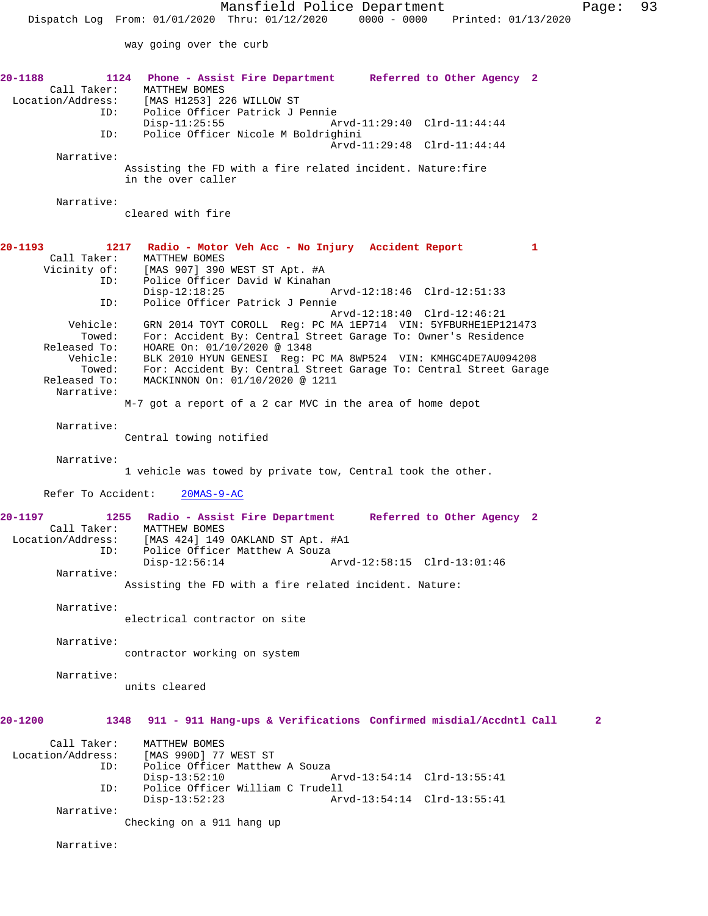way going over the curb

| 20-1188<br>Call Taker:<br>Location/Address: | 1124 Phone - Assist Fire Department Referred to Other Agency 2<br>MATTHEW BOMES<br>[MAS H1253] 226 WILLOW ST                       |
|---------------------------------------------|------------------------------------------------------------------------------------------------------------------------------------|
| ID:<br>ID:                                  | Police Officer Patrick J Pennie<br>$Disp-11:25:55$<br>Arvd-11:29:40 Clrd-11:44:44<br>Police Officer Nicole M Boldrighini           |
| Narrative:                                  | Arvd-11:29:48 Clrd-11:44:44                                                                                                        |
|                                             | Assisting the FD with a fire related incident. Nature: fire<br>in the over caller                                                  |
| Narrative:                                  | cleared with fire                                                                                                                  |
| $20 - 1193$                                 | 1217 Radio - Motor Veh Acc - No Injury Accident Report<br>1                                                                        |
| Call Taker:<br>Vicinity of:                 | MATTHEW BOMES<br>[MAS 907] 390 WEST ST Apt. #A                                                                                     |
| ID:                                         | Police Officer David W Kinahan                                                                                                     |
| ID:                                         | $Disp-12:18:25$<br>Arvd-12:18:46 Clrd-12:51:33<br>Police Officer Patrick J Pennie                                                  |
|                                             | Arvd-12:18:40 Clrd-12:46:21                                                                                                        |
| Vehicle:<br>Towed:                          | GRN 2014 TOYT COROLL Req: PC MA 1EP714 VIN: 5YFBURHE1EP121473<br>For: Accident By: Central Street Garage To: Owner's Residence     |
| Released To:                                | HOARE On: 01/10/2020 @ 1348                                                                                                        |
| Vehicle:<br>Towed:                          | BLK 2010 HYUN GENESI Req: PC MA 8WP524 VIN: KMHGC4DE7AU094208<br>For: Accident By: Central Street Garage To: Central Street Garage |
| Released To:<br>Narrative:                  | MACKINNON On: 01/10/2020 @ 1211                                                                                                    |
|                                             | M-7 got a report of a 2 car MVC in the area of home depot                                                                          |
| Narrative:                                  |                                                                                                                                    |
|                                             | Central towing notified                                                                                                            |
| Narrative:                                  | 1 vehicle was towed by private tow, Central took the other.                                                                        |
| Refer To Accident:                          | $20MAS-9-AC$                                                                                                                       |
| $20 - 1197$                                 | 1255 Radio - Assist Fire Department Referred to Other Agency 2                                                                     |
| Call Taker:<br>Location/Address:<br>ID:     | MATTHEW BOMES<br>[MAS 424] 149 OAKLAND ST Apt. #A1<br>Police Officer Matthew A Souza                                               |
| Narrative:                                  | $Disp-12:56:14$<br>Arvd-12:58:15 Clrd-13:01:46                                                                                     |
|                                             | Assisting the FD with a fire related incident. Nature:                                                                             |
| Narrative:                                  |                                                                                                                                    |
|                                             | electrical contractor on site                                                                                                      |
| Narrative:                                  | contractor working on system                                                                                                       |
| Narrative:                                  | units cleared                                                                                                                      |
| $20 - 1200$                                 | 911 - 911 Hang-ups & Verifications Confirmed misdial/Accdntl Call<br>1348<br>2                                                     |
| Call Taker:<br>Location/Address:<br>ID:     | MATTHEW BOMES<br>[MAS 990D] 77 WEST ST<br>Police Officer Matthew A Souza                                                           |
| ID:                                         | $Disp-13:52:10$<br>Arvd-13:54:14 Clrd-13:55:41<br>Police Officer William C Trudell                                                 |
| Narrative:                                  | $Disp-13:52:23$<br>Arvd-13:54:14 Clrd-13:55:41                                                                                     |
|                                             | Checking on a 911 hang up                                                                                                          |
|                                             |                                                                                                                                    |

Narrative: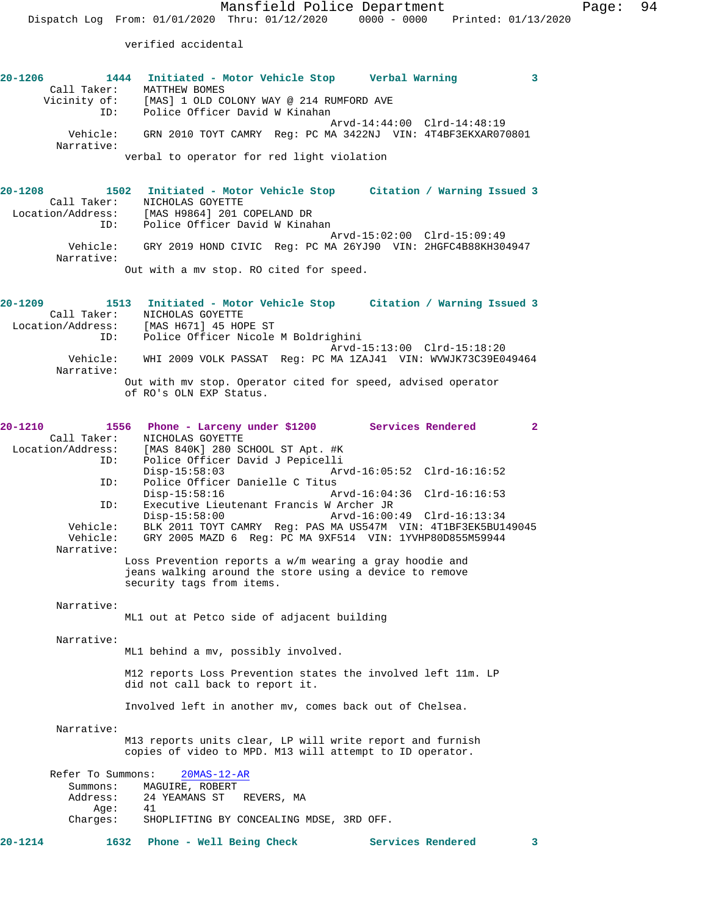verified accidental

| $20 - 1206$ |              | 1444 Initiated - Motor Vehicle Stop        |                                          |  | Verbal Warning                                               |  |
|-------------|--------------|--------------------------------------------|------------------------------------------|--|--------------------------------------------------------------|--|
|             | Call Taker:  | MATTHEW BOMES                              |                                          |  |                                                              |  |
|             | Vicinity of: |                                            | [MAS] 1 OLD COLONY WAY @ 214 RUMFORD AVE |  |                                                              |  |
|             | ID:          |                                            | Police Officer David W Kinahan           |  |                                                              |  |
|             |              |                                            |                                          |  | Arvd-14:44:00 Clrd-14:48:19                                  |  |
|             | Vehicle:     |                                            |                                          |  | GRN 2010 TOYT CAMRY Req: PC MA 3422NJ VIN: 4T4BF3EKXAR070801 |  |
|             | Narrative:   |                                            |                                          |  |                                                              |  |
|             |              | verbal to operator for red light violation |                                          |  |                                                              |  |

**20-1208 1502 Initiated - Motor Vehicle Stop Citation / Warning Issued 3**  Call Taker: NICHOLAS GOYETTE Location/Address: [MAS H9864] 201 COPELAND DR ID: Police Officer David W Kinahan Arvd-15:02:00 Clrd-15:09:49 Vehicle: GRY 2019 HOND CIVIC Reg: PC MA 26YJ90 VIN: 2HGFC4B88KH304947 Narrative: Out with a mv stop. RO cited for speed.

**20-1209 1513 Initiated - Motor Vehicle Stop Citation / Warning Issued 3**  Call Taker: NICHOLAS GOYETTE Location/Address: [MAS H671] 45 HOPE ST ID: Police Officer Nicole M Boldrighini Arvd-15:13:00 Clrd-15:18:20 Vehicle: WHI 2009 VOLK PASSAT Reg: PC MA 1ZAJ41 VIN: WVWJK73C39E049464 Narrative: Out with mv stop. Operator cited for speed, advised operator of RO's OLN EXP Status.

| $20 - 1210$ |                          | 1556<br>Phone - Larceny under \$1200 Services Rendered<br>$\overline{2}$ |  |
|-------------|--------------------------|--------------------------------------------------------------------------|--|
|             | Call Taker:              | NICHOLAS GOYETTE                                                         |  |
|             | Location/Address:<br>ID: | [MAS 840K] 280 SCHOOL ST Apt. #K<br>Police Officer David J Pepicelli     |  |
|             |                          | $Disp-15:58:03$                                                          |  |
|             | ID:                      | Police Officer Danielle C Titus                                          |  |
|             |                          | $Disp-15:58:16$<br>Arvd-16:04:36 Clrd-16:16:53                           |  |
|             | ID:                      | Executive Lieutenant Francis W Archer JR                                 |  |
|             |                          | $Disp-15:58:00$<br>Arvd-16:00:49 Clrd-16:13:34                           |  |
|             | Vehicle:                 | BLK 2011 TOYT CAMRY Req: PAS MA US547M VIN: 4T1BF3EK5BU149045            |  |
|             | Vehicle:<br>Narrative:   | GRY 2005 MAZD 6 Req: PC MA 9XF514 VIN: 1YVHP80D855M59944                 |  |
|             |                          | Loss Prevention reports a w/m wearing a gray hoodie and                  |  |
|             |                          | jeans walking around the store using a device to remove                  |  |
|             |                          | security tags from items.                                                |  |
|             |                          |                                                                          |  |
|             | Narrative:               |                                                                          |  |
|             |                          | ML1 out at Petco side of adjacent building                               |  |
|             |                          |                                                                          |  |
|             | Narrative:               | ML1 behind a mv, possibly involved.                                      |  |
|             |                          |                                                                          |  |
|             |                          | M12 reports Loss Prevention states the involved left 11m. LP             |  |
|             |                          | did not call back to report it.                                          |  |
|             |                          |                                                                          |  |
|             |                          | Involved left in another mv, comes back out of Chelsea.                  |  |
|             | Narrative:               |                                                                          |  |
|             |                          | M13 reports units clear, LP will write report and furnish                |  |
|             |                          | copies of video to MPD. M13 will attempt to ID operator.                 |  |
|             |                          |                                                                          |  |
|             | Refer To Summons:        | $20MAS-12-AR$                                                            |  |
|             |                          | Summons: MAGUIRE, ROBERT                                                 |  |
|             | Address:                 | 24 YEAMANS ST REVERS, MA                                                 |  |
|             | Age:                     | 41                                                                       |  |

Charges: SHOPLIFTING BY CONCEALING MDSE, 3RD OFF.

**20-1214 1632 Phone - Well Being Check Services Rendered 3**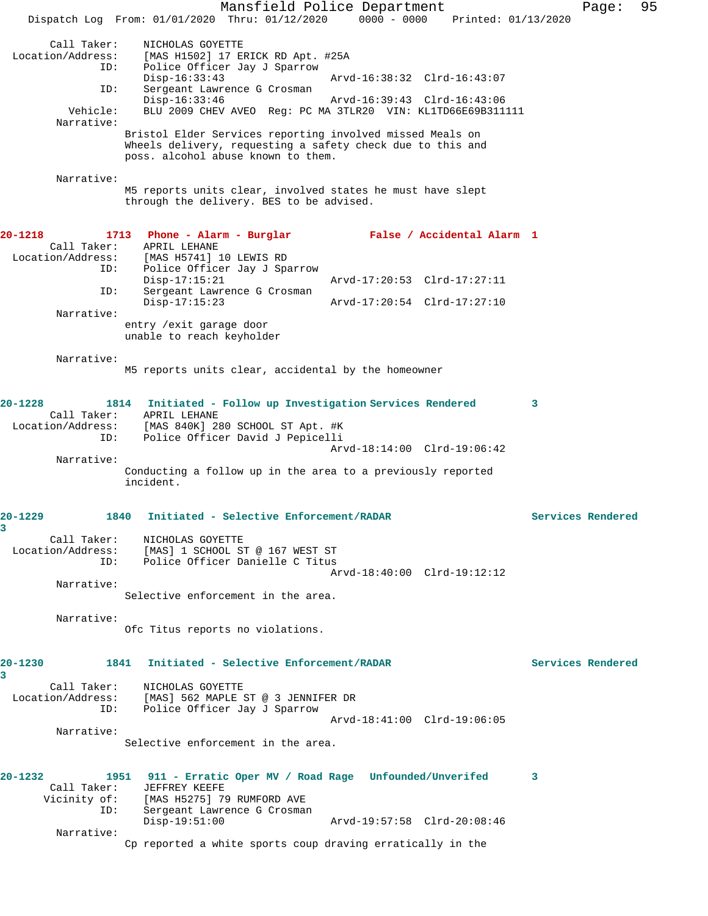Mansfield Police Department Fage: 95 Dispatch Log From: 01/01/2020 Thru: 01/12/2020 0000 - 0000 Printed: 01/13/2020 Call Taker: NICHOLAS GOYETTE<br>Location/Address: [MAS H1502] 17 E [MAS H1502] 17 ERICK RD Apt. #25A ID: Police Officer Jay J Sparrow Disp-16:33:43 Arvd-16:38:32 Clrd-16:43:07<br>ID: Sergeant Lawrence G Crosman Sergeant Lawrence G Crosman<br>Disp-16:33:46 Disp-16:33:46 Arvd-16:39:43 Clrd-16:43:06<br>Vehicle: BLU 2009 CHEV AVEO Req: PC MA 3TLR20 VIN: KL1TD66E69B311 BLU 2009 CHEV AVEO Reg: PC MA 3TLR20 VIN: KL1TD66E69B311111 Narrative: Bristol Elder Services reporting involved missed Meals on Wheels delivery, requesting a safety check due to this and poss. alcohol abuse known to them. Narrative: M5 reports units clear, involved states he must have slept through the delivery. BES to be advised. **20-1218 1713 Phone - Alarm - Burglar False / Accidental Alarm 1**  Call Taker: APRIL LEHANE Location/Address: [MAS H5741] 10 LEWIS RD Police Officer Jay J Sparrow<br>Disp-17:15:21 Disp-17:15:21 Arvd-17:20:53 Clrd-17:27:11<br>ID: Sergeant Lawrence G Crosman Sergeant Lawrence G Crosman<br>Disp-17:15:23 Disp-17:15:23 Arvd-17:20:54 Clrd-17:27:10 Narrative: entry /exit garage door unable to reach keyholder Narrative: M5 reports units clear, accidental by the homeowner **20-1228 1814 Initiated - Follow up Investigation Services Rendered 3**  Call Taker: APRIL LEHANE Location/Address: [MAS 840K] 280 SCHOOL ST Apt. #K ID: Police Officer David J Pepicelli Arvd-18:14:00 Clrd-19:06:42 Narrative: Conducting a follow up in the area to a previously reported incident. **20-1229 1840 Initiated - Selective Enforcement/RADAR Services Rendered 3**  Call Taker: NICHOLAS GOYETTE Location/Address: [MAS] 1 SCHOOL ST @ 167 WEST ST ID: Police Officer Danielle C Titus Arvd-18:40:00 Clrd-19:12:12 Narrative: Selective enforcement in the area. Narrative: Ofc Titus reports no violations. **20-1230 1841 Initiated - Selective Enforcement/RADAR Services Rendered 3**  Call Taker: NICHOLAS GOYETTE Location/Address: [MAS] 562 MAPLE ST @ 3 JENNIFER DR<br>ID: Police Officer Jay J Sparrow Police Officer Jay J Sparrow Arvd-18:41:00 Clrd-19:06:05 Narrative: Selective enforcement in the area. **20-1232 1951 911 - Erratic Oper MV / Road Rage Unfounded/Unverifed 3**  Call Taker: JEFFREY KEEFE Vicinity of: [MAS H5275] 79 RUMFORD AVE ID: Sergeant Lawrence G Crosman Disp-19:51:00 Arvd-19:57:58 Clrd-20:08:46 Narrative: Cp reported a white sports coup draving erratically in the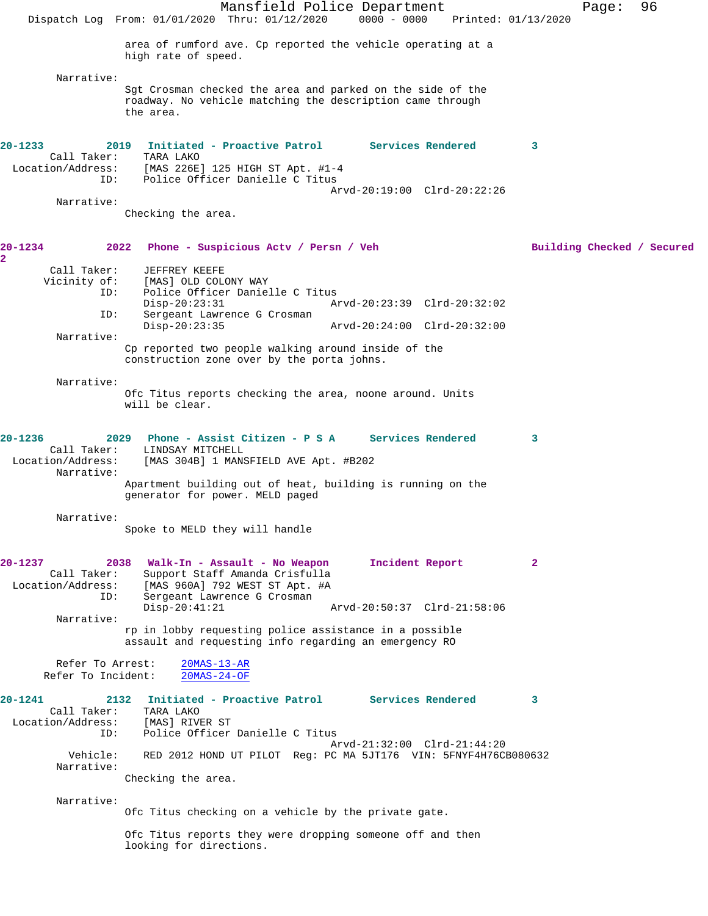Mansfield Police Department Page: 96 Dispatch Log From: 01/01/2020 Thru: 01/12/2020 0000 - 0000 Printed: 01/13/2020 area of rumford ave. Cp reported the vehicle operating at a high rate of speed. Narrative: Sgt Crosman checked the area and parked on the side of the roadway. No vehicle matching the description came through the area. **20-1233 2019 Initiated - Proactive Patrol Services Rendered 3**  Call Taker:<br>:Location/Address  $[MAS 226E] 125 HIGH ST Apt. #1-4$  ID: Police Officer Danielle C Titus Arvd-20:19:00 Clrd-20:22:26 Narrative: Checking the area. **20-1234 2022 Phone - Suspicious Actv / Persn / Veh Building Checked / Secured 2**  Call Taker: JEFFREY KEEFE<br>Vicinity of: [MAS] OLD COL of: [MAS] OLD COLONY WAY<br>ID: Police Officer Danie! Police Officer Danielle C Titus Disp-20:23:31 Arvd-20:23:39 Clrd-20:32:02<br>ID: Sergeant Lawrence G Crosman Sergeant Lawrence G Crosman Disp-20:23:35 Arvd-20:24:00 Clrd-20:32:00 Narrative: Cp reported two people walking around inside of the construction zone over by the porta johns. Narrative: Ofc Titus reports checking the area, noone around. Units will be clear. **20-1236 2029 Phone - Assist Citizen - P S A Services Rendered 3**  LINDSAY MITCHELL Location/Address: [MAS 304B] 1 MANSFIELD AVE Apt. #B202 Narrative: Apartment building out of heat, building is running on the generator for power. MELD paged Narrative: Spoke to MELD they will handle **20-1237 2038 Walk-In - Assault - No Weapon Incident Report 2**  Call Taker: Support Staff Amanda Crisfulla<br>Location/Address: [MAS 960A] 792 WEST ST Apt. #A ess: [MAS 960A] 792 WEST ST Apt. #A<br>ID: Sergeant Lawrence G Crosman Sergeant Lawrence G Crosman<br>Disp-20:41:21 Disp-20:41:21 Arvd-20:50:37 Clrd-21:58:06 Narrative: rp in lobby requesting police assistance in a possible assault and requesting info regarding an emergency RO Refer To Arrest:  $\frac{20\text{MAS}-13-\text{AR}}{20\text{MAS}-24-\text{OF}}$ Refer To Incident: **20-1241 2132 Initiated - Proactive Patrol Services Rendered 3**  Call Taker: TARA LAKO Location/Address: [MAS] RIVER ST<br>ID: Police Officer Police Officer Danielle C Titus Arvd-21:32:00 Clrd-21:44:20 Vehicle: RED 2012 HOND UT PILOT Reg: PC MA 5JT176 VIN: 5FNYF4H76CB080632 Narrative: Checking the area. Narrative: Ofc Titus checking on a vehicle by the private gate. Ofc Titus reports they were dropping someone off and then looking for directions.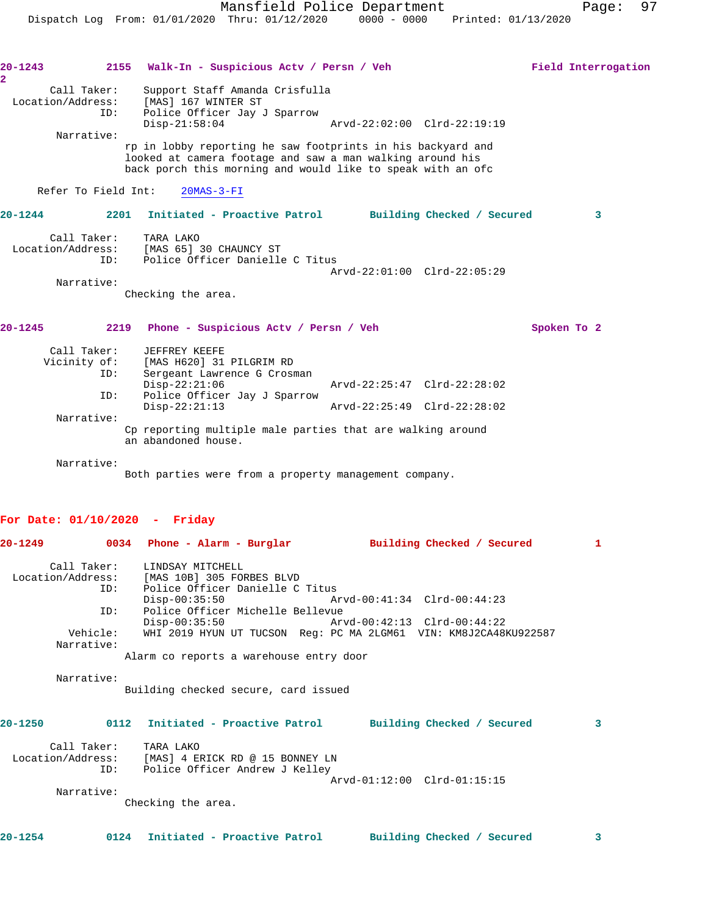| $20 - 1243$                                                 | 2155 Walk-In - Suspicious Actv / Persn / Veh                                                                                                                                            |                                                                                                 | Field Interrogation |
|-------------------------------------------------------------|-----------------------------------------------------------------------------------------------------------------------------------------------------------------------------------------|-------------------------------------------------------------------------------------------------|---------------------|
| $\overline{\mathbf{2}}$<br>Call Taker:<br>Location/Address: | Support Staff Amanda Crisfulla<br>[MAS] 167 WINTER ST                                                                                                                                   |                                                                                                 |                     |
| ID:                                                         | Police Officer Jay J Sparrow<br>$Disp-21:58:04$                                                                                                                                         | Arvd-22:02:00 Clrd-22:19:19                                                                     |                     |
| Narrative:                                                  | rp in lobby reporting he saw footprints in his backyard and<br>looked at camera footage and saw a man walking around his<br>back porch this morning and would like to speak with an ofc |                                                                                                 |                     |
| Refer To Field Int:                                         | $20MAS-3-FI$                                                                                                                                                                            |                                                                                                 |                     |
| $20 - 1244$                                                 | 2201                                                                                                                                                                                    | Initiated - Proactive Patrol Building Checked / Secured                                         | 3                   |
| Call Taker:                                                 | TARA LAKO<br>Location/Address: [MAS 65] 30 CHAUNCY ST<br>Police Officer Danielle C Titus<br>ID:                                                                                         |                                                                                                 |                     |
| Narrative:                                                  | Checking the area.                                                                                                                                                                      | Arvd-22:01:00 Clrd-22:05:29                                                                     |                     |
| $20 - 1245$                                                 | 2219 Phone - Suspicious Actv / Persn / Veh                                                                                                                                              |                                                                                                 | Spoken To 2         |
| Call Taker:<br>ID:                                          | JEFFREY KEEFE<br>Vicinity of: [MAS H620] 31 PILGRIM RD<br>Sergeant Lawrence G Crosman<br>$Disp-22:21:06$                                                                                | Arvd-22:25:47 Clrd-22:28:02                                                                     |                     |
| ID:                                                         | Police Officer Jay J Sparrow<br>$Disp-22:21:13$                                                                                                                                         | Arvd-22:25:49 Clrd-22:28:02                                                                     |                     |
| Narrative:                                                  | Cp reporting multiple male parties that are walking around<br>an abandoned house.                                                                                                       |                                                                                                 |                     |
| Narrative:                                                  | Both parties were from a property management company.                                                                                                                                   |                                                                                                 |                     |
| For Date: $01/10/2020$ - Friday                             |                                                                                                                                                                                         |                                                                                                 |                     |
| 20-1249                                                     | 0034 Phone - Alarm - Burglar                                                                                                                                                            | Building Checked / Secured                                                                      | 1                   |
| Call Taker:<br>Location/Address:<br>ID:<br>ID:              | LINDSAY MITCHELL<br>[MAS 10B] 305 FORBES BLVD<br>Police Officer Danielle C Titus<br>$Disp-00:35:50$<br>Police Officer Michelle Bellevue                                                 | Arvd-00:41:34 Clrd-00:44:23                                                                     |                     |
| Vehicle:<br>Narrative:                                      | $Disp-00:35:50$                                                                                                                                                                         | Arvd-00:42:13 Clrd-00:44:22<br>WHI 2019 HYUN UT TUCSON Req: PC MA 2LGM61 VIN: KM8J2CA48KU922587 |                     |
|                                                             | Alarm co reports a warehouse entry door                                                                                                                                                 |                                                                                                 |                     |
| Narrative:                                                  | Building checked secure, card issued                                                                                                                                                    |                                                                                                 |                     |
| 20-1250                                                     | 0112 Initiated - Proactive Patrol Building Checked / Secured                                                                                                                            |                                                                                                 | 3                   |
| Call Taker:                                                 | TARA LAKO<br>Location/Address: [MAS] 4 ERICK RD @ 15 BONNEY LN<br>ID: Police Officer Andrew J Kelley                                                                                    | Arvd-01:12:00 Clrd-01:15:15                                                                     |                     |
| Narrative:                                                  | Checking the area.                                                                                                                                                                      |                                                                                                 |                     |
|                                                             |                                                                                                                                                                                         |                                                                                                 |                     |
| 20-1254                                                     | 0124 Initiated - Proactive Patrol Building Checked / Secured                                                                                                                            |                                                                                                 | 3                   |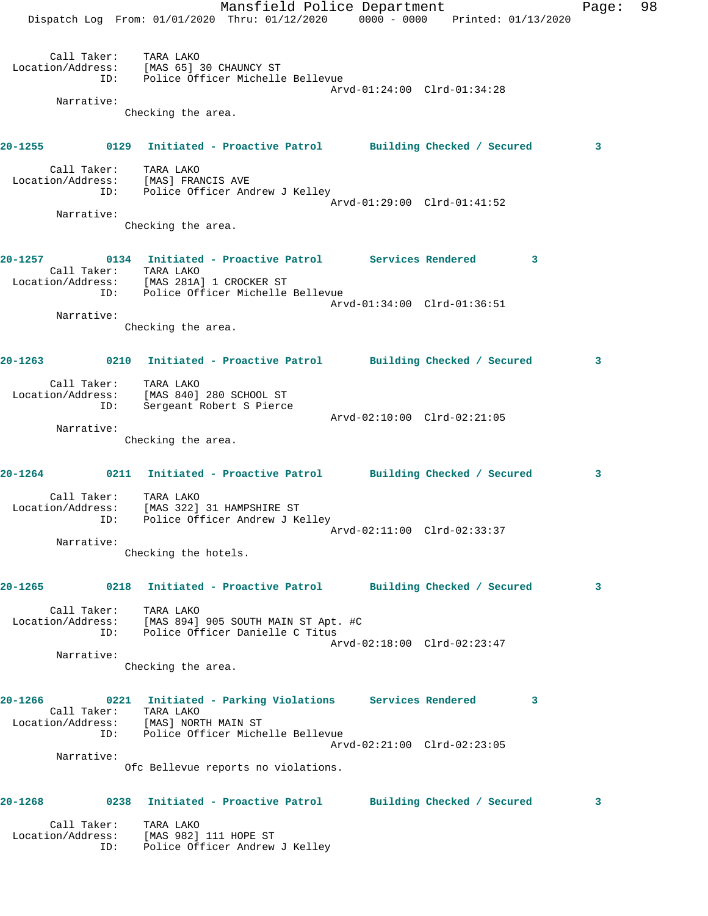|         |                       | Dispatch Log From: 01/01/2020 Thru: 01/12/2020 0000 - 0000 Printed: 01/13/2020                                                                                            | Mansfield Police Department |                             |   | Page: | 98 |
|---------|-----------------------|---------------------------------------------------------------------------------------------------------------------------------------------------------------------------|-----------------------------|-----------------------------|---|-------|----|
|         |                       | Call Taker: TARA LAKO<br>Location/Address: [MAS 65] 30 CHAUNCY ST<br>ID: Police Officer Michelle Bellevue                                                                 |                             | Arvd-01:24:00 Clrd-01:34:28 |   |       |    |
|         | Narrative:            | Checking the area.                                                                                                                                                        |                             |                             |   |       |    |
|         |                       | 20-1255 6129 Initiated - Proactive Patrol Building Checked / Secured                                                                                                      |                             |                             |   | 3     |    |
|         | Call Taker: TARA LAKO | Location/Address: [MAS] FRANCIS AVE<br>ID: Police Officer Andrew J Kelley                                                                                                 |                             |                             |   |       |    |
|         |                       |                                                                                                                                                                           |                             | Arvd-01:29:00 Clrd-01:41:52 |   |       |    |
|         | Narrative:            | Checking the area.                                                                                                                                                        |                             |                             |   |       |    |
|         |                       | 20-1257 0134 Initiated - Proactive Patrol Services Rendered<br>Call Taker: TARA LAKO<br>Location/Address: [MAS 281A] 1 CROCKER ST<br>ID: Police Officer Michelle Bellevue |                             |                             | 3 |       |    |
|         |                       |                                                                                                                                                                           |                             | Arvd-01:34:00 Clrd-01:36:51 |   |       |    |
|         | Narrative:            | Checking the area.                                                                                                                                                        |                             |                             |   |       |    |
|         |                       | 20-1263 0210 Initiated - Proactive Patrol Building Checked / Secured                                                                                                      |                             |                             |   | 3     |    |
|         | Call Taker:<br>ID:    | TARA LAKO<br>Location/Address: [MAS 840] 280 SCHOOL ST<br>Sergeant Robert S Pierce                                                                                        |                             |                             |   |       |    |
|         | Narrative:            |                                                                                                                                                                           |                             | Arvd-02:10:00 Clrd-02:21:05 |   |       |    |
|         |                       | Checking the area.                                                                                                                                                        |                             |                             |   |       |    |
|         | Call Taker:           | 20-1264 0211 Initiated - Proactive Patrol Building Checked / Secured                                                                                                      |                             |                             |   | 3     |    |
|         | Location/Address:     | TARA LAKO<br>[MAS 322] 31 HAMPSHIRE ST<br>ID: Police Officer Andrew J Kelley                                                                                              |                             |                             |   |       |    |
|         | Narrative:            |                                                                                                                                                                           |                             | Arvd-02:11:00 Clrd-02:33:37 |   |       |    |
|         |                       | Checking the hotels.                                                                                                                                                      |                             |                             |   |       |    |
| 20-1265 | Call Taker:           | 0218 Initiated - Proactive Patrol Building Checked / Secured<br>TARA LAKO                                                                                                 |                             |                             |   | 3     |    |
|         | ID:                   | Location/Address: [MAS 894] 905 SOUTH MAIN ST Apt. #C<br>Police Officer Danielle C Titus                                                                                  |                             | Arvd-02:18:00 Clrd-02:23:47 |   |       |    |
|         | Narrative:            | Checking the area.                                                                                                                                                        |                             |                             |   |       |    |
| 20-1266 | Call Taker: TARA LAKO | 0221 Initiated - Parking Violations Services Rendered<br>Location/Address: [MAS] NORTH MAIN ST                                                                            |                             |                             | 3 |       |    |
|         | ID:                   | Police Officer Michelle Bellevue                                                                                                                                          |                             | Arvd-02:21:00 Clrd-02:23:05 |   |       |    |
|         | Narrative:            | Ofc Bellevue reports no violations.                                                                                                                                       |                             |                             |   |       |    |
| 20-1268 |                       | 0238 Initiated - Proactive Patrol Building Checked / Secured                                                                                                              |                             |                             |   | 3     |    |
|         | Call Taker:<br>ID:    | TARA LAKO<br>Location/Address: [MAS 982] 111 HOPE ST<br>Police Officer Andrew J Kelley                                                                                    |                             |                             |   |       |    |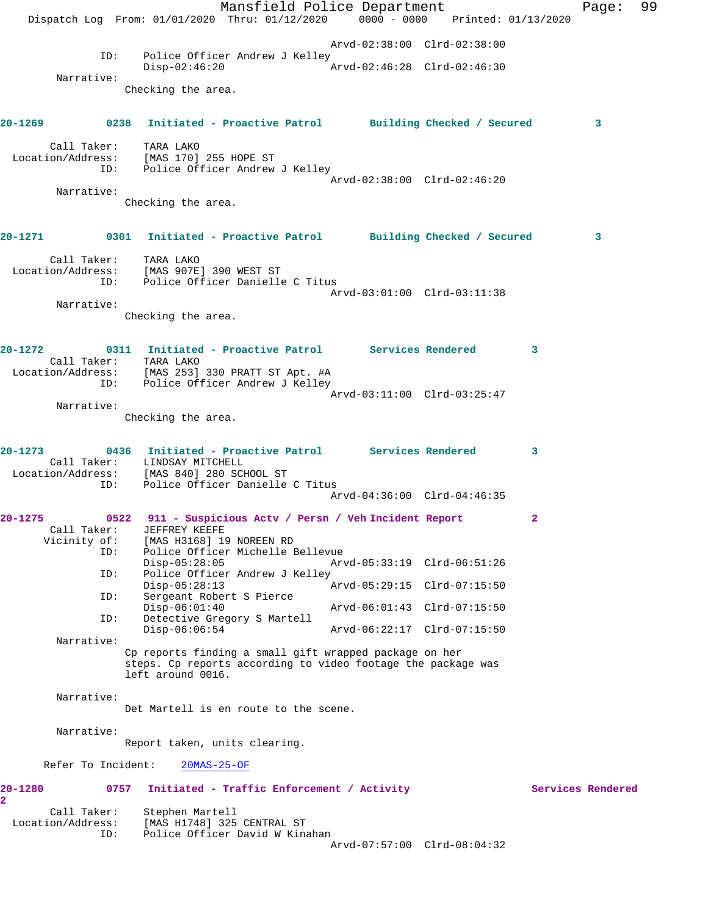Mansfield Police Department Fage: 99 Dispatch Log From: 01/01/2020 Thru: 01/12/2020 0000 - 0000 Printed: 01/13/2020 Arvd-02:38:00 Clrd-02:38:00 ID: Police Officer Andrew J Kelley Disp-02:46:20 Arvd-02:46:28 Clrd-02:46:30 Narrative: Checking the area. **20-1269 0238 Initiated - Proactive Patrol Building Checked / Secured 3** Call Taker: TARA LAKO Location/Address: [MAS 170] 255 HOPE ST ID: Police Officer Andrew J Kelley Arvd-02:38:00 Clrd-02:46:20 Narrative: Checking the area. **20-1271 0301 Initiated - Proactive Patrol Building Checked / Secured 3** Call Taker: TARA LAKO Location/Address: [MAS 907E] 390 WEST ST ID: Police Officer Danielle C Titus Arvd-03:01:00 Clrd-03:11:38 Narrative: Checking the area. **20-1272 0311 Initiated - Proactive Patrol Services Rendered 3**  Call Taker: TARA LAKO Location/Address: [MAS 253] 330 PRATT ST Apt. #A ID: Police Officer Andrew J Kelley Arvd-03:11:00 Clrd-03:25:47 Narrative: Checking the area. **20-1273 0436 Initiated - Proactive Patrol Services Rendered 3**  Call Taker: LINDSAY MITCHELL Location/Address: [MAS 840] 280 SCHOOL ST ID: Police Officer Danielle C Titus Arvd-04:36:00 Clrd-04:46:35 **20-1275 0522 911 - Suspicious Actv / Persn / Veh Incident Report 2**  Call Taker: JEFFREY KEEFE Vicinity of: [MAS H3168] 19 NOREEN RD ID: Police Officer Michelle Bellevue Disp-05:28:05 Arvd-05:33:19 Clrd-06:51:26<br>ID: Police Officer Andrew J Kelley Police Officer Andrew J Kelley<br>Disp-05:28:13<br> $P$  Disp-05:28:13 Arvd-05:29:15 Clrd-07:15:50 ID: Sergeant Robert S Pierce Disp-06:01:40 Arvd-06:01:43 Clrd-07:15:50 ID: Detective Gregory S Martell Disp-06:06:54 Arvd-06:22:17 Clrd-07:15:50 Narrative: Cp reports finding a small gift wrapped package on her steps. Cp reports according to video footage the package was left around 0016. Narrative: Det Martell is en route to the scene. Narrative: Report taken, units clearing. Refer To Incident: 20MAS-25-OF 20-1280 0757 Initiated - Traffic Enforcement / Activity **Services Rendered 2**  Call Taker: Stephen Martell Location/Address: [MAS H1748] 325 CENTRAL ST ID: Police Officer David W Kinahan Arvd-07:57:00 Clrd-08:04:32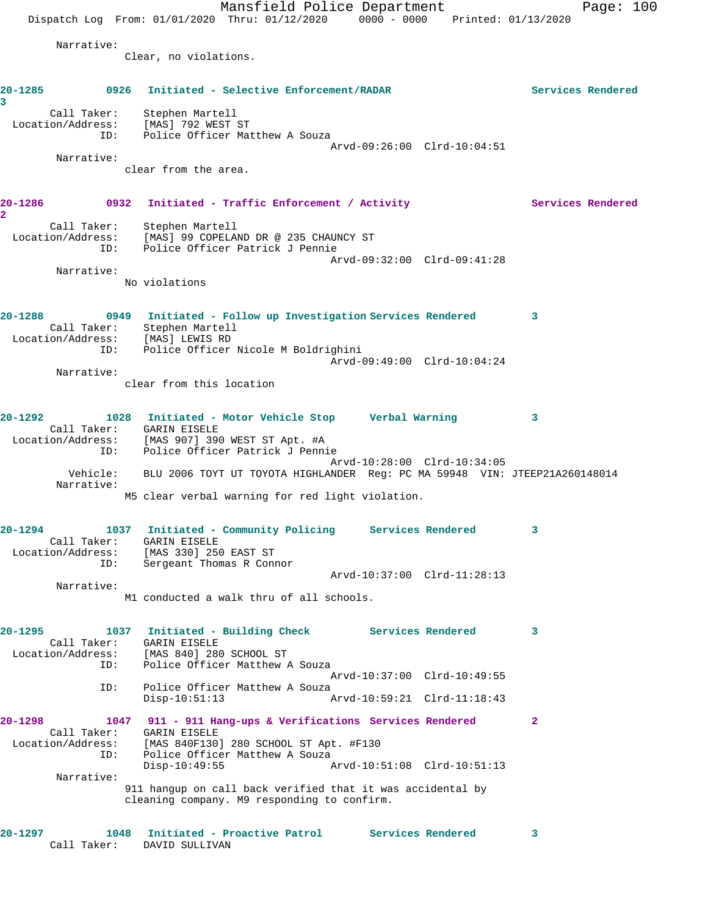Mansfield Police Department Page: 100 Dispatch Log From:  $01/01/2020$  Thru:  $01/12/2020$  0000 - 0000 Printed:  $01/13/2020$  Narrative: Clear, no violations. **20-1285 0926 Initiated - Selective Enforcement/RADAR Services Rendered 3**  Call Taker: Stephen Martell Location/Address: [MAS] 792 WEST ST ID: Police Officer Matthew A Souza Arvd-09:26:00 Clrd-10:04:51 Narrative: clear from the area. 20-1286 **0932** Initiated - Traffic Enforcement / Activity **Services Rendered 2**  Call Taker: Stephen Martell Location/Address: [MAS] 99 COPELAND DR @ 235 CHAUNCY ST ID: Police Officer Patrick J Pennie Arvd-09:32:00 Clrd-09:41:28 Narrative: No violations **20-1288 0949 Initiated - Follow up Investigation Services Rendered 3**  Call Taker: Stephen Martell Location/Address: [MAS] LEWIS RD ID: Police Officer Nicole M Boldrighini Arvd-09:49:00 Clrd-10:04:24 Narrative: clear from this location **20-1292 1028 Initiated - Motor Vehicle Stop Verbal Warning 3**  Call Taker: GARIN EISELE Location/Address: [MAS 907] 390 WEST ST Apt. #A ID: Police Officer Patrick J Pennie Arvd-10:28:00 Clrd-10:34:05 Vehicle: BLU 2006 TOYT UT TOYOTA HIGHLANDER Reg: PC MA 59948 VIN: JTEEP21A260148014 Narrative: M5 clear verbal warning for red light violation. **20-1294 1037 Initiated - Community Policing Services Rendered 3**  Call Taker: GARIN EISELE Location/Address: [MAS 330] 250 EAST ST ID: Sergeant Thomas R Connor Arvd-10:37:00 Clrd-11:28:13 Narrative: M1 conducted a walk thru of all schools. **20-1295 1037 Initiated - Building Check Services Rendered 3**  Call Taker: GARIN EISELE Location/Address: [MAS 840] 280 SCHOOL ST ID: Police Officer Matthew A Souza Arvd-10:37:00 Clrd-10:49:55 ID: Police Officer Matthew A Souza<br>Disp-10:51:13 Ar Arvd-10:59:21 Clrd-11:18:43 **20-1298 1047 911 - 911 Hang-ups & Verifications Services Rendered 2**  Call Taker: GARIN EISELE<br>Location/Address: [MAS 840F130] [MAS 840F130] 280 SCHOOL ST Apt. #F130 ID: Police Officer Matthew A Souza<br>Disp-10:49:55 Disp-10:49:55 Arvd-10:51:08 Clrd-10:51:13 Narrative: 911 hangup on call back verified that it was accidental by cleaning company. M9 responding to confirm. **20-1297 1048 Initiated - Proactive Patrol Services Rendered 3**  Call Taker: DAVID SULLIVAN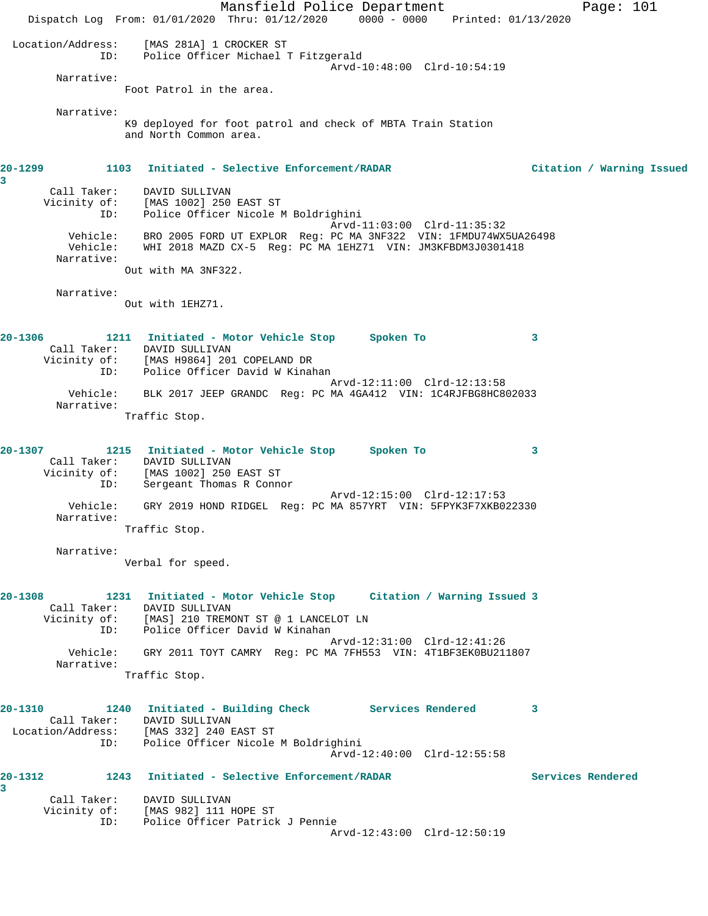Mansfield Police Department Page: 101 Dispatch Log From: 01/01/2020 Thru: 01/12/2020 0000 - 0000 Printed: 01/13/2020 Location/Address: [MAS 281A] 1 CROCKER ST ID: Police Officer Michael T Fitzgerald Arvd-10:48:00 Clrd-10:54:19 Narrative: Foot Patrol in the area. Narrative: K9 deployed for foot patrol and check of MBTA Train Station and North Common area. **20-1299 1103 Initiated - Selective Enforcement/RADAR Citation / Warning Issued 3**  Call Taker: DAVID SULLIVAN Vicinity of: [MAS 1002] 250 EAST ST ID: Police Officer Nicole M Boldrighini Arvd-11:03:00 Clrd-11:35:32 Vehicle: BRO 2005 FORD UT EXPLOR Reg: PC MA 3NF322 VIN: 1FMDU74WX5UA26498 Vehicle: WHI 2018 MAZD CX-5 Reg: PC MA 1EHZ71 VIN: JM3KFBDM3J0301418 Narrative: Out with MA 3NF322. Narrative: Out with 1EHZ71. **20-1306 1211 Initiated - Motor Vehicle Stop Spoken To 3**  Call Taker: DAVID SULLIVAN Vicinity of: [MAS H9864] 201 COPELAND DR ID: Police Officer David W Kinahan Arvd-12:11:00 Clrd-12:13:58 Vehicle: BLK 2017 JEEP GRANDC Reg: PC MA 4GA412 VIN: 1C4RJFBG8HC802033 Narrative: Traffic Stop. **20-1307 1215 Initiated - Motor Vehicle Stop Spoken To 3**  Call Taker: DAVID SULLIVAN Vicinity of: [MAS 1002] 250 EAST ST ID: Sergeant Thomas R Connor Arvd-12:15:00 Clrd-12:17:53 Vehicle: GRY 2019 HOND RIDGEL Reg: PC MA 857YRT VIN: 5FPYK3F7XKB022330 Narrative: Traffic Stop. Narrative: Verbal for speed. **20-1308 1231 Initiated - Motor Vehicle Stop Citation / Warning Issued 3**  Call Taker: DAVID SULLIVAN Vicinity of: [MAS] 210 TREMONT ST @ 1 LANCELOT LN ID: Police Officer David W Kinahan Arvd-12:31:00 Clrd-12:41:26 Vehicle: GRY 2011 TOYT CAMRY Reg: PC MA 7FH553 VIN: 4T1BF3EK0BU211807 Narrative: Traffic Stop. **20-1310 1240 Initiated - Building Check Services Rendered 3**  Call Taker: DAVID SULLIVAN Location/Address: [MAS 332] 240 EAST ST ID: Police Officer Nicole M Boldrighini Arvd-12:40:00 Clrd-12:55:58 **20-1312 1243 Initiated - Selective Enforcement/RADAR Services Rendered 3**  Call Taker: DAVID SULLIVAN Vicinity of: [MAS 982] 111 HOPE ST ID: Police Officer Patrick J Pennie Arvd-12:43:00 Clrd-12:50:19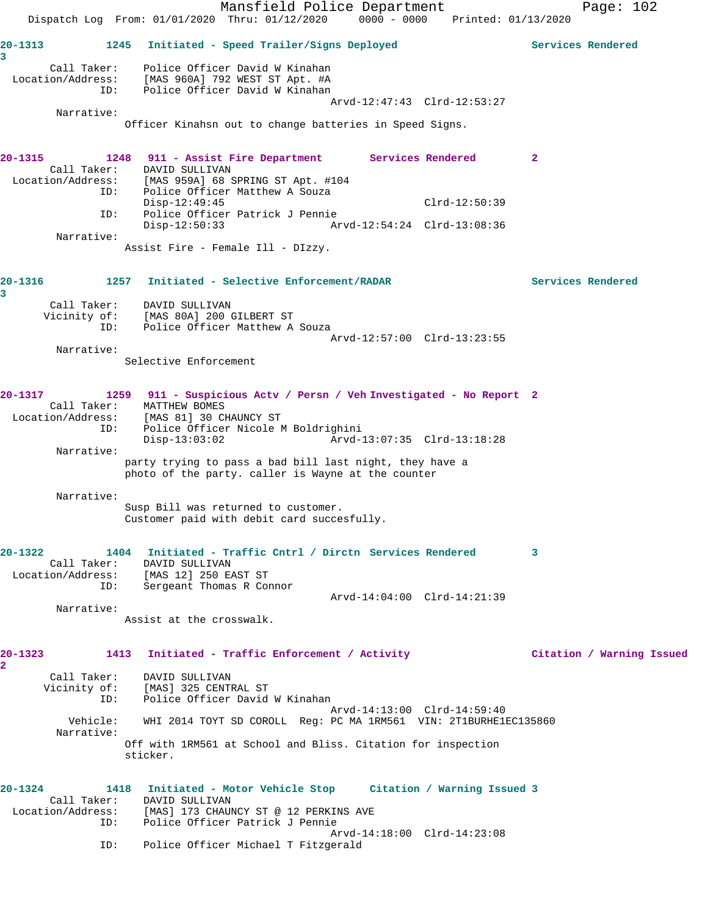|                  | Mansfield Police Department<br>Dispatch Log From: 01/01/2020 Thru: 01/12/2020 0000 - 0000 Printed: 01/13/2020 | Page: $102$               |
|------------------|---------------------------------------------------------------------------------------------------------------|---------------------------|
|                  |                                                                                                               |                           |
| $20 - 1313$<br>3 | Initiated - Speed Trailer/Signs Deployed<br>1245                                                              | Services Rendered         |
| Call Taker:      | Police Officer David W Kinahan                                                                                |                           |
| ID:              | Location/Address: [MAS 960A] 792 WEST ST Apt. #A<br>Police Officer David W Kinahan                            |                           |
|                  | Arvd-12:47:43 Clrd-12:53:27                                                                                   |                           |
| Narrative:       |                                                                                                               |                           |
|                  | Officer Kinahsn out to change batteries in Speed Signs.                                                       |                           |
| 20-1315          | 1248 911 - Assist Fire Department Services Rendered                                                           | $\mathbf{2}$              |
|                  | Call Taker: DAVID SULLIVAN                                                                                    |                           |
|                  | Location/Address: [MAS 959A] 68 SPRING ST Apt. #104<br>ID: Police Officer Matthew A Souza                     |                           |
|                  | $Disp-12:49:45$<br>$Clrd-12:50:39$                                                                            |                           |
| ID:              | Police Officer Patrick J Pennie                                                                               |                           |
| Narrative:       | Disp-12:50:33                                                                                                 |                           |
|                  | Assist Fire - Female Ill - DIzzy.                                                                             |                           |
|                  |                                                                                                               |                           |
| 20-1316          | 1257 Initiated - Selective Enforcement/RADAR                                                                  | Services Rendered         |
| 3                |                                                                                                               |                           |
|                  | Call Taker: DAVID SULLIVAN<br>Vicinity of: [MAS 80A] 200 GILBERT ST                                           |                           |
| ID:              | Police Officer Matthew A Souza                                                                                |                           |
|                  | Arvd-12:57:00 Clrd-13:23:55                                                                                   |                           |
| Narrative:       |                                                                                                               |                           |
|                  | Selective Enforcement                                                                                         |                           |
|                  |                                                                                                               |                           |
| 20-1317          | 1259 911 - Suspicious Actv / Persn / Veh Investigated - No Report 2<br>Call Taker: MATTHEW BOMES              |                           |
|                  | Location/Address: [MAS 81] 30 CHAUNCY ST                                                                      |                           |
| ID:              | Police Officer Nicole M Boldrighini                                                                           |                           |
| Narrative:       | Arvd-13:07:35 Clrd-13:18:28<br>$Disp-13:03:02$                                                                |                           |
|                  | party trying to pass a bad bill last night, they have a                                                       |                           |
|                  | photo of the party. caller is Wayne at the counter                                                            |                           |
| Narrative:       |                                                                                                               |                           |
|                  | Susp Bill was returned to customer.                                                                           |                           |
|                  | Customer paid with debit card succesfully.                                                                    |                           |
|                  |                                                                                                               |                           |
| $20 - 1322$      | 1404 Initiated - Traffic Cntrl / Dirctn Services Rendered<br>Call Taker: DAVID SULLIVAN                       | 3                         |
|                  | Location/Address: [MAS 12] 250 EAST ST                                                                        |                           |
|                  | ID: Sergeant Thomas R Connor                                                                                  |                           |
| Narrative:       | Arvd-14:04:00 Clrd-14:21:39                                                                                   |                           |
|                  | Assist at the crosswalk.                                                                                      |                           |
|                  |                                                                                                               |                           |
| $20 - 1323$      | 1413 Initiated - Traffic Enforcement / Activity                                                               | Citation / Warning Issued |
| $\overline{2}$   | Call Taker: DAVID SULLIVAN                                                                                    |                           |
|                  | Vicinity of: [MAS] 325 CENTRAL ST                                                                             |                           |
|                  | ID: Police Officer David W Kinahan                                                                            |                           |
|                  | Arvd-14:13:00 Clrd-14:59:40                                                                                   |                           |
| Narrative:       | Vehicle: WHI 2014 TOYT SD COROLL Req: PC MA 1RM561 VIN: 2T1BURHE1EC135860                                     |                           |
|                  | Off with 1RM561 at School and Bliss. Citation for inspection                                                  |                           |
|                  | sticker.                                                                                                      |                           |
|                  |                                                                                                               |                           |
| $20 - 1324$      | 1418 Initiated - Motor Vehicle Stop Citation / Warning Issued 3                                               |                           |
|                  | Call Taker: DAVID SULLIVAN<br>Location/Address: [MAS] 173 CHAUNCY ST @ 12 PERKINS AVE                         |                           |
| ID:              | Police Officer Patrick J Pennie                                                                               |                           |
|                  | Arvd-14:18:00 Clrd-14:23:08                                                                                   |                           |
| ID:              | Police Officer Michael T Fitzgerald                                                                           |                           |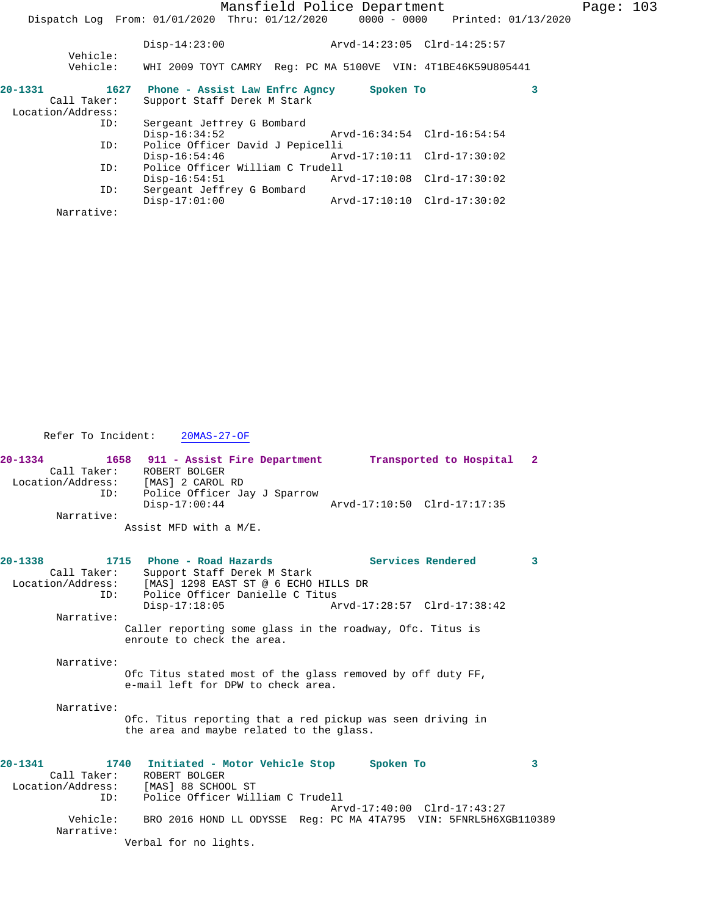|                                  |  |                                                                                                                                                                                       | Page: $103$                                                                                                                                                                                                                                                                             |
|----------------------------------|--|---------------------------------------------------------------------------------------------------------------------------------------------------------------------------------------|-----------------------------------------------------------------------------------------------------------------------------------------------------------------------------------------------------------------------------------------------------------------------------------------|
|                                  |  |                                                                                                                                                                                       |                                                                                                                                                                                                                                                                                         |
| $Disp-14:23:00$                  |  |                                                                                                                                                                                       |                                                                                                                                                                                                                                                                                         |
| Vehicle:                         |  |                                                                                                                                                                                       |                                                                                                                                                                                                                                                                                         |
|                                  |  |                                                                                                                                                                                       |                                                                                                                                                                                                                                                                                         |
|                                  |  |                                                                                                                                                                                       |                                                                                                                                                                                                                                                                                         |
|                                  |  |                                                                                                                                                                                       |                                                                                                                                                                                                                                                                                         |
|                                  |  |                                                                                                                                                                                       |                                                                                                                                                                                                                                                                                         |
|                                  |  |                                                                                                                                                                                       |                                                                                                                                                                                                                                                                                         |
| Police Officer David J Pepicelli |  |                                                                                                                                                                                       |                                                                                                                                                                                                                                                                                         |
| Disp-16:54:46                    |  |                                                                                                                                                                                       |                                                                                                                                                                                                                                                                                         |
|                                  |  |                                                                                                                                                                                       |                                                                                                                                                                                                                                                                                         |
| $Disp-16:54:51$                  |  |                                                                                                                                                                                       |                                                                                                                                                                                                                                                                                         |
|                                  |  |                                                                                                                                                                                       |                                                                                                                                                                                                                                                                                         |
| $Disp-17:01:00$                  |  |                                                                                                                                                                                       |                                                                                                                                                                                                                                                                                         |
|                                  |  |                                                                                                                                                                                       |                                                                                                                                                                                                                                                                                         |
|                                  |  | 1627 Phone - Assist Law Enfrc Agncy<br>Support Staff Derek M Stark<br>Sergeant Jeffrey G Bombard<br>$Disp-16:34:52$<br>Police Officer William C Trudell<br>Sergeant Jeffrey G Bombard | Mansfield Police Department<br>Dispatch Log From: 01/01/2020 Thru: 01/12/2020 0000 - 0000 Printed: 01/13/2020<br>Arvd-14:23:05 Clrd-14:25:57<br>WHI 2009 TOYT CAMRY Req: PC MA 5100VE VIN: 4T1BE46K59U805441<br>Spoken To<br>Arvd-16:34:54 Clrd-16:54:54<br>Arvd-17:10:10 Clrd-17:30:02 |

Refer To Incident: 20MAS-27-OF

| $20 - 1334$       | 1658 911 - Assist Fire Department | Transported to Hospital 2   |
|-------------------|-----------------------------------|-----------------------------|
| Call Taker:       | ROBERT BOLGER                     |                             |
| Location/Address: | [MAS] 2 CAROL RD                  |                             |
| ID:               | Police Officer Jay J Sparrow      |                             |
|                   | $Disp-17:00:44$                   | Arvd-17:10:50 Clrd-17:17:35 |
| Narrative:        |                                   |                             |
|                   | Assist MFD with a M/E.            |                             |

| 20-1338     | Call Taker:                          | 1715 Phone - Road Hazards<br>Support Staff Derek M Stark                                      |                                                                           | Services Rendered           | 3 |
|-------------|--------------------------------------|-----------------------------------------------------------------------------------------------|---------------------------------------------------------------------------|-----------------------------|---|
|             |                                      | Location/Address: [MAS] 1298 EAST ST @ 6 ECHO HILLS DR<br>ID: Police Officer Danielle C Titus |                                                                           |                             |   |
|             |                                      | $Disp-17:18:05$                                                                               |                                                                           |                             |   |
| Narrative:  |                                      |                                                                                               |                                                                           |                             |   |
|             |                                      | enroute to check the area.                                                                    | Caller reporting some glass in the roadway, Ofc. Titus is                 |                             |   |
| Narrative:  |                                      |                                                                                               |                                                                           |                             |   |
|             |                                      | e-mail left for DPW to check area.                                                            | Ofc Titus stated most of the glass removed by off duty FF,                |                             |   |
| Narrative:  |                                      | the area and maybe related to the glass.                                                      | Ofc. Titus reporting that a red pickup was seen driving in                |                             |   |
|             |                                      |                                                                                               |                                                                           |                             |   |
| $20 - 1341$ | Call Taker: ROBERT BOLGER            |                                                                                               | 1740 Initiated - Motor Vehicle Stop Spoken To                             |                             | 3 |
|             | Location/Address: [MAS] 88 SCHOOL ST |                                                                                               |                                                                           |                             |   |
|             |                                      | ID: Police Officer William C Trudell                                                          |                                                                           |                             |   |
|             |                                      |                                                                                               |                                                                           | Arvd-17:40:00 Clrd-17:43:27 |   |
| Narrative:  |                                      |                                                                                               | Vehicle: BRO 2016 HOND LL ODYSSE Req: PC MA 4TA795 VIN: 5FNRL5H6XGB110389 |                             |   |

Verbal for no lights.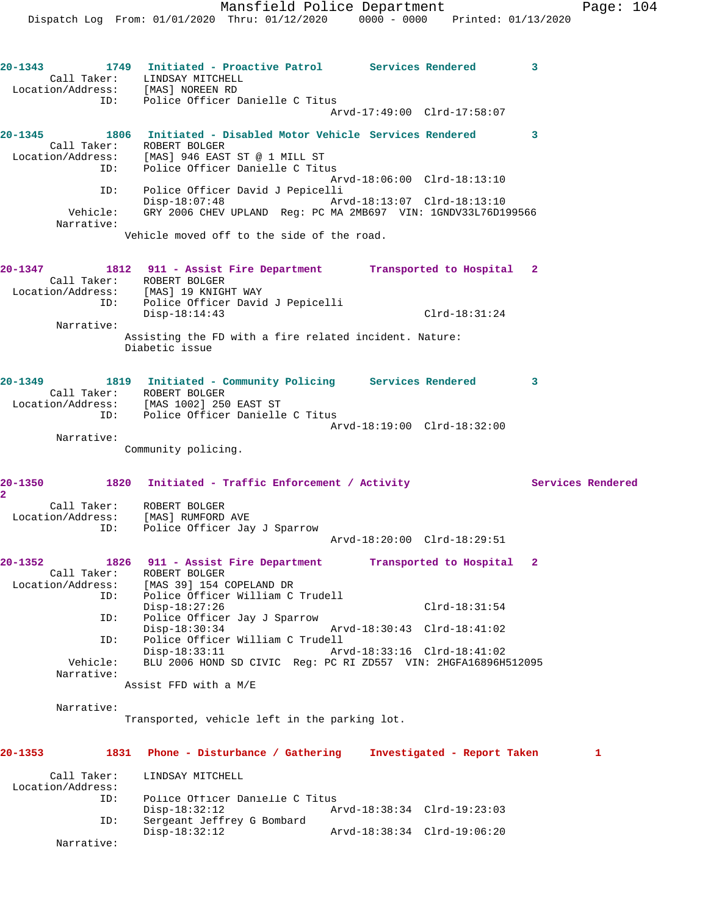**20-1343 1749 Initiated - Proactive Patrol Services Rendered 3**  Call Taker: LINDSAY MITCHELL Location/Address: [MAS] NOREEN RD ID: Police Officer Danielle C Titus Arvd-17:49:00 Clrd-17:58:07 **20-1345 1806 Initiated - Disabled Motor Vehicle Services Rendered 3**  Call Taker: ROBERT BOLGER Location/Address: [MAS] 946 EAST ST @ 1 MILL ST ID: Police Officer Danielle C Titus Arvd-18:06:00 Clrd-18:13:10 ID: Police Officer David J Pepicelli Disp-18:07:48 Arvd-18:13:07 Clrd-18:13:10 Vehicle: GRY 2006 CHEV UPLAND Reg: PC MA 2MB697 VIN: 1GNDV33L76D199566 Narrative: Vehicle moved off to the side of the road. **20-1347 1812 911 - Assist Fire Department Transported to Hospital 2**  Call Taker: ROBERT BOLGER Location/Address: [MAS] 19 KNIGHT WAY ID: Police Officer David J Pepicelli Disp-18:14:43 Clrd-18:31:24 Narrative: Assisting the FD with a fire related incident. Nature: Diabetic issue **20-1349 1819 Initiated - Community Policing Services Rendered 3**  Call Taker: ROBERT BOLGER Location/Address: [MAS 1002] 250 EAST ST ID: Police Officer Danielle C Titus Arvd-18:19:00 Clrd-18:32:00 Narrative: Community policing. **20-1350 1820 Initiated - Traffic Enforcement / Activity Services Rendered 2**  Call Taker: ROBERT BOLGER Location/Address: [MAS] RUMFORD AVE ID: Police Officer Jay J Sparrow Arvd-18:20:00 Clrd-18:29:51 **20-1352 1826 911 - Assist Fire Department Transported to Hospital 2**  Call Taker: ROBERT BOLGER Location/Address: [MAS 39] 154 COPELAND DR ID: Police Officer William C Trudell Disp-18:27:26 Clrd-18:31:54 ID: Police Officer Jay J Sparrow Disp-18:30:34 Arvd-18:30:43 Clrd-18:41:02 ID: Police Officer William C Trudell Disp-18:33:11 Arvd-18:33:16 Clrd-18:41:02 Vehicle: BLU 2006 HOND SD CIVIC Reg: PC RI ZD557 VIN: 2HGFA16896H512095 Narrative: Assist FFD with a M/E Narrative: Transported, vehicle left in the parking lot. **20-1353 1831 Phone - Disturbance / Gathering Investigated - Report Taken 1** Call Taker: LINDSAY MITCHELL

| Location/Address: |                                 |                             |  |
|-------------------|---------------------------------|-----------------------------|--|
| ID:               | Police Officer Danielle C Titus |                             |  |
|                   | Disp-18:32:12                   | Arvd-18:38:34 Clrd-19:23:03 |  |
| ID:               | Sergeant Jeffrey G Bombard      |                             |  |
|                   | Disp-18:32:12                   | Arvd-18:38:34 Clrd-19:06:20 |  |
| Narrative:        |                                 |                             |  |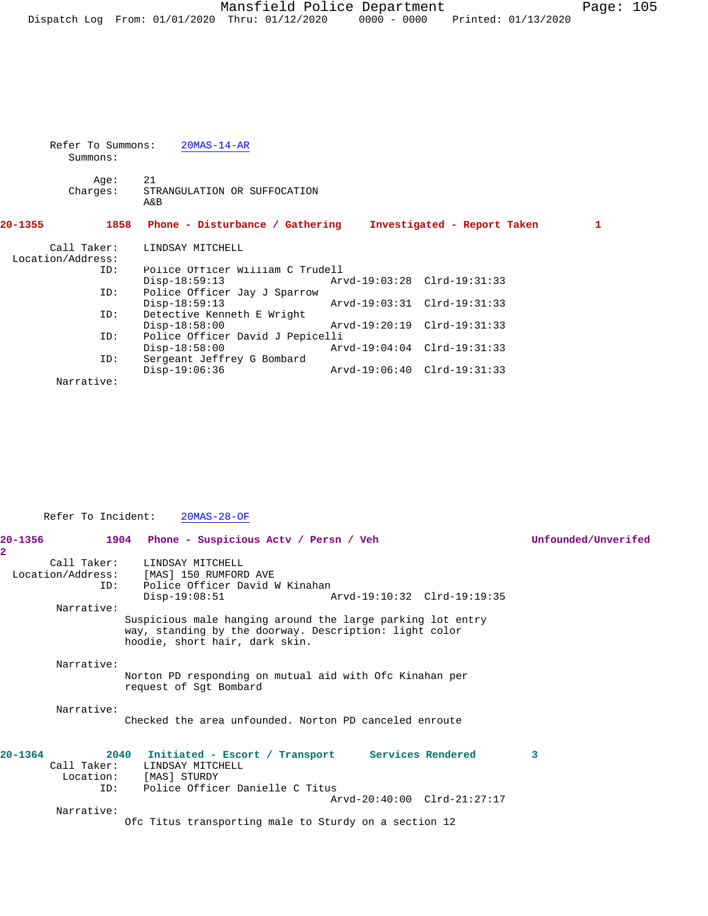Refer To Summons: 20MAS-14-AR Summons:

Age: 21<br>Charges: STP STRANGULATION OR SUFFOCATION A&B

**20-1355 1858 Phone - Disturbance / Gathering Investigated - Report Taken 1** Call Taker: LINDSAY MITCHELL Location/Address:<br>ID: Police Officer William C Trudell<br>Disp-18:59:13 Ar Disp-18:59:13 Arvd-19:03:28 Clrd-19:31:33<br>ID: Police Officer Jay J Sparrow Police Officer Jay J Sparrow<br>Disp-18:59:13 Disp-18:59:13 <br>
Detective Kenneth E Wright<br>
Detective Kenneth E Wright Detective Kenneth E Wright<br>Disp-18:58:00 Disp-18:58:00 Arvd-19:20:19 Clrd-19:31:33<br>ID: Police Officer David J Pepicelli Police Officer David J Pepicelli<br>Disp-18:58:00 Arv Disp-18:58:00 Arvd-19:04:04 Clrd-19:31:33<br>ID: Sergeant Jeffrey G Bombard Sergeant Jeffrey G Bombard<br>Disp-19:06:36 Disp-19:06:36 Arvd-19:06:40 Clrd-19:31:33 Narrative:

| Refer To Incident:                | $20MAS-28-OF$                                                                                                                                                         |                     |
|-----------------------------------|-----------------------------------------------------------------------------------------------------------------------------------------------------------------------|---------------------|
| 20-1356<br>$\overline{a}$         | 1904 Phone - Suspicious Acty / Persn / Veh                                                                                                                            | Unfounded/Unverifed |
| Call Taker:<br>ID:                | LINDSAY MITCHELL<br>Location/Address: [MAS] 150 RUMFORD AVE<br>Police Officer David W Kinahan<br>$Disp-19:08:51$<br>Arvd-19:10:32 Clrd-19:19:35                       |                     |
| Narrative:                        | Suspicious male hanging around the large parking lot entry<br>way, standing by the doorway. Description: light color<br>hoodie, short hair, dark skin.                |                     |
| Narrative:                        | Norton PD responding on mutual aid with Ofc Kinahan per<br>request of Sqt Bombard                                                                                     |                     |
| Narrative:                        | Checked the area unfounded. Norton PD canceled enroute                                                                                                                |                     |
| $20 - 1364$<br>Call Taker:<br>ID: | 2040 Initiated - Escort / Transport Services Rendered<br>LINDSAY MITCHELL<br>Location: [MAS] STURDY<br>Police Officer Danielle C Titus<br>Arvd-20:40:00 Clrd-21:27:17 | 3                   |
| Narrative:                        | Ofc Titus transporting male to Sturdy on a section 12                                                                                                                 |                     |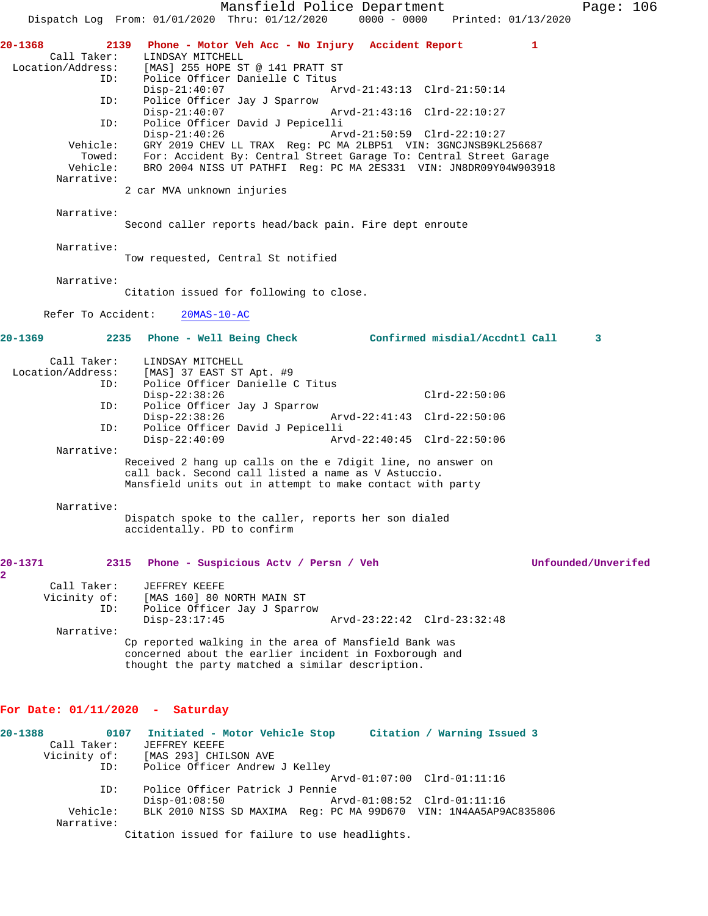Mansfield Police Department Page: 106 Dispatch Log From: 01/01/2020 Thru: 01/12/2020 0000 - 0000 Printed: 01/13/2020 **20-1368 2139 Phone - Motor Veh Acc - No Injury Accident Report 1**  Call Taker: LINDSAY MITCHELL<br>Location/Address: [MAS] 255 HOPE ST [MAS] 255 HOPE ST @ 141 PRATT ST ID: Police Officer Danielle C Titus Disp-21:40:07 Arvd-21:43:13 Clrd-21:50:14<br>TD: Police Officer Jav J Sparrow Police Officer Jay J Sparrow<br>Disp-21:40:07 Disp-21:40:07 Arvd-21:43:16 Clrd-22:10:27 ID: Police Officer David J Pepicelli Disp-21:40:26 Arvd-21:50:59 Clrd-22:10:27 Vehicle: GRY 2019 CHEV LL TRAX Reg: PC MA 2LBP51 VIN: 3GNCJNSB9KL256687 Towed: For: Accident By: Central Street Garage To: Central Street Garage Vehicle: BRO 2004 NISS UT PATHFI Reg: PC MA 2ES331 VIN: JN8DR09Y04W903918 Narrative: 2 car MVA unknown injuries Narrative: Second caller reports head/back pain. Fire dept enroute Narrative: Tow requested, Central St notified Narrative: Citation issued for following to close. Refer To Accident: 20MAS-10-AC **20-1369 2235 Phone - Well Being Check Confirmed misdial/Accdntl Call 3** Call Taker: LINDSAY MITCHELL Location/Address: [MAS] 37 EAST ST Apt. #9 ID: Police Officer Danielle C Titus Disp-22:38:26 Clrd-22:50:06<br>ID: Police Officer Jay J Sparrow Police Officer Jay J Sparrow<br>Disp-22:38:26 Arvd-22:41:43 Clrd-22:50:06 ID: Police Officer David J Pepicelli Disp-22:40:09 Arvd-22:40:45 Clrd-22:50:06 Narrative: Received 2 hang up calls on the e 7digit line, no answer on call back. Second call listed a name as V Astuccio. Mansfield units out in attempt to make contact with party Narrative: Dispatch spoke to the caller, reports her son dialed accidentally. PD to confirm **20-1371 2315 Phone - Suspicious Actv / Persn / Veh Unfounded/Unverifed 2**  Call Taker: JEFFREY KEEFE<br>Vicinity of: [MAS 160] 80 1 [MAS 160] 80 NORTH MAIN ST ID: Police Officer Jay J Sparrow Disp-23:17:45 Arvd-23:22:42 Clrd-23:32:48 Narrative: Cp reported walking in the area of Mansfield Bank was concerned about the earlier incident in Foxborough and thought the party matched a similar description. **For Date: 01/11/2020 - Saturday 20-1388 0107 Initiated - Motor Vehicle Stop Citation / Warning Issued 3**  Call Taker: JEFFREY KEEFE Vicinity of: [MAS 293] CHILSON AVE ID: Police Officer Andrew J Kelley Arvd-01:07:00 Clrd-01:11:16 ID: Police Officer Patrick J Pennie Disp-01:08:50 Arvd-01:08:52 Clrd-01:11:16

 Vehicle: BLK 2010 NISS SD MAXIMA Reg: PC MA 99D670 VIN: 1N4AA5AP9AC835806 Narrative:

Citation issued for failure to use headlights.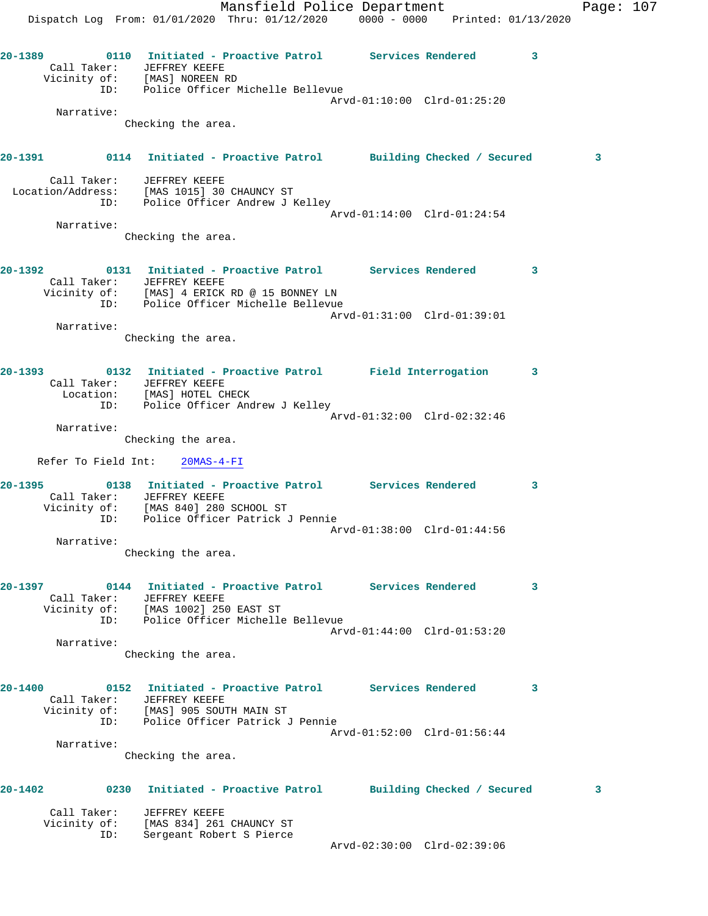**20-1389 0110 Initiated - Proactive Patrol Services Rendered 3** 

 Call Taker: JEFFREY KEEFE Vicinity of: [MAS] NOREEN RD

ID: Police Officer Michelle Bellevue

 Arvd-01:10:00 Clrd-01:25:20 Narrative: Checking the area. **20-1391 0114 Initiated - Proactive Patrol Building Checked / Secured 3** Call Taker: JEFFREY KEEFE Location/Address: [MAS 1015] 30 CHAUNCY ST ID: Police Officer Andrew J Kelley Arvd-01:14:00 Clrd-01:24:54 Narrative: Checking the area. **20-1392 0131 Initiated - Proactive Patrol Services Rendered 3**  Call Taker: JEFFREY KEEFE Vicinity of: [MAS] 4 ERICK RD @ 15 BONNEY LN ID: Police Officer Michelle Bellevue Arvd-01:31:00 Clrd-01:39:01 Narrative: Checking the area. **20-1393 0132 Initiated - Proactive Patrol Field Interrogation 3**  Call Taker: JEFFREY KEEFE Location: [MAS] HOTEL CHECK ID: Police Officer Andrew J Kelley Arvd-01:32:00 Clrd-02:32:46 Narrative: Checking the area. Refer To Field Int: 20MAS-4-FI **20-1395 0138 Initiated - Proactive Patrol Services Rendered 3**  Call Taker: JEFFREY KEEFE Vicinity of: [MAS 840] 280 SCHOOL ST ID: Police Officer Patrick J Pennie Arvd-01:38:00 Clrd-01:44:56 Narrative: Checking the area. **20-1397 0144 Initiated - Proactive Patrol Services Rendered 3**  Call Taker: JEFFREY KEEFE Vicinity of: [MAS 1002] 250 EAST ST ID: Police Officer Michelle Bellevue Arvd-01:44:00 Clrd-01:53:20 Narrative: Checking the area. **20-1400 0152 Initiated - Proactive Patrol Services Rendered 3**  Call Taker: JEFFREY KEEFE Vicinity of: [MAS] 905 SOUTH MAIN ST ID: Police Officer Patrick J Pennie Arvd-01:52:00 Clrd-01:56:44 Narrative: Checking the area. **20-1402 0230 Initiated - Proactive Patrol Building Checked / Secured 3** Call Taker: JEFFREY KEEFE Vicinity of: [MAS 834] 261 CHAUNCY ST ID: Sergeant Robert S Pierce Arvd-02:30:00 Clrd-02:39:06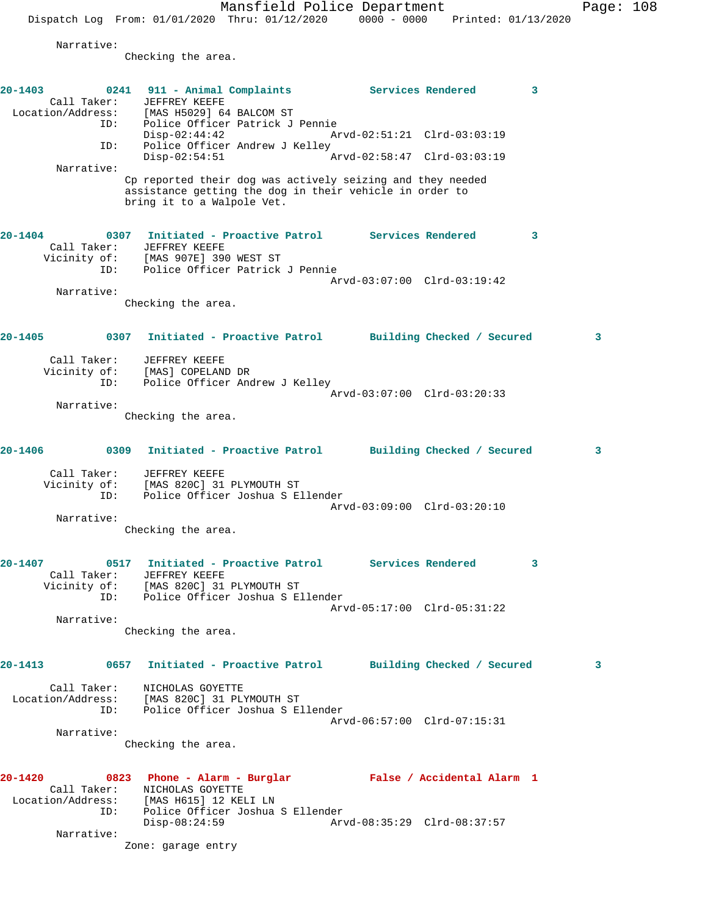Mansfield Police Department Page: 108

Dispatch Log From: 01/01/2020 Thru: 01/12/2020 0000 - 0000 Printed: 01/13/2020

Narrative:

Checking the area.

| $20 - 1403$ | Call Taker:<br>Location/Address:<br>ID: | 0241 911 - Animal Complaints<br>JEFFREY KEEFE<br>[MAS H5029] 64 BALCOM ST                                                                           |                             | Services Rendered | 3 |
|-------------|-----------------------------------------|-----------------------------------------------------------------------------------------------------------------------------------------------------|-----------------------------|-------------------|---|
|             | ID:                                     | Police Officer Patrick J Pennie<br>$Disp-02:44:42$<br>Police Officer Andrew J Kelley                                                                | Arvd-02:51:21 Clrd-03:03:19 |                   |   |
|             | Narrative:                              | $Disp-02:54:51$                                                                                                                                     | Arvd-02:58:47 Clrd-03:03:19 |                   |   |
|             |                                         | Cp reported their dog was actively seizing and they needed<br>assistance getting the dog in their vehicle in order to<br>bring it to a Walpole Vet. |                             |                   |   |
| $20 - 1404$ | Call Taker:                             | 0307 Initiated - Proactive Patrol Services Rendered<br>JEFFREY KEEFE                                                                                |                             |                   | 3 |
|             | ID:                                     | Vicinity of: [MAS 907E] 390 WEST ST<br>Police Officer Patrick J Pennie                                                                              |                             |                   |   |
|             |                                         |                                                                                                                                                     | Arvd-03:07:00 Clrd-03:19:42 |                   |   |
|             | Narrative:                              | Checking the area.                                                                                                                                  |                             |                   |   |
|             |                                         |                                                                                                                                                     |                             |                   |   |
| 20-1405     |                                         | 0307 Initiated - Proactive Patrol Building Checked / Secured                                                                                        |                             |                   | 3 |
|             | Call Taker:                             | JEFFREY KEEFE                                                                                                                                       |                             |                   |   |
|             | Vicinity of:<br>ID:                     | [MAS] COPELAND DR<br>Police Officer Andrew J Kelley                                                                                                 |                             |                   |   |
|             |                                         |                                                                                                                                                     | Arvd-03:07:00 Clrd-03:20:33 |                   |   |
|             | Narrative:                              |                                                                                                                                                     |                             |                   |   |
|             |                                         | Checking the area.                                                                                                                                  |                             |                   |   |
| 20-1406     |                                         | 0309 Initiated - Proactive Patrol Building Checked / Secured                                                                                        |                             |                   | 3 |
|             | Call Taker:<br>Vicinity of:<br>ID:      | JEFFREY KEEFE<br>[MAS 820C] 31 PLYMOUTH ST<br>Police Officer Joshua S Ellender                                                                      |                             |                   |   |
|             | Narrative:                              |                                                                                                                                                     | Arvd-03:09:00 Clrd-03:20:10 |                   |   |
|             |                                         | Checking the area.                                                                                                                                  |                             |                   |   |
| 20-1407     | Call Taker:                             | 0517 Initiated - Proactive Patrol Services Rendered<br>JEFFREY KEEFE                                                                                |                             |                   | 3 |
|             | Vicinity of:<br>ID:                     | [MAS 820C] 31 PLYMOUTH ST<br>Police Officer Joshua S Ellender                                                                                       |                             |                   |   |
|             |                                         |                                                                                                                                                     | Arvd-05:17:00 Clrd-05:31:22 |                   |   |
|             | Narrative:                              | Checking the area.                                                                                                                                  |                             |                   |   |
| 20-1413     |                                         | 0657 Initiated - Proactive Patrol Building Checked / Secured                                                                                        |                             |                   | 3 |
|             | ID:                                     | Call Taker: NICHOLAS GOYETTE<br>Location/Address: [MAS 820C] 31 PLYMOUTH ST<br>Police Officer Joshua S Ellender                                     |                             |                   |   |
|             |                                         |                                                                                                                                                     | Arvd-06:57:00 Clrd-07:15:31 |                   |   |
|             | Narrative:                              | Checking the area.                                                                                                                                  |                             |                   |   |
| 20-1420     |                                         | 0823 Phone - Alarm - Burglar Mark False / Accidental Alarm 1                                                                                        |                             |                   |   |
|             | Call Taker:                             | NICHOLAS GOYETTE                                                                                                                                    |                             |                   |   |
|             | ID:                                     | Location/Address: [MAS H615] 12 KELI LN<br>Police Officer Joshua S Ellender<br>$Disp-08:24:59$                                                      | Arvd-08:35:29 Clrd-08:37:57 |                   |   |
|             | Narrative:                              |                                                                                                                                                     |                             |                   |   |
|             |                                         | Zone: garage entry                                                                                                                                  |                             |                   |   |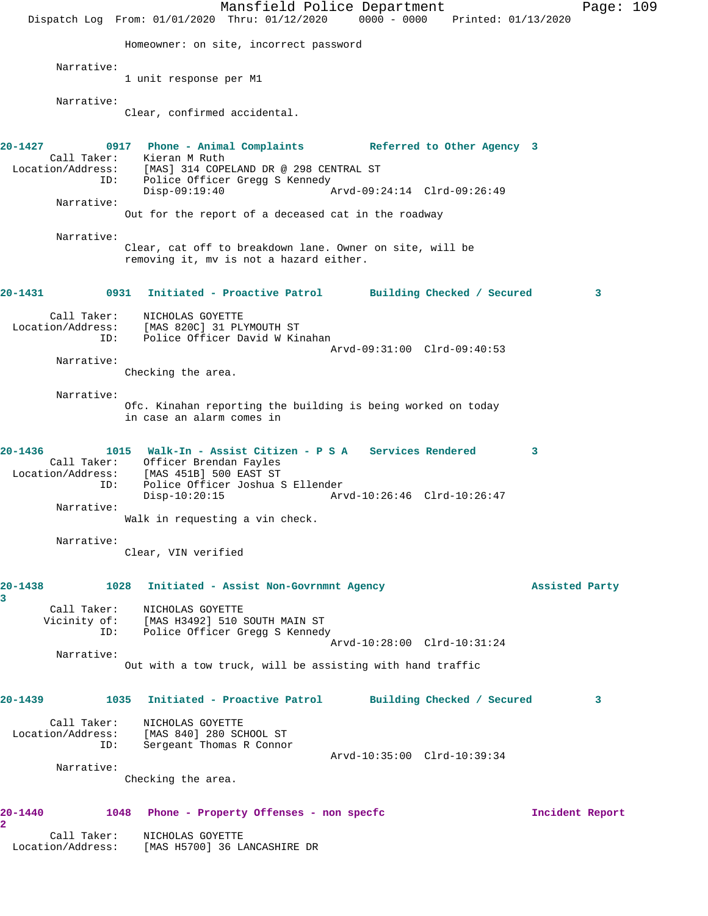Mansfield Police Department Page: 109 Dispatch Log From: 01/01/2020 Thru: 01/12/2020 0000 - 0000 Printed: 01/13/2020 Homeowner: on site, incorrect password Narrative: 1 unit response per M1 Narrative: Clear, confirmed accidental. **20-1427 0917 Phone - Animal Complaints Referred to Other Agency 3**  Call Taker: Kieran M Ruth Location/Address: [MAS] 314 COPELAND DR @ 298 CENTRAL ST ID: Police Officer Gregg S Kennedy<br>Disp-09:19:40 Disp-09:19:40 Arvd-09:24:14 Clrd-09:26:49 Narrative: Out for the report of a deceased cat in the roadway Narrative: Clear, cat off to breakdown lane. Owner on site, will be removing it, mv is not a hazard either. **20-1431 0931 Initiated - Proactive Patrol Building Checked / Secured 3** Call Taker: NICHOLAS GOYETTE Location/Address: [MAS 820C] 31 PLYMOUTH ST ID: Police Officer David W Kinahan Arvd-09:31:00 Clrd-09:40:53 Narrative: Checking the area. Narrative: Ofc. Kinahan reporting the building is being worked on today in case an alarm comes in **20-1436 1015 Walk-In - Assist Citizen - P S A Services Rendered 3**  Call Taker: Officer Brendan Fayles Location/Address: [MAS 451B] 500 EAST ST ID: Police Officer Joshua S Ellender Disp-10:20:15 Arvd-10:26:46 Clrd-10:26:47 Narrative: Walk in requesting a vin check. Narrative: Clear, VIN verified **20-1438 1028 Initiated - Assist Non-Govrnmnt Agency Assisted Party 3**  Call Taker: NICHOLAS GOYETTE Vicinity of: [MAS H3492] 510 SOUTH MAIN ST ID: Police Officer Gregg S Kennedy Arvd-10:28:00 Clrd-10:31:24 Narrative: Out with a tow truck, will be assisting with hand traffic **20-1439 1035 Initiated - Proactive Patrol Building Checked / Secured 3** Call Taker: NICHOLAS GOYETTE Location/Address: [MAS 840] 280 SCHOOL ST ID: Sergeant Thomas R Connor Arvd-10:35:00 Clrd-10:39:34 Narrative: Checking the area. **20-1440 1048 Phone - Property Offenses - non specfc Incident Report 2**  Call Taker: NICHOLAS GOYETTE Location/Address: [MAS H5700] 36 LANCASHIRE DR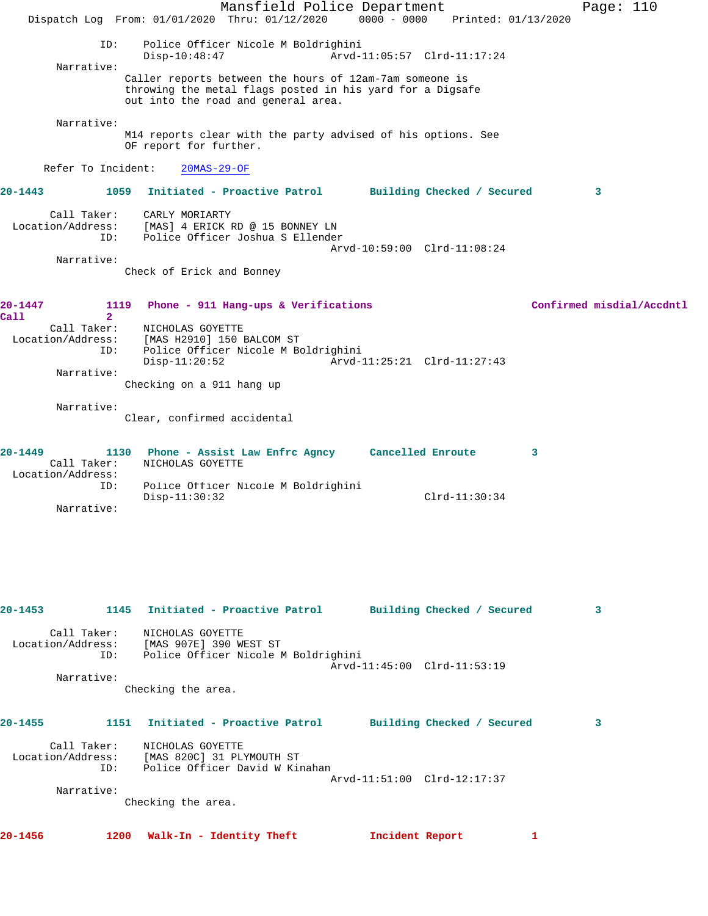|                                             | Mansfield Police Department                                                                                                                                 | Page: $110$               |
|---------------------------------------------|-------------------------------------------------------------------------------------------------------------------------------------------------------------|---------------------------|
|                                             | $0000 - 0000$<br>Dispatch Log From: 01/01/2020 Thru: 01/12/2020                                                                                             | Printed: 01/13/2020       |
| ID:                                         | Police Officer Nicole M Boldrighini<br>$Disp-10:48:47$<br>Arvd-11:05:57 Clrd-11:17:24                                                                       |                           |
| Narrative:                                  | Caller reports between the hours of 12am-7am someone is<br>throwing the metal flags posted in his yard for a Digsafe<br>out into the road and general area. |                           |
| Narrative:                                  | M14 reports clear with the party advised of his options. See<br>OF report for further.                                                                      |                           |
| Refer To Incident:                          | $20MAS-29-OF$                                                                                                                                               |                           |
| 20-1443                                     | Initiated - Proactive Patrol Building Checked / Secured<br>1059                                                                                             | 3                         |
| Call Taker:<br>Location/Address:<br>ID:     | CARLY MORIARTY<br>[MAS] 4 ERICK RD @ 15 BONNEY LN<br>Police Officer Joshua S Ellender                                                                       |                           |
| Narrative:                                  | Arvd-10:59:00 Clrd-11:08:24<br>Check of Erick and Bonney                                                                                                    |                           |
| 20-1447<br>Call<br>$\overline{2}$           | 1119<br>Phone - 911 Hang-ups & Verifications                                                                                                                | Confirmed misdial/Accdntl |
| Call Taker:<br>Location/Address:<br>ID:     | NICHOLAS GOYETTE<br>[MAS H2910] 150 BALCOM ST<br>Police Officer Nicole M Boldrighini                                                                        |                           |
| Narrative:                                  | $Disp-11:20:52$<br>Arvd-11:25:21 Clrd-11:27:43<br>Checking on a 911 hang up                                                                                 |                           |
| Narrative:                                  | Clear, confirmed accidental                                                                                                                                 |                           |
| 20-1449<br>Call Taker:<br>Location/Address: | 1130 Phone - Assist Law Enfrc Agncy Cancelled Enroute<br>NICHOLAS GOYETTE                                                                                   | 3                         |
| ID:<br>Narrative:                           | Police Officer Nicole M Boldrighini<br>Disp-11:30:32                                                                                                        | $Clrd-11:30:34$           |
|                                             |                                                                                                                                                             |                           |
|                                             |                                                                                                                                                             |                           |
| 20-1453                                     | Initiated - Proactive Patrol<br>1145<br>Building Checked / Secured                                                                                          | 3                         |
| Call Taker:<br>Location/Address:<br>ID:     | NICHOLAS GOYETTE<br>[MAS 907E] 390 WEST ST<br>Police Officer Nicole M Boldrighini<br>Arvd-11:45:00 Clrd-11:53:19                                            |                           |
| Narrative:                                  |                                                                                                                                                             |                           |
|                                             | Checking the area.                                                                                                                                          |                           |
| 20-1455                                     | 1151<br>Initiated - Proactive Patrol<br>Building Checked / Secured                                                                                          | 3                         |
| Call Taker:<br>Location/Address:<br>ID:     | NICHOLAS GOYETTE<br>[MAS 820C] 31 PLYMOUTH ST<br>Police Officer David W Kinahan                                                                             |                           |

Arvd-11:51:00 Clrd-12:17:37

Narrative:

Checking the area.

**20-1456 1200 Walk-In - Identity Theft Incident Report 1**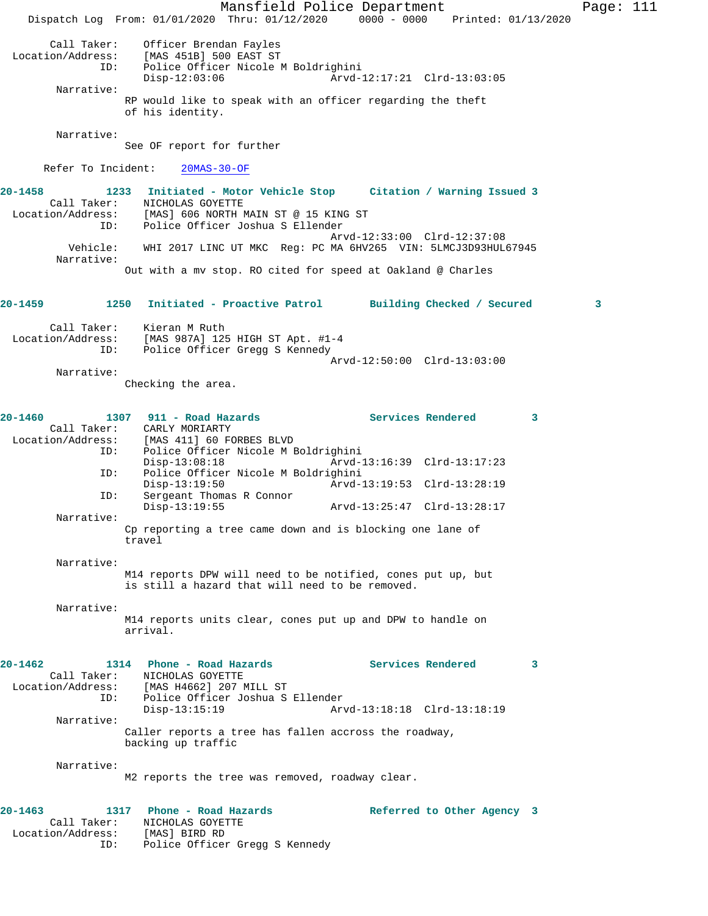Mansfield Police Department Page: 111 Dispatch Log From: 01/01/2020 Thru: 01/12/2020 0000 - 0000 Printed: 01/13/2020 Call Taker: Officer Brendan Fayles Location/Address: [MAS 451B] 500 EAST ST ID: Police Officer Nicole M Boldrighini Disp-12:03:06 Arvd-12:17:21 Clrd-13:03:05 Narrative: RP would like to speak with an officer regarding the theft of his identity. Narrative: See OF report for further Refer To Incident: 20MAS-30-OF **20-1458 1233 Initiated - Motor Vehicle Stop Citation / Warning Issued 3**  Call Taker: NICHOLAS GOYETTE Location/Address: [MAS] 606 NORTH MAIN ST @ 15 KING ST ID: Police Officer Joshua S Ellender Arvd-12:33:00 Clrd-12:37:08 Vehicle: WHI 2017 LINC UT MKC Reg: PC MA 6HV265 VIN: 5LMCJ3D93HUL67945 Narrative: Out with a mv stop. RO cited for speed at Oakland @ Charles **20-1459 1250 Initiated - Proactive Patrol Building Checked / Secured 3** Call Taker: Kieran M Ruth Location/Address: [MAS 987A] 125 HIGH ST Apt. #1-4 ID: Police Officer Gregg S Kennedy Arvd-12:50:00 Clrd-13:03:00 Narrative: Checking the area. **20-1460 1307 911 - Road Hazards Services Rendered 3**  Call Taker: CARLY MORIARTY<br>Location/Address: [MAS 411] 60 FO ess: [MAS 411] 60 FORBES BLVD<br>ID: Police Officer Nicole M E Police Officer Nicole M Boldrighini<br>Disp-13:08:18 Arvd-1 Disp-13:08:18 Arvd-13:16:39 Clrd-13:17:23 ID: Police Officer Nicole M Boldrighini Disp-13:19:50 Arvd-13:19:53 Clrd-13:28:19<br>TD: Sergeant Thomas R Connor Sergeant Thomas R Connor<br>Disp-13:19:55 Disp-13:19:55 Arvd-13:25:47 Clrd-13:28:17 Narrative: Cp reporting a tree came down and is blocking one lane of travel Narrative: M14 reports DPW will need to be notified, cones put up, but is still a hazard that will need to be removed. Narrative: M14 reports units clear, cones put up and DPW to handle on arrival. **20-1462 1314 Phone - Road Hazards Services Rendered 3**  Call Taker: NICHOLAS GOYETTE Location/Address: [MAS H4662] 207 MILL ST ID: Police Officer Joshua S Ellender Disp-13:15:19 Arvd-13:18:18 Clrd-13:18:19 Narrative: Caller reports a tree has fallen accross the roadway, backing up traffic Narrative: M2 reports the tree was removed, roadway clear. **20-1463 1317 Phone - Road Hazards Referred to Other Agency 3**  Call Taker: NICHOLAS GOYETTE Location/Address: [MAS] BIRD RD ID: Police Officer Gregg S Kennedy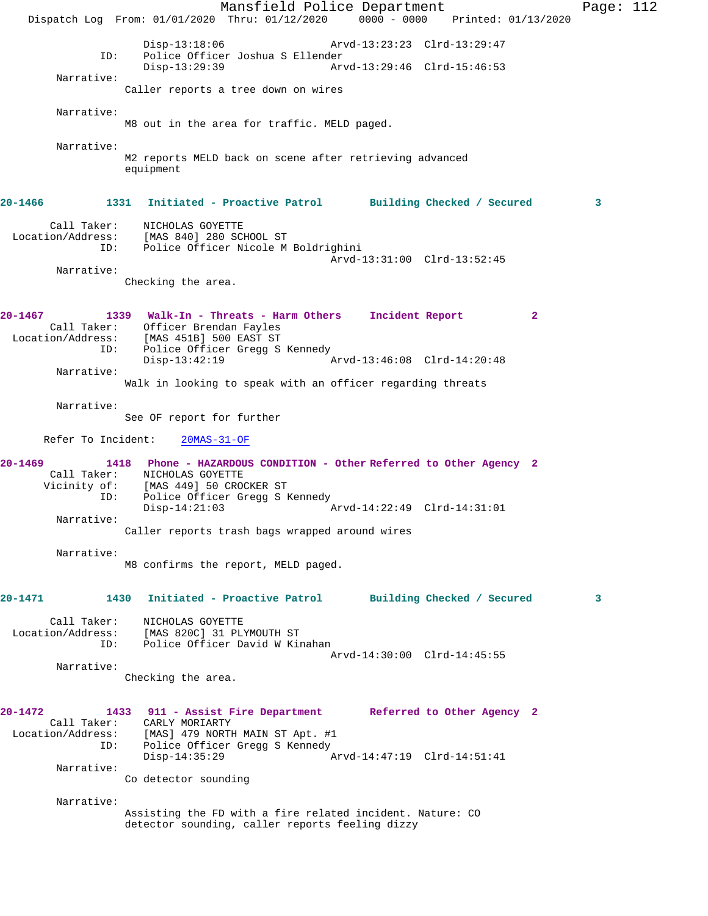Mansfield Police Department Page: 112 Dispatch Log From: 01/01/2020 Thru: 01/12/2020 0000 - 0000 Printed: 01/13/2020 Disp-13:18:06 Arvd-13:23:23 Clrd-13:29:47<br>ID: Police Officer Joshua S Ellender ID: Police Officer Joshua S Ellender Arvd-13:29:46 Clrd-15:46:53 Narrative: Caller reports a tree down on wires Narrative: M8 out in the area for traffic. MELD paged. Narrative: M2 reports MELD back on scene after retrieving advanced equipment **20-1466 1331 Initiated - Proactive Patrol Building Checked / Secured 3** Call Taker: NICHOLAS GOYETTE Location/Address: [MAS 840] 280 SCHOOL ST ID: Police Officer Nicole M Boldrighini Arvd-13:31:00 Clrd-13:52:45 Narrative: Checking the area. **20-1467 1339 Walk-In - Threats - Harm Others Incident Report 2**  Call Taker: Officer Brendan Fayles Location/Address: [MAS 451B] 500 EAST ST ID: Police Officer Gregg S Kennedy<br>Disp-13:42:19 Disp-13:42:19 Arvd-13:46:08 Clrd-14:20:48 Narrative: Walk in looking to speak with an officer regarding threats Narrative: See OF report for further Refer To Incident: 20MAS-31-OF **20-1469 1418 Phone - HAZARDOUS CONDITION - Other Referred to Other Agency 2**  Call Taker: NICHOLAS GOYETTE Vicinity of: [MAS 449] 50 CROCKER ST ID: Police Officer Gregg S Kennedy Disp-14:21:03 Arvd-14:22:49 Clrd-14:31:01 Narrative: Caller reports trash bags wrapped around wires Narrative: M8 confirms the report, MELD paged. **20-1471 1430 Initiated - Proactive Patrol Building Checked / Secured 3** Call Taker: NICHOLAS GOYETTE Location/Address: [MAS 820C] 31 PLYMOUTH ST ID: Police Officer David W Kinahan Arvd-14:30:00 Clrd-14:45:55 Narrative: Checking the area. **20-1472 1433 911 - Assist Fire Department Referred to Other Agency 2**  Call Taker: CARLY MORIARTY Location/Address: [MAS] 479 NORTH MAIN ST Apt. #1<br>ID: Police Officer Gregg S Kennedy Police Officer Gregg S Kennedy<br>Disp-14:35:29 P Disp-14:35:29 Arvd-14:47:19 Clrd-14:51:41 Narrative: Co detector sounding Narrative: Assisting the FD with a fire related incident. Nature: CO detector sounding, caller reports feeling dizzy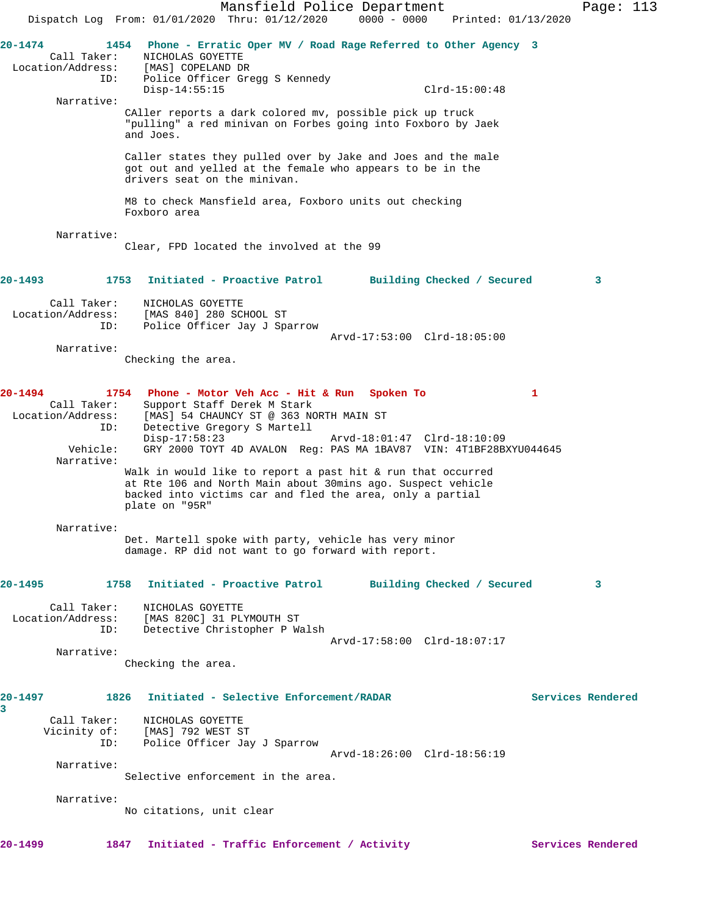Mansfield Police Department Page: 113 Dispatch Log From: 01/01/2020 Thru: 01/12/2020 0000 - 0000 Printed: 01/13/2020 **20-1474 1454 Phone - Erratic Oper MV / Road Rage Referred to Other Agency 3**  Call Taker: NICHOLAS GOYETTE Location/Address: [MAS] COPELAND DR ID: Police Officer Gregg S Kennedy Disp-14:55:15 Clrd-15:00:48 Narrative: CAller reports a dark colored mv, possible pick up truck "pulling" a red minivan on Forbes going into Foxboro by Jaek and Joes. Caller states they pulled over by Jake and Joes and the male got out and yelled at the female who appears to be in the drivers seat on the minivan. M8 to check Mansfield area, Foxboro units out checking Foxboro area Narrative: Clear, FPD located the involved at the 99 **20-1493 1753 Initiated - Proactive Patrol Building Checked / Secured 3** Call Taker: NICHOLAS GOYETTE Location/Address: [MAS 840] 280 SCHOOL ST ID: Police Officer Jay J Sparrow Arvd-17:53:00 Clrd-18:05:00 Narrative: Checking the area. **20-1494 1754 Phone - Motor Veh Acc - Hit & Run Spoken To 1**  Call Taker: Support Staff Derek M Stark Location/Address: [MAS] 54 CHAUNCY ST @ 363 NORTH MAIN ST ID: Detective Gregory S Martell Disp-17:58:23 Arvd-18:01:47 Clrd-18:10:09 Vehicle: GRY 2000 TOYT 4D AVALON Reg: PAS MA 1BAV87 VIN: 4T1BF28BXYU044645 Narrative: Walk in would like to report a past hit & run that occurred at Rte 106 and North Main about 30mins ago. Suspect vehicle backed into victims car and fled the area, only a partial plate on "95R" Narrative: Det. Martell spoke with party, vehicle has very minor damage. RP did not want to go forward with report. **20-1495 1758 Initiated - Proactive Patrol Building Checked / Secured 3** Call Taker: NICHOLAS GOYETTE Location/Address: [MAS 820C] 31 PLYMOUTH ST ID: Detective Christopher P Walsh Arvd-17:58:00 Clrd-18:07:17 Narrative: Checking the area. **20-1497 1826 Initiated - Selective Enforcement/RADAR Services Rendered 3**  Call Taker: NICHOLAS GOYETTE Vicinity of: [MAS] 792 WEST ST Police Officer Jay J Sparrow Arvd-18:26:00 Clrd-18:56:19 Narrative: Selective enforcement in the area. Narrative: No citations, unit clear 20-1499 **1847** Initiated - Traffic Enforcement / Activity **Services Rendered**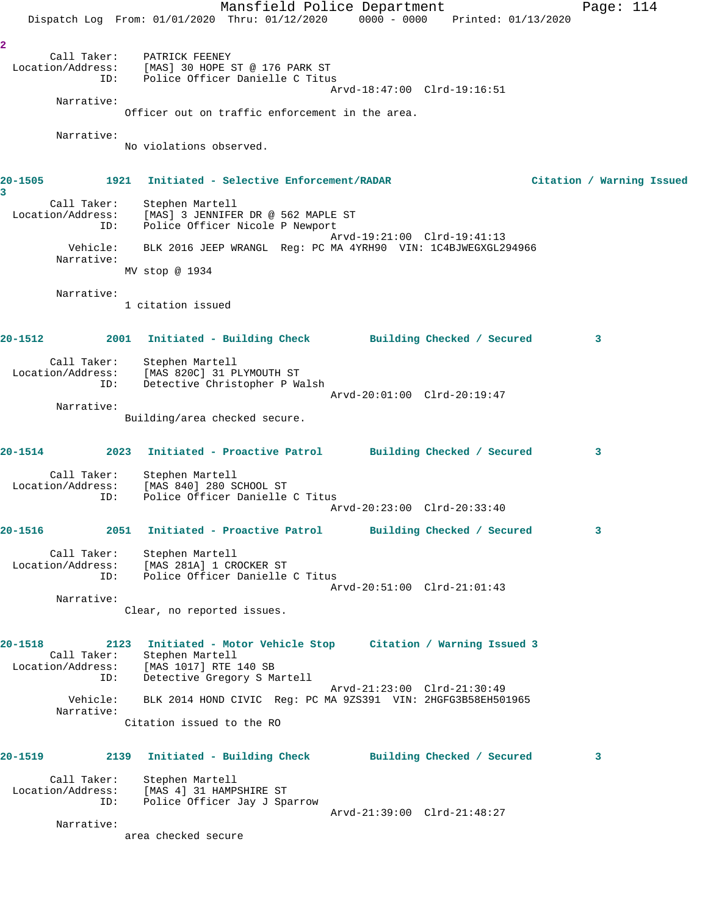Mansfield Police Department Page: 114 Dispatch Log From: 01/01/2020 Thru: 01/12/2020 0000 - 0000 Printed: 01/13/2020 **2**  Call Taker: PATRICK FEENEY Location/Address: [MAS] 30 HOPE ST @ 176 PARK ST ID: Police Officer Danielle C Titus Arvd-18:47:00 Clrd-19:16:51 Narrative: Officer out on traffic enforcement in the area. Narrative: No violations observed. **20-1505 1921 Initiated - Selective Enforcement/RADAR Citation / Warning Issued 3**  Call Taker: Stephen Martell Location/Address: [MAS] 3 JENNIFER DR @ 562 MAPLE ST ID: Police Officer Nicole P Newport Arvd-19:21:00 Clrd-19:41:13 Vehicle: BLK 2016 JEEP WRANGL Reg: PC MA 4YRH90 VIN: 1C4BJWEGXGL294966 Narrative: MV stop @ 1934 Narrative: 1 citation issued **20-1512 2001 Initiated - Building Check Building Checked / Secured 3** Call Taker: Stephen Martell Location/Address: [MAS 820C] 31 PLYMOUTH ST ID: Detective Christopher P Walsh Arvd-20:01:00 Clrd-20:19:47 Narrative: Building/area checked secure. **20-1514 2023 Initiated - Proactive Patrol Building Checked / Secured 3** Call Taker: Stephen Martell Location/Address: [MAS 840] 280 SCHOOL ST ID: Police Officer Danielle C Titus Arvd-20:23:00 Clrd-20:33:40 **20-1516 2051 Initiated - Proactive Patrol Building Checked / Secured 3** Call Taker: Stephen Martell Location/Address: [MAS 281A] 1 CROCKER ST ID: Police Officer Danielle C Titus Arvd-20:51:00 Clrd-21:01:43 Narrative: Clear, no reported issues. **20-1518 2123 Initiated - Motor Vehicle Stop Citation / Warning Issued 3**  Call Taker: Stephen Martell Location/Address: [MAS 1017] RTE 140 SB ID: Detective Gregory S Martell Arvd-21:23:00 Clrd-21:30:49 Vehicle: BLK 2014 HOND CIVIC Reg: PC MA 9ZS391 VIN: 2HGFG3B58EH501965 Narrative: Citation issued to the RO **20-1519 2139 Initiated - Building Check Building Checked / Secured 3** Call Taker: Stephen Martell Location/Address: [MAS 4] 31 HAMPSHIRE ST ID: Police Officer Jay J Sparrow Arvd-21:39:00 Clrd-21:48:27 Narrative: area checked secure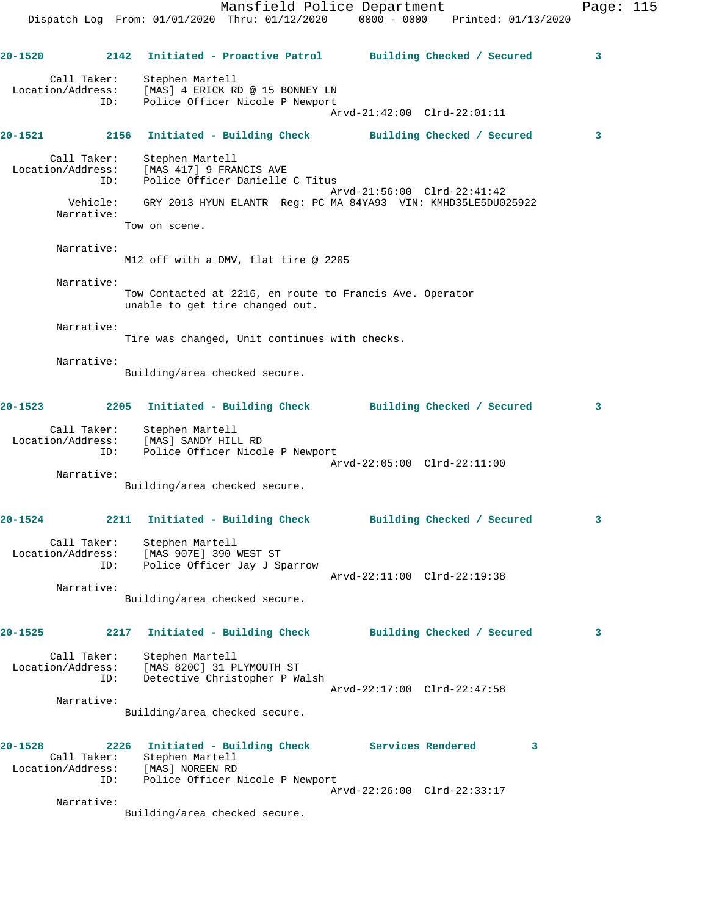Mansfield Police Department Fage: 115 Dispatch Log From: 01/01/2020 Thru: 01/12/2020 0000 - 0000 Printed: 01/13/2020 **20-1520 2142 Initiated - Proactive Patrol Building Checked / Secured 3** Call Taker: Stephen Martell Location/Address: [MAS] 4 ERICK RD @ 15 BONNEY LN ID: Police Officer Nicole P Newport Arvd-21:42:00 Clrd-22:01:11 **20-1521 2156 Initiated - Building Check Building Checked / Secured 3** Call Taker: Stephen Martell Location/Address: [MAS 417] 9 FRANCIS AVE ID: Police Officer Danielle C Titus Arvd-21:56:00 Clrd-22:41:42 Vehicle: GRY 2013 HYUN ELANTR Reg: PC MA 84YA93 VIN: KMHD35LE5DU025922 Narrative: Tow on scene. Narrative: M12 off with a DMV, flat tire @ 2205 Narrative: Tow Contacted at 2216, en route to Francis Ave. Operator unable to get tire changed out. Narrative: Tire was changed, Unit continues with checks. Narrative: Building/area checked secure. **20-1523 2205 Initiated - Building Check Building Checked / Secured 3** Call Taker: Stephen Martell Location/Address: [MAS] SANDY HILL RD ID: Police Officer Nicole P Newport Arvd-22:05:00 Clrd-22:11:00 Narrative: Building/area checked secure. **20-1524 2211 Initiated - Building Check Building Checked / Secured 3** Call Taker: Stephen Martell Location/Address: [MAS 907E] 390 WEST ST ID: Police Officer Jay J Sparrow Arvd-22:11:00 Clrd-22:19:38 Narrative: Building/area checked secure.

**20-1525 2217 Initiated - Building Check Building Checked / Secured 3** Call Taker: Stephen Martell Location/Address: [MAS 820C] 31 PLYMOUTH ST ID: Detective Christopher P Walsh Arvd-22:17:00 Clrd-22:47:58 Narrative: Building/area checked secure.

| $20 - 1528$       | 2226 | Initiated - Building Check      |                             | Services Rendered |  |
|-------------------|------|---------------------------------|-----------------------------|-------------------|--|
| Call Taker:       |      | Stephen Martell                 |                             |                   |  |
| Location/Address: |      | [MAS] NOREEN RD                 |                             |                   |  |
| ID:               |      | Police Officer Nicole P Newport |                             |                   |  |
|                   |      |                                 | Arvd-22:26:00 Clrd-22:33:17 |                   |  |
| Narrative:        |      |                                 |                             |                   |  |
|                   |      | Building/area checked secure.   |                             |                   |  |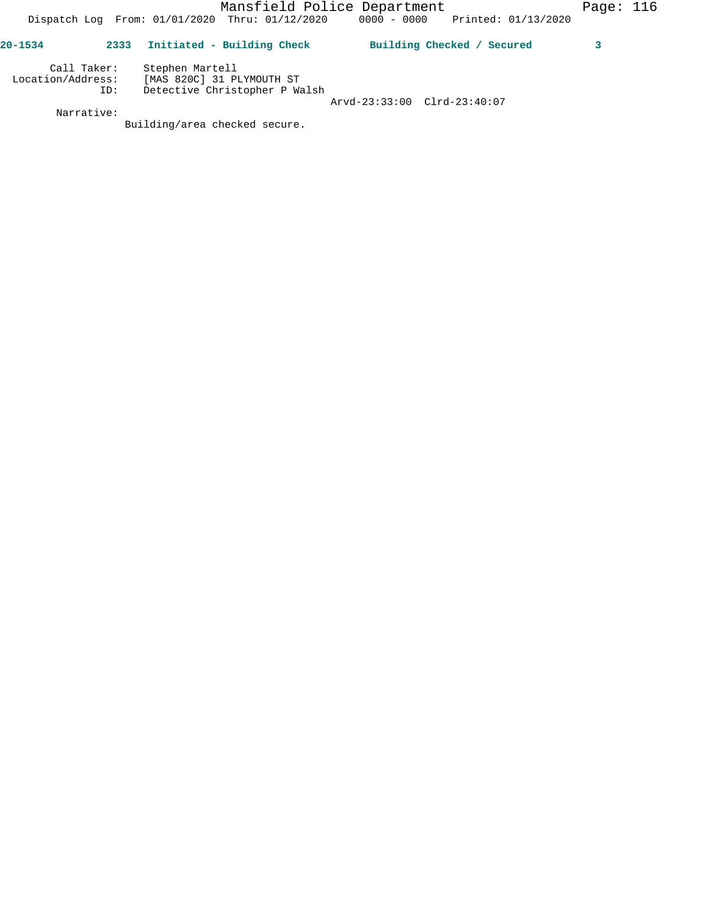|  | Dispatch Log From: 01/01/2020 Thru: 01/12/2020 | $0000 - 0000$ Printed: $01/13/2020$ |
|--|------------------------------------------------|-------------------------------------|
|  |                                                |                                     |

| $20 - 1534$       | 2333        | Initiated - Building Check                   | Building Checked / Secured |  |
|-------------------|-------------|----------------------------------------------|----------------------------|--|
| Location/Address: | Call Taker: | Stephen Martell<br>[MAS 820C] 31 PLYMOUTH ST |                            |  |
|                   | ID:         | Detective Christopher P Walsh                |                            |  |

 Arvd-23:33:00 Clrd-23:40:07 Narrative:

Building/area checked secure.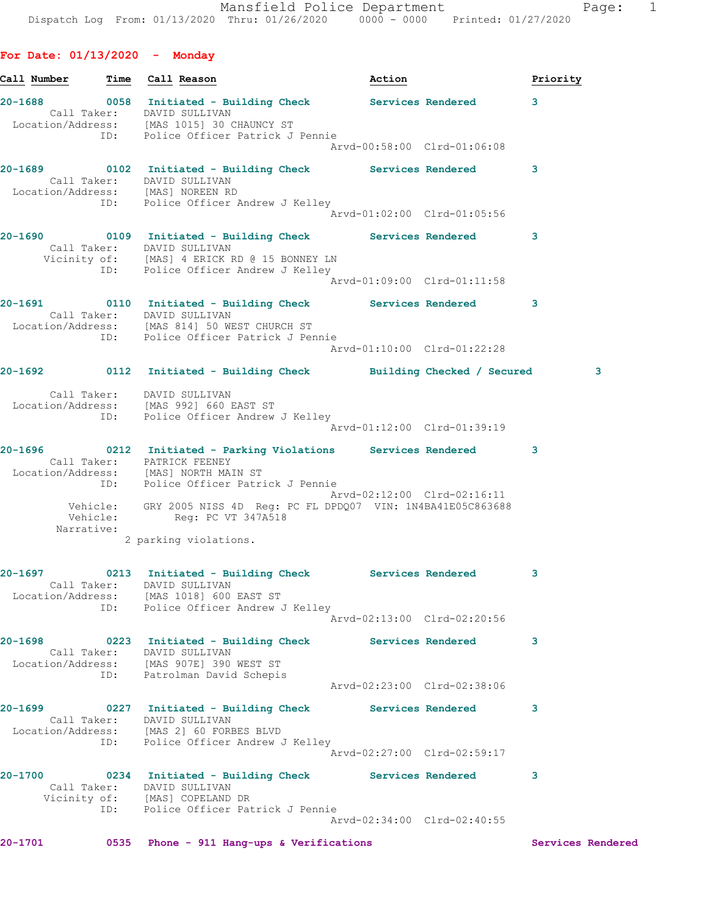Call Number **Time** Call Reason **Action Action Priority** 

**For Date: 01/13/2020 - Monday**

**20-1688 0058 Initiated - Building Check Services Rendered 3**  Call Taker: DAVID SULLIVAN Location/Address: [MAS 1015] 30 CHAUNCY ST ID: Police Officer Patrick J Pennie Arvd-00:58:00 Clrd-01:06:08 **20-1689 0102 Initiated - Building Check Services Rendered 3**  Call Taker: DAVID SULLIVAN Location/Address: [MAS] NOREEN RD ID: Police Officer Andrew J Kelley Arvd-01:02:00 Clrd-01:05:56 **20-1690 0109 Initiated - Building Check Services Rendered 3**  Call Taker: DAVID SULLIVAN Vicinity of: [MAS] 4 ERICK RD @ 15 BONNEY LN ID: Police Officer Andrew J Kelley Arvd-01:09:00 Clrd-01:11:58 **20-1691 0110 Initiated - Building Check Services Rendered 3**  Call Taker: DAVID SULLIVAN Location/Address: [MAS 814] 50 WEST CHURCH ST ID: Police Officer Patrick J Pennie Arvd-01:10:00 Clrd-01:22:28 **20-1692 0112 Initiated - Building Check Building Checked / Secured 3** Call Taker: DAVID SULLIVAN Location/Address: [MAS 992] 660 EAST ST ID: Police Officer Andrew J Kelley Arvd-01:12:00 Clrd-01:39:19 **20-1696 0212 Initiated - Parking Violations Services Rendered 3**  Call Taker: PATRICK FEENEY Location/Address: [MAS] NORTH MAIN ST ID: Police Officer Patrick J Pennie Arvd-02:12:00 Clrd-02:16:11 Vehicle: GRY 2005 NISS 4D Reg: PC FL DPDQ07 VIN: 1N4BA41E05C863688 Vehicle: Reg: PC VT 347A518 Narrative: 2 parking violations. **20-1697 0213 Initiated - Building Check Services Rendered 3**  Call Taker: DAVID SULLIVAN Location/Address: [MAS 1018] 600 EAST ST ID: The Season Control of the Mark Control of The Test of The Test of The Test of The Test of The Test of Test Arvd-02:13:00 Clrd-02:20:56 **20-1698 0223 Initiated - Building Check Services Rendered 3**  Call Taker: DAVID SULLIVAN Location/Address: [MAS 907E] 390 WEST ST ID: Patrolman David Schepis Arvd-02:23:00 Clrd-02:38:06 **20-1699 0227 Initiated - Building Check Services Rendered 3**  Call Taker: DAVID SULLIVAN Location/Address: [MAS 2] 60 FORBES BLVD ID: Police Officer Andrew J Kelley Arvd-02:27:00 Clrd-02:59:17 **20-1700 0234 Initiated - Building Check Services Rendered 3**  Call Taker: DAVID SULLIVAN Vicinity of: [MAS] COPELAND DR ID: Police Officer Patrick J Pennie Arvd-02:34:00 Clrd-02:40:55

**20-1701 0535 Phone - 911 Hang-ups & Verifications Services Rendered**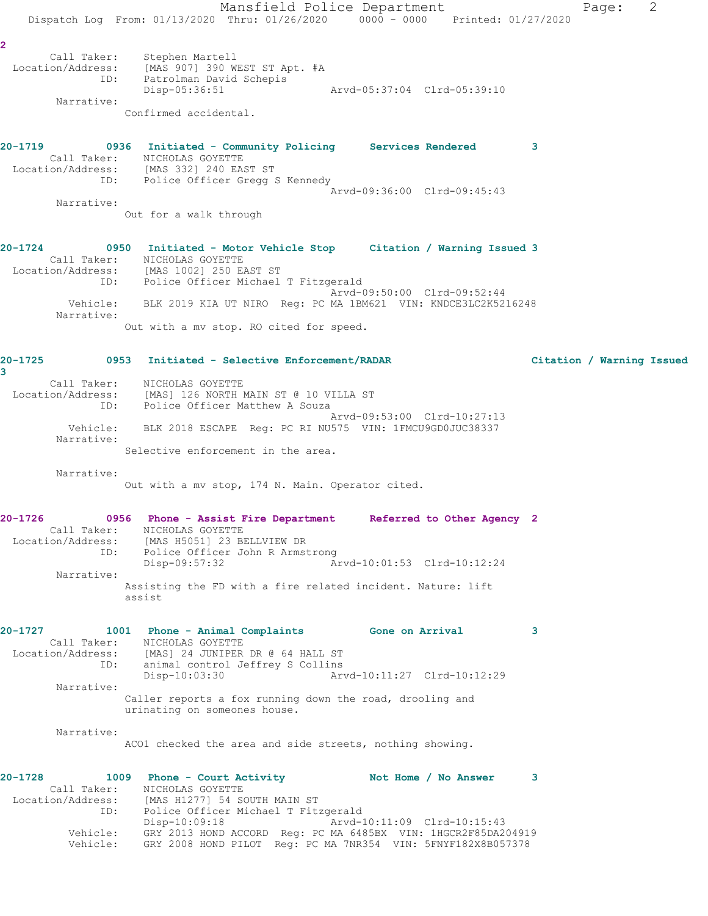Mansfield Police Department Fage: 2 Dispatch Log From: 01/13/2020 Thru: 01/26/2020 0000 - 0000 Printed: 01/27/2020 **2**  Call Taker: Stephen Martell Location/Address: [MAS 907] 390 WEST ST Apt. #A ID: Patrolman David Schepis Disp-05:36:51 Arvd-05:37:04 Clrd-05:39:10 Narrative: Confirmed accidental. **20-1719 0936 Initiated - Community Policing Services Rendered 3**  Call Taker: NICHOLAS GOYETTE Location/Address: [MAS 332] 240 EAST ST ID: Police Officer Gregg S Kennedy Arvd-09:36:00 Clrd-09:45:43 Narrative: Out for a walk through **20-1724 0950 Initiated - Motor Vehicle Stop Citation / Warning Issued 3**  Call Taker: NICHOLAS GOYETTE Location/Address: [MAS 1002] 250 EAST ST ID: Police Officer Michael T Fitzgerald Arvd-09:50:00 Clrd-09:52:44 Vehicle: BLK 2019 KIA UT NIRO Reg: PC MA 1BM621 VIN: KNDCE3LC2K5216248 Narrative: Out with a mv stop. RO cited for speed. **20-1725 0953 Initiated - Selective Enforcement/RADAR Citation / Warning Issued 3**  Call Taker: NICHOLAS GOYETTE Location/Address: [MAS] 126 NORTH MAIN ST @ 10 VILLA ST ID: Police Officer Matthew A Souza Arvd-09:53:00 Clrd-10:27:13 Vehicle: BLK 2018 ESCAPE Reg: PC RI NU575 VIN: 1FMCU9GD0JUC38337 Narrative: Selective enforcement in the area. Narrative: Out with a mv stop, 174 N. Main. Operator cited. **20-1726 0956 Phone - Assist Fire Department Referred to Other Agency 2**  Call Taker: NICHOLAS GOYETTE Location/Address: [MAS H5051] 23 BELLVIEW DR ID: Police Officer John R Armstrong<br>Disp-09:57:32 Arvd-10:01:53 Clrd-10:12:24 Disp-09:57:32 Narrative: Assisting the FD with a fire related incident. Nature: lift assist **20-1727 1001 Phone - Animal Complaints Gone on Arrival 3**  Call Taker: NICHOLAS GOYETTE Location/Address: [MAS] 24 JUNIPER DR @ 64 HALL ST ID: animal control Jeffrey S Collins Disp-10:03:30 Arvd-10:11:27 Clrd-10:12:29 Narrative: Caller reports a fox running down the road, drooling and urinating on someones house. Narrative: ACO1 checked the area and side streets, nothing showing. 20-1728 1009 Phone - Court Activity **Not Home / No Answer** 3 Call Taker: NICHOLAS GOYETTE Location/Address: [MAS H1277] 54 SOUTH MAIN ST ID: Police Officer Michael T Fitzgerald Disp-10:09:18 Arvd-10:11:09 Clrd-10:15:43 Vehicle: GRY 2013 HOND ACCORD Reg: PC MA 6485BX VIN: 1HGCR2F85DA204919 Vehicle: GRY 2008 HOND PILOT Reg: PC MA 7NR354 VIN: 5FNYF182X8B057378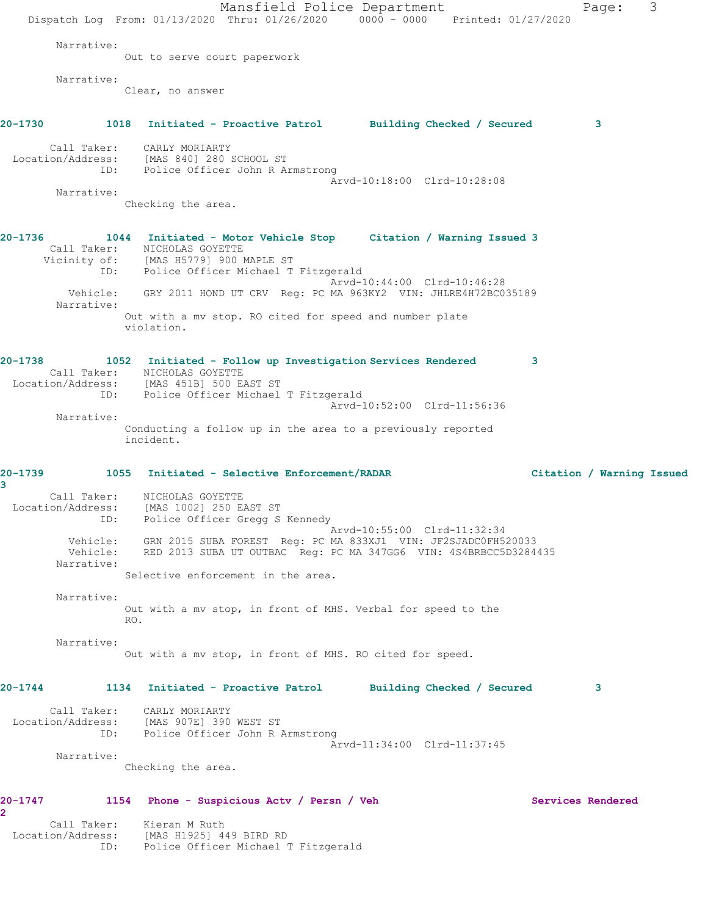Mansfield Police Department Fage: 3 Dispatch Log From: 01/13/2020 Thru: 01/26/2020 0000 - 0000 Printed: 01/27/2020 Narrative: Out to serve court paperwork Narrative: Clear, no answer **20-1730 1018 Initiated - Proactive Patrol Building Checked / Secured 3** Call Taker: CARLY MORIARTY Location/Address: [MAS 840] 280 SCHOOL ST ID: Police Officer John R Armstrong Arvd-10:18:00 Clrd-10:28:08 Narrative: Checking the area. **20-1736 1044 Initiated - Motor Vehicle Stop Citation / Warning Issued 3**  Call Taker: NICHOLAS GOYETTE Vicinity of: [MAS H5779] 900 MAPLE ST ID: Police Officer Michael T Fitzgerald Arvd-10:44:00 Clrd-10:46:28 Vehicle: GRY 2011 HOND UT CRV Reg: PC MA 963KY2 VIN: JHLRE4H72BC035189 Narrative: Out with a mv stop. RO cited for speed and number plate violation. **20-1738 1052 Initiated - Follow up Investigation Services Rendered 3**  Call Taker: NICHOLAS GOYETTE Location/Address: [MAS 451B] 500 EAST ST ID: Police Officer Michael T Fitzgerald Arvd-10:52:00 Clrd-11:56:36 Narrative: Conducting a follow up in the area to a previously reported incident. **20-1739 1055 Initiated - Selective Enforcement/RADAR Citation / Warning Issued 3**  Call Taker: NICHOLAS GOYETTE Location/Address: [MAS 1002] 250 EAST ST ID: Police Officer Gregg S Kennedy Arvd-10:55:00 Clrd-11:32:34 Vehicle: GRN 2015 SUBA FOREST Reg: PC MA 833XJ1 VIN: JF2SJADC0FH520033 Vehicle: RED 2013 SUBA UT OUTBAC Reg: PC MA 347GG6 VIN: 4S4BRBCC5D3284435 Narrative: Selective enforcement in the area. Narrative: Out with a mv stop, in front of MHS. Verbal for speed to the RO. Narrative: Out with a mv stop, in front of MHS. RO cited for speed. **20-1744 1134 Initiated - Proactive Patrol Building Checked / Secured 3** Call Taker: CARLY MORIARTY Location/Address: [MAS 907E] 390 WEST ST ID: Police Officer John R Armstrong Arvd-11:34:00 Clrd-11:37:45 Narrative: Checking the area. **20-1747 1154 Phone - Suspicious Actv / Persn / Veh Services Rendered 2**  Call Taker: Kieran M Ruth Location/Address: [MAS H1925] 449 BIRD RD ID: Police Officer Michael T Fitzgerald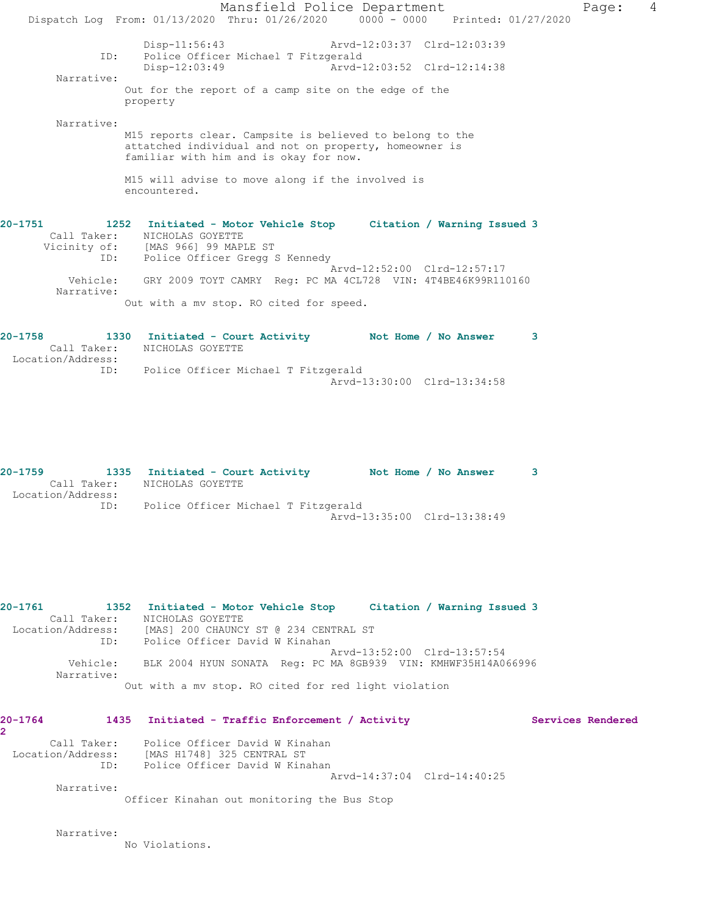Mansfield Police Department Fage: 4 Dispatch Log From: 01/13/2020 Thru: 01/26/2020 0000 - 0000 Printed: 01/27/2020 Disp-11:56:43 Arvd-12:03:37 Clrd-12:03:39 ID: Police Officer Michael T Fitzgerald Arvd-12:03:52 Clrd-12:14:38 Narrative: Out for the report of a camp site on the edge of the property Narrative: M15 reports clear. Campsite is believed to belong to the attatched individual and not on property, homeowner is familiar with him and is okay for now. M15 will advise to move along if the involved is encountered. **20-1751 1252 Initiated - Motor Vehicle Stop Citation / Warning Issued 3**  Call Taker: NICHOLAS GOYETTE Vicinity of: [MAS 966] 99 MAPLE ST ID: Police Officer Gregg S Kennedy Arvd-12:52:00 Clrd-12:57:17 Vehicle: GRY 2009 TOYT CAMRY Reg: PC MA 4CL728 VIN: 4T4BE46K99R110160 Narrative: Out with a mv stop. RO cited for speed.

**20-1758 1330 Initiated - Court Activity Not Home / No Answer 3**  Call Taker: NICHOLAS GOYETTE Location/Address: ID: Police Officer Michael T Fitzgerald Arvd-13:30:00 Clrd-13:34:58

**20-1759 1335 Initiated - Court Activity Not Home / No Answer 3**  Call Taker: NICHOLAS GOYETTE Location/Address: ID: Police Officer Michael T Fitzgerald Arvd-13:35:00 Clrd-13:38:49

**20-1761 1352 Initiated - Motor Vehicle Stop Citation / Warning Issued 3**  Call Taker: NICHOLAS GOYETTE Location/Address: [MAS] 200 CHAUNCY ST @ 234 CENTRAL ST ID: Police Officer David W Kinahan Arvd-13:52:00 Clrd-13:57:54 Vehicle: BLK 2004 HYUN SONATA Reg: PC MA 8GB939 VIN: KMHWF35H14A066996 Narrative: Out with a mv stop. RO cited for red light violation

| $20 - 1764$                      | 1435 | Initiated - Traffic Enforcement / Activity                   | Services Rendered |  |
|----------------------------------|------|--------------------------------------------------------------|-------------------|--|
|                                  |      |                                                              |                   |  |
| Call Taker:<br>Location/Address: |      | Police Officer David W Kinahan<br>[MAS H1748] 325 CENTRAL ST |                   |  |
|                                  | ID:  | Police Officer David W Kinahan                               |                   |  |
|                                  |      | Arvd-14:37:04 Clrd-14:40:25                                  |                   |  |
| Narrative:                       |      |                                                              |                   |  |
|                                  |      | Officer Kinahan out monitoring the Bus Stop                  |                   |  |
|                                  |      |                                                              |                   |  |

Narrative:

No Violations.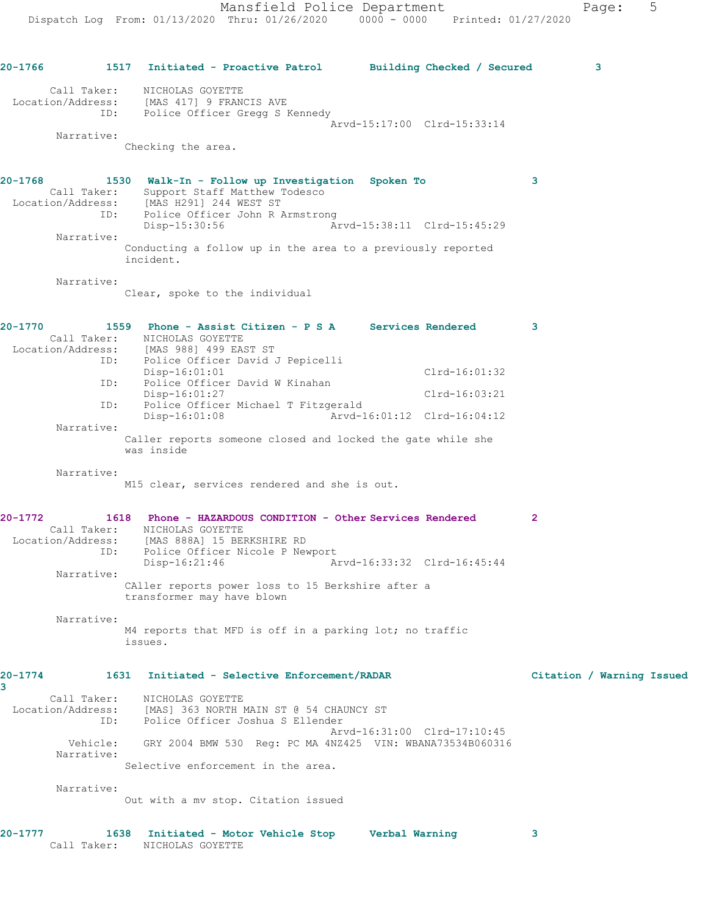| $20 - 1766$  |                          | 1517 Initiated - Proactive Patrol Building Checked / Secured                                                                 |                             |                             | 3                         |
|--------------|--------------------------|------------------------------------------------------------------------------------------------------------------------------|-----------------------------|-----------------------------|---------------------------|
|              | Call Taker:              | NICHOLAS GOYETTE<br>Location/Address: [MAS 417] 9 FRANCIS AVE                                                                |                             |                             |                           |
|              |                          | ID: Police Officer Gregg S Kennedy                                                                                           |                             | Arvd-15:17:00 Clrd-15:33:14 |                           |
|              | Narrative:               |                                                                                                                              |                             |                             |                           |
|              |                          | Checking the area.                                                                                                           |                             |                             |                           |
| $20 - 1768$  |                          | 1530 Walk-In - Follow up Investigation Spoken To                                                                             |                             |                             | 3                         |
|              |                          | Call Taker: Support Staff Matthew Todesco<br>Location/Address: [MAS H291] 244 WEST ST<br>ID: Police Officer John R Armstrong |                             |                             |                           |
|              |                          | Disp-15:30:56                                                                                                                | Arvd-15:38:11 Clrd-15:45:29 |                             |                           |
|              | Narrative:               | Conducting a follow up in the area to a previously reported<br>incident.                                                     |                             |                             |                           |
|              | Narrative:               |                                                                                                                              |                             |                             |                           |
|              |                          | Clear, spoke to the individual                                                                                               |                             |                             |                           |
| 20-1770      |                          | 1559 Phone - Assist Citizen - P S A Services Rendered                                                                        |                             |                             | 3                         |
|              |                          | Call Taker: NICHOLAS GOYETTE<br>Location/Address: [MAS 988] 499 EAST ST                                                      |                             |                             |                           |
|              |                          | ID: Police Officer David J Pepicelli<br>$Disp-16:01:01$                                                                      |                             | $Clrd-16:01:32$             |                           |
|              | ID:                      | Police Officer David W Kinahan                                                                                               |                             |                             |                           |
|              | ID:                      | $Disp-16:01:27$<br>Police Officer Michael T Fitzgerald                                                                       |                             | Clrd-16:03:21               |                           |
|              | Narrative:               | $Disp-16:01:08$                                                                                                              | Arvd-16:01:12 Clrd-16:04:12 |                             |                           |
|              |                          | Caller reports someone closed and locked the gate while she<br>was inside                                                    |                             |                             |                           |
|              | Narrative:               |                                                                                                                              |                             |                             |                           |
|              |                          | M15 clear, services rendered and she is out.                                                                                 |                             |                             |                           |
| 20-1772      |                          | 1618 Phone - HAZARDOUS CONDITION - Other Services Rendered                                                                   |                             |                             | $\mathbf{2}$              |
|              |                          | Call Taker: NICHOLAS GOYETTE<br>Location/Address: [MAS 888A] 15 BERKSHIRE RD                                                 |                             |                             |                           |
|              | ID:                      | Police Officer Nicole P Newport<br>Disp-16:21:46                                                                             | Arvd-16:33:32 Clrd-16:45:44 |                             |                           |
|              | Narrative:               |                                                                                                                              |                             |                             |                           |
|              |                          | CAller reports power loss to 15 Berkshire after a<br>transformer may have blown                                              |                             |                             |                           |
|              | Narrative:               |                                                                                                                              |                             |                             |                           |
|              |                          | M4 reports that MFD is off in a parking lot; no traffic<br>issues.                                                           |                             |                             |                           |
| 20-1774<br>3 | 1631                     | Initiated - Selective Enforcement/RADAR                                                                                      |                             |                             | Citation / Warning Issued |
|              | Call Taker:              | NICHOLAS GOYETTE                                                                                                             |                             |                             |                           |
|              | Location/Address:<br>ID: | [MAS] 363 NORTH MAIN ST @ 54 CHAUNCY ST<br>Police Officer Joshua S Ellender                                                  |                             |                             |                           |
|              | Vehicle:                 | GRY 2004 BMW 530 Reg: PC MA 4NZ425 VIN: WBANA73534B060316                                                                    | Arvd-16:31:00 Clrd-17:10:45 |                             |                           |
|              | Narrative:               | Selective enforcement in the area.                                                                                           |                             |                             |                           |
|              | Narrative:               |                                                                                                                              |                             |                             |                           |
|              |                          | Out with a mv stop. Citation issued                                                                                          |                             |                             |                           |
|              |                          |                                                                                                                              |                             |                             |                           |
| 20-1777      | 1638                     | Initiated - Motor Vehicle Stop                                                                                               | Verbal Warning              |                             | 3                         |

Call Taker: NICHOLAS GOYETTE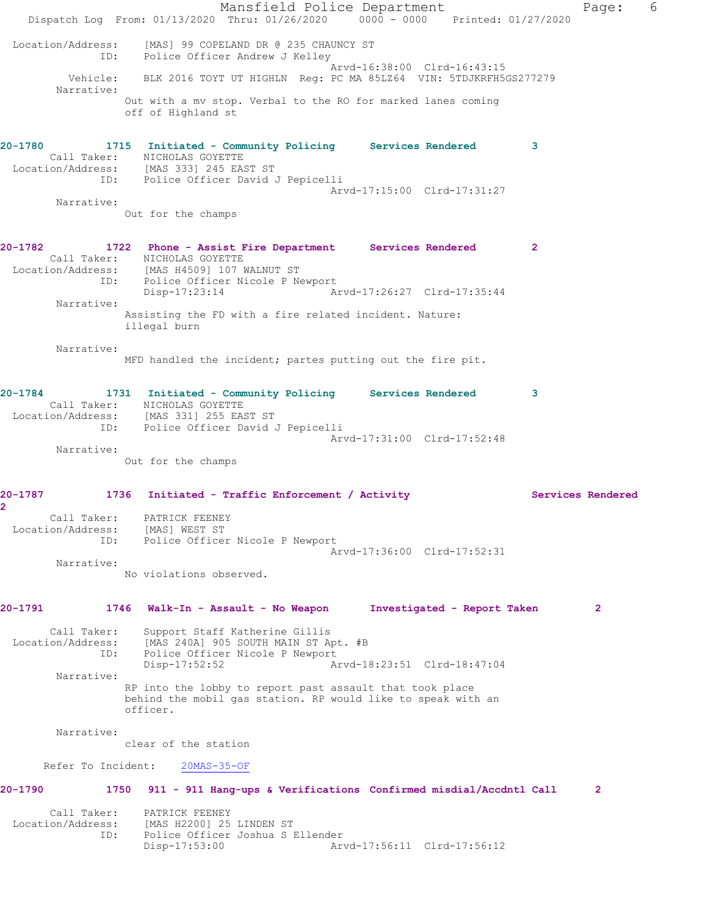Mansfield Police Department Fage: 6 Dispatch Log From: 01/13/2020 Thru: 01/26/2020 0000 - 0000 Printed: 01/27/2020 Location/Address: [MAS] 99 COPELAND DR @ 235 CHAUNCY ST ID: Police Officer Andrew J Kelley Arvd-16:38:00 Clrd-16:43:15 Vehicle: BLK 2016 TOYT UT HIGHLN Reg: PC MA 85LZ64 VIN: 5TDJKRFH5GS277279 Narrative: Out with a mv stop. Verbal to the RO for marked lanes coming off of Highland st **20-1780 1715 Initiated - Community Policing Services Rendered 3**  Call Taker: NICHOLAS GOYETTE Location/Address: [MAS 333] 245 EAST ST ID: Police Officer David J Pepicelli Arvd-17:15:00 Clrd-17:31:27 Narrative: Out for the champs **20-1782 1722 Phone - Assist Fire Department Services Rendered 2**  Call Taker: NICHOLAS GOYETTE Location/Address: [MAS H4509] 107 WALNUT ST ID: Police Officer Nicole P Newport Disp-17:23:14 Arvd-17:26:27 Clrd-17:35:44 Narrative: Assisting the FD with a fire related incident. Nature: illegal burn Narrative: MFD handled the incident; partes putting out the fire pit. **20-1784 1731 Initiated - Community Policing Services Rendered 3**  Call Taker: NICHOLAS GOYETTE Location/Address: [MAS 331] 255 EAST ST ID: Police Officer David J Pepicelli Arvd-17:31:00 Clrd-17:52:48 Narrative: Out for the champs **20-1787 1736 Initiated - Traffic Enforcement / Activity Services Rendered 2**  Call Taker: PATRICK FEENEY Location/Address: [MAS] WEST ST ID: Police Officer Nicole P Newport Arvd-17:36:00 Clrd-17:52:31 Narrative: No violations observed. **20-1791 1746 Walk-In - Assault - No Weapon Investigated - Report Taken 2** Call Taker: Support Staff Katherine Gillis Location/Address: [MAS 240A] 905 SOUTH MAIN ST Apt. #B ID: Police Officer Nicole P Newport Disp-17:52:52 Arvd-18:23:51 Clrd-18:47:04 Narrative: RP into the lobby to report past assault that took place behind the mobil gas station. RP would like to speak with an officer. Narrative: clear of the station Refer To Incident: 20MAS-35-OF **20-1790 1750 911 - 911 Hang-ups & Verifications Confirmed misdial/Accdntl Call 2** Call Taker: PATRICK FEENEY<br>Location/Address: [MAS H2200] 25<br>ID: Police Officer [MAS H2200] 25 LINDEN ST Police Officer Joshua S Ellender<br>Disp-17:53:00 Art Arvd-17:56:11 Clrd-17:56:12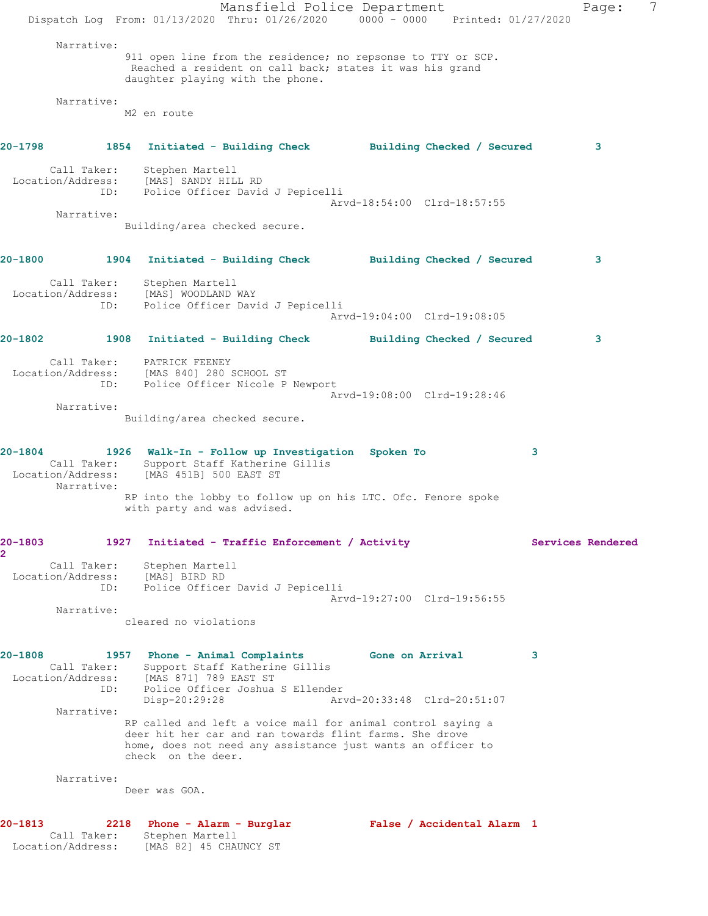Mansfield Police Department Fage: 7 Dispatch Log From: 01/13/2020 Thru: 01/26/2020 0000 - 0000 Printed: 01/27/2020 Narrative: 911 open line from the residence; no repsonse to TTY or SCP. Reached a resident on call back; states it was his grand daughter playing with the phone. Narrative: M2 en route **20-1798 1854 Initiated - Building Check Building Checked / Secured 3** Call Taker: Stephen Martell Location/Address: [MAS] SANDY HILL RD ID: Police Officer David J Pepicelli Arvd-18:54:00 Clrd-18:57:55 Narrative: Building/area checked secure. **20-1800 1904 Initiated - Building Check Building Checked / Secured 3** Call Taker: Stephen Martell Location/Address: [MAS] WOODLAND WAY ID: Police Officer David J Pepicelli Arvd-19:04:00 Clrd-19:08:05 **20-1802 1908 Initiated - Building Check Building Checked / Secured 3** Call Taker: PATRICK FEENEY Location/Address: [MAS 840] 280 SCHOOL ST ID: Police Officer Nicole P Newport Arvd-19:08:00 Clrd-19:28:46 Narrative: Building/area checked secure. **20-1804 1926 Walk-In - Follow up Investigation Spoken To 3**  Call Taker: Support Staff Katherine Gillis Location/Address: [MAS 451B] 500 EAST ST Narrative: RP into the lobby to follow up on his LTC. Ofc. Fenore spoke with party and was advised. **20-1803 1927 Initiated - Traffic Enforcement / Activity Services Rendered 2**  Call Taker: Stephen Martell Location/Address: [MAS] BIRD RD ID: Police Officer David J Pepicelli Arvd-19:27:00 Clrd-19:56:55 Narrative: cleared no violations **20-1808 1957 Phone - Animal Complaints Gone on Arrival 3**  Call Taker: Support Staff Katherine Gillis Location/Address: [MAS 871] 789 EAST ST ID: Police Officer Joshua S Ellender Disp-20:29:28 Arvd-20:33:48 Clrd-20:51:07 Narrative: RP called and left a voice mail for animal control saying a deer hit her car and ran towards flint farms. She drove home, does not need any assistance just wants an officer to check on the deer. Narrative: Deer was GOA. **20-1813 2218 Phone - Alarm - Burglar False / Accidental Alarm 1**  Call Taker: Stephen Martell Location/Address: [MAS 82] 45 CHAUNCY ST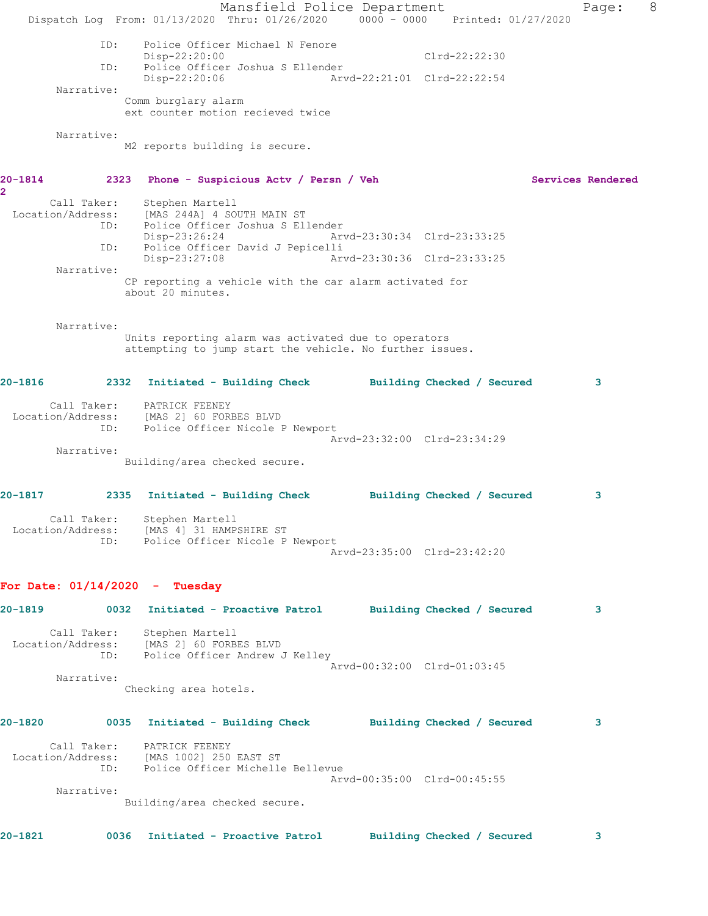Mansfield Police Department Fage: 8 Dispatch Log From: 01/13/2020 Thru: 01/26/2020 0000 - 0000 Printed: 01/27/2020 ID: Police Officer Michael N Fenore Disp-22:20:00 Clrd-22:22:30 ID: Police Officer Joshua S Ellender Disp-22:20:06 Arvd-22:21:01 Clrd-22:22:54 Narrative: Comm burglary alarm ext counter motion recieved twice Narrative: M2 reports building is secure. **20-1814 2323 Phone - Suspicious Actv / Persn / Veh Services Rendered 2**  Call Taker: Stephen Martell Location/Address: [MAS 244A] 4 SOUTH MAIN ST ID: Police Officer Joshua S Ellender Disp-23:26:24 Arvd-23:30:34 Clrd-23:33:25 ID: Police Officer David J Pepicelli Disp-23:27:08 Arvd-23:30:36 Clrd-23:33:25 Narrative: CP reporting a vehicle with the car alarm activated for about 20 minutes. Narrative: Units reporting alarm was activated due to operators attempting to jump start the vehicle. No further issues. **20-1816 2332 Initiated - Building Check Building Checked / Secured 3** Call Taker: PATRICK FEENEY Location/Address: [MAS 2] 60 FORBES BLVD ID: Police Officer Nicole P Newport Arvd-23:32:00 Clrd-23:34:29 Narrative: Building/area checked secure. **20-1817 2335 Initiated - Building Check Building Checked / Secured 3** Call Taker: Stephen Martell Location/Address: [MAS 4] 31 HAMPSHIRE ST ID: Police Officer Nicole P Newport Arvd-23:35:00 Clrd-23:42:20 **For Date: 01/14/2020 - Tuesday 20-1819 0032 Initiated - Proactive Patrol Building Checked / Secured 3** Call Taker: Stephen Martell Location/Address: [MAS 2] 60 FORBES BLVD ID: Police Officer Andrew J Kelley Arvd-00:32:00 Clrd-01:03:45 Narrative: Checking area hotels. **20-1820 0035 Initiated - Building Check Building Checked / Secured 3** Call Taker: PATRICK FEENEY Location/Address: [MAS 1002] 250 EAST ST ID: Police Officer Michelle Bellevue Arvd-00:35:00 Clrd-00:45:55 Narrative: Building/area checked secure. **20-1821 0036 Initiated - Proactive Patrol Building Checked / Secured 3**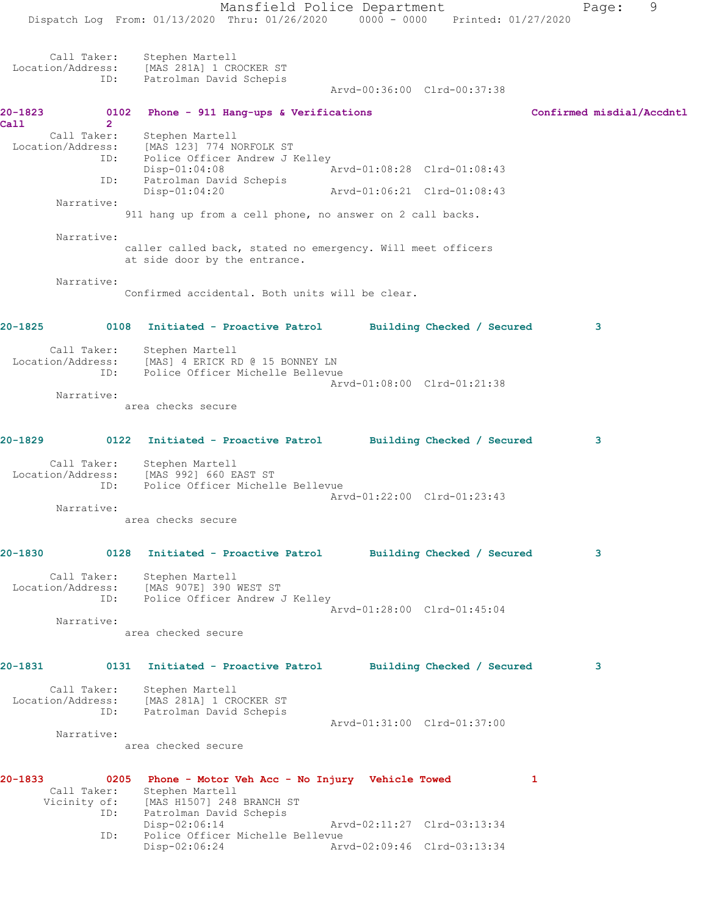Mansfield Police Department Fage: 9 Dispatch Log From: 01/13/2020 Thru: 01/26/2020 0000 - 0000 Printed: 01/27/2020 Call Taker: Stephen Martell Location/Address: [MAS 281A] 1 CROCKER ST ID: Patrolman David Schepis Arvd-00:36:00 Clrd-00:37:38 **20-1823 0102 Phone - 911 Hang-ups & Verifications Confirmed misdial/Accdntl Call 2**  Call Taker: Stephen Martell Location/Address: [MAS 123] 774 NORFOLK ST ID: Police Officer Andrew J Kelley Disp-01:04:08 Arvd-01:08:28 Clrd-01:08:43 ID: Patrolman David Schepis Disp-01:04:20 Arvd-01:06:21 Clrd-01:08:43 Narrative: 911 hang up from a cell phone, no answer on 2 call backs. Narrative: caller called back, stated no emergency. Will meet officers at side door by the entrance. Narrative: Confirmed accidental. Both units will be clear. **20-1825 0108 Initiated - Proactive Patrol Building Checked / Secured 3** Call Taker: Stephen Martell Location/Address: [MAS] 4 ERICK RD @ 15 BONNEY LN ID: Police Officer Michelle Bellevue Arvd-01:08:00 Clrd-01:21:38 Narrative: area checks secure **20-1829 0122 Initiated - Proactive Patrol Building Checked / Secured 3** Call Taker: Stephen Martell Location/Address: [MAS 992] 660 EAST ST ID: Police Officer Michelle Bellevue Arvd-01:22:00 Clrd-01:23:43 Narrative: area checks secure **20-1830 0128 Initiated - Proactive Patrol Building Checked / Secured 3** Call Taker: Stephen Martell Location/Address: [MAS 907E] 390 WEST ST ID: Police Officer Andrew J Kelley Arvd-01:28:00 Clrd-01:45:04 Narrative: area checked secure **20-1831 0131 Initiated - Proactive Patrol Building Checked / Secured 3** Call Taker: Stephen Martell Location/Address: [MAS 281A] 1 CROCKER ST ID: Patrolman David Schepis Arvd-01:31:00 Clrd-01:37:00 Narrative: area checked secure **20-1833 0205 Phone - Motor Veh Acc - No Injury Vehicle Towed 1**  Call Taker: Stephen Martell Vicinity of: [MAS H1507] 248 BRANCH ST ID: Patrolman David Schepis<br>Disp-02:06:14 Disp-02:06:14 Arvd-02:11:27 Clrd-03:13:34

Arvd-02:09:46 Clrd-03:13:34

ID: Police Officer Michelle Bellevue<br>Disp-02:06:24 Arv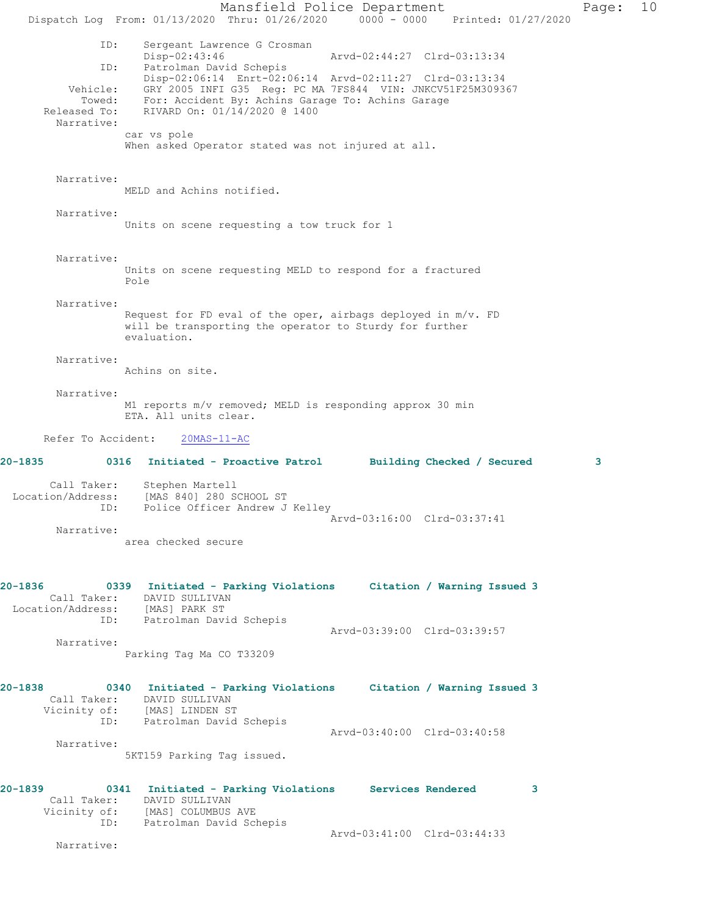Mansfield Police Department Page: 10 Dispatch Log From: 01/13/2020 Thru: 01/26/2020 0000 - 0000 Printed: 01/27/2020 ID: Sergeant Lawrence G Crosman<br>Disp-02:43:46 Disp-02:43:46 Arvd-02:44:27 Clrd-03:13:34 ID: Patrolman David Schepis Disp-02:06:14 Enrt-02:06:14 Arvd-02:11:27 Clrd-03:13:34 Vehicle: GRY 2005 INFI G35 Reg: PC MA 7FS844 VIN: JNKCV51F25M309367 Towed: For: Accident By: Achins Garage To: Achins Garage Released To: RIVARD On: 01/14/2020 @ 1400 Narrative: car vs pole When asked Operator stated was not injured at all. Narrative: MELD and Achins notified. Narrative: Units on scene requesting a tow truck for 1 Narrative: Units on scene requesting MELD to respond for a fractured Pole Narrative: Request for FD eval of the oper, airbags deployed in m/v. FD will be transporting the operator to Sturdy for further evaluation. Narrative: Achins on site. Narrative: M1 reports m/v removed; MELD is responding approx 30 min ETA. All units clear. Refer To Accident: 20MAS-11-AC **20-1835 0316 Initiated - Proactive Patrol Building Checked / Secured 3** Call Taker: Stephen Martell Location/Address: [MAS 840] 280 SCHOOL ST ID: Police Officer Andrew J Kelley Arvd-03:16:00 Clrd-03:37:41 Narrative: area checked secure **20-1836 0339 Initiated - Parking Violations Citation / Warning Issued 3**  Call Taker: DAVID SULLIVAN Location/Address: [MAS] PARK ST ID: Patrolman David Schepis Arvd-03:39:00 Clrd-03:39:57 Narrative: Parking Tag Ma CO T33209 **20-1838 0340 Initiated - Parking Violations Citation / Warning Issued 3**  Call Taker: DAVID SULLIVAN Vicinity of: [MAS] LINDEN ST<br>ID: Patrolman David Patrolman David Schepis Arvd-03:40:00 Clrd-03:40:58 Narrative: 5KT159 Parking Tag issued. **20-1839 0341 Initiated - Parking Violations Services Rendered 3**  Call Taker: DAVID SULLIVAN Vicinity of: [MAS] COLUMBUS AVE ID: Patrolman David Schepis Arvd-03:41:00 Clrd-03:44:33 Narrative: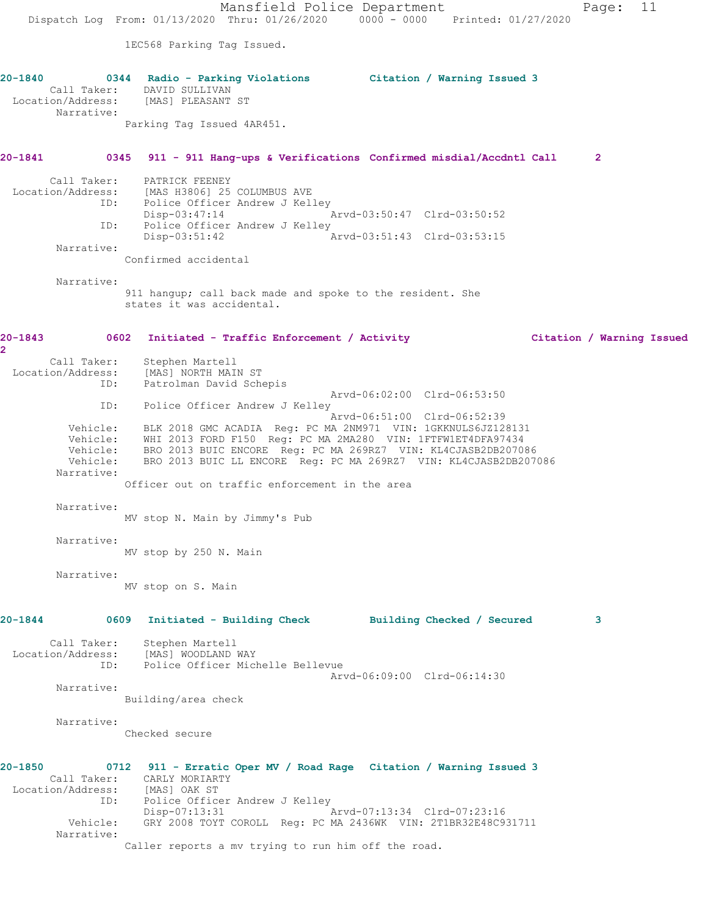Mansfield Police Department Page: 11 Dispatch Log From: 01/13/2020 Thru: 01/26/2020 0000 - 0000 Printed: 01/27/2020 1EC568 Parking Tag Issued. **20-1840 0344 Radio - Parking Violations Citation / Warning Issued 3**  Call Taker: DAVID SULLIVAN Location/Address: [MAS] PLEASANT ST Narrative: Parking Tag Issued 4AR451. **20-1841 0345 911 - 911 Hang-ups & Verifications Confirmed misdial/Accdntl Call 2** Call Taker: PATRICK FEENEY Location/Address: [MAS H3806] 25 COLUMBUS AVE ID: Police Officer Andrew J Kelley<br>Disp-03:47:14  $Nrvd-03:50:47$  Clrd-03:50:52 ID: Police Officer Andrew J Kelley<br>Disp-03:51:42 A:  $\bar{P}_{\text{Arvd}-03:51:43}$  Clrd-03:53:15 Narrative: Confirmed accidental Narrative: 911 hangup; call back made and spoke to the resident. She states it was accidental. **20-1843 0602 Initiated - Traffic Enforcement / Activity Citation / Warning Issued 2**  Call Taker: Stephen Martell Location/Address: [MAS] NORTH MAIN ST ID: Patrolman David Schepis Arvd-06:02:00 Clrd-06:53:50 ID: Police Officer Andrew J Kelley<br>Arvd-06:51:00 Clrd-06:52:39 Arvd-06:51:00 Clrd-06:52:39 Vehicle: BLK 2018 GMC ACADIA Reg: PC MA 2NM971 VIN: 1GKKNULS6JZ128131 Vehicle: WHI 2013 FORD F150 Reg: PC MA 2MA280 VIN: 1FTFW1ET4DFA97434 Vehicle: BRO 2013 BUIC ENCORE Reg: PC MA 269RZ7 VIN: KL4CJASB2DB207086 Vehicle: BRO 2013 BUIC LL ENCORE Reg: PC MA 269RZ7 VIN: KL4CJASB2DB207086 Narrative: Officer out on traffic enforcement in the area Narrative: MV stop N. Main by Jimmy's Pub Narrative: MV stop by 250 N. Main Narrative: MV stop on S. Main **20-1844 0609 Initiated - Building Check Building Checked / Secured 3** Call Taker: Stephen Martell Location/Address: [MAS] WOODLAND WAY ID: Police Officer Michelle Bellevue Arvd-06:09:00 Clrd-06:14:30 Narrative: Building/area check Narrative: Checked secure **20-1850 0712 911 - Erratic Oper MV / Road Rage Citation / Warning Issued 3**  Call Taker: CARLY MORIARTY Location/Address: [MAS] OAK ST ID: Police Officer Andrew J Kelley Disp-07:13:31 Arvd-07:13:34 Clrd-07:23:16 Vehicle: GRY 2008 TOYT COROLL Reg: PC MA 2436WK VIN: 2T1BR32E48C931711 Narrative: Caller reports a mv trying to run him off the road.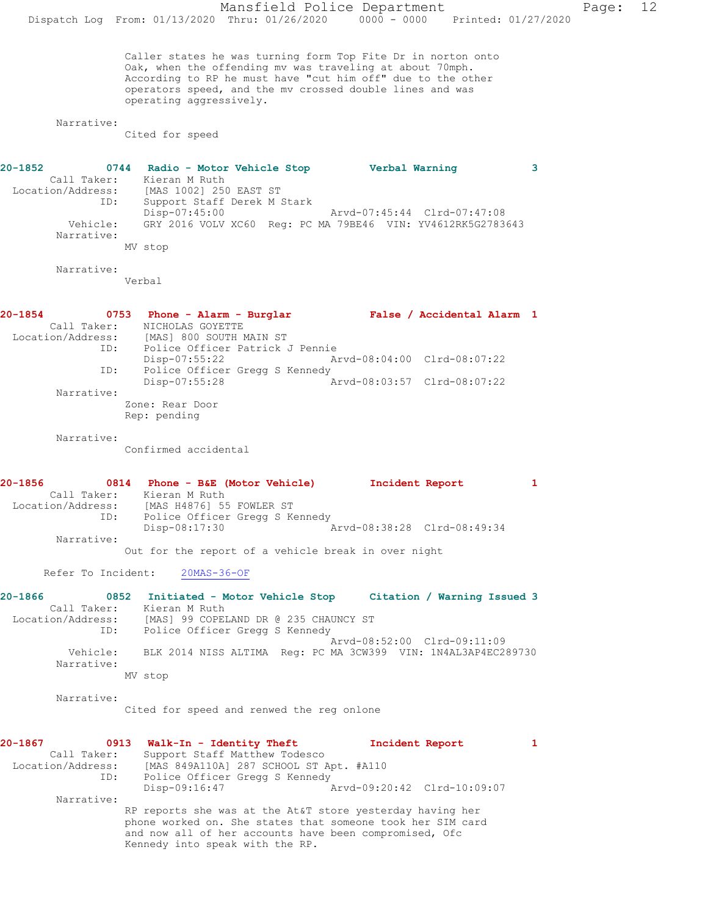Mansfield Police Department Page: 12 Dispatch Log From: 01/13/2020 Thru: 01/26/2020 0000 - 0000 Printed: 01/27/2020 Caller states he was turning form Top Fite Dr in norton onto Oak, when the offending mv was traveling at about 70mph. According to RP he must have "cut him off" due to the other operators speed, and the mv crossed double lines and was operating aggressively. Narrative: Cited for speed **20-1852 0744 Radio - Motor Vehicle Stop Verbal Warning 3**  Call Taker: Kieran M Ruth Location/Address: [MAS 1002] 250 EAST ST ID: Support Staff Derek M Stark Disp-07:45:00 Arvd-07:45:44 Clrd-07:47:08 Vehicle: GRY 2016 VOLV XC60 Reg: PC MA 79BE46 VIN: YV4612RK5G2783643 Narrative: MV stop Narrative: Verbal **20-1854 0753 Phone - Alarm - Burglar False / Accidental Alarm 1**  Call Taker: NICHOLAS GOYETTE Location/Address: [MAS] 800 SOUTH MAIN ST<br>ID: Police Officer Patrick J Police Officer Patrick J Pennie<br>Disp-07:55:22 Ar Disp-07:55:22 Arvd-08:04:00 Clrd-08:07:22 ID: Police Officer Gregg S Kennedy Disp-07:55:28 Arvd-08:03:57 Clrd-08:07:22 Narrative: Zone: Rear Door Rep: pending Narrative: Confirmed accidental **20-1856 0814 Phone - B&E (Motor Vehicle) Incident Report 1**  Call Taker: Kieran M Ruth Location/Address: [MAS H4876] 55 FOWLER ST ID: Police Officer Gregg S Kennedy<br>Disp-08:17:30 Disp-08:17:30 Arvd-08:38:28 Clrd-08:49:34 Narrative: Out for the report of a vehicle break in over night Refer To Incident: 20MAS-36-OF **20-1866 0852 Initiated - Motor Vehicle Stop Citation / Warning Issued 3**  Call Taker: Kieran M Ruth Location/Address: [MAS] 99 COPELAND DR @ 235 CHAUNCY ST ID: Police Officer Gregg S Kennedy Arvd-08:52:00 Clrd-09:11:09 Vehicle: BLK 2014 NISS ALTIMA Reg: PC MA 3CW399 VIN: 1N4AL3AP4EC289730 Narrative: MV stop Narrative: Cited for speed and renwed the reg onlone **20-1867 0913 Walk-In - Identity Theft Incident Report 1**  Call Taker: Support Staff Matthew Todesco Location/Address: [MAS 849A110A] 287 SCHOOL ST Apt. #A110 ID: Police Officer Gregg S Kennedy<br>Disp-09:16:47 Disp-09:16:47 Arvd-09:20:42 Clrd-10:09:07 Narrative: RP reports she was at the At&T store yesterday having her phone worked on. She states that someone took her SIM card and now all of her accounts have been compromised, Ofc Kennedy into speak with the RP.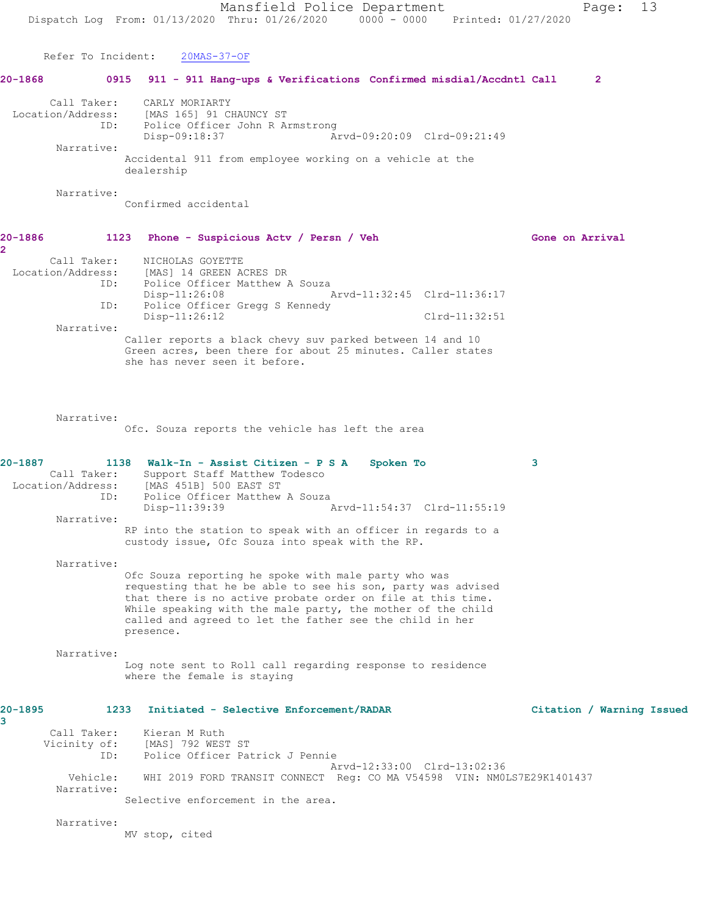Mansfield Police Department Page: 13 Dispatch Log From: 01/13/2020 Thru: 01/26/2020 0000 - 0000 Printed: 01/27/2020 Refer To Incident: 20MAS-37-OF **20-1868 0915 911 - 911 Hang-ups & Verifications Confirmed misdial/Accdntl Call 2** Call Taker: CARLY MORIARTY Location/Address: [MAS 165] 91 CHAUNCY ST ous.<br>ID: Police Officer John R Armstrong<br>Disp-09:18:37 Ar Disp-09:18:37 Arvd-09:20:09 Clrd-09:21:49 Narrative: Accidental 911 from employee working on a vehicle at the dealership Narrative: Confirmed accidental 20-1886 1123 Phone - Suspicious Actv / Persn / Veh Gone on Arrival **2**  Call Taker: NICHOLAS GOYETTE Location/Address: [MAS] 14 GREEN ACRES DR ID: Police Officer Matthew A Souza Disp-11:26:08 Arvd-11:32:45 Clrd-11:36:17<br>ID: Police Officer Gregg S Kennedy Police Officer Gregg S Kennedy Disp-11:26:12 Clrd-11:32:51 Narrative: Caller reports a black chevy suv parked between 14 and 10 Green acres, been there for about 25 minutes. Caller states she has never seen it before. Narrative: Ofc. Souza reports the vehicle has left the area **20-1887 1138 Walk-In - Assist Citizen - P S A Spoken To 3**  Call Taker: Support Staff Matthew Todesco Location/Address: [MAS 451B] 500 EAST ST ID: Police Officer Matthew A Souza<br>Disp-11:39:39 Disp-11:39:39 Arvd-11:54:37 Clrd-11:55:19 Narrative: RP into the station to speak with an officer in regards to a custody issue, Ofc Souza into speak with the RP. Narrative: Ofc Souza reporting he spoke with male party who was requesting that he be able to see his son, party was advised that there is no active probate order on file at this time. While speaking with the male party, the mother of the child called and agreed to let the father see the child in her presence. Narrative: Log note sent to Roll call regarding response to residence where the female is staying **20-1895 1233 Initiated - Selective Enforcement/RADAR Citation / Warning Issued 3**  Call Taker: Kieran M Ruth Vicinity of: [MAS] 792 WEST ST ID: Police Officer Patrick J Pennie Arvd-12:33:00 Clrd-13:02:36 Vehicle: WHI 2019 FORD TRANSIT CONNECT Reg: CO MA V54598 VIN: NM0LS7E29K1401437 Narrative: Selective enforcement in the area. Narrative: MV stop, cited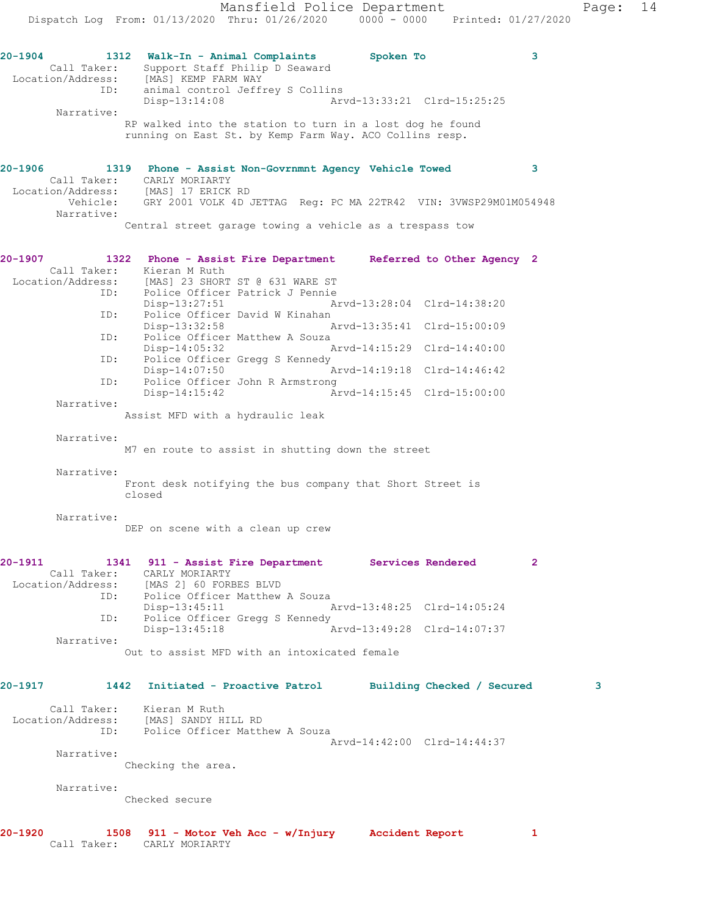**20-1904 1312 Walk-In - Animal Complaints Spoken To 3**  Call Taker: Support Staff Philip D Seaward Location/Address: [MAS] KEMP FARM WAY ID: animal control Jeffrey S Collins Disp-13:14:08 Arvd-13:33:21 Clrd-15:25:25 Narrative: RP walked into the station to turn in a lost dog he found running on East St. by Kemp Farm Way. ACO Collins resp. **20-1906 1319 Phone - Assist Non-Govrnmnt Agency Vehicle Towed 3**  Call Taker: CARLY MORIARTY Location/Address: [MAS] 17 ERICK RD Vehicle: GRY 2001 VOLK 4D JETTAG Reg: PC MA 22TR42 VIN: 3VWSP29M01M054948 Narrative: Central street garage towing a vehicle as a trespass tow **20-1907 1322 Phone - Assist Fire Department Referred to Other Agency 2**  Call Taker: Kieran M Ruth<br>Location/Address: [MAS] 23 SHORI Location/Address: [MAS] 23 SHORT ST @ 631 WARE ST ID: Police Officer Patrick J Pennie Disp-13:27:51 Arvd-13:28:04 Clrd-14:38:20 ID: Police Officer David W Kinahan Disp-13:32:58 Arvd-13:35:41 Clrd-15:00:09 ID: Police Officer Matthew A Souza<br>Disp-14:05:32 Disp-14:05:32 Arvd-14:15:29 Clrd-14:40:00 ID: Police Officer Gregg S Kennedy<br>Disp-14:07:50 Arvd-14:19:18 Clrd-14:46:42 ID: Police Officer John R Armstrong Disp-14:15:42 Arvd-14:15:45 Clrd-15:00:00 Narrative: Assist MFD with a hydraulic leak Narrative: M7 en route to assist in shutting down the street Narrative: Front desk notifying the bus company that Short Street is closed Narrative: DEP on scene with a clean up crew **20-1911 1341 911 - Assist Fire Department Services Rendered 2**  Call Taker: CARLY MORIARTY Location/Address: [MAS 2] 60 FORBES BLVD ID: Police Officer Matthew A Souza Disp-13:45:11 Arvd-13:48:25 Clrd-14:05:24<br>TD: Police Officer Gregg S Kennedy Police Officer Gregg S Kennedy<br>Disp-13:45:18 Disp-13:45:18 Arvd-13:49:28 Clrd-14:07:37 Narrative: Out to assist MFD with an intoxicated female **20-1917 1442 Initiated - Proactive Patrol Building Checked / Secured 3**

 Narrative: Checked secure

Police Officer Matthew A Souza

Call Taker: Kieran M Ruth<br>ion/Address: [MAS] SANDY HILL RD

Checking the area.

Location/Address:<br>
ID:

Narrative:

**20-1920 1508 911 - Motor Veh Acc - w/Injury Accident Report 1**  Call Taker: CARLY MORIARTY

Arvd-14:42:00 Clrd-14:44:37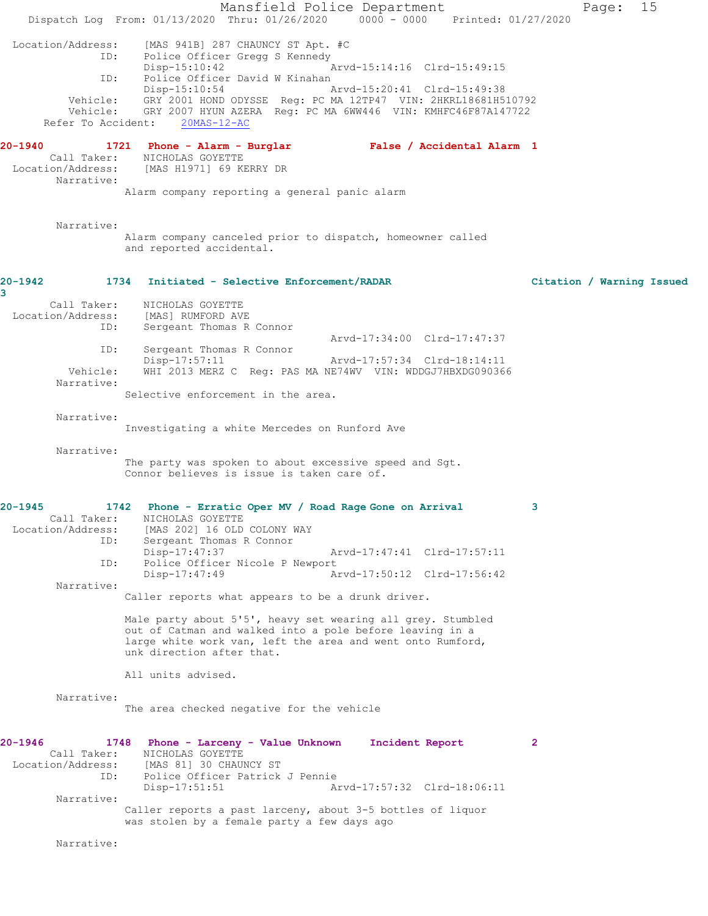Mansfield Police Department Page: 15 Dispatch Log From: 01/13/2020 Thru: 01/26/2020 0000 - 0000 Printed: 01/27/2020 Location/Address: [MAS 941B] 287 CHAUNCY ST Apt. #C Police Officer Gregg S Kennedy<br>Disp-15:10:42 Arvd-15:14:16 Clrd-15:49:15 ID: Police Officer David W Kinahan<br>Disp-15:10:54 / Disp-15:10:54 Arvd-15:20:41 Clrd-15:49:38 Vehicle: GRY 2001 HOND ODYSSE Reg: PC MA 12TP47 VIN: 2HKRL18681H510792 Vehicle: GRY 2007 HYUN AZERA Reg: PC MA 6WW446 VIN: KMHFC46F87A147722 Refer To Accident: 20MAS-12-AC **20-1940 1721 Phone - Alarm - Burglar False / Accidental Alarm 1**  Call Taker: NICHOLAS GOYETTE Location/Address: [MAS H1971] 69 KERRY DR Narrative: Alarm company reporting a general panic alarm Narrative: Alarm company canceled prior to dispatch, homeowner called and reported accidental. **20-1942 1734 Initiated - Selective Enforcement/RADAR Citation / Warning Issued 3**  Call Taker: NICHOLAS GOYETTE<br>.on/Address: [MAS] RUMFORD AVE Location/Address:<br>ID: Sergeant Thomas R Connor Arvd-17:34:00 Clrd-17:47:37<br>TD: Sergeant Thomas R Connor Sergeant Thomas R Connor<br>Disp-17:57:11 Disp-17:57:11 Arvd-17:57:34 Clrd-18:14:11 Vehicle: WHI 2013 MERZ C Reg: PAS MA NE74WV VIN: WDDGJ7HBXDG090366 Narrative: Selective enforcement in the area. Narrative: Investigating a white Mercedes on Runford Ave Narrative: The party was spoken to about excessive speed and Sgt. Connor believes is issue is taken care of. **20-1945 1742 Phone - Erratic Oper MV / Road Rage Gone on Arrival 3**  Call Taker: NICHOLAS GOYETTE Location/Address: [MAS 202] 16 OLD COLONY WAY<br>ID: Sergeant Thomas R Connor Sergeant Thomas R Connor<br>Disp-17:47:37 Disp-17:47:37 Arvd-17:47:41 Clrd-17:57:11 ID: Police Officer Nicole P Newport Disp-17:47:49 Arvd-17:50:12 Clrd-17:56:42 Narrative: Caller reports what appears to be a drunk driver. Male party about 5'5', heavy set wearing all grey. Stumbled out of Catman and walked into a pole before leaving in a large white work van, left the area and went onto Rumford, unk direction after that. All units advised. Narrative: The area checked negative for the vehicle **20-1946 1748 Phone - Larceny - Value Unknown Incident Report 2**  Call Taker: NICHOLAS GOYETTE Location/Address: [MAS 81] 30 CHAUNCY ST Police Officer Patrick J Pennie<br>Disp-17:51:51 Am Disp-17:51:51 Arvd-17:57:32 Clrd-18:06:11 Narrative: Caller reports a past larceny, about 3-5 bottles of liquor was stolen by a female party a few days ago Narrative: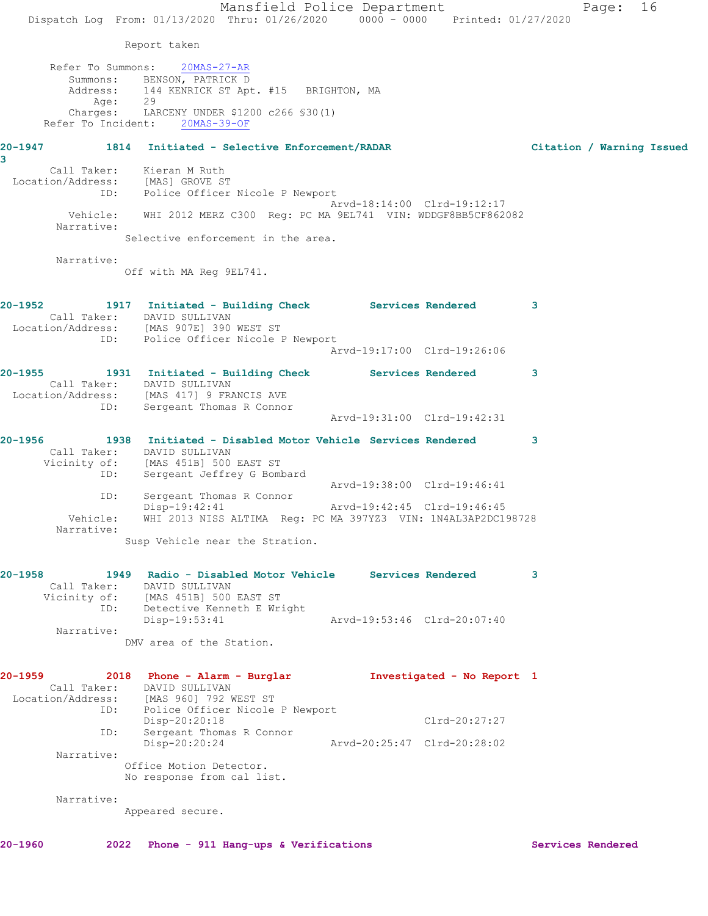|                                  | Mansfield Police Department                                                                                     |                             |                 | 16<br>Page:               |
|----------------------------------|-----------------------------------------------------------------------------------------------------------------|-----------------------------|-----------------|---------------------------|
|                                  | Dispatch Log From: 01/13/2020 Thru: 01/26/2020 0000 - 0000 Printed: 01/27/2020                                  |                             |                 |                           |
|                                  | Report taken                                                                                                    |                             |                 |                           |
| Refer To Summons:                | $20MAS - 27 - AR$                                                                                               |                             |                 |                           |
|                                  | Summons: BENSON, PATRICK D                                                                                      |                             |                 |                           |
| Age:                             | Address: 144 KENRICK ST Apt. #15 BRIGHTON, MA<br>29                                                             |                             |                 |                           |
| Charges:                         | LARCENY UNDER \$1200 c266 \$30(1)<br>Refer To Incident: 20MAS-39-OF                                             |                             |                 |                           |
|                                  |                                                                                                                 |                             |                 |                           |
| 3                                | 20-1947 1814 Initiated - Selective Enforcement/RADAR                                                            |                             |                 | Citation / Warning Issued |
| Location/Address: [MAS] GROVE ST | Call Taker: Kieran M Ruth                                                                                       |                             |                 |                           |
| ID:                              | Police Officer Nicole P Newport                                                                                 |                             |                 |                           |
| Vehicle:                         | WHI 2012 MERZ C300 Reg: PC MA 9EL741 VIN: WDDGF8BB5CF862082                                                     | Arvd-18:14:00 Clrd-19:12:17 |                 |                           |
| Narrative:                       |                                                                                                                 |                             |                 |                           |
|                                  | Selective enforcement in the area.                                                                              |                             |                 |                           |
| Narrative:                       | Off with MA Req 9EL741.                                                                                         |                             |                 |                           |
|                                  | 20-1952 1917 Initiated - Building Check Services Rendered 3                                                     |                             |                 |                           |
|                                  | Call Taker: DAVID SULLIVAN<br>Location/Address: [MAS 907E] 390 WEST ST                                          |                             |                 |                           |
|                                  | ID: Police Officer Nicole P Newport                                                                             |                             |                 |                           |
|                                  |                                                                                                                 | Arvd-19:17:00 Clrd-19:26:06 |                 |                           |
|                                  | 20-1955 1931 Initiated - Building Check Services Rendered                                                       |                             |                 | 3                         |
|                                  | Call Taker: DAVID SULLIVAN<br>Location/Address: [MAS 417] 9 FRANCIS AVE                                         |                             |                 |                           |
| ID:                              | Sergeant Thomas R Connor                                                                                        |                             |                 |                           |
|                                  |                                                                                                                 | Arvd-19:31:00 Clrd-19:42:31 |                 |                           |
|                                  | 20-1956               1938   Initiated - Disabled Motor Vehicle Services Rendered<br>Call Taker: DAVID SULLIVAN |                             |                 | 3                         |
|                                  | Vicinity of: [MAS 451B] 500 EAST ST                                                                             |                             |                 |                           |
| ID:                              | Sergeant Jeffrey G Bombard                                                                                      | Arvd-19:38:00 Clrd-19:46:41 |                 |                           |
| ID:                              | Sergeant Thomas R Connor<br>Disp-19:42:41                                                                       | Arvd-19:42:45 Clrd-19:46:45 |                 |                           |
| Vehicle:                         | WHI 2013 NISS ALTIMA Reg: PC MA 397YZ3 VIN: 1N4AL3AP2DC198728                                                   |                             |                 |                           |
| Narrative:                       | Susp Vehicle near the Stration.                                                                                 |                             |                 |                           |
|                                  |                                                                                                                 |                             |                 |                           |
| 20-1958                          | 1949 Radio - Disabled Motor Vehicle Services Rendered                                                           |                             |                 | 3                         |
|                                  | Call Taker: DAVID SULLIVAN<br>Vicinity of: [MAS 451B] 500 EAST ST                                               |                             |                 |                           |
|                                  | ID: Detective Kenneth E Wright                                                                                  | Arvd-19:53:46 Clrd-20:07:40 |                 |                           |
| Narrative:                       | Disp-19:53:41                                                                                                   |                             |                 |                           |
|                                  | DMV area of the Station.                                                                                        |                             |                 |                           |
| 20-1959                          | 2018 Phone - Alarm - Burglar Montestigated - No Report 1                                                        |                             |                 |                           |
|                                  | Call Taker: DAVID SULLIVAN                                                                                      |                             |                 |                           |
|                                  | Location/Address: [MAS 960] 792 WEST ST<br>ID: Police Officer Nicole P Newport                                  |                             |                 |                           |
| ID:                              | Disp-20:20:18<br>Sergeant Thomas R Connor                                                                       |                             | $Clrd-20:27:27$ |                           |
| Narrative:                       | Disp-20:20:24                                                                                                   | Arvd-20:25:47 Clrd-20:28:02 |                 |                           |
|                                  | Office Motion Detector.                                                                                         |                             |                 |                           |
|                                  | No response from cal list.                                                                                      |                             |                 |                           |
| Narrative:                       |                                                                                                                 |                             |                 |                           |
|                                  | Appeared secure.                                                                                                |                             |                 |                           |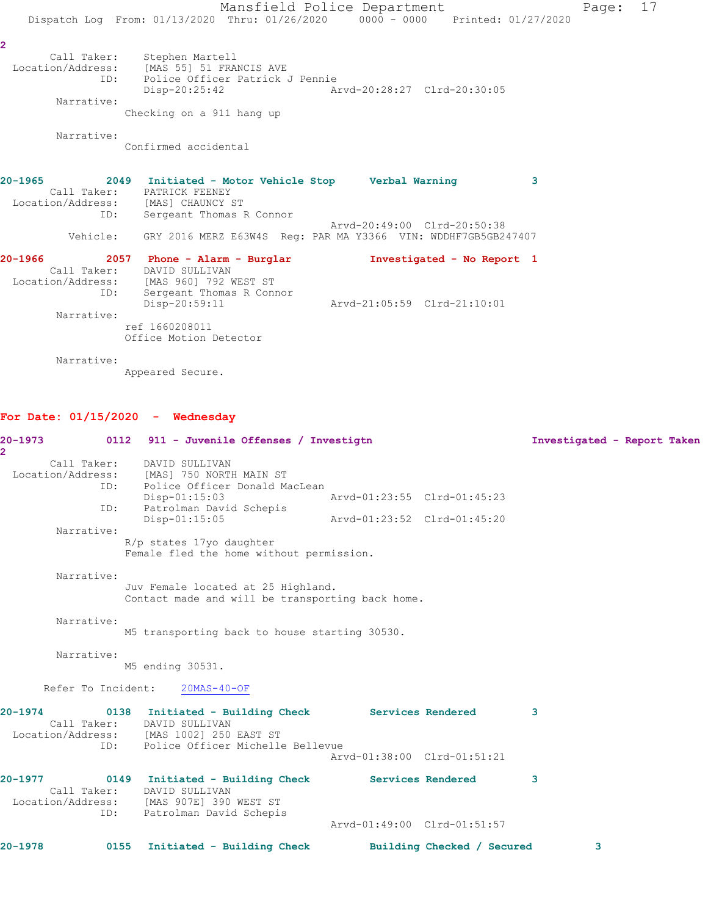Mansfield Police Department Page: 17 Dispatch Log From: 01/13/2020 Thru: 01/26/2020 0000 - 0000 Printed: 01/27/2020 **2**  Call Taker: Stephen Martell Location/Address: [MAS 55] 51 FRANCIS AVE ID: Police Officer Patrick J Pennie Disp-20:25:42 Arvd-20:28:27 Clrd-20:30:05 Narrative: Checking on a 911 hang up Narrative: Confirmed accidental **20-1965 2049 Initiated - Motor Vehicle Stop Verbal Warning 3**  Call Taker: PATRICK FEENEY Location/Address: [MAS] CHAUNCY ST ID: Sergeant Thomas R Connor Arvd-20:49:00 Clrd-20:50:38 Vehicle: GRY 2016 MERZ E63W4S Reg: PAR MA Y3366 VIN: WDDHF7GB5GB247407 **20-1966 2057 Phone - Alarm - Burglar Investigated - No Report 1**  Call Taker: DAVID SULLIVAN Location/Address: [MAS 960] 792 WEST ST ID: Sergeant Thomas R Connor Disp-20:59:11 Arvd-21:05:59 Clrd-21:10:01 Narrative: ref 1660208011 Office Motion Detector

Narrative:

Appeared Secure.

## **For Date: 01/15/2020 - Wednesday**

| $20 - 1973$<br>$\overline{2}$ |                    | 0112 911 - Juvenile Offenses / Investigtn                                                                                                                       |                             |                            | Investigated - Report Taken |  |
|-------------------------------|--------------------|-----------------------------------------------------------------------------------------------------------------------------------------------------------------|-----------------------------|----------------------------|-----------------------------|--|
|                               | Call Taker:<br>ID: | DAVID SULLIVAN<br>Location/Address: [MAS] 750 NORTH MAIN ST<br>Police Officer Donald MacLean<br>$Disp-01:15:03$                                                 | Arvd-01:23:55 Clrd-01:45:23 |                            |                             |  |
|                               | ID:                | Patrolman David Schepis<br>Disp-01:15:05                                                                                                                        | Arvd-01:23:52 Clrd-01:45:20 |                            |                             |  |
|                               | Narrative:         | R/p states 17yo daughter<br>Female fled the home without permission.                                                                                            |                             |                            |                             |  |
|                               | Narrative:         | Juv Female located at 25 Highland.<br>Contact made and will be transporting back home.                                                                          |                             |                            |                             |  |
|                               | Narrative:         | M5 transporting back to house starting 30530.                                                                                                                   |                             |                            |                             |  |
|                               | Narrative:         | M5 ending 30531.                                                                                                                                                |                             |                            |                             |  |
|                               |                    | Refer To Incident: 20MAS-40-OF                                                                                                                                  |                             |                            |                             |  |
| $20 - 1974$                   | ID:                | 0138 Initiated - Building Check Services Rendered<br>Call Taker: DAVID SULLIVAN<br>Location/Address: [MAS 1002] 250 EAST ST<br>Police Officer Michelle Bellevue | Aryd-01:38:00 Clrd-01:51:21 |                            | 3                           |  |
| $20 - 1977$                   | Call Taker:<br>ID: | 0149 Initiated - Building Check<br>DAVID SULLIVAN<br>Location/Address: [MAS 907E] 390 WEST ST<br>Patrolman David Schepis                                        |                             | <b>Services Rendered</b>   | 3                           |  |
|                               |                    |                                                                                                                                                                 | Arvd-01:49:00 Clrd-01:51:57 |                            |                             |  |
| 20-1978                       | 0155               | Initiated - Building Check                                                                                                                                      |                             | Building Checked / Secured | 3                           |  |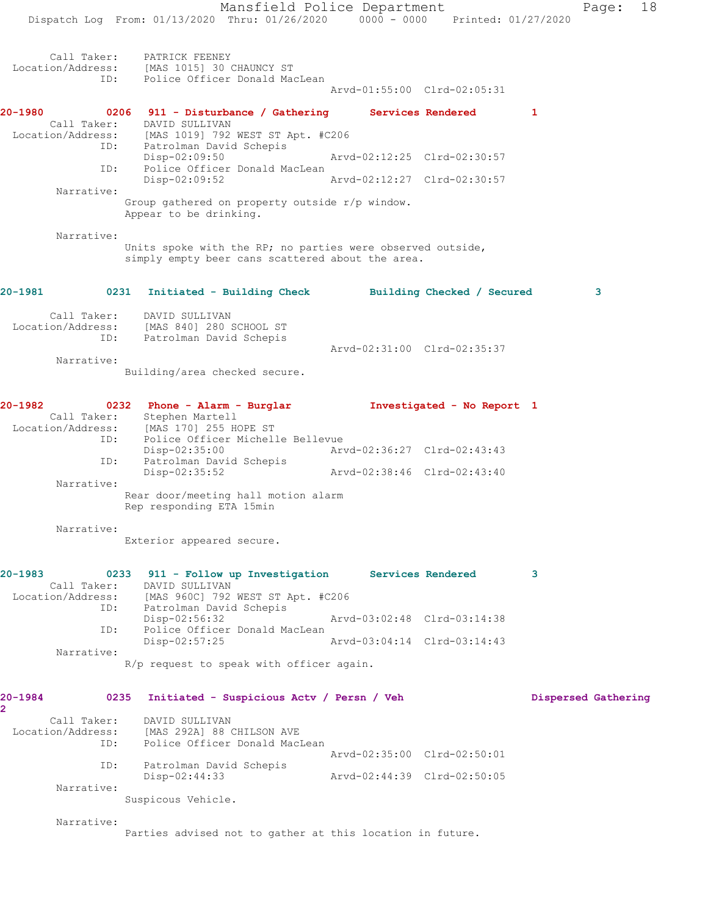Mansfield Police Department Page: 18 Dispatch Log From: 01/13/2020 Thru: 01/26/2020 0000 - 0000 Printed: 01/27/2020 Call Taker: PATRICK FEENEY Location/Address: [MAS 1015] 30 CHAUNCY ST ID: Police Officer Donald MacLean Arvd-01:55:00 Clrd-02:05:31 **20-1980 0206 911 - Disturbance / Gathering Services Rendered 1**  Call Taker: DAVID SULLIVAN Location/Address: [MAS 1019] 792 WEST ST Apt. #C206 ID: Patrolman David Schepis Disp-02:09:50 Arvd-02:12:25 Clrd-02:30:57 ID: Police Officer Donald MacLean<br>Disp-02:09:52 Arvd-02:12:27 Clrd-02:30:57 Narrative: Group gathered on property outside r/p window. Appear to be drinking. Narrative: Units spoke with the RP; no parties were observed outside, simply empty beer cans scattered about the area. **20-1981 0231 Initiated - Building Check Building Checked / Secured 3** Call Taker: DAVID SULLIVAN Location/Address: [MAS 840] 280 SCHOOL ST ID: Patrolman David Schepis Arvd-02:31:00 Clrd-02:35:37 Narrative: Building/area checked secure. **20-1982 0232 Phone - Alarm - Burglar Investigated - No Report 1**  Call Taker: Stephen Martell Location/Address: [MAS 170] 255 HOPE ST ID: Police Officer Michelle Bellevue Disp-02:35:00 Arvd-02:36:27 Clrd-02:43:43 ID: Patrolman David Schepis Disp-02:35:52 Arvd-02:38:46 Clrd-02:43:40 Narrative: Rear door/meeting hall motion alarm Rep responding ETA 15min Narrative: Exterior appeared secure. **20-1983 0233 911 - Follow up Investigation Services Rendered 3**  Call Taker: DAVID SULLIVAN Location/Address: [MAS 960C] 792 WEST ST Apt. #C206 ID: Patrolman David Schepis Disp-02:56:32 Arvd-03:02:48 Clrd-03:14:38 ID: Police Officer Donald MacLean<br>Disp-02:57:25 Arvd-03:04:14 Clrd-03:14:43 Narrative: R/p request to speak with officer again. **20-1984 0235 Initiated - Suspicious Actv / Persn / Veh Dispersed Gathering 2**  Call Taker: DAVID SULLIVAN Location/Address: [MAS 292A] 88 CHILSON AVE ID: Police Officer Donald MacLean Arvd-02:35:00 Clrd-02:50:01 ID: Patrolman David Schepis Disp-02:44:33 Arvd-02:44:39 Clrd-02:50:05 Narrative: Suspicous Vehicle. Narrative: Parties advised not to gather at this location in future.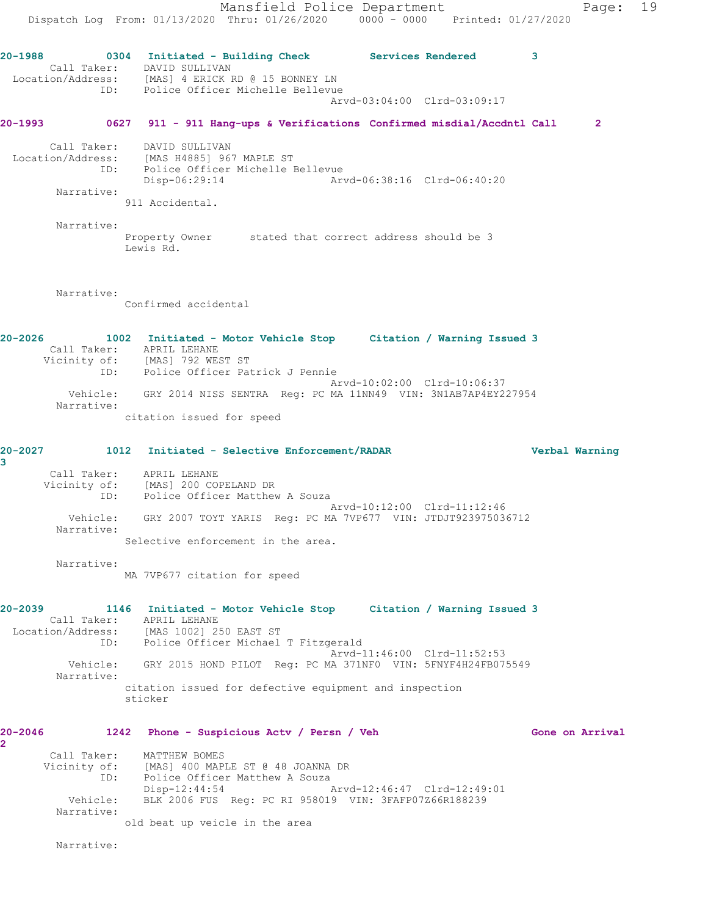Mansfield Police Department Fage: 19 Dispatch Log From: 01/13/2020 Thru: 01/26/2020 0000 - 0000 Printed: 01/27/2020 **20-1988 0304 Initiated - Building Check Services Rendered 3**  Call Taker: DAVID SULLIVAN Location/Address: [MAS] 4 ERICK RD @ 15 BONNEY LN ID: Police Officer Michelle Bellevue Arvd-03:04:00 Clrd-03:09:17 **20-1993 0627 911 - 911 Hang-ups & Verifications Confirmed misdial/Accdntl Call 2** Call Taker: DAVID SULLIVAN Location/Address: [MAS H4885] 967 MAPLE ST ID: Police Officer Michelle Bellevue Disp-06:29:14 Arvd-06:38:16 Clrd-06:40:20 Narrative: 911 Accidental. Narrative: Property Owner stated that correct address should be 3 Lewis Rd. Narrative: Confirmed accidental **20-2026 1002 Initiated - Motor Vehicle Stop Citation / Warning Issued 3**  Call Taker: APRIL LEHANE Vicinity of: [MAS] 792 WEST ST ID: Police Officer Patrick J Pennie Arvd-10:02:00 Clrd-10:06:37 Vehicle: GRY 2014 NISS SENTRA Reg: PC MA 11NN49 VIN: 3N1AB7AP4EY227954 Narrative: citation issued for speed **20-2027 1012 Initiated - Selective Enforcement/RADAR Verbal Warning 3**  Call Taker: APRIL LEHANE Vicinity of: [MAS] 200 COPELAND DR ID: Police Officer Matthew A Souza Arvd-10:12:00 Clrd-11:12:46 Vehicle: GRY 2007 TOYT YARIS Reg: PC MA 7VP677 VIN: JTDJT923975036712 Narrative: Selective enforcement in the area. Narrative: MA 7VP677 citation for speed **20-2039 1146 Initiated - Motor Vehicle Stop Citation / Warning Issued 3**  Call Taker: APRIL LEHANE Location/Address: [MAS 1002] 250 EAST ST ID: Police Officer Michael T Fitzgerald Arvd-11:46:00 Clrd-11:52:53 Vehicle: GRY 2015 HOND PILOT Reg: PC MA 371NF0 VIN: 5FNYF4H24FB075549 Narrative: citation issued for defective equipment and inspection sticker **20-2046 1242 Phone - Suspicious Actv / Persn / Veh Gone on Arrival 2**  Call Taker: MATTHEW BOMES Vicinity of: [MAS] 400 MAPLE ST @ 48 JOANNA DR ID: Police Officer Matthew A Souza Disp-12:44:54 Arvd-12:46:47 Clrd-12:49:01 Vehicle: BLK 2006 FUS Reg: PC RI 958019 VIN: 3FAFP07Z66R188239 Narrative: old beat up veicle in the area

Narrative: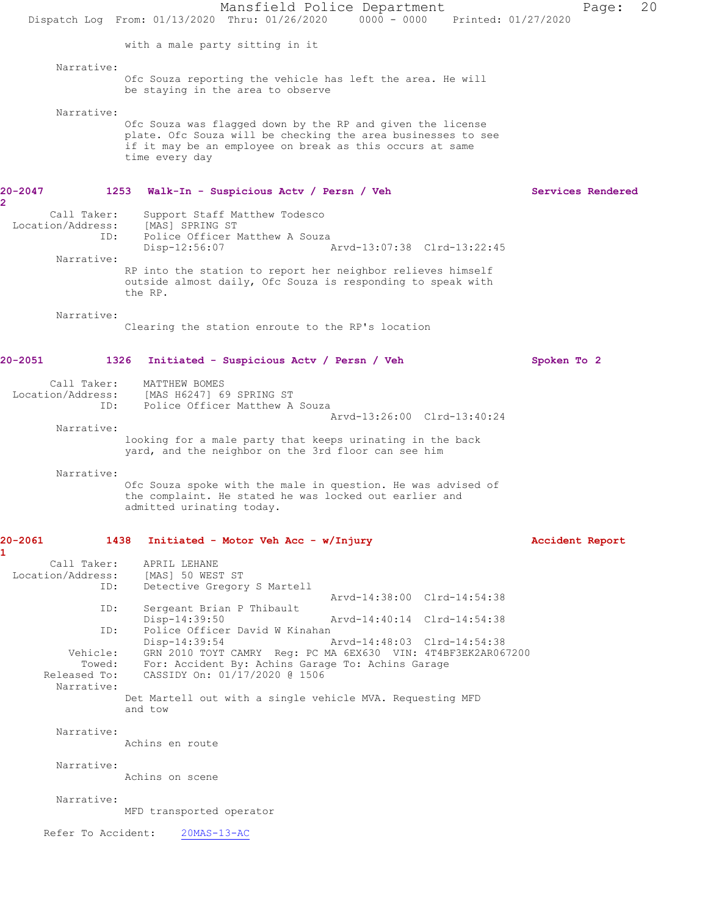Mansfield Police Department Page: 20 Dispatch Log From: 01/13/2020 Thru: 01/26/2020 0000 - 0000 Printed: 01/27/2020 with a male party sitting in it Narrative: Ofc Souza reporting the vehicle has left the area. He will be staying in the area to observe Narrative: Ofc Souza was flagged down by the RP and given the license plate. Ofc Souza will be checking the area businesses to see if it may be an employee on break as this occurs at same time every day **20-2047 1253 Walk-In - Suspicious Actv / Persn / Veh Services Rendered** Call Taker: Support Staff Matthew Todesco Location/Address: [MAS] SPRING ST<br>ID: Police Officer 1 Police Officer Matthew A Souza<br>Disp-12:56:07 Disp-12:56:07 Arvd-13:07:38 Clrd-13:22:45 Narrative: RP into the station to report her neighbor relieves himself outside almost daily, Ofc Souza is responding to speak with the RP. Narrative: Clearing the station enroute to the RP's location **20-2051 1326 Initiated - Suspicious Actv / Persn / Veh Spoken To 2** Call Taker: MATTHEW BOMES Location/Address: [MAS H6247] 69 SPRING ST ID: Police Officer Matthew A Souza Arvd-13:26:00 Clrd-13:40:24 Narrative: looking for a male party that keeps urinating in the back yard, and the neighbor on the 3rd floor can see him Narrative: Ofc Souza spoke with the male in question. He was advised of the complaint. He stated he was locked out earlier and admitted urinating today. **20-2061 1438 Initiated - Motor Veh Acc - w/Injury Accident Report 1**  Call Taker: APRIL LEHANE<br>ion/Address: [MAS] 50 WEST ST Location/Address: ID: Detective Gregory S Martell Arvd-14:38:00 Clrd-14:54:38<br>TD: Sergeant Brian P Thibault Sergeant Brian P Thibault<br>Disp-14:39:50 Arvd-14:40:14 Clrd-14:54:38 ID: Police Officer David W Kinahan<br>Disp-14:39:54 Disp-14:39:54 Arvd-14:48:03 Clrd-14:54:38 Vehicle: GRN 2010 TOYT CAMRY Reg: PC MA 6EX630 VIN: 4T4BF3EK2AR067200 Venicie. GAN 2010 1011 Chans Angle 1- 1-<br>Towed: For: Accident By: Achins Garage To: Achins Garage<br>Released To: CASSIDY On: 01/17/2020 @ 1506 CASSIDY On: 01/17/2020 @ 1506 Narrative: Det Martell out with a single vehicle MVA. Requesting MFD and tow Narrative: Achins en route Narrative: Achins on scene Narrative: MFD transported operator Refer To Accident: 20MAS-13-AC

**2**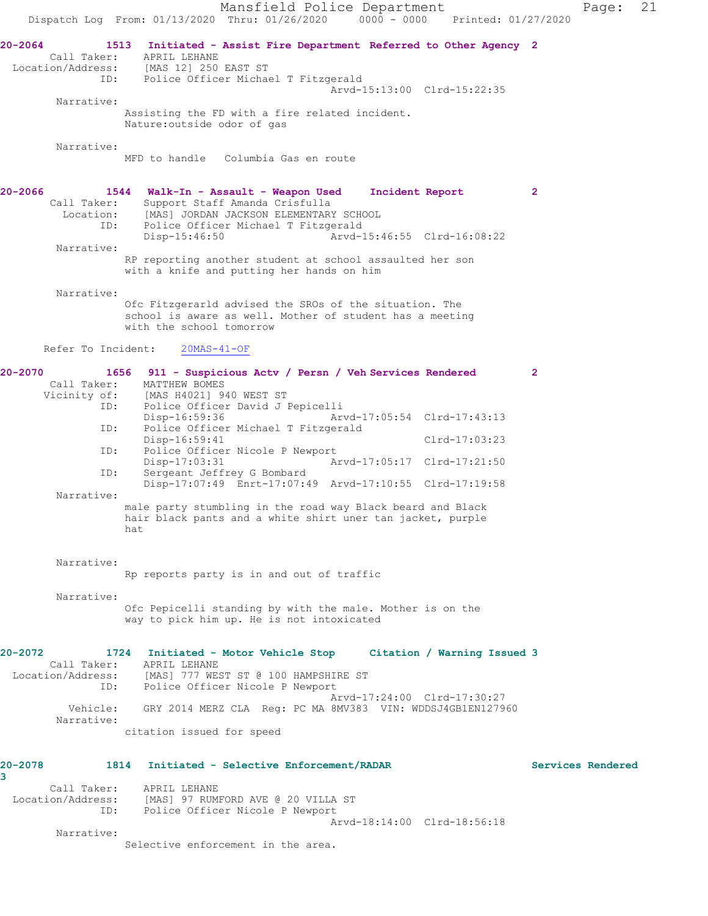Mansfield Police Department Page: 21 Dispatch Log From: 01/13/2020 Thru: 01/26/2020 0000 - 0000 Printed: 01/27/2020 **20-2064 1513 Initiated - Assist Fire Department Referred to Other Agency 2**  Call Taker: APRIL LEHANE Location/Address: [MAS 12] 250 EAST ST ID: Police Officer Michael T Fitzgerald Arvd-15:13:00 Clrd-15:22:35 Narrative: Assisting the FD with a fire related incident. Nature:outside odor of gas Narrative: MFD to handle Columbia Gas en route **20-2066 1544 Walk-In - Assault - Weapon Used Incident Report 2**  Call Taker: Support Staff Amanda Crisfulla Location: [MAS] JORDAN JACKSON ELEMENTARY SCHOOL<br>ID: Police Officer Michael T Fitzgerald ID: Police Officer Michael T Fitzgerald  $Nrvd-15:46:55 \text{ Clrd}-16:08:22$  Narrative: RP reporting another student at school assaulted her son with a knife and putting her hands on him Narrative: Ofc Fitzgerarld advised the SROs of the situation. The school is aware as well. Mother of student has a meeting with the school tomorrow Refer To Incident: 20MAS-41-OF **20-2070 1656 911 - Suspicious Actv / Persn / Veh Services Rendered 2**  Call Taker: MATTHEW BOMES Vicinity of: [MAS H4021] 940 WEST ST ID: Police Officer David J Pepicelli Disp-16:59:36 Arvd-17:05:54 Clrd-17:43:13 ID: Police Officer Michael T Fitzgerald Disp-16:59:41 Clrd-17:03:23<br>TD: Police Officer Nicole P Newport Police Officer Nicole P Newport<br>Disp-17:03:31 A Disp-17:03:31 Arvd-17:05:17 Clrd-17:21:50 ID: Sergeant Jeffrey G Bombard Disp-17:07:49 Enrt-17:07:49 Arvd-17:10:55 Clrd-17:19:58 Narrative: male party stumbling in the road way Black beard and Black hair black pants and a white shirt uner tan jacket, purple hat Narrative: Rp reports party is in and out of traffic Narrative: Ofc Pepicelli standing by with the male. Mother is on the way to pick him up. He is not intoxicated **20-2072 1724 Initiated - Motor Vehicle Stop Citation / Warning Issued 3**  Call Taker: APRIL LEHANE Location/Address: [MAS] 777 WEST ST @ 100 HAMPSHIRE ST ID: Police Officer Nicole P Newport Arvd-17:24:00 Clrd-17:30:27 Vehicle: GRY 2014 MERZ CLA Reg: PC MA 8MV383 VIN: WDDSJ4GB1EN127960 Narrative: citation issued for speed **20-2078 1814 Initiated - Selective Enforcement/RADAR Services Rendered 3**  Call Taker: APRIL LEHANE Location/Address: [MAS] 97 RUMFORD AVE @ 20 VILLA ST ID: Police Officer Nicole P Newport Arvd-18:14:00 Clrd-18:56:18 Narrative: Selective enforcement in the area.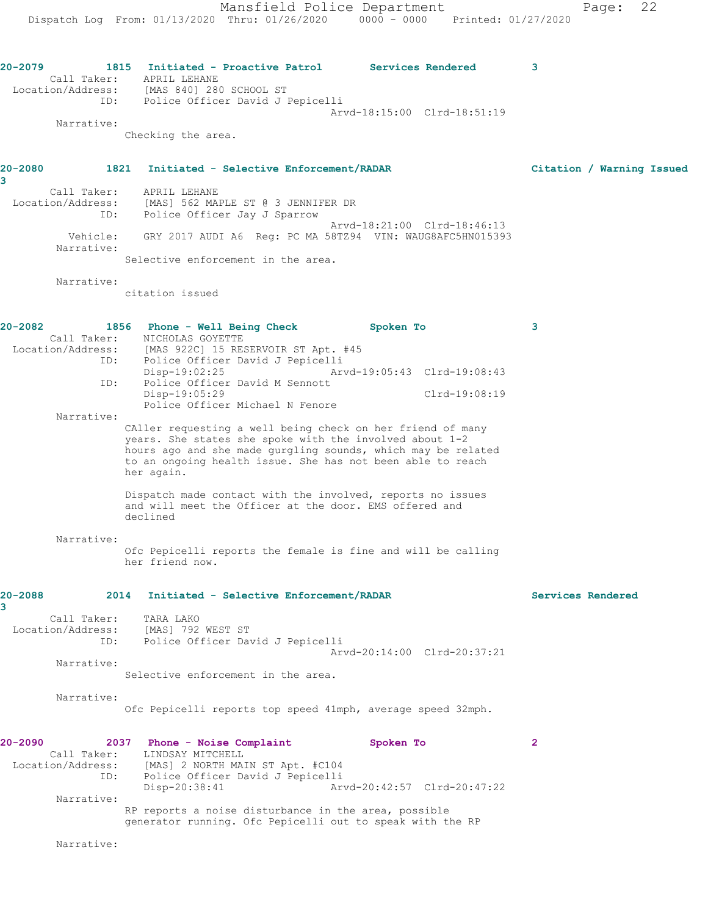Mansfield Police Department Page: 22 Dispatch Log From: 01/13/2020 Thru: 01/26/2020 0000 - 0000 Printed: 01/27/2020 **20-2079 1815 Initiated - Proactive Patrol Services Rendered 3**  Call Taker: APRIL LEHANE Location/Address: [MAS 840] 280 SCHOOL ST ID: Police Officer David J Pepicelli Arvd-18:15:00 Clrd-18:51:19 Narrative: Checking the area. **20-2080 1821 Initiated - Selective Enforcement/RADAR Citation / Warning Issued 3**  Call Taker: APRIL LEHANE Location/Address: [MAS] 562 MAPLE ST @ 3 JENNIFER DR ID: Police Officer Jay J Sparrow Arvd-18:21:00 Clrd-18:46:13 Vehicle: GRY 2017 AUDI A6 Reg: PC MA 58TZ94 VIN: WAUG8AFC5HN015393 Narrative:

Selective enforcement in the area.

Narrative:

citation issued

| $20 - 2082$<br>ID:<br>ID:<br>Narrative: | 1856 Phone - Well Being Check<br>Call Taker: NICHOLAS GOYETTE<br>Location/Address: [MAS 922C] 15 RESERVOIR ST Apt. #45<br>Police Officer David J Pepicelli<br>$Disp-19:02:25$<br>Police Officer David M Sennott<br>Disp-19:05:29<br>Police Officer Michael N Fenore<br>CAller requesting a well being check on her friend of many       | Spoken To<br>Arvd-19:05:43 Clrd-19:08:43<br>Clrd-19:08:19 | 3                 |
|-----------------------------------------|-----------------------------------------------------------------------------------------------------------------------------------------------------------------------------------------------------------------------------------------------------------------------------------------------------------------------------------------|-----------------------------------------------------------|-------------------|
|                                         | years. She states she spoke with the involved about 1-2<br>hours ago and she made gurgling sounds, which may be related<br>to an ongoing health issue. She has not been able to reach<br>her again.<br>Dispatch made contact with the involved, reports no issues<br>and will meet the Officer at the door. EMS offered and<br>declined |                                                           |                   |
| Narrative:                              | Ofc Pepicelli reports the female is fine and will be calling<br>her friend now.                                                                                                                                                                                                                                                         |                                                           |                   |
|                                         |                                                                                                                                                                                                                                                                                                                                         |                                                           |                   |
| 20-2088                                 | 2014 Initiated - Selective Enforcement/RADAR                                                                                                                                                                                                                                                                                            |                                                           | Services Rendered |
| 3<br>Call Taker:                        | TARA LAKO<br>Location/Address: [MAS] 792 WEST ST<br>ID: Police Officer David J Pepicelli                                                                                                                                                                                                                                                | Arvd-20:14:00 Clrd-20:37:21                               |                   |
| Narrative:                              | Selective enforcement in the area.                                                                                                                                                                                                                                                                                                      |                                                           |                   |
| Narrative:                              | Ofc Pepicelli reports top speed 41mph, average speed 32mph.                                                                                                                                                                                                                                                                             |                                                           |                   |

Narrative: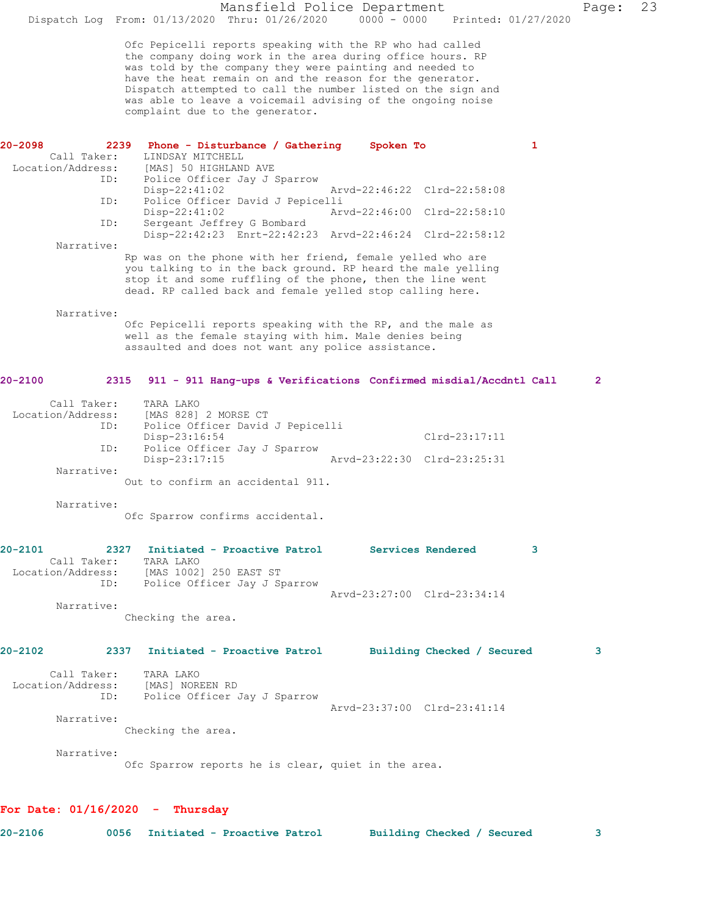Ofc Pepicelli reports speaking with the RP who had called the company doing work in the area during office hours. RP was told by the company they were painting and needed to have the heat remain on and the reason for the generator. Dispatch attempted to call the number listed on the sign and was able to leave a voicemail advising of the ongoing noise complaint due to the generator.

| 20-2098     | 2239              | Phone - Disturbance / Gathering                                                                                            | Spoken To |                             | 1 |
|-------------|-------------------|----------------------------------------------------------------------------------------------------------------------------|-----------|-----------------------------|---|
|             | Call Taker:       | LINDSAY MITCHELL                                                                                                           |           |                             |   |
|             | Location/Address: | [MAS] 50 HIGHLAND AVE                                                                                                      |           |                             |   |
|             | ID:               | Police Officer Jay J Sparrow<br>$Disp-22:41:02$                                                                            |           | Arvd-22:46:22 Clrd-22:58:08 |   |
|             | ID:               | Police Officer David J Pepicelli                                                                                           |           |                             |   |
|             |                   | Disp-22:41:02                                                                                                              |           | Arvd-22:46:00 Clrd-22:58:10 |   |
|             | ID:               | Sergeant Jeffrey G Bombard                                                                                                 |           |                             |   |
|             |                   | Disp-22:42:23 Enrt-22:42:23 Arvd-22:46:24 Clrd-22:58:12                                                                    |           |                             |   |
|             | Narrative:        |                                                                                                                            |           |                             |   |
|             |                   | Rp was on the phone with her friend, female yelled who are                                                                 |           |                             |   |
|             |                   | you talking to in the back ground. RP heard the male yelling<br>stop it and some ruffling of the phone, then the line went |           |                             |   |
|             |                   | dead. RP called back and female yelled stop calling here.                                                                  |           |                             |   |
|             |                   |                                                                                                                            |           |                             |   |
|             | Narrative:        |                                                                                                                            |           |                             |   |
|             |                   | Ofc Pepicelli reports speaking with the RP, and the male as                                                                |           |                             |   |
|             |                   | well as the female staying with him. Male denies being<br>assaulted and does not want any police assistance.               |           |                             |   |
|             |                   |                                                                                                                            |           |                             |   |
|             |                   |                                                                                                                            |           |                             |   |
| $20 - 2100$ | 2315              | 911 - 911 Hang-ups & Verifications Confirmed misdial/Accdntl Call                                                          |           |                             | 2 |
|             | Call Taker:       | TARA LAKO                                                                                                                  |           |                             |   |
|             | Location/Address: | [MAS 828] 2 MORSE CT                                                                                                       |           |                             |   |
|             | ID:               | Police Officer David J Pepicelli                                                                                           |           |                             |   |
|             |                   | Disp-23:16:54                                                                                                              |           | $Clrd-23:17:11$             |   |
|             | ID:               | Police Officer Jay J Sparrow<br>Disp-23:17:15                                                                              |           | Arvd-23:22:30 Clrd-23:25:31 |   |
|             | Narrative:        |                                                                                                                            |           |                             |   |
|             |                   | Out to confirm an accidental 911.                                                                                          |           |                             |   |
|             | Narrative:        |                                                                                                                            |           |                             |   |
|             |                   | Ofc Sparrow confirms accidental.                                                                                           |           |                             |   |
|             |                   |                                                                                                                            |           |                             |   |
| $20 - 2101$ |                   | 2327 Initiated - Proactive Patrol                                                                                          |           | <b>Services Rendered</b>    | 3 |
|             | Call Taker:       | TARA LAKO                                                                                                                  |           |                             |   |
|             | Location/Address: | [MAS 1002] 250 EAST ST                                                                                                     |           |                             |   |
|             | ID:               | Police Officer Jay J Sparrow                                                                                               |           |                             |   |
|             |                   |                                                                                                                            |           | Arvd-23:27:00 Clrd-23:34:14 |   |
|             | Narrative:        | Checking the area.                                                                                                         |           |                             |   |
|             |                   |                                                                                                                            |           |                             |   |
| 20-2102     | 2337              | Initiated - Proactive Patrol                                                                                               |           | Building Checked / Secured  | 3 |
|             | Call Taker:       | TARA LAKO                                                                                                                  |           |                             |   |
|             | Location/Address: | [MAS] NOREEN RD                                                                                                            |           |                             |   |
|             | ID:               | Police Officer Jay J Sparrow                                                                                               |           |                             |   |
|             |                   |                                                                                                                            |           | Arvd-23:37:00 Clrd-23:41:14 |   |
|             | Narrative:        |                                                                                                                            |           |                             |   |
|             |                   | Checking the area.                                                                                                         |           |                             |   |
|             | Narrative:        |                                                                                                                            |           |                             |   |
|             |                   | Ofc Sparrow reports he is clear, quiet in the area.                                                                        |           |                             |   |
|             |                   |                                                                                                                            |           |                             |   |
|             |                   |                                                                                                                            |           |                             |   |
|             |                   |                                                                                                                            |           |                             |   |

| 20-2106 |  | 0056 Initiated - Proactive Patrol | Building Checked / Secured<br>. |  |
|---------|--|-----------------------------------|---------------------------------|--|
|         |  |                                   |                                 |  |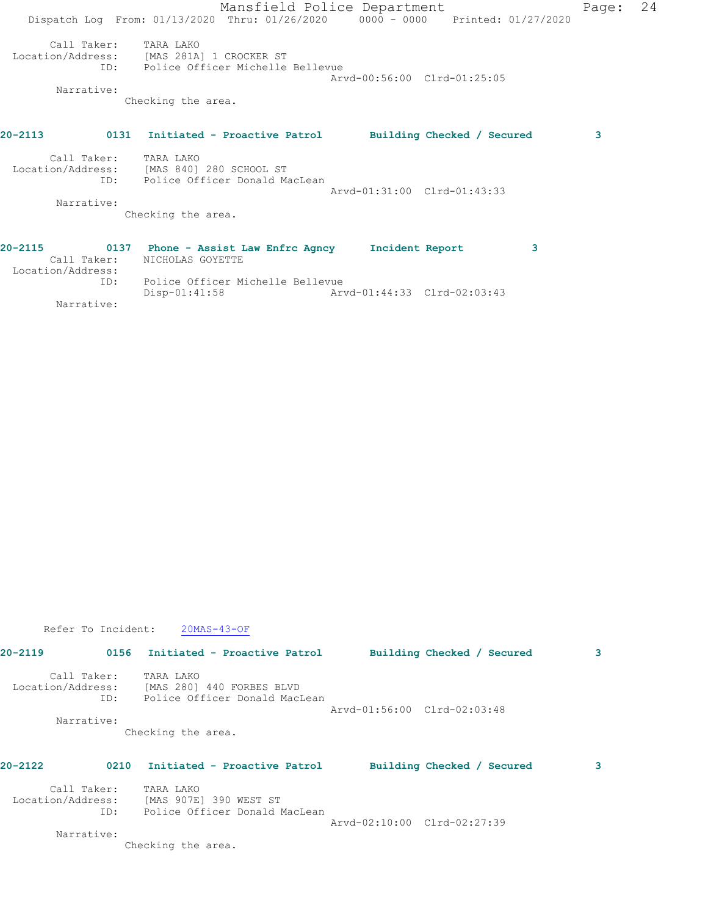|                                             | Mansfield Police Department                                                                                                            | Page: | 24 |
|---------------------------------------------|----------------------------------------------------------------------------------------------------------------------------------------|-------|----|
|                                             | Dispatch Log From: 01/13/2020 Thru: 01/26/2020 0000 - 0000 Printed: 01/27/2020                                                         |       |    |
| Call Taker: TARA LAKO<br>Narrative:         | Location/Address: [MAS 281A] 1 CROCKER ST<br>ID: Police Officer Michelle Bellevue<br>Arvd-00:56:00 Clrd-01:25:05<br>Checking the area. |       |    |
| 20-2113                                     | 0131 Initiated - Proactive Patrol<br>Building Checked / Secured                                                                        | 3     |    |
| Call Taker: TARA LAKO<br>ID:                | Location/Address: [MAS 840] 280 SCHOOL ST<br>Police Officer Donald MacLean<br>Arvd-01:31:00 Clrd-01:43:33                              |       |    |
| Narrative:                                  |                                                                                                                                        |       |    |
|                                             | Checking the area.                                                                                                                     |       |    |
| 20-2115<br>Call Taker:<br>Location/Address: | 0137 Phone - Assist Law Enfrc Agncy<br>Incident Report<br>NICHOLAS GOYETTE                                                             | 3     |    |
| ID:                                         | Police Officer Michelle Bellevue                                                                                                       |       |    |

Disp-01:41:58 Arvd-01:44:33 Clrd-02:03:43

Refer To Incident:  $20MAS-43-OF$ 

Narrative:

| $20 - 2119$       |                    | 0156 Initiated - Proactive Patrol                                       |                             | Building Checked / Secured | 3 |
|-------------------|--------------------|-------------------------------------------------------------------------|-----------------------------|----------------------------|---|
| Location/Address: | Call Taker:<br>ID: | TARA LAKO<br>[MAS 280] 440 FORBES BLVD<br>Police Officer Donald MacLean |                             |                            |   |
|                   | Narrative:         |                                                                         | Arvd-01:56:00 Clrd-02:03:48 |                            |   |
|                   |                    | Checking the area.                                                      |                             |                            |   |
| 20-2122           | 0210               | Initiated - Proactive Patrol                                            |                             | Building Checked / Secured | 3 |
|                   | Call Taker:        | TARA LAKO                                                               |                             |                            |   |
| Location/Address: |                    | [MAS 907E] 390 WEST ST                                                  |                             |                            |   |
|                   | ID:                | Police Officer Donald MacLean                                           |                             |                            |   |
|                   |                    |                                                                         | Arvd-02:10:00 Clrd-02:27:39 |                            |   |
|                   | Narrative:         |                                                                         |                             |                            |   |
|                   |                    | Checking the area.                                                      |                             |                            |   |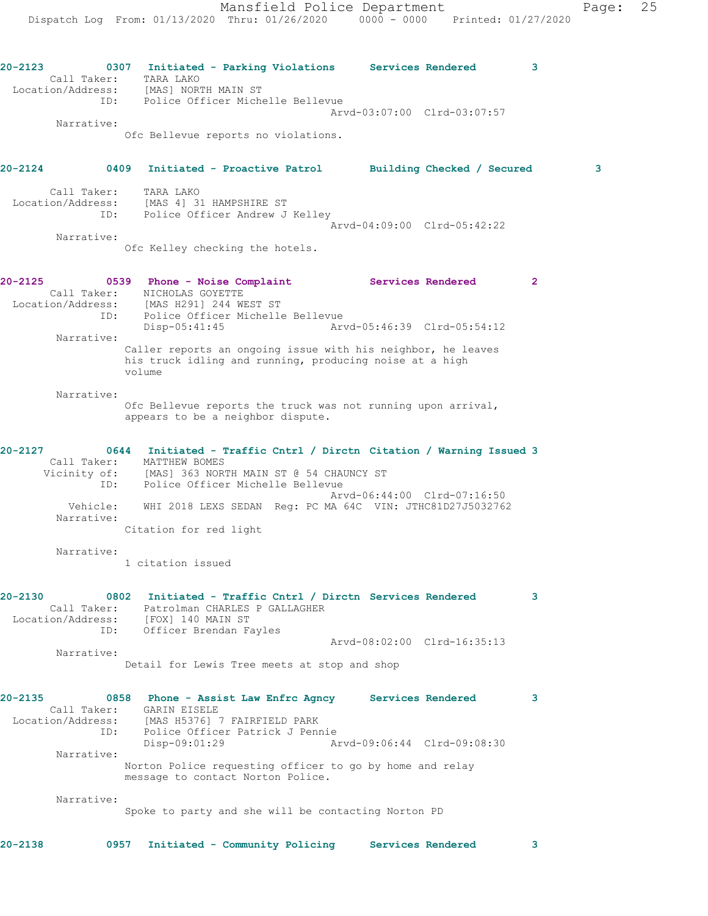**20-2123 0307 Initiated - Parking Violations Services Rendered 3**  Call Taker: TARA LAKO Location/Address: [MAS] NORTH MAIN ST ID: Police Officer Michelle Bellevue Arvd-03:07:00 Clrd-03:07:57 Narrative: Ofc Bellevue reports no violations. **20-2124 0409 Initiated - Proactive Patrol Building Checked / Secured 3** Call Taker: TARA LAKO Location/Address: [MAS 4] 31 HAMPSHIRE ST ID: Police Officer Andrew J Kelley Arvd-04:09:00 Clrd-05:42:22 Narrative: Ofc Kelley checking the hotels. **20-2125 0539 Phone - Noise Complaint Services Rendered 2**  Call Taker: NICHOLAS GOYETTE Location/Address: [MAS H291] 244 WEST ST ID: Police Officer Michelle Bellevue Disp-05:41:45 Arvd-05:46:39 Clrd-05:54:12 Narrative: Caller reports an ongoing issue with his neighbor, he leaves his truck idling and running, producing noise at a high volume Narrative: Ofc Bellevue reports the truck was not running upon arrival, appears to be a neighbor dispute. **20-2127 0644 Initiated - Traffic Cntrl / Dirctn Citation / Warning Issued 3**  Call Taker: MATTHEW BOMES Vicinity of: [MAS] 363 NORTH MAIN ST @ 54 CHAUNCY ST ID: Police Officer Michelle Bellevue Arvd-06:44:00 Clrd-07:16:50 Vehicle: WHI 2018 LEXS SEDAN Reg: PC MA 64C VIN: JTHC81D27J5032762 Narrative: Citation for red light Narrative: 1 citation issued **20-2130 0802 Initiated - Traffic Cntrl / Dirctn Services Rendered 3**  Call Taker: Patrolman CHARLES P GALLAGHER Location/Address: [FOX] 140 MAIN ST ID: Officer Brendan Fayles Arvd-08:02:00 Clrd-16:35:13 Narrative: Detail for Lewis Tree meets at stop and shop **20-2135 0858 Phone - Assist Law Enfrc Agncy Services Rendered 3**  Call Taker: GARIN EISELE Location/Address: [MAS H5376] 7 FAIRFIELD PARK ID: Police Officer Patrick J Pennie Disp-09:01:29 Arvd-09:06:44 Clrd-09:08:30 Narrative: Norton Police requesting officer to go by home and relay message to contact Norton Police. Narrative: Spoke to party and she will be contacting Norton PD

**20-2138 0957 Initiated - Community Policing Services Rendered 3**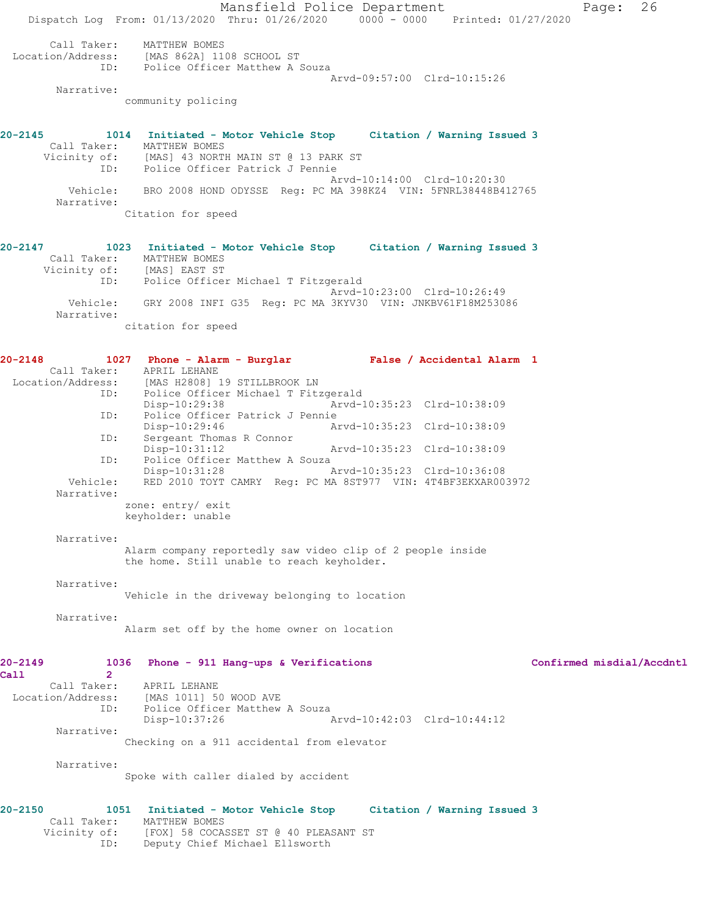Mansfield Police Department Page: 26 Dispatch Log From: 01/13/2020 Thru: 01/26/2020 0000 - 0000 Printed: 01/27/2020 Call Taker: MATTHEW BOMES Location/Address: [MAS 862A] 1108 SCHOOL ST ID: Police Officer Matthew A Souza Arvd-09:57:00 Clrd-10:15:26 Narrative: community policing **20-2145 1014 Initiated - Motor Vehicle Stop Citation / Warning Issued 3**  Call Taker: MATTHEW BOMES Vicinity of: [MAS] 43 NORTH MAIN ST @ 13 PARK ST ID: Police Officer Patrick J Pennie Arvd-10:14:00 Clrd-10:20:30 Vehicle: BRO 2008 HOND ODYSSE Reg: PC MA 398KZ4 VIN: 5FNRL38448B412765 Narrative: Citation for speed **20-2147 1023 Initiated - Motor Vehicle Stop Citation / Warning Issued 3**  Call Taker: MATTHEW BOMES Vicinity of: [MAS] EAST ST ID: Police Officer Michael T Fitzgerald Arvd-10:23:00 Clrd-10:26:49 Vehicle: GRY 2008 INFI G35 Reg: PC MA 3KYV30 VIN: JNKBV61F18M253086 Narrative: citation for speed **20-2148 1027 Phone - Alarm - Burglar False / Accidental Alarm 1**  Call Taker: APRIL LEHANE Location/Address: [MAS H2808] 19 STILLBROOK LN ID: Police Officer Michael T Fitzgerald Disp-10:29:38 Arvd-10:35:23 Clrd-10:38:09<br>ID: Police Officer Patrick J Pennie Police Officer Patrick J Pennie Disp-10:29:46 Arvd-10:35:23 Clrd-10:38:09 ID: Sergeant Thomas R Connor Disp-10:31:12 Arvd-10:35:23 Clrd-10:38:09 ID: Police Officer Matthew A Souza<br>Disp-10:31:28 F Disp-10:31:28 Arvd-10:35:23 Clrd-10:36:08 Vehicle: RED 2010 TOYT CAMRY Reg: PC MA 8ST977 VIN: 4T4BF3EKXAR003972 Narrative: zone: entry/ exit keyholder: unable Narrative: Alarm company reportedly saw video clip of 2 people inside the home. Still unable to reach keyholder. Narrative: Vehicle in the driveway belonging to location Narrative: Alarm set off by the home owner on location **20-2149 1036 Phone - 911 Hang-ups & Verifications Confirmed misdial/Accdntl Call 2**  Call Taker: APRIL LEHANE Location/Address: [MAS 1011] 50 WOOD AVE<br>ID: Police Officer Matthew Police Officer Matthew A Souza<br>Disp-10:37:26 P Arvd-10:42:03 Clrd-10:44:12 Narrative: Checking on a 911 accidental from elevator Narrative: Spoke with caller dialed by accident **20-2150 1051 Initiated - Motor Vehicle Stop Citation / Warning Issued 3**  Call Taker: MATTHEW BOMES

 Vicinity of: [FOX] 58 COCASSET ST @ 40 PLEASANT ST ID: Deputy Chief Michael Ellsworth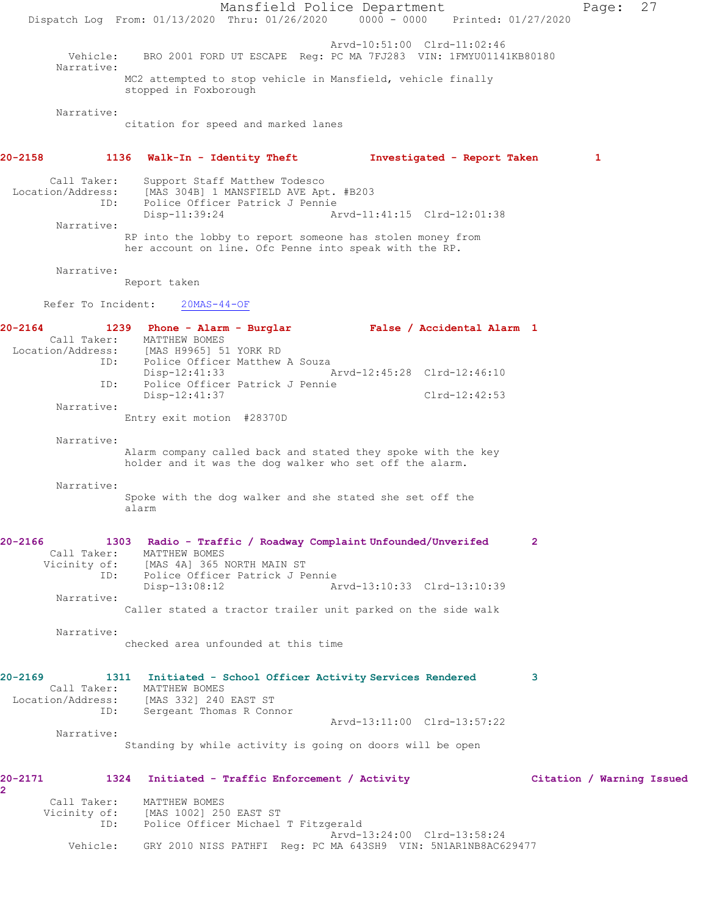Mansfield Police Department Page: 27 Dispatch Log From: 01/13/2020 Thru: 01/26/2020 0000 - 0000 Printed: 01/27/2020 Arvd-10:51:00 Clrd-11:02:46 Vehicle: BRO 2001 FORD UT ESCAPE Reg: PC MA 7FJ283 VIN: 1FMYU01141KB80180 Narrative: MC2 attempted to stop vehicle in Mansfield, vehicle finally stopped in Foxborough Narrative: citation for speed and marked lanes **20-2158 1136 Walk-In - Identity Theft Investigated - Report Taken 1** Call Taker: Support Staff Matthew Todesco Location/Address: [MAS 304B] 1 MANSFIELD AVE Apt. #B203 ID: Police Officer Patrick J Pennie Arvd-11:41:15 Clrd-12:01:38 Narrative: RP into the lobby to report someone has stolen money from her account on line. Ofc Penne into speak with the RP. Narrative: Report taken Refer To Incident: 20MAS-44-OF **20-2164 1239 Phone - Alarm - Burglar False / Accidental Alarm 1**  Call Taker: MATTHEW BOMES Location/Address: [MAS H9965] 51 YORK RD ID: Police Officer Matthew A Souza Disp-12:41:33 Arvd-12:45:28 Clrd-12:46:10 ID: Police Officer Patrick J Pennie Disp-12:41:37 Clrd-12:42:53 Narrative: Entry exit motion #28370D Narrative: Alarm company called back and stated they spoke with the key holder and it was the dog walker who set off the alarm. Narrative: Spoke with the dog walker and she stated she set off the alarm **20-2166 1303 Radio - Traffic / Roadway Complaint Unfounded/Unverifed 2**  Call Taker: MATTHEW BOMES Vicinity of: [MAS 4A] 365 NORTH MAIN ST ID: Police Officer Patrick J Pennie Disp-13:08:12 Arvd-13:10:33 Clrd-13:10:39 Narrative: Caller stated a tractor trailer unit parked on the side walk Narrative: checked area unfounded at this time **20-2169 1311 Initiated - School Officer Activity Services Rendered 3**  Call Taker: MATTHEW BOMES Location/Address: [MAS 332] 240 EAST ST ID: Sergeant Thomas R Connor Arvd-13:11:00 Clrd-13:57:22 Narrative: Standing by while activity is going on doors will be open **20-2171 1324 Initiated - Traffic Enforcement / Activity Citation / Warning Issued 2**  Call Taker: MATTHEW BOMES Vicinity of: [MAS 1002] 250 EAST ST ID: Police Officer Michael T Fitzgerald Arvd-13:24:00 Clrd-13:58:24 Vehicle: GRY 2010 NISS PATHFI Reg: PC MA 643SH9 VIN: 5N1AR1NB8AC629477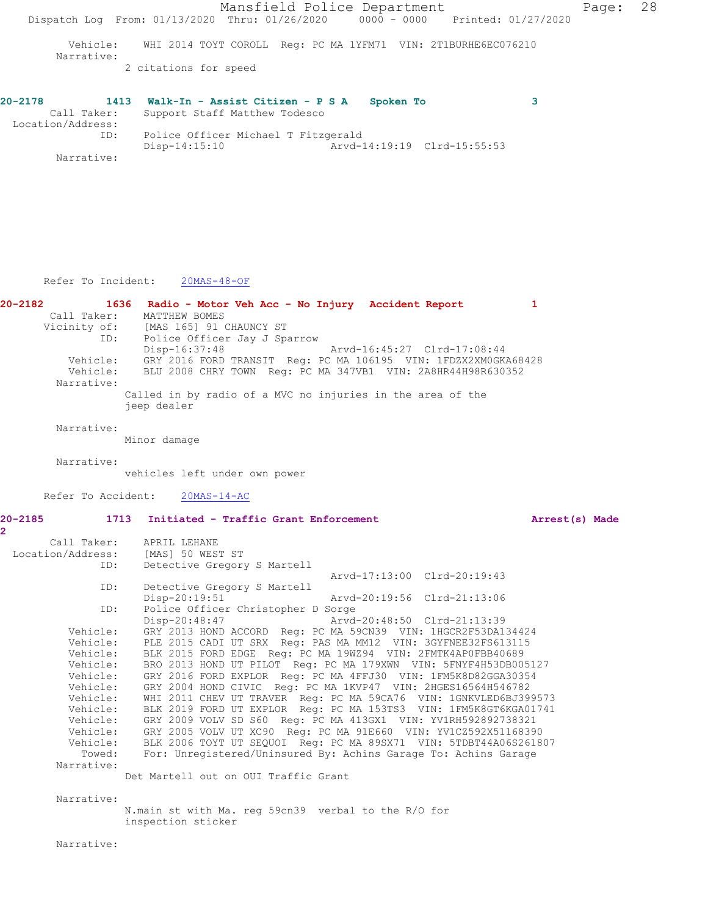| $20 - 2178$<br>1413 | Walk-In - Assist Citizen - P S A<br>Spoken To |  |
|---------------------|-----------------------------------------------|--|
| Call Taker:         | Support Staff Matthew Todesco                 |  |
| Location/Address:   |                                               |  |
| ID:                 | Police Officer Michael T Fitzgerald           |  |
|                     | Disp-14:15:10<br>Arvd-14:19:19 Clrd-15:55:53  |  |
| Narrative:          |                                               |  |

Refer To Incident: 20MAS-48-OF

**20-2182 1636 Radio - Motor Veh Acc - No Injury Accident Report 1**  Call Taker: MATTHEW BOMES Vicinity of: [MAS 165] 91 CHAUNCY ST Vicinity of: [MAS 165] 91 CHAUNCY ST<br>ID: Police Officer Jay J Sparrow<br>Pisn-16:37:48<br>Arvd-16:45:27 Clrd-17:08:44<br>Arvd-16:45:27 Clrd-17:08:44 Disp-16:37:48 Arvd-16:45:27 Clrd-17:08:44 Vehicle: GRY 2016 FORD TRANSIT Reg: PC MA 106195 VIN: 1FDZX2XM0GKA68428 Vehicle: BLU 2008 CHRY TOWN Reg: PC MA 347VB1 VIN: 2A8HR44H98R630352 Narrative: Called in by radio of a MVC no injuries in the area of the jeep dealer Narrative:

Minor damage

Narrative:

vehicles left under own power

Refer To Accident: 20MAS-14-AC

**2** 

**20-2185 1713 Initiated - Traffic Grant Enforcement Arrest(s) Made**

| Call Taker:<br>Location/Address: [MAS] 50 WEST ST | APRIL LEHANE                                                         |  |  |  |
|---------------------------------------------------|----------------------------------------------------------------------|--|--|--|
| ID:                                               | Detective Gregory S Martell                                          |  |  |  |
|                                                   | Arvd-17:13:00 Clrd-20:19:43                                          |  |  |  |
| ID:                                               | Detective Gregory S Martell                                          |  |  |  |
|                                                   | Disp-20:19:51<br>Arvd-20:19:56 Clrd-21:13:06                         |  |  |  |
| ID:                                               |                                                                      |  |  |  |
|                                                   | Police Officer Christopher D Sorge                                   |  |  |  |
|                                                   | Disp-20:48:47 Arvd-20:48:50 Clrd-21:13:39                            |  |  |  |
| Vehicle:                                          | GRY 2013 HOND ACCORD Req: PC MA 59CN39 VIN: 1HGCR2F53DA134424        |  |  |  |
| Vehicle:                                          | PLE 2015 CADI UT SRX Req: PAS MA MM12 VIN: 3GYFNEE32FS613115         |  |  |  |
|                                                   | Vehicle: BLK 2015 FORD EDGE Req: PC MA 19WZ94 VIN: 2FMTK4AP0FBB40689 |  |  |  |
| Vehicle:                                          | BRO 2013 HOND UT PILOT Req: PC MA 179XWN VIN: 5FNYF4H53DB005127      |  |  |  |
| Vehicle:                                          | GRY 2016 FORD EXPLOR Req: PC MA 4FFJ30 VIN: 1FM5K8D82GGA30354        |  |  |  |
| Vehicle:                                          | GRY 2004 HOND CIVIC Req: PC MA 1KVP47 VIN: 2HGES16564H546782         |  |  |  |
| Vehicle:                                          | WHI 2011 CHEV UT TRAVER Req: PC MA 59CA76 VIN: 1GNKVLED6BJ399573     |  |  |  |
| Vehicle:                                          | BLK 2019 FORD UT EXPLOR Req: PC MA 153TS3 VIN: 1FM5K8GT6KGA01741     |  |  |  |
| Vehicle:                                          | GRY 2009 VOLV SD S60 Req: PC MA 413GX1 VIN: YV1RH592892738321        |  |  |  |
| Vehicle:                                          | GRY 2005 VOLV UT XC90 Req: PC MA 91E660 VIN: YV1CZ592X51168390       |  |  |  |
| Vehicle:                                          | BLK 2006 TOYT UT SEQUOI Req: PC MA 89SX71 VIN: 5TDBT44A06S261807     |  |  |  |
| Towed:                                            | For: Unregistered/Uninsured By: Achins Garage To: Achins Garage      |  |  |  |
| Narrative:                                        |                                                                      |  |  |  |

Det Martell out on OUI Traffic Grant

 Narrative: N.main st with Ma. reg 59cn39 verbal to the R/O for inspection sticker

Narrative: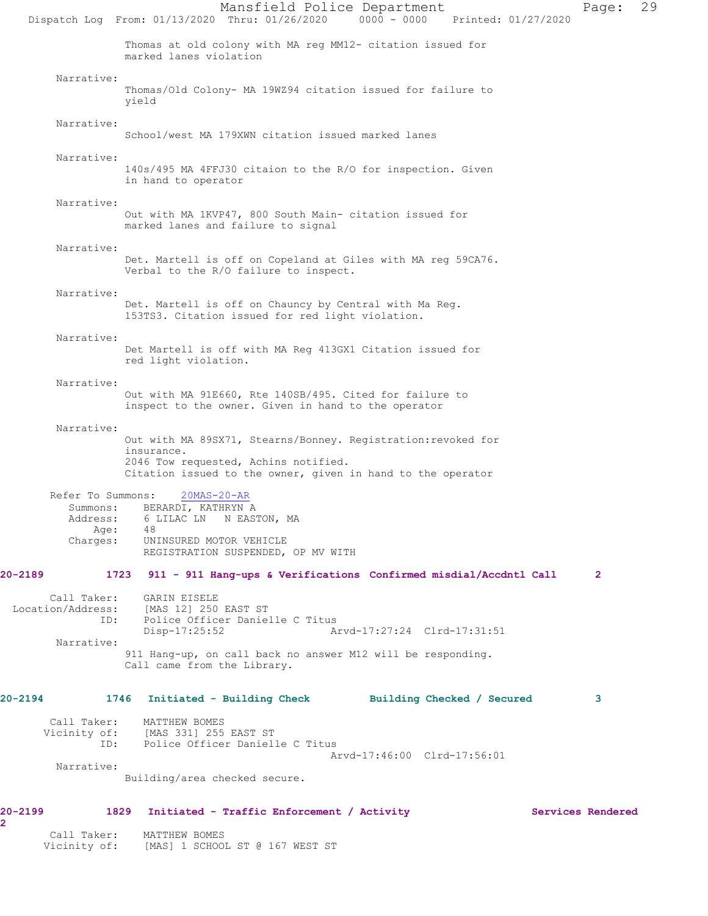Mansfield Police Department Page: 29 Dispatch Log From: 01/13/2020 Thru: 01/26/2020 0000 - 0000 Printed: 01/27/2020 Thomas at old colony with MA reg MM12- citation issued for marked lanes violation Narrative: Thomas/Old Colony- MA 19WZ94 citation issued for failure to yield Narrative: School/west MA 179XWN citation issued marked lanes Narrative: 140s/495 MA 4FFJ30 citaion to the R/O for inspection. Given in hand to operator Narrative: Out with MA 1KVP47, 800 South Main- citation issued for marked lanes and failure to signal Narrative: Det. Martell is off on Copeland at Giles with MA reg 59CA76. Verbal to the R/O failure to inspect. Narrative: Det. Martell is off on Chauncy by Central with Ma Reg. 153TS3. Citation issued for red light violation. Narrative: Det Martell is off with MA Reg 413GX1 Citation issued for red light violation. Narrative: Out with MA 91E660, Rte 140SB/495. Cited for failure to inspect to the owner. Given in hand to the operator Narrative: Out with MA 89SX71, Stearns/Bonney. Registration:revoked for insurance. 2046 Tow requested, Achins notified. Citation issued to the owner, given in hand to the operator Refer To Summons: 20MAS-20-AR Summons: BERARDI, KATHRYN A Address: 6 LILAC LN N EASTON, MA Age:<br>:Charges UNINSURED MOTOR VEHICLE REGISTRATION SUSPENDED, OP MV WITH **20-2189 1723 911 - 911 Hang-ups & Verifications Confirmed misdial/Accdntl Call 2** Call Taker: GARIN EISELE<br>Location/Address: [MAS 12] 250 [MAS 12] 250 EAST ST ID: Police Officer Danielle C Titus Disp-17:25:52 Arvd-17:27:24 Clrd-17:31:51 Narrative: 911 Hang-up, on call back no answer M12 will be responding. Call came from the Library. **20-2194 1746 Initiated - Building Check Building Checked / Secured 3** Call Taker: MATTHEW BOMES<br>Vicinity of: [MAS 331] 255 [MAS 331] 255 EAST ST ID: Police Officer Danielle C Titus Arvd-17:46:00 Clrd-17:56:01 Narrative: Building/area checked secure. **20-2199 1829 Initiated - Traffic Enforcement / Activity Services Rendered** Call Taker: MATTHEW BOMES<br>Vicinity of: [MAS] 1 SCHOO [MAS] 1 SCHOOL ST @ 167 WEST ST

**2**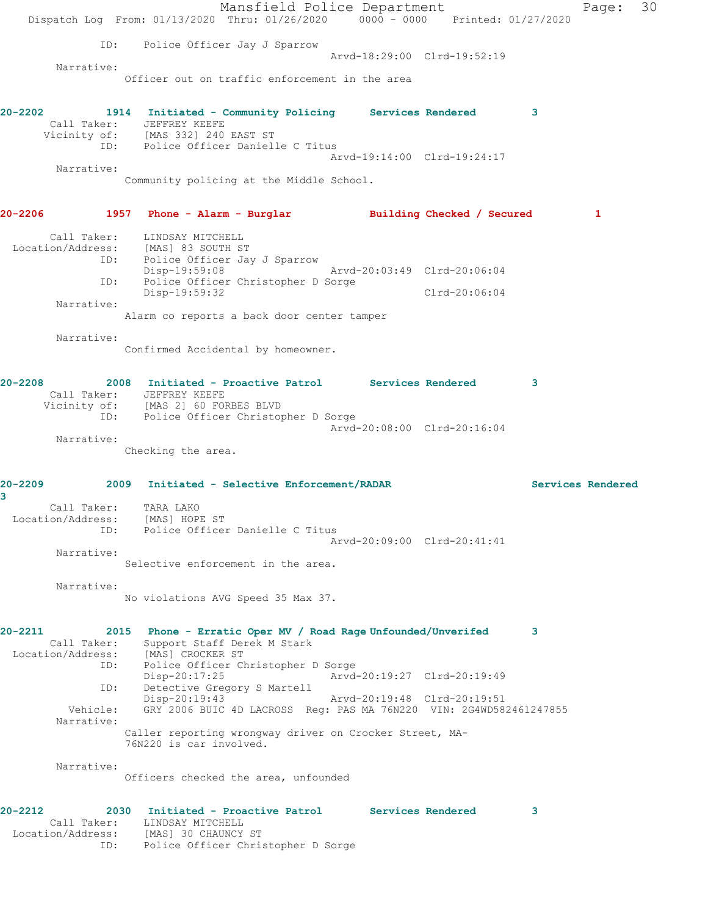Mansfield Police Department Page: 30 Dispatch Log From: 01/13/2020 Thru: 01/26/2020 0000 - 0000 Printed: 01/27/2020 ID: Police Officer Jay J Sparrow Arvd-18:29:00 Clrd-19:52:19 Narrative: Officer out on traffic enforcement in the area **20-2202 1914 Initiated - Community Policing Services Rendered 3**  Call Taker: JEFFREY KEEFE Vicinity of: [MAS 332] 240 EAST ST ID: Police Officer Danielle C Titus Arvd-19:14:00 Clrd-19:24:17 Narrative: Community policing at the Middle School. **20-2206 1957 Phone - Alarm - Burglar Building Checked / Secured 1** Call Taker: LINDSAY MITCHELL Location/Address: [MAS] 83 SOUTH ST ID: Police Officer Jay J Sparrow Disp-19:59:08 Arvd-20:03:49 Clrd-20:06:04 ID: Police Officer Christopher D Sorge Disp-19:59:32 Clrd-20:06:04 Narrative: Alarm co reports a back door center tamper Narrative: Confirmed Accidental by homeowner. **20-2208 2008 Initiated - Proactive Patrol Services Rendered 3**  Call Taker: JEFFREY KEEFE Vicinity of: [MAS 2] 60 FORBES BLVD ID: Police Officer Christopher D Sorge Arvd-20:08:00 Clrd-20:16:04 Narrative: Checking the area. **20-2209 2009 Initiated - Selective Enforcement/RADAR Services Rendered 3**  Call Taker: TARA LAKO Location/Address: [MAS] HOPE ST ID: Police Officer Danielle C Titus Arvd-20:09:00 Clrd-20:41:41 Narrative: Selective enforcement in the area. Narrative: No violations AVG Speed 35 Max 37. **20-2211 2015 Phone - Erratic Oper MV / Road Rage Unfounded/Unverifed 3**  Call Taker: Support Staff Derek M Stark Location/Address: [MAS] CROCKER ST<br>ID: Police Officer Ch Police Officer Christopher D Sorge Disp-20:17:25 Arvd-20:19:27 Clrd-20:19:49 ID: Detective Gregory S Martell<br>Disp-20:19:43 Disp-20:19:43 Arvd-20:19:48 Clrd-20:19:51<br>Vehicle: GRY 2006 BUIC 4D LACROSS Req: PAS MA 76N220 VIN: 2G4WD58 GRY 2006 BUIC 4D LACROSS Reg: PAS MA 76N220 VIN: 2G4WD582461247855 Narrative: Caller reporting wrongway driver on Crocker Street, MA-76N220 is car involved. Narrative: Officers checked the area, unfounded **20-2212 2030 Initiated - Proactive Patrol Services Rendered 3**  Call Taker: LINDSAY MITCHELL Location/Address: [MAS] 30 CHAUNCY ST ID: Police Officer Christopher D Sorge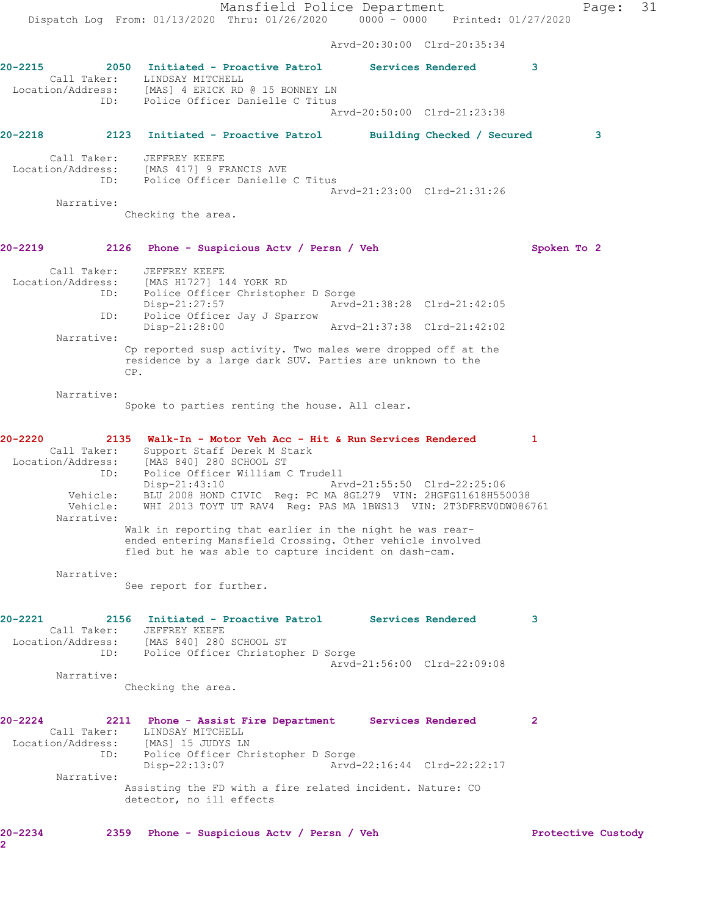Mansfield Police Department Page: 31 Dispatch Log From: 01/13/2020 Thru: 01/26/2020 0000 - 0000 Printed: 01/27/2020 Arvd-20:30:00 Clrd-20:35:34 **20-2215 2050 Initiated - Proactive Patrol Services Rendered 3**  Call Taker: LINDSAY MITCHELL Location/Address: [MAS] 4 ERICK RD @ 15 BONNEY LN ID: Police Officer Danielle C Titus Arvd-20:50:00 Clrd-21:23:38 **20-2218 2123 Initiated - Proactive Patrol Building Checked / Secured 3** Call Taker: JEFFREY KEEFE Location/Address: [MAS 417] 9 FRANCIS AVE ID: Police Officer Danielle C Titus Arvd-21:23:00 Clrd-21:31:26 Narrative: Checking the area. **20-2219 2126 Phone - Suspicious Actv / Persn / Veh Spoken To 2** Call Taker: JEFFREY KEEFE Location/Address: [MAS H1727] 144 YORK RD ID: Police Officer Christopher D Sorge Disp-21:27:57 Arvd-21:38:28 Clrd-21:42:05 ID: Police Officer Jay J Sparrow Disp-21:28:00 Arvd-21:37:38 Clrd-21:42:02 Narrative: Cp reported susp activity. Two males were dropped off at the residence by a large dark SUV. Parties are unknown to the CP. Narrative: Spoke to parties renting the house. All clear. **20-2220 2135 Walk-In - Motor Veh Acc - Hit & Run Services Rendered 1**  Call Taker: Support Staff Derek M Stark Location/Address: [MAS 840] 280 SCHOOL ST ID: Police Officer William C Trudell Disp-21:43:10 Arvd-21:55:50 Clrd-22:25:06 Vehicle: BLU 2008 HOND CIVIC Reg: PC MA 8GL279 VIN: 2HGFG11618H550038 Vehicle: WHI 2013 TOYT UT RAV4 Reg: PAS MA 1BWS13 VIN: 2T3DFREV0DW086761 Narrative: Walk in reporting that earlier in the night he was rearended entering Mansfield Crossing. Other vehicle involved fled but he was able to capture incident on dash-cam. Narrative: See report for further. **20-2221 2156 Initiated - Proactive Patrol Services Rendered 3**  Call Taker: JEFFREY KEEFE Location/Address: [MAS 840] 280 SCHOOL ST ID: Police Officer Christopher D Sorge Arvd-21:56:00 Clrd-22:09:08 Narrative: Checking the area. **20-2224 2211 Phone - Assist Fire Department Services Rendered 2**  Call Taker: LINDSAY MITCHELL Location/Address: [MAS] 15 JUDYS LN ID: Police Officer Christopher D Sorge<br>Disp-22:13:07 Arvd- Disp-22:13:07 Arvd-22:16:44 Clrd-22:22:17 Narrative: Assisting the FD with a fire related incident. Nature: CO detector, no ill effects **20-2234 2359 Phone - Suspicious Actv / Persn / Veh Protective Custody**

**2**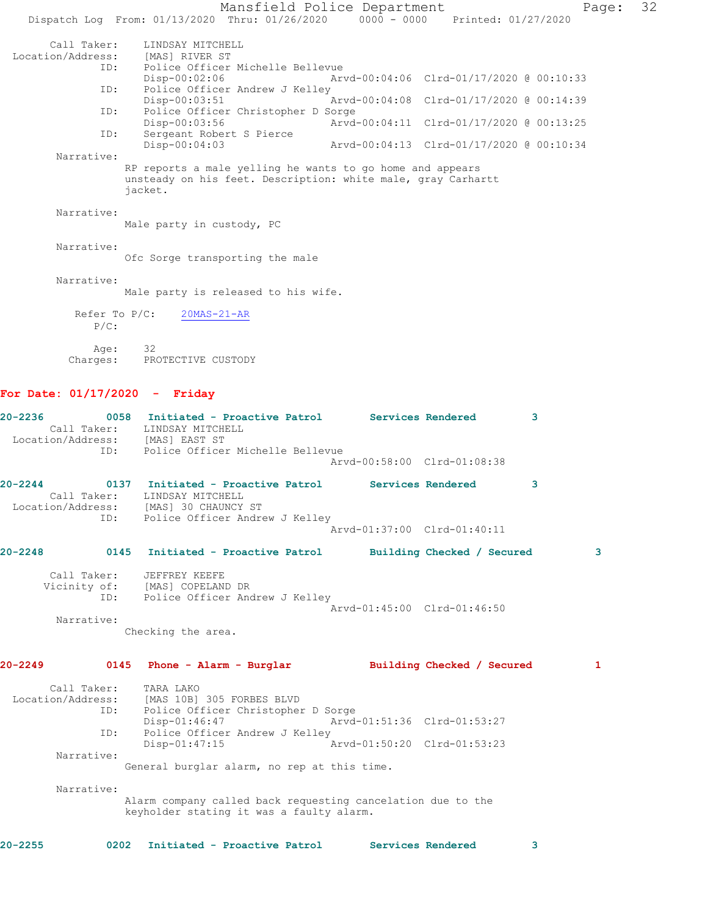Mansfield Police Department Page: 32 Dispatch Log From: 01/13/2020 Thru: 01/26/2020 0000 - 0000 Printed: 01/27/2020 Call Taker: LINDSAY MITCHELL Location/Address: [MAS] RIVER ST<br>ID: Police Officer Police Officer Michelle Bellevue<br>Disp-00:02:06 Ar Disp-00:02:06 Arvd-00:04:06 Clrd-01/17/2020 @ 00:10:33<br>ID: Police Officer Andrew J Kelley Police Officer Andrew J Kelley<br>Disp-00:03:51 Disp-00:03:51 Arvd-00:04:08 Clrd-01/17/2020 @ 00:14:39<br>ID: Police Officer Christopher D Sorge Police Officer Christopher D Sorge<br>Disp-00:03:56 Arvd Disp-00:03:56 Arvd-00:04:11 Clrd-01/17/2020 @ 00:13:25<br>ID: Sergeant Robert S Pierce Sergeant Robert S Pierce<br>Disp-00:04:03 Arvd-00:04:13 Clrd-01/17/2020 @ 00:10:34 Narrative: RP reports a male yelling he wants to go home and appears unsteady on his feet. Description: white male, gray Carhartt jacket. Narrative: Male party in custody, PC Narrative: Ofc Sorge transporting the male Narrative: Male party is released to his wife. Refer To P/C: 20MAS-21-AR P/C: Age: Age: 32<br>Charges: PROTECTIVE CUSTODY

## **For Date: 01/17/2020 - Friday**

| 20-2236             | 0058 Initiated - Proactive Patrol<br>Call Taker: LINDSAY MITCHELL<br>Location/Address: [MAS] EAST ST<br>Police Officer Michelle Bellevue<br>ID: |                             | Services Rendered          | 3            |
|---------------------|-------------------------------------------------------------------------------------------------------------------------------------------------|-----------------------------|----------------------------|--------------|
|                     |                                                                                                                                                 | Arvd-00:58:00 Clrd-01:08:38 |                            |              |
| $20 - 2244$         | 0137 Initiated - Proactive Patrol Services Rendered<br>Call Taker: LINDSAY MITCHELL<br>Location/Address: [MAS] 30 CHAUNCY ST                    |                             |                            | 3            |
|                     | ID: Police Officer Andrew J Kelley                                                                                                              | Arvd-01:37:00 Clrd-01:40:11 |                            |              |
| $20 - 2248$<br>0145 | Initiated - Proactive Patrol Building Checked / Secured                                                                                         |                             |                            | 3            |
| Call Taker:         | JEFFREY KEEFE<br>Vicinity of: [MAS] COPELAND DR<br>ID: Police Officer Andrew J Kelley                                                           | Arvd-01:45:00 Clrd-01:46:50 |                            |              |
| Narrative:          | Checking the area.                                                                                                                              |                             |                            |              |
| 20-2249             | 0145 Phone - Alarm - Burglar                                                                                                                    |                             | Building Checked / Secured | $\mathbf{1}$ |
| Call Taker:         | TARA LAKO<br>Location/Address: [MAS 10B] 305 FORBES BLVD<br>Police Officer Christopher D Sorge<br>ID:                                           |                             |                            |              |
|                     | $Disp-01:46:47$                                                                                                                                 | Arvd-01:51:36 Clrd-01:53:27 |                            |              |
| ID:                 | Police Officer Andrew J Kelley<br>$Disp-01:47:15$                                                                                               | Arvd-01:50:20 Clrd-01:53:23 |                            |              |
| Narrative:          | General burglar alarm, no rep at this time.                                                                                                     |                             |                            |              |
| Narrative:          | Alarm company called back requesting cancelation due to the<br>keyholder stating it was a faulty alarm.                                         |                             |                            |              |
| $20 - 2255$         | 0202<br>Initiated - Proactive Patrol                                                                                                            |                             | Services Rendered          | 3            |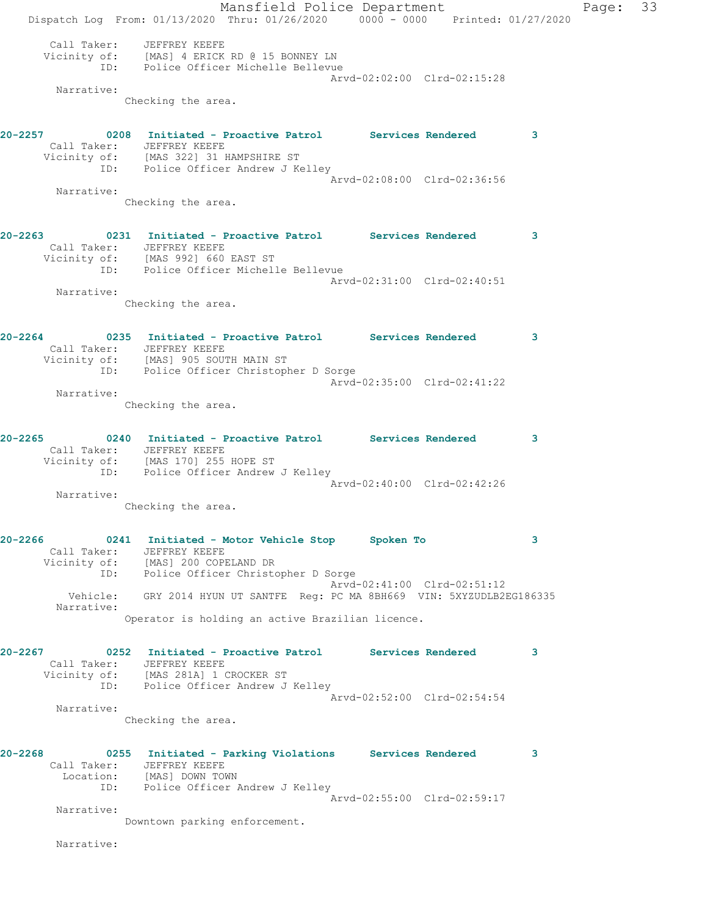Mansfield Police Department Page: 33 Dispatch Log From: 01/13/2020 Thru: 01/26/2020 0000 - 0000 Printed: 01/27/2020 Call Taker: JEFFREY KEEFE Vicinity of: [MAS] 4 ERICK RD @ 15 BONNEY LN ID: Police Officer Michelle Bellevue Arvd-02:02:00 Clrd-02:15:28 Narrative: Checking the area. **20-2257 0208 Initiated - Proactive Patrol Services Rendered 3**  Call Taker: JEFFREY KEEFE Vicinity of: [MAS 322] 31 HAMPSHIRE ST ID: Police Officer Andrew J Kelley Arvd-02:08:00 Clrd-02:36:56 Narrative: Checking the area. **20-2263 0231 Initiated - Proactive Patrol Services Rendered 3**  Call Taker: JEFFREY KEEFE Vicinity of: [MAS 992] 660 EAST ST ID: Police Officer Michelle Bellevue Arvd-02:31:00 Clrd-02:40:51 Narrative: Checking the area. **20-2264 0235 Initiated - Proactive Patrol Services Rendered 3**  Call Taker: JEFFREY KEEFE Vicinity of: [MAS] 905 SOUTH MAIN ST ID: Police Officer Christopher D Sorge Arvd-02:35:00 Clrd-02:41:22 Narrative: Checking the area. **20-2265 0240 Initiated - Proactive Patrol Services Rendered 3**  Call Taker: JEFFREY KEEFE Vicinity of: [MAS 170] 255 HOPE ST ID: Police Officer Andrew J Kelley Arvd-02:40:00 Clrd-02:42:26 Narrative: Checking the area. **20-2266 0241 Initiated - Motor Vehicle Stop Spoken To 3**  Call Taker: JEFFREY KEEFE Vicinity of: [MAS] 200 COPELAND DR ID: Police Officer Christopher D Sorge Arvd-02:41:00 Clrd-02:51:12 Vehicle: GRY 2014 HYUN UT SANTFE Reg: PC MA 8BH669 VIN: 5XYZUDLB2EG186335 Narrative: Operator is holding an active Brazilian licence. **20-2267 0252 Initiated - Proactive Patrol Services Rendered 3**  Call Taker: JEFFREY KEEFE Vicinity of: [MAS 281A] 1 CROCKER ST ID: Police Officer Andrew J Kelley Arvd-02:52:00 Clrd-02:54:54 Narrative: Checking the area. **20-2268 0255 Initiated - Parking Violations Services Rendered 3**  Call Taker: JEFFREY KEEFE Location: [MAS] DOWN TOWN ID: Police Officer Andrew J Kelley Arvd-02:55:00 Clrd-02:59:17 Narrative: Downtown parking enforcement. Narrative: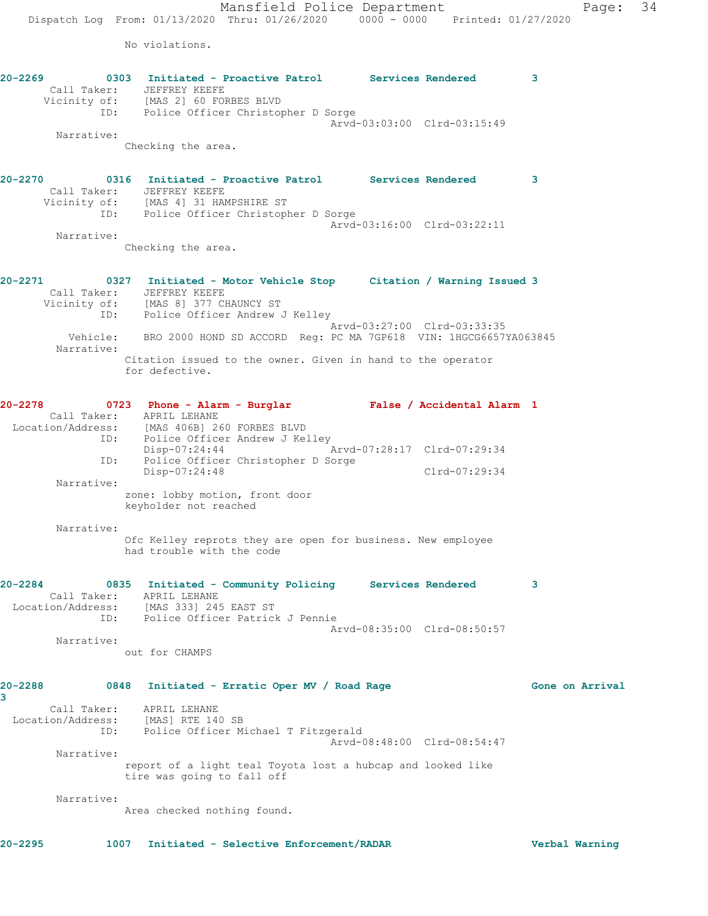No violations.

| 20-2269      | 0303 Initiated - Proactive Patrol Services Rendered<br>Call Taker: JEFFREY KEEFE<br>Vicinity of: [MAS 2] 60 FORBES BLVD<br>ID: Police Officer Christopher D Sorge |                             |               | 3               |
|--------------|-------------------------------------------------------------------------------------------------------------------------------------------------------------------|-----------------------------|---------------|-----------------|
|              |                                                                                                                                                                   | Arvd-03:03:00 Clrd-03:15:49 |               |                 |
| Narrative:   |                                                                                                                                                                   |                             |               |                 |
|              | Checking the area.                                                                                                                                                |                             |               |                 |
|              | 20-2270   0316   Initiated - Proactive Patrol   Services Rendered                                                                                                 |                             |               | 3               |
|              | Call Taker: JEFFREY KEEFE<br>Vicinity of: [MAS 4] 31 HAMPSHIRE ST                                                                                                 |                             |               |                 |
|              | ID: Police Officer Christopher D Sorge                                                                                                                            | Arvd-03:16:00 Clrd-03:22:11 |               |                 |
| Narrative:   |                                                                                                                                                                   |                             |               |                 |
|              | Checking the area.                                                                                                                                                |                             |               |                 |
| 20-2271      | 0327 Initiated - Motor Vehicle Stop Citation / Warning Issued 3<br>Call Taker: JEFFREY KEEFE                                                                      |                             |               |                 |
|              | Vicinity of: [MAS 8] 377 CHAUNCY ST<br>ID: Police Officer Andrew J Kelley                                                                                         |                             |               |                 |
|              |                                                                                                                                                                   |                             |               |                 |
| Narrative:   | Vehicle: BRO 2000 HOND SD ACCORD Reg: PC MA 7GP618 VIN: 1HGCG6657YA063845                                                                                         | Arvd-03:27:00 Clrd-03:33:35 |               |                 |
|              | Citation issued to the owner. Given in hand to the operator<br>for defective.                                                                                     |                             |               |                 |
| 20-2278      | 0723 Phone - Alarm - Burglar Mars False / Accidental Alarm 1                                                                                                      |                             |               |                 |
|              | Call Taker: APRIL LEHANE<br>Location/Address: [MAS 406B] 260 FORBES BLVD<br>ID: Police Officer Andrew J Kelley                                                    |                             |               |                 |
|              | Disp-07:24:44 Arvd-07:28:17 Clrd-07:29:34<br>ID: Police Officer Christopher D Sorge                                                                               |                             |               |                 |
| Narrative:   | Disp-07:24:48                                                                                                                                                     |                             | Clrd-07:29:34 |                 |
|              | zone: lobby motion, front door<br>keyholder not reached                                                                                                           |                             |               |                 |
| Narrative:   |                                                                                                                                                                   |                             |               |                 |
|              | Ofc Kelley reprots they are open for business. New employee<br>had trouble with the code                                                                          |                             |               |                 |
| 20-2284      | 0835 Initiated - Community Policing Services Rendered<br>Call Taker: APRIL LEHANE                                                                                 |                             |               | 3               |
|              | Location/Address: [MAS 333] 245 EAST ST                                                                                                                           |                             |               |                 |
|              | ID: Police Officer Patrick J Pennie                                                                                                                               |                             |               |                 |
| Narrative:   |                                                                                                                                                                   | Arvd-08:35:00 Clrd-08:50:57 |               |                 |
|              | out for CHAMPS                                                                                                                                                    |                             |               |                 |
| 20-2288<br>3 | 0848 Initiated - Erratic Oper MV / Road Rage                                                                                                                      |                             |               | Gone on Arrival |
|              | Call Taker: APRIL LEHANE                                                                                                                                          |                             |               |                 |
|              | Location/Address: [MAS] RTE 140 SB<br>ID: Police Officer Michael T Fitzgerald                                                                                     | Arvd-08:48:00 Clrd-08:54:47 |               |                 |
| Narrative:   |                                                                                                                                                                   |                             |               |                 |
|              | report of a light teal Toyota lost a hubcap and looked like                                                                                                       |                             |               |                 |

tire was going to fall off

Narrative:

Area checked nothing found.

**20-2295 1007 Initiated - Selective Enforcement/RADAR Verbal Warning**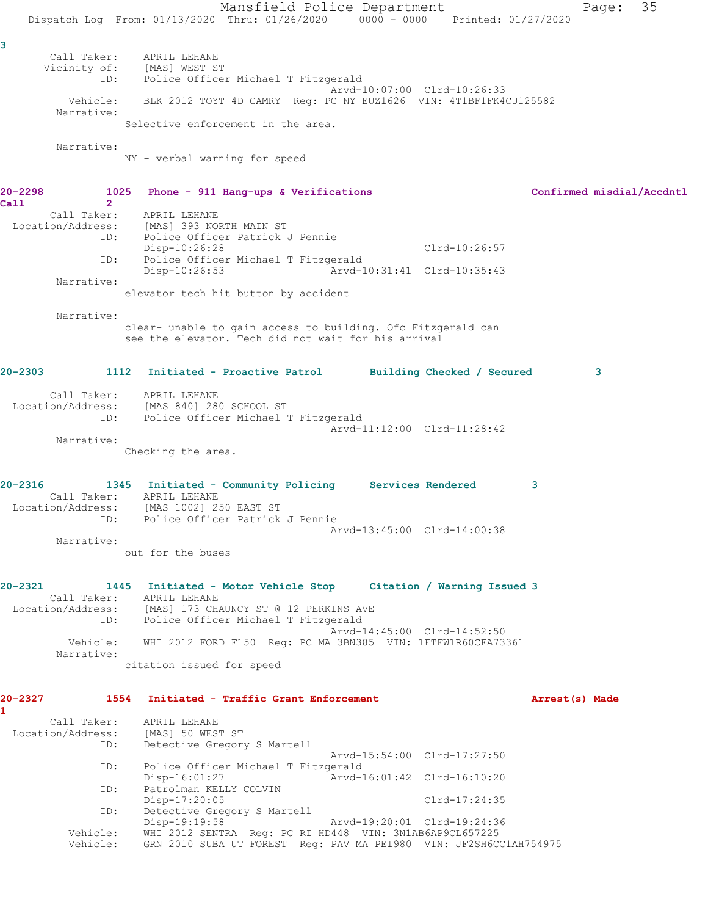Mansfield Police Department Fage: 35 Dispatch Log From: 01/13/2020 Thru: 01/26/2020 0000 - 0000 Printed: 01/27/2020 **3**  Call Taker: APRIL LEHANE Vicinity of: [MAS] WEST ST ID: Police Officer Michael T Fitzgerald Arvd-10:07:00 Clrd-10:26:33 Vehicle: BLK 2012 TOYT 4D CAMRY Reg: PC NY EUZ1626 VIN: 4T1BF1FK4CU125582 Narrative: Selective enforcement in the area. Narrative: NY - verbal warning for speed **20-2298 1025 Phone - 911 Hang-ups & Verifications Confirmed misdial/Accdntl Call 2**  Call Taker: APRIL LEHANE Location/Address: [MAS] 393 NORTH MAIN ST ID: Police Officer Patrick J Pennie Disp-10:26:28 Clrd-10:26:57 ID: Police Officer Michael T Fitzgerald Disp-10:26:53 Arvd-10:31:41 Clrd-10:35:43 Narrative: elevator tech hit button by accident Narrative: clear- unable to gain access to building. Ofc Fitzgerald can see the elevator. Tech did not wait for his arrival **20-2303 1112 Initiated - Proactive Patrol Building Checked / Secured 3** Call Taker: APRIL LEHANE Location/Address: [MAS 840] 280 SCHOOL ST ID: Police Officer Michael T Fitzgerald Arvd-11:12:00 Clrd-11:28:42 Narrative: Checking the area. **20-2316 1345 Initiated - Community Policing Services Rendered 3**  Call Taker: APRIL LEHANE Location/Address: [MAS 1002] 250 EAST ST ID: Police Officer Patrick J Pennie Arvd-13:45:00 Clrd-14:00:38 Narrative: out for the buses **20-2321 1445 Initiated - Motor Vehicle Stop Citation / Warning Issued 3**  Call Taker: APRIL LEHANE Location/Address: [MAS] 173 CHAUNCY ST @ 12 PERKINS AVE ID: Police Officer Michael T Fitzgerald Arvd-14:45:00 Clrd-14:52:50 Vehicle: WHI 2012 FORD F150 Reg: PC MA 3BN385 VIN: 1FTFW1R60CFA73361 Narrative: citation issued for speed **20-2327 1554 Initiated - Traffic Grant Enforcement Arrest(s) Made 1**  Call Taker: APRIL LEHANE<br>cion/Address: [MAS] 50 WEST ST: Location/Address:<br>ID: Detective Gregory S Martell Arvd-15:54:00 Clrd-17:27:50 ID: Police Officer Michael T Fitzgerald Disp-16:01:27 Arvd-16:01:42 Clrd-16:10:20 ID: Patrolman KELLY COLVIN<br>Disp-17:20:05 Disp-17:20:05 Clrd-17:24:35 ID: Detective Gregory S Martell Disp-19:19:58 Arvd-19:20:01 Clrd-19:24:36 Vehicle: WHI 2012 SENTRA Reg: PC RI HD448 VIN: 3N1AB6AP9CL657225 Vehicle: GRN 2010 SUBA UT FOREST Reg: PAV MA PEI980 VIN: JF2SH6CC1AH754975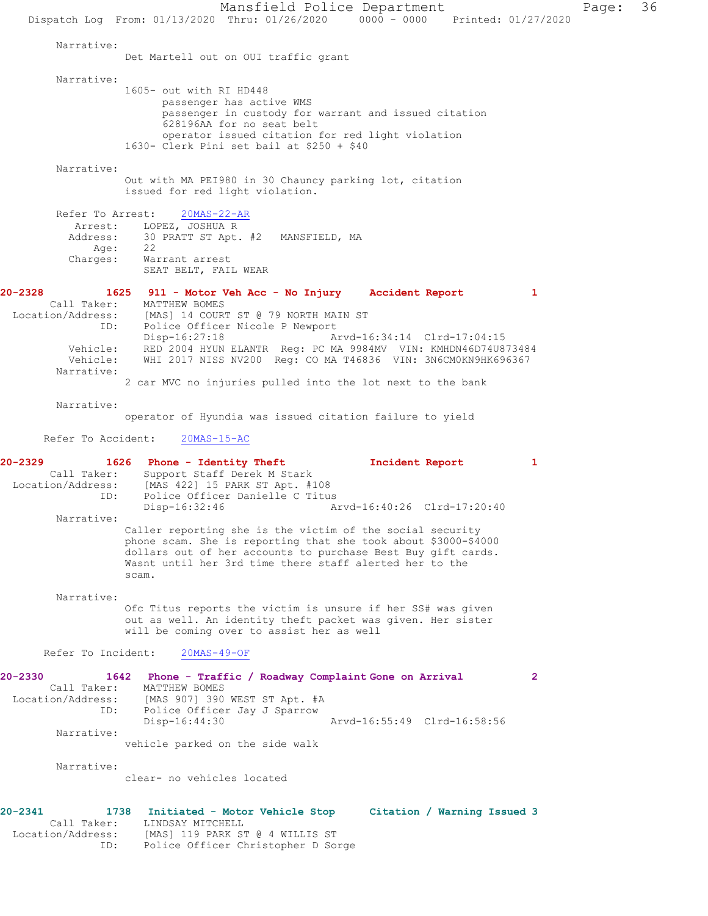Mansfield Police Department Page: 36 Dispatch Log From: 01/13/2020 Thru: 01/26/2020 0000 - 0000 Printed: 01/27/2020 Narrative: Det Martell out on OUI traffic grant Narrative: 1605- out with RI HD448 passenger has active WMS passenger in custody for warrant and issued citation 628196AA for no seat belt operator issued citation for red light violation 1630- Clerk Pini set bail at \$250 + \$40 Narrative: Out with MA PEI980 in 30 Chauncy parking lot, citation issued for red light violation. Refer To Arrest: 20MAS-22-AR Arrest: LOPEZ, JOSHUA R Address: 30 PRATT ST Apt. #2 MANSFIELD, MA<br>Age: 22 Age:<br>:Charges Warrant arrest SEAT BELT, FAIL WEAR **20-2328 1625 911 - Motor Veh Acc - No Injury Accident Report 1**  Call Taker: MATTHEW BOMES<br>Location/Address: [MAS] 14 COUR [MAS] 14 COURT ST @ 79 NORTH MAIN ST ID: Police Officer Nicole P Newport<br>Disp-16:27:18 A: Disp-16:27:18 Arvd-16:34:14 Clrd-17:04:15 Vehicle: RED 2004 HYUN ELANTR Reg: PC MA 9984MV VIN: KMHDN46D74U873484 Vehicle: WHI 2017 NISS NV200 Reg: CO MA T46836 VIN: 3N6CM0KN9HK696367 Narrative: 2 car MVC no injuries pulled into the lot next to the bank Narrative: operator of Hyundia was issued citation failure to yield Refer To Accident: 20MAS-15-AC **20-2329 1626 Phone - Identity Theft Incident Report 1**  Call Taker: Support Staff Derek M Stark<br>Location/Address: [MAS 422] 15 PARK ST Apt. #10 [MAS 422] 15 PARK ST Apt. #108 ID: Police Officer Danielle C Titus<br>Disp-16:32:46 A: Disp-16:32:46 Arvd-16:40:26 Clrd-17:20:40 Narrative: Caller reporting she is the victim of the social security phone scam. She is reporting that she took about \$3000-\$4000 dollars out of her accounts to purchase Best Buy gift cards. Wasnt until her 3rd time there staff alerted her to the scam. Narrative: Ofc Titus reports the victim is unsure if her SS# was given out as well. An identity theft packet was given. Her sister will be coming over to assist her as well Refer To Incident: 20MAS-49-OF **20-2330 1642 Phone - Traffic / Roadway Complaint Gone on Arrival 2**  Call Taker: MATTHEW BOMES<br>Location/Address: [MAS 907] 390 [MAS 907] 390 WEST ST Apt. #A ID: Police Officer Jay J Sparrow<br>Disp-16:44:30 Arvd-16:55:49 Clrd-16:58:56 Narrative: vehicle parked on the side walk Narrative: clear- no vehicles located **20-2341 1738 Initiated - Motor Vehicle Stop Citation / Warning Issued 3**  Call Taker: LINDSAY MITCHELL Location/Address: [MAS] 119 PARK ST @ 4 WILLIS ST ID: Police Officer Christopher D Sorge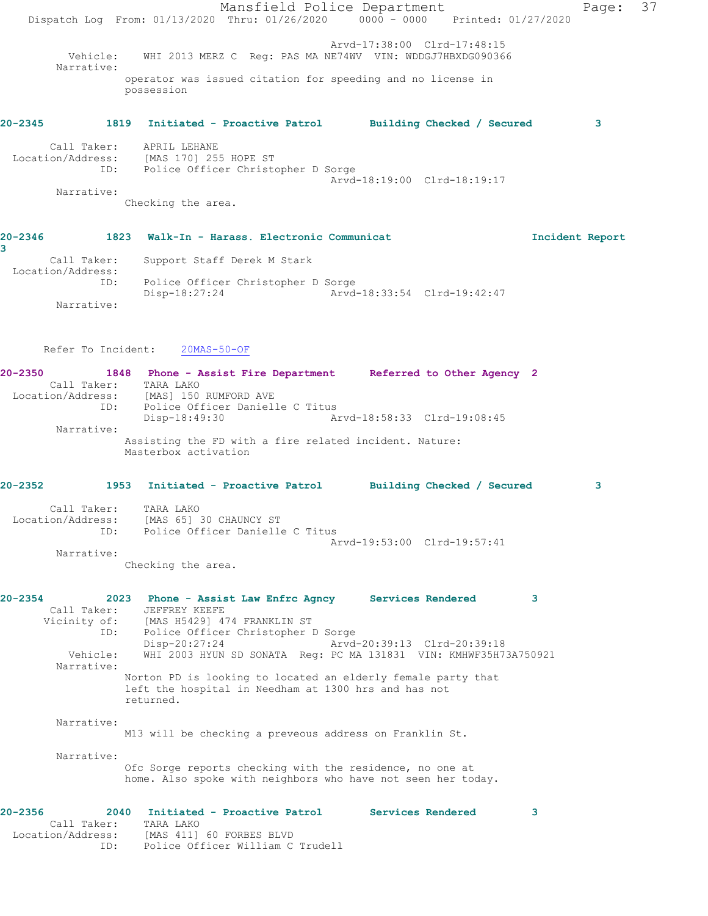Mansfield Police Department Page: 37 Dispatch Log From: 01/13/2020 Thru: 01/26/2020 0000 - 0000 Printed: 01/27/2020 Arvd-17:38:00 Clrd-17:48:15 Vehicle: WHI 2013 MERZ C Reg: PAS MA NE74WV VIN: WDDGJ7HBXDG090366 Narrative: operator was issued citation for speeding and no license in possession **20-2345 1819 Initiated - Proactive Patrol Building Checked / Secured 3** Call Taker: APRIL LEHANE Location/Address: [MAS 170] 255 HOPE ST ID: Police Officer Christopher D Sorge Arvd-18:19:00 Clrd-18:19:17 Narrative: Checking the area. **20-2346 1823 Walk-In - Harass. Electronic Communicat Incident Report 3**  Call Taker: Support Staff Derek M Stark Location/Address: ID: Police Officer Christopher D Sorge<br>Disp-18:27:24 Arvd Disp-18:27:24 Arvd-18:33:54 Clrd-19:42:47 Narrative: Refer To Incident: 20MAS-50-OF **20-2350 1848 Phone - Assist Fire Department Referred to Other Agency 2**  Call Taker: TARA LAKO Location/Address: [MAS] 150 RUMFORD AVE ID: Police Officer Danielle C Titus<br>Disp-18:49:30 A Disp-18:49:30 Arvd-18:58:33 Clrd-19:08:45 Narrative: Assisting the FD with a fire related incident. Nature: Masterbox activation **20-2352 1953 Initiated - Proactive Patrol Building Checked / Secured 3** Call Taker: TARA LAKO Location/Address: [MAS 65] 30 CHAUNCY ST ID: Police Officer Danielle C Titus Arvd-19:53:00 Clrd-19:57:41 Narrative: Checking the area. **20-2354 2023 Phone - Assist Law Enfrc Agncy Services Rendered 3**  Call Taker: JEFFREY KEEFE Vicinity of: [MAS H5429] 474 FRANKLIN ST ID: Police Officer Christopher D Sorge<br>Disp-20:27:24 Arvd- Disp-20:27:24 Arvd-20:39:13 Clrd-20:39:18 Vehicle: WHI 2003 HYUN SD SONATA Reg: PC MA 131831 VIN: KMHWF35H73A750921 Narrative: Norton PD is looking to located an elderly female party that left the hospital in Needham at 1300 hrs and has not returned. Narrative: M13 will be checking a preveous address on Franklin St. Narrative: Ofc Sorge reports checking with the residence, no one at home. Also spoke with neighbors who have not seen her today. **20-2356 2040 Initiated - Proactive Patrol Services Rendered 3**  Call Taker: TARA LAKO Location/Address: [MAS 411] 60 FORBES BLVD ID: Police Officer William C Trudell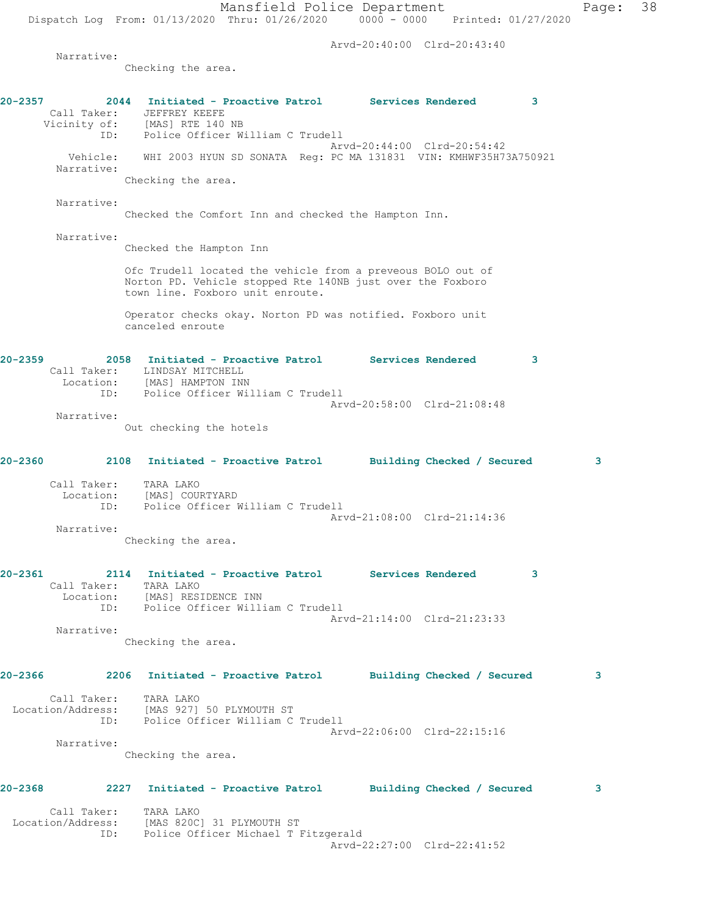Arvd-20:40:00 Clrd-20:43:40

Narrative:

Checking the area.

|              |                          | 2044 Initiated - Proactive Patrol Services Rendered<br>Call Taker: JEFFREY KEEFE<br>Vicinity of: [MAS] RTE 140 NB<br>ID: Police Officer William C Trudell     |  |                             | 3 |
|--------------|--------------------------|---------------------------------------------------------------------------------------------------------------------------------------------------------------|--|-----------------------------|---|
|              | Vehicle:                 | WHI 2003 HYUN SD SONATA Req: PC MA 131831 VIN: KMHWF35H73A750921                                                                                              |  | Arvd-20:44:00 Clrd-20:54:42 |   |
|              | Narrative:               | Checking the area.                                                                                                                                            |  |                             |   |
|              |                          |                                                                                                                                                               |  |                             |   |
|              | Narrative:               | Checked the Comfort Inn and checked the Hampton Inn.                                                                                                          |  |                             |   |
|              | Narrative:               | Checked the Hampton Inn                                                                                                                                       |  |                             |   |
|              |                          | Ofc Trudell located the vehicle from a preveous BOLO out of<br>Norton PD. Vehicle stopped Rte 140NB just over the Foxboro<br>town line. Foxboro unit enroute. |  |                             |   |
|              |                          | Operator checks okay. Norton PD was notified. Foxboro unit<br>canceled enroute                                                                                |  |                             |   |
| 20-2359      |                          | 2058 Initiated - Proactive Patrol Services Rendered<br>Call Taker: LINDSAY MITCHELL<br>Location: [MAS] HAMPTON INN                                            |  |                             | 3 |
|              |                          | ID: Police Officer William C Trudell                                                                                                                          |  | Arvd-20:58:00 Clrd-21:08:48 |   |
|              | Narrative:               | Out checking the hotels                                                                                                                                       |  |                             |   |
| 20-2360      |                          | 2108 Initiated - Proactive Patrol Building Checked / Secured                                                                                                  |  |                             | 3 |
|              | Call Taker:              | TARA LAKO<br>Location: [MAS] COURTYARD<br>ID: Police Officer William C Trudell                                                                                |  |                             |   |
|              | Narrative:               |                                                                                                                                                               |  | Arvd-21:08:00 Clrd-21:14:36 |   |
|              |                          | Checking the area.                                                                                                                                            |  |                             |   |
| 20-2361      | Call Taker:<br>Location: | 2114 Initiated - Proactive Patrol Services Rendered<br>TARA LAKO<br>[MAS] RESIDENCE INN<br>ID: Police Officer William C Trudell                               |  |                             | 3 |
|              | Narrative:               |                                                                                                                                                               |  | Arvd-21:14:00 Clrd-21:23:33 |   |
|              |                          | Checking the area.                                                                                                                                            |  |                             |   |
| 20-2366 2014 |                          | 2206 Initiated - Proactive Patrol Building Checked / Secured                                                                                                  |  |                             | 3 |
|              | Call Taker:              | TARA LAKO<br>Location/Address: [MAS 927] 50 PLYMOUTH ST<br>ID: Police Officer William C Trudell                                                               |  | Arvd-22:06:00 Clrd-22:15:16 |   |
|              | Narrative:               |                                                                                                                                                               |  |                             |   |
|              |                          | Checking the area.                                                                                                                                            |  |                             |   |
| 20-2368      |                          | 2227 Initiated - Proactive Patrol Building Checked / Secured                                                                                                  |  |                             | 3 |
|              | Call Taker:              | TARA LAKO                                                                                                                                                     |  |                             |   |
|              |                          | Location/Address: [MAS 820C] 31 PLYMOUTH ST<br>ID: Police Officer Michael T Fitzgerald                                                                        |  |                             |   |
|              |                          |                                                                                                                                                               |  | Arvd-22:27:00 Clrd-22:41:52 |   |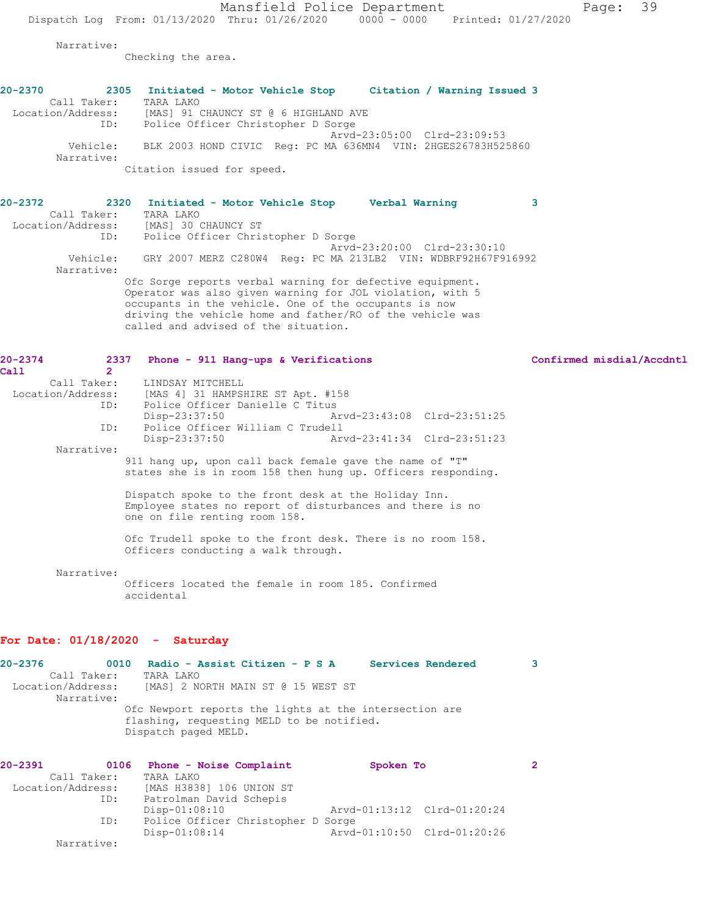Mansfield Police Department Page: 39 Dispatch Log From: 01/13/2020 Thru: 01/26/2020 0000 - 0000 Printed: 01/27/2020

Narrative:

Checking the area.

| $20 - 2370$            | 2305 |           |  | Initiated - Motor Vehicle Stop       |  |  | Citation / Warning Issued 3                                  |  |  |
|------------------------|------|-----------|--|--------------------------------------|--|--|--------------------------------------------------------------|--|--|
| Call Taker:            |      | TARA LAKO |  |                                      |  |  |                                                              |  |  |
| Location/Address:      |      |           |  | [MAS] 91 CHAUNCY ST @ 6 HIGHLAND AVE |  |  |                                                              |  |  |
|                        | ID:  |           |  | Police Officer Christopher D Sorge   |  |  |                                                              |  |  |
|                        |      |           |  |                                      |  |  | Arvd-23:05:00 Clrd-23:09:53                                  |  |  |
| Vehicle:<br>Narrative: |      |           |  |                                      |  |  | BLK 2003 HOND CIVIC Req: PC MA 636MN4 VIN: 2HGES26783H525860 |  |  |
|                        |      |           |  | Citation issued for speed.           |  |  |                                                              |  |  |

| $20 - 2372$       |             |           | 2320 Initiated - Motor Vehicle Stop  |  |                                                       | Verbal Warning                                                |  |
|-------------------|-------------|-----------|--------------------------------------|--|-------------------------------------------------------|---------------------------------------------------------------|--|
|                   | Call Taker: | TARA LAKO |                                      |  |                                                       |                                                               |  |
| Location/Address: |             |           | [MAS] 30 CHAUNCY ST                  |  |                                                       |                                                               |  |
|                   | ID:         |           | Police Officer Christopher D Sorge   |  |                                                       |                                                               |  |
|                   |             |           |                                      |  |                                                       | Arvd-23:20:00 Clrd-23:30:10                                   |  |
|                   | Vehicle:    |           |                                      |  |                                                       | GRY 2007 MERZ C280W4 Req: PC MA 213LB2 VIN: WDBRF92H67F916992 |  |
|                   | Narrative:  |           |                                      |  |                                                       |                                                               |  |
|                   |             |           |                                      |  |                                                       | Ofc Sorge reports verbal warning for defective equipment.     |  |
|                   |             |           |                                      |  |                                                       | Operator was also given warning for JOL violation, with 5     |  |
|                   |             |           |                                      |  | occupants in the vehicle. One of the occupants is now |                                                               |  |
|                   |             |           |                                      |  |                                                       | driving the vehicle home and father/RO of the vehicle was     |  |
|                   |             |           | called and advised of the situation. |  |                                                       |                                                               |  |

| $20 - 2374$<br>Call<br>$\mathcal{P}$ | 2337 Phone - 911 Hang-ups & Verifications                                                                                                          | Confirmed misdial/Accdntl |
|--------------------------------------|----------------------------------------------------------------------------------------------------------------------------------------------------|---------------------------|
|                                      | Call Taker: LINDSAY MITCHELL                                                                                                                       |                           |
| Location/Address:                    | [MAS 4] 31 HAMPSHIRE ST Apt. #158                                                                                                                  |                           |
| ID:                                  | Police Officer Danielle C Titus                                                                                                                    |                           |
|                                      | Disp-23:37:50                                                                                                                                      |                           |
| ID:                                  | Police Officer William C Trudell                                                                                                                   |                           |
|                                      | Disp-23:37:50                                                                                                                                      |                           |
| Narrative:                           |                                                                                                                                                    |                           |
|                                      | 911 hang up, upon call back female gave the name of "T"                                                                                            |                           |
|                                      | states she is in room 158 then hung up. Officers responding.                                                                                       |                           |
|                                      | Dispatch spoke to the front desk at the Holiday Inn.<br>Employee states no report of disturbances and there is no<br>one on file renting room 158. |                           |
|                                      | Ofc Trudell spoke to the front desk. There is no room 158.<br>Officers conducting a walk through.                                                  |                           |
| Narrative:                           | Officers located the female in room 185. Confirmed<br>accidental                                                                                   |                           |

## **For Date: 01/18/2020 - Saturday**

**20-2376 0010 Radio - Assist Citizen - P S A Services Rendered 3**  Call Taker: TARA LAKO Location/Address: [MAS] 2 NORTH MAIN ST @ 15 WEST ST Narrative: Ofc Newport reports the lights at the intersection are flashing, requesting MELD to be notified. Dispatch paged MELD.

| 20-2391           | 0106       | Phone - Noise Complaint            | Spoken To                   |  |
|-------------------|------------|------------------------------------|-----------------------------|--|
| Call Taker:       |            | TARA LAKO                          |                             |  |
| Location/Address: |            | [MAS H3838] 106 UNION ST           |                             |  |
|                   | ID:        | Patrolman David Schepis            |                             |  |
|                   |            | $Disp-01:08:10$                    | Arvd-01:13:12 Clrd-01:20:24 |  |
|                   | ID:        | Police Officer Christopher D Sorge |                             |  |
|                   |            | $Disp-01:08:14$                    | Arvd-01:10:50 Clrd-01:20:26 |  |
|                   | Narrative: |                                    |                             |  |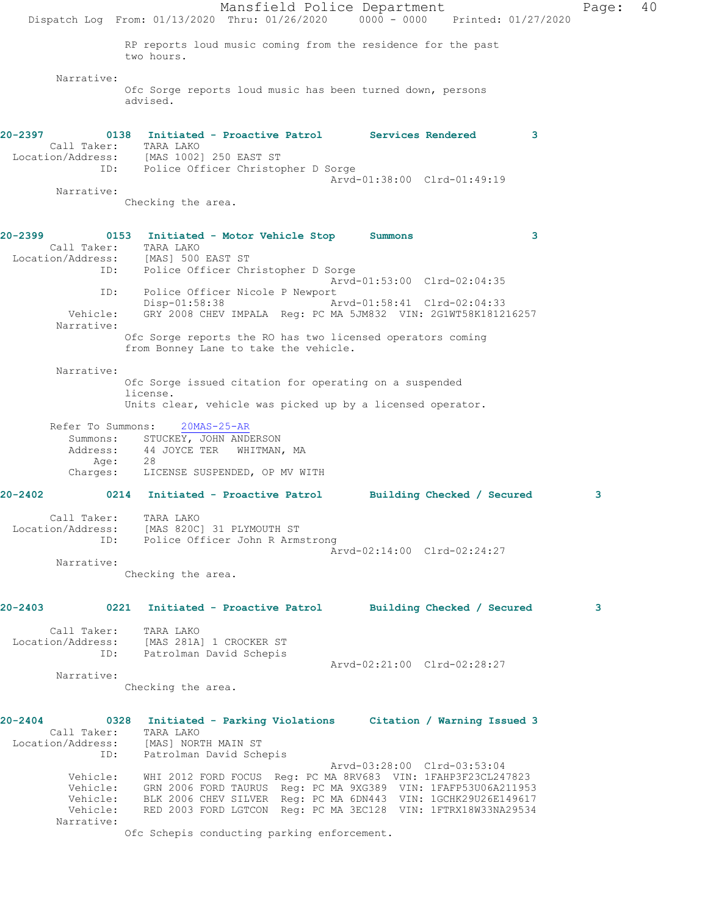Mansfield Police Department Page: 40 Dispatch Log From: 01/13/2020 Thru: 01/26/2020 0000 - 0000 Printed: 01/27/2020 RP reports loud music coming from the residence for the past two hours. Narrative: Ofc Sorge reports loud music has been turned down, persons advised. **20-2397 0138 Initiated - Proactive Patrol Services Rendered 3**  Call Taker: TARA LAKO Location/Address: [MAS 1002] 250 EAST ST ID: Police Officer Christopher D Sorge Arvd-01:38:00 Clrd-01:49:19 Narrative: Checking the area. **20-2399 0153 Initiated - Motor Vehicle Stop Summons 3**  Call Taker: TARA LAKO<br>ion/Address: [MAS] 500 EAST ST Location/Address: ID: Police Officer Christopher D Sorge Arvd-01:53:00 Clrd-02:04:35 ID: Police Officer Nicole P Newport<br>Disp-01:58:38 A: Arvd-01:58:41 Clrd-02:04:33 Vehicle: GRY 2008 CHEV IMPALA Reg: PC MA 5JM832 VIN: 2G1WT58K181216257 Narrative: Ofc Sorge reports the RO has two licensed operators coming from Bonney Lane to take the vehicle. Narrative: Ofc Sorge issued citation for operating on a suspended license. Units clear, vehicle was picked up by a licensed operator. Refer To Summons: 20MAS-25-AR Summons: STUCKEY, JOHN ANDERSON Address: 44 JOYCE TER WHITMAN, MA Age: 28 Charges: LICENSE SUSPENDED, OP MV WITH **20-2402 0214 Initiated - Proactive Patrol Building Checked / Secured 3** Call Taker: TARA LAKO Location/Address: [MAS 820C] 31 PLYMOUTH ST ID: Police Officer John R Armstrong Arvd-02:14:00 Clrd-02:24:27 Narrative: Checking the area. **20-2403 0221 Initiated - Proactive Patrol Building Checked / Secured 3** Call Taker: TARA LAKO Location/Address: [MAS 281A] 1 CROCKER ST ID: Patrolman David Schepis Arvd-02:21:00 Clrd-02:28:27 Narrative: Checking the area. **20-2404 0328 Initiated - Parking Violations Citation / Warning Issued 3**  Call Taker: TARA LAKO Location/Address: [MAS] NORTH MAIN ST ID: Patrolman David Schepis Arvd-03:28:00 Clrd-03:53:04 Vehicle: WHI 2012 FORD FOCUS Reg: PC MA 8RV683 VIN: 1FAHP3F23CL247823 Vehicle: GRN 2006 FORD TAURUS Reg: PC MA 9XG389 VIN: 1FAFP53U06A211953 Vehicle: BLK 2006 CHEV SILVER Reg: PC MA 6DN443 VIN: 1GCHK29U26E149617 Vehicle: RED 2003 FORD LGTCON Reg: PC MA 3EC128 VIN: 1FTRX18W33NA29534 Narrative:

Ofc Schepis conducting parking enforcement.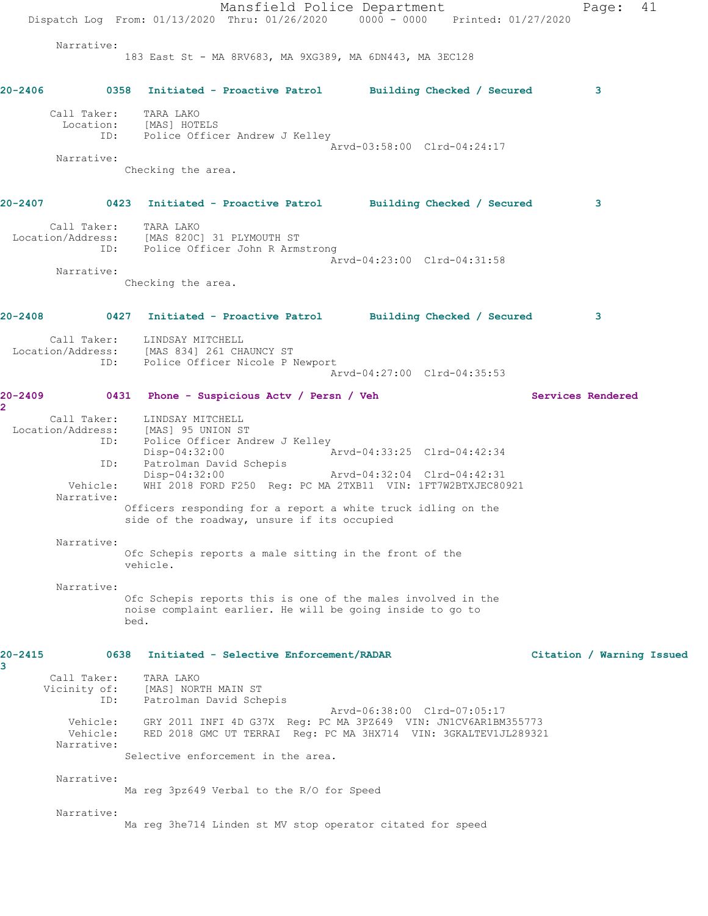Mansfield Police Department Page: 41 Dispatch Log From: 01/13/2020 Thru: 01/26/2020 0000 - 0000 Printed: 01/27/2020 Narrative: 183 East St - MA 8RV683, MA 9XG389, MA 6DN443, MA 3EC128 **20-2406 0358 Initiated - Proactive Patrol Building Checked / Secured 3** Call Taker: TARA LAKO Location: [MAS] HOTELS ID: Police Officer Andrew J Kelley Arvd-03:58:00 Clrd-04:24:17 Narrative: Checking the area. **20-2407 0423 Initiated - Proactive Patrol Building Checked / Secured 3** Call Taker: TARA LAKO Location/Address: [MAS 820C] 31 PLYMOUTH ST ID: Police Officer John R Armstrong Arvd-04:23:00 Clrd-04:31:58 Narrative: Checking the area. **20-2408 0427 Initiated - Proactive Patrol Building Checked / Secured 3** Call Taker: LINDSAY MITCHELL Location/Address: [MAS 834] 261 CHAUNCY ST ID: Police Officer Nicole P Newport Arvd-04:27:00 Clrd-04:35:53 **20-2409 0431 Phone - Suspicious Actv / Persn / Veh Services Rendered 2**  Call Taker: LINDSAY MITCHELL Location/Address: [MAS] 95 UNION ST<br>ID: Police Officer And Police Officer Andrew J Kelley<br>Disp-04:32:00 A Disp-04:32:00 <br>ID: Patrolman David Schepis <br>Disposition David Schepis Disp vitchers<br>Patrolman David Schepis<br>Disp-04:32:00 Disp-04:32:00 Arvd-04:32:04 Clrd-04:42:31 Vehicle: WHI 2018 FORD F250 Reg: PC MA 2TXB11 VIN: 1FT7W2BTXJEC80921 Narrative: Officers responding for a report a white truck idling on the side of the roadway, unsure if its occupied Narrative: Ofc Schepis reports a male sitting in the front of the vehicle. Narrative: Ofc Schepis reports this is one of the males involved in the noise complaint earlier. He will be going inside to go to bed. **20-2415 0638 Initiated - Selective Enforcement/RADAR Citation / Warning Issued 3**  Call Taker: TARA LAKO Vicinity of: [MAS] NORTH MAIN ST ID: Patrolman David Schepis Arvd-06:38:00 Clrd-07:05:17 Vehicle: GRY 2011 INFI 4D G37X Reg: PC MA 3PZ649 VIN: JN1CV6AR1BM355773<br>Vehicle: RED 2018 GMC UT TERRAI Reg: PC MA 3HX714 VIN: 3GKALTEV1JL289321 Vehicle: RED 2018 GMC UT TERRAI Reg: PC MA 3HX714 VIN: 3GKALTEV1JL289321 Narrative: Selective enforcement in the area. Narrative: Ma reg 3pz649 Verbal to the R/O for Speed Narrative: Ma reg 3he714 Linden st MV stop operator citated for speed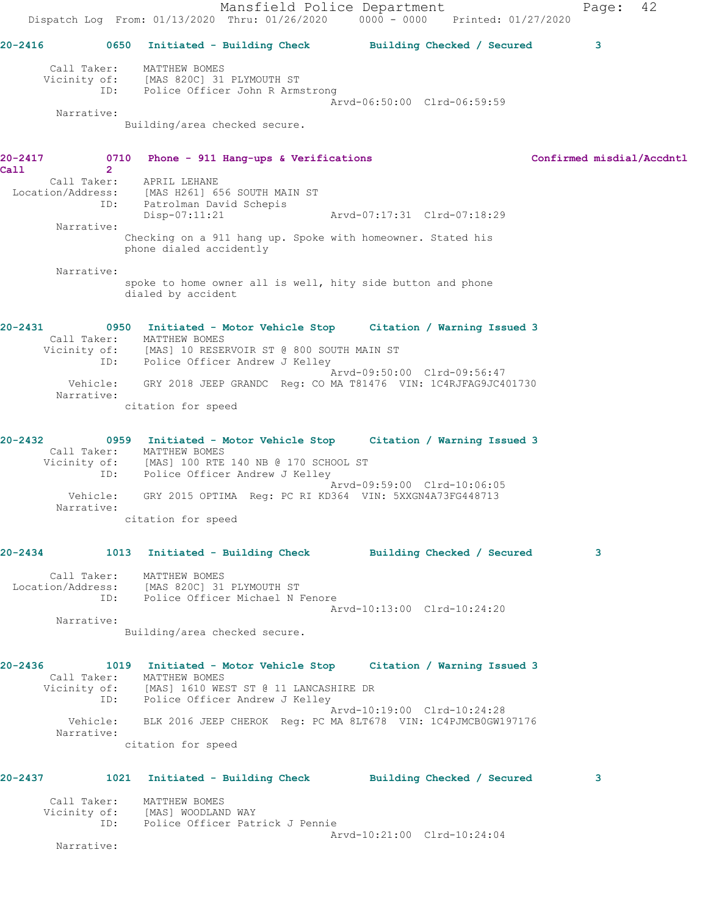Mansfield Police Department Page: 42 Dispatch Log From: 01/13/2020 Thru: 01/26/2020 0000 - 0000 Printed: 01/27/2020 **20-2416 0650 Initiated - Building Check Building Checked / Secured 3** Call Taker: MATTHEW BOMES Vicinity of: [MAS 820C] 31 PLYMOUTH ST ID: Police Officer John R Armstrong Arvd-06:50:00 Clrd-06:59:59 Narrative: Building/area checked secure. **20-2417 0710 Phone - 911 Hang-ups & Verifications Confirmed misdial/Accdntl Call** 2<br>Call Taker: APRIL LEHANE Location/Address: [MAS H261] 656 SOUTH MAIN ST ID: Patrolman David Schepis Disp-07:11:21 Arvd-07:17:31 Clrd-07:18:29 Narrative: Checking on a 911 hang up. Spoke with homeowner. Stated his phone dialed accidently Narrative: spoke to home owner all is well, hity side button and phone dialed by accident **20-2431 0950 Initiated - Motor Vehicle Stop Citation / Warning Issued 3**  Call Taker: MATTHEW BOMES Vicinity of: [MAS] 10 RESERVOIR ST @ 800 SOUTH MAIN ST ID: Police Officer Andrew J Kelley Arvd-09:50:00 Clrd-09:56:47 Vehicle: GRY 2018 JEEP GRANDC Reg: CO MA T81476 VIN: 1C4RJFAG9JC401730 Narrative: citation for speed **20-2432 0959 Initiated - Motor Vehicle Stop Citation / Warning Issued 3**  Call Taker: MATTHEW BOMES Vicinity of: [MAS] 100 RTE 140 NB @ 170 SCHOOL ST ID: Police Officer Andrew J Kelley Arvd-09:59:00 Clrd-10:06:05 Vehicle: GRY 2015 OPTIMA Reg: PC RI KD364 VIN: 5XXGN4A73FG448713 Narrative: citation for speed **20-2434 1013 Initiated - Building Check Building Checked / Secured 3** Call Taker: MATTHEW BOMES Location/Address: [MAS 820C] 31 PLYMOUTH ST ID: Police Officer Michael N Fenore Arvd-10:13:00 Clrd-10:24:20 Narrative: Building/area checked secure. **20-2436 1019 Initiated - Motor Vehicle Stop Citation / Warning Issued 3**  Call Taker: MATTHEW BOMES Vicinity of: [MAS] 1610 WEST ST @ 11 LANCASHIRE DR ID: Police Officer Andrew J Kelley Arvd-10:19:00 Clrd-10:24:28 Vehicle: BLK 2016 JEEP CHEROK Reg: PC MA 8LT678 VIN: 1C4PJMCB0GW197176 Narrative: citation for speed **20-2437 1021 Initiated - Building Check Building Checked / Secured 3** Call Taker: MATTHEW BOMES Vicinity of: [MAS] WOODLAND WAY ID: Police Officer Patrick J Pennie Arvd-10:21:00 Clrd-10:24:04

Narrative: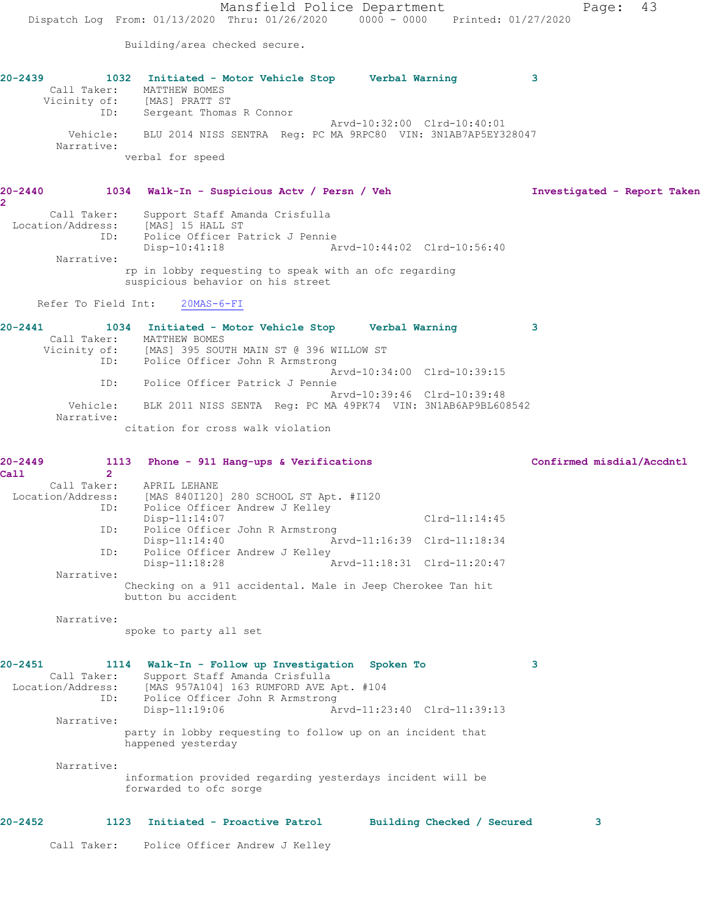Mansfield Police Department Page: 43 Dispatch Log From: 01/13/2020 Thru: 01/26/2020 0000 - 0000 Printed: 01/27/2020 Building/area checked secure. **20-2439 1032 Initiated - Motor Vehicle Stop Verbal Warning 3**  Call Taker: MATTHEW BOMES Vicinity of: [MAS] PRATT ST ID: Sergeant Thomas R Connor Arvd-10:32:00 Clrd-10:40:01 Vehicle: BLU 2014 NISS SENTRA Reg: PC MA 9RPC80 VIN: 3N1AB7AP5EY328047 Narrative: verbal for speed **20-2440 1034 Walk-In - Suspicious Actv / Persn / Veh Investigated - Report Taken 2**  Call Taker: Support Staff Amanda Crisfulla Location/Address: [MAS] 15 HALL ST ID: Police Officer Patrick J Pennie Disp-10:41:18 Arvd-10:44:02 Clrd-10:56:40 Narrative: rp in lobby requesting to speak with an ofc regarding suspicious behavior on his street Refer To Field Int: 20MAS-6-FI **20-2441 1034 Initiated - Motor Vehicle Stop Verbal Warning 3**  Call Taker: MATTHEW BOMES Vicinity of: [MAS] 395 SOUTH MAIN ST @ 396 WILLOW ST ID: Police Officer John R Armstrong Arvd-10:34:00 Clrd-10:39:15 ID: Police Officer Patrick J Pennie Arvd-10:39:46 Clrd-10:39:48 Vehicle: BLK 2011 NISS SENTA Reg: PC MA 49PK74 VIN: 3N1AB6AP9BL608542 Narrative: citation for cross walk violation **20-2449 1113 Phone - 911 Hang-ups & Verifications Confirmed misdial/Accdntl Call 2**  Call Taker: APRIL LEHANE Location/Address: [MAS 840I120] 280 SCHOOL ST Apt. #I120 Police Officer Andrew J Kelley Disp-11:14:07 Clrd-11:14:45 ID: Police Officer John R Armstrong<br>Disp-11:14:40 Ar Arvd-11:16:39 Clrd-11:18:34 ID: Police Officer Andrew J Kelley Disp-11:18:28 Arvd-11:18:31 Clrd-11:20:47 Narrative: Checking on a 911 accidental. Male in Jeep Cherokee Tan hit button bu accident Narrative: spoke to party all set **20-2451 1114 Walk-In - Follow up Investigation Spoken To 3**  Call Taker: Support Staff Amanda Crisfulla Location/Address: [MAS 957A104] 163 RUMFORD AVE Apt. #104 ID: Police Officer John R Armstrong Disp-11:19:06 Arvd-11:23:40 Clrd-11:39:13 Narrative: party in lobby requesting to follow up on an incident that happened yesterday Narrative: information provided regarding yesterdays incident will be forwarded to ofc sorge **20-2452 1123 Initiated - Proactive Patrol Building Checked / Secured 3** Call Taker: Police Officer Andrew J Kelley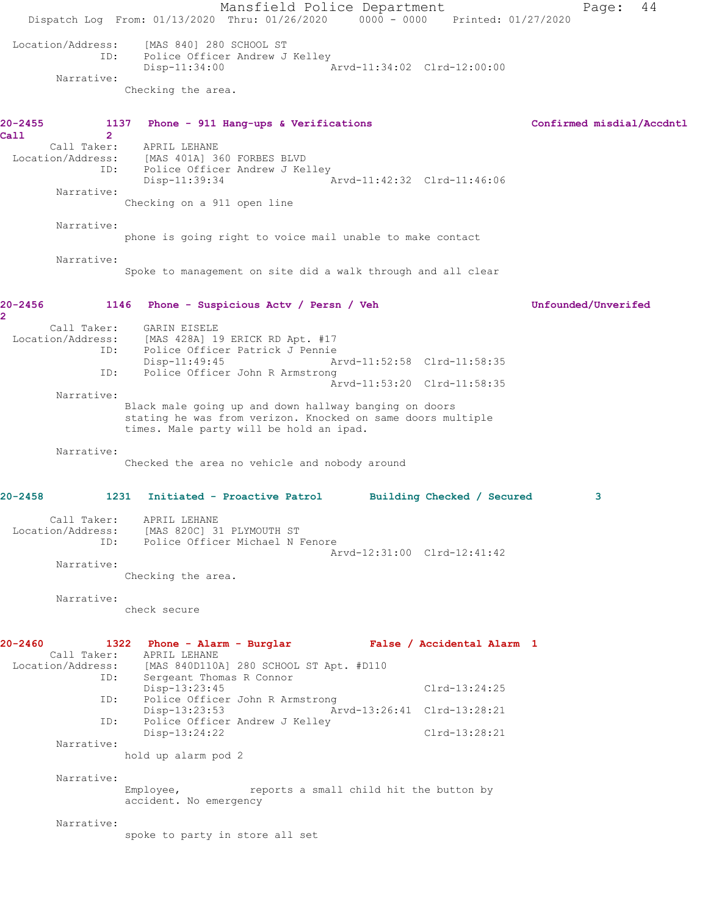Mansfield Police Department Fage: 44 Dispatch Log From: 01/13/2020 Thru: 01/26/2020 0000 - 0000 Printed: 01/27/2020 Location/Address: [MAS 840] 280 SCHOOL ST ID: Police Officer Andrew J Kelley Disp-11:34:00 Arvd-11:34:02 Clrd-12:00:00 Narrative: Checking the area. **20-2455 1137 Phone - 911 Hang-ups & Verifications Confirmed misdial/Accdntl Call 2**  Call Taker: APRIL LEHANE Location/Address: [MAS 401A] 360 FORBES BLVD ID: Police Officer Andrew J Kelley Disp-11:39:34 Arvd-11:42:32 Clrd-11:46:06 Narrative: Checking on a 911 open line Narrative: phone is going right to voice mail unable to make contact Narrative: Spoke to management on site did a walk through and all clear **20-2456 1146 Phone - Suspicious Actv / Persn / Veh Unfounded/Unverifed 2**  Call Taker: GARIN EISELE Location/Address: [MAS 428A] 19 ERICK RD Apt. #17 ID: Police Officer Patrick J Pennie Arvd-11:52:58 Clrd-11:58:35 ID: Police Officer John R Armstrong Arvd-11:53:20 Clrd-11:58:35 Narrative: Black male going up and down hallway banging on doors stating he was from verizon. Knocked on same doors multiple times. Male party will be hold an ipad. Narrative: Checked the area no vehicle and nobody around **20-2458 1231 Initiated - Proactive Patrol Building Checked / Secured 3** Call Taker: APRIL LEHANE Location/Address: [MAS 820C] 31 PLYMOUTH ST ID: Police Officer Michael N Fenore Arvd-12:31:00 Clrd-12:41:42 Narrative: Checking the area. Narrative: check secure **20-2460 1322 Phone - Alarm - Burglar False / Accidental Alarm 1**  Call Taker: APRIL LEHANE Location/Address: [MAS 840D110A] 280 SCHOOL ST Apt. #D110 ID: Sergeant Thomas R Connor Disp-13:23:45 Clrd-13:24:25 ID: Police Officer John R Armstrong Disp-13:23:53 Arvd-13:26:41 Clrd-13:28:21 ID: Police Officer Andrew J Kelley Disp-13:24:22 Clrd-13:28:21 Narrative: hold up alarm pod 2 Narrative: Employee, reports a small child hit the button by accident. No emergency Narrative: spoke to party in store all set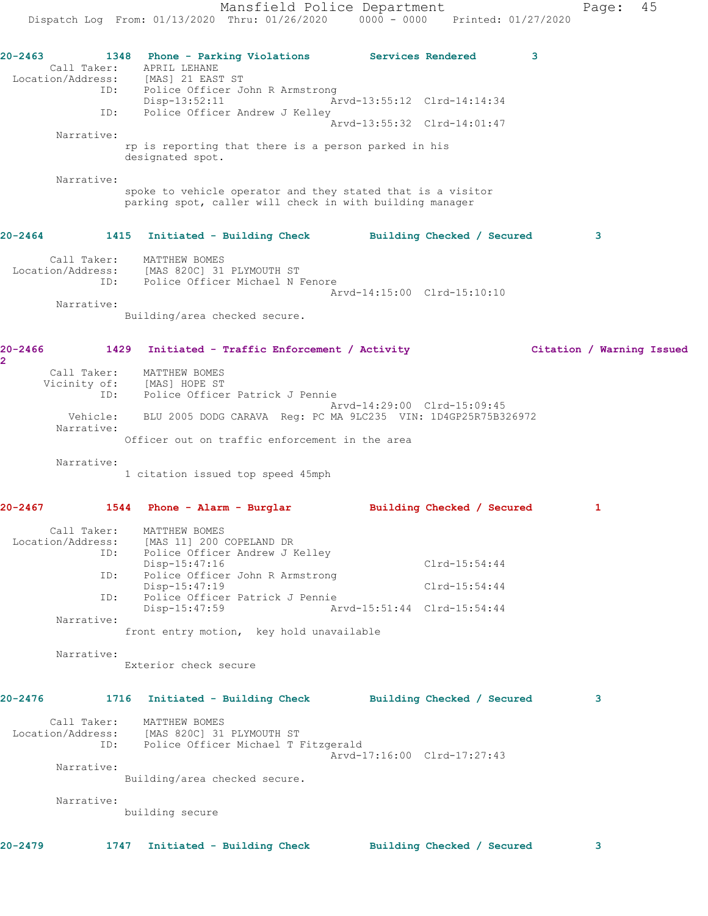Mansfield Police Department Fage: 45 Dispatch Log From: 01/13/2020 Thru: 01/26/2020 0000 - 0000 Printed: 01/27/2020 **20-2463 1348 Phone - Parking Violations Services Rendered 3**  Call Taker: APRIL LEHANE Location/Address:<br>ID: [MAS] 21 EAST ST<br>Police Officer John R Armstrong Disp-13:52:11 Arvd-13:55:12 Clrd-14:14:34 ID: Police Officer Andrew J Kelley Arvd-13:55:32 Clrd-14:01:47 Narrative: rp is reporting that there is a person parked in his designated spot. Narrative: spoke to vehicle operator and they stated that is a visitor parking spot, caller will check in with building manager **20-2464 1415 Initiated - Building Check Building Checked / Secured 3** Call Taker: MATTHEW BOMES Location/Address: [MAS 820C] 31 PLYMOUTH ST ID: Police Officer Michael N Fenore Arvd-14:15:00 Clrd-15:10:10 Narrative: Building/area checked secure. **20-2466 1429 Initiated - Traffic Enforcement / Activity Citation / Warning Issued 2**  Call Taker: MATTHEW BOMES Vicinity of: [MAS] HOPE ST ID: Police Officer Patrick J Pennie Arvd-14:29:00 Clrd-15:09:45 Vehicle: BLU 2005 DODG CARAVA Reg: PC MA 9LC235 VIN: 1D4GP25R75B326972 Narrative: Officer out on traffic enforcement in the area Narrative: 1 citation issued top speed 45mph **20-2467 1544 Phone - Alarm - Burglar Building Checked / Secured 1** Call Taker: MATTHEW BOMES Location/Address: [MAS 11] 200 COPELAND DR ID: Police Officer Andrew J Kelley Disp-15:47:16 Clrd-15:54:44 ID: Police Officer John R Armstrong Disp-15:47:19 Clrd-15:54:44 ID: Police Officer Patrick J Pennie Disp-15:47:59 Arvd-15:51:44 Clrd-15:54:44 Narrative: front entry motion, key hold unavailable Narrative: Exterior check secure **20-2476 1716 Initiated - Building Check Building Checked / Secured 3** Call Taker: MATTHEW BOMES Location/Address: [MAS 820C] 31 PLYMOUTH ST ID: Police Officer Michael T Fitzgerald Arvd-17:16:00 Clrd-17:27:43 Narrative: Building/area checked secure. Narrative: building secure

**20-2479 1747 Initiated - Building Check Building Checked / Secured 3**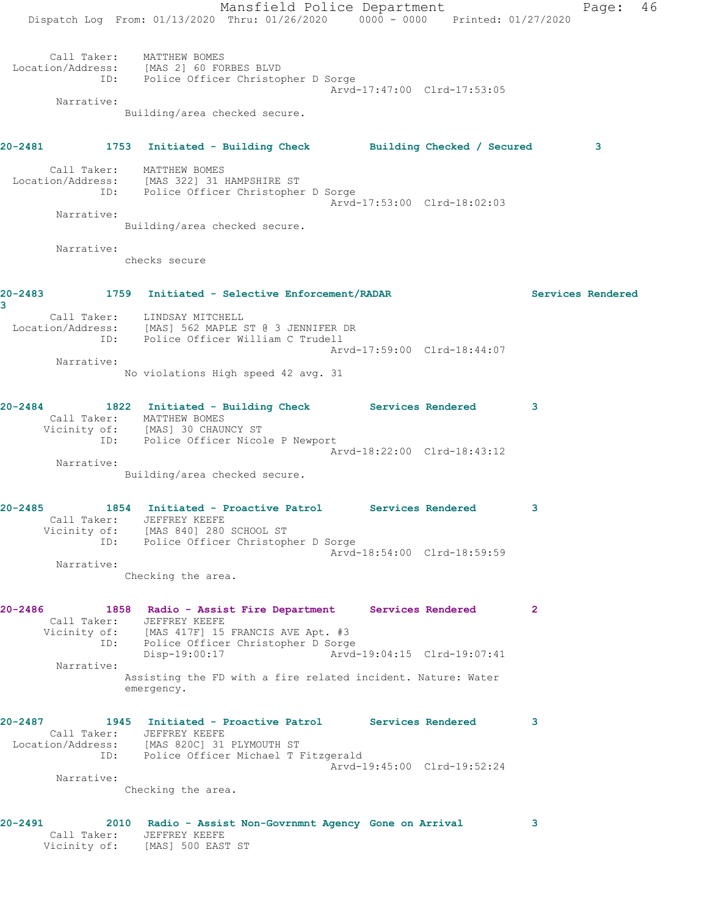Mansfield Police Department Page: 46 Dispatch Log From: 01/13/2020 Thru: 01/26/2020 0000 - 0000 Printed: 01/27/2020 Call Taker: MATTHEW BOMES Location/Address: [MAS 2] 60 FORBES BLVD ID: Police Officer Christopher D Sorge Arvd-17:47:00 Clrd-17:53:05 Narrative: Building/area checked secure. **20-2481 1753 Initiated - Building Check Building Checked / Secured 3** Call Taker: MATTHEW BOMES Location/Address: [MAS 322] 31 HAMPSHIRE ST ID: Police Officer Christopher D Sorge Arvd-17:53:00 Clrd-18:02:03 Narrative: Building/area checked secure. Narrative: checks secure **20-2483 1759 Initiated - Selective Enforcement/RADAR Services Rendered 3**  Call Taker: LINDSAY MITCHELL Location/Address: [MAS] 562 MAPLE ST @ 3 JENNIFER DR ID: Police Officer William C Trudell Arvd-17:59:00 Clrd-18:44:07 Narrative: No violations High speed 42 avg. 31 **20-2484 1822 Initiated - Building Check Services Rendered 3**  Call Taker: MATTHEW BOMES Vicinity of: [MAS] 30 CHAUNCY ST ID: Police Officer Nicole P Newport Arvd-18:22:00 Clrd-18:43:12 Narrative: Building/area checked secure. **20-2485 1854 Initiated - Proactive Patrol Services Rendered 3**  Call Taker: JEFFREY KEEFE Vicinity of: [MAS 840] 280 SCHOOL ST ID: Police Officer Christopher D Sorge Arvd-18:54:00 Clrd-18:59:59 Narrative: Checking the area. **20-2486 1858 Radio - Assist Fire Department Services Rendered 2**  Call Taker: JEFFREY KEEFE Vicinity of: [MAS 417F] 15 FRANCIS AVE Apt. #3 ID: Police Officer Christopher D Sorge<br>Disp-19:00:17 Arvd- Disp-19:00:17 Arvd-19:04:15 Clrd-19:07:41 Narrative: Assisting the FD with a fire related incident. Nature: Water emergency. **20-2487 1945 Initiated - Proactive Patrol Services Rendered 3**  Call Taker: JEFFREY KEEFE Location/Address: [MAS 820C] 31 PLYMOUTH ST ID: Police Officer Michael T Fitzgerald Arvd-19:45:00 Clrd-19:52:24 Narrative: Checking the area. **20-2491 2010 Radio - Assist Non-Govrnmnt Agency Gone on Arrival 3**  Call Taker: JEFFREY KEEFE

Vicinity of: [MAS] 500 EAST ST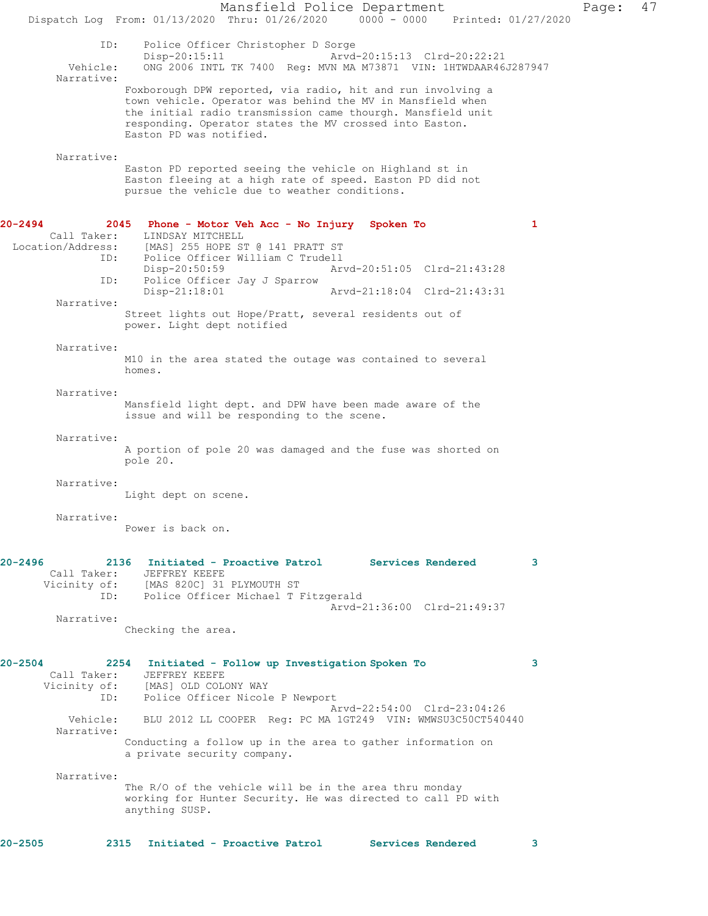Mansfield Police Department Page: 47 Dispatch Log From: 01/13/2020 Thru: 01/26/2020 0000 - 0000 Printed: 01/27/2020 ID: Police Officer Christopher D Sorge<br>Disp-20:15:11 Mrvd-20:15:13 Clrd-20:22:21 Disp-20:15:11 Arvd-20:15:13 Clrd-20:22:21 Vehicle: ONG 2006 INTL TK 7400 Reg: MVN MA M73871 VIN: 1HTWDAAR46J287947 Narrative: Foxborough DPW reported, via radio, hit and run involving a town vehicle. Operator was behind the MV in Mansfield when the initial radio transmission came thourgh. Mansfield unit responding. Operator states the MV crossed into Easton. Easton PD was notified. Narrative: Easton PD reported seeing the vehicle on Highland st in Easton fleeing at a high rate of speed. Easton PD did not pursue the vehicle due to weather conditions. **20-2494 2045 Phone - Motor Veh Acc - No Injury Spoken To 1**  Call Taker: LINDSAY MITCHELL<br>Location/Address: [MAS] 255 HOPE ST ess: [MAS] 255 HOPE ST @ 141 PRATT ST<br>ID: Police Officer William C Trudell Police Officer William C Trudell<br>Disp-20:50:59 Ar Disp-20:50:59 Arvd-20:51:05 Clrd-21:43:28<br>ID: Police Officer Jay J Sparrow Police Officer Jay J Sparrow<br>Disp-21:18:01 Disp-21:18:01 Arvd-21:18:04 Clrd-21:43:31 Narrative: Street lights out Hope/Pratt, several residents out of power. Light dept notified Narrative: M10 in the area stated the outage was contained to several homes. Narrative: Mansfield light dept. and DPW have been made aware of the issue and will be responding to the scene. Narrative: A portion of pole 20 was damaged and the fuse was shorted on pole 20. Narrative: Light dept on scene. Narrative: Power is back on. **20-2496 2136 Initiated - Proactive Patrol Services Rendered 3**  Call Taker: JEFFREY KEEFE Vicinity of: [MAS 820C] 31 PLYMOUTH ST ID: Police Officer Michael T Fitzgerald Arvd-21:36:00 Clrd-21:49:37 Narrative: Checking the area. **20-2504 2254 Initiated - Follow up Investigation Spoken To 3**  Call Taker: JEFFREY KEEFE<br>Vicinity of: [MAS] OLD COL [MAS] OLD COLONY WAY ID: Police Officer Nicole P Newport Arvd-22:54:00 Clrd-23:04:26 Vehicle: BLU 2012 LL COOPER Reg: PC MA 1GT249 VIN: WMWSU3C50CT540440 Narrative: Conducting a follow up in the area to gather information on a private security company. Narrative: The R/O of the vehicle will be in the area thru monday working for Hunter Security. He was directed to call PD with anything SUSP. **20-2505 2315 Initiated - Proactive Patrol Services Rendered 3**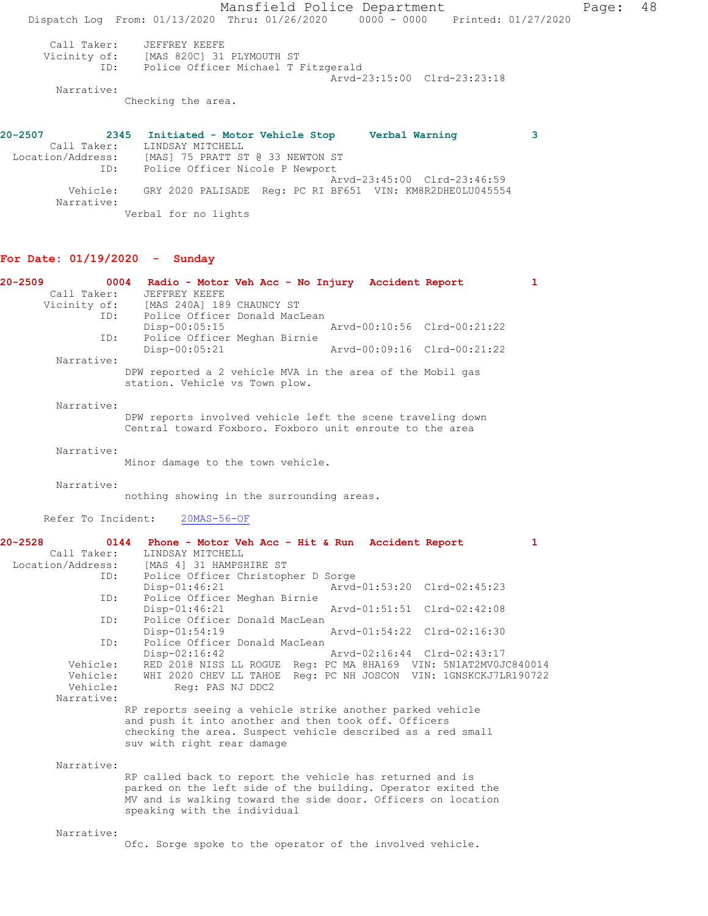Mansfield Police Department Fage: 48 Dispatch Log From: 01/13/2020 Thru: 01/26/2020 0000 - 0000 Printed: 01/27/2020 Call Taker: JEFFREY KEEFE Vicinity of: [MAS 820C] 31 PLYMOUTH ST ID: Police Officer Michael T Fitzgerald Arvd-23:15:00 Clrd-23:23:18 Narrative: Checking the area. **20-2507 2345 Initiated - Motor Vehicle Stop Verbal Warning 3**  Call Taker: LINDSAY MITCHELL Location/Address: [MAS] 75 PRATT ST @ 33 NEWTON ST ID: Police Officer Nicole P Newport Arvd-23:45:00 Clrd-23:46:59 Vehicle: GRY 2020 PALISADE Reg: PC RI BF651 VIN: KM8R2DHE0LU045554

## **For Date: 01/19/2020 - Sunday**

Verbal for no lights

Narrative:

| $20 - 2509$<br>Call Taker: | 0004 Radio - Motor Veh Acc - No Injury Accident Report<br>JEFFREY KEEFE                                                | $\mathbf{1}$ |
|----------------------------|------------------------------------------------------------------------------------------------------------------------|--------------|
| Vicinity of:<br>ID:        | [MAS 240A] 189 CHAUNCY ST<br>Police Officer Donald MacLean                                                             |              |
| ID:                        | $Disp-00:05:15$<br>Arvd-00:10:56 Clrd-00:21:22<br>Police Officer Meghan Birnie                                         |              |
|                            | Disp-00:05:21<br>Arvd-00:09:16 Clrd-00:21:22                                                                           |              |
| Narrative:                 | DPW reported a 2 vehicle MVA in the area of the Mobil gas<br>station. Vehicle vs Town plow.                            |              |
| Narrative:                 | DPW reports involved vehicle left the scene traveling down<br>Central toward Foxboro. Foxboro unit enroute to the area |              |
| Narrative:                 | Minor damage to the town vehicle.                                                                                      |              |
| Narrative:                 | nothing showing in the surrounding areas.                                                                              |              |
|                            | Refer To Incident: 20MAS-56-OF                                                                                         |              |
| $20 - 2528$                | 0144<br>Phone - Motor Veh Acc - Hit & Run Accident Report                                                              | $\mathbf{1}$ |
| Call Taker:                | LINDSAY MITCHELL                                                                                                       |              |
| Location/Address:<br>ID:   | [MAS 4] 31 HAMPSHIRE ST                                                                                                |              |
|                            | Police Officer Christopher D Sorge<br>$Disp-01:46:21$<br>Arvd-01:53:20 Clrd-02:45:23                                   |              |
| ID:                        | Police Officer Meghan Birnie                                                                                           |              |
|                            | Disp-01:46:21<br>Arvd-01:51:51 Clrd-02:42:08                                                                           |              |
| ID:                        | Police Officer Donald MacLean                                                                                          |              |
|                            | Disp-01:54:19<br>Arvd-01:54:22 Clrd-02:16:30                                                                           |              |
| ID:                        | Police Officer Donald MacLean                                                                                          |              |
|                            | Disp-02:16:42<br>Arvd-02:16:44 Clrd-02:43:17                                                                           |              |
| Vehicle:                   | RED 2018 NISS LL ROGUE Reg: PC MA 8HA169 VIN: 5N1AT2MV0JC840014                                                        |              |
| Vehicle:                   | WHI 2020 CHEV LL TAHOE Reg: PC NH JOSCON VIN: 1GNSKCKJ7LR190722                                                        |              |
| Vehicle:                   | Req: PAS NJ DDC2                                                                                                       |              |
| Narrative:                 |                                                                                                                        |              |
|                            | RP reports seeing a vehicle strike another parked vehicle                                                              |              |
|                            | and push it into another and then took off. Officers                                                                   |              |
|                            | checking the area. Suspect vehicle described as a red small                                                            |              |
|                            | suv with right rear damage                                                                                             |              |
| Narrative:                 |                                                                                                                        |              |
|                            | RP called back to report the vehicle has returned and is                                                               |              |
|                            | parked on the left side of the building. Operator exited the                                                           |              |
|                            | MV and is walking toward the side door. Officers on location                                                           |              |
|                            | speaking with the individual                                                                                           |              |
| Narrative:                 |                                                                                                                        |              |

Ofc. Sorge spoke to the operator of the involved vehicle.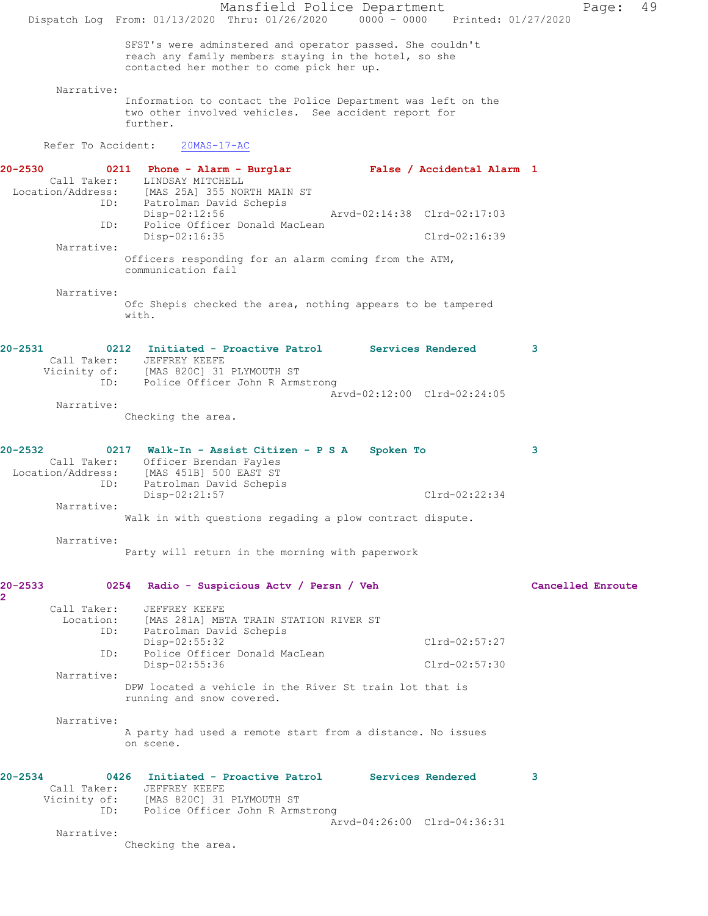Mansfield Police Department Page: 49 Dispatch Log From: 01/13/2020 Thru: 01/26/2020 0000 - 0000 Printed: 01/27/2020 SFST's were adminstered and operator passed. She couldn't reach any family members staying in the hotel, so she contacted her mother to come pick her up. Narrative: Information to contact the Police Department was left on the two other involved vehicles. See accident report for further. Refer To Accident: 20MAS-17-AC **20-2530 0211 Phone - Alarm - Burglar False / Accidental Alarm 1**  Call Taker: LINDSAY MITCHELL<br>Location/Address: [MAS 25A] 355 NOF [MAS 25A] 355 NORTH MAIN ST ID: Patrolman David Schepis<br>Disp-02:12:56 Disp-02:12:56 Arvd-02:14:38 Clrd-02:17:03 ID: Police Officer Donald MacLean Disp-02:16:35 Clrd-02:16:39 Narrative: Officers responding for an alarm coming from the ATM, communication fail Narrative: Ofc Shepis checked the area, nothing appears to be tampered with. **20-2531 0212 Initiated - Proactive Patrol Services Rendered 3**  Call Taker: JEFFREY KEEFE Vicinity of: [MAS 820C] 31 PLYMOUTH ST ID: Police Officer John R Armstrong Arvd-02:12:00 Clrd-02:24:05 Narrative: Checking the area. **20-2532 0217 Walk-In - Assist Citizen - P S A Spoken To 3**  Call Taker: Officer Brendan Fayles Location/Address: [MAS 451B] 500 EAST ST ID: Patrolman David Schepis Disp-02:21:57 Clrd-02:22:34 Narrative: Walk in with questions regading a plow contract dispute. Narrative: Party will return in the morning with paperwork **20-2533 0254 Radio - Suspicious Actv / Persn / Veh Cancelled Enroute 2**  Call Taker: JEFFREY KEEFE Location: [MAS 281A] MBTA TRAIN STATION RIVER ST ID: Patrolman David Schepis Disp-02:55:32 Clrd-02:57:27<br>ID: Police Officer Donald MacLean Police Officer Donald MacLean Disp-02:55:36 Clrd-02:57:30 Narrative: DPW located a vehicle in the River St train lot that is running and snow covered. Narrative: A party had used a remote start from a distance. No issues on scene. **20-2534 0426 Initiated - Proactive Patrol Services Rendered 3**  Call Taker: JEFFREY KEEFE Vicinity of: [MAS 820C] 31 PLYMOUTH ST ID: Police Officer John R Armstrong Arvd-04:26:00 Clrd-04:36:31 Narrative: Checking the area.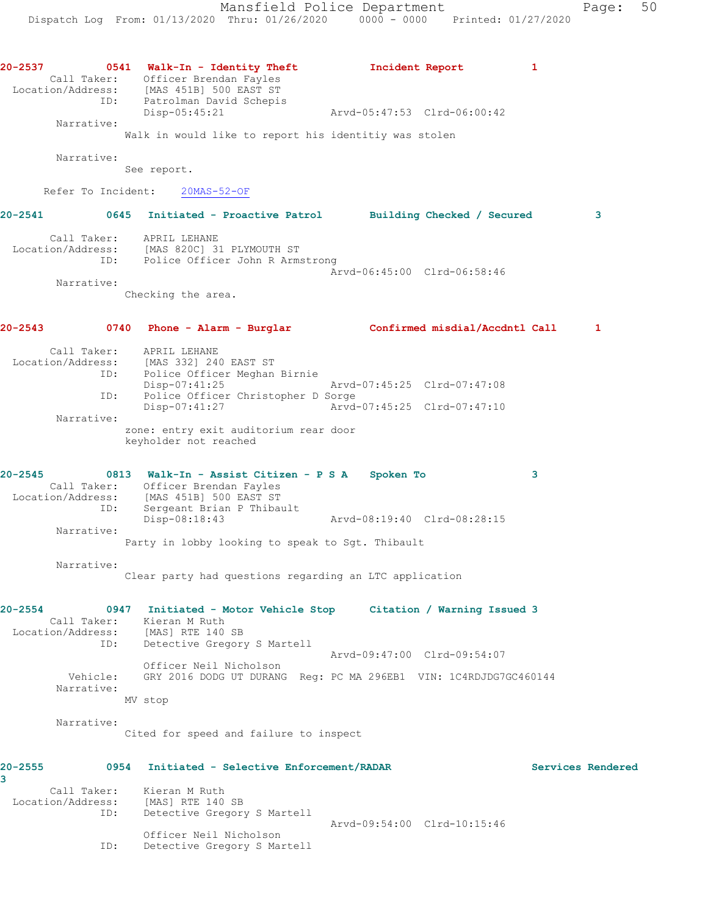| 20-2537                          |     | 0541 Walk-In - Identity Theft                                                      | Incident Report             | 1 |                   |
|----------------------------------|-----|------------------------------------------------------------------------------------|-----------------------------|---|-------------------|
|                                  |     | Call Taker: Officer Brendan Fayles                                                 |                             |   |                   |
|                                  |     | Location/Address: [MAS 451B] 500 EAST ST<br>ID: Patrolman David Schepis            |                             |   |                   |
|                                  |     |                                                                                    | Arvd-05:47:53 Clrd-06:00:42 |   |                   |
| Narrative:                       |     | Disp-05:45:21                                                                      |                             |   |                   |
|                                  |     | Walk in would like to report his identitiy was stolen                              |                             |   |                   |
|                                  |     |                                                                                    |                             |   |                   |
| Narrative:                       |     | See report.                                                                        |                             |   |                   |
|                                  |     |                                                                                    |                             |   |                   |
|                                  |     | Refer To Incident: 20MAS-52-OF                                                     |                             |   |                   |
| 20-2541                          |     | 0645 Initiated - Proactive Patrol Building Checked / Secured                       |                             |   | 3                 |
|                                  |     | Call Taker: APRIL LEHANE                                                           |                             |   |                   |
|                                  |     | Location/Address: [MAS 820C] 31 PLYMOUTH ST<br>ID: Police Officer John R Armstrong |                             |   |                   |
|                                  |     |                                                                                    |                             |   |                   |
| Narrative:                       |     |                                                                                    | Arvd-06:45:00 Clrd-06:58:46 |   |                   |
|                                  |     | Checking the area.                                                                 |                             |   |                   |
|                                  |     |                                                                                    |                             |   |                   |
| 20-2543                          |     | 0740 Phone - Alarm - Burglar Confirmed misdial/Accdntl Call                        |                             |   | 1                 |
|                                  |     |                                                                                    |                             |   |                   |
|                                  |     | Call Taker: APRIL LEHANE<br>Location/Address: [MAS 332] 240 EAST ST                |                             |   |                   |
|                                  | ID: | Police Officer Meghan Birnie                                                       |                             |   |                   |
|                                  |     | Disp-07:41:25                                                                      | Arvd-07:45:25 Clrd-07:47:08 |   |                   |
|                                  | ID: | Police Officer Christopher D Sorge                                                 |                             |   |                   |
| Narrative:                       |     | Disp-07:41:27                                                                      | Arvd-07:45:25 Clrd-07:47:10 |   |                   |
|                                  |     | zone: entry exit auditorium rear door                                              |                             |   |                   |
|                                  |     | keyholder not reached                                                              |                             |   |                   |
|                                  |     |                                                                                    |                             |   |                   |
| 20-2545                          |     | 0813 Walk-In - Assist Citizen - P S A Spoken To                                    |                             | 3 |                   |
|                                  |     | Call Taker: Officer Brendan Fayles                                                 |                             |   |                   |
|                                  |     | Location/Address: [MAS 451B] 500 EAST ST                                           |                             |   |                   |
|                                  | ID: | Sergeant Brian P Thibault                                                          |                             |   |                   |
| Narrative:                       |     | Disp-08:18:43                                                                      | Arvd-08:19:40 Clrd-08:28:15 |   |                   |
|                                  |     | Party in lobby looking to speak to Sgt. Thibault                                   |                             |   |                   |
|                                  |     |                                                                                    |                             |   |                   |
| Narrative:                       |     |                                                                                    |                             |   |                   |
|                                  |     | Clear party had questions regarding an LTC application                             |                             |   |                   |
| 20-2554                          |     | 0947 Initiated - Motor Vehicle Stop Citation / Warning Issued 3                    |                             |   |                   |
|                                  |     | Call Taker: Kieran M Ruth                                                          |                             |   |                   |
|                                  |     | Location/Address: [MAS] RTE 140 SB                                                 |                             |   |                   |
|                                  | ID: | Detective Gregory S Martell                                                        |                             |   |                   |
|                                  |     | Officer Neil Nicholson                                                             | Arvd-09:47:00 Clrd-09:54:07 |   |                   |
| Vehicle:                         |     | GRY 2016 DODG UT DURANG Req: PC MA 296EB1 VIN: 1C4RDJDG7GC460144                   |                             |   |                   |
| Narrative:                       |     |                                                                                    |                             |   |                   |
|                                  |     | MV stop                                                                            |                             |   |                   |
| Narrative:                       |     |                                                                                    |                             |   |                   |
|                                  |     | Cited for speed and failure to inspect                                             |                             |   |                   |
|                                  |     |                                                                                    |                             |   |                   |
| 20-2555                          |     | 0954 Initiated - Selective Enforcement/RADAR                                       |                             |   | Services Rendered |
| 3                                |     |                                                                                    |                             |   |                   |
| Call Taker:<br>Location/Address: |     | Kieran M Ruth<br>[MAS] RTE 140 SB                                                  |                             |   |                   |
|                                  | ID: | Detective Gregory S Martell                                                        |                             |   |                   |
|                                  |     |                                                                                    | Arvd-09:54:00 Clrd-10:15:46 |   |                   |
|                                  |     | Officer Neil Nicholson                                                             |                             |   |                   |
|                                  | ID: | Detective Gregory S Martell                                                        |                             |   |                   |
|                                  |     |                                                                                    |                             |   |                   |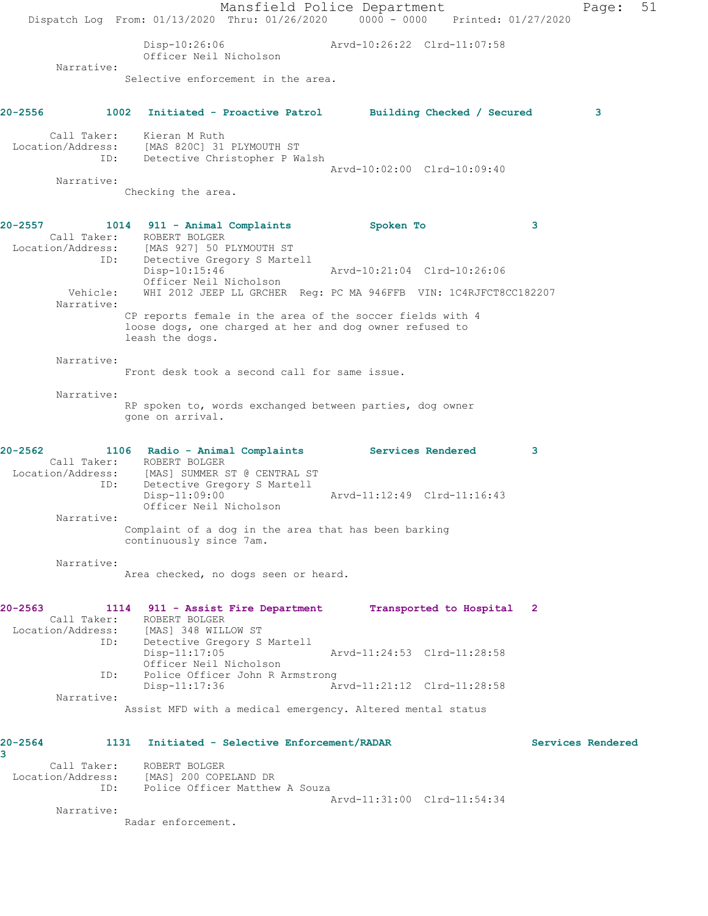Mansfield Police Department Page: 51 Dispatch Log From: 01/13/2020 Thru: 01/26/2020 0000 - 0000 Printed: 01/27/2020 Disp-10:26:06 Arvd-10:26:22 Clrd-11:07:58 Officer Neil Nicholson Narrative: Selective enforcement in the area. **20-2556 1002 Initiated - Proactive Patrol Building Checked / Secured 3** Call Taker: Kieran M Ruth Location/Address: [MAS 820C] 31 PLYMOUTH ST ID: Detective Christopher P Walsh Arvd-10:02:00 Clrd-10:09:40 Narrative: Checking the area. **20-2557 1014 911 - Animal Complaints Spoken To 3**  Call Taker: ROBERT BOLGER Location/Address: [MAS 927] 50 PLYMOUTH ST<br>ID: Detective Gregory S Marte Detective Gregory S Martell Disp-10:15:46 Arvd-10:21:04 Clrd-10:26:06 Officer Neil Nicholson<br>Vehicle: WHI 2012 JEEP LL GRCHER WHI 2012 JEEP LL GRCHER Reg: PC MA 946FFB VIN: 1C4RJFCT8CC182207 Narrative: CP reports female in the area of the soccer fields with 4 loose dogs, one charged at her and dog owner refused to leash the dogs. Narrative: Front desk took a second call for same issue. Narrative: RP spoken to, words exchanged between parties, dog owner gone on arrival. **20-2562 1106 Radio - Animal Complaints Services Rendered 3**  Call Taker: ROBERT BOLGER<br>Location/Address: [MAS] SUMMER S [MAS] SUMMER ST @ CENTRAL ST ID: Detective Gregory S Martell Arvd-11:12:49 Clrd-11:16:43 Officer Neil Nicholson Narrative: Complaint of a dog in the area that has been barking continuously since 7am. Narrative: Area checked, no dogs seen or heard. **20-2563 1114 911 - Assist Fire Department Transported to Hospital 2**  Call Taker: ROBERT BOLGER<br>Location/Address: [MAS] 348 WILL [MAS] 348 WILLOW ST ID: Detective Gregory S Martell Disp-11:17:05 Arvd-11:24:53 Clrd-11:28:58 Officer Neil Nicholson<br>ID: Police Officer John R A Police Officer John R Armstrong<br>Disp-11:17:36 A Arvd-11:21:12 Clrd-11:28:58 Narrative: Assist MFD with a medical emergency. Altered mental status **20-2564 1131 Initiated - Selective Enforcement/RADAR Services Rendered 3**  Call Taker: ROBERT BOLGER Location/Address: [MAS] 200 COPELAND DR<br>TD: Police Officer Matthew Police Officer Matthew A Souza Arvd-11:31:00 Clrd-11:54:34 Narrative: Radar enforcement.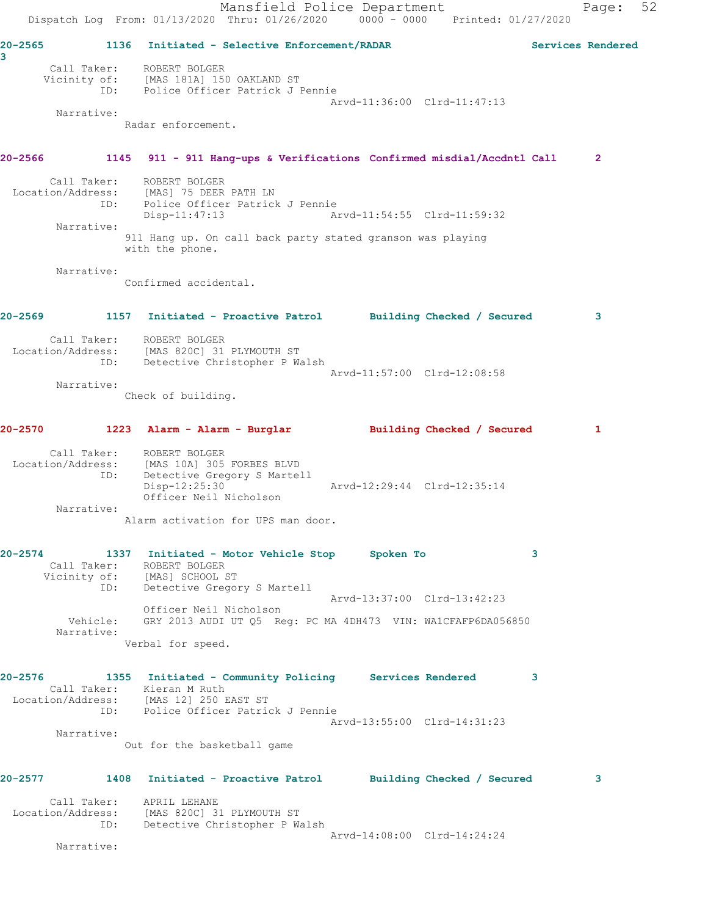Mansfield Police Department Fage: 52 Dispatch Log From: 01/13/2020 Thru: 01/26/2020 0000 - 0000 Printed: 01/27/2020 **20-2565 1136 Initiated - Selective Enforcement/RADAR Services Rendered 3**  Call Taker: ROBERT BOLGER Vicinity of: [MAS 181A] 150 OAKLAND ST ID: Police Officer Patrick J Pennie Arvd-11:36:00 Clrd-11:47:13 Narrative: Radar enforcement. **20-2566 1145 911 - 911 Hang-ups & Verifications Confirmed misdial/Accdntl Call 2** Call Taker: ROBERT BOLGER Location/Address: [MAS] 75 DEER PATH LN ID: Police Officer Patrick J Pennie Arvd-11:54:55 Clrd-11:59:32 Narrative: 911 Hang up. On call back party stated granson was playing with the phone. Narrative: Confirmed accidental. **20-2569 1157 Initiated - Proactive Patrol Building Checked / Secured 3** Call Taker: ROBERT BOLGER Location/Address: [MAS 820C] 31 PLYMOUTH ST ID: Detective Christopher P Walsh Arvd-11:57:00 Clrd-12:08:58 Narrative: Check of building. **20-2570 1223 Alarm - Alarm - Burglar Building Checked / Secured 1** Call Taker: ROBERT BOLGER Location/Address: [MAS 10A] 305 FORBES BLVD ID: Detective Gregory S Martell MAS 10A 305 FORDLE 2.<br>
Detective Gregory S Martell<br>
Disp-12:25:30 Arvd-12:29:44 Clrd-12:35:14 Officer Neil Nicholson Narrative: Alarm activation for UPS man door. **20-2574 1337 Initiated - Motor Vehicle Stop Spoken To 3**  Call Taker: ROBERT BOLGER Vicinity of: [MAS] SCHOOL ST ID: Detective Gregory S Martell Arvd-13:37:00 Clrd-13:42:23 Officer Neil Nicholson Vehicle: GRY 2013 AUDI UT Q5 Reg: PC MA 4DH473 VIN: WA1CFAFP6DA056850 Narrative: Verbal for speed. **20-2576 1355 Initiated - Community Policing Services Rendered 3**  Call Taker: Kieran M Ruth Location/Address: [MAS 12] 250 EAST ST ID: Police Officer Patrick J Pennie Arvd-13:55:00 Clrd-14:31:23 Narrative: Out for the basketball game **20-2577 1408 Initiated - Proactive Patrol Building Checked / Secured 3** Call Taker: APRIL LEHANE Location/Address: [MAS 820C] 31 PLYMOUTH ST ID: Detective Christopher P Walsh Arvd-14:08:00 Clrd-14:24:24

Narrative: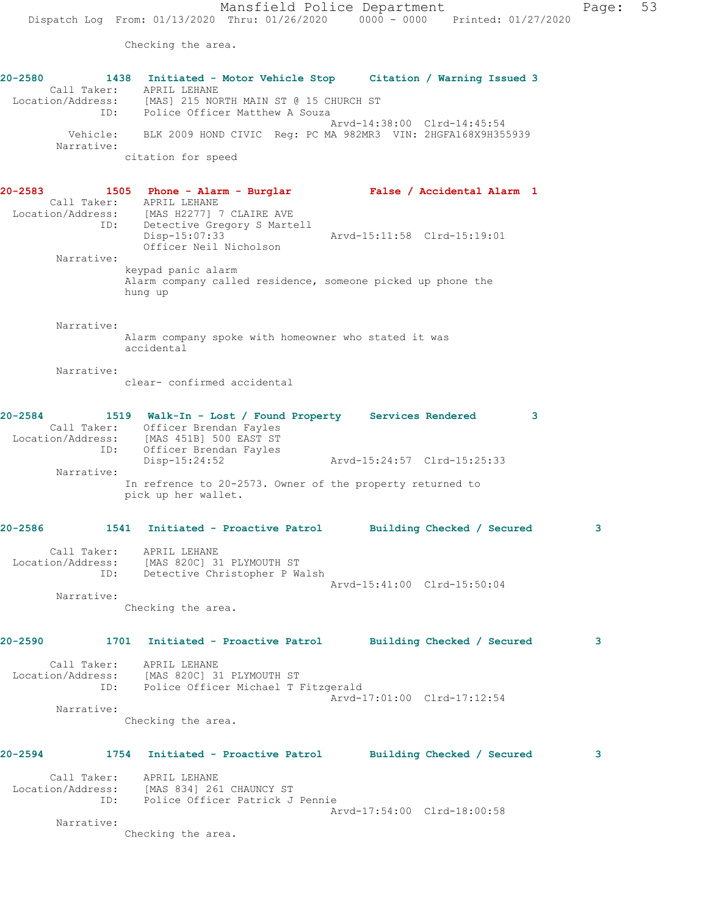Checking the area.

**20-2580 1438 Initiated - Motor Vehicle Stop Citation / Warning Issued 3**  Call Taker: APRIL LEHANE Location/Address: [MAS] 215 NORTH MAIN ST @ 15 CHURCH ST ID: Police Officer Matthew A Souza Arvd-14:38:00 Clrd-14:45:54 Vehicle: BLK 2009 HOND CIVIC Reg: PC MA 982MR3 VIN: 2HGFA168X9H355939 Narrative: citation for speed **20-2583 1505 Phone - Alarm - Burglar False / Accidental Alarm 1**  Call Taker: APRIL LEHANE Location/Address: [MAS H2277] 7 CLAIRE AVE ID: Detective Gregory S Martell Disp-15:07:33 Arvd-15:11:58 Clrd-15:19:01 Officer Neil Nicholson Narrative: keypad panic alarm Alarm company called residence, someone picked up phone the hung up Narrative: Alarm company spoke with homeowner who stated it was accidental Narrative: clear- confirmed accidental **20-2584 1519 Walk-In - Lost / Found Property Services Rendered 3**  Call Taker: Officer Brendan Fayles Location/Address: [MAS 451B] 500 EAST ST ID: Officer Brendan Fayles Disp-15:24:52 Arvd-15:24:57 Clrd-15:25:33 Narrative: In refrence to 20-2573. Owner of the property returned to pick up her wallet. **20-2586 1541 Initiated - Proactive Patrol Building Checked / Secured 3** Call Taker: APRIL LEHANE Location/Address: [MAS 820C] 31 PLYMOUTH ST ID: Detective Christopher P Walsh Arvd-15:41:00 Clrd-15:50:04 Narrative: Checking the area. **20-2590 1701 Initiated - Proactive Patrol Building Checked / Secured 3** Call Taker: APRIL LEHANE Location/Address: [MAS 820C] 31 PLYMOUTH ST ID: Police Officer Michael T Fitzgerald Arvd-17:01:00 Clrd-17:12:54 Narrative: Checking the area. **20-2594 1754 Initiated - Proactive Patrol Building Checked / Secured 3** Call Taker: APRIL LEHANE Location/Address: [MAS 834] 261 CHAUNCY ST ID: Police Officer Patrick J Pennie Arvd-17:54:00 Clrd-18:00:58 Narrative:

Checking the area.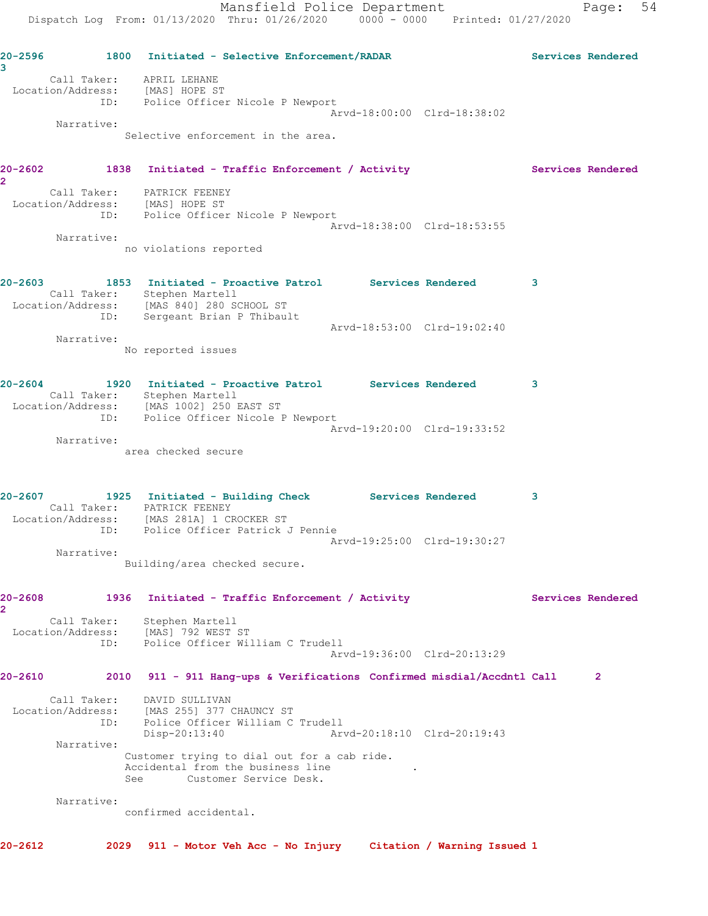**20-2596 1800 Initiated - Selective Enforcement/RADAR Services Rendered 3**  Call Taker: APRIL LEHANE Location/Address: [MAS] HOPE ST ID: Police Officer Nicole P Newport Arvd-18:00:00 Clrd-18:38:02 Narrative: Selective enforcement in the area. 20-2602 1838 Initiated - Traffic Enforcement / Activity **Services Rendered 2**  Call Taker: PATRICK FEENEY Location/Address: [MAS] HOPE ST ID: Police Officer Nicole P Newport Arvd-18:38:00 Clrd-18:53:55 Narrative: no violations reported **20-2603 1853 Initiated - Proactive Patrol Services Rendered 3**  Call Taker: Stephen Martell Location/Address: [MAS 840] 280 SCHOOL ST ID: Sergeant Brian P Thibault Arvd-18:53:00 Clrd-19:02:40 Narrative: No reported issues **20-2604 1920 Initiated - Proactive Patrol Services Rendered 3**  Call Taker: Stephen Martell Location/Address: [MAS 1002] 250 EAST ST ID: Police Officer Nicole P Newport Arvd-19:20:00 Clrd-19:33:52 Narrative: area checked secure **20-2607 1925 Initiated - Building Check Services Rendered 3**  Call Taker: PATRICK FEENEY Location/Address: [MAS 281A] 1 CROCKER ST ID: Police Officer Patrick J Pennie Arvd-19:25:00 Clrd-19:30:27 Narrative: Building/area checked secure. **20-2608 1936 Initiated - Traffic Enforcement / Activity Services Rendered 2**  Call Taker: Stephen Martell Location/Address: [MAS] 792 WEST ST ID: Police Officer William C Trudell Arvd-19:36:00 Clrd-20:13:29 **20-2610 2010 911 - 911 Hang-ups & Verifications Confirmed misdial/Accdntl Call 2** Call Taker: DAVID SULLIVAN Location/Address: [MAS 255] 377 CHAUNCY ST ID: Police Officer William C Trudell Disp-20:13:40 Arvd-20:18:10 Clrd-20:19:43 Narrative: Customer trying to dial out for a cab ride. Accidental from the business line See Customer Service Desk. Narrative: confirmed accidental. **20-2612 2029 911 - Motor Veh Acc - No Injury Citation / Warning Issued 1**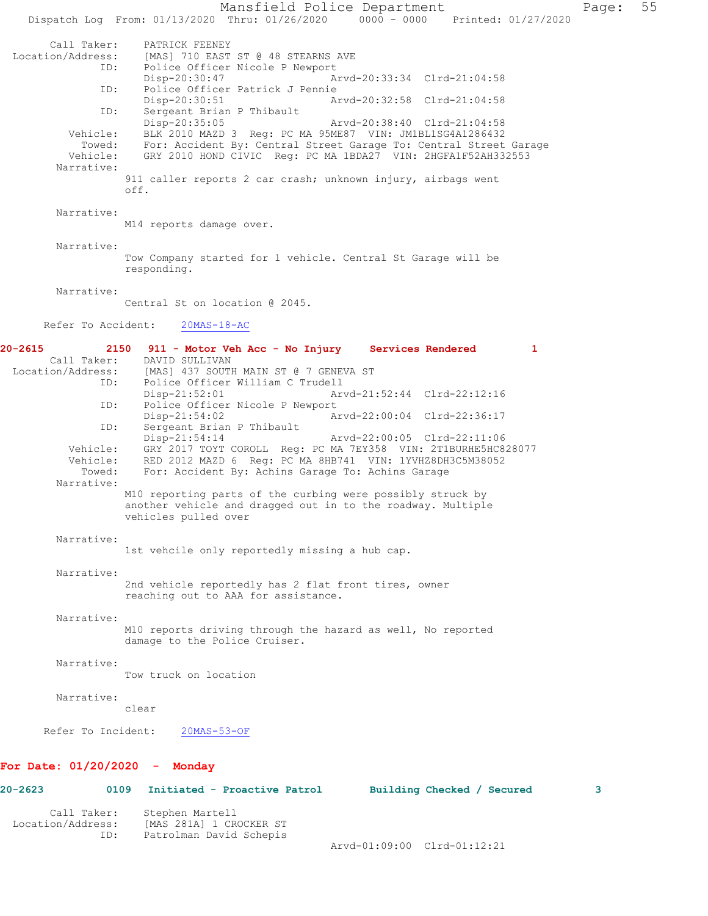Mansfield Police Department Form Page: 55 Dispatch Log From: 01/13/2020 Thru: 01/26/2020 0000 - 0000 Printed: 01/27/2020 Call Taker: PATRICK FEENEY<br>Location/Address: [MAS] 710 EAST [MAS] 710 EAST ST @ 48 STEARNS AVE ID: Police Officer Nicole P Newport<br>Disp-20:30:47 A Disp-20:30:47 Arvd-20:33:34 Clrd-21:04:58<br>ID: Police Officer Patrick J Pennie Police Officer Patrick J Pennie<br>Disp-20:30:51 Ar Arvd-20:32:58 Clrd-21:04:58 ID: Sergeant Brian P Thibault<br>Disp-20:35:05 Disp-20:35:05 Arvd-20:38:40 Clrd-21:04:58<br>Vehicle: BLK 2010 MAZD 3 Req: PC MA 95ME87 VIN: JM1BL1SG4A1286432 BLK 2010 MAZD 3 Reg: PC MA 95ME87 VIN: JM1BL1SG4A1286432 Towed: For: Accident By: Central Street Garage To: Central Street Garage Vehicle: GRY 2010 HOND CIVIC Reg: PC MA 1BDA27 VIN: 2HGFA1F52AH332553 Narrative: 911 caller reports 2 car crash; unknown injury, airbags went off. Narrative: M14 reports damage over. Narrative: Tow Company started for 1 vehicle. Central St Garage will be responding. Narrative: Central St on location @ 2045. Refer To Accident: 20MAS-18-AC **20-2615 2150 911 - Motor Veh Acc - No Injury Services Rendered 1**  Call Taker: DAVID SULLIVAN Location/Address: [MAS] 437 SOUTH MAIN ST @ 7 GENEVA ST ID: Police Officer William C Trudell Disp-21:52:01 Arvd-21:52:44 Clrd-22:12:16 ID: Police Officer Nicole P Newport<br>Disp-21:54:02 A Disp-21:54:02 <br>
D: Sergeant Brian P Thibault<br>
D: Sergeant Brian P Thibault Sergeant Brian P Thibault<br>Disp-21:54:14 Arvd-22:00:05 Clrd-22:11:06 Vehicle: GRY 2017 TOYT COROLL Reg: PC MA 7EY358 VIN: 2T1BURHE5HC828077 Vehicle: RED 2012 MAZD 6 Reg: PC MA 8HB741 VIN: 1YVHZ8DH3C5M38052<br>Towed: For: Accident By: Achins Garage To: Achins Garage For: Accident By: Achins Garage To: Achins Garage Narrative: M10 reporting parts of the curbing were possibly struck by another vehicle and dragged out in to the roadway. Multiple vehicles pulled over Narrative: 1st vehcile only reportedly missing a hub cap. Narrative: 2nd vehicle reportedly has 2 flat front tires, owner reaching out to AAA for assistance. Narrative: M10 reports driving through the hazard as well, No reported damage to the Police Cruiser. Narrative: Tow truck on location Narrative: clear Refer To Incident: 20MAS-53-OF **For Date: 01/20/2020 - Monday 20-2623 0109 Initiated - Proactive Patrol Building Checked / Secured 3**

 Call Taker: Stephen Martell Location/Address: [MAS 281A] 1 CROCKER ST ID: Patrolman David Schepis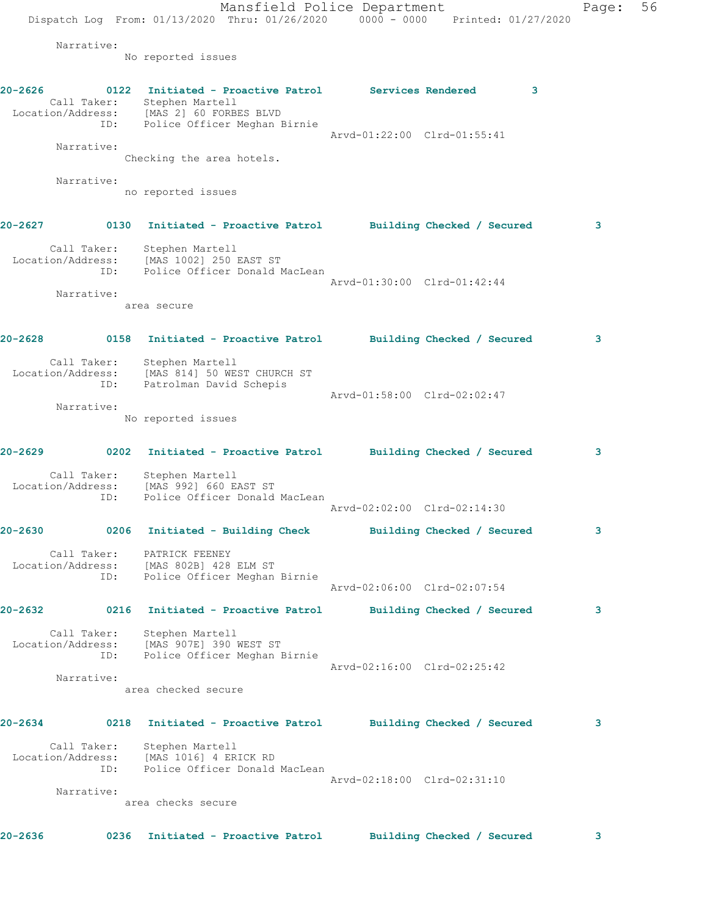Mansfield Police Department Fage: 56 Dispatch Log From: 01/13/2020 Thru: 01/26/2020 0000 - 0000 Printed: 01/27/2020 Narrative: No reported issues **20-2626 0122 Initiated - Proactive Patrol Services Rendered 3**  Call Taker: Stephen Martell Location/Address: [MAS 2] 60 FORBES BLVD ID: Police Officer Meghan Birnie Arvd-01:22:00 Clrd-01:55:41 Narrative: Checking the area hotels. Narrative: no reported issues **20-2627 0130 Initiated - Proactive Patrol Building Checked / Secured 3** Call Taker: Stephen Martell Location/Address: [MAS 1002] 250 EAST ST ID: Police Officer Donald MacLean Arvd-01:30:00 Clrd-01:42:44 Narrative: area secure **20-2628 0158 Initiated - Proactive Patrol Building Checked / Secured 3** Call Taker: Stephen Martell Location/Address: [MAS 814] 50 WEST CHURCH ST ID: Patrolman David Schepis Arvd-01:58:00 Clrd-02:02:47 Narrative: No reported issues **20-2629 0202 Initiated - Proactive Patrol Building Checked / Secured 3** Call Taker: Stephen Martell Location/Address: [MAS 992] 660 EAST ST ID: Police Officer Donald MacLean Arvd-02:02:00 Clrd-02:14:30 **20-2630 0206 Initiated - Building Check Building Checked / Secured 3** Call Taker: PATRICK FEENEY Location/Address: [MAS 802B] 428 ELM ST ID: Police Officer Meghan Birnie Arvd-02:06:00 Clrd-02:07:54 **20-2632 0216 Initiated - Proactive Patrol Building Checked / Secured 3** Call Taker: Stephen Martell Location/Address: [MAS 907E] 390 WEST ST ID: Police Officer Meghan Birnie Arvd-02:16:00 Clrd-02:25:42 Narrative: area checked secure **20-2634 0218 Initiated - Proactive Patrol Building Checked / Secured 3** Call Taker: Stephen Martell Location/Address: [MAS 1016] 4 ERICK RD ID: Police Officer Donald MacLean Arvd-02:18:00 Clrd-02:31:10 Narrative: area checks secure

**20-2636 0236 Initiated - Proactive Patrol Building Checked / Secured 3**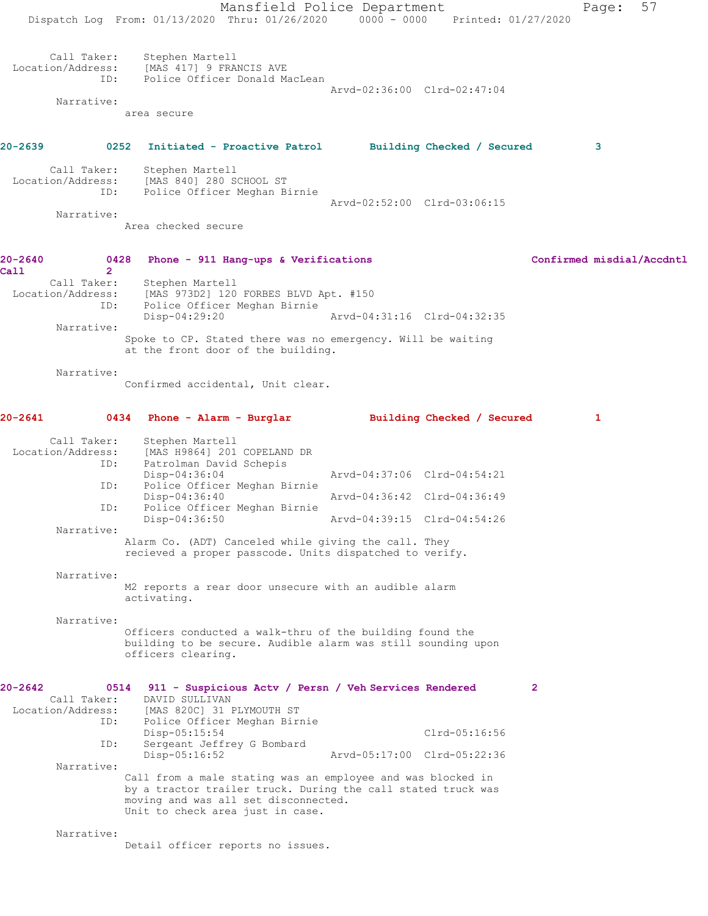Mansfield Police Department Page: 57 Dispatch Log From: 01/13/2020 Thru: 01/26/2020 0000 - 0000 Printed: 01/27/2020 Call Taker: Stephen Martell Location/Address: [MAS 417] 9 FRANCIS AVE ID: Police Officer Donald MacLean Arvd-02:36:00 Clrd-02:47:04 Narrative: area secure **20-2639 0252 Initiated - Proactive Patrol Building Checked / Secured 3** Call Taker: Stephen Martell<br>Location/Address: [MAS 840] 280 S [MAS 840] 280 SCHOOL ST ID: Police Officer Meghan Birnie Arvd-02:52:00 Clrd-03:06:15 Narrative: Area checked secure **20-2640 0428 Phone - 911 Hang-ups & Verifications Confirmed misdial/Accdntl Call 2**  Call Taker: Stephen Martell Location/Address: [MAS 973D2] 120 FORBES BLVD Apt. #150<br>ID: Police Officer Meghan Birnie Police Officer Meghan Birnie<br>Disp-04:29:20 Disp-04:29:20 Arvd-04:31:16 Clrd-04:32:35 Narrative: Spoke to CP. Stated there was no emergency. Will be waiting at the front door of the building. Narrative: Confirmed accidental, Unit clear. **20-2641 0434 Phone - Alarm - Burglar Building Checked / Secured 1** Call Taker: Stephen Martell<br>Location/Address: [MAS H9864] 201 ess: [MAS H9864] 201 COPELAND DR<br>ID: Patrolman David Schepis Patrolman David Schepis<br>Disp-04:36:04 Disp-04:36:04 Arvd-04:37:06 Clrd-04:54:21 ID: Police Officer Meghan Birnie Disp-04:36:40 Arvd-04:36:42 Clrd-04:36:49 ID: Police Officer Meghan Birnie Disp-04:36:50 Arvd-04:39:15 Clrd-04:54:26 Narrative: Alarm Co. (ADT) Canceled while giving the call. They recieved a proper passcode. Units dispatched to verify. Narrative: M2 reports a rear door unsecure with an audible alarm activating. Narrative: Officers conducted a walk-thru of the building found the building to be secure. Audible alarm was still sounding upon officers clearing. **20-2642 0514 911 - Suspicious Actv / Persn / Veh Services Rendered 2**  Call Taker: DAVID SULLIVAN<br>Location/Address: [MAS 820C] 31 1 [MAS 820C] 31 PLYMOUTH ST ID: Police Officer Meghan Birnie Disp-05:15:54 Clrd-05:16:56<br>ID: Sergeant Jeffrey G Bombard Sergeant Jeffrey G Bombard<br>Disp-05:16:52 Arvd-05:17:00 Clrd-05:22:36 Narrative: Call from a male stating was an employee and was blocked in by a tractor trailer truck. During the call stated truck was moving and was all set disconnected. Unit to check area just in case. Narrative: Detail officer reports no issues.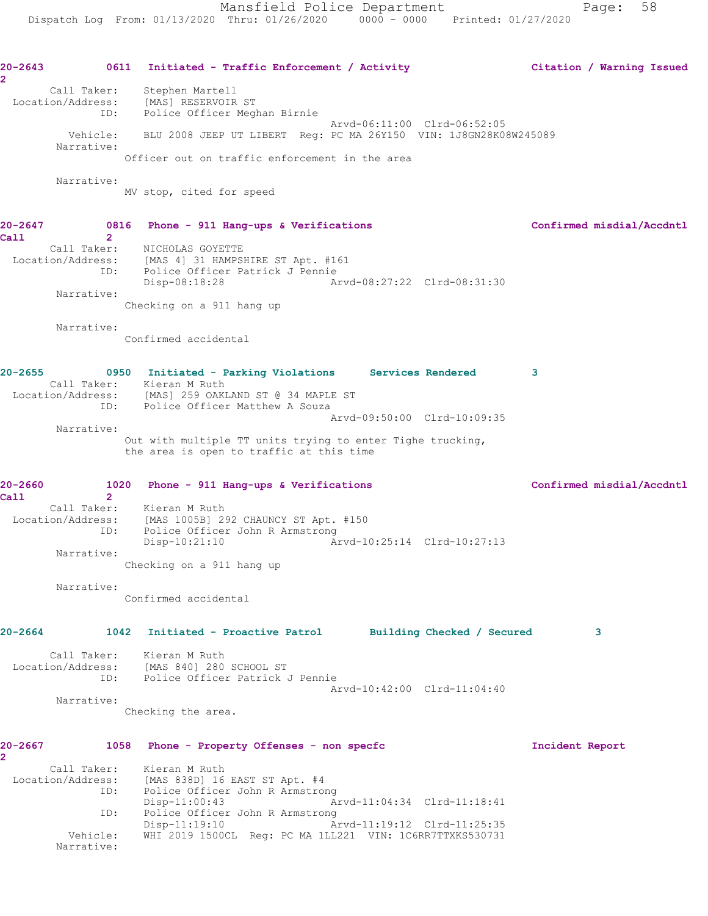**20-2643 0611 Initiated - Traffic Enforcement / Activity Citation / Warning Issued 2**  Call Taker: Stephen Martell Location/Address: [MAS] RESERVOIR ST ID: Police Officer Meghan Birnie Arvd-06:11:00 Clrd-06:52:05 Vehicle: BLU 2008 JEEP UT LIBERT Reg: PC MA 26Y150 VIN: 1J8GN28K08W245089 Narrative: Officer out on traffic enforcement in the area Narrative: MV stop, cited for speed **20-2647 0816 Phone - 911 Hang-ups & Verifications Confirmed misdial/Accdntl Call 2**  Call Taker: NICHOLAS GOYETTE Location/Address: [MAS 4] 31 HAMPSHIRE ST Apt. #161 ID: Police Officer Patrick J Pennie<br>Disp-08:18:28 Ar Disp-08:18:28 Arvd-08:27:22 Clrd-08:31:30 Narrative: Checking on a 911 hang up Narrative: Confirmed accidental **20-2655 0950 Initiated - Parking Violations Services Rendered 3**  Call Taker: Kieran M Ruth Location/Address: [MAS] 259 OAKLAND ST @ 34 MAPLE ST ID: Police Officer Matthew A Souza Arvd-09:50:00 Clrd-10:09:35 Narrative: Out with multiple TT units trying to enter Tighe trucking, the area is open to traffic at this time **20-2660 1020 Phone - 911 Hang-ups & Verifications Confirmed misdial/Accdntl Call 2**  Call Taker: Kieran M Ruth Location/Address: [MAS 1005B] 292 CHAUNCY ST Apt. #150 ID: Police Officer John R Armstrong Disp-10:21:10 Arvd-10:25:14 Clrd-10:27:13 Narrative: Checking on a 911 hang up Narrative: Confirmed accidental **20-2664 1042 Initiated - Proactive Patrol Building Checked / Secured 3** Call Taker: Kieran M Ruth Location/Address: [MAS 840] 280 SCHOOL ST ID: Police Officer Patrick J Pennie Arvd-10:42:00 Clrd-11:04:40 Narrative: Checking the area. **20-2667 1058 Phone - Property Offenses - non specfc Incident Report 2**  Call Taker: Kieran M Ruth Location/Address: [MAS 838D] 16 EAST ST Apt. #4 ID: Police Officer John R Armstrong Disp-11:00:43 Arvd-11:04:34 Clrd-11:18:41 ID: Police Officer John R Armstrong<br>Disp-11:19:10 Ar Arvd-11:19:12 Clrd-11:25:35 Vehicle: WHI 2019 1500CL Reg: PC MA 1LL221 VIN: 1C6RR7TTXKS530731 Narrative: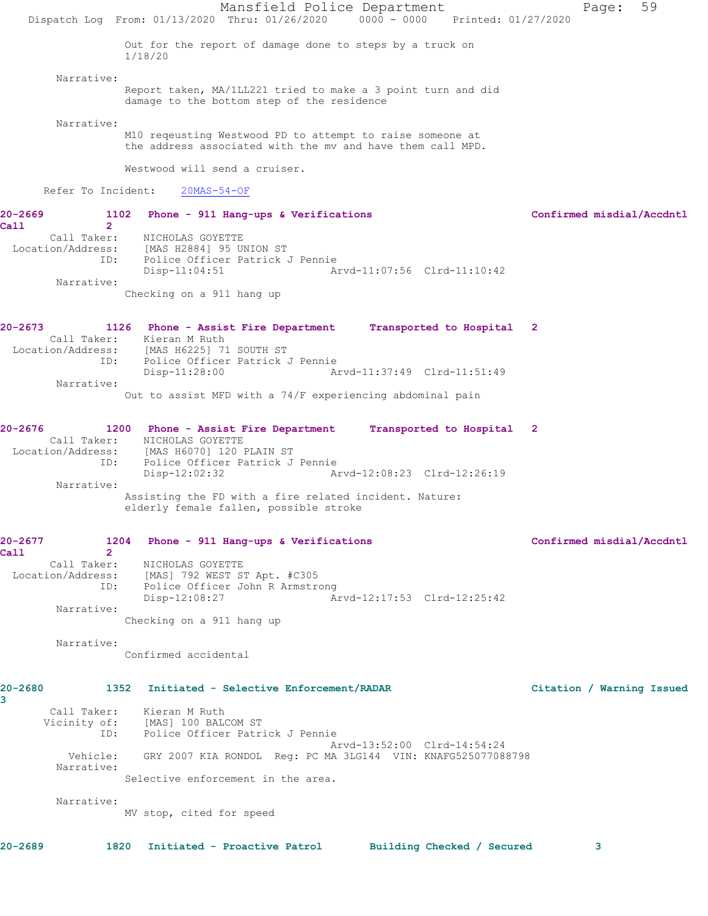Mansfield Police Department Page: 59 Dispatch Log From: 01/13/2020 Thru: 01/26/2020 0000 - 0000 Printed: 01/27/2020 Out for the report of damage done to steps by a truck on 1/18/20 Narrative: Report taken, MA/1LL221 tried to make a 3 point turn and did damage to the bottom step of the residence Narrative: M10 reqeusting Westwood PD to attempt to raise someone at the address associated with the mv and have them call MPD. Westwood will send a cruiser. Refer To Incident: 20MAS-54-OF **20-2669 1102 Phone - 911 Hang-ups & Verifications Confirmed misdial/Accdntl Call 2**  Call Taker: NICHOLAS GOYETTE Location/Address: [MAS H2884] 95 UNION ST ID: Police Officer Patrick J Pennie Disp-11:04:51 Arvd-11:07:56 Clrd-11:10:42 Narrative: Checking on a 911 hang up **20-2673 1126 Phone - Assist Fire Department Transported to Hospital 2**  Call Taker: Kieran M Ruth Location/Address: [MAS H6225] 71 SOUTH ST ID: Police Officer Patrick J Pennie Disp-11:28:00 Arvd-11:37:49 Clrd-11:51:49 Narrative: Out to assist MFD with a 74/F experiencing abdominal pain **20-2676 1200 Phone - Assist Fire Department Transported to Hospital 2**  Call Taker: NICHOLAS GOYETTE Location/Address: [MAS H6070] 120 PLAIN ST ID: Police Officer Patrick J Pennie Disp-12:02:32 Arvd-12:08:23 Clrd-12:26:19 Narrative: Assisting the FD with a fire related incident. Nature: elderly female fallen, possible stroke **20-2677 1204 Phone - 911 Hang-ups & Verifications Confirmed misdial/Accdntl Call 2**  Call Taker: NICHOLAS GOYETTE Location/Address: [MAS] 792 WEST ST Apt. #C305<br>ID: Police Officer John R Armstrc<br>Disp-12:08:27 Police Officer John R Armstrong Arvd-12:17:53 Clrd-12:25:42 Narrative: Checking on a 911 hang up Narrative: Confirmed accidental **20-2680 1352 Initiated - Selective Enforcement/RADAR Citation / Warning Issued 3**  Call Taker: Kieran M Ruth Vicinity of: [MAS] 100 BALCOM ST ID: Police Officer Patrick J Pennie Arvd-13:52:00 Clrd-14:54:24 Vehicle: GRY 2007 KIA RONDOL Reg: PC MA 3LG144 VIN: KNAFG525077088798 Narrative: Selective enforcement in the area. Narrative: MV stop, cited for speed **20-2689 1820 Initiated - Proactive Patrol Building Checked / Secured 3**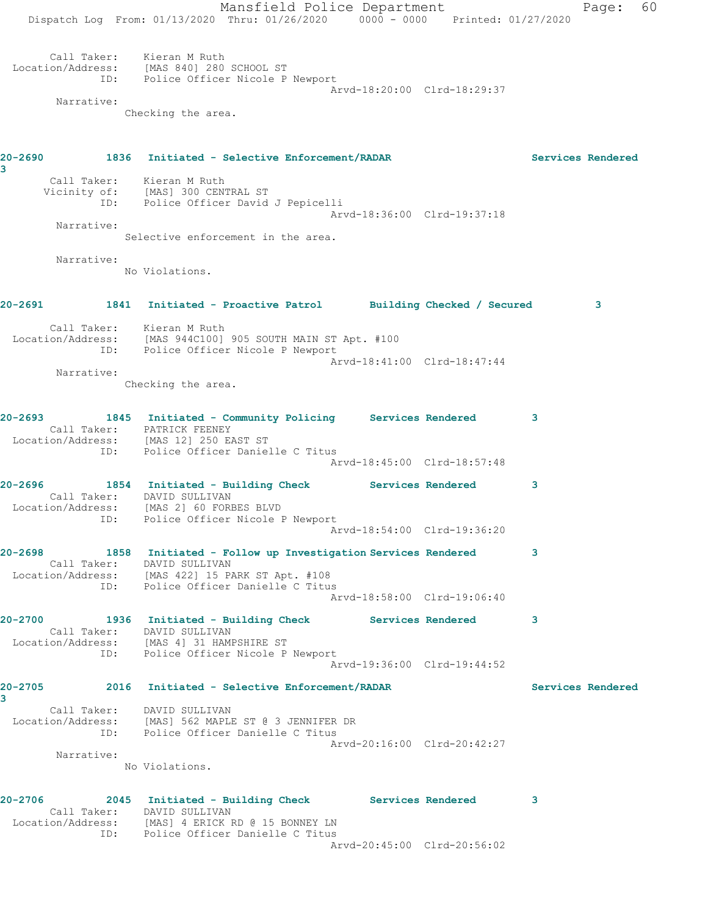Mansfield Police Department Page: 60 Dispatch Log From: 01/13/2020 Thru: 01/26/2020 0000 - 0000 Printed: 01/27/2020 Call Taker: Kieran M Ruth Location/Address: [MAS 840] 280 SCHOOL ST ID: Police Officer Nicole P Newport Arvd-18:20:00 Clrd-18:29:37 Narrative: Checking the area. **20-2690 1836 Initiated - Selective Enforcement/RADAR Services Rendered 3**  Call Taker: Kieran M Ruth Vicinity of: [MAS] 300 CENTRAL ST ID: Police Officer David J Pepicelli Arvd-18:36:00 Clrd-19:37:18 Narrative: Selective enforcement in the area. Narrative: No Violations. **20-2691 1841 Initiated - Proactive Patrol Building Checked / Secured 3** Call Taker: Kieran M Ruth Location/Address: [MAS 944C100] 905 SOUTH MAIN ST Apt. #100 ID: Police Officer Nicole P Newport Arvd-18:41:00 Clrd-18:47:44 Narrative: Checking the area. **20-2693 1845 Initiated - Community Policing Services Rendered 3**  Call Taker: PATRICK FEENEY Location/Address: [MAS 12] 250 EAST ST ID: Police Officer Danielle C Titus Arvd-18:45:00 Clrd-18:57:48 **20-2696 1854 Initiated - Building Check Services Rendered 3**  Call Taker: DAVID SULLIVAN Location/Address: [MAS 2] 60 FORBES BLVD ID: Police Officer Nicole P Newport Arvd-18:54:00 Clrd-19:36:20 **20-2698 1858 Initiated - Follow up Investigation Services Rendered 3**  Call Taker: DAVID SULLIVAN Location/Address: [MAS 422] 15 PARK ST Apt. #108 ID: Police Officer Danielle C Titus Arvd-18:58:00 Clrd-19:06:40 **20-2700 1936 Initiated - Building Check Services Rendered 3**  Call Taker: DAVID SULLIVAN Location/Address: [MAS 4] 31 HAMPSHIRE ST ID: Police Officer Nicole P Newport Arvd-19:36:00 Clrd-19:44:52 **20-2705 2016 Initiated - Selective Enforcement/RADAR Services Rendered 3**  Call Taker: DAVID SULLIVAN Location/Address: [MAS] 562 MAPLE ST @ 3 JENNIFER DR ID: Police Officer Danielle C Titus Arvd-20:16:00 Clrd-20:42:27 Narrative: No Violations. **20-2706 2045 Initiated - Building Check Services Rendered 3**  Call Taker: DAVID SULLIVAN Location/Address: [MAS] 4 ERICK RD @ 15 BONNEY LN ID: Police Officer Danielle C Titus Arvd-20:45:00 Clrd-20:56:02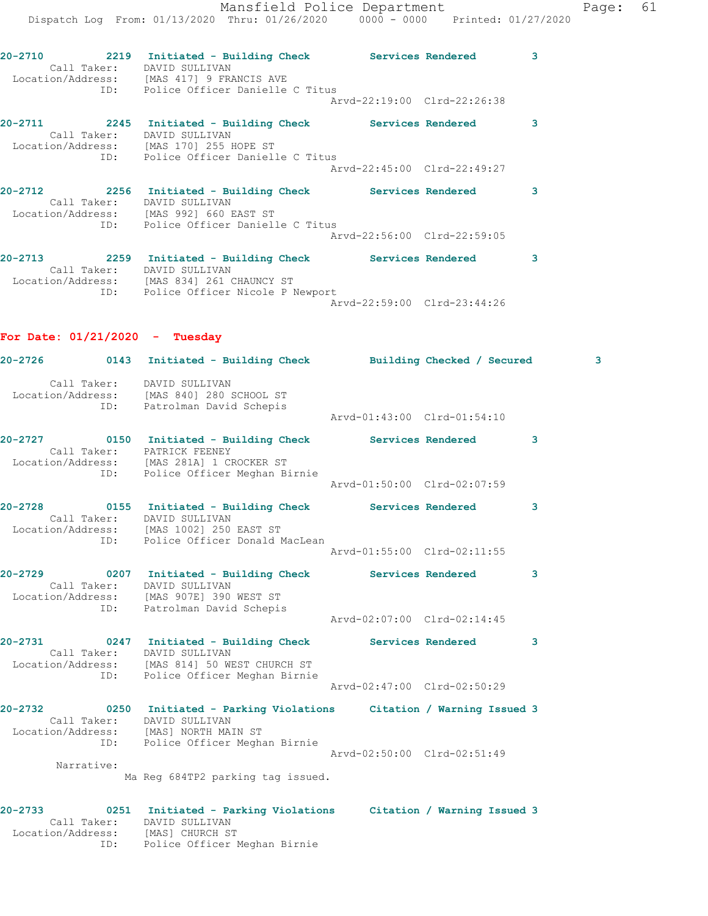Mansfield Police Department Fage: 61 Dispatch Log From: 01/13/2020 Thru: 01/26/2020 0000 - 0000 Printed: 01/27/2020 **20-2710 2219 Initiated - Building Check Services Rendered 3**  Call Taker: DAVID SULLIVAN Location/Address: [MAS 417] 9 FRANCIS AVE ID: Police Officer Danielle C Titus Arvd-22:19:00 Clrd-22:26:38 **20-2711 2245 Initiated - Building Check Services Rendered 3**  Call Taker: DAVID SULLIVAN Location/Address: [MAS 170] 255 HOPE ST ID: Police Officer Danielle C Titus Arvd-22:45:00 Clrd-22:49:27 **20-2712 2256 Initiated - Building Check Services Rendered 3**  Call Taker: DAVID SULLIVAN Location/Address: [MAS 992] 660 EAST ST ID: Police Officer Danielle C Titus Arvd-22:56:00 Clrd-22:59:05 **20-2713 2259 Initiated - Building Check Services Rendered 3**  Call Taker: DAVID SULLIVAN Location/Address: [MAS 834] 261 CHAUNCY ST ID: Police Officer Nicole P Newport Arvd-22:59:00 Clrd-23:44:26

**For Date: 01/21/2020 - Tuesday**

|                   |             | 20-2726 		 0143 Initiated - Building Check 		 Building Checked / Secured                                                                                                      |                             | 3 |
|-------------------|-------------|-------------------------------------------------------------------------------------------------------------------------------------------------------------------------------|-----------------------------|---|
|                   |             | Call Taker: DAVID SULLIVAN<br>Location/Address: [MAS 840] 280 SCHOOL ST<br>ID: Patrolman David Schepis                                                                        | Arvd-01:43:00 Clrd-01:54:10 |   |
|                   | ID:         | 20-2727  0150  Initiated - Building Check Services Rendered<br>Call Taker: PATRICK FEENEY<br>Location/Address: [MAS 281A] 1 CROCKER ST<br>Police Officer Meghan Birnie        |                             | 3 |
|                   |             |                                                                                                                                                                               | Arvd-01:50:00 Clrd-02:07:59 |   |
|                   |             | 20-2728 		 0155 Initiated - Building Check Services Rendered<br>Call Taker: DAVID SULLIVAN<br>Location/Address: [MAS 1002] 250 EAST ST<br>ID: Police Officer Donald MacLean   |                             | 3 |
|                   |             |                                                                                                                                                                               | Arvd-01:55:00 Clrd-02:11:55 |   |
|                   |             | 20-2729       0207 Initiated - Building Check      Services Rendered<br>Call Taker: DAVID SULLIVAN<br>Location/Address: [MAS 907E] 390 WEST ST<br>ID: Patrolman David Schepis |                             | 3 |
|                   |             |                                                                                                                                                                               | Aryd-02:07:00 Clrd-02:14:45 |   |
|                   |             | 20-2731 0247 Initiated - Building Check Services Rendered<br>Call Taker: DAVID SULLIVAN<br>Location/Address: [MAS 814] 50 WEST CHURCH ST<br>ID: Police Officer Meghan Birnie  |                             | 3 |
|                   |             |                                                                                                                                                                               | Arvd-02:47:00 Clrd-02:50:29 |   |
|                   |             | 20-2732 0250 Initiated - Parking Violations Citation / Warning Issued 3<br>Call Taker: DAVID SULLIVAN<br>Location/Address: [MAS] NORTH MAIN ST                                |                             |   |
|                   |             | ID: Police Officer Meghan Birnie                                                                                                                                              | Arvd-02:50:00 Clrd-02:51:49 |   |
|                   | Narrative:  | Ma Reg 684TP2 parking tag issued.                                                                                                                                             |                             |   |
| Location/Address: | Call Taker: | 20-2733 6251 Initiated - Parking Violations Citation / Warning Issued 3<br>DAVID SULLIVAN<br>[MAS] CHURCH ST                                                                  |                             |   |

ID: Police Officer Meghan Birnie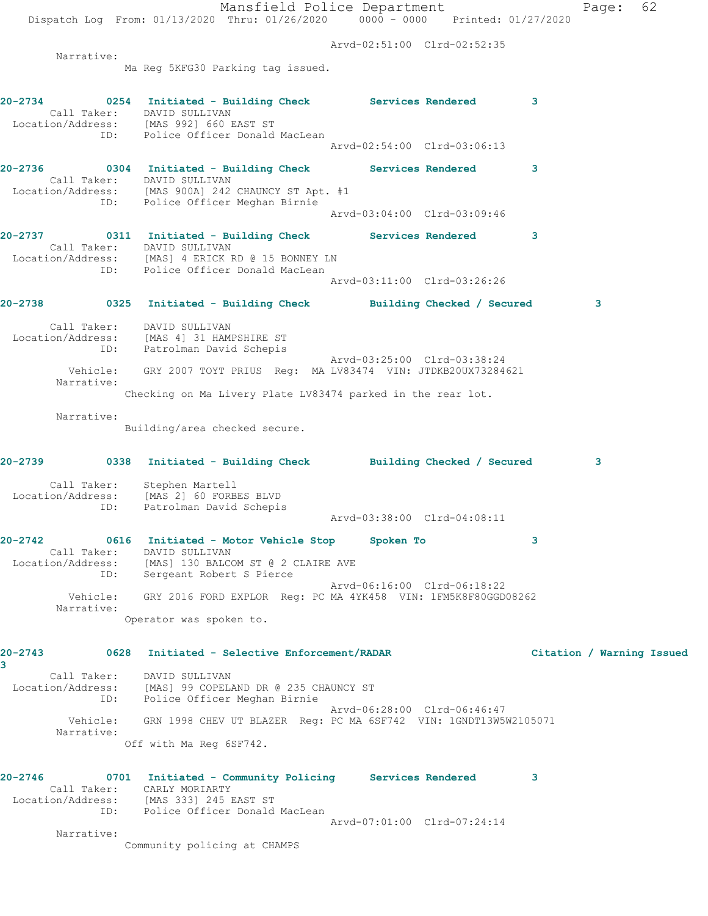Mansfield Police Department Page: 62 Dispatch Log From: 01/13/2020 Thru: 01/26/2020 0000 - 0000 Printed: 01/27/2020 Arvd-02:51:00 Clrd-02:52:35 Narrative: Ma Reg 5KFG30 Parking tag issued. **20-2734 0254 Initiated - Building Check Services Rendered 3**  Call Taker: DAVID SULLIVAN Location/Address: [MAS 992] 660 EAST ST ID: Police Officer Donald MacLean Arvd-02:54:00 Clrd-03:06:13 **20-2736 0304 Initiated - Building Check Services Rendered 3**  Call Taker: DAVID SULLIVAN Location/Address: [MAS 900A] 242 CHAUNCY ST Apt. #1 ID: Police Officer Meghan Birnie Arvd-03:04:00 Clrd-03:09:46 **20-2737 0311 Initiated - Building Check Services Rendered 3**  Call Taker: DAVID SULLIVAN Location/Address: [MAS] 4 ERICK RD @ 15 BONNEY LN ID: Police Officer Donald MacLean Arvd-03:11:00 Clrd-03:26:26 **20-2738 0325 Initiated - Building Check Building Checked / Secured 3** Call Taker: DAVID SULLIVAN Location/Address: [MAS 4] 31 HAMPSHIRE ST ID: Patrolman David Schepis Arvd-03:25:00 Clrd-03:38:24 Vehicle: GRY 2007 TOYT PRIUS Reg: MA LV83474 VIN: JTDKB20UX73284621 Narrative: Checking on Ma Livery Plate LV83474 parked in the rear lot. Narrative: Building/area checked secure. **20-2739 0338 Initiated - Building Check Building Checked / Secured 3** Call Taker: Stephen Martell Location/Address: [MAS 2] 60 FORBES BLVD ID: Patrolman David Schepis Arvd-03:38:00 Clrd-04:08:11 **20-2742 0616 Initiated - Motor Vehicle Stop Spoken To 3**  Call Taker: DAVID SULLIVAN Location/Address: [MAS] 130 BALCOM ST @ 2 CLAIRE AVE ID: Sergeant Robert S Pierce Arvd-06:16:00 Clrd-06:18:22 Vehicle: GRY 2016 FORD EXPLOR Reg: PC MA 4YK458 VIN: 1FM5K8F80GGD08262 Narrative: Operator was spoken to. **20-2743 0628 Initiated - Selective Enforcement/RADAR Citation / Warning Issued 3**  Call Taker: DAVID SULLIVAN Location/Address: [MAS] 99 COPELAND DR @ 235 CHAUNCY ST ID: Police Officer Meghan Birnie Arvd-06:28:00 Clrd-06:46:47 Vehicle: GRN 1998 CHEV UT BLAZER Reg: PC MA 6SF742 VIN: 1GNDT13W5W2105071 Narrative: Off with Ma Reg 6SF742. **20-2746 0701 Initiated - Community Policing Services Rendered 3**  Call Taker: CARLY MORIARTY Location/Address: [MAS 333] 245 EAST ST ID: Police Officer Donald MacLean Arvd-07:01:00 Clrd-07:24:14 Narrative:

Community policing at CHAMPS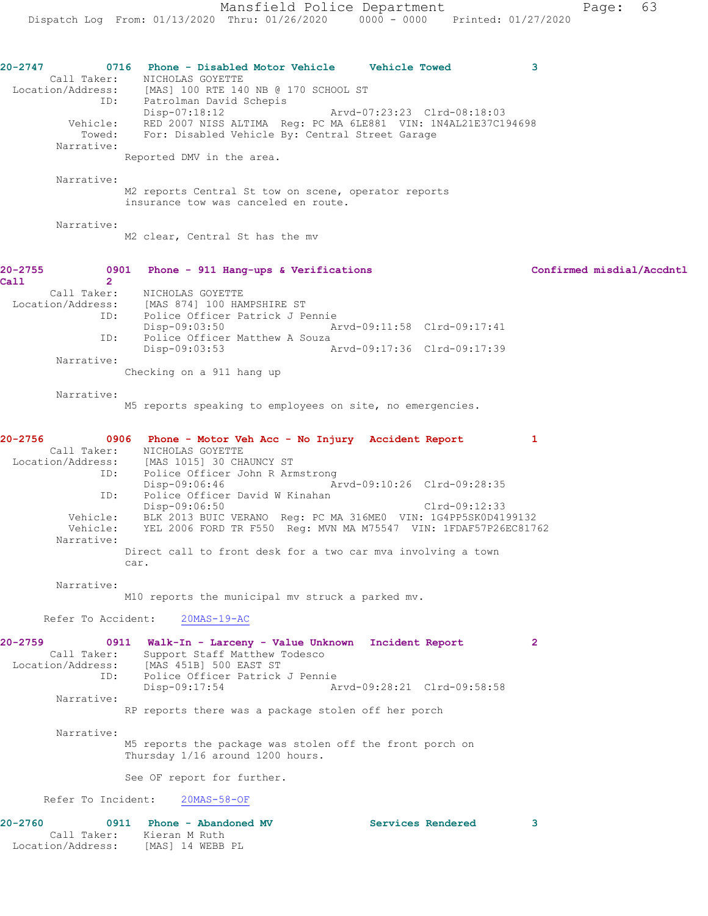**20-2747 0716 Phone - Disabled Motor Vehicle Vehicle Towed 3**  Call Taker: NICHOLAS GOYETTE Location/Address: [MAS] 100 RTE 140 NB @ 170 SCHOOL ST ID: Patrolman David Schepis<br>Disp-07:18:12 Disp-07:18:12 Arvd-07:23:23 Clrd-08:18:03 Vehicle: RED 2007 NISS ALTIMA Reg: PC MA 6LE881 VIN: 1N4AL21E37C194698 Towed: For: Disabled Vehicle By: Central Street Garage Narrative: Reported DMV in the area. Narrative: M2 reports Central St tow on scene, operator reports insurance tow was canceled en route. Narrative: M2 clear, Central St has the mv **20-2755 0901 Phone - 911 Hang-ups & Verifications Confirmed misdial/Accdntl Call 2**  Call Taker: NICHOLAS GOYETTE<br>Location/Address: [MAS 874] 100 HAI [MAS 874] 100 HAMPSHIRE ST ID: Police Officer Patrick J Pennie<br>Disp-09:03:50 Ar Disp-09:03:50 Arvd-09:11:58 Clrd-09:17:41 ID: Police Officer Matthew A Souza<br>Disp-09:03:53 A Disp-09:03:53 Arvd-09:17:36 Clrd-09:17:39 Narrative: Checking on a 911 hang up Narrative: M5 reports speaking to employees on site, no emergencies. **20-2756 0906 Phone - Motor Veh Acc - No Injury Accident Report 1**  Call Taker: NICHOLAS GOYETTE Location/Address: [MAS 1015] 30 CHAUNCY ST ID: Police Officer John R Armstrong<br>Disp-09:06:46 Am Arvd-09:10:26 Clrd-09:28:35 ID: Police Officer David W Kinahan Disp-09:06:50 Clrd-09:12:33 Vehicle: BLK 2013 BUIC VERANO Reg: PC MA 316ME0 VIN: 1G4PP5SK0D4199132 Vehicle: YEL 2006 FORD TR F550 Reg: MVN MA M75547 VIN: 1FDAF57P26EC81762 Narrative: Direct call to front desk for a two car mva involving a town car. Narrative: M10 reports the municipal mv struck a parked mv. Refer To Accident: 20MAS-19-AC **20-2759 0911 Walk-In - Larceny - Value Unknown Incident Report 2**  Call Taker: Support Staff Matthew Todesco Location/Address: [MAS 451B] 500 EAST ST ID: Police Officer Patrick J Pennie<br>Disp-09:17:54 Am Arvd-09:28:21 Clrd-09:58:58 Narrative: RP reports there was a package stolen off her porch Narrative: M5 reports the package was stolen off the front porch on Thursday 1/16 around 1200 hours. See OF report for further. Refer To Incident: 20MAS-58-OF **20-2760 0911 Phone - Abandoned MV Services Rendered 3**  Call Taker: Kieran M Ruth

Location/Address: [MAS] 14 WEBB PL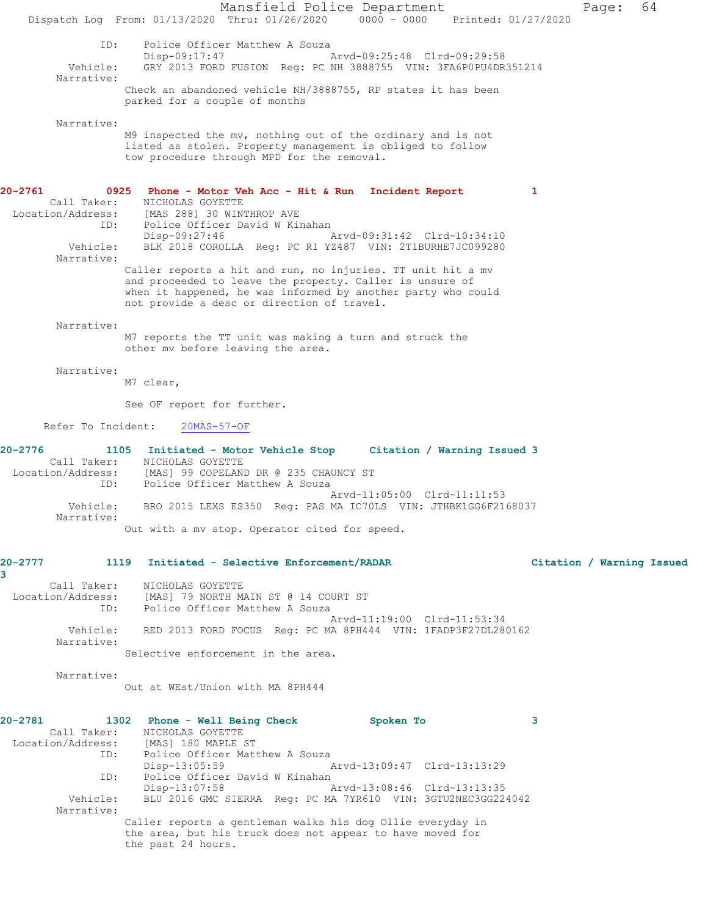Mansfield Police Department Page: 64 Dispatch Log From: 01/13/2020 Thru: 01/26/2020 0000 - 0000 Printed: 01/27/2020 ID: Police Officer Matthew A Souza Disp-09:17:47 <br>Vehicle: GRY 2013 FORD FUSION Reg: PC NH 3888755 VIN: 3FA6P0PU4DR GRY 2013 FORD FUSION Reg: PC NH 3888755 VIN: 3FA6P0PU4DR351214 Narrative: Check an abandoned vehicle NH/3888755, RP states it has been parked for a couple of months Narrative: M9 inspected the mv, nothing out of the ordinary and is not listed as stolen. Property management is obliged to follow tow procedure through MPD for the removal. **20-2761 0925 Phone - Motor Veh Acc - Hit & Run Incident Report 1**  Call Taker: NICHOLAS GOYETTE Location/Address: [MAS 288] 30 WINTHROP AVE ID: Police Officer David W Kinahan Disp-09:27:46 Arvd-09:31:42 Clrd-10:34:10 Vehicle: BLK 2018 COROLLA Reg: PC RI YZ487 VIN: 2T1BURHE7JC099280 Narrative: Caller reports a hit and run, no injuries. TT unit hit a mv and proceeded to leave the property. Caller is unsure of when it happened, he was informed by another party who could not provide a desc or direction of travel. Narrative: M7 reports the TT unit was making a turn and struck the other mv before leaving the area. Narrative: M7 clear, See OF report for further. Refer To Incident: 20MAS-57-OF **20-2776 1105 Initiated - Motor Vehicle Stop Citation / Warning Issued 3**  Call Taker: NICHOLAS GOYETTE Location/Address: [MAS] 99 COPELAND DR @ 235 CHAUNCY ST ID: Police Officer Matthew A Souza Arvd-11:05:00 Clrd-11:11:53 Vehicle: BRO 2015 LEXS ES350 Reg: PAS MA IC70LS VIN: JTHBK1GG6F2168037 Narrative: Out with a mv stop. Operator cited for speed. **20-2777 1119 Initiated - Selective Enforcement/RADAR Citation / Warning Issued 3**  Call Taker: NICHOLAS GOYETTE Location/Address: [MAS] 79 NORTH MAIN ST @ 14 COURT ST ID: Police Officer Matthew A Souza Arvd-11:19:00 Clrd-11:53:34 Vehicle: RED 2013 FORD FOCUS Reg: PC MA 8PH444 VIN: 1FADP3F27DL280162 Narrative: Selective enforcement in the area. Narrative: Out at WEst/Union with MA 8PH444 **20-2781 1302 Phone - Well Being Check Spoken To 3**  Call Taker: NICHOLAS GOYETTE Location/Address: [MAS] 180 MAPLE ST ID: Police Officer Matthew A Souza Disp-13:05:59 Arvd-13:09:47 Clrd-13:13:29 ID: Police Officer David W Kinahan<br>Disp-13:07:58 A Disp-13:07:58 Arvd-13:08:46 Clrd-13:13:35<br>Vehicle: BLU 2016 GMC SIERRA Req: PC MA 7YR610 VIN: 3GTU2NEC3GG22 BLU 2016 GMC SIERRA Reg: PC MA 7YR610 VIN: 3GTU2NEC3GG224042 Narrative: Caller reports a gentleman walks his dog Ollie everyday in the area, but his truck does not appear to have moved for the past 24 hours.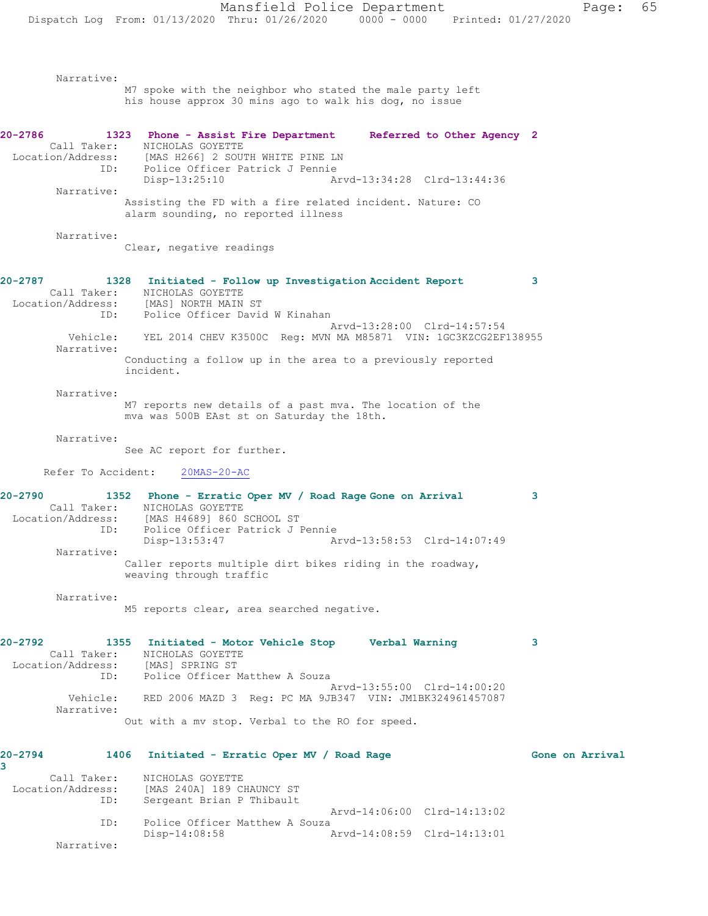Narrative: M7 spoke with the neighbor who stated the male party left his house approx 30 mins ago to walk his dog, no issue **20-2786 1323 Phone - Assist Fire Department Referred to Other Agency 2**  Call Taker: NICHOLAS GOYETTE Location/Address: [MAS H266] 2 SOUTH WHITE PINE LN ID: Police Officer Patrick J Pennie Arvd-13:34:28 Clrd-13:44:36 Narrative: Assisting the FD with a fire related incident. Nature: CO alarm sounding, no reported illness Narrative: Clear, negative readings **20-2787 1328 Initiated - Follow up Investigation Accident Report 3**  Call Taker: NICHOLAS GOYETTE<br>ion/Address: [MAS] NORTH MAIN ST Location/Address: ID: Police Officer David W Kinahan Arvd-13:28:00 Clrd-14:57:54 Vehicle: YEL 2014 CHEV K3500C Reg: MVN MA M85871 VIN: 1GC3KZCG2EF138955 Narrative: Conducting a follow up in the area to a previously reported incident. Narrative: M7 reports new details of a past mva. The location of the mva was 500B EAst st on Saturday the 18th. Narrative: See AC report for further. Refer To Accident: 20MAS-20-AC **20-2790 1352 Phone - Erratic Oper MV / Road Rage Gone on Arrival 3**  Call Taker: NICHOLAS GOYETTE Location/Address: [MAS H4689] 860 SCHOOL ST ID: Police Officer Patrick J Pennie Disp-13:53:47 Arvd-13:58:53 Clrd-14:07:49 Narrative: Caller reports multiple dirt bikes riding in the roadway, weaving through traffic Narrative: M5 reports clear, area searched negative. **20-2792 1355 Initiated - Motor Vehicle Stop Verbal Warning 3**  Call Taker: NICHOLAS GOYETTE Location/Address: [MAS] SPRING ST ID: Police Officer Matthew A Souza Arvd-13:55:00 Clrd-14:00:20 Vehicle: RED 2006 MAZD 3 Reg: PC MA 9JB347 VIN: JM1BK324961457087 Narrative: Out with a mv stop. Verbal to the RO for speed. **20-2794 1406 Initiated - Erratic Oper MV / Road Rage Gone on Arrival 3**  Call Taker: NICHOLAS GOYETTE Location/Address: [MAS 240A] 189 CHAUNCY ST Sergeant Brian P Thibault Arvd-14:06:00 Clrd-14:13:02 ID: Police Officer Matthew A Souza<br>Disp-14:08:58 Disp-14:08:58 Arvd-14:08:59 Clrd-14:13:01

Narrative: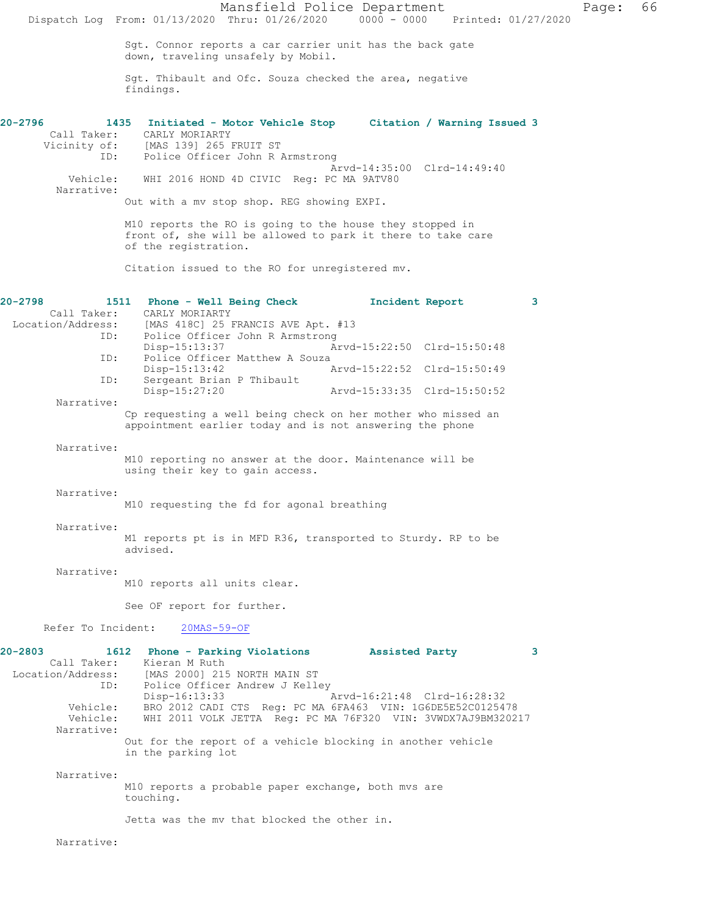Mansfield Police Department Page: 66 Dispatch Log From: 01/13/2020 Thru: 01/26/2020 0000 - 0000 Printed: 01/27/2020 Sgt. Connor reports a car carrier unit has the back gate down, traveling unsafely by Mobil. Sgt. Thibault and Ofc. Souza checked the area, negative findings. **20-2796 1435 Initiated - Motor Vehicle Stop Citation / Warning Issued 3**  Call Taker: CARLY MORIARTY Vicinity of: [MAS 139] 265 FRUIT ST<br>ID: Police Officer John B Police Officer John R Armstrong Arvd-14:35:00 Clrd-14:49:40 Vehicle: WHI 2016 HOND 4D CIVIC Reg: PC MA 9ATV80 Narrative: Out with a mv stop shop. REG showing EXPI. M10 reports the RO is going to the house they stopped in front of, she will be allowed to park it there to take care of the registration. Citation issued to the RO for unregistered mv. **20-2798 1511 Phone - Well Being Check Incident Report 3**  Call Taker: CARLY MORIARTY<br>Location/Address: [MAS 418C] 25 B ess: [MAS 418C] 25 FRANCIS AVE Apt. #13<br>ID: Police Officer John R Armstrong Police Officer John R Armstrong Disp-15:13:37 Arvd-15:22:50 Clrd-15:50:48<br>ID: Police Officer Matthew A Souza Police Officer Matthew A Souza<br>Disp-15:13:42 A Disp-15:13:42 Arvd-15:22:52 Clrd-15:50:49<br>TD: Sergeant Brian P Thibault Sergeant Brian P Thibault<br>Disp-15:27:20 Arvd-15:33:35 Clrd-15:50:52 Narrative: Cp requesting a well being check on her mother who missed an appointment earlier today and is not answering the phone Narrative: M10 reporting no answer at the door. Maintenance will be using their key to gain access. Narrative: M10 requesting the fd for agonal breathing Narrative: M1 reports pt is in MFD R36, transported to Sturdy. RP to be advised. Narrative: M10 reports all units clear. See OF report for further. Refer To Incident: 20MAS-59-OF **20-2803 1612 Phone - Parking Violations Assisted Party 3**  Call Taker: Kieran M Ruth Location/Address: [MAS 2000] 215 NORTH MAIN ST ID: Police Officer Andrew J Kelley<br>Disp-16:13:33 Disp-16:13:33 Arvd-16:21:48 Clrd-16:28:32 Vehicle: BRO 2012 CADI CTS Reg: PC MA 6FA463 VIN: 1G6DE5E52C0125478<br>Vehicle: WHI 2011 VOLK JETTA Reg: PC MA 76F320 VIN: 3VWDX7AJ9BM3202 WHI 2011 VOLK JETTA Reg: PC MA 76F320 VIN: 3VWDX7AJ9BM320217 Narrative: Out for the report of a vehicle blocking in another vehicle in the parking lot Narrative: M10 reports a probable paper exchange, both mvs are touching. Jetta was the mv that blocked the other in. Narrative: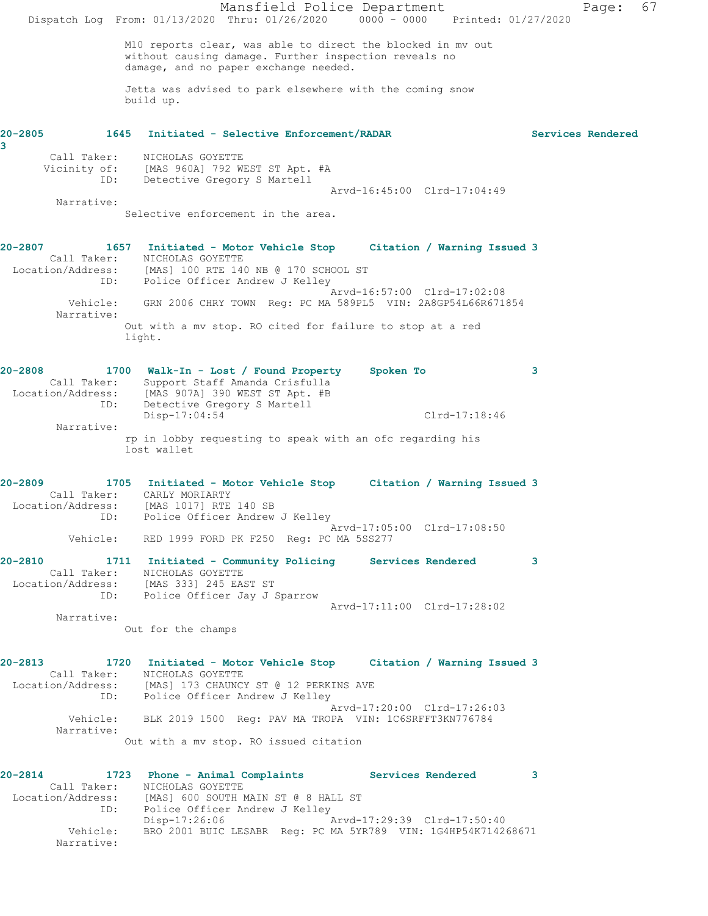Mansfield Police Department Page: 67 Dispatch Log From: 01/13/2020 Thru: 01/26/2020 0000 - 0000 Printed: 01/27/2020 M10 reports clear, was able to direct the blocked in mv out without causing damage. Further inspection reveals no damage, and no paper exchange needed. Jetta was advised to park elsewhere with the coming snow build up. **20-2805 1645 Initiated - Selective Enforcement/RADAR Services Rendered 3**  Call Taker: NICHOLAS GOYETTE Vicinity of: [MAS 960A] 792 WEST ST Apt. #A ID: Detective Gregory S Martell Arvd-16:45:00 Clrd-17:04:49 Narrative: Selective enforcement in the area. **20-2807 1657 Initiated - Motor Vehicle Stop Citation / Warning Issued 3**  Call Taker: NICHOLAS GOYETTE Location/Address: [MAS] 100 RTE 140 NB @ 170 SCHOOL ST ID: Police Officer Andrew J Kelley Arvd-16:57:00 Clrd-17:02:08 Vehicle: GRN 2006 CHRY TOWN Reg: PC MA 589PL5 VIN: 2A8GP54L66R671854 Narrative: Out with a mv stop. RO cited for failure to stop at a red light. **20-2808 1700 Walk-In - Lost / Found Property Spoken To 3**  Call Taker: Support Staff Amanda Crisfulla Location/Address: [MAS 907A] 390 WEST ST Apt. #B ID: Detective Gregory S Martell Disp-17:04:54 Clrd-17:18:46 Narrative: rp in lobby requesting to speak with an ofc regarding his lost wallet **20-2809 1705 Initiated - Motor Vehicle Stop Citation / Warning Issued 3**  Call Taker: CARLY MORIARTY Location/Address: [MAS 1017] RTE 140 SB ID: Police Officer Andrew J Kelley Arvd-17:05:00 Clrd-17:08:50 Vehicle: RED 1999 FORD PK F250 Reg: PC MA 5SS277 **20-2810 1711 Initiated - Community Policing Services Rendered 3**  Call Taker: NICHOLAS GOYETTE Location/Address: [MAS 333] 245 EAST ST ID: Police Officer Jay J Sparrow Arvd-17:11:00 Clrd-17:28:02 Narrative: Out for the champs **20-2813 1720 Initiated - Motor Vehicle Stop Citation / Warning Issued 3**  Call Taker: NICHOLAS GOYETTE Location/Address: [MAS] 173 CHAUNCY ST @ 12 PERKINS AVE ID: Police Officer Andrew J Kelley Arvd-17:20:00 Clrd-17:26:03 Vehicle: BLK 2019 1500 Reg: PAV MA TROPA VIN: 1C6SRFFT3KN776784 Narrative: Out with a mv stop. RO issued citation **20-2814 1723 Phone - Animal Complaints Services Rendered 3**  Call Taker: NICHOLAS GOYETTE Location/Address: [MAS] 600 SOUTH MAIN ST @ 8 HALL ST ID: Police Officer Andrew J Kelley<br>Disp-17:26:06 Disp-17:26:06 Arvd-17:29:39 Clrd-17:50:40 Vehicle: BRO 2001 BUIC LESABR Reg: PC MA 5YR789 VIN: 1G4HP54K714268671 Narrative: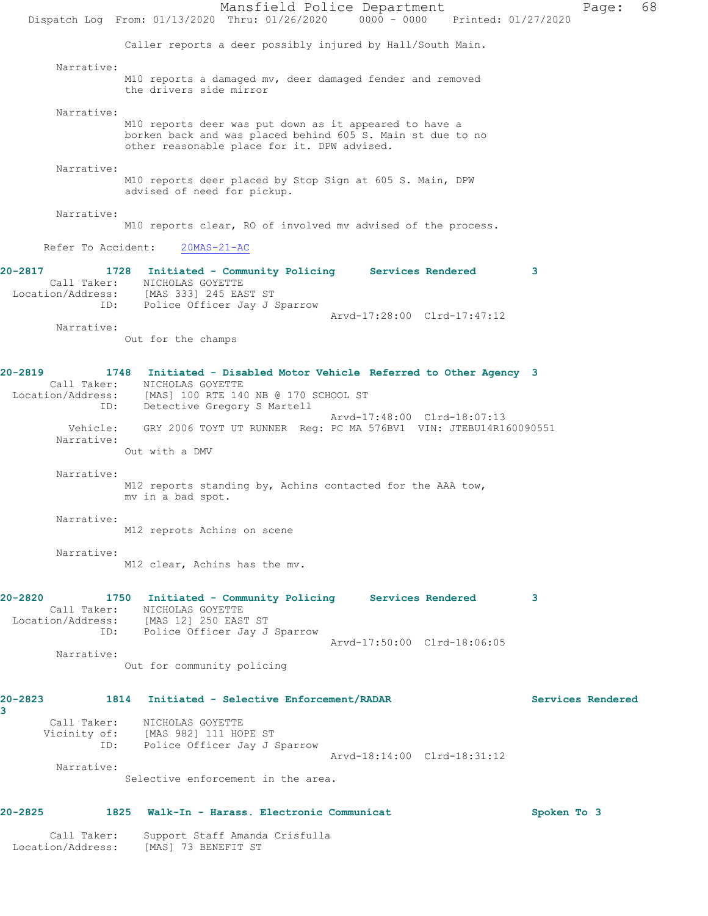Mansfield Police Department Page: 68 Dispatch Log From: 01/13/2020 Thru: 01/26/2020 0000 - 0000 Printed: 01/27/2020 Caller reports a deer possibly injured by Hall/South Main. Narrative: M10 reports a damaged mv, deer damaged fender and removed the drivers side mirror Narrative: M10 reports deer was put down as it appeared to have a borken back and was placed behind 605 S. Main st due to no other reasonable place for it. DPW advised. Narrative: M10 reports deer placed by Stop Sign at 605 S. Main, DPW advised of need for pickup. Narrative: M10 reports clear, RO of involved mv advised of the process. Refer To Accident: 20MAS-21-AC **20-2817 1728 Initiated - Community Policing Services Rendered 3**  Call Taker: NICHOLAS GOYETTE Location/Address: [MAS 333] 245 EAST ST ID: Police Officer Jay J Sparrow Arvd-17:28:00 Clrd-17:47:12 Narrative: Out for the champs **20-2819 1748 Initiated - Disabled Motor Vehicle Referred to Other Agency 3**  Call Taker: NICHOLAS GOYETTE Location/Address: [MAS] 100 RTE 140 NB @ 170 SCHOOL ST ID: Detective Gregory S Martell Arvd-17:48:00 Clrd-18:07:13 Vehicle: GRY 2006 TOYT UT RUNNER Reg: PC MA 576BV1 VIN: JTEBU14R160090551 Narrative: Out with a DMV Narrative: M12 reports standing by, Achins contacted for the AAA tow, mv in a bad spot. Narrative: M12 reprots Achins on scene Narrative: M12 clear, Achins has the mv. **20-2820 1750 Initiated - Community Policing Services Rendered 3**  Call Taker: NICHOLAS GOYETTE Location/Address: [MAS 12] 250 EAST ST ID: Police Officer Jay J Sparrow Arvd-17:50:00 Clrd-18:06:05 Narrative: Out for community policing **20-2823 1814 Initiated - Selective Enforcement/RADAR Services Rendered 3**  Call Taker: NICHOLAS GOYETTE Vicinity of: [MAS 982] 111 HOPE ST ID: Police Officer Jay J Sparrow Arvd-18:14:00 Clrd-18:31:12 Narrative: Selective enforcement in the area. **20-2825 1825 Walk-In - Harass. Electronic Communicat Spoken To 3** Call Taker: Support Staff Amanda Crisfulla Location/Address: [MAS] 73 BENEFIT ST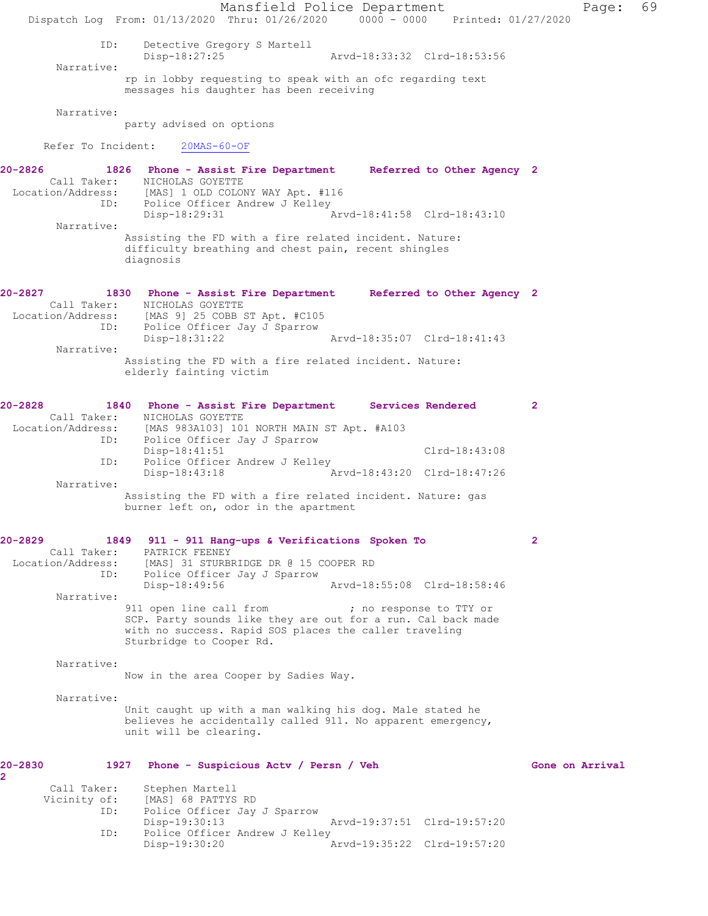Mansfield Police Department Page: 69 Dispatch Log From: 01/13/2020 Thru: 01/26/2020 0000 - 0000 Printed: 01/27/2020 ID: Detective Gregory S Martell<br>Disp-18:27:25 Disp-18:27:25 Arvd-18:33:32 Clrd-18:53:56 Narrative: rp in lobby requesting to speak with an ofc regarding text messages his daughter has been receiving Narrative: party advised on options Refer To Incident: 20MAS-60-OF **20-2826 1826 Phone - Assist Fire Department Referred to Other Agency 2**  Call Taker: NICHOLAS GOYETTE<br>Location/Address: [MAS] 1 OLD COLOP [MAS] 1 OLD COLONY WAY Apt. #116 ID: Police Officer Andrew J Kelley<br>Disp-18:29:31 Disp-18:29:31 Arvd-18:41:58 Clrd-18:43:10 Narrative: Assisting the FD with a fire related incident. Nature: difficulty breathing and chest pain, recent shingles diagnosis **20-2827 1830 Phone - Assist Fire Department Referred to Other Agency 2**  Call Taker: NICHOLAS GOYETTE Location/Address: [MAS 9] 25 COBB ST Apt. #C105 ID: Police Officer Jay J Sparrow<br>Disp-18:31:22 Arvd-18:35:07 Clrd-18:41:43 Narrative: Assisting the FD with a fire related incident. Nature: elderly fainting victim **20-2828 1840 Phone - Assist Fire Department Services Rendered 2**  Call Taker: NICHOLAS GOYETTE Location/Address: [MAS 983A103] 101 NORTH MAIN ST Apt. #A103 ID: Police Officer Jay J Sparrow Disp-18:41:51 Clrd-18:43:08 ID: Police Officer Andrew J Kelley<br>Disp-18:43:18 A Disp-18:43:18 Arvd-18:43:20 Clrd-18:47:26 Narrative: Assisting the FD with a fire related incident. Nature: gas burner left on, odor in the apartment **20-2829 1849 911 - 911 Hang-ups & Verifications Spoken To 2**  Call Taker: PATRICK FEENEY Location/Address: [MAS] 31 STURBRIDGE DR @ 15 COOPER RD<br>ID: Police Officer Jay J Sparrow Police Officer Jay J Sparrow<br>Disp-18:49:56 Disp-18:49:56 Arvd-18:55:08 Clrd-18:58:46 Narrative: 911 open line call from  $\cdot$  ; no response to TTY or SCP. Party sounds like they are out for a run. Cal back made with no success. Rapid SOS places the caller traveling Sturbridge to Cooper Rd. Narrative: Now in the area Cooper by Sadies Way. Narrative: Unit caught up with a man walking his dog. Male stated he believes he accidentally called 911. No apparent emergency, unit will be clearing. 20-2830 1927 Phone - Suspicious Actv / Persn / Veh Gone on Arrival **2**  Call Taker: Stephen Martell<br>Vicinity of: [MAS] 68 PATTYS [MAS] 68 PATTYS RD ID: Police Officer Jay J Sparrow<br>Disp-19:30:13 Disp-19:30:13 Arvd-19:37:51 Clrd-19:57:20 ID: Police Officer Andrew J Kelley<br>Disp-19:30:20 A Disp-19:30:20 Arvd-19:35:22 Clrd-19:57:20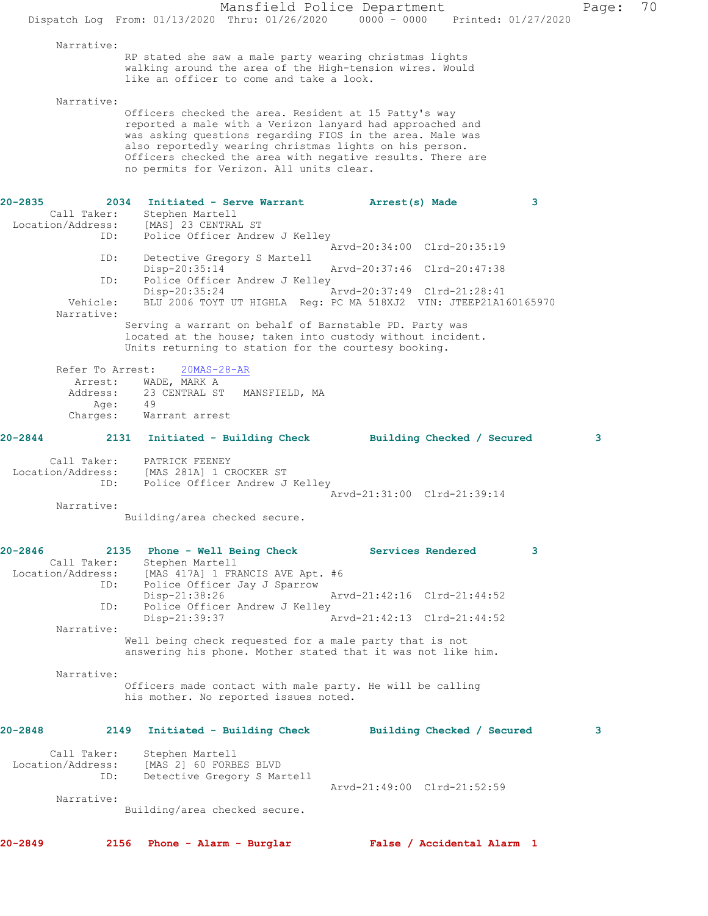|                                  | Dispatch Log From: 01/13/2020 Thru: 01/26/2020                                                                                                                                                                                                                                                                                                       | Mansfield Police Department<br>0000 - 0000 Printed: 01/27/2020   | Page: | 70 |
|----------------------------------|------------------------------------------------------------------------------------------------------------------------------------------------------------------------------------------------------------------------------------------------------------------------------------------------------------------------------------------------------|------------------------------------------------------------------|-------|----|
| Narrative:                       | RP stated she saw a male party wearing christmas lights                                                                                                                                                                                                                                                                                              |                                                                  |       |    |
|                                  | walking around the area of the High-tension wires. Would<br>like an officer to come and take a look.                                                                                                                                                                                                                                                 |                                                                  |       |    |
| Narrative:                       |                                                                                                                                                                                                                                                                                                                                                      |                                                                  |       |    |
|                                  | Officers checked the area. Resident at 15 Patty's way<br>reported a male with a Verizon lanyard had approached and<br>was asking questions regarding FIOS in the area. Male was<br>also reportedly wearing christmas lights on his person.<br>Officers checked the area with negative results. There are<br>no permits for Verizon. All units clear. |                                                                  |       |    |
| 20-2835                          | 2034 Initiated - Serve Warrant                                                                                                                                                                                                                                                                                                                       | 3<br>Arrest(s) Made                                              |       |    |
| Call Taker:<br>Location/Address: | Stephen Martell<br>[MAS] 23 CENTRAL ST                                                                                                                                                                                                                                                                                                               |                                                                  |       |    |
| ID:                              | Police Officer Andrew J Kelley                                                                                                                                                                                                                                                                                                                       | Arvd-20:34:00 Clrd-20:35:19                                      |       |    |
| ID:                              | Detective Gregory S Martell<br>Disp-20:35:14                                                                                                                                                                                                                                                                                                         | Arvd-20:37:46 Clrd-20:47:38                                      |       |    |
| ID:                              | Police Officer Andrew J Kelley<br>Disp-20:35:24                                                                                                                                                                                                                                                                                                      | Arvd-20:37:49 Clrd-21:28:41                                      |       |    |
| Vehicle:<br>Narrative:           |                                                                                                                                                                                                                                                                                                                                                      | BLU 2006 TOYT UT HIGHLA Reg: PC MA 518XJ2 VIN: JTEEP21A160165970 |       |    |
|                                  | Serving a warrant on behalf of Barnstable PD. Party was<br>located at the house; taken into custody without incident.<br>Units returning to station for the courtesy booking.                                                                                                                                                                        |                                                                  |       |    |
| Refer To Arrest:                 | $20MAS - 28 - AR$                                                                                                                                                                                                                                                                                                                                    |                                                                  |       |    |
| Arrest:<br>Address:              | WADE, MARK A<br>23 CENTRAL ST MANSFIELD, MA                                                                                                                                                                                                                                                                                                          |                                                                  |       |    |
| Age:<br>Charges:                 | 49<br>Warrant arrest                                                                                                                                                                                                                                                                                                                                 |                                                                  |       |    |
| $20 - 2844$                      | 2131 Initiated - Building Check                                                                                                                                                                                                                                                                                                                      | Building Checked / Secured                                       | 3.    |    |
| Call Taker:                      | PATRICK FEENEY                                                                                                                                                                                                                                                                                                                                       |                                                                  |       |    |
| ID:                              | Location/Address: [MAS 281A] 1 CROCKER ST<br>Police Officer Andrew J Kelley                                                                                                                                                                                                                                                                          |                                                                  |       |    |
| Narrative:                       |                                                                                                                                                                                                                                                                                                                                                      | Arvd-21:31:00 Clrd-21:39:14                                      |       |    |
|                                  | Building/area checked secure.                                                                                                                                                                                                                                                                                                                        |                                                                  |       |    |
| $20 - 2846$<br>Call Taker:       | 2135 Phone - Well Being Check<br>Stephen Martell                                                                                                                                                                                                                                                                                                     | 3<br><b>Services Rendered</b>                                    |       |    |
| Location/Address:<br>ID:         | [MAS 417A] 1 FRANCIS AVE Apt. #6<br>Police Officer Jay J Sparrow                                                                                                                                                                                                                                                                                     |                                                                  |       |    |
| ID:                              | Disp-21:38:26<br>Police Officer Andrew J Kelley                                                                                                                                                                                                                                                                                                      | Arvd-21:42:16 Clrd-21:44:52                                      |       |    |
|                                  | Disp-21:39:37                                                                                                                                                                                                                                                                                                                                        | Arvd-21:42:13 Clrd-21:44:52                                      |       |    |
| Narrative:                       | Well being check requested for a male party that is not<br>answering his phone. Mother stated that it was not like him.                                                                                                                                                                                                                              |                                                                  |       |    |
| Narrative:                       |                                                                                                                                                                                                                                                                                                                                                      |                                                                  |       |    |
|                                  | Officers made contact with male party. He will be calling<br>his mother. No reported issues noted.                                                                                                                                                                                                                                                   |                                                                  |       |    |
| $20 - 2848$                      | 2149<br>Initiated - Building Check                                                                                                                                                                                                                                                                                                                   | Building Checked / Secured                                       | 3     |    |
| Call Taker:<br>Location/Address: | Stephen Martell<br>[MAS 2] 60 FORBES BLVD                                                                                                                                                                                                                                                                                                            |                                                                  |       |    |
| ID:                              | Detective Gregory S Martell                                                                                                                                                                                                                                                                                                                          |                                                                  |       |    |
| Narrative:                       |                                                                                                                                                                                                                                                                                                                                                      | Arvd-21:49:00 Clrd-21:52:59                                      |       |    |
|                                  | Building/area checked secure.                                                                                                                                                                                                                                                                                                                        |                                                                  |       |    |
| $20 - 2849$                      | 2156 Phone - Alarm - Burglar                                                                                                                                                                                                                                                                                                                         | False / Accidental Alarm 1                                       |       |    |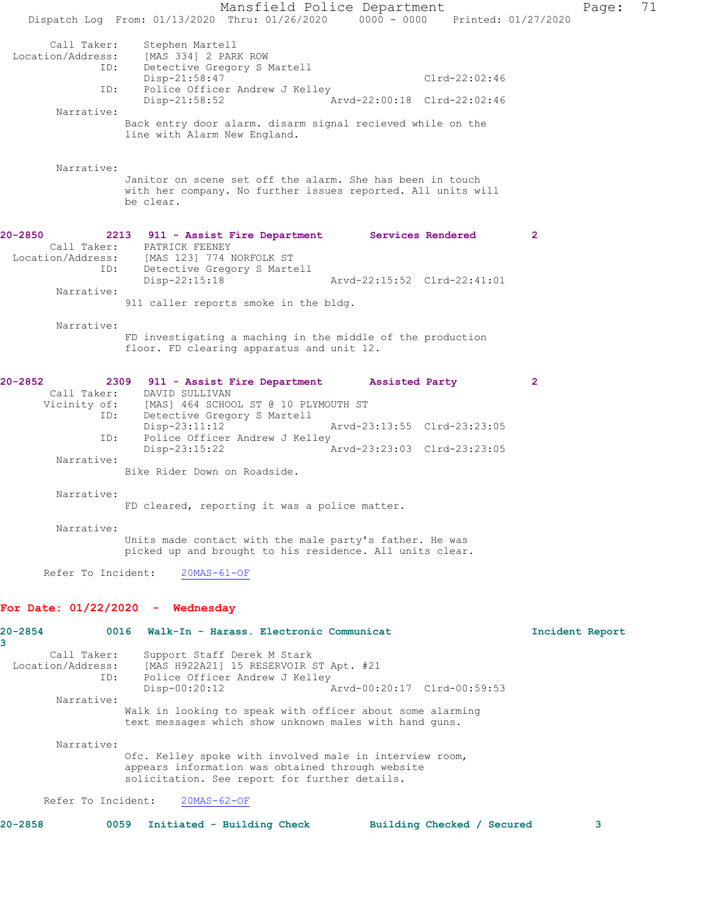Mansfield Police Department Page: 71 Dispatch Log From: 01/13/2020 Thru: 01/26/2020 0000 - 0000 Printed: 01/27/2020 Call Taker: Stephen Martell Location/Address: [MAS 334] 2 PARK ROW ID: Detective Gregory S Martell Clrd-22:02:46 ID: Police Officer Andrew J Kelley Disp-21:58:52 Arvd-22:00:18 Clrd-22:02:46 Narrative: Back entry door alarm. disarm signal recieved while on the line with Alarm New England. Narrative: Janitor on scene set off the alarm. She has been in touch with her company. No further issues reported. All units will be clear. **20-2850 2213 911 - Assist Fire Department Services Rendered 2**  Call Taker: PATRICK FEENEY Location/Address: [MAS 123] 774 NORFOLK ST ID: Detective Gregory S Martell Disp-22:15:18 Arvd-22:15:52 Clrd-22:41:01 Narrative: 911 caller reports smoke in the bldg. Narrative: FD investigating a maching in the middle of the production floor. FD clearing apparatus and unit 12. **20-2852 2309 911 - Assist Fire Department Assisted Party 2**  Call Taker: DAVID SULLIVAN Vicinity of: [MAS] 464 SCHOOL ST @ 10 PLYMOUTH ST<br>ID: Detective Gregory S Martell Detective Gregory S Martell Disp-23:11:12 Arvd-23:13:55 Clrd-23:23:05 ID: Police Officer Andrew J Kelley<br>Disp-23:15:22 Arvd-23:23:03 Clrd-23:23:05 Narrative: Bike Rider Down on Roadside. Narrative: FD cleared, reporting it was a police matter. Narrative: Units made contact with the male party's father. He was picked up and brought to his residence. All units clear. Refer To Incident: 20MAS-61-OF **For Date: 01/22/2020 - Wednesday 20-2854 0016 Walk-In - Harass. Electronic Communicat Incident Report 3**  Call Taker: Support Staff Derek M Stark Location/Address: [MAS H922A21] 15 RESERVOIR ST Apt. #21 ID: Police Officer Andrew J Kelley Disp-00:20:12 Arvd-00:20:17 Clrd-00:59:53 Narrative: Walk in looking to speak with officer about some alarming text messages which show unknown males with hand guns. Narrative: Ofc. Kelley spoke with involved male in interview room, appears information was obtained through website solicitation. See report for further details. Refer To Incident: 20MAS-62-OF **20-2858 0059 Initiated - Building Check Building Checked / Secured 3**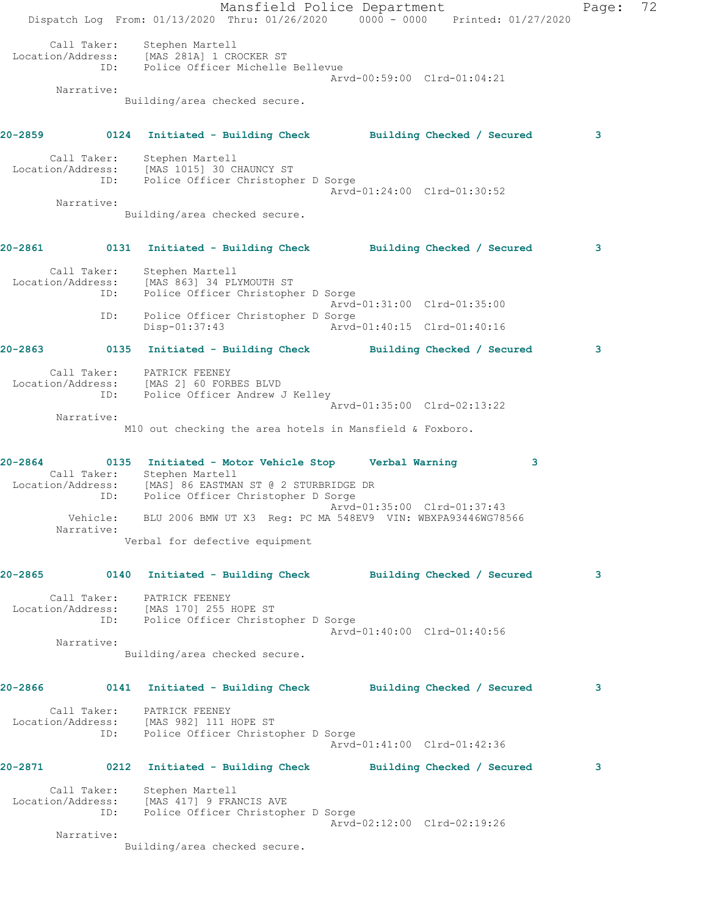Mansfield Police Department Fage: 72 Dispatch Log From:  $01/13/2020$  Thru:  $01/26/2020$  0000 - 0000 Printed:  $01/27/2020$  Call Taker: Stephen Martell Location/Address: [MAS 281A] 1 CROCKER ST ID: Police Officer Michelle Bellevue Arvd-00:59:00 Clrd-01:04:21 Narrative: Building/area checked secure. **20-2859 0124 Initiated - Building Check Building Checked / Secured 3** Call Taker: Stephen Martell Location/Address: [MAS 1015] 30 CHAUNCY ST ID: Police Officer Christopher D Sorge Arvd-01:24:00 Clrd-01:30:52 Narrative: Building/area checked secure. **20-2861 0131 Initiated - Building Check Building Checked / Secured 3** Call Taker: Stephen Martell Location/Address: [MAS 863] 34 PLYMOUTH ST ID: Police Officer Christopher D Sorge Arvd-01:31:00 Clrd-01:35:00 ID: Police Officer Christopher D Sorge<br>Disp-01:37:43 Arvd- Disp-01:37:43 Arvd-01:40:15 Clrd-01:40:16 **20-2863 0135 Initiated - Building Check Building Checked / Secured 3** Call Taker: PATRICK FEENEY Location/Address: [MAS 2] 60 FORBES BLVD ID: Police Officer Andrew J Kelley Arvd-01:35:00 Clrd-02:13:22 Narrative: M10 out checking the area hotels in Mansfield & Foxboro. **20-2864 0135 Initiated - Motor Vehicle Stop Verbal Warning 3**  Call Taker: Stephen Martell Location/Address: [MAS] 86 EASTMAN ST @ 2 STURBRIDGE DR ID: Police Officer Christopher D Sorge Arvd-01:35:00 Clrd-01:37:43 Vehicle: BLU 2006 BMW UT X3 Reg: PC MA 548EV9 VIN: WBXPA93446WG78566 Narrative: Verbal for defective equipment **20-2865 0140 Initiated - Building Check Building Checked / Secured 3** Call Taker: PATRICK FEENEY Location/Address: [MAS 170] 255 HOPE ST ID: Police Officer Christopher D Sorge Arvd-01:40:00 Clrd-01:40:56 Narrative: Building/area checked secure. **20-2866 0141 Initiated - Building Check Building Checked / Secured 3** Call Taker: PATRICK FEENEY Location/Address: [MAS 982] 111 HOPE ST ID: Police Officer Christopher D Sorge Arvd-01:41:00 Clrd-01:42:36 **20-2871 0212 Initiated - Building Check Building Checked / Secured 3** Call Taker: Stephen Martell Location/Address: [MAS 417] 9 FRANCIS AVE ID: Police Officer Christopher D Sorge Arvd-02:12:00 Clrd-02:19:26 Narrative: Building/area checked secure.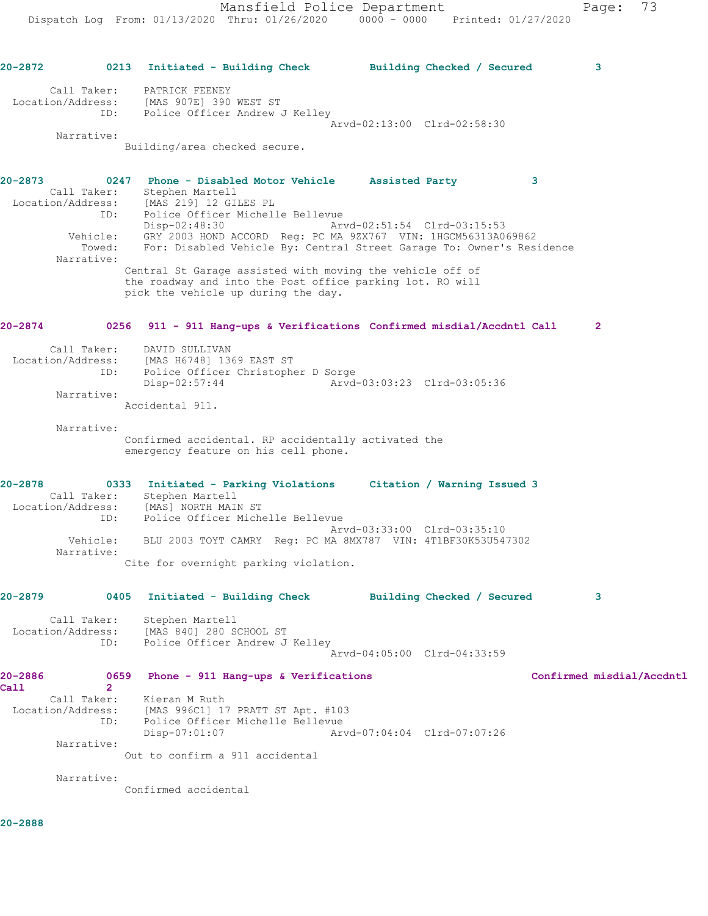**20-2872 0213 Initiated - Building Check Building Checked / Secured 3** Call Taker: PATRICK FEENEY Location/Address: [MAS 907E] 390 WEST ST ID: Police Officer Andrew J Kelley Arvd-02:13:00 Clrd-02:58:30 Narrative: Building/area checked secure. **20-2873 0247 Phone - Disabled Motor Vehicle Assisted Party 3**  Call Taker: Stephen Martell Location/Address: [MAS 219] 12 GILES PL ID: Police Officer Michelle Bellevue Disp-02:48:30 Arvd-02:51:54 Clrd-03:15:53 Vehicle: GRY 2003 HOND ACCORD Reg: PC MA 9ZX767 VIN: 1HGCM56313A069862 Towed: For: Disabled Vehicle By: Central Street Garage To: Owner's Residence Narrative: Central St Garage assisted with moving the vehicle off of the roadway and into the Post office parking lot. RO will pick the vehicle up during the day. **20-2874 0256 911 - 911 Hang-ups & Verifications Confirmed misdial/Accdntl Call 2** Call Taker: DAVID SULLIVAN Location/Address: [MAS H6748] 1369 EAST ST ID: Police Officer Christopher D Sorge Disp-02:57:44 Arvd-03:03:23 Clrd-03:05:36 Narrative: Accidental 911. Narrative: Confirmed accidental. RP accidentally activated the emergency feature on his cell phone. **20-2878 0333 Initiated - Parking Violations Citation / Warning Issued 3**  Call Taker: Stephen Martell Location/Address: [MAS] NORTH MAIN ST ID: Police Officer Michelle Bellevue Arvd-03:33:00 Clrd-03:35:10 Vehicle: BLU 2003 TOYT CAMRY Reg: PC MA 8MX787 VIN: 4T1BF30K53U547302 Narrative: Cite for overnight parking violation. **20-2879 0405 Initiated - Building Check Building Checked / Secured 3** Call Taker: Stephen Martell Location/Address: [MAS 840] 280 SCHOOL ST ID: Police Officer Andrew J Kelley Arvd-04:05:00 Clrd-04:33:59 **20-2886 0659 Phone - 911 Hang-ups & Verifications Confirmed misdial/Accdntl Call 2**  Call Taker: Kieran M Ruth Location/Address: [MAS 996C1] 17 PRATT ST Apt. #103 ID: Police Officer Michelle Bellevue Disp-07:01:07 Arvd-07:04:04 Clrd-07:07:26 Narrative: Out to confirm a 911 accidental Narrative: Confirmed accidental

**20-2888**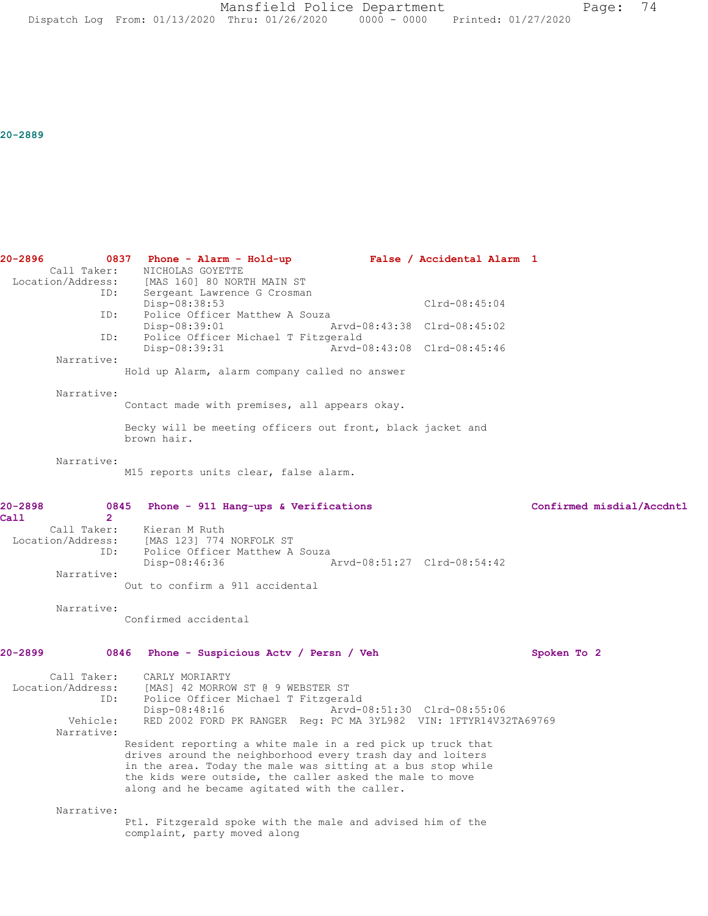Mansfield Police Department Page: 74 Dispatch Log From: 01/13/2020 Thru: 01/26/2020 0000 - 0000 Printed: 01/27/2020

**20-2889** 

**20-2896 0837 Phone - Alarm - Hold-up False / Accidental Alarm 1**  Call Taker: NICHOLAS GOYETTE<br>Location/Address: [MAS 160] 80 NOR ess: [MAS 160] 80 NORTH MAIN ST<br>ID: Sergeant Lawrence G Crosmar Sergeant Lawrence G Crosman Disp-08:38:53 Clrd-08:45:04 ID: Police Officer Matthew A Souza Disp-08:39:01 Arvd-08:43:38 Clrd-08:45:02 ID: Police Officer Michael T Fitzgerald<br>Disp-08:39:31 Arvd-0 Disp-08:39:31 Arvd-08:43:08 Clrd-08:45:46 Narrative: Hold up Alarm, alarm company called no answer Narrative: Contact made with premises, all appears okay. Becky will be meeting officers out front, black jacket and brown hair. Narrative: M15 reports units clear, false alarm. **20-2898 0845 Phone - 911 Hang-ups & Verifications Confirmed misdial/Accdntl Call 2**  Kieran M Ruth Location/Address: [MAS 123] 774 NORFOLK ST ID: Police Officer Matthew A Souza<br>Disp-08:46:36 Disp-08:46:36 Arvd-08:51:27 Clrd-08:54:42 Narrative: Out to confirm a 911 accidental Narrative: Confirmed accidental **20-2899 0846 Phone - Suspicious Actv / Persn / Veh Spoken To 2** Call Taker: CARLY MORIARTY<br>Location/Address: [MAS] 42 MORROU [MAS] 42 MORROW ST @ 9 WEBSTER ST ID: Police Officer Michael T Fitzgerald Disp-08:48:16 Arvd-08:51:30 Clrd-08:55:06<br>Vehicle: RED 2002 FORD PK RANGER Req: PC MA 3YL982 VIN: 1FTYR14V32 RED 2002 FORD PK RANGER Reg: PC MA 3YL982 VIN: 1FTYR14V32TA69769 Narrative: Resident reporting a white male in a red pick up truck that drives around the neighborhood every trash day and loiters in the area. Today the male was sitting at a bus stop while the kids were outside, the caller asked the male to move along and he became agitated with the caller. Narrative: Ptl. Fitzgerald spoke with the male and advised him of the complaint, party moved along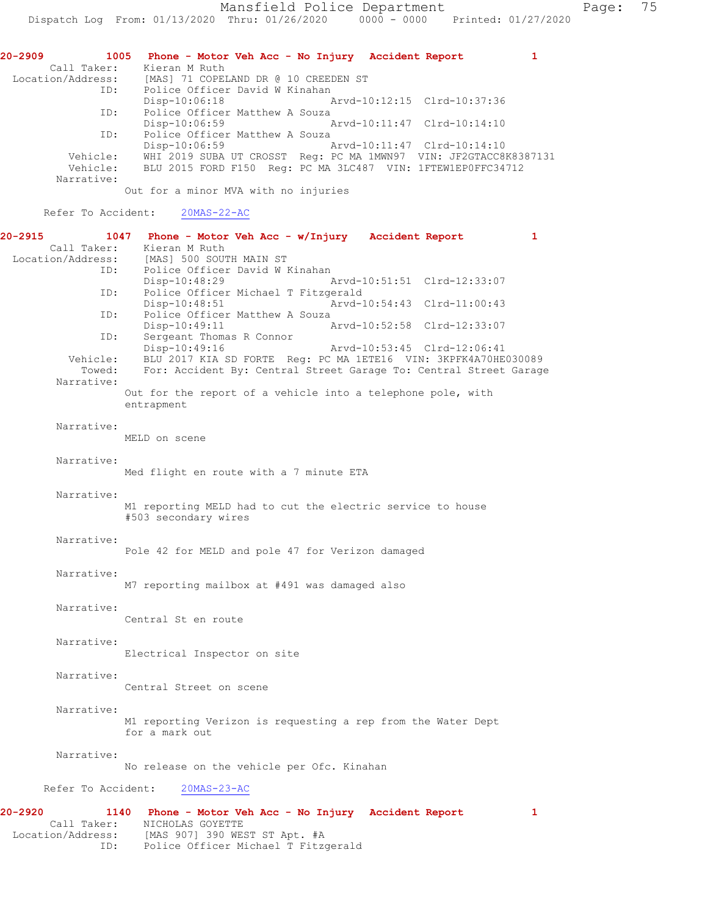| 20-2909 | 1005                             | Phone - Motor Veh Acc - No Injury Accident Report                                                                               | 1 |
|---------|----------------------------------|---------------------------------------------------------------------------------------------------------------------------------|---|
|         | Call Taker:<br>Location/Address: | Kieran M Ruth<br>[MAS] 71 COPELAND DR @ 10 CREEDEN ST                                                                           |   |
|         | ID:                              | Police Officer David W Kinahan                                                                                                  |   |
|         | ID:                              | Disp-10:06:18<br>Arvd-10:12:15 Clrd-10:37:36<br>Police Officer Matthew A Souza                                                  |   |
|         | ID:                              | Disp-10:06:59<br>Arvd-10:11:47 Clrd-10:14:10<br>Police Officer Matthew A Souza                                                  |   |
|         |                                  | Disp-10:06:59<br>Arvd-10:11:47 Clrd-10:14:10                                                                                    |   |
|         | Vehicle:<br>Vehicle:             | WHI 2019 SUBA UT CROSST Req: PC MA 1MWN97 VIN: JF2GTACC8K8387131<br>BLU 2015 FORD F150 Reg: PC MA 3LC487 VIN: 1FTEW1EP0FFC34712 |   |
|         | Narrative:                       | Out for a minor MVA with no injuries                                                                                            |   |
|         | Refer To Accident:               | $20MAS - 22 - AC$                                                                                                               |   |
| 20-2915 | 1047<br>Call Taker:              | Phone - Motor Veh Acc - w/Injury Accident Report<br>Kieran M Ruth                                                               | 1 |
|         | Location/Address:                | [MAS] 500 SOUTH MAIN ST                                                                                                         |   |
|         | ID:                              | Police Officer David W Kinahan<br>Disp-10:48:29<br>Arvd-10:51:51 Clrd-12:33:07                                                  |   |
|         | ID:                              | Police Officer Michael T Fitzgerald                                                                                             |   |
|         |                                  | Arvd-10:54:43 Clrd-11:00:43<br>Disp-10:48:51                                                                                    |   |
|         | ID:                              | Police Officer Matthew A Souza<br>Disp-10:49:11<br>Arvd-10:52:58 Clrd-12:33:07                                                  |   |
|         | ID:                              | Sergeant Thomas R Connor                                                                                                        |   |
|         | Vehicle:                         | Disp-10:49:16<br>Arvd-10:53:45 Clrd-12:06:41<br>BLU 2017 KIA SD FORTE Reg: PC MA 1ETE16 VIN: 3KPFK4A70HE030089                  |   |
|         | Towed:                           | For: Accident By: Central Street Garage To: Central Street Garage                                                               |   |
|         | Narrative:                       | Out for the report of a vehicle into a telephone pole, with                                                                     |   |
|         |                                  | entrapment                                                                                                                      |   |
|         | Narrative:                       |                                                                                                                                 |   |
|         |                                  | MELD on scene                                                                                                                   |   |
|         |                                  |                                                                                                                                 |   |
|         | Narrative:                       | Med flight en route with a 7 minute ETA                                                                                         |   |
|         |                                  |                                                                                                                                 |   |
|         | Narrative:                       | M1 reporting MELD had to cut the electric service to house                                                                      |   |
|         |                                  | #503 secondary wires                                                                                                            |   |
|         | Narrative:                       |                                                                                                                                 |   |
|         |                                  | Pole 42 for MELD and pole 47 for Verizon damaged                                                                                |   |
|         | Narrative:                       |                                                                                                                                 |   |
|         |                                  | M7 reporting mailbox at #491 was damaged also                                                                                   |   |
|         | Narrative:                       |                                                                                                                                 |   |
|         |                                  | Central St en route                                                                                                             |   |
|         |                                  |                                                                                                                                 |   |
|         | Narrative:                       | Electrical Inspector on site                                                                                                    |   |
|         |                                  |                                                                                                                                 |   |
|         | Narrative:                       | Central Street on scene                                                                                                         |   |
|         |                                  |                                                                                                                                 |   |
|         | Narrative:                       |                                                                                                                                 |   |
|         |                                  | M1 reporting Verizon is requesting a rep from the Water Dept<br>for a mark out                                                  |   |
|         | Narrative:                       |                                                                                                                                 |   |
|         |                                  | No release on the vehicle per Ofc. Kinahan                                                                                      |   |
|         |                                  |                                                                                                                                 |   |
|         | Refer To Accident:               | $20MAS - 23 - AC$                                                                                                               |   |

**20-2920 1140 Phone - Motor Veh Acc - No Injury Accident Report 1**  Call Taker: NICHOLAS GOYETTE Location/Address: [MAS 907] 390 WEST ST Apt. #A ID: Police Officer Michael T Fitzgerald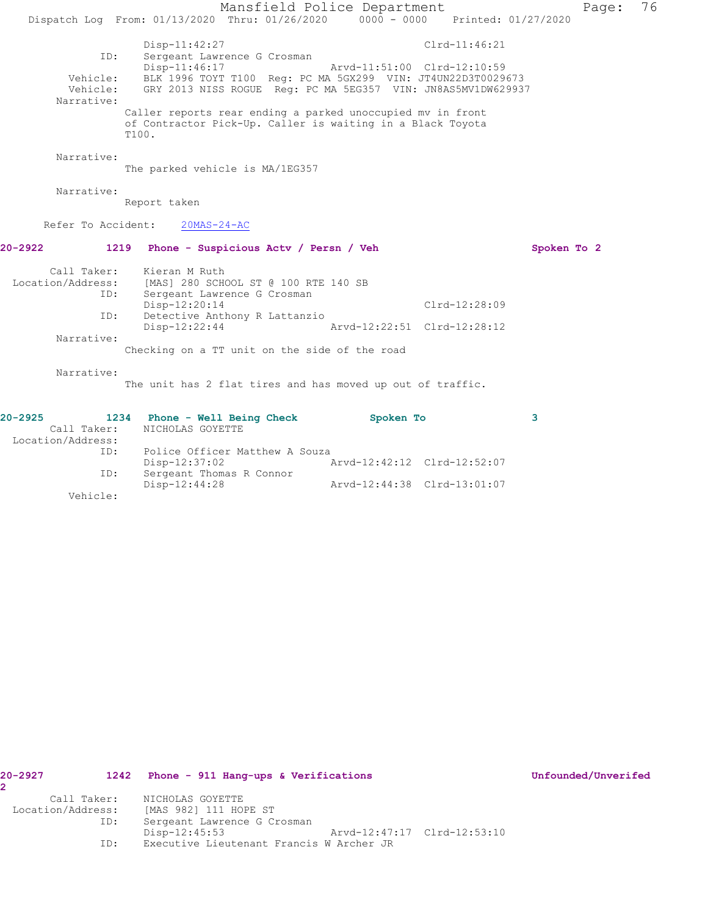|                                             |                                                                                                                                                                                              | Mansfield Police Department                                | Page:       | 76 |
|---------------------------------------------|----------------------------------------------------------------------------------------------------------------------------------------------------------------------------------------------|------------------------------------------------------------|-------------|----|
|                                             | Dispatch Log From: 01/13/2020 Thru: 01/26/2020 0000 - 0000 Printed: 01/27/2020                                                                                                               |                                                            |             |    |
| ID:<br>Vehicle:<br>Vehicle:<br>Narrative:   | Disp-11:42:27<br>Sergeant Lawrence G Crosman<br>Disp-11:46:17<br>BLK 1996 TOYT T100 Reg: PC MA 5GX299 VIN: JT4UN22D3T0029673<br>GRY 2013 NISS ROGUE Reg: PC MA 5EG357 VIN: JN8AS5MV1DW629937 | Clrd-11:46:21<br>Arvd-11:51:00 Clrd-12:10:59               |             |    |
|                                             | Caller reports rear ending a parked unoccupied mv in front<br>of Contractor Pick-Up. Caller is waiting in a Black Toyota<br>T100.                                                            |                                                            |             |    |
| Narrative:                                  | The parked vehicle is MA/1EG357                                                                                                                                                              |                                                            |             |    |
| Narrative:                                  | Report taken                                                                                                                                                                                 |                                                            |             |    |
| Refer To Accident:                          | $20MAS - 24 - AC$                                                                                                                                                                            |                                                            |             |    |
| 20-2922                                     | 1219<br>Phone - Suspicious Actv / Persn / Veh                                                                                                                                                |                                                            | Spoken To 2 |    |
| Call Taker:<br>Location/Address:<br>ID:     | Kieran M Ruth<br>[MAS] 280 SCHOOL ST @ 100 RTE 140 SB<br>Sergeant Lawrence G Crosman                                                                                                         |                                                            |             |    |
| ID:                                         | Disp-12:20:14<br>Detective Anthony R Lattanzio                                                                                                                                               | $Clrd-12:28:09$                                            |             |    |
| Narrative:                                  | Disp-12:22:44                                                                                                                                                                                | Arvd-12:22:51 Clrd-12:28:12                                |             |    |
|                                             | Checking on a TT unit on the side of the road                                                                                                                                                |                                                            |             |    |
| Narrative:                                  | The unit has 2 flat tires and has moved up out of traffic.                                                                                                                                   |                                                            |             |    |
| 20-2925<br>Call Taker:<br>Location/Address: | 1234 Phone - Well Being Check<br>NICHOLAS GOYETTE                                                                                                                                            | Spoken To                                                  | 3           |    |
| ID:                                         | Police Officer Matthew A Souza                                                                                                                                                               |                                                            |             |    |
| ID:                                         | Disp-12:37:02<br>Sergeant Thomas R Connor<br>Disp-12:44:28                                                                                                                                   | Arvd-12:42:12 Clrd-12:52:07<br>Arvd-12:44:38 Clrd-13:01:07 |             |    |

Vehicle:

| $20 - 2927$       |             | 1242 Phone - 911 Hang-ups & Verifications |  | Unfounded/Unverifed |
|-------------------|-------------|-------------------------------------------|--|---------------------|
|                   |             |                                           |  |                     |
|                   | Call Taker: | NICHOLAS GOYETTE                          |  |                     |
| Location/Address: |             | [MAS 982] 111 HOPE ST                     |  |                     |
|                   | ID:         | Sergeant Lawrence G Crosman               |  |                     |
|                   |             | Disp-12:45:53                             |  |                     |
|                   | ID:         | Executive Lieutenant Francis W Archer JR  |  |                     |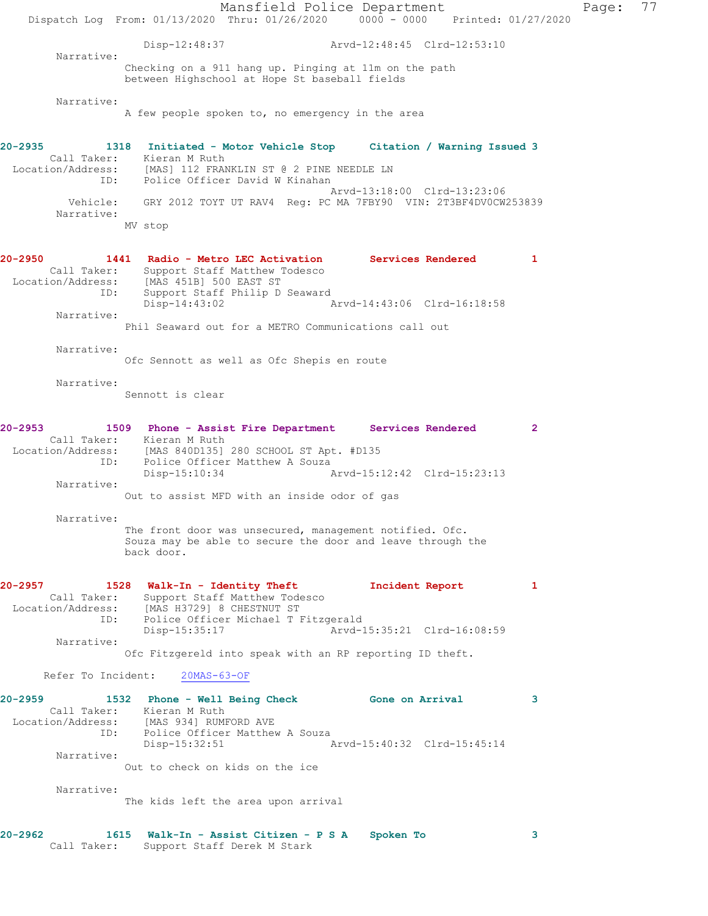Mansfield Police Department Page: 77 Dispatch Log From: 01/13/2020 Thru: 01/26/2020 0000 - 0000 Printed: 01/27/2020 Disp-12:48:37 Arvd-12:48:45 Clrd-12:53:10 Narrative: Checking on a 911 hang up. Pinging at 11m on the path between Highschool at Hope St baseball fields Narrative: A few people spoken to, no emergency in the area **20-2935 1318 Initiated - Motor Vehicle Stop Citation / Warning Issued 3**  Call Taker: Kieran M Ruth Location/Address: [MAS] 112 FRANKLIN ST @ 2 PINE NEEDLE LN ID: Police Officer David W Kinahan Arvd-13:18:00 Clrd-13:23:06 Vehicle: GRY 2012 TOYT UT RAV4 Reg: PC MA 7FBY90 VIN: 2T3BF4DV0CW253839 Narrative: MV stop **20-2950 1441 Radio - Metro LEC Activation Services Rendered 1**  Call Taker: Support Staff Matthew Todesco Location/Address: [MAS 451B] 500 EAST ST ID: Support Staff Philip D Seaward Disp-14:43:02 Arvd-14:43:06 Clrd-16:18:58 Narrative: Phil Seaward out for a METRO Communications call out Narrative: Ofc Sennott as well as Ofc Shepis en route Narrative: Sennott is clear **20-2953 1509 Phone - Assist Fire Department Services Rendered 2**  Call Taker: Kieran M Ruth<br>ion/Address: [MAS 840D135] 280 SCHOOL ST Apt. #D135 Location/Address: [MAS 840D135] 280 SCHOOL ST Apt. #D135 ID: Police Officer Matthew A Souza Disp-15:10:34 Arvd-15:12:42 Clrd-15:23:13 Narrative: Out to assist MFD with an inside odor of gas Narrative: The front door was unsecured, management notified. Ofc. Souza may be able to secure the door and leave through the back door. **20-2957 1528 Walk-In - Identity Theft Incident Report 1**  Call Taker: Support Staff Matthew Todesco Location/Address: [MAS H3729] 8 CHESTNUT ST ID: Police Officer Michael T Fitzgerald<br>Disp-15:35:17 Arvd-1 Arvd-15:35:21 Clrd-16:08:59 Narrative: Ofc Fitzgereld into speak with an RP reporting ID theft. Refer To Incident: 20MAS-63-OF **20-2959 1532 Phone - Well Being Check Gone on Arrival 3**  Call Taker: Kieran M Ruth Location/Address: [MAS 934] RUMFORD AVE ID: Police Officer Matthew A Souza Disp-15:32:51 Arvd-15:40:32 Clrd-15:45:14 Narrative: Out to check on kids on the ice Narrative: The kids left the area upon arrival **20-2962 1615 Walk-In - Assist Citizen - P S A Spoken To 3**  Call Taker: Support Staff Derek M Stark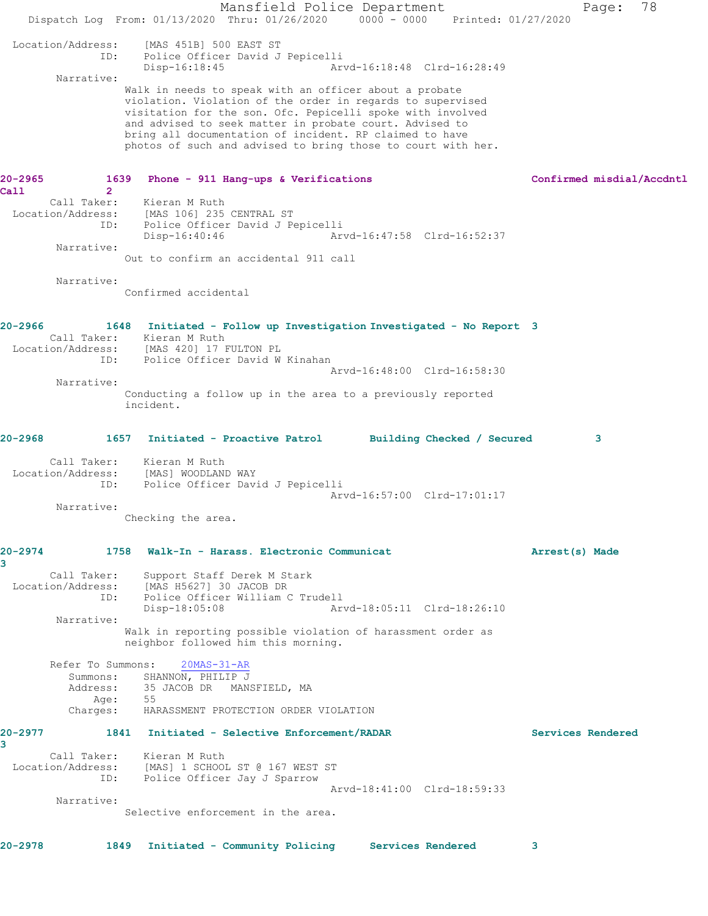Mansfield Police Department Fage: 78 Dispatch Log From: 01/13/2020 Thru: 01/26/2020 0000 - 0000 Printed: 01/27/2020 Location/Address: [MAS 451B] 500 EAST ST Police Officer David J Pepicelli<br>Disp-16:18:45 Arv Arvd-16:18:48 Clrd-16:28:49 Narrative: Walk in needs to speak with an officer about a probate violation. Violation of the order in regards to supervised visitation for the son. Ofc. Pepicelli spoke with involved and advised to seek matter in probate court. Advised to bring all documentation of incident. RP claimed to have photos of such and advised to bring those to court with her. **20-2965 1639 Phone - 911 Hang-ups & Verifications Confirmed misdial/Accdntl Call 2**  Kieran M Ruth Location/Address: [MAS 106] 235 CENTRAL ST ID: Police Officer David J Pepicelli Disp-16:40:46 Arvd-16:47:58 Clrd-16:52:37 Narrative: Out to confirm an accidental 911 call Narrative: Confirmed accidental **20-2966 1648 Initiated - Follow up Investigation Investigated - No Report 3**  Call Taker: Kieran M Ruth Location/Address: [MAS 420] 17 FULTON PL ID: Police Officer David W Kinahan Arvd-16:48:00 Clrd-16:58:30 Narrative: Conducting a follow up in the area to a previously reported incident. **20-2968 1657 Initiated - Proactive Patrol Building Checked / Secured 3** Call Taker: Kieran M Ruth Location/Address: [MAS] WOODLAND WAY ID: Police Officer David J Pepicelli Arvd-16:57:00 Clrd-17:01:17 Narrative: Checking the area. **20-2974 1758 Walk-In - Harass. Electronic Communicat Arrest(s) Made 3**  Call Taker: Support Staff Derek M Stark Location/Address: [MAS H5627] 30 JACOB DR ID: Police Officer William C Trudell Disp-18:05:08 Arvd-18:05:11 Clrd-18:26:10 Narrative: Walk in reporting possible violation of harassment order as neighbor followed him this morning. Refer To Summons: 20MAS-31-AR Summons: SHANNON, PHILIP J<br>Address: 35 JACOB DR MAN: 35 JACOB DR MANSFIELD, MA Age: 55 Charges: HARASSMENT PROTECTION ORDER VIOLATION **20-2977 1841 Initiated - Selective Enforcement/RADAR Services Rendered 3**  Call Taker: Kieran M Ruth Location/Address: [MAS] 1 SCHOOL ST @ 167 WEST ST ID: Police Officer Jay J Sparrow Arvd-18:41:00 Clrd-18:59:33 Narrative: Selective enforcement in the area. **20-2978 1849 Initiated - Community Policing Services Rendered 3**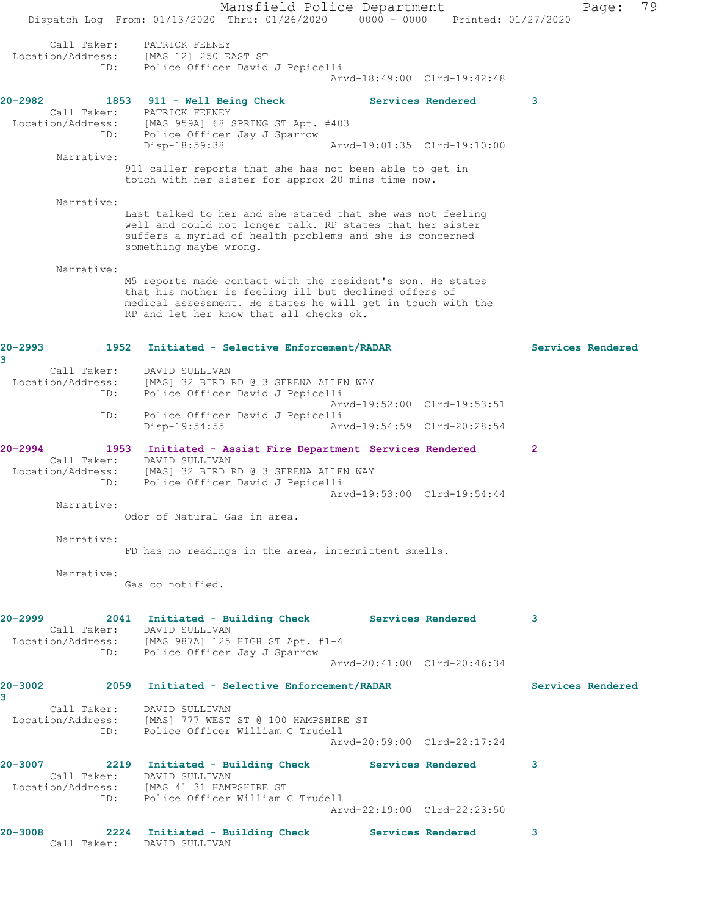Mansfield Police Department Fage: 79 Dispatch Log From: 01/13/2020 Thru: 01/26/2020 0000 - 0000 Printed: 01/27/2020 Call Taker: PATRICK FEENEY Location/Address: [MAS 12] 250 EAST ST ID: Police Officer David J Pepicelli Arvd-18:49:00 Clrd-19:42:48 **20-2982 1853 911 - Well Being Check Services Rendered 3**  Call Taker: PATRICK FEENEY Location/Address: [MAS 959A] 68 SPRING ST Apt. #403 ID: Police Officer Jay J Sparrow Disp-18:59:38 Arvd-19:01:35 Clrd-19:10:00 Narrative: 911 caller reports that she has not been able to get in touch with her sister for approx 20 mins time now. Narrative: Last talked to her and she stated that she was not feeling well and could not longer talk. RP states that her sister suffers a myriad of health problems and she is concerned something maybe wrong. Narrative: M5 reports made contact with the resident's son. He states that his mother is feeling ill but declined offers of medical assessment. He states he will get in touch with the RP and let her know that all checks ok. **20-2993 1952 Initiated - Selective Enforcement/RADAR Services Rendered 3**  Call Taker: DAVID SULLIVAN Location/Address: [MAS] 32 BIRD RD @ 3 SERENA ALLEN WAY ID: Police Officer David J Pepicelli Arvd-19:52:00 Clrd-19:53:51 ID: Police Officer David J Pepicelli Disp-19:54:55 Arvd-19:54:59 Clrd-20:28:54 **20-2994 1953 Initiated - Assist Fire Department Services Rendered 2**  Call Taker: DAVID SULLIVAN Location/Address: [MAS] 32 BIRD RD @ 3 SERENA ALLEN WAY ID: Police Officer David J Pepicelli Arvd-19:53:00 Clrd-19:54:44 Narrative: Odor of Natural Gas in area. Narrative: FD has no readings in the area, intermittent smells. Narrative: Gas co notified. **20-2999 2041 Initiated - Building Check Services Rendered 3**  Call Taker: DAVID SULLIVAN Location/Address: [MAS 987A] 125 HIGH ST Apt. #1-4 ID: Police Officer Jay J Sparrow Arvd-20:41:00 Clrd-20:46:34 **20-3002 2059 Initiated - Selective Enforcement/RADAR Services Rendered 3**  Call Taker: DAVID SULLIVAN Location/Address: [MAS] 777 WEST ST @ 100 HAMPSHIRE ST ID: Police Officer William C Trudell Arvd-20:59:00 Clrd-22:17:24 **20-3007 2219 Initiated - Building Check Services Rendered 3**  Call Taker: DAVID SULLIVAN Location/Address: [MAS 4] 31 HAMPSHIRE ST ID: Police Officer William C Trudell Arvd-22:19:00 Clrd-22:23:50 **20-3008 2224 Initiated - Building Check Services Rendered 3**  Call Taker: DAVID SULLIVAN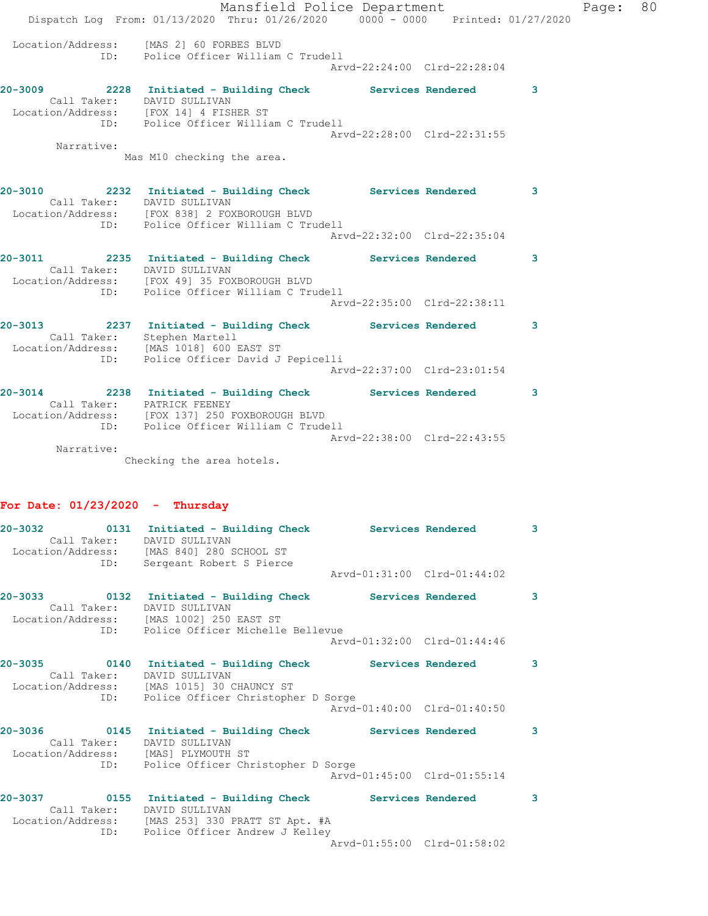|            | Mansfield Police Department<br>Dispatch Log From: 01/13/2020 Thru: 01/26/2020 0000 - 0000 Printed: 01/27/2020                                                                      |                             |   | Page: | 80 |
|------------|------------------------------------------------------------------------------------------------------------------------------------------------------------------------------------|-----------------------------|---|-------|----|
|            | Location/Address: [MAS 2] 60 FORBES BLVD<br>ID: Police Officer William C Trudell                                                                                                   | Arvd-22:24:00 Clrd-22:28:04 |   |       |    |
|            | 20-3009 2228 Initiated - Building Check Services Rendered<br>Call Taker: DAVID SULLIVAN<br>Location/Address: [FOX 14] 4 FISHER ST<br>ID: Police Officer William C Trudell          |                             | 3 |       |    |
| Narrative: | Mas M10 checking the area.                                                                                                                                                         | Arvd-22:28:00 Clrd-22:31:55 |   |       |    |
|            | 20-3010 2232 Initiated - Building Check Services Rendered 3<br>Call Taker: DAVID SULLIVAN<br>Location/Address: [FOX 838] 2 FOXBOROUGH BLVD<br>ID: Police Officer William C Trudell |                             |   |       |    |
|            |                                                                                                                                                                                    | Arvd-22:32:00 Clrd-22:35:04 |   |       |    |
|            | 20-3011 2235 Initiated - Building Check Services Rendered 3<br>Call Taker: DAVID SULLIVAN<br>Location/Address: [FOX 49] 35 FOXBOROUGH BLVD<br>ID: Police Officer William C Trudell |                             |   |       |    |
|            |                                                                                                                                                                                    | Arvd-22:35:00 Clrd-22:38:11 |   |       |    |
|            | 20-3013 2237 Initiated - Building Check Services Rendered 3<br>Call Taker: Stephen Martell<br>Location/Address: [MAS 1018] 600 EAST ST<br>ID: Police Officer David J Pepicelli     |                             |   |       |    |
|            |                                                                                                                                                                                    | Arvd-22:37:00 Clrd-23:01:54 |   |       |    |
|            | 20-3014 2238 Initiated - Building Check Services Rendered<br>Call Taker: PATRICK FEENEY<br>Location/Address: [FOX 137] 250 FOXBOROUGH BLVD<br>ID: Police Officer William C Trudell |                             | 3 |       |    |
| Narrative: |                                                                                                                                                                                    | Arvd-22:38:00 Clrd-22:43:55 |   |       |    |
|            | Checking the area hotels.                                                                                                                                                          |                             |   |       |    |

# **For Date: 01/23/2020 - Thursday**

| Call Taker: DAVID SULLIVAN                                    | Location/Address: [MAS 840] 280 SCHOOL ST<br>ID: Sergeant Robert S Pierce                                                                                     |                             | $\overline{\mathbf{3}}$ |
|---------------------------------------------------------------|---------------------------------------------------------------------------------------------------------------------------------------------------------------|-----------------------------|-------------------------|
|                                                               |                                                                                                                                                               | Arvd-01:31:00 Clrd-01:44:02 |                         |
|                                                               | Call Taker: DAVID SULLIVAN<br>Location/Address: [MAS 1002] 250 EAST ST<br>ID: Police Officer Michelle Bellevue                                                |                             | 3                       |
|                                                               |                                                                                                                                                               | Arvd-01:32:00 Clrd-01:44:46 |                         |
| $20 - 3035$<br>Call Taker:                                    | 0140 Initiated - Building Check Services Rendered<br>DAVID SULLIVAN<br>Location/Address: [MAS 1015] 30 CHAUNCY ST                                             |                             | 3                       |
|                                                               | ID: Police Officer Christopher D Sorge                                                                                                                        | Arvd-01:40:00 Clrd-01:40:50 |                         |
| 20-3036<br>Call Taker:<br>Location/Address: [MAS] PLYMOUTH ST | 0145 Initiated - Building Check Services Rendered<br>DAVID SULLIVAN                                                                                           |                             | 3                       |
|                                                               | ID: Police Officer Christopher D Sorge                                                                                                                        | Arvd-01:45:00 Clrd-01:55:14 |                         |
| $20 - 3037$<br>Call Taker:                                    | 0155 Initiated - Building Check Services Rendered<br>DAVID SULLIVAN<br>Location/Address: [MAS 253] 330 PRATT ST Apt. #A<br>ID: Police Officer Andrew J Kelley |                             | 3                       |
|                                                               |                                                                                                                                                               | Arvd-01:55:00 Clrd-01:58:02 |                         |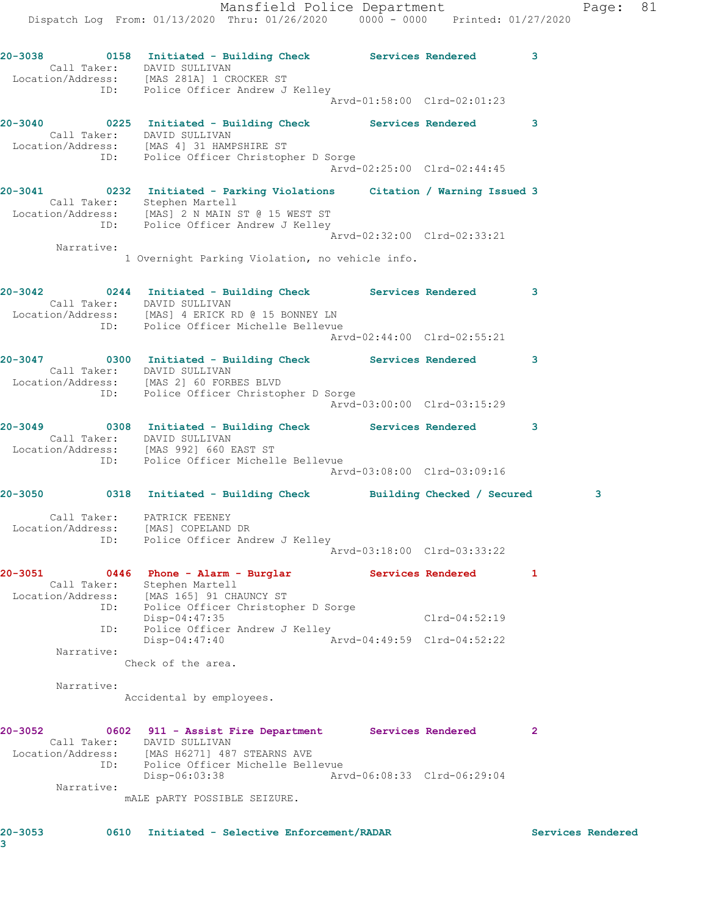Mansfield Police Department Fage: 81 Dispatch Log From: 01/13/2020 Thru: 01/26/2020 0000 - 0000 Printed: 01/27/2020 **20-3038 0158 Initiated - Building Check Services Rendered 3**  Call Taker: DAVID SULLIVAN Location/Address: [MAS 281A] 1 CROCKER ST ID: Police Officer Andrew J Kelley Arvd-01:58:00 Clrd-02:01:23 **20-3040 0225 Initiated - Building Check Services Rendered 3**  Call Taker: DAVID SULLIVAN Location/Address: [MAS 4] 31 HAMPSHIRE ST ID: Police Officer Christopher D Sorge Arvd-02:25:00 Clrd-02:44:45 **20-3041 0232 Initiated - Parking Violations Citation / Warning Issued 3**  Call Taker: Stephen Martell Location/Address: [MAS] 2 N MAIN ST @ 15 WEST ST ID: Police Officer Andrew J Kelley Arvd-02:32:00 Clrd-02:33:21 Narrative: 1 Overnight Parking Violation, no vehicle info. **20-3042 0244 Initiated - Building Check Services Rendered 3**  Call Taker: DAVID SULLIVAN Location/Address: [MAS] 4 ERICK RD @ 15 BONNEY LN ID: Police Officer Michelle Bellevue Arvd-02:44:00 Clrd-02:55:21 **20-3047 0300 Initiated - Building Check Services Rendered 3**  Call Taker: DAVID SULLIVAN Location/Address: [MAS 2] 60 FORBES BLVD ID: Police Officer Christopher D Sorge Arvd-03:00:00 Clrd-03:15:29 **20-3049 0308 Initiated - Building Check Services Rendered 3**  Call Taker: DAVID SULLIVAN Location/Address: [MAS 992] 660 EAST ST ID: Police Officer Michelle Bellevue Arvd-03:08:00 Clrd-03:09:16 **20-3050 0318 Initiated - Building Check Building Checked / Secured 3** Call Taker: PATRICK FEENEY Location/Address: [MAS] COPELAND DR ID: Police Officer Andrew J Kelley Arvd-03:18:00 Clrd-03:33:22 **20-3051 0446 Phone - Alarm - Burglar Services Rendered 1**  Call Taker: Stephen Martell Location/Address: [MAS 165] 91 CHAUNCY ST ID: Police Officer Christopher D Sorge Disp-04:47:35 Clrd-04:52:19 ID: Police Officer Andrew J Kelley Disp-04:47:40 Arvd-04:49:59 Clrd-04:52:22 Narrative: Check of the area. Narrative: Accidental by employees. **20-3052 0602 911 - Assist Fire Department Services Rendered 2**  Call Taker: DAVID SULLIVAN Location/Address: [MAS H6271] 487 STEARNS AVE ID: Police Officer Michelle Bellevue Disp-06:03:38 Arvd-06:08:33 Clrd-06:29:04 Narrative: mALE pARTY POSSIBLE SEIZURE.

**20-3053 0610 Initiated - Selective Enforcement/RADAR Services Rendered 3**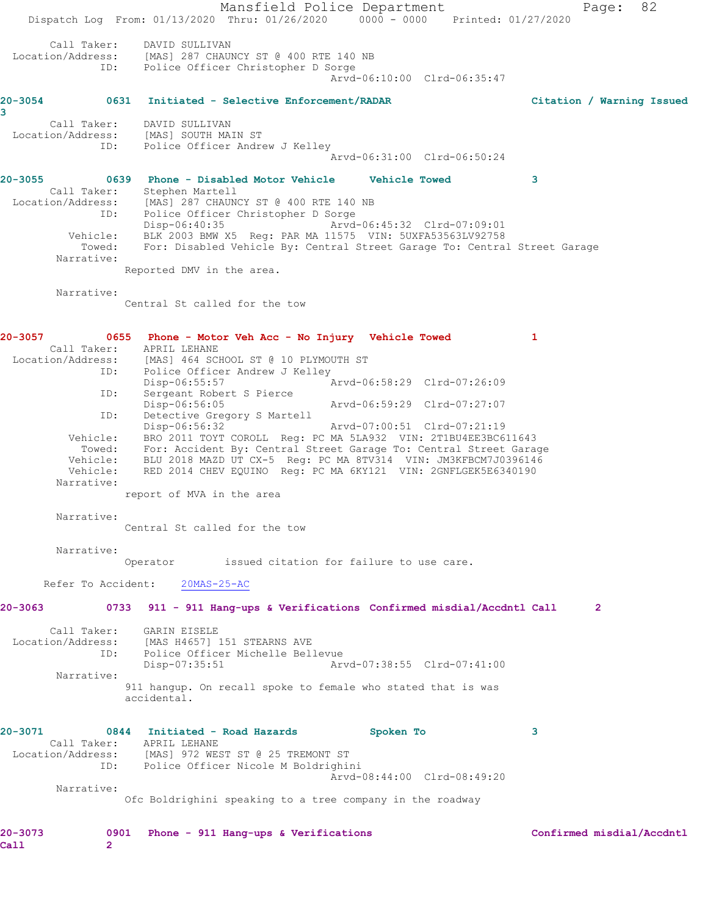Mansfield Police Department Page: 82 Dispatch Log From: 01/13/2020 Thru: 01/26/2020 0000 - 0000 Printed: 01/27/2020 Call Taker: DAVID SULLIVAN Location/Address: [MAS] 287 CHAUNCY ST @ 400 RTE 140 NB ID: Police Officer Christopher D Sorge Arvd-06:10:00 Clrd-06:35:47 **20-3054 0631 Initiated - Selective Enforcement/RADAR Citation / Warning Issued 3**  Call Taker: DAVID SULLIVAN Location/Address: [MAS] SOUTH MAIN ST ID: Police Officer Andrew J Kelley Arvd-06:31:00 Clrd-06:50:24 **20-3055 0639 Phone - Disabled Motor Vehicle Vehicle Towed 3**  Call Taker: Stephen Martell Location/Address: [MAS] 287 CHAUNCY ST @ 400 RTE 140 NB ID: Police Officer Christopher D Sorge Disp-06:40:35 Arvd-06:45:32 Clrd-07:09:01 Vehicle: BLK 2003 BMW X5 Reg: PAR MA 11575 VIN: 5UXFA53563LV92758 Towed: For: Disabled Vehicle By: Central Street Garage To: Central Street Garage Narrative: Reported DMV in the area. Narrative: Central St called for the tow **20-3057 0655 Phone - Motor Veh Acc - No Injury Vehicle Towed 1**  Call Taker: APRIL LEHANE<br>Location/Address: [MAS] 464 SC Location/Address: [MAS] 464 SCHOOL ST @ 10 PLYMOUTH ST ID: Police Officer Andrew J Kelley Disp-06:55:57 Arvd-06:58:29 Clrd-07:26:09 ID: Sergeant Robert S Pierce Disp-06:56:05 Arvd-06:59:29 Clrd-07:27:07<br>ID: Detective Gregory S Martell Detective Gregory S Martell Disp-06:56:32 Arvd-07:00:51 Clrd-07:21:19 Vehicle: BRO 2011 TOYT COROLL Reg: PC MA 5LA932 VIN: 2T1BU4EE3BC611643 Towed: For: Accident By: Central Street Garage To: Central Street Garage Vehicle: BLU 2018 MAZD UT CX-5 Reg: PC MA 8TV314 VIN: JM3KFBCM7J0396146 Vehicle: RED 2014 CHEV EQUINO Reg: PC MA 6KY121 VIN: 2GNFLGEK5E6340190 Narrative: report of MVA in the area Narrative: Central St called for the tow Narrative: Operator issued citation for failure to use care. Refer To Accident: 20MAS-25-AC **20-3063 0733 911 - 911 Hang-ups & Verifications Confirmed misdial/Accdntl Call 2** Call Taker: GARIN EISELE Location/Address: [MAS H4657] 151 STEARNS AVE ID: Police Officer Michelle Bellevue Disp-07:35:51 Arvd-07:38:55 Clrd-07:41:00 Narrative: 911 hangup. On recall spoke to female who stated that is was accidental. **20-3071 0844 Initiated - Road Hazards Spoken To 3**  Call Taker: APRIL LEHANE Location/Address: [MAS] 972 WEST ST @ 25 TREMONT ST ID: Police Officer Nicole M Boldrighini Arvd-08:44:00 Clrd-08:49:20 Narrative: Ofc Boldrighini speaking to a tree company in the roadway **20-3073 0901 Phone - 911 Hang-ups & Verifications Confirmed misdial/Accdntl Call 2**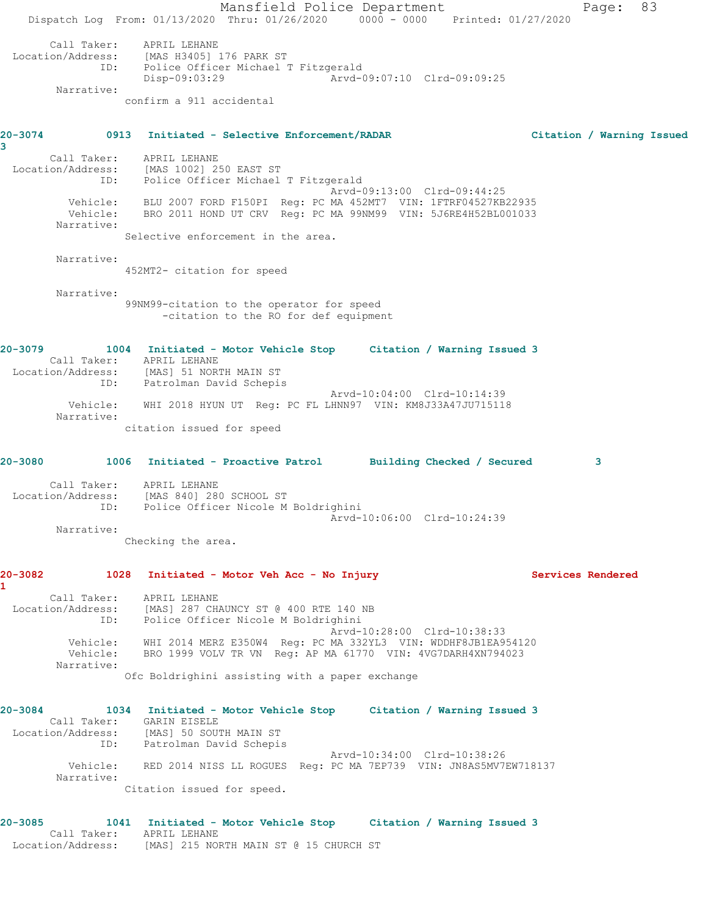Mansfield Police Department Fage: 83 Dispatch Log From: 01/13/2020 Thru: 01/26/2020 0000 - 0000 Printed: 01/27/2020 Call Taker: APRIL LEHANE Location/Address: [MAS H3405] 176 PARK ST ID: Police Officer Michael T Fitzgerald Disp-09:03:29 Arvd-09:07:10 Clrd-09:09:25 Narrative: confirm a 911 accidental **20-3074 0913 Initiated - Selective Enforcement/RADAR Citation / Warning Issued 3**  Call Taker: APRIL LEHANE Location/Address: [MAS 1002] 250 EAST ST ID: Police Officer Michael T Fitzgerald<br>Arvd-09:13:00 Clrd-09:44:25 Arvd-09:13:00 Clrd-09:44:25 Vehicle: BLU 2007 FORD F150PI Reg: PC MA 452MT7 VIN: 1FTRF04527KB22935 Vehicle: BRO 2011 HOND UT CRV Reg: PC MA 99NM99 VIN: 5J6RE4H52BL001033 Narrative: Selective enforcement in the area. Narrative: 452MT2- citation for speed Narrative: 99NM99-citation to the operator for speed -citation to the RO for def equipment **20-3079 1004 Initiated - Motor Vehicle Stop Citation / Warning Issued 3**  Call Taker: APRIL LEHANE Location/Address: [MAS] 51 NORTH MAIN ST ID: Patrolman David Schepis Arvd-10:04:00 Clrd-10:14:39 Vehicle: WHI 2018 HYUN UT Reg: PC FL LHNN97 VIN: KM8J33A47JU715118 Narrative: citation issued for speed **20-3080 1006 Initiated - Proactive Patrol Building Checked / Secured 3** Call Taker: APRIL LEHANE Location/Address: [MAS 840] 280 SCHOOL ST ID: Police Officer Nicole M Boldrighini Arvd-10:06:00 Clrd-10:24:39 Narrative: Checking the area. **20-3082 1028 Initiated - Motor Veh Acc - No Injury Services Rendered 1**  Call Taker: APRIL LEHANE Location/Address: [MAS] 287 CHAUNCY ST @ 400 RTE 140 NB ID: Police Officer Nicole M Boldrighini Arvd-10:28:00 Clrd-10:38:33 Vehicle: WHI 2014 MERZ E350W4 Reg: PC MA 332YL3 VIN: WDDHF8JB1EA954120 Vehicle: BRO 1999 VOLV TR VN Reg: AP MA 61770 VIN: 4VG7DARH4XN794023 Narrative: Ofc Boldrighini assisting with a paper exchange **20-3084 1034 Initiated - Motor Vehicle Stop Citation / Warning Issued 3**  Call Taker: GARIN EISELE Location/Address: [MAS] 50 SOUTH MAIN ST ID: Patrolman David Schepis Arvd-10:34:00 Clrd-10:38:26 Vehicle: RED 2014 NISS LL ROGUES Reg: PC MA 7EP739 VIN: JN8AS5MV7EW718137 Narrative: Citation issued for speed. **20-3085 1041 Initiated - Motor Vehicle Stop Citation / Warning Issued 3**  Call Taker: APRIL LEHANE Location/Address: [MAS] 215 NORTH MAIN ST @ 15 CHURCH ST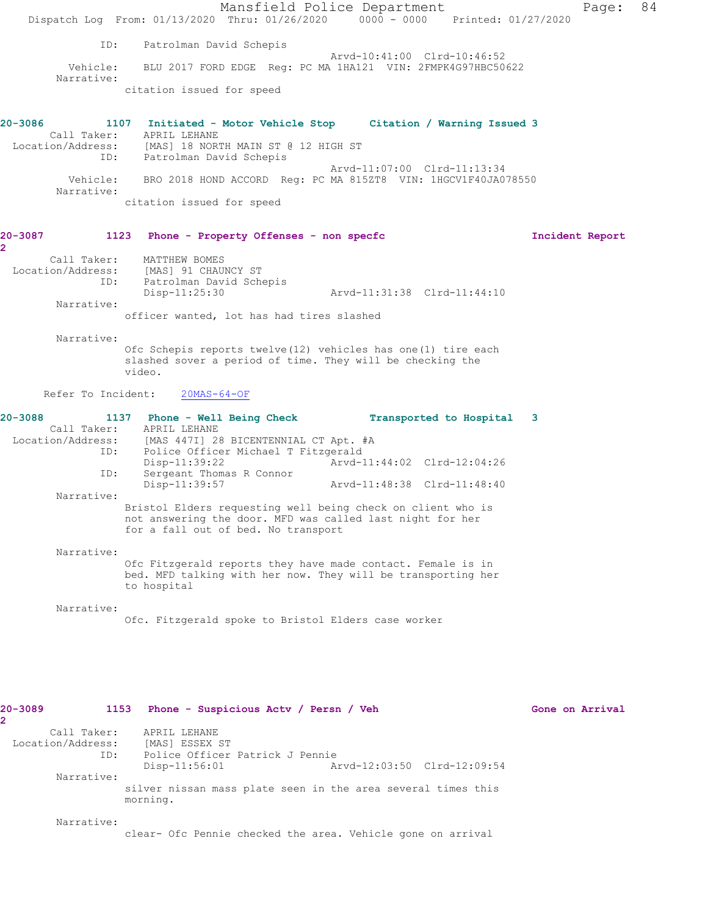|              |                          | Dispatch Log From: 01/13/2020 Thru: 01/26/2020 0000 - 0000 Printed: 01/27/2020                                                                                                      | Mansfield Police Department                                   |                                                            |  |                 | Page: | 84 |
|--------------|--------------------------|-------------------------------------------------------------------------------------------------------------------------------------------------------------------------------------|---------------------------------------------------------------|------------------------------------------------------------|--|-----------------|-------|----|
|              | ID:                      | Patrolman David Schepis                                                                                                                                                             |                                                               |                                                            |  |                 |       |    |
|              | Vehicle:<br>Narrative:   |                                                                                                                                                                                     | BLU 2017 FORD EDGE Req: PC MA 1HA121 VIN: 2FMPK4G97HBC50622   | Arvd-10:41:00 Clrd-10:46:52                                |  |                 |       |    |
|              |                          | citation issued for speed                                                                                                                                                           |                                                               |                                                            |  |                 |       |    |
| 20-3086      |                          | 1107 Initiated - Motor Vehicle Stop Citation / Warning Issued 3<br>Call Taker: APRIL LEHANE<br>Location/Address: [MAS] 18 NORTH MAIN ST @ 12 HIGH ST<br>ID: Patrolman David Schepis |                                                               |                                                            |  |                 |       |    |
|              |                          |                                                                                                                                                                                     |                                                               | Arvd-11:07:00 Clrd-11:13:34                                |  |                 |       |    |
|              | Vehicle:<br>Narrative:   |                                                                                                                                                                                     | BRO 2018 HOND ACCORD Req: PC MA 815ZT8 VIN: 1HGCV1F40JA078550 |                                                            |  |                 |       |    |
|              |                          | citation issued for speed                                                                                                                                                           |                                                               |                                                            |  |                 |       |    |
| 20-3087<br>2 |                          | 1123 Phone - Property Offenses - non specfc                                                                                                                                         |                                                               |                                                            |  | Incident Report |       |    |
|              | Call Taker:              | MATTHEW BOMES<br>Location/Address: [MAS] 91 CHAUNCY ST                                                                                                                              |                                                               |                                                            |  |                 |       |    |
|              | ID:                      | Patrolman David Schepis<br>Disp-11:25:30                                                                                                                                            |                                                               | Arvd-11:31:38 Clrd-11:44:10                                |  |                 |       |    |
|              | Narrative:               | officer wanted, lot has had tires slashed                                                                                                                                           |                                                               |                                                            |  |                 |       |    |
|              | Narrative:               | Ofc Schepis reports twelve (12) vehicles has one (1) tire each<br>slashed sover a period of time. They will be checking the<br>video.                                               |                                                               |                                                            |  |                 |       |    |
|              | Refer To Incident:       | $20MAS-64-OF$                                                                                                                                                                       |                                                               |                                                            |  |                 |       |    |
| 20-3088      |                          | 1137 Phone - Well Being Check<br>Call Taker: APRIL LEHANE                                                                                                                           |                                                               | Transported to Hospital 3                                  |  |                 |       |    |
|              | ID:                      | Location/Address: [MAS 447I] 28 BICENTENNIAL CT Apt. #A                                                                                                                             | Police Officer Michael T Fitzgerald                           |                                                            |  |                 |       |    |
|              | ID:                      | Disp-11:39:22<br>Sergeant Thomas R Connor<br>Disp-11:39:57                                                                                                                          |                                                               | Arvd-11:44:02 Clrd-12:04:26<br>Arvd-11:48:38 Clrd-11:48:40 |  |                 |       |    |
|              | Narrative:               | Bristol Elders requesting well being check on client who is<br>not answering the door. MFD was called last night for her                                                            |                                                               |                                                            |  |                 |       |    |
|              |                          | for a fall out of bed. No transport                                                                                                                                                 |                                                               |                                                            |  |                 |       |    |
|              | Narrative:               | Ofc Fitzgerald reports they have made contact. Female is in<br>bed. MFD talking with her now. They will be transporting her<br>to hospital                                          |                                                               |                                                            |  |                 |       |    |
|              | Narrative:               | Ofc. Fitzgerald spoke to Bristol Elders case worker                                                                                                                                 |                                                               |                                                            |  |                 |       |    |
|              |                          |                                                                                                                                                                                     |                                                               |                                                            |  |                 |       |    |
| 20-3089      |                          | 1153 Phone - Suspicious Actv / Persn / Veh                                                                                                                                          |                                                               |                                                            |  | Gone on Arrival |       |    |
| 2            | Call Taker:              | APRIL LEHANE                                                                                                                                                                        |                                                               |                                                            |  |                 |       |    |
|              | Location/Address:<br>ID: | [MAS] ESSEX ST<br>$Disp-11:56:01$                                                                                                                                                   | Police Officer Patrick J Pennie                               | Arvd-12:03:50 Clrd-12:09:54                                |  |                 |       |    |
|              | Narrative:               | silver nissan mass plate seen in the area several times this<br>morning.                                                                                                            |                                                               |                                                            |  |                 |       |    |
|              | Narrative:               |                                                                                                                                                                                     |                                                               |                                                            |  |                 |       |    |
|              |                          | clear- Ofc Pennie checked the area. Vehicle gone on arrival                                                                                                                         |                                                               |                                                            |  |                 |       |    |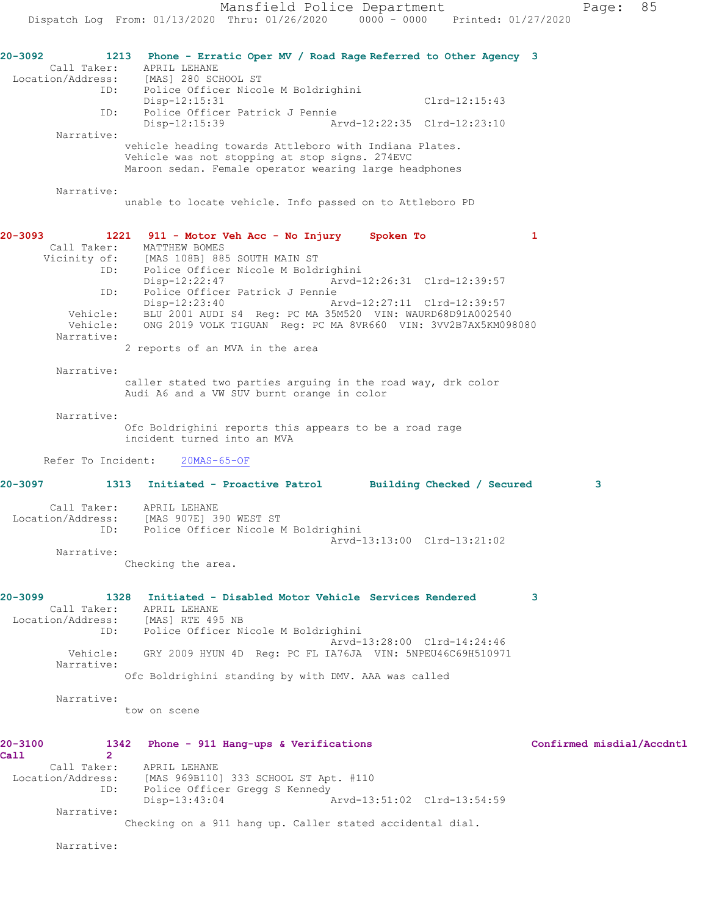**20-3092 1213 Phone - Erratic Oper MV / Road Rage Referred to Other Agency 3**  Call Taker: APRIL LEHANE<br>Location/Address: [MAS] 280 SCP [MAS] 280 SCHOOL ST ID: Police Officer Nicole M Boldrighini Disp-12:15:31 Clrd-12:15:43 ID: Police Officer Patrick J Pennie Arvd-12:22:35 Clrd-12:23:10 Narrative: vehicle heading towards Attleboro with Indiana Plates. Vehicle was not stopping at stop signs. 274EVC Maroon sedan. Female operator wearing large headphones Narrative: unable to locate vehicle. Info passed on to Attleboro PD **20-3093 1221 911 - Motor Veh Acc - No Injury Spoken To 1**  Call Taker: MATTHEW BOMES Vicinity of: [MAS 108B] 885 SOUTH MAIN ST ID: Police Officer Nicole M Boldrighini Disp-12:22:47 Arvd-12:26:31 Clrd-12:39:57 ID: Police Officer Patrick J Pennie Disp-12:23:40 Arvd-12:27:11 Clrd-12:39:57 Vehicle: BLU 2001 AUDI S4 Reg: PC MA 35M520 VIN: WAURD68D91A002540 Vehicle: ONG 2019 VOLK TIGUAN Reg: PC MA 8VR660 VIN: 3VV2B7AX5KM098080 Narrative: 2 reports of an MVA in the area Narrative: caller stated two parties arguing in the road way, drk color Audi A6 and a VW SUV burnt orange in color Narrative: Ofc Boldrighini reports this appears to be a road rage incident turned into an MVA Refer To Incident: 20MAS-65-OF **20-3097 1313 Initiated - Proactive Patrol Building Checked / Secured 3** Call Taker: APRIL LEHANE Location/Address: [MAS 907E] 390 WEST ST ID: Police Officer Nicole M Boldrighini Arvd-13:13:00 Clrd-13:21:02 Narrative: Checking the area. **20-3099 1328 Initiated - Disabled Motor Vehicle Services Rendered 3**  Call Taker: APRIL LEHANE Location/Address: [MAS] RTE 495 NB ID: Police Officer Nicole M Boldrighini Arvd-13:28:00 Clrd-14:24:46 Vehicle: GRY 2009 HYUN 4D Reg: PC FL IA76JA VIN: 5NPEU46C69H510971 Narrative: Ofc Boldrighini standing by with DMV. AAA was called Narrative: tow on scene **20-3100 1342 Phone - 911 Hang-ups & Verifications Confirmed misdial/Accdntl Call** 2<br>Call Taker: APRIL LEHANE Location/Address: [MAS 969B110] 333 SCHOOL ST Apt. #110 ID: Police Officer Gregg S Kennedy<br>Disp-13:43:04 P Disp-13:43:04 Arvd-13:51:02 Clrd-13:54:59 Narrative: Checking on a 911 hang up. Caller stated accidental dial.

Narrative: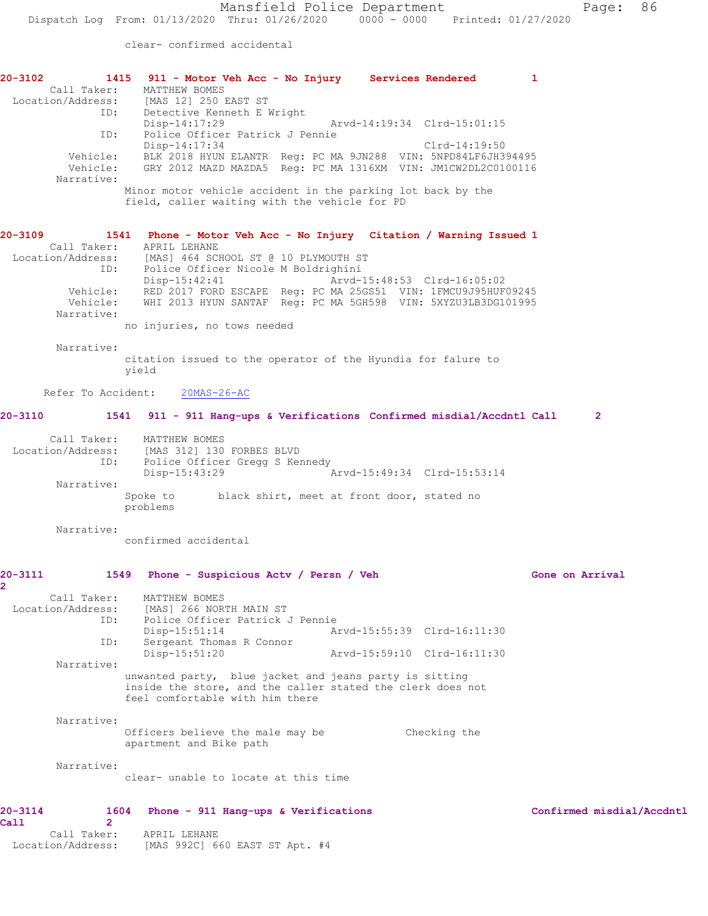clear- confirmed accidental

| 20-3102 2014                            | 1415 911 - Motor Veh Acc - No Injury Services Rendered<br>Call Taker: MATTHEW BOMES<br>Location/Address: [MAS 12] 250 EAST ST                                                                                            |                                                            |               | 1                         |
|-----------------------------------------|--------------------------------------------------------------------------------------------------------------------------------------------------------------------------------------------------------------------------|------------------------------------------------------------|---------------|---------------------------|
|                                         | ID: Detective Kenneth E Wright<br>Disp-14:17:29<br>ID: Police Officer Patrick J Pennie<br>Disp-14:17:34                                                                                                                  | Arvd-14:19:34 Clrd-15:01:15                                | Clrd-14:19:50 |                           |
| Narrative:                              | Vehicle: BLK 2018 HYUN ELANTR Reg: PC MA 9JN288 VIN: 5NPD84LF6JH394495<br>Vehicle: GRY 2012 MAZD MAZDA5 Reg: PC MA 1316XM VIN: JM1CW2DL2C0100116                                                                         |                                                            |               |                           |
|                                         | Minor motor vehicle accident in the parking lot back by the<br>field, caller waiting with the vehicle for PD                                                                                                             |                                                            |               |                           |
| 20-3109                                 | 1541 Phone - Motor Veh Acc - No Injury Citation / Warning Issued 1<br>Call Taker: APRIL LEHANE                                                                                                                           |                                                            |               |                           |
|                                         | Location/Address: [MAS] 464 SCHOOL ST @ 10 PLYMOUTH ST<br>ID: Police Officer Nicole M Boldrighini<br>Disp-15:42:41 Arvd-15:48:53 Clrd-16:05:02<br>Vehicle: RED 2017 FORD ESCAPE Reg: PC MA 25GS51 VIN: 1FMCU9J95HUF09245 |                                                            |               |                           |
| Narrative:                              | Vehicle: WHI 2013 HYUN SANTAF Reg: PC MA 5GH598 VIN: 5XYZU3LB3DG101995                                                                                                                                                   |                                                            |               |                           |
| Narrative:                              | no injuries, no tows needed                                                                                                                                                                                              |                                                            |               |                           |
|                                         | citation issued to the operator of the Hyundia for falure to<br>yield                                                                                                                                                    |                                                            |               |                           |
|                                         | Refer To Accident: 20MAS-26-AC                                                                                                                                                                                           |                                                            |               |                           |
|                                         | 20-3110 1541 911 - 911 Hang-ups & Verifications Confirmed misdial/Accdntl Call                                                                                                                                           |                                                            |               | $\mathbf{2}$              |
| ID:                                     | Call Taker: MATTHEW BOMES<br>Location/Address: [MAS 312] 130 FORBES BLVD<br>Police Officer Gregg S Kennedy<br>Disp-15:43:29                                                                                              | Arvd-15:49:34 Clrd-15:53:14                                |               |                           |
| Narrative:                              | Spoke to black shirt, meet at front door, stated no<br>problems                                                                                                                                                          |                                                            |               |                           |
| Narrative:                              | confirmed accidental                                                                                                                                                                                                     |                                                            |               |                           |
| 20-3111<br>2.                           | 1549 Phone - Suspicious Actv / Persn / Veh                                                                                                                                                                               |                                                            |               | Gone on Arrival           |
| Call Taker:<br>Location/Address:<br>ID: | MATTHEW BOMES<br>[MAS] 266 NORTH MAIN ST<br>Police Officer Patrick J Pennie                                                                                                                                              |                                                            |               |                           |
| ID:                                     | Disp-15:51:14<br>Sergeant Thomas R Connor<br>Disp-15:51:20                                                                                                                                                               | Arvd-15:55:39 Clrd-16:11:30<br>Arvd-15:59:10 Clrd-16:11:30 |               |                           |
| Narrative:                              | unwanted party, blue jacket and jeans party is sitting<br>inside the store, and the caller stated the clerk does not<br>feel comfortable with him there                                                                  |                                                            |               |                           |
| Narrative:                              | Officers believe the male may be<br>apartment and Bike path                                                                                                                                                              |                                                            | Checking the  |                           |
| Narrative:                              | clear- unable to locate at this time                                                                                                                                                                                     |                                                            |               |                           |
| 20-3114<br>$\overline{2}$<br>Call       | Phone - 911 Hang-ups & Verifications<br>1604                                                                                                                                                                             |                                                            |               | Confirmed misdial/Accdntl |
| Call Taker:<br>Location/Address:        | APRIL LEHANE<br>[MAS 992C] 660 EAST ST Apt. #4                                                                                                                                                                           |                                                            |               |                           |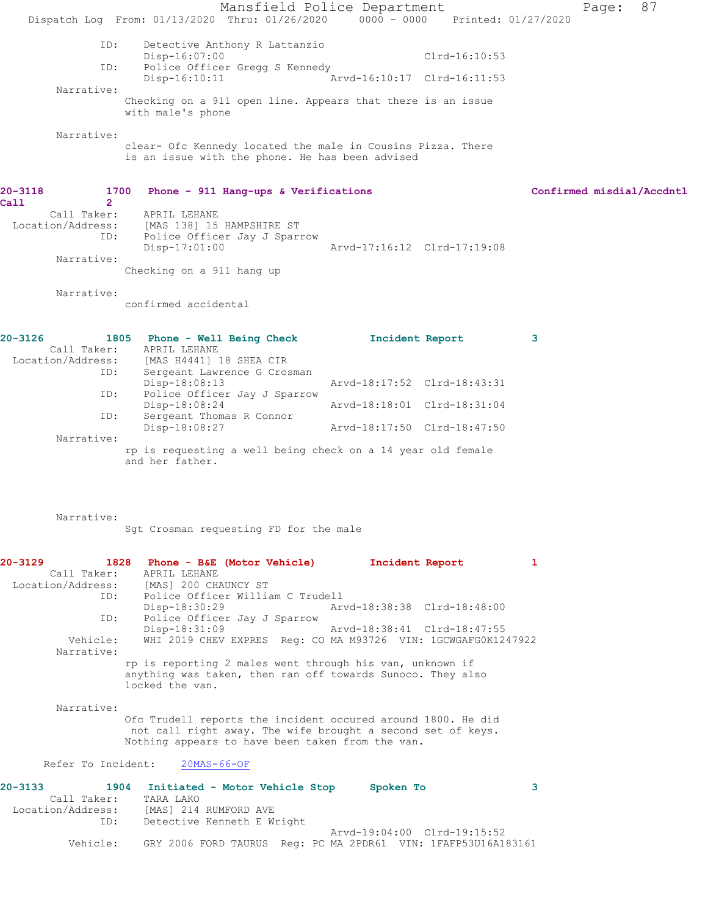Mansfield Police Department Page: 87 Dispatch Log From: 01/13/2020 Thru: 01/26/2020 0000 - 0000 Printed: 01/27/2020 ID: Detective Anthony R Lattanzio Disp-16:07:00 Clrd-16:10:53 ID: Police Officer Gregg S Kennedy<br>Disp-16:10:11 Arvo Arvd-16:10:17 Clrd-16:11:53 Narrative: Checking on a 911 open line. Appears that there is an issue with male's phone Narrative: clear- Ofc Kennedy located the male in Cousins Pizza. There is an issue with the phone. He has been advised **20-3118 1700 Phone - 911 Hang-ups & Verifications Confirmed misdial/Accdntl Call 2**  Call Taker: APRIL LEHANE Location/Address: [MAS 138] 15 HAMPSHIRE ST ID: Police Officer Jay J Sparrow Disp-17:01:00 Arvd-17:16:12 Clrd-17:19:08 Narrative: Checking on a 911 hang up Narrative: confirmed accidental **20-3126 1805 Phone - Well Being Check Incident Report 3**  Call Taker: APRIL LEHANE Location/Address: [MAS H4441] 18 SHEA CIR ID: Sergeant Lawrence G Crosman Disp-18:08:13 Arvd-18:17:52 Clrd-18:43:31 ID: Police Officer Jay J Sparrow<br>Disp-18:08:24 Disp-18:08:24 Arvd-18:18:01 Clrd-18:31:04 ID: Sergeant Thomas R Connor Disp-18:08:27 Arvd-18:17:50 Clrd-18:47:50 Narrative: rp is requesting a well being check on a 14 year old female and her father. Narrative: Sgt Crosman requesting FD for the male **20-3129 1828 Phone - B&E (Motor Vehicle) Incident Report 1**  Call Taker: APRIL LEHANE Location/Address: [MAS] 200 CHAUNCY ST ID: Police Officer William C Trudell Disp-18:30:29 Arvd-18:38:38 Clrd-18:48:00 ID: Police Officer Jay J Sparrow

Disp-18:31:09 <br>Vehicle: WHI 2019 CHEV EXPRES Req: CO MA M93726 VIN: 1GCWGAFG0K12 WHI 2019 CHEV EXPRES Reg: CO MA M93726 VIN: 1GCWGAFG0K1247922 Narrative: rp is reporting 2 males went through his van, unknown if

anything was taken, then ran off towards Sunoco. They also locked the van.

 Narrative: Ofc Trudell reports the incident occured around 1800. He did not call right away. The wife brought a second set of keys. Nothing appears to have been taken from the van.

### Refer To Incident: 20MAS-66-OF

| 20-3133           |             | 1904 Initiated - Motor Vehicle Stop |  | Spoken To |                                                               |  |
|-------------------|-------------|-------------------------------------|--|-----------|---------------------------------------------------------------|--|
|                   | Call Taker: | TARA LAKO                           |  |           |                                                               |  |
| Location/Address: |             | [MAS] 214 RUMFORD AVE               |  |           |                                                               |  |
|                   | ID:         | Detective Kenneth E Wright          |  |           |                                                               |  |
|                   |             |                                     |  |           | Arvd-19:04:00 Clrd-19:15:52                                   |  |
|                   | Vehicle:    |                                     |  |           | GRY 2006 FORD TAURUS Req: PC MA 2PDR61 VIN: 1FAFP53U16A183161 |  |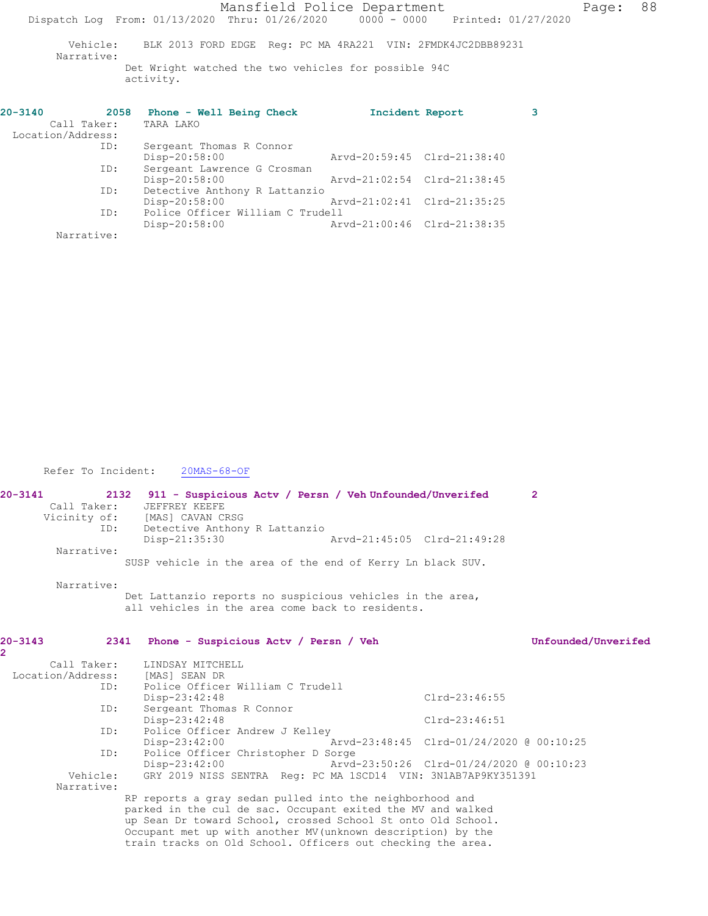|                   |     |                                                                                | Mansfield Police Department |                 |                             |   | Page: | 88 |
|-------------------|-----|--------------------------------------------------------------------------------|-----------------------------|-----------------|-----------------------------|---|-------|----|
|                   |     | Dispatch Log From: 01/13/2020 Thru: 01/26/2020 0000 - 0000 Printed: 01/27/2020 |                             |                 |                             |   |       |    |
| Narrative:        |     | Vehicle: BLK 2013 FORD EDGE Req: PC MA 4RA221 VIN: 2FMDK4JC2DBB89231           |                             |                 |                             |   |       |    |
|                   |     | Det Wright watched the two vehicles for possible 94C<br>activity.              |                             |                 |                             |   |       |    |
| $20 - 3140$       |     | 2058 Phone - Well Being Check                                                  |                             | Incident Report |                             | 3 |       |    |
|                   |     | Call Taker: TARA LAKO                                                          |                             |                 |                             |   |       |    |
| Location/Address: |     |                                                                                |                             |                 |                             |   |       |    |
|                   | ID: | Sergeant Thomas R Connor<br>Disp-20:58:00                                      |                             |                 | Arvd-20:59:45 Clrd-21:38:40 |   |       |    |
|                   | ID: | Sergeant Lawrence G Crosman<br>Disp-20:58:00                                   |                             |                 | Arvd-21:02:54 Clrd-21:38:45 |   |       |    |
|                   | ID: | Detective Anthony R Lattanzio<br>Disp-20:58:00                                 |                             |                 | Arvd-21:02:41 Clrd-21:35:25 |   |       |    |
|                   | ID: | Police Officer William C Trudell                                               |                             |                 |                             |   |       |    |
|                   |     | Disp-20:58:00                                                                  |                             |                 | Arvd-21:00:46 Clrd-21:38:35 |   |       |    |
| Narrative:        |     |                                                                                |                             |                 |                             |   |       |    |

Refer To Incident: 20MAS-68-OF

| JEFFREY KEEFE                      |                                                                                                                                                                                                                                                             | $\overline{2}$                                                                                                                                                                                                                                                                                                                                                                                                                                                                            |
|------------------------------------|-------------------------------------------------------------------------------------------------------------------------------------------------------------------------------------------------------------------------------------------------------------|-------------------------------------------------------------------------------------------------------------------------------------------------------------------------------------------------------------------------------------------------------------------------------------------------------------------------------------------------------------------------------------------------------------------------------------------------------------------------------------------|
|                                    |                                                                                                                                                                                                                                                             |                                                                                                                                                                                                                                                                                                                                                                                                                                                                                           |
|                                    |                                                                                                                                                                                                                                                             |                                                                                                                                                                                                                                                                                                                                                                                                                                                                                           |
|                                    |                                                                                                                                                                                                                                                             |                                                                                                                                                                                                                                                                                                                                                                                                                                                                                           |
|                                    |                                                                                                                                                                                                                                                             |                                                                                                                                                                                                                                                                                                                                                                                                                                                                                           |
|                                    |                                                                                                                                                                                                                                                             |                                                                                                                                                                                                                                                                                                                                                                                                                                                                                           |
|                                    |                                                                                                                                                                                                                                                             |                                                                                                                                                                                                                                                                                                                                                                                                                                                                                           |
|                                    |                                                                                                                                                                                                                                                             |                                                                                                                                                                                                                                                                                                                                                                                                                                                                                           |
|                                    |                                                                                                                                                                                                                                                             |                                                                                                                                                                                                                                                                                                                                                                                                                                                                                           |
|                                    |                                                                                                                                                                                                                                                             |                                                                                                                                                                                                                                                                                                                                                                                                                                                                                           |
|                                    |                                                                                                                                                                                                                                                             | Unfounded/Unverifed                                                                                                                                                                                                                                                                                                                                                                                                                                                                       |
|                                    |                                                                                                                                                                                                                                                             |                                                                                                                                                                                                                                                                                                                                                                                                                                                                                           |
|                                    |                                                                                                                                                                                                                                                             |                                                                                                                                                                                                                                                                                                                                                                                                                                                                                           |
|                                    |                                                                                                                                                                                                                                                             |                                                                                                                                                                                                                                                                                                                                                                                                                                                                                           |
|                                    |                                                                                                                                                                                                                                                             |                                                                                                                                                                                                                                                                                                                                                                                                                                                                                           |
| Disp-23:42:48                      |                                                                                                                                                                                                                                                             |                                                                                                                                                                                                                                                                                                                                                                                                                                                                                           |
| Sergeant Thomas R Connor           |                                                                                                                                                                                                                                                             |                                                                                                                                                                                                                                                                                                                                                                                                                                                                                           |
| $Disp-23:42:48$                    |                                                                                                                                                                                                                                                             |                                                                                                                                                                                                                                                                                                                                                                                                                                                                                           |
| Police Officer Andrew J Kelley     |                                                                                                                                                                                                                                                             |                                                                                                                                                                                                                                                                                                                                                                                                                                                                                           |
| $Disp-23:42:00$                    |                                                                                                                                                                                                                                                             |                                                                                                                                                                                                                                                                                                                                                                                                                                                                                           |
| Police Officer Christopher D Sorge |                                                                                                                                                                                                                                                             |                                                                                                                                                                                                                                                                                                                                                                                                                                                                                           |
| Disp-23:42:00                      |                                                                                                                                                                                                                                                             |                                                                                                                                                                                                                                                                                                                                                                                                                                                                                           |
|                                    |                                                                                                                                                                                                                                                             |                                                                                                                                                                                                                                                                                                                                                                                                                                                                                           |
|                                    |                                                                                                                                                                                                                                                             |                                                                                                                                                                                                                                                                                                                                                                                                                                                                                           |
|                                    |                                                                                                                                                                                                                                                             |                                                                                                                                                                                                                                                                                                                                                                                                                                                                                           |
|                                    | Call Taker:<br>Vicinity of: [MAS] CAVAN CRSG<br>ID: Detective Anthony R Lattanzio<br>Disp-21:35:30<br>2341 Phone - Suspicious Actv / Persn / Veh<br>Call Taker: LINDSAY MITCHELL<br>Location/Address: [MAS] SEAN DR<br>ID: Police Officer William C Trudell | 2132 911 - Suspicious Actv / Persn / Veh Unfounded/Unverifed<br>Arvd-21:45:05 Clrd-21:49:28<br>SUSP vehicle in the area of the end of Kerry Ln black SUV.<br>Det Lattanzio reports no suspicious vehicles in the area,<br>all vehicles in the area come back to residents.<br>$Clrd-23:46:55$<br>$Clrd-23:46:51$<br>Arvd-23:50:26 Clrd-01/24/2020 @ 00:10:23<br>GRY 2019 NISS SENTRA Req: PC MA 1SCD14 VIN: 3N1AB7AP9KY351391<br>RP reports a gray sedan pulled into the neighborhood and |

parked in the cul de sac. Occupant exited the MV and walked up Sean Dr toward School, crossed School St onto Old School. Occupant met up with another MV(unknown description) by the train tracks on Old School. Officers out checking the area.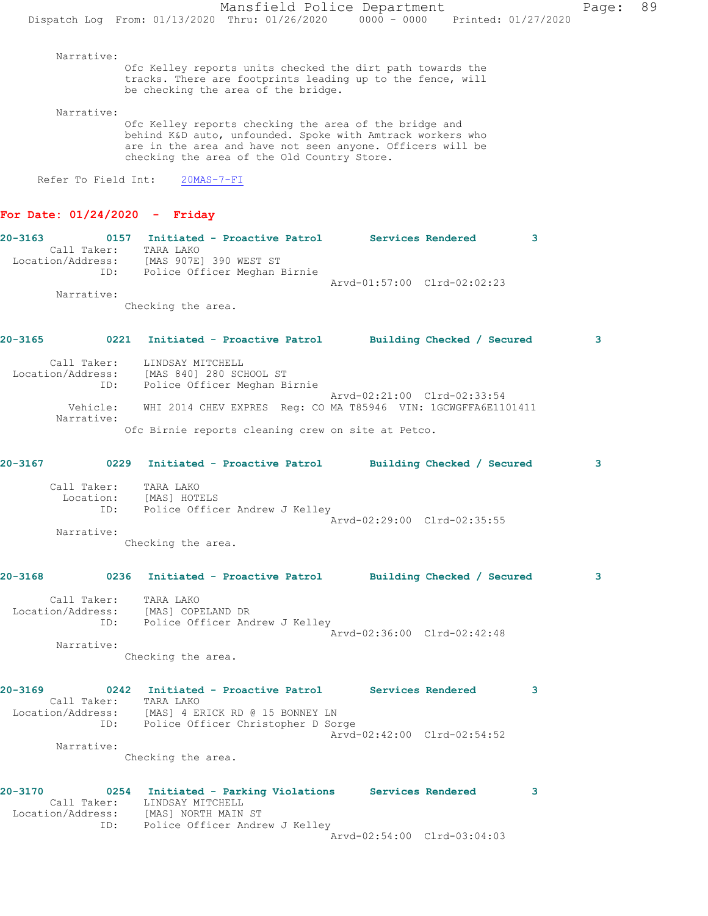Narrative:

Ofc Kelley reports units checked the dirt path towards the tracks. There are footprints leading up to the fence, will be checking the area of the bridge.

Narrative:

Ofc Kelley reports checking the area of the bridge and behind K&D auto, unfounded. Spoke with Amtrack workers who are in the area and have not seen anyone. Officers will be checking the area of the Old Country Store.

Refer To Field Int: 20MAS-7-FI

#### **For Date: 01/24/2020 - Friday**

| $20 - 3163$       | 0157 | Initiated - Proactive Patrol |                             | Services Rendered |  |
|-------------------|------|------------------------------|-----------------------------|-------------------|--|
| Call Taker:       |      | TARA LAKO                    |                             |                   |  |
| Location/Address: |      | [MAS 907E] 390 WEST ST       |                             |                   |  |
|                   | ID:  | Police Officer Meghan Birnie |                             |                   |  |
|                   |      |                              | Arvd-01:57:00 Clrd-02:02:23 |                   |  |
| Narrative:        |      |                              |                             |                   |  |

Checking the area.

## **20-3165 0221 Initiated - Proactive Patrol Building Checked / Secured 3**

| Call Taker:            | LINDSAY MITCHELL                                                                                                                                    |
|------------------------|-----------------------------------------------------------------------------------------------------------------------------------------------------|
| Location/Address:      | [MAS 840] 280 SCHOOL ST                                                                                                                             |
| ID:                    | Police Officer Meghan Birnie                                                                                                                        |
| Vehicle:<br>Narrative: | Arvd-02:21:00 Clrd-02:33:54<br>WHI 2014 CHEV EXPRES Req: CO MA T85946 VIN: 1GCWGFFA6E1101411<br>$Ofa$ Birnie ronarte eleccing arou en eite et Betee |

Ofc Birnie reports cleaning crew on site at Petco.

| $20 - 3167$ |                           |                                                                        | 0229 Initiated - Proactive Patrol Building Checked / Secured                                                                                       |                             |   | $\mathbf{3}$ |
|-------------|---------------------------|------------------------------------------------------------------------|----------------------------------------------------------------------------------------------------------------------------------------------------|-----------------------------|---|--------------|
|             | Call Taker:<br>Narrative: | TARA LAKO<br>Location: [MAS] HOTELS<br>Checking the area.              | ID: Police Officer Andrew J Kelley                                                                                                                 | Arvd-02:29:00 Clrd-02:35:55 |   |              |
|             |                           |                                                                        |                                                                                                                                                    |                             |   |              |
| $20 - 3168$ |                           |                                                                        | 0236 Initiated - Proactive Patrol Building Checked / Secured                                                                                       |                             |   | 3            |
|             | Call Taker:<br>Narrative: | TARA LAKO<br>Location/Address: [MAS] COPELAND DR<br>Checking the area. | ID: Police Officer Andrew J Kelley                                                                                                                 | Arvd-02:36:00 Clrd-02:42:48 |   |              |
| 20-3169     |                           | Call Taker: TARA LAKO                                                  | 0242 Initiated - Proactive Patrol Services Rendered<br>Location/Address: [MAS] 4 ERICK RD @ 15 BONNEY LN<br>ID: Police Officer Christopher D Sorge |                             | 3 |              |
|             | Narrative:                |                                                                        |                                                                                                                                                    | Arvd-02:42:00 Clrd-02:54:52 |   |              |
|             |                           | Checking the area.                                                     |                                                                                                                                                    |                             |   |              |
| 20-3170     |                           | Call Taker: LINDSAY MITCHELL<br>Location/Address: [MAS] NORTH MAIN ST  | 0254 Initiated - Parking Violations Services Rendered<br>ID: Police Officer Andrew J Kelley                                                        |                             | 3 |              |
|             |                           |                                                                        |                                                                                                                                                    | Arvd-02:54:00 Clrd-03:04:03 |   |              |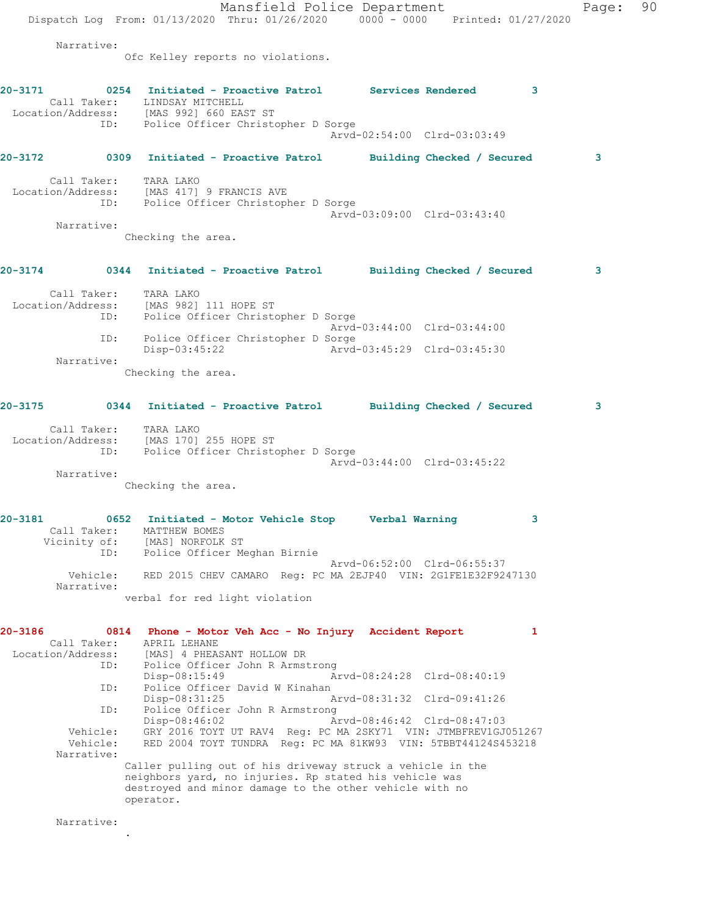|                          | Mansfield Police Department                                                                                                     | Page: | 90 |
|--------------------------|---------------------------------------------------------------------------------------------------------------------------------|-------|----|
|                          | Dispatch Log From: 01/13/2020 Thru: 01/26/2020 0000 - 0000 Printed: 01/27/2020                                                  |       |    |
| Narrative:               |                                                                                                                                 |       |    |
|                          | Ofc Kelley reports no violations.                                                                                               |       |    |
| 20-3171                  | 0254 Initiated - Proactive Patrol Services Rendered 3                                                                           |       |    |
|                          | Call Taker: LINDSAY MITCHELL                                                                                                    |       |    |
|                          | Location/Address: [MAS 992] 660 EAST ST<br>ID: Police Officer Christopher D Sorge                                               |       |    |
|                          | Arvd-02:54:00 Clrd-03:03:49                                                                                                     |       |    |
|                          | 20-3172 0309 Initiated - Proactive Patrol Building Checked / Secured                                                            | з     |    |
|                          | Call Taker: TARA LAKO                                                                                                           |       |    |
| ID:                      | Location/Address: [MAS 417] 9 FRANCIS AVE<br>Police Officer Christopher D Sorge                                                 |       |    |
|                          | Arvd-03:09:00 Clrd-03:43:40                                                                                                     |       |    |
| Narrative:               | Checking the area.                                                                                                              |       |    |
|                          |                                                                                                                                 |       |    |
|                          | 20-3174 		 0344 Initiated - Proactive Patrol 		 Building Checked / Secured                                                      | 3     |    |
|                          |                                                                                                                                 |       |    |
|                          | Call Taker: TARA LAKO<br>Location/Address: [MAS 982] 111 HOPE ST                                                                |       |    |
|                          | ID: Police Officer Christopher D Sorge<br>Arvd-03:44:00 Clrd-03:44:00                                                           |       |    |
| ID:                      | Police Officer Christopher D Sorge                                                                                              |       |    |
| Narrative:               | Arvd-03:45:29 Clrd-03:45:30<br>Disp-03:45:22                                                                                    |       |    |
|                          | Checking the area.                                                                                                              |       |    |
|                          |                                                                                                                                 |       |    |
| $20 - 3175$              | 0344 Initiated - Proactive Patrol Building Checked / Secured                                                                    | 3     |    |
|                          | Call Taker: TARA LAKO                                                                                                           |       |    |
|                          | Location/Address: [MAS 170] 255 HOPE ST                                                                                         |       |    |
| ID:                      | Police Officer Christopher D Sorge<br>Arvd-03:44:00 Clrd-03:45:22                                                               |       |    |
| Narrative:               |                                                                                                                                 |       |    |
|                          | Checking the area.                                                                                                              |       |    |
| 20-3181                  | 0652 Initiated - Motor Vehicle Stop       Verbal Warning                                                                        |       |    |
| Call Taker:              | MATTHEW BOMES                                                                                                                   |       |    |
| ID:                      | Vicinity of: [MAS] NORFOLK ST<br>Police Officer Meghan Birnie                                                                   |       |    |
| Vehicle:                 | Arvd-06:52:00 Clrd-06:55:37<br>RED 2015 CHEV CAMARO Req: PC MA 2EJP40 VIN: 2G1FE1E32F9247130                                    |       |    |
| Narrative:               |                                                                                                                                 |       |    |
|                          | verbal for red light violation                                                                                                  |       |    |
| 20-3186                  | 0814 Phone - Motor Veh Acc - No Injury Accident Report<br>$\mathbf{1}$                                                          |       |    |
| Call Taker:              | APRIL LEHANE                                                                                                                    |       |    |
| Location/Address:<br>ID: | [MAS] 4 PHEASANT HOLLOW DR<br>Police Officer John R Armstrong                                                                   |       |    |
|                          | Arvd-08:24:28 Clrd-08:40:19<br>$Disp-08:15:49$                                                                                  |       |    |
| ID:                      | Police Officer David W Kinahan                                                                                                  |       |    |
| ID:                      | Arvd-08:31:32 Clrd-09:41:26<br>$Disp-08:31:25$<br>Police Officer John R Armstrong                                               |       |    |
|                          | Disp-08:46:02<br>Arvd-08:46:42 Clrd-08:47:03                                                                                    |       |    |
| Vehicle:<br>Vehicle:     | GRY 2016 TOYT UT RAV4 Reg: PC MA 2SKY71 VIN: JTMBFREV1GJ051267<br>RED 2004 TOYT TUNDRA Reg: PC MA 81KW93 VIN: 5TBBT44124S453218 |       |    |
| Narrative:               |                                                                                                                                 |       |    |
|                          | Caller pulling out of his driveway struck a vehicle in the<br>neighbors yard, no injuries. Rp stated his vehicle was            |       |    |
|                          | destroyed and minor damage to the other vehicle with no                                                                         |       |    |
|                          | operator.                                                                                                                       |       |    |
|                          |                                                                                                                                 |       |    |

Narrative:

.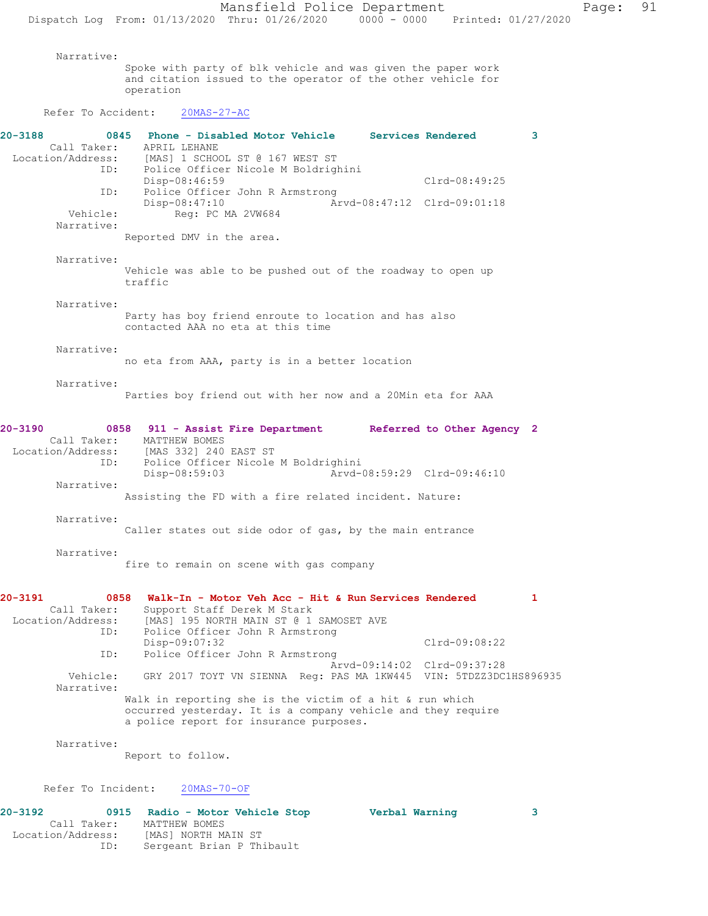Narrative: Spoke with party of blk vehicle and was given the paper work and citation issued to the operator of the other vehicle for operation Refer To Accident: 20MAS-27-AC **20-3188 0845 Phone - Disabled Motor Vehicle Services Rendered 3**  Call Taker: APRIL LEHANE Location/Address: [MAS] 1 SCHOOL ST @ 167 WEST ST ID: Police Officer Nicole M Boldrighini Disp-08:46:59 Clrd-08:49:25 ID: Police Officer John R Armstrong<br>Disp-08:47:10 Ar Disp-08:47:10 Arvd-08:47:12 Clrd-09:01:18 Vehicle: Req: PC MA 2VW684 Narrative: Reported DMV in the area. Narrative: Vehicle was able to be pushed out of the roadway to open up traffic Narrative: Party has boy friend enroute to location and has also contacted AAA no eta at this time Narrative: no eta from AAA, party is in a better location Narrative: Parties boy friend out with her now and a 20Min eta for AAA **20-3190 0858 911 - Assist Fire Department Referred to Other Agency 2**  Call Taker: MATTHEW BOMES<br>Location/Address: [MAS 332] 240 [MAS 332] 240 EAST ST ID: Police Officer Nicole M Boldrighini Disp-08:59:03 Arvd-08:59:29 Clrd-09:46:10 Narrative: Assisting the FD with a fire related incident. Nature: Narrative: Caller states out side odor of gas, by the main entrance Narrative: fire to remain on scene with gas company **20-3191 0858 Walk-In - Motor Veh Acc - Hit & Run Services Rendered 1**  Call Taker: Support Staff Derek M Stark Location/Address: [MAS] 195 NORTH MAIN ST @ 1 SAMOSET AVE ID: Police Officer John R Armstrong Disp-09:07:32 Clrd-09:08:22 ID: Police Officer John R Armstrong Arvd-09:14:02 Clrd-09:37:28 Vehicle: GRY 2017 TOYT VN SIENNA Reg: PAS MA 1KW445 VIN: 5TDZZ3DC1HS896935 Narrative: Walk in reporting she is the victim of a hit & run which occurred yesterday. It is a company vehicle and they require a police report for insurance purposes. Narrative: Report to follow.

#### Refer To Incident: 20MAS-70-OF

| 20-3192           | 0915 Radio - Motor Vehicle Stop | Verbal Warning |  |
|-------------------|---------------------------------|----------------|--|
| Call Taker:       | MATTHEW BOMES                   |                |  |
| Location/Address: | [MAS] NORTH MAIN ST             |                |  |
| ID:               | Sergeant Brian P Thibault       |                |  |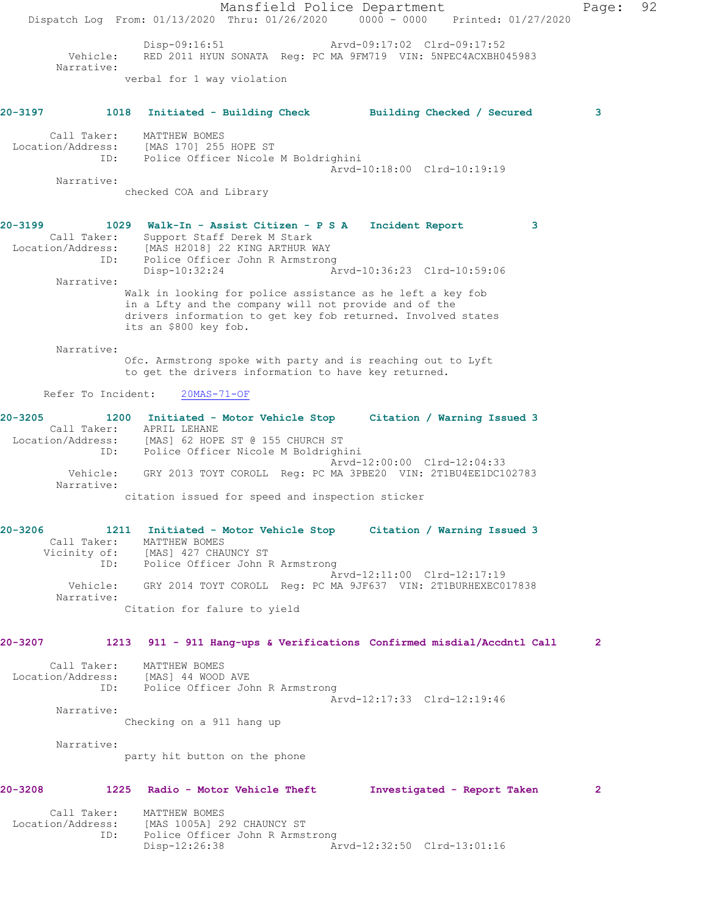Mansfield Police Department Page: 92 Dispatch Log From: 01/13/2020 Thru: 01/26/2020 0000 - 0000 Printed: 01/27/2020 Disp-09:16:51 Arvd-09:17:02 Clrd-09:17:52 Vehicle: RED 2011 HYUN SONATA Reg: PC MA 9FM719 VIN: 5NPEC4ACXBH045983 Narrative: verbal for 1 way violation **20-3197 1018 Initiated - Building Check Building Checked / Secured 3** Call Taker: MATTHEW BOMES Location/Address: [MAS 170] 255 HOPE ST ID: Police Officer Nicole M Boldrighini Arvd-10:18:00 Clrd-10:19:19 Narrative: checked COA and Library **20-3199 1029 Walk-In - Assist Citizen - P S A Incident Report 3**  Call Taker: Support Staff Derek M Stark Location/Address: [MAS H2018] 22 KING ARTHUR WAY ID: Police Officer John R Armstrong Disp-10:32:24 Arvd-10:36:23 Clrd-10:59:06 Narrative: Walk in looking for police assistance as he left a key fob in a Lfty and the company will not provide and of the drivers information to get key fob returned. Involved states its an \$800 key fob. Narrative: Ofc. Armstrong spoke with party and is reaching out to Lyft to get the drivers information to have key returned. Refer To Incident: 20MAS-71-OF **20-3205 1200 Initiated - Motor Vehicle Stop Citation / Warning Issued 3**  Call Taker: APRIL LEHANE<br>Location/Address: [MAS] 62 HOPE<br>ID: Police Office [MAS] 62 HOPE ST @ 155 CHURCH ST Police Officer Nicole M Boldrighini Arvd-12:00:00 Clrd-12:04:33 Vehicle: GRY 2013 TOYT COROLL Reg: PC MA 3PBE20 VIN: 2T1BU4EE1DC102783 Narrative: citation issued for speed and inspection sticker **20-3206 1211 Initiated - Motor Vehicle Stop Citation / Warning Issued 3**  Call Taker: MATTHEW BOMES Vicinity of: [MAS] 427 CHAUNCY ST ID: Police Officer John R Armstrong Arvd-12:11:00 Clrd-12:17:19 Vehicle: GRY 2014 TOYT COROLL Reg: PC MA 9JF637 VIN: 2T1BURHEXEC017838 Narrative: Citation for falure to yield **20-3207 1213 911 - 911 Hang-ups & Verifications Confirmed misdial/Accdntl Call 2** Call Taker: MATTHEW BOMES Location/Address: [MAS] 44 WOOD AVE ID: Police Officer John R Armstrong Arvd-12:17:33 Clrd-12:19:46 Narrative: Checking on a 911 hang up Narrative: party hit button on the phone **20-3208 1225 Radio - Motor Vehicle Theft Investigated - Report Taken 2** Call Taker: MATTHEW BOMES<br>Location/Address: [MAS 1005A] 2:<br>ID: Police Office: [MAS 1005A] 292 CHAUNCY ST Police Officer John R Armstrong<br>Disp-12:26:38 A Disp-12:26:38 Arvd-12:32:50 Clrd-13:01:16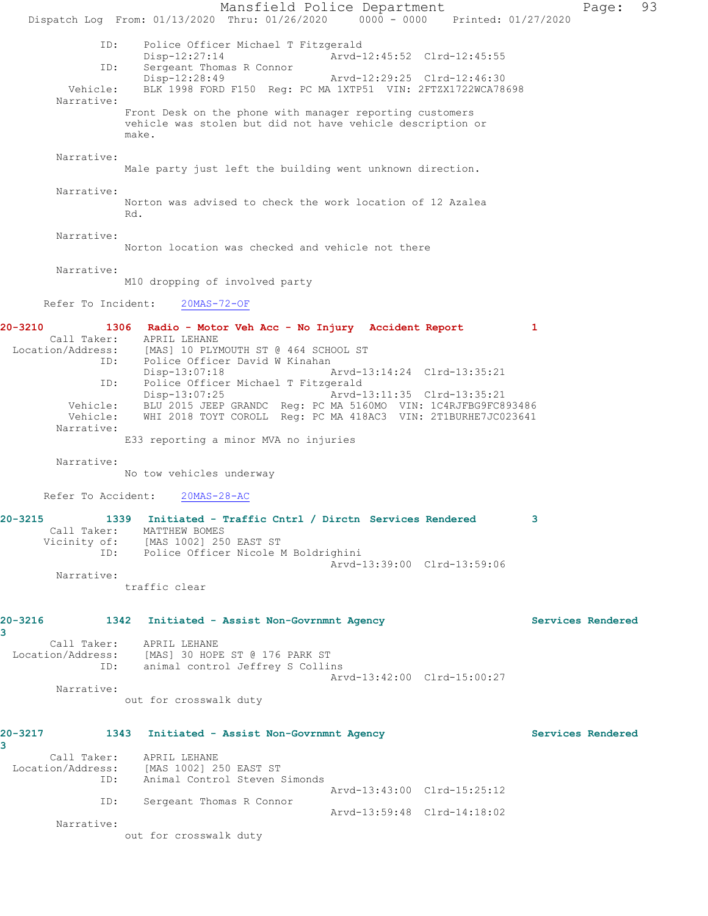Mansfield Police Department Fage: 93 Dispatch Log From: 01/13/2020 Thru: 01/26/2020 0000 - 0000 Printed: 01/27/2020 ID: Police Officer Michael T Fitzgerald Arvd-12:45:52 Clrd-12:45:55 ID: Sergeant Thomas R Connor<br>Disp-12:28:49 Disp-12:28:49 Arvd-12:29:25 Clrd-12:46:30<br>Vehicle: BLK 1998 FORD F150 Req: PC MA 1XTP51 VIN: 2FTZX1722WCA78 BLK 1998 FORD F150 Reg: PC MA 1XTP51 VIN: 2FTZX1722WCA78698 Narrative: Front Desk on the phone with manager reporting customers vehicle was stolen but did not have vehicle description or make. Narrative: Male party just left the building went unknown direction. Narrative: Norton was advised to check the work location of 12 Azalea Rd. Narrative: Norton location was checked and vehicle not there Narrative: M10 dropping of involved party Refer To Incident: 20MAS-72-OF **20-3210 1306 Radio - Motor Veh Acc - No Injury Accident Report 1**  Call Taker: APRIL LEHANE Location/Address: [MAS] 10 PLYMOUTH ST @ 464 SCHOOL ST<br>ID: Police Officer David W Kinahan Police Officer David W Kinahan<br>Disp-13:07:18 Arvd-13:14:24 Clrd-13:35:21 ID: Police Officer Michael T Fitzgerald Disp-13:07:25 Arvd-13:11:35 Clrd-13:35:21 Vehicle: BLU 2015 JEEP GRANDC Reg: PC MA 5160MO VIN: 1C4RJFBG9FC893486 Vehicle: WHI 2018 TOYT COROLL Reg: PC MA 418AC3 VIN: 2T1BURHE7JC023641 Narrative: E33 reporting a minor MVA no injuries Narrative: No tow vehicles underway Refer To Accident: 20MAS-28-AC **20-3215 1339 Initiated - Traffic Cntrl / Dirctn Services Rendered 3**  Call Taker: MATTHEW BOMES Vicinity of: [MAS 1002] 250 EAST ST ID: Police Officer Nicole M Boldrighini Arvd-13:39:00 Clrd-13:59:06 Narrative: traffic clear **20-3216 1342 Initiated - Assist Non-Govrnmnt Agency Services Rendered 3**  Call Taker: APRIL LEHANE Location/Address: [MAS] 30 HOPE ST @ 176 PARK ST ID: animal control Jeffrey S Collins Arvd-13:42:00 Clrd-15:00:27 Narrative: out for crosswalk duty **20-3217 1343 Initiated - Assist Non-Govrnmnt Agency Services Rendered 3**  Call Taker: APRIL LEHANE Location/Address: [MAS 1002] 250 EAST ST ID: Animal Control Steven Simonds Arvd-13:43:00 Clrd-15:25:12 ID: Sergeant Thomas R Connor Arvd-13:59:48 Clrd-14:18:02 Narrative: out for crosswalk duty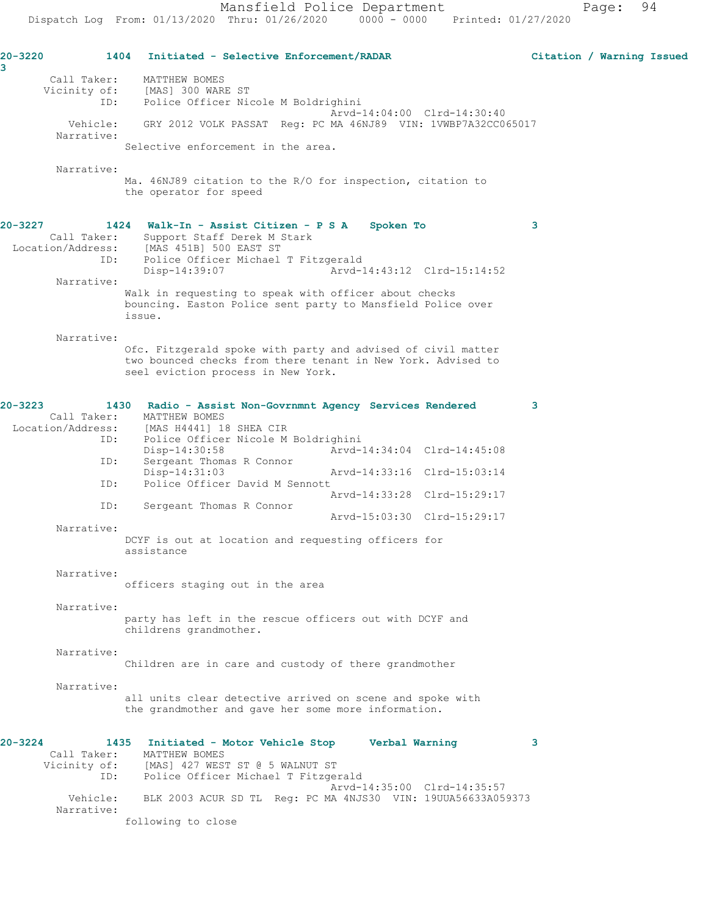**20-3220 1404 Initiated - Selective Enforcement/RADAR Citation / Warning Issued 3**  Call Taker: MATTHEW BOMES Vicinity of: [MAS] 300 WARE ST Vicinity of: [MAS] 300 WARE ST<br>ID: Police Officer Nicole M Boldrighini Arvd-14:04:00 Clrd-14:30:40 Vehicle: GRY 2012 VOLK PASSAT Reg: PC MA 46NJ89 VIN: 1VWBP7A32CC065017 Narrative: Selective enforcement in the area. Narrative: Ma. 46NJ89 citation to the R/O for inspection, citation to the operator for speed **20-3227 1424 Walk-In - Assist Citizen - P S A Spoken To 3**  Call Taker: Support Staff Derek M Stark Location/Address: [MAS 451B] 500 EAST ST<br>ID: Police Officer Michael Police Officer Michael T Fitzgerald Disp-14:39:07 Arvd-14:43:12 Clrd-15:14:52 Narrative: Walk in requesting to speak with officer about checks bouncing. Easton Police sent party to Mansfield Police over issue. Narrative: Ofc. Fitzgerald spoke with party and advised of civil matter two bounced checks from there tenant in New York. Advised to seel eviction process in New York. **20-3223 1430 Radio - Assist Non-Govrnmnt Agency Services Rendered 3**  Call Taker: MATTHEW BOMES<br>Location/Address: [MAS H4441] 1 ess: [MAS H4441] 18 SHEA CIR<br>ID: Police Officer Nicole M Police Officer Nicole M Boldrighini<br>Disp-14:30:58 Arvd-Arvd-14:34:04 Clrd-14:45:08 ID: Sergeant Thomas R Connor Disp-14:31:03 Arvd-14:33:16 Clrd-15:03:14<br>TD: Police Officer David M Sennott Police Officer David M Sennott Arvd-14:33:28 Clrd-15:29:17 ID: Sergeant Thomas R Connor Arvd-15:03:30 Clrd-15:29:17 Narrative: DCYF is out at location and requesting officers for assistance Narrative: officers staging out in the area Narrative: party has left in the rescue officers out with DCYF and childrens grandmother. Narrative: Children are in care and custody of there grandmother Narrative: all units clear detective arrived on scene and spoke with the grandmother and gave her some more information. **20-3224 1435 Initiated - Motor Vehicle Stop Verbal Warning 3**  Call Taker: MATTHEW BOMES<br>Vicinity of: [MAS] 427 WES! [MAS] 427 WEST ST @ 5 WALNUT ST ID: Police Officer Michael T Fitzgerald Arvd-14:35:00 Clrd-14:35:57<br>Vehicle: BLK 2003 ACUR SD TL Req: PC MA 4NJS30 VIN: 19UUA56633A05 BLK 2003 ACUR SD TL Reg: PC MA 4NJS30 VIN: 19UUA56633A059373 Narrative:

following to close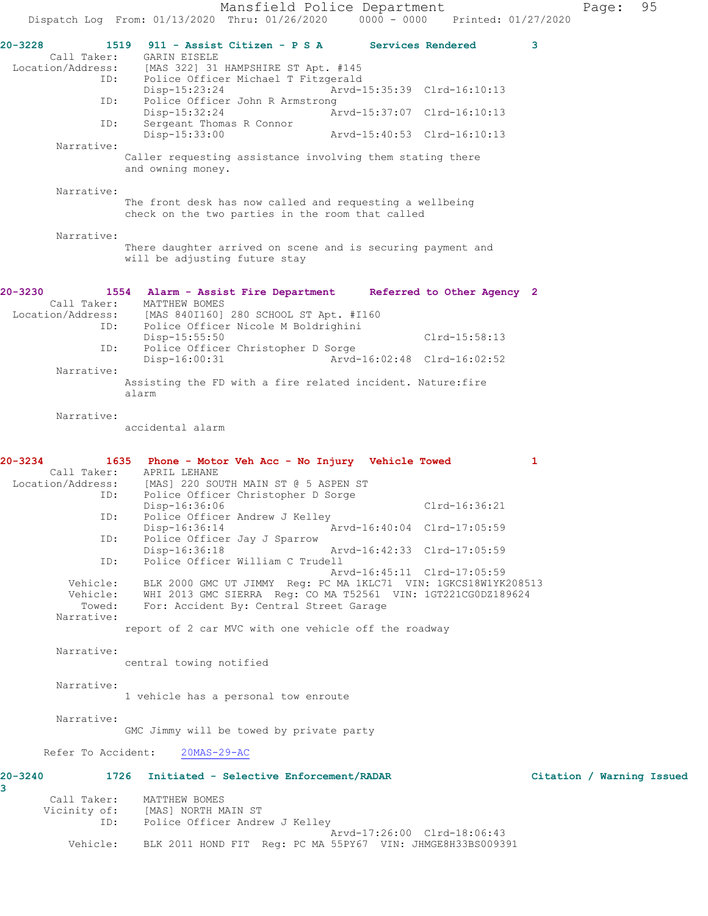Mansfield Police Department Page: 95 Dispatch Log From: 01/13/2020 Thru: 01/26/2020 0000 - 0000 Printed: 01/27/2020 **20-3228 1519 911 - Assist Citizen - P S A Services Rendered 3**  Call Taker: GARIN EISELE<br>Location/Address: [MAS 322] 31 [MAS 322] 31 HAMPSHIRE ST Apt. #145 ID: Police Officer Michael T Fitzgerald Disp-15:23:24 Arvd-15:35:39 Clrd-16:10:13<br>TD: Police Officer John R Armstrong Police Officer John R Armstrong<br>Disp-15:32:24 Ar Disp-15:32:24 Arvd-15:37:07 Clrd-16:10:13 ID: Sergeant Thomas R Connor Arvd-15:40:53 Clrd-16:10:13 Narrative: Caller requesting assistance involving them stating there and owning money. Narrative: The front desk has now called and requesting a wellbeing check on the two parties in the room that called Narrative: There daughter arrived on scene and is securing payment and will be adjusting future stay **20-3230 1554 Alarm - Assist Fire Department Referred to Other Agency 2**  Call Taker: MATTHEW BOMES<br>Location/Address: [MAS 840I160] [MAS 840I160] 280 SCHOOL ST Apt. #I160 ID: Police Officer Nicole M Boldrighini Disp-15:55:50 Clrd-15:58:13<br>TD: Police Officer Christopher D Sorge Police Officer Christopher D Sorge Disp-16:00:31 Arvd-16:02:48 Clrd-16:02:52 Narrative: Assisting the FD with a fire related incident. Nature:fire alarm Narrative: accidental alarm **20-3234 1635 Phone - Motor Veh Acc - No Injury Vehicle Towed 1**  Call Taker: APRIL LEHANE<br>Location/Address: [MAS] 220 SOU ess: [MAS] 220 SOUTH MAIN ST @ 5 ASPEN ST<br>TD: Police Officer Christopher D Sorge Police Officer Christopher D Sorge Disp-16:36:06 Clrd-16:36:21 ID: Police Officer Andrew J Kelley<br>Disp-16:36:14 Disp-16:36:14 Arvd-16:40:04 Clrd-17:05:59 ID: Police Officer Jay J Sparrow Arvd-16:42:33 Clrd-17:05:59 ID: Police Officer William C Trudell Arvd-16:45:11 Clrd-17:05:59 Vehicle: BLK 2000 GMC UT JIMMY Reg: PC MA 1KLC71 VIN: 1GKCS18W1YK208513 Vehicle: WHI 2013 GMC SIERRA Reg: CO MA T52561 VIN: 1GT221CG0DZ189624 Towed: For: Accident By: Central Street Garage Narrative: report of 2 car MVC with one vehicle off the roadway Narrative: central towing notified Narrative: 1 vehicle has a personal tow enroute Narrative: GMC Jimmy will be towed by private party Refer To Accident: 20MAS-29-AC **20-3240 1726 Initiated - Selective Enforcement/RADAR Citation / Warning Issued 3**  Call Taker: MATTHEW BOMES Vicinity of: [MAS] NORTH MAIN ST ID: Police Officer Andrew J Kelley Arvd-17:26:00 Clrd-18:06:43 Vehicle: BLK 2011 HOND FIT Reg: PC MA 55PY67 VIN: JHMGE8H33BS009391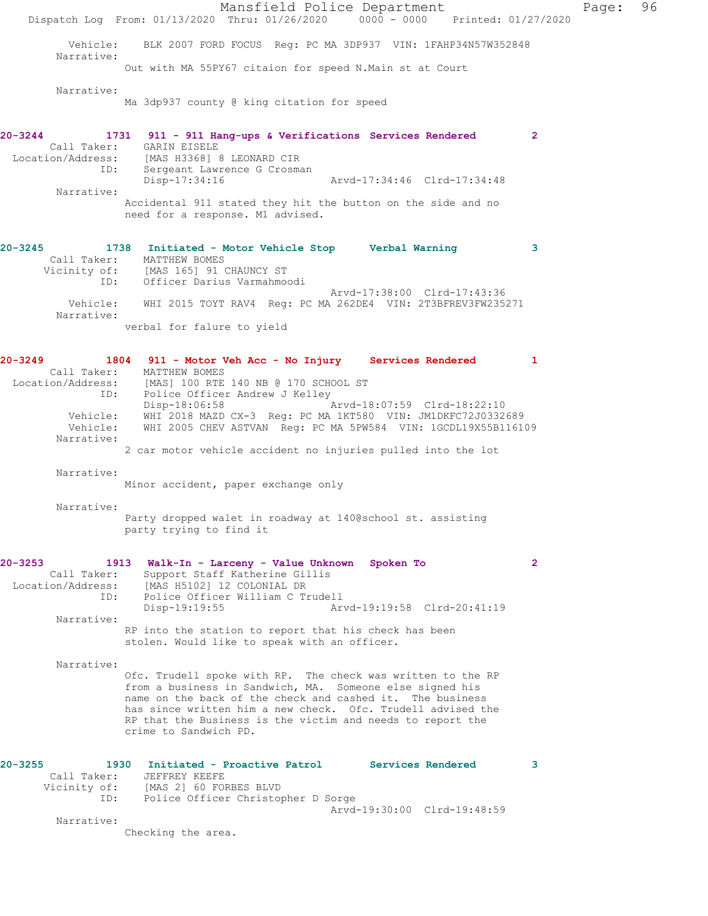Mansfield Police Department Fage: 96 Dispatch Log From: 01/13/2020 Thru: 01/26/2020 0000 - 0000 Printed: 01/27/2020 Vehicle: BLK 2007 FORD FOCUS Reg: PC MA 3DP937 VIN: 1FAHP34N57W352848 Narrative: Out with MA 55PY67 citaion for speed N.Main st at Court Narrative: Ma 3dp937 county @ king citation for speed **20-3244 1731 911 - 911 Hang-ups & Verifications Services Rendered 2**  Call Taker: GARIN EISELE Location/Address: [MAS H3368] 8 LEONARD CIR ID: Sergeant Lawrence G Crosman Disp-17:34:16 Arvd-17:34:46 Clrd-17:34:48 Narrative: Accidental 911 stated they hit the button on the side and no need for a response. M1 advised. **20-3245 1738 Initiated - Motor Vehicle Stop Verbal Warning 3**  Call Taker: MATTHEW BOMES Vicinity of: [MAS 165] 91 CHAUNCY ST ID: Officer Darius Varmahmoodi Arvd-17:38:00 Clrd-17:43:36 Vehicle: WHI 2015 TOYT RAV4 Reg: PC MA 262DE4 VIN: 2T3BFREV3FW235271 Narrative: verbal for falure to yield **20-3249 1804 911 - Motor Veh Acc - No Injury Services Rendered 1**  Call Taker: MATTHEW BOMES Location/Address: [MAS] 100 RTE 140 NB @ 170 SCHOOL ST ID: Police Officer Andrew J Kelley<br>Disp-18:06:58 Disp-18:06:58 Arvd-18:07:59 Clrd-18:22:10 Vehicle: WHI 2018 MAZD CX-3 Reg: PC MA 1KT580 VIN: JM1DKFC72J0332689 Vehicle: WHI 2005 CHEV ASTVAN Reg: PC MA 5PW584 VIN: 1GCDL19X55B116109 Narrative: 2 car motor vehicle accident no injuries pulled into the lot Narrative: Minor accident, paper exchange only Narrative: Party dropped walet in roadway at 140@school st. assisting party trying to find it **20-3253 1913 Walk-In - Larceny - Value Unknown Spoken To 2**  Call Taker: Support Staff Katherine Gillis Location/Address: [MAS H5102] 12 COLONIAL DR ID: Police Officer William C Trudell Disp-19:19:55 Arvd-19:19:58 Clrd-20:41:19 Narrative: RP into the station to report that his check has been stolen. Would like to speak with an officer. Narrative: Ofc. Trudell spoke with RP. The check was written to the RP from a business in Sandwich, MA. Someone else signed his name on the back of the check and cashed it. The business has since written him a new check. Ofc. Trudell advised the RP that the Business is the victim and needs to report the crime to Sandwich PD. **20-3255 1930 Initiated - Proactive Patrol Services Rendered 3**  Call Taker: JEFFREY KEEFE Vicinity of: [MAS 2] 60 FORBES BLVD ID: Police Officer Christopher D Sorge Arvd-19:30:00 Clrd-19:48:59 Narrative: Checking the area.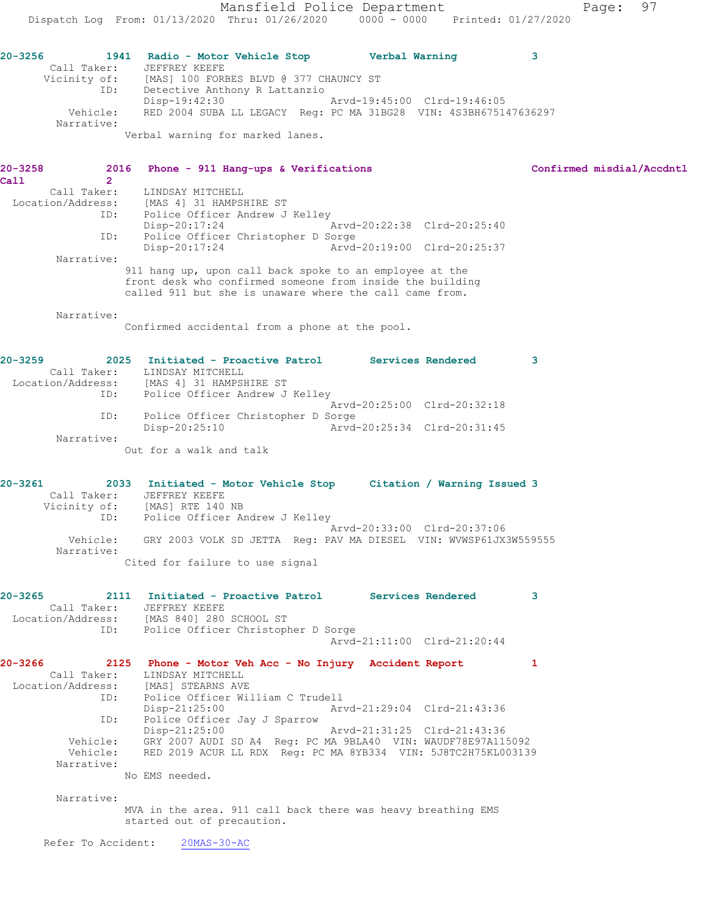Dispatch Log From: 01/13/2020 Thru: 01/26/2020 0000 - 0000 Printed: 01/27/2020 **20-3256 1941 Radio - Motor Vehicle Stop Verbal Warning 3**  Call Taker: JEFFREY KEEFE Vicinity of: [MAS] 100 FORBES BLVD @ 377 CHAUNCY ST ID: Detective Anthony R Lattanzio Disp-19:42:30 Arvd-19:45:00 Clrd-19:46:05 Vehicle: RED 2004 SUBA LL LEGACY Reg: PC MA 31BG28 VIN: 4S3BH675147636297 Narrative: Verbal warning for marked lanes. 2016 Phone - 911 Hang-ups & Verifications **Confirmed misdial/Accdntl** 2 20-3258<br>Call Call Taker: LINDSAY MITCHELL Location/Address: [MAS 4] 31 HAMPSHIRE ST<br>ID: Police Officer Andrew J Police Officer Andrew J Kelley Disp-20:17:24 Arvd-20:22:38 Clrd-20:25:40 ID: Police Officer Christopher D Sorge<br>Disp-20:17:24 Arvd-Arvd-20:19:00 Clrd-20:25:37 Narrative: 911 hang up, upon call back spoke to an employee at the front desk who confirmed someone from inside the building called 911 but she is unaware where the call came from. Narrative: Confirmed accidental from a phone at the pool. **20-3259 2025 Initiated - Proactive Patrol Services Rendered 3**  Call Taker: LINDSAY MITCHELL Location/Address: [MAS 4] 31 HAMPSHIRE ST ID: Police Officer Andrew J Kelley Arvd-20:25:00 Clrd-20:32:18 ID: Police Officer Christopher D Sorge Disp-20:25:10 Arvd-20:25:34 Clrd-20:31:45 Narrative: Out for a walk and talk **20-3261 2033 Initiated - Motor Vehicle Stop Citation / Warning Issued 3**  Call Taker: JEFFREY KEEFE Vicinity of: [MAS] RTE 140 NB ID: Police Officer Andrew J Kelley Arvd-20:33:00 Clrd-20:37:06 Vehicle: GRY 2003 VOLK SD JETTA Reg: PAV MA DIESEL VIN: WVWSP61JX3W559555 Narrative: Cited for failure to use signal **20-3265 2111 Initiated - Proactive Patrol Services Rendered 3**  Call Taker: JEFFREY KEEFE Location/Address: [MAS 840] 280 SCHOOL ST ID: Police Officer Christopher D Sorge Arvd-21:11:00 Clrd-21:20:44 **20-3266 2125 Phone - Motor Veh Acc - No Injury Accident Report 1**  Call Taker: LINDSAY MITCHELL Location/Address: [MAS] STEARNS AVE

Mansfield Police Department Fage: 97

ID: Police Officer William C Trudell<br>Disp-21:25:00 Mrvd-21:29:04 Clrd-21:43:36 Disp-21:25:00 ID: Police Officer Jay J Sparrow Disp-21:25:00 Arvd-21:31:25 Clrd-21:43:36 Vehicle: GRY 2007 AUDI SD A4 Reg: PC MA 9BLA40 VIN: WAUDF78E97A115092 Vehicle: RED 2019 ACUR LL RDX Reg: PC MA 8YB334 VIN: 5J8TC2H75KL003139 Narrative:

No EMS needed.

Narrative:

MVA in the area. 911 call back there was heavy breathing EMS started out of precaution.

Refer To Accident: 20MAS-30-AC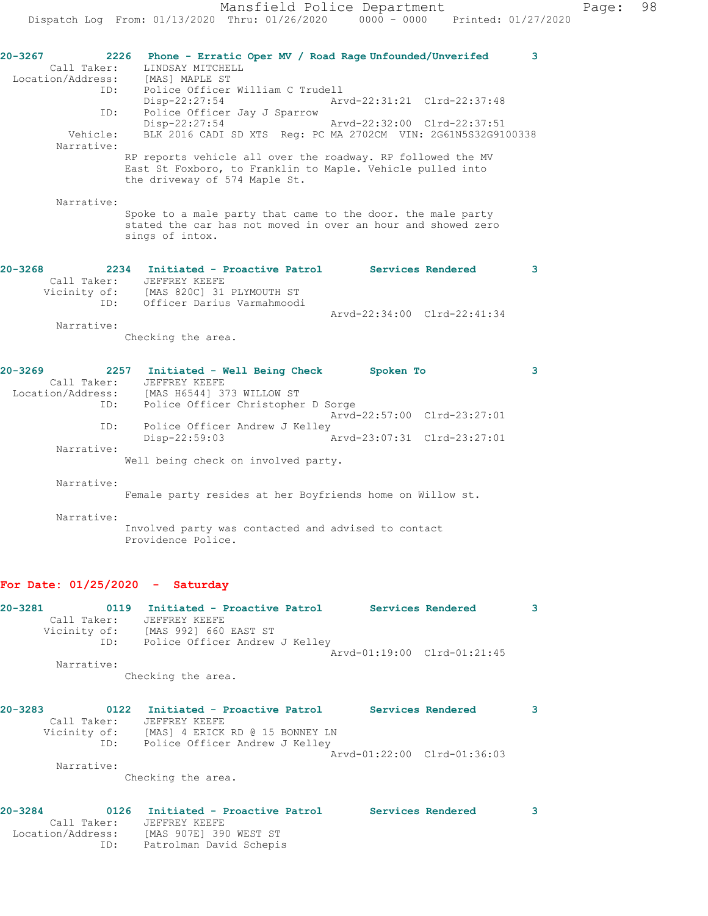**20-3267 2226 Phone - Erratic Oper MV / Road Rage Unfounded/Unverifed 3**  Call Taker: LINDSAY MITCHELL<br>tion/Address: [MAS] MAPLE ST Location/Address:<br>ID: Police Officer William C Trudell Disp-22:27:54 Arvd-22:31:21 Clrd-22:37:48 ID: Police Officer Jay J Sparrow Disp-22:27:54 Arvd-22:32:00 Clrd-22:37:51 Vehicle: BLK 2016 CADI SD XTS Reg: PC MA 2702CM VIN: 2G61N5S32G9100338 Narrative: RP reports vehicle all over the roadway. RP followed the MV East St Foxboro, to Franklin to Maple. Vehicle pulled into the driveway of 574 Maple St. Narrative: Spoke to a male party that came to the door. the male party stated the car has not moved in over an hour and showed zero sings of intox. **20-3268 2234 Initiated - Proactive Patrol Services Rendered 3**  Call Taker: JEFFREY KEEFE Vicinity of: [MAS 820C] 31 PLYMOUTH ST ID: Officer Darius Varmahmoodi Arvd-22:34:00 Clrd-22:41:34 Narrative: Checking the area. **20-3269 2257 Initiated - Well Being Check Spoken To 3**  Call Taker: JEFFREY KEEFE Location/Address: [MAS H6544] 373 WILLOW ST ID: Police Officer Christopher D Sorge Arvd-22:57:00 Clrd-23:27:01 ID: Police Officer Andrew J Kelley Disp-22:59:03 Arvd-23:07:31 Clrd-23:27:01 Narrative: Well being check on involved party. Narrative: Female party resides at her Boyfriends home on Willow st. Narrative: Involved party was contacted and advised to contact Providence Police. **For Date: 01/25/2020 - Saturday 20-3281 0119 Initiated - Proactive Patrol Services Rendered 3**  Call Taker: JEFFREY KEEFE Vicinity of: [MAS 992] 660 EAST ST ID: Police Officer Andrew J Kelley Arvd-01:19:00 Clrd-01:21:45 Narrative: Checking the area.

**20-3283 0122 Initiated - Proactive Patrol Services Rendered 3**  Call Taker: JEFFREY KEEFE Vicinity of: [MAS] 4 ERICK RD @ 15 BONNEY LN ID: Police Officer Andrew J Kelley Arvd-01:22:00 Clrd-01:36:03 Narrative: Checking the area.

| $20 - 3284$       |     | 0126 Initiated - Proactive Patrol | Services Rendered |  |
|-------------------|-----|-----------------------------------|-------------------|--|
| Call Taker:       |     | JEFFREY KEEFE                     |                   |  |
| Location/Address: |     | [MAS 907E] 390 WEST ST            |                   |  |
|                   | ID: | Patrolman David Schepis           |                   |  |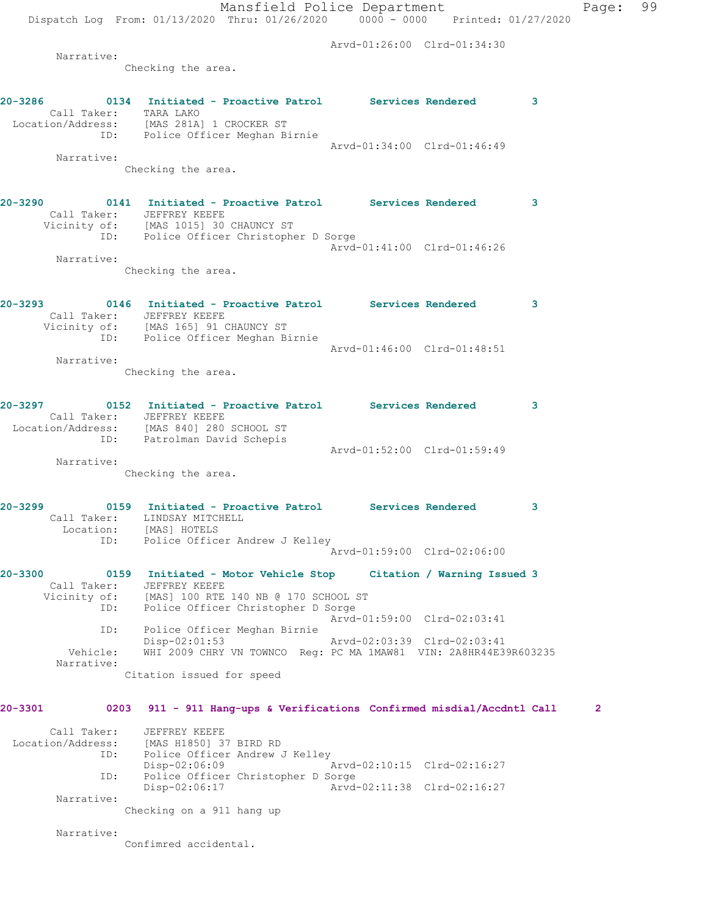Mansfield Police Department Page: 99 Dispatch Log From: 01/13/2020 Thru: 01/26/2020 0000 - 0000 Printed: 01/27/2020 Arvd-01:26:00 Clrd-01:34:30 Narrative: Checking the area. **20-3286 0134 Initiated - Proactive Patrol Services Rendered 3**  Call Taker: TARA LAKO Location/Address: [MAS 281A] 1 CROCKER ST ID: Police Officer Meghan Birnie Arvd-01:34:00 Clrd-01:46:49 Narrative: Checking the area. **20-3290 0141 Initiated - Proactive Patrol Services Rendered 3**  Call Taker: JEFFREY KEEFE Vicinity of: [MAS 1015] 30 CHAUNCY ST ID: Police Officer Christopher D Sorge Arvd-01:41:00 Clrd-01:46:26 Narrative: Checking the area. **20-3293 0146 Initiated - Proactive Patrol Services Rendered 3**  Call Taker: JEFFREY KEEFE Vicinity of: [MAS 165] 91 CHAUNCY ST ID: Police Officer Meghan Birnie Arvd-01:46:00 Clrd-01:48:51 Narrative: Checking the area. **20-3297 0152 Initiated - Proactive Patrol Services Rendered 3**  Call Taker: JEFFREY KEEFE<br>Location/Address: [MAS 840] 280<br>ID: Patrolman Davi [MAS 840] 280 SCHOOL ST ID: Patrolman David Schepis Arvd-01:52:00 Clrd-01:59:49 Narrative: Checking the area. **20-3299 0159 Initiated - Proactive Patrol Services Rendered 3**  Call Taker: LINDSAY MITCHELL Location: [MAS] HOTELS ID: Police Officer Andrew J Kelley Arvd-01:59:00 Clrd-02:06:00 **20-3300 0159 Initiated - Motor Vehicle Stop Citation / Warning Issued 3**  Call Taker: JEFFREY KEEFE<br>Vicinity of: [MAS] 100 RTE [MAS] 100 RTE 140 NB @ 170 SCHOOL ST ID: Police Officer Christopher D Sorge Arvd-01:59:00 Clrd-02:03:41 ID: Police Officer Meghan Birnie Disp-02:01:53 Arvd-02:03:39 Clrd-02:03:41 Vehicle: WHI 2009 CHRY VN TOWNCO Reg: PC MA 1MAW81 VIN: 2A8HR44E39R603235 Narrative: Citation issued for speed **20-3301 0203 911 - 911 Hang-ups & Verifications Confirmed misdial/Accdntl Call 2** Call Taker: JEFFREY KEEFE

 Location/Address: [MAS H1850] 37 BIRD RD ID: Police Officer Andrew J Kelley  $Disp-02:06:09$ ID: Police Officer Christopher D Sorge<br>Disp-02:06:17 Arvd-Arvd-02:11:38 Clrd-02:16:27 Narrative:

Checking on a 911 hang up

Narrative:

Confimred accidental.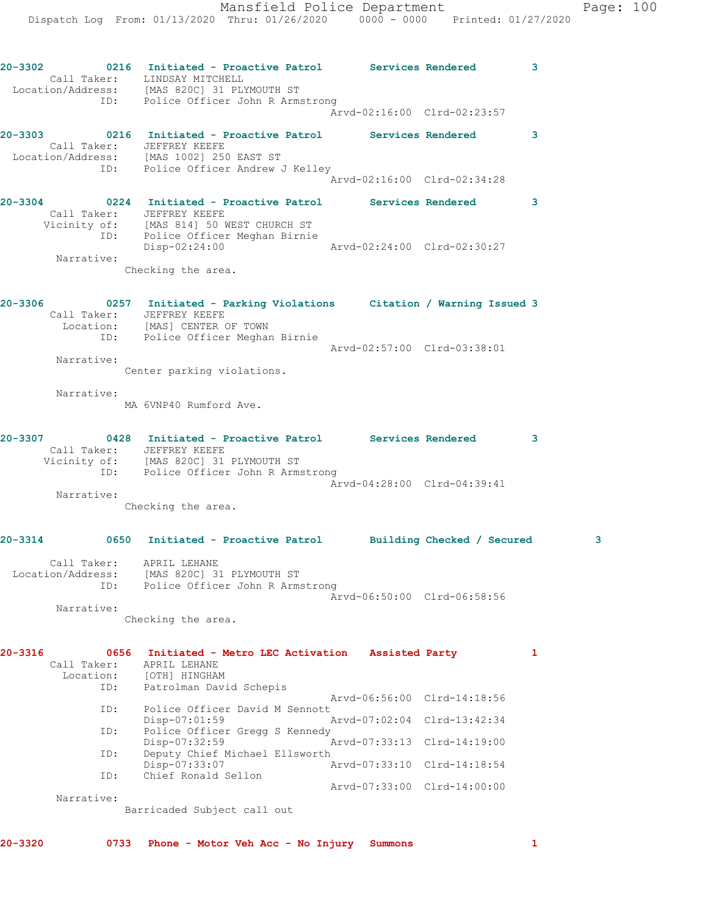Mansfield Police Department Page: 100 Dispatch Log From: 01/13/2020 Thru: 01/26/2020 0000 - 0000 Printed: 01/27/2020 **20-3302 0216 Initiated - Proactive Patrol Services Rendered 3**  Call Taker: LINDSAY MITCHELL Location/Address: [MAS 820C] 31 PLYMOUTH ST ID: Police Officer John R Armstrong Arvd-02:16:00 Clrd-02:23:57 **20-3303 0216 Initiated - Proactive Patrol Services Rendered 3**  Call Taker: JEFFREY KEEFE Location/Address: [MAS 1002] 250 EAST ST ID: Police Officer Andrew J Kelley Arvd-02:16:00 Clrd-02:34:28 **20-3304 0224 Initiated - Proactive Patrol Services Rendered 3**  Call Taker: JEFFREY KEEFE Vicinity of: [MAS 814] 50 WEST CHURCH ST ID: Police Officer Meghan Birnie Disp-02:24:00 Arvd-02:24:00 Clrd-02:30:27 Narrative: Checking the area. **20-3306 0257 Initiated - Parking Violations Citation / Warning Issued 3**  Call Taker: JEFFREY KEEFE Location: [MAS] CENTER OF TOWN ID: Police Officer Meghan Birnie Arvd-02:57:00 Clrd-03:38:01 Narrative: Center parking violations. Narrative: MA 6VNP40 Rumford Ave. **20-3307 0428 Initiated - Proactive Patrol Services Rendered 3**  Call Taker: JEFFREY KEEFE Vicinity of: [MAS 820C] 31 PLYMOUTH ST ID: Police Officer John R Armstrong Arvd-04:28:00 Clrd-04:39:41 Narrative: Checking the area. **20-3314 0650 Initiated - Proactive Patrol Building Checked / Secured 3** Call Taker: APRIL LEHANE Location/Address: [MAS 820C] 31 PLYMOUTH ST ID: Police Officer John R Armstrong Arvd-06:50:00 Clrd-06:58:56 Narrative: Checking the area. **20-3316 0656 Initiated - Metro LEC Activation Assisted Party 1**  Call Taker: APRIL LEHANE Location: [OTH] HINGHAM ID: Patrolman David Schepis Arvd-06:56:00 Clrd-14:18:56<br>ID: Police Officer David M Sennott Police Officer David M Sennott<br>Disp-07:01:59 P Arvd-07:02:04 Clrd-13:42:34 ID: Police Officer Gregg S Kennedy<br>Disp-07:32:59 Disp-07:32:59 Arvd-07:33:13 Clrd-14:19:00 ID: Deputy Chief Michael Ellsworth<br>Disp-07:33:07 A Arvd-07:33:10 Clrd-14:18:54 ID: Chief Ronald Sellon

Narrative:

Barricaded Subject call out

Arvd-07:33:00 Clrd-14:00:00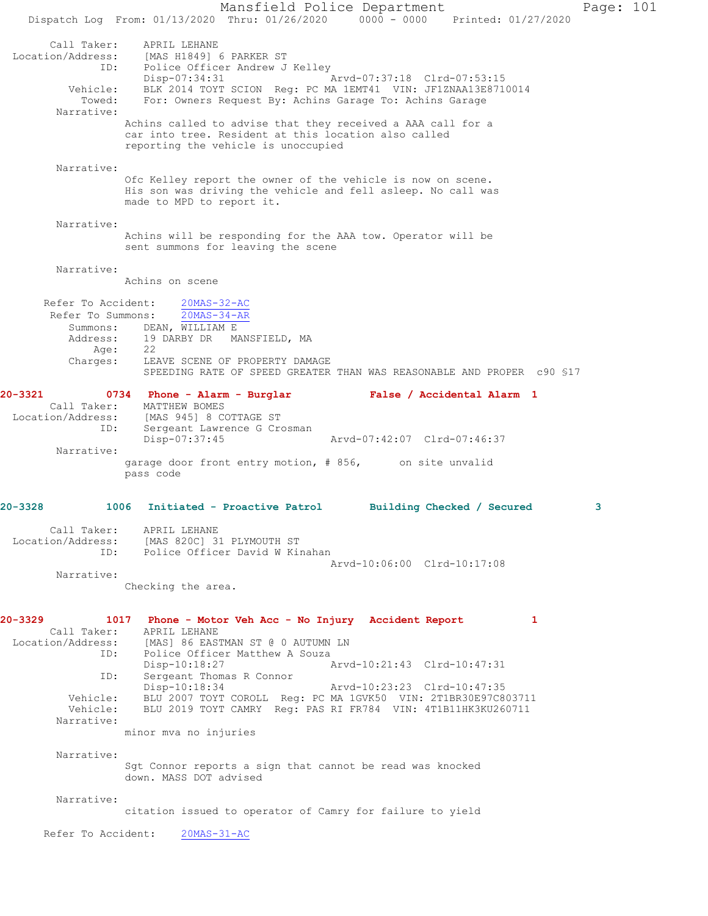Mansfield Police Department Page: 101 Dispatch Log From: 01/13/2020 Thru: 01/26/2020 0000 - 0000 Printed: 01/27/2020 Call Taker: APRIL LEHANE Location/Address: [MAS H1849] 6 PARKER ST ID: Police Officer Andrew J Kelley Disp-07:34:31 Arvd-07:37:18 Clrd-07:53:15 Vehicle: BLK 2014 TOYT SCION Reg: PC MA 1EMT41 VIN: JF1ZNAA13E8710014 Towed: For: Owners Request By: Achins Garage To: Achins Garage Narrative: Achins called to advise that they received a AAA call for a car into tree. Resident at this location also called reporting the vehicle is unoccupied Narrative: Ofc Kelley report the owner of the vehicle is now on scene. His son was driving the vehicle and fell asleep. No call was made to MPD to report it. Narrative: Achins will be responding for the AAA tow. Operator will be sent summons for leaving the scene Narrative: Achins on scene Refer To Accident: 20MAS-32-AC Refer To Summons: 20MAS-34-AR Summons: DEAN, WILLIAM E Address: 19 DARBY DR MANSFIELD, MA Age: 22 Charges: LEAVE SCENE OF PROPERTY DAMAGE SPEEDING RATE OF SPEED GREATER THAN WAS REASONABLE AND PROPER c90 §17 **20-3321 0734 Phone - Alarm - Burglar False / Accidental Alarm 1**  Call Taker: MATTHEW BOMES Location/Address: [MAS 945] 8 COTTAGE ST ID: Sergeant Lawrence G Crosman Disp-07:37:45 Arvd-07:42:07 Clrd-07:46:37 Narrative: garage door front entry motion, # 856, on site unvalid pass code **20-3328 1006 Initiated - Proactive Patrol Building Checked / Secured 3** Call Taker: APRIL LEHANE Location/Address: [MAS 820C] 31 PLYMOUTH ST ID: Police Officer David W Kinahan Arvd-10:06:00 Clrd-10:17:08 Narrative: Checking the area. **20-3329 1017 Phone - Motor Veh Acc - No Injury Accident Report 1**  Call Taker: APRIL LEHANE Location/Address: [MAS] 86 EASTMAN ST @ 0 AUTUMN LN<br>TD: Police Officer Matthew A Souza Police Officer Matthew A Souza Disp-10:18:27 Arvd-10:21:43 Clrd-10:47:31 ID: Sergeant Thomas R Connor<br>Disp-10:18:34 Arvd-10:23:23 Clrd-10:47:35 Vehicle: BLU 2007 TOYT COROLL Reg: PC MA 1GVK50 VIN: 2T1BR30E97C803711 Vehicle: BLU 2019 TOYT CAMRY Reg: PAS RI FR784 VIN: 4T1B11HK3KU260711 Narrative: minor mva no injuries Narrative: Sgt Connor reports a sign that cannot be read was knocked down. MASS DOT advised Narrative: citation issued to operator of Camry for failure to yield Refer To Accident: 20MAS-31-AC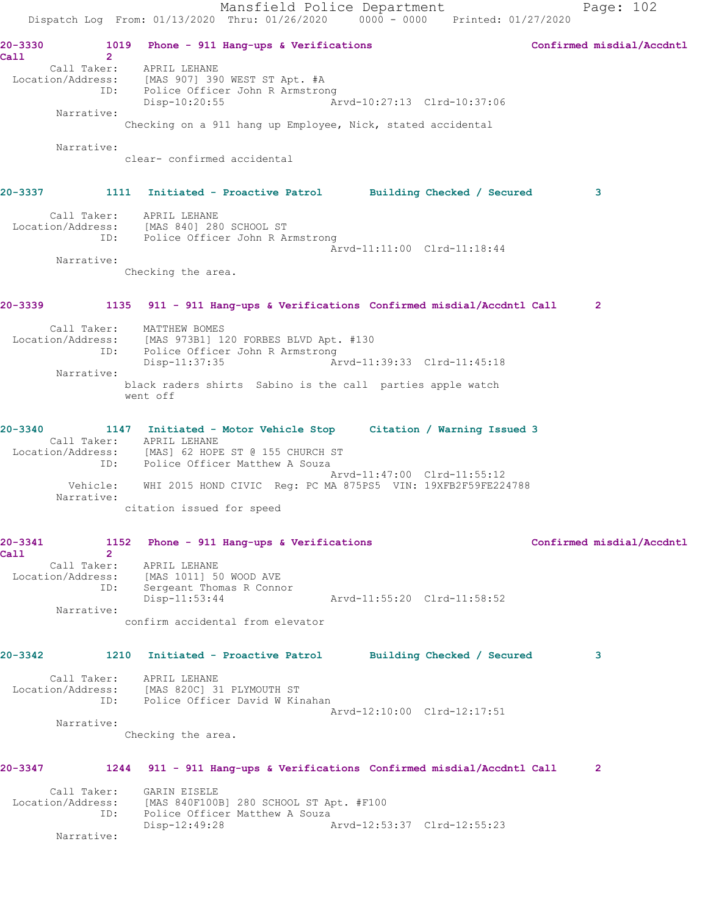Mansfield Police Department Page: 102 Dispatch Log From: 01/13/2020 Thru: 01/26/2020 0000 - 0000 Printed: 01/27/2020 20-3330 1019 Phone - 911 Hang-ups & Verifications **Confirmed misdial/Accdntl Call 2**  Call Taker: APRIL LEHANE Location/Address: [MAS 907] 390 WEST ST Apt. #A ID: Police Officer John R Armstrong Disp-10:20:55 Arvd-10:27:13 Clrd-10:37:06 Narrative: Checking on a 911 hang up Employee, Nick, stated accidental Narrative: clear- confirmed accidental **20-3337 1111 Initiated - Proactive Patrol Building Checked / Secured 3** Call Taker: APRIL LEHANE Location/Address: [MAS 840] 280 SCHOOL ST ID: Police Officer John R Armstrong Arvd-11:11:00 Clrd-11:18:44 Narrative: Checking the area. **20-3339 1135 911 - 911 Hang-ups & Verifications Confirmed misdial/Accdntl Call 2** Call Taker: MATTHEW BOMES Location/Address: [MAS 973B1] 120 FORBES BLVD Apt. #130 ID: Police Officer John R Armstrong<br>Disp-11:37:35 Ar Disp-11:37:35 Arvd-11:39:33 Clrd-11:45:18 Narrative: black raders shirts Sabino is the call parties apple watch went off **20-3340 1147 Initiated - Motor Vehicle Stop Citation / Warning Issued 3**  Call Taker: APRIL LEHANE Location/Address: [MAS] 62 HOPE ST @ 155 CHURCH ST ID: Police Officer Matthew A Souza Arvd-11:47:00 Clrd-11:55:12 Vehicle: WHI 2015 HOND CIVIC Reg: PC MA 875PS5 VIN: 19XFB2F59FE224788 Narrative: citation issued for speed **20-3341 1152 Phone - 911 Hang-ups & Verifications Confirmed misdial/Accdntl Call 2**  Call Taker: APRIL LEHANE Location/Address: [MAS 1011] 50 WOOD AVE ID: Sergeant Thomas R Connor<br>Disp-11:53:44 Arvd-11:55:20 Clrd-11:58:52 Narrative: confirm accidental from elevator **20-3342 1210 Initiated - Proactive Patrol Building Checked / Secured 3** Call Taker: APRIL LEHANE Location/Address: [MAS 820C] 31 PLYMOUTH ST ID: Police Officer David W Kinahan Arvd-12:10:00 Clrd-12:17:51 Narrative: Checking the area. **20-3347 1244 911 - 911 Hang-ups & Verifications Confirmed misdial/Accdntl Call 2** Call Taker: GARIN EISELE Location/Address: [MAS 840F100B] 280 SCHOOL ST Apt. #F100 ID: Police Officer Matthew A Souza<br>Disp-12:49:28 A Arvd-12:53:37 Clrd-12:55:23 Narrative: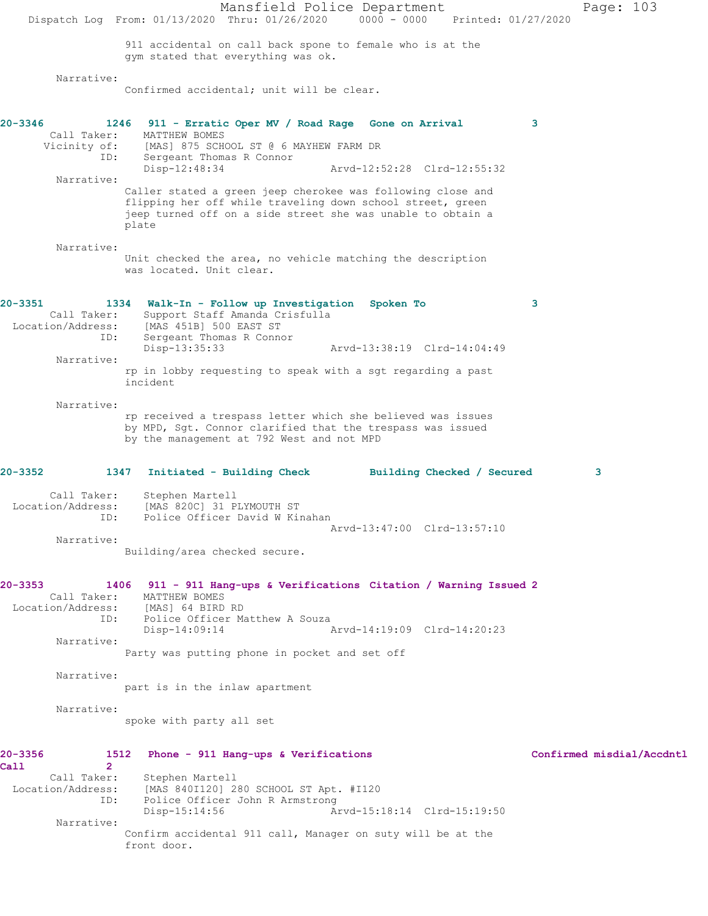Mansfield Police Department Page: 103 Dispatch Log From: 01/13/2020 Thru: 01/26/2020 0000 - 0000 Printed: 01/27/2020 911 accidental on call back spone to female who is at the gym stated that everything was ok. Narrative: Confirmed accidental; unit will be clear. **20-3346 1246 911 - Erratic Oper MV / Road Rage Gone on Arrival 3**  Call Taker: MATTHEW BOMES Vicinity of: [MAS] 875 SCHOOL ST @ 6 MAYHEW FARM DR<br>ID: Sergeant Thomas R Connor Sergeant Thomas R Connor<br>Disp-12:48:34 Arvd-12:52:28 Clrd-12:55:32 Narrative: Caller stated a green jeep cherokee was following close and flipping her off while traveling down school street, green jeep turned off on a side street she was unable to obtain a plate Narrative: Unit checked the area, no vehicle matching the description was located. Unit clear. **20-3351 1334 Walk-In - Follow up Investigation Spoken To 3**  Call Taker: Support Staff Amanda Crisfulla Location/Address: [MAS 451B] 500 EAST ST ID: Sergeant Thomas R Connor<br>Disp-13:35:33 Disp-13:35:33 Arvd-13:38:19 Clrd-14:04:49 Narrative: rp in lobby requesting to speak with a sgt regarding a past incident Narrative: rp received a trespass letter which she believed was issues by MPD, Sgt. Connor clarified that the trespass was issued by the management at 792 West and not MPD **20-3352 1347 Initiated - Building Check Building Checked / Secured 3** Call Taker: Stephen Martell Location/Address: [MAS 820C] 31 PLYMOUTH ST ID: Police Officer David W Kinahan Arvd-13:47:00 Clrd-13:57:10 Narrative: Building/area checked secure. **20-3353 1406 911 - 911 Hang-ups & Verifications Citation / Warning Issued 2**  Call Taker: MATTHEW BOMES<br>ion/Address: [MAS] 64 BIRD RD Location/Address: ID: Police Officer Matthew A Souza<br>Disp-14:09:14 Disp-14:09:14 Arvd-14:19:09 Clrd-14:20:23 Narrative: Party was putting phone in pocket and set off Narrative: part is in the inlaw apartment Narrative: spoke with party all set **20-3356 1512 Phone - 911 Hang-ups & Verifications Confirmed misdial/Accdntl Call 2**  Call Taker: Stephen Martell Location/Address: [MAS 840I120] 280 SCHOOL ST Apt. #I120 Police Officer John R Armstrong Disp-15:14:56 Arvd-15:18:14 Clrd-15:19:50 Narrative: Confirm accidental 911 call, Manager on suty will be at the front door.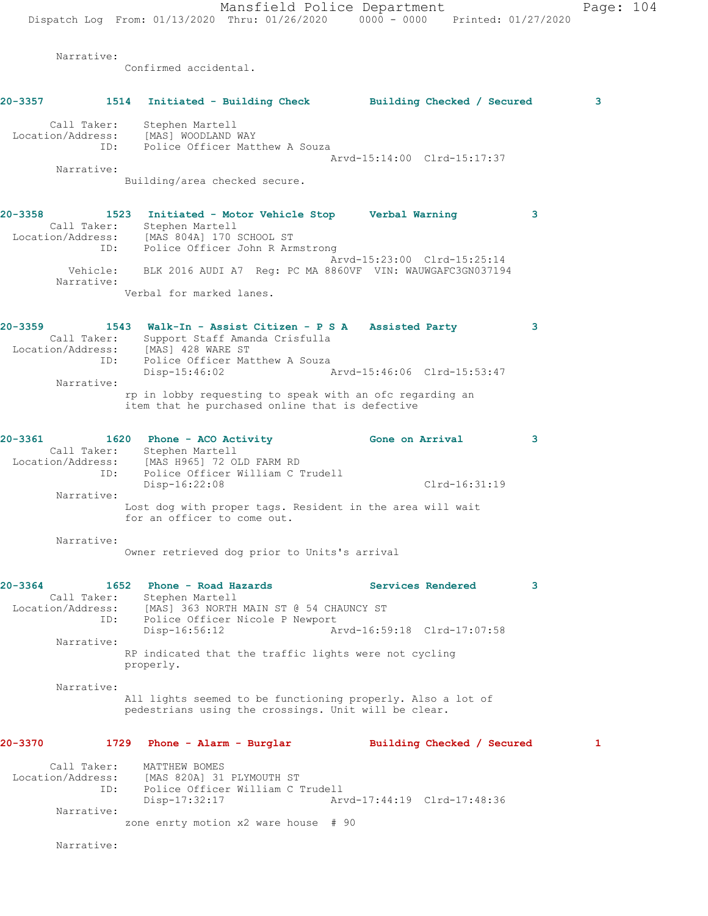Mansfield Police Department Page: 104 Dispatch Log From: 01/13/2020 Thru: 01/26/2020 0000 - 0000 Printed: 01/27/2020 Narrative: Confirmed accidental. **20-3357 1514 Initiated - Building Check Building Checked / Secured 3** Call Taker: Stephen Martell Location/Address: [MAS] WOODLAND WAY<br>ID: Police Officer Matt Police Officer Matthew A Souza Arvd-15:14:00 Clrd-15:17:37 Narrative: Building/area checked secure. **20-3358 1523 Initiated - Motor Vehicle Stop Verbal Warning 3**  Call Taker: Stephen Martell Location/Address: [MAS 804A] 170 SCHOOL ST ID: Police Officer John R Armstrong Arvd-15:23:00 Clrd-15:25:14 Vehicle: BLK 2016 AUDI A7 Reg: PC MA 8860VF VIN: WAUWGAFC3GN037194 Narrative: Verbal for marked lanes. **20-3359 1543 Walk-In - Assist Citizen - P S A Assisted Party 3**  Call Taker: Support Staff Amanda Crisfulla Location/Address: [MAS] 428 WARE ST ID: Police Officer Matthew A Souza Disp-15:46:02 Arvd-15:46:06 Clrd-15:53:47 Narrative: rp in lobby requesting to speak with an ofc regarding an item that he purchased online that is defective **20-3361 1620 Phone - ACO Activity Gone on Arrival 3**  Call Taker: Stephen Martell Location/Address: [MAS H965] 72 OLD FARM RD ID: Police Officer William C Trudell Disp-16:22:08 Clrd-16:31:19 Narrative: Lost dog with proper tags. Resident in the area will wait for an officer to come out. Narrative: Owner retrieved dog prior to Units's arrival **20-3364 1652 Phone - Road Hazards Services Rendered 3**  Call Taker: Stephen Martell Location/Address: [MAS] 363 NORTH MAIN ST @ 54 CHAUNCY ST ID: Police Officer Nicole P Newport<br>Disp-16:56:12 Ar Arvd-16:59:18 Clrd-17:07:58 Narrative: RP indicated that the traffic lights were not cycling properly. Narrative: All lights seemed to be functioning properly. Also a lot of pedestrians using the crossings. Unit will be clear. **20-3370 1729 Phone - Alarm - Burglar Building Checked / Secured 1** Call Taker: MATTHEW BOMES Location/Address: [MAS 820A] 31 PLYMOUTH ST ID: Police Officer William C Trudell<br>Disp-17:32:17 Arv Disp-17:32:17 Arvd-17:44:19 Clrd-17:48:36 Narrative: zone enrty motion x2 ware house # 90

Narrative: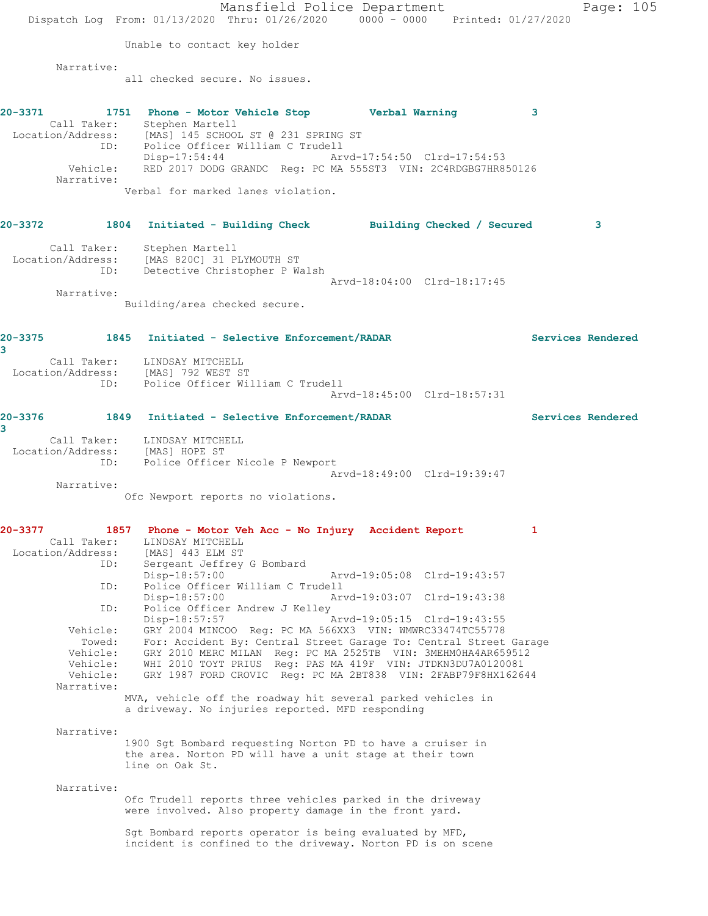Mansfield Police Department Page: 105 Dispatch Log From: 01/13/2020 Thru: 01/26/2020 0000 - 0000 Printed: 01/27/2020 Unable to contact key holder Narrative: all checked secure. No issues. **20-3371 1751 Phone - Motor Vehicle Stop Verbal Warning 3**  Call Taker: Stephen Martell Location/Address: [MAS] 145 SCHOOL ST @ 231 SPRING ST ID: Police Officer William C Trudell Disp-17:54:44 Arvd-17:54:50 Clrd-17:54:53 Vehicle: RED 2017 DODG GRANDC Reg: PC MA 555ST3 VIN: 2C4RDGBG7HR850126 Narrative: Verbal for marked lanes violation. **20-3372 1804 Initiated - Building Check Building Checked / Secured 3** Call Taker: Stephen Martell Location/Address: [MAS 820C] 31 PLYMOUTH ST ID: Detective Christopher P Walsh Arvd-18:04:00 Clrd-18:17:45 Narrative: Building/area checked secure. **20-3375 1845 Initiated - Selective Enforcement/RADAR Services Rendered 3**  Call Taker: LINDSAY MITCHELL Location/Address: [MAS] 792 WEST ST ID: Police Officer William C Trudell Arvd-18:45:00 Clrd-18:57:31 **20-3376 1849 Initiated - Selective Enforcement/RADAR Services Rendered 3**  Call Taker: LINDSAY MITCHELL Location/Address: [MAS] HOPE ST ID: Police Officer Nicole P Newport Arvd-18:49:00 Clrd-19:39:47 Narrative: Ofc Newport reports no violations. **20-3377 1857 Phone - Motor Veh Acc - No Injury Accident Report 1**  Call Taker: LINDSAY MITCHELL Location/Address: [MAS] 443 ELM ST ID: Sergeant Jeffrey G Bombard<br>Disp-18:57:00 Disp-18:57:00 Arvd-19:05:08 Clrd-19:43:57<br>
D. Police Officer William C Trudell<br>
Disp-18:57:00 Arvd-19:03:07 Clrd-19:43:38 Police Officer William C Trudell Disp-18:57:00 Arvd-19:03:07 Clrd-19:43:38 ID: Police Officer Andrew J Kelley<br>Disp-18:57:57 Arvd-19:05:15 Clrd-19:43:55 Vehicle: GRY 2004 MINCOO Reg: PC MA 566XX3 VIN: WMWRC33474TC55778 Towed: For: Accident By: Central Street Garage To: Central Street Garage Vehicle: GRY 2010 MERC MILAN Reg: PC MA 2525TB VIN: 3MEHM0HA4AR659512 Vehicle: WHI 2010 TOYT PRIUS Reg: PAS MA 419F VIN: JTDKN3DU7A0120081 Vehicle: GRY 1987 FORD CROVIC Reg: PC MA 2BT838 VIN: 2FABP79F8HX162644 Narrative: MVA, vehicle off the roadway hit several parked vehicles in a driveway. No injuries reported. MFD responding Narrative: 1900 Sgt Bombard requesting Norton PD to have a cruiser in the area. Norton PD will have a unit stage at their town line on Oak St. Narrative: Ofc Trudell reports three vehicles parked in the driveway were involved. Also property damage in the front yard. Sgt Bombard reports operator is being evaluated by MFD, incident is confined to the driveway. Norton PD is on scene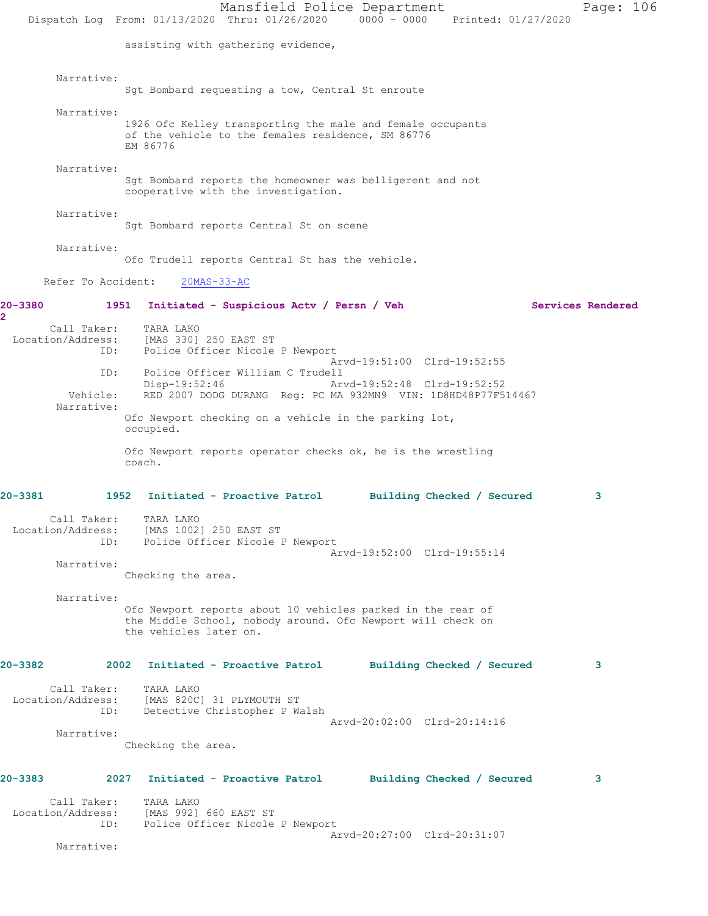Mansfield Police Department Page: 106 Dispatch Log From: 01/13/2020 Thru: 01/26/2020 0000 - 0000 Printed: 01/27/2020 assisting with gathering evidence, Narrative: Sgt Bombard requesting a tow, Central St enroute Narrative: 1926 Ofc Kelley transporting the male and female occupants of the vehicle to the females residence, SM 86776 EM 86776 Narrative: Sgt Bombard reports the homeowner was belligerent and not cooperative with the investigation. Narrative: Sgt Bombard reports Central St on scene Narrative: Ofc Trudell reports Central St has the vehicle. Refer To Accident: 20MAS-33-AC **20-3380 1951 Initiated - Suspicious Actv / Persn / Veh Services Rendered 2**  Call Taker: TARA LAKO Location/Address: [MAS 330] 250 EAST ST ID: Police Officer Nicole P Newport Arvd-19:51:00 Clrd-19:52:55 ID: Police Officer William C Trudell Disp-19:52:46 Arvd-19:52:48 Clrd-19:52:52<br>Vehicle: RED 2007 DODG DURANG Req: PC MA 932MN9 VIN: 1D8HD48P77F5 RED 2007 DODG DURANG Reg: PC MA 932MN9 VIN: 1D8HD48P77F514467 Narrative: Ofc Newport checking on a vehicle in the parking lot, occupied. Ofc Newport reports operator checks ok, he is the wrestling coach. **20-3381 1952 Initiated - Proactive Patrol Building Checked / Secured 3** Call Taker: TARA LAKO Location/Address: [MAS 1002] 250 EAST ST ID: Police Officer Nicole P Newport Arvd-19:52:00 Clrd-19:55:14 Narrative: Checking the area. Narrative: Ofc Newport reports about 10 vehicles parked in the rear of the Middle School, nobody around. Ofc Newport will check on the vehicles later on. **20-3382 2002 Initiated - Proactive Patrol Building Checked / Secured 3** Call Taker: TARA LAKO Location/Address: [MAS 820C] 31 PLYMOUTH ST ID: Detective Christopher P Walsh Arvd-20:02:00 Clrd-20:14:16 Narrative: Checking the area. **20-3383 2027 Initiated - Proactive Patrol Building Checked / Secured 3** Call Taker: TARA LAKO Location/Address: [MAS 992] 660 EAST ST ID: Police Officer Nicole P Newport Arvd-20:27:00 Clrd-20:31:07 Narrative: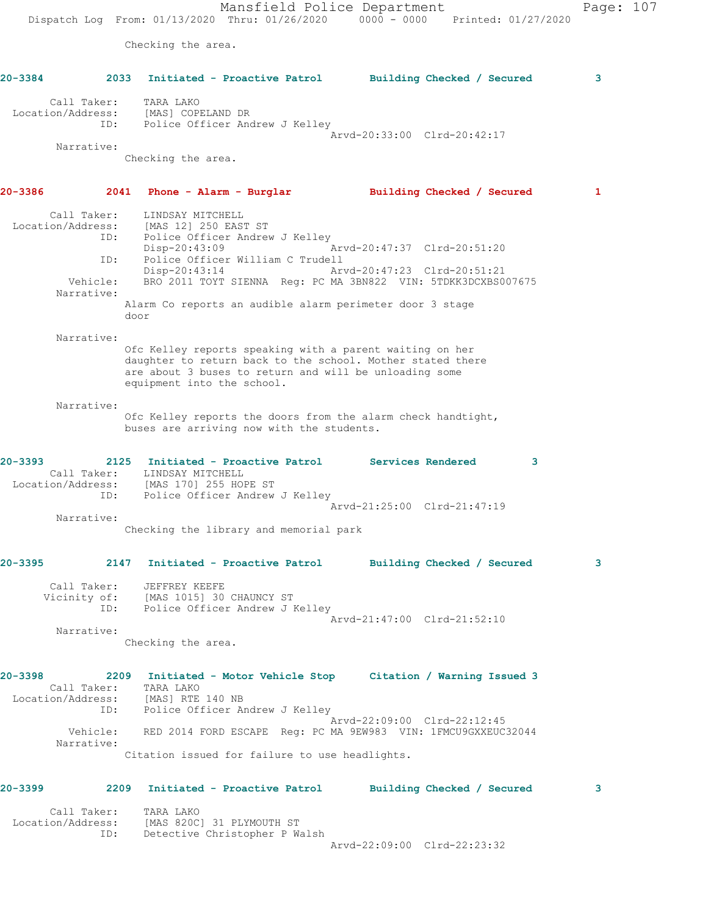Mansfield Police Department Page: 107 Dispatch Log From: 01/13/2020 Thru: 01/26/2020 0000 - 0000 Printed: 01/27/2020 Checking the area. **20-3384 2033 Initiated - Proactive Patrol Building Checked / Secured 3** Call Taker: TARA LAKO Location/Address: [MAS] COPELAND DR ID: Police Officer Andrew J Kelley Arvd-20:33:00 Clrd-20:42:17 Narrative: Checking the area. **20-3386 2041 Phone - Alarm - Burglar Building Checked / Secured 1** Call Taker: LINDSAY MITCHELL Location/Address: [MAS 12] 250 EAST ST ID: Police Officer Andrew J Kelley Disp-20:43:09 Arvd-20:47:37 Clrd-20:51:20 ID: Police Officer William C Trudell Arvd-20:47:23 Clrd-20:51:21 Vehicle: BRO 2011 TOYT SIENNA Reg: PC MA 3BN822 VIN: 5TDKK3DCXBS007675 Narrative: Alarm Co reports an audible alarm perimeter door 3 stage door Narrative: Ofc Kelley reports speaking with a parent waiting on her daughter to return back to the school. Mother stated there are about 3 buses to return and will be unloading some equipment into the school. Narrative: Ofc Kelley reports the doors from the alarm check handtight, buses are arriving now with the students. **20-3393 2125 Initiated - Proactive Patrol Services Rendered 3**  Call Taker: LINDSAY MITCHELL Location/Address: [MAS 170] 255 HOPE ST ID: Police Officer Andrew J Kelley Arvd-21:25:00 Clrd-21:47:19 Narrative: Checking the library and memorial park **20-3395 2147 Initiated - Proactive Patrol Building Checked / Secured 3** Call Taker: JEFFREY KEEFE Vicinity of: [MAS 1015] 30 CHAUNCY ST ID: Police Officer Andrew J Kelley Arvd-21:47:00 Clrd-21:52:10 Narrative: Checking the area. **20-3398 2209 Initiated - Motor Vehicle Stop Citation / Warning Issued 3**  Call Taker: TARA LAKO Location/Address: [MAS] RTE 140 NB ID: Police Officer Andrew J Kelley Arvd-22:09:00 Clrd-22:12:45 Vehicle: RED 2014 FORD ESCAPE Reg: PC MA 9EW983 VIN: 1FMCU9GXXEUC32044 Narrative: Citation issued for failure to use headlights. **20-3399 2209 Initiated - Proactive Patrol Building Checked / Secured 3** Call Taker: TARA LAKO Location/Address: [MAS 820C] 31 PLYMOUTH ST

Arvd-22:09:00 Clrd-22:23:32

ID: Detective Christopher P Walsh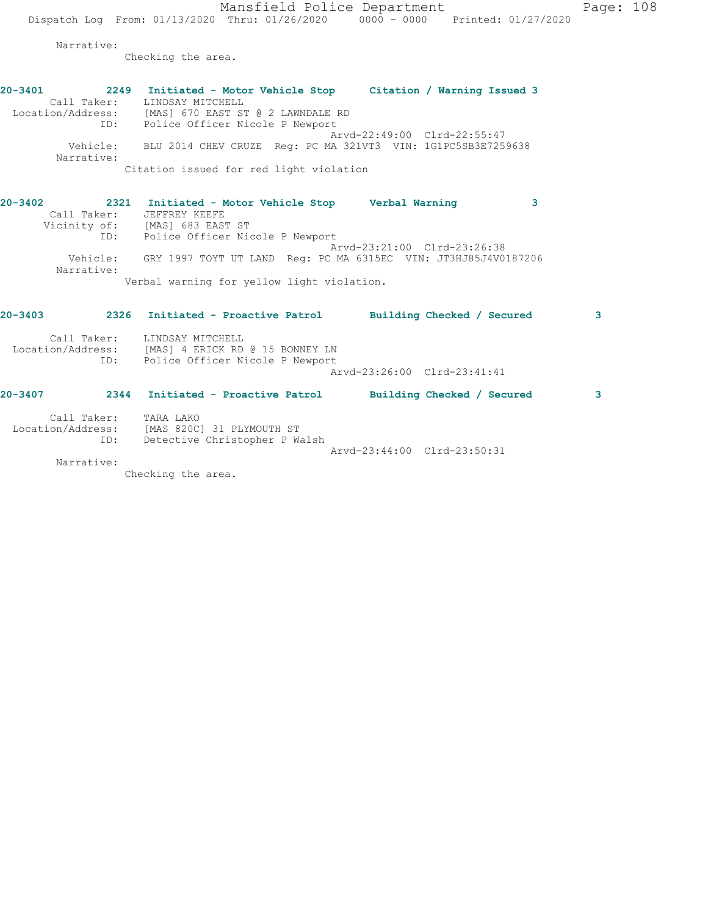Mansfield Police Department Page: 108 Dispatch Log From: 01/13/2020 Thru: 01/26/2020 0000 - 0000 Printed: 01/27/2020

Narrative:

Checking the area.

**20-3401 2249 Initiated - Motor Vehicle Stop Citation / Warning Issued 3**  Call Taker: LINDSAY MITCHELL Location/Address: [MAS] 670 EAST ST @ 2 LAWNDALE RD ID: Police Officer Nicole P Newport Arvd-22:49:00 Clrd-22:55:47 Vehicle: BLU 2014 CHEV CRUZE Reg: PC MA 321VT3 VIN: 1G1PC5SB3E7259638 Narrative: Citation issued for red light violation

**20-3402 2321 Initiated - Motor Vehicle Stop Verbal Warning 3**  Call Taker: JEFFREY KEEFE Vicinity of: [MAS] 683 EAST ST ID: Police Officer Nicole P Newport Arvd-23:21:00 Clrd-23:26:38 Vehicle: GRY 1997 TOYT UT LAND Reg: PC MA 6315EC VIN: JT3HJ85J4V0187206 Narrative: Verbal warning for yellow light violation.

| $20 - 3403$       | 2326               | Initiated - Proactive Patrol                                                           |  | Building Checked / Secured  | 3 |
|-------------------|--------------------|----------------------------------------------------------------------------------------|--|-----------------------------|---|
| Location/Address: | Call Taker:<br>ID: | LINDSAY MITCHELL<br>[MAS] 4 ERICK RD @ 15 BONNEY LN<br>Police Officer Nicole P Newport |  |                             |   |
|                   |                    |                                                                                        |  | Arvd-23:26:00 Clrd-23:41:41 |   |
| $20 - 3407$       | 2344               | Initiated - Proactive Patrol                                                           |  | Building Checked / Secured  | 3 |
| Location/Address: | Call Taker:<br>ID: | TARA LAKO<br>[MAS 820C] 31 PLYMOUTH ST<br>Detective Christopher P Walsh                |  |                             |   |
|                   |                    |                                                                                        |  | Arvd-23:44:00 Clrd-23:50:31 |   |

Narrative:

Checking the area.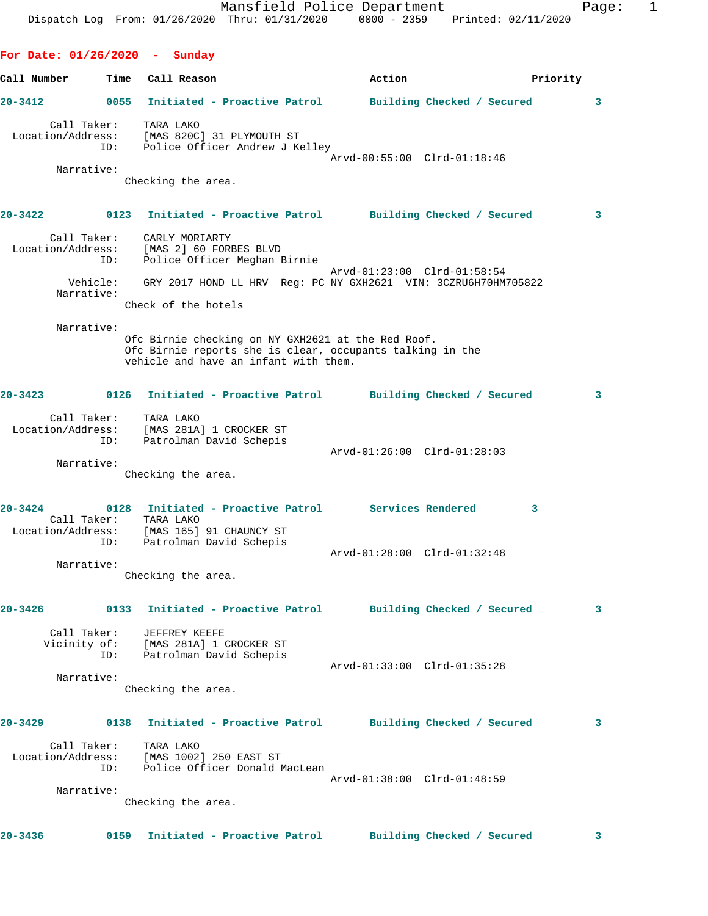Dispatch Log From: 01/26/2020 Thru: 01/31/2020 0000 - 2359 Printed: 02/11/2020 **For Date: 01/26/2020 - Sunday** Call Number **Time** Call Reason **Business Call Action Action Priority 20-3412 0055 Initiated - Proactive Patrol Building Checked / Secured 3** Call Taker: TARA LAKO Location/Address: [MAS 820C] 31 PLYMOUTH ST ID: Police Officer Andrew J Kelley Arvd-00:55:00 Clrd-01:18:46 Narrative: Checking the area. **20-3422 0123 Initiated - Proactive Patrol Building Checked / Secured 3** Call Taker: CARLY MORIARTY Location/Address: [MAS 2] 60 FORBES BLVD ID: Police Officer Meghan Birnie Arvd-01:23:00 Clrd-01:58:54 Vehicle: GRY 2017 HOND LL HRV Reg: PC NY GXH2621 VIN: 3CZRU6H70HM705822 Narrative: Check of the hotels Narrative: Ofc Birnie checking on NY GXH2621 at the Red Roof. Ofc Birnie reports she is clear, occupants talking in the vehicle and have an infant with them. **20-3423 0126 Initiated - Proactive Patrol Building Checked / Secured 3** Call Taker: TARA LAKO Location/Address: [MAS 281A] 1 CROCKER ST ress: المسموع العام التحميم العام التحميم<br>ID: Patrolman David Schepis Arvd-01:26:00 Clrd-01:28:03 Narrative: Checking the area. **20-3424 0128 Initiated - Proactive Patrol Services Rendered 3**  Call Taker: TARA LAKO Location/Address: [MAS 165] 91 CHAUNCY ST ID: Patrolman David Schepis Arvd-01:28:00 Clrd-01:32:48 Narrative: Checking the area. **20-3426 0133 Initiated - Proactive Patrol Building Checked / Secured 3** Call Taker: JEFFREY KEEFE Vicinity of: [MAS 281A] 1 CROCKER ST ID: Patrolman David Schepis Arvd-01:33:00 Clrd-01:35:28 Narrative: Checking the area. **20-3429 0138 Initiated - Proactive Patrol Building Checked / Secured 3** Call Taker: TARA LAKO Location/Address: [MAS 1002] 250 EAST ST ID: Police Officer Donald MacLean Arvd-01:38:00 Clrd-01:48:59 Narrative: Checking the area.

Mansfield Police Department Fage: 1

**20-3436 0159 Initiated - Proactive Patrol Building Checked / Secured 3**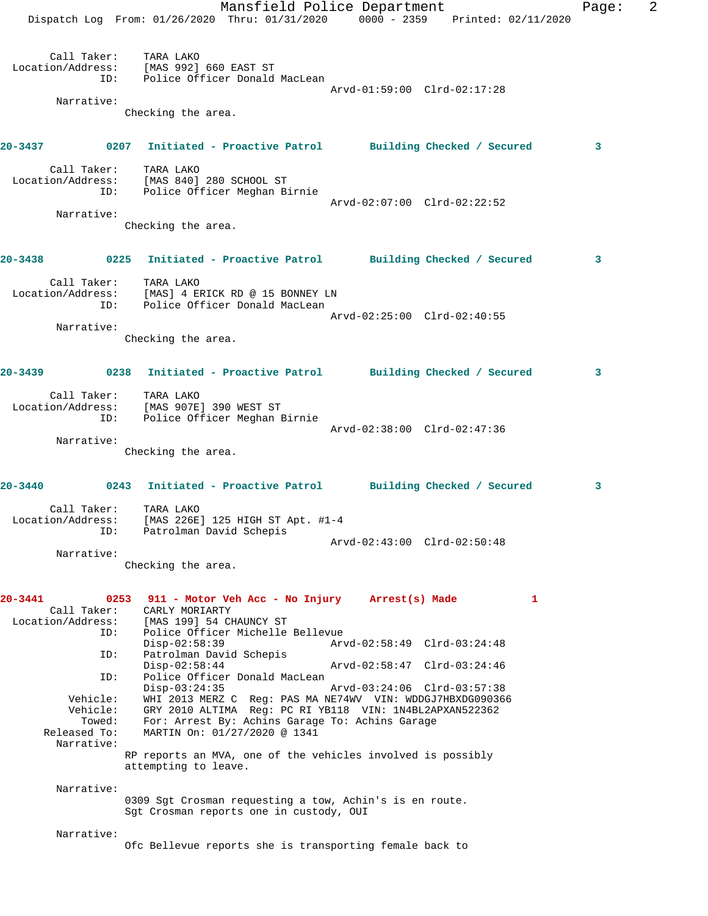|         |                                          | Mansfield Police Department<br>Dispatch Log From: 01/26/2020 Thru: 01/31/2020 0000 - 2359 Printed: 02/11/2020                           |                             |   | Page: | 2 |
|---------|------------------------------------------|-----------------------------------------------------------------------------------------------------------------------------------------|-----------------------------|---|-------|---|
|         |                                          | Call Taker: TARA LAKO<br>Location/Address: [MAS 992] 660 EAST ST<br>ID: Police Officer Donald MacLean                                   | Arvd-01:59:00 Clrd-02:17:28 |   |       |   |
|         | Narrative:                               | Checking the area.                                                                                                                      |                             |   |       |   |
|         |                                          | 20-3437 0207 Initiated - Proactive Patrol Building Checked / Secured                                                                    |                             |   | 3     |   |
|         |                                          | Call Taker: TARA LAKO<br>Location/Address: [MAS 840] 280 SCHOOL ST<br>ID: Police Officer Meghan Birnie                                  | Arvd-02:07:00 Clrd-02:22:52 |   |       |   |
|         | Narrative:                               | Checking the area.                                                                                                                      |                             |   |       |   |
|         |                                          | 20-3438 6225 Initiated - Proactive Patrol Building Checked / Secured                                                                    |                             |   | 3     |   |
|         | ID:                                      | Call Taker: TARA LAKO<br>Location/Address: [MAS] 4 ERICK RD @ 15 BONNEY LN<br>Police Officer Donald MacLean                             |                             |   |       |   |
|         | Narrative:                               |                                                                                                                                         | Arvd-02:25:00 Clrd-02:40:55 |   |       |   |
|         |                                          | Checking the area.                                                                                                                      |                             |   |       |   |
|         |                                          | 20-3439 		 0238 Initiated - Proactive Patrol 		 Building Checked / Secured                                                              |                             |   | 3     |   |
|         | ID:                                      | Call Taker: TARA LAKO<br>Location/Address: [MAS 907E] 390 WEST ST<br>Police Officer Meghan Birnie                                       | Arvd-02:38:00 Clrd-02:47:36 |   |       |   |
|         | Narrative:                               | Checking the area.                                                                                                                      |                             |   |       |   |
|         |                                          | 20-3440 		 0243 Initiated - Proactive Patrol 		 Building Checked / Secured                                                              |                             |   | 3     |   |
|         | Call Taker:<br>ID:                       | TARA LAKO<br>Location/Address: [MAS 226E] 125 HIGH ST Apt. #1-4<br>Patrolman David Schepis                                              |                             |   |       |   |
|         | Narrative:                               |                                                                                                                                         | Arvd-02:43:00 Clrd-02:50:48 |   |       |   |
|         |                                          | Checking the area.                                                                                                                      |                             |   |       |   |
| 20-3441 | 0253<br>Call Taker:<br>Location/Address: | 911 - Motor Veh Acc - No Injury Arrest(s) Made<br>CARLY MORIARTY<br>[MAS 199] 54 CHAUNCY ST                                             |                             | 1 |       |   |
|         | ID:<br>ID:                               | Police Officer Michelle Bellevue<br>$Disp-02:58:39$<br>Patrolman David Schepis                                                          | Arvd-02:58:49 Clrd-03:24:48 |   |       |   |
|         | ID:                                      | $Disp-02:58:44$<br>Police Officer Donald MacLean                                                                                        | Arvd-02:58:47 Clrd-03:24:46 |   |       |   |
|         | Vehicle:<br>Vehicle:                     | $Disp-03:24:35$<br>WHI 2013 MERZ C Req: PAS MA NE74WV VIN: WDDGJ7HBXDG090366<br>GRY 2010 ALTIMA Reg: PC RI YB118 VIN: 1N4BL2APXAN522362 | Arvd-03:24:06 Clrd-03:57:38 |   |       |   |
|         | Towed:<br>Released To:<br>Narrative:     | For: Arrest By: Achins Garage To: Achins Garage<br>MARTIN On: 01/27/2020 @ 1341                                                         |                             |   |       |   |
|         |                                          | RP reports an MVA, one of the vehicles involved is possibly<br>attempting to leave.                                                     |                             |   |       |   |
|         | Narrative:                               |                                                                                                                                         |                             |   |       |   |
|         |                                          | 0309 Sgt Crosman requesting a tow, Achin's is en route.<br>Sgt Crosman reports one in custody, OUI                                      |                             |   |       |   |
|         | Narrative:                               | Ofc Bellevue reports she is transporting female back to                                                                                 |                             |   |       |   |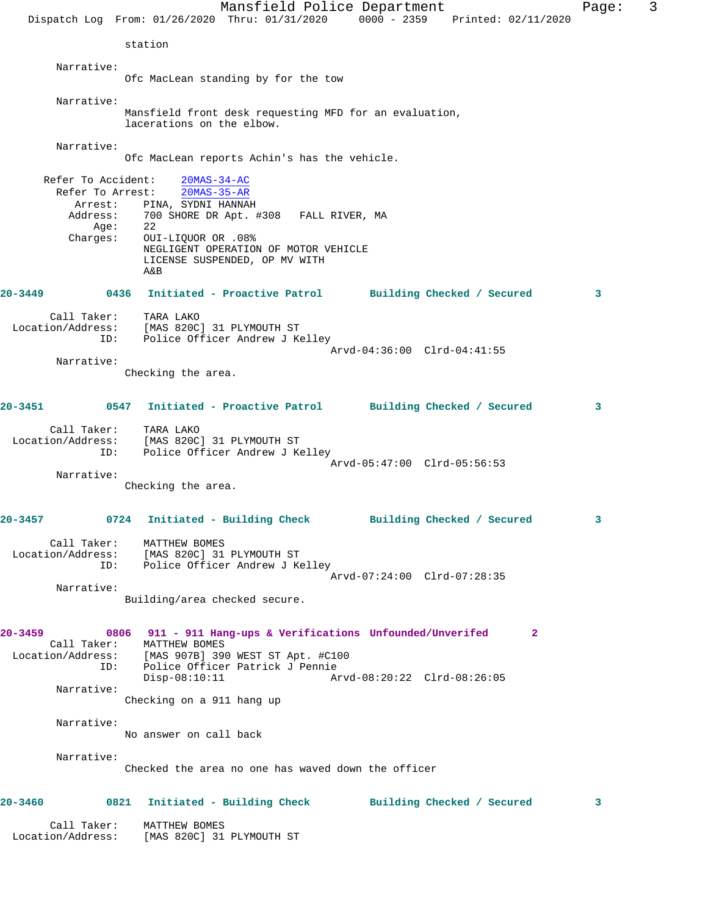Mansfield Police Department Fage: 3 Dispatch Log From: 01/26/2020 Thru: 01/31/2020 0000 - 2359 Printed: 02/11/2020 station Narrative: Ofc MacLean standing by for the tow Narrative: Mansfield front desk requesting MFD for an evaluation, lacerations on the elbow. Narrative: Ofc MacLean reports Achin's has the vehicle. Refer To Accident: 20MAS-34-AC Refer To Arrest: 20MAS-35-AR Arrest: PINA, SYDNI HANNAH Address: 700 SHORE DR Apt. #308 FALL RIVER, MA Age: 22 Charges: OUI-LIQUOR OR .08% NEGLIGENT OPERATION OF MOTOR VEHICLE LICENSE SUSPENDED, OP MV WITH A&B **20-3449 0436 Initiated - Proactive Patrol Building Checked / Secured 3** Call Taker: TARA LAKO Location/Address: [MAS 820C] 31 PLYMOUTH ST ID: Police Officer Andrew J Kelley Arvd-04:36:00 Clrd-04:41:55 Narrative: Checking the area. **20-3451 0547 Initiated - Proactive Patrol Building Checked / Secured 3** Call Taker: TARA LAKO Location/Address: [MAS 820C] 31 PLYMOUTH ST ID: Police Officer Andrew J Kelley Arvd-05:47:00 Clrd-05:56:53 Narrative: Checking the area. **20-3457 0724 Initiated - Building Check Building Checked / Secured 3** Call Taker: MATTHEW BOMES Location/Address: [MAS 820C] 31 PLYMOUTH ST ID: Police Officer Andrew J Kelley Arvd-07:24:00 Clrd-07:28:35 Narrative: Building/area checked secure. **20-3459 0806 911 - 911 Hang-ups & Verifications Unfounded/Unverifed 2**  Call Taker: MATTHEW BOMES Location/Address: [MAS 907B] 390 WEST ST Apt. #C100 ID: Police Officer Patrick J Pennie Disp-08:10:11 Arvd-08:20:22 Clrd-08:26:05 Narrative: Checking on a 911 hang up Narrative: No answer on call back Narrative: Checked the area no one has waved down the officer **20-3460 0821 Initiated - Building Check Building Checked / Secured 3** Call Taker: MATTHEW BOMES Location/Address: [MAS 820C] 31 PLYMOUTH ST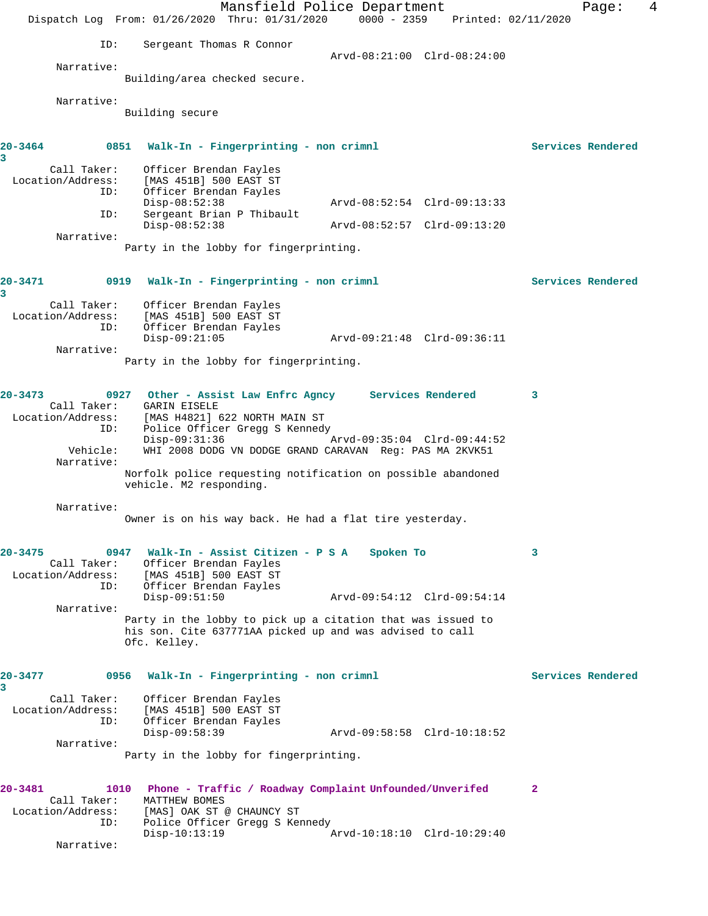|                                  |                                                                                                                         | Mansfield Police Department                             |                             |  |                     | Page:             | 4 |
|----------------------------------|-------------------------------------------------------------------------------------------------------------------------|---------------------------------------------------------|-----------------------------|--|---------------------|-------------------|---|
|                                  | Dispatch Log From: 01/26/2020 Thru: 01/31/2020                                                                          |                                                         | $0000 - 2359$               |  | Printed: 02/11/2020 |                   |   |
| ID:                              | Sergeant Thomas R Connor                                                                                                |                                                         |                             |  |                     |                   |   |
|                                  |                                                                                                                         |                                                         | Arvd-08:21:00 Clrd-08:24:00 |  |                     |                   |   |
| Narrative:                       |                                                                                                                         |                                                         |                             |  |                     |                   |   |
|                                  | Building/area checked secure.                                                                                           |                                                         |                             |  |                     |                   |   |
| Narrative:                       |                                                                                                                         |                                                         |                             |  |                     |                   |   |
|                                  | Building secure                                                                                                         |                                                         |                             |  |                     |                   |   |
|                                  |                                                                                                                         |                                                         |                             |  |                     |                   |   |
| 20-3464                          | 0851<br>Walk-In - Fingerprinting - non crimnl                                                                           |                                                         |                             |  |                     | Services Rendered |   |
| 3<br>Call Taker:                 | Officer Brendan Fayles                                                                                                  |                                                         |                             |  |                     |                   |   |
| Location/Address:                | [MAS 451B] 500 EAST ST                                                                                                  |                                                         |                             |  |                     |                   |   |
| ID:                              | Officer Brendan Fayles<br>$Disp-08:52:38$                                                                               |                                                         | Arvd-08:52:54 Clrd-09:13:33 |  |                     |                   |   |
| ID:                              | Sergeant Brian P Thibault                                                                                               |                                                         |                             |  |                     |                   |   |
|                                  | $Disp-08:52:38$                                                                                                         |                                                         | Arvd-08:52:57 Clrd-09:13:20 |  |                     |                   |   |
| Narrative:                       | Party in the lobby for fingerprinting.                                                                                  |                                                         |                             |  |                     |                   |   |
|                                  |                                                                                                                         |                                                         |                             |  |                     |                   |   |
| 20-3471                          | 0919                                                                                                                    |                                                         |                             |  |                     | Services Rendered |   |
| 3                                |                                                                                                                         | Walk-In - Fingerprinting - non crimnl                   |                             |  |                     |                   |   |
| Call Taker:                      | Officer Brendan Fayles                                                                                                  |                                                         |                             |  |                     |                   |   |
| Location/Address:<br>ID:         | [MAS 451B] 500 EAST ST<br>Officer Brendan Fayles                                                                        |                                                         |                             |  |                     |                   |   |
|                                  | $Disp-09:21:05$                                                                                                         |                                                         | Arvd-09:21:48 Clrd-09:36:11 |  |                     |                   |   |
| Narrative:                       |                                                                                                                         |                                                         |                             |  |                     |                   |   |
|                                  | Party in the lobby for fingerprinting.                                                                                  |                                                         |                             |  |                     |                   |   |
|                                  |                                                                                                                         |                                                         |                             |  |                     |                   |   |
| 20-3473<br>Call Taker:           | 0927 Other - Assist Law Enfrc Agncy Services Rendered<br><b>GARIN EISELE</b>                                            |                                                         |                             |  | 3                   |                   |   |
| Location/Address:                | [MAS H4821] 622 NORTH MAIN ST                                                                                           |                                                         |                             |  |                     |                   |   |
| ID:                              | Police Officer Gregg S Kennedy<br>$Disp-09:31:36$                                                                       |                                                         | Arvd-09:35:04 Clrd-09:44:52 |  |                     |                   |   |
| Vehicle:                         | WHI 2008 DODG VN DODGE GRAND CARAVAN Reg: PAS MA 2KVK51                                                                 |                                                         |                             |  |                     |                   |   |
| Narrative:                       |                                                                                                                         |                                                         |                             |  |                     |                   |   |
|                                  | Norfolk police requesting notification on possible abandoned<br>vehicle. M2 responding.                                 |                                                         |                             |  |                     |                   |   |
|                                  |                                                                                                                         |                                                         |                             |  |                     |                   |   |
| Narrative:                       | Owner is on his way back. He had a flat tire yesterday.                                                                 |                                                         |                             |  |                     |                   |   |
|                                  |                                                                                                                         |                                                         |                             |  |                     |                   |   |
| $20 - 3475$                      | 0947 Walk-In - Assist Citizen - P S A                                                                                   |                                                         | Spoken To                   |  | 3                   |                   |   |
| Call Taker:                      | Officer Brendan Fayles                                                                                                  |                                                         |                             |  |                     |                   |   |
| Location/Address:                | [MAS 451B] 500 EAST ST                                                                                                  |                                                         |                             |  |                     |                   |   |
| ID:                              | Officer Brendan Fayles<br>$Disp-09:51:50$                                                                               |                                                         | Arvd-09:54:12 Clrd-09:54:14 |  |                     |                   |   |
| Narrative:                       |                                                                                                                         |                                                         |                             |  |                     |                   |   |
|                                  | Party in the lobby to pick up a citation that was issued to<br>his son. Cite 637771AA picked up and was advised to call |                                                         |                             |  |                     |                   |   |
|                                  | Ofc. Kelley.                                                                                                            |                                                         |                             |  |                     |                   |   |
|                                  |                                                                                                                         |                                                         |                             |  |                     |                   |   |
| 20-3477                          | 0956                                                                                                                    | Walk-In - Fingerprinting - non crimnl                   |                             |  |                     | Services Rendered |   |
| 3                                |                                                                                                                         |                                                         |                             |  |                     |                   |   |
| Call Taker:<br>Location/Address: | Officer Brendan Fayles<br>[MAS 451B] 500 EAST ST                                                                        |                                                         |                             |  |                     |                   |   |
| ID:                              | Officer Brendan Fayles                                                                                                  |                                                         |                             |  |                     |                   |   |
| Narrative:                       | Disp-09:58:39                                                                                                           |                                                         | Arvd-09:58:58 Clrd-10:18:52 |  |                     |                   |   |
|                                  | Party in the lobby for fingerprinting.                                                                                  |                                                         |                             |  |                     |                   |   |
|                                  |                                                                                                                         |                                                         |                             |  |                     |                   |   |
| 20-3481                          | 1010                                                                                                                    | Phone - Traffic / Roadway Complaint Unfounded/Unverifed |                             |  | $\mathbf{2}$        |                   |   |
| Call Taker:                      | MATTHEW BOMES                                                                                                           |                                                         |                             |  |                     |                   |   |
| Location/Address:<br>ID:         | [MAS] OAK ST @ CHAUNCY ST<br>Police Officer Gregg S Kennedy                                                             |                                                         |                             |  |                     |                   |   |
|                                  | $Disp-10:13:19$                                                                                                         |                                                         | Arvd-10:18:10 Clrd-10:29:40 |  |                     |                   |   |
| Narrative:                       |                                                                                                                         |                                                         |                             |  |                     |                   |   |
|                                  |                                                                                                                         |                                                         |                             |  |                     |                   |   |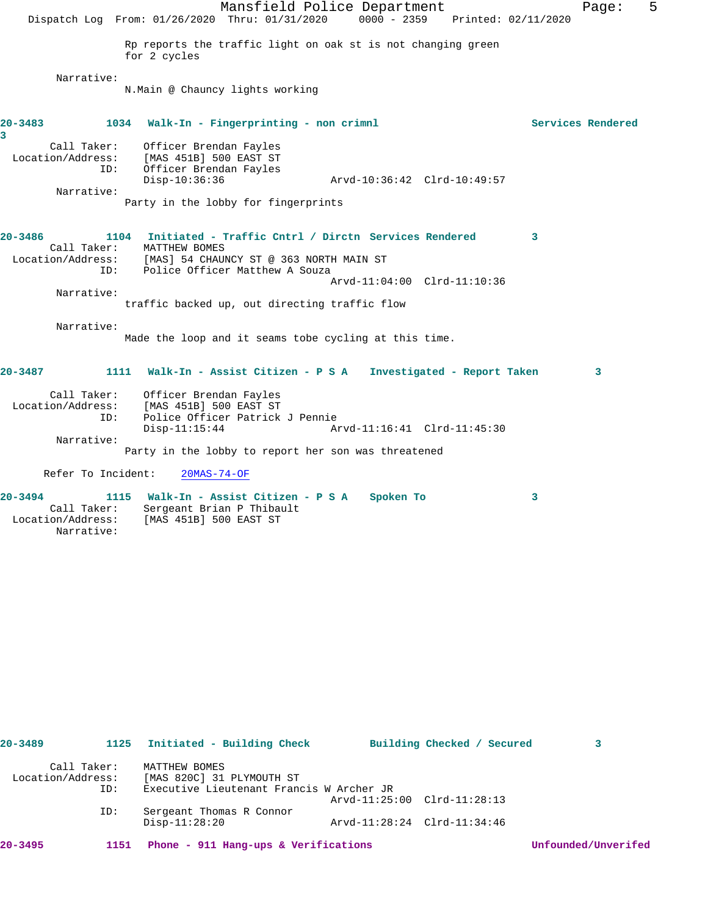|                          | Mansfield Police Department<br>Dispatch Log From: 01/26/2020 Thru: 01/31/2020<br>0000 - 2359 Printed: 02/11/2020 | Page: | 5 |
|--------------------------|------------------------------------------------------------------------------------------------------------------|-------|---|
|                          | Rp reports the traffic light on oak st is not changing green                                                     |       |   |
|                          | for 2 cycles                                                                                                     |       |   |
| Narrative:               |                                                                                                                  |       |   |
|                          | N.Main @ Chauncy lights working                                                                                  |       |   |
| 20-3483<br>3             | 1034 Walk-In - Fingerprinting - non crimnl<br>Services Rendered                                                  |       |   |
|                          | Call Taker: Officer Brendan Fayles                                                                               |       |   |
| Location/Address:        | [MAS 451B] 500 EAST ST                                                                                           |       |   |
| ID:                      | Officer Brendan Fayles<br>Arvd-10:36:42 Clrd-10:49:57<br>$Disp-10:36:36$                                         |       |   |
| Narrative:               |                                                                                                                  |       |   |
|                          | Party in the lobby for fingerprints                                                                              |       |   |
| 20-3486                  | 1104 Initiated - Traffic Cntrl / Dirctn Services Rendered<br>3                                                   |       |   |
| Call Taker:              | MATTHEW BOMES                                                                                                    |       |   |
| TD:                      | Location/Address: [MAS] 54 CHAUNCY ST @ 363 NORTH MAIN ST<br>Police Officer Matthew A Souza                      |       |   |
|                          | Arvd-11:04:00 Clrd-11:10:36                                                                                      |       |   |
| Narrative:               |                                                                                                                  |       |   |
|                          | traffic backed up, out directing traffic flow                                                                    |       |   |
| Narrative:               |                                                                                                                  |       |   |
|                          | Made the loop and it seams tobe cycling at this time.                                                            |       |   |
| 20-3487                  | 1111 Walk-In - Assist Citizen - P S A Investigated - Report Taken                                                | 3     |   |
|                          |                                                                                                                  |       |   |
| Call Taker:              | Officer Brendan Fayles                                                                                           |       |   |
| Location/Address:<br>ID: | [MAS 451B] 500 EAST ST<br>Police Officer Patrick J Pennie                                                        |       |   |
|                          | $Disp-11:15:44$<br>Arvd-11:16:41 Clrd-11:45:30                                                                   |       |   |
| Narrative:               |                                                                                                                  |       |   |
|                          | Party in the lobby to report her son was threatened                                                              |       |   |
| Refer To Incident:       | $20MAS - 74 - OF$                                                                                                |       |   |
| 20-3494                  | 1115 Walk-In - Assist Citizen - P S A Spoken To<br>3                                                             |       |   |
| Call Taker:              | Sergeant Brian P Thibault                                                                                        |       |   |
| Location/Address:        | [MAS 451B] 500 EAST ST                                                                                           |       |   |
| Narrative:               |                                                                                                                  |       |   |

| $20 - 3489$       | 1125        | Initiated - Building Check               |                             | Building Checked / Secured |                     |
|-------------------|-------------|------------------------------------------|-----------------------------|----------------------------|---------------------|
|                   | Call Taker: | MATTHEW BOMES                            |                             |                            |                     |
| Location/Address: |             | [MAS 820C] 31 PLYMOUTH ST                |                             |                            |                     |
|                   | ID:         | Executive Lieutenant Francis W Archer JR |                             |                            |                     |
|                   |             |                                          | Arvd-11:25:00 Clrd-11:28:13 |                            |                     |
|                   | ID:         | Sergeant Thomas R Connor                 |                             |                            |                     |
|                   |             | $Disp-11:28:20$                          | Arvd-11:28:24 Clrd-11:34:46 |                            |                     |
| $20 - 3495$       | 1151        | Phone - 911 Hang-ups & Verifications     |                             |                            | Unfounded/Unverifed |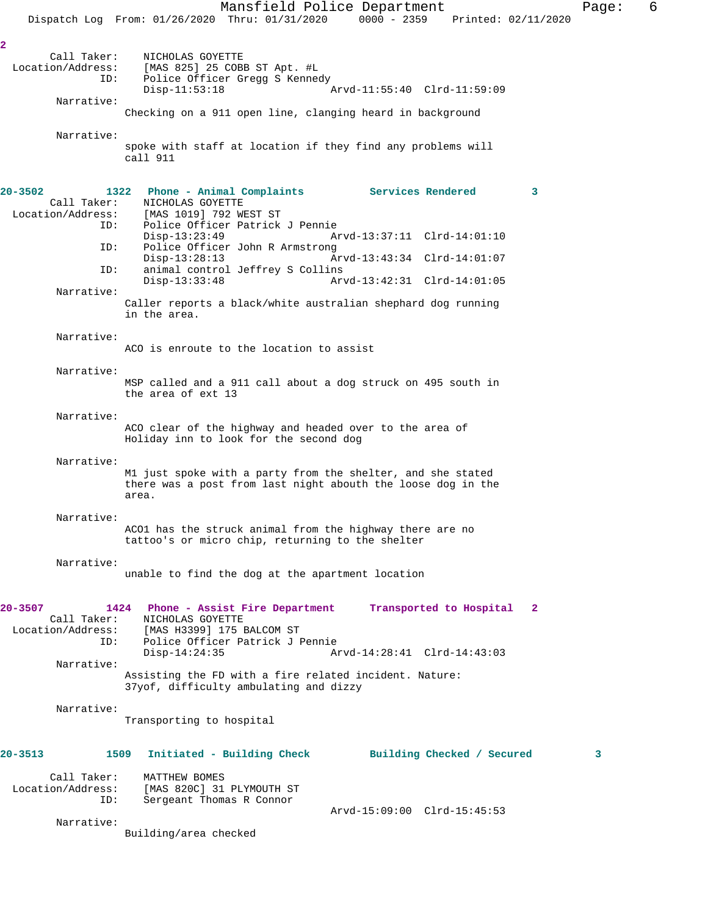Mansfield Police Department Fage: 6 Dispatch Log From: 01/26/2020 Thru: 01/31/2020 0000 - 2359 Printed: 02/11/2020 **2**  Call Taker: NICHOLAS GOYETTE<br>Location/Address: [MAS 825] 25 COB ess: [MAS 825] 25 COBB ST Apt. #L<br>ID: Police Officer Gregg S Kennee Police Officer Gregg S Kennedy Disp-11:53:18 Arvd-11:55:40 Clrd-11:59:09 Narrative: Checking on a 911 open line, clanging heard in background Narrative: spoke with staff at location if they find any problems will call 911 **20-3502 1322 Phone - Animal Complaints Services Rendered 3**  Call Taker: NICHOLAS GOYETTE<br>Location/Address: [MAS 1019] 792 WI [MAS 1019] 792 WEST ST ID: Police Officer Patrick J Pennie Disp-13:23:49 Arvd-13:37:11 Clrd-14:01:10<br>ID: Police Officer John R Armstrong Police Officer John R Armstrong<br>Disp-13:28:13 A Disp-13:28:13 Arvd-13:43:34 Clrd-14:01:07 ID: animal control Jeffrey S Collins Disp-13:33:48 Arvd-13:42:31 Clrd-14:01:05 Narrative: Caller reports a black/white australian shephard dog running in the area. Narrative: ACO is enroute to the location to assist Narrative: MSP called and a 911 call about a dog struck on 495 south in the area of ext 13 Narrative: ACO clear of the highway and headed over to the area of Holiday inn to look for the second dog Narrative: M1 just spoke with a party from the shelter, and she stated there was a post from last night abouth the loose dog in the area. Narrative: ACO1 has the struck animal from the highway there are no tattoo's or micro chip, returning to the shelter Narrative: unable to find the dog at the apartment location **20-3507 1424 Phone - Assist Fire Department Transported to Hospital 2**  Call Taker: NICHOLAS GOYETTE Location/Address: [MAS H3399] 175 BALCOM ST ID: Police Officer Patrick J Pennie Disp-14:24:35 Arvd-14:28:41 Clrd-14:43:03 Narrative: Assisting the FD with a fire related incident. Nature: 37yof, difficulty ambulating and dizzy Narrative:

Transporting to hospital

| $20 - 3513$       | 1509        | Initiated - Building Check |                             | Building Checked / Secured |  |
|-------------------|-------------|----------------------------|-----------------------------|----------------------------|--|
|                   | Call Taker: | MATTHEW BOMES              |                             |                            |  |
| Location/Address: |             | [MAS 820C] 31 PLYMOUTH ST  |                             |                            |  |
|                   | ID:         | Sergeant Thomas R Connor   |                             |                            |  |
|                   |             |                            | Arvd-15:09:00 Clrd-15:45:53 |                            |  |
|                   | Narrative:  |                            |                             |                            |  |

Building/area checked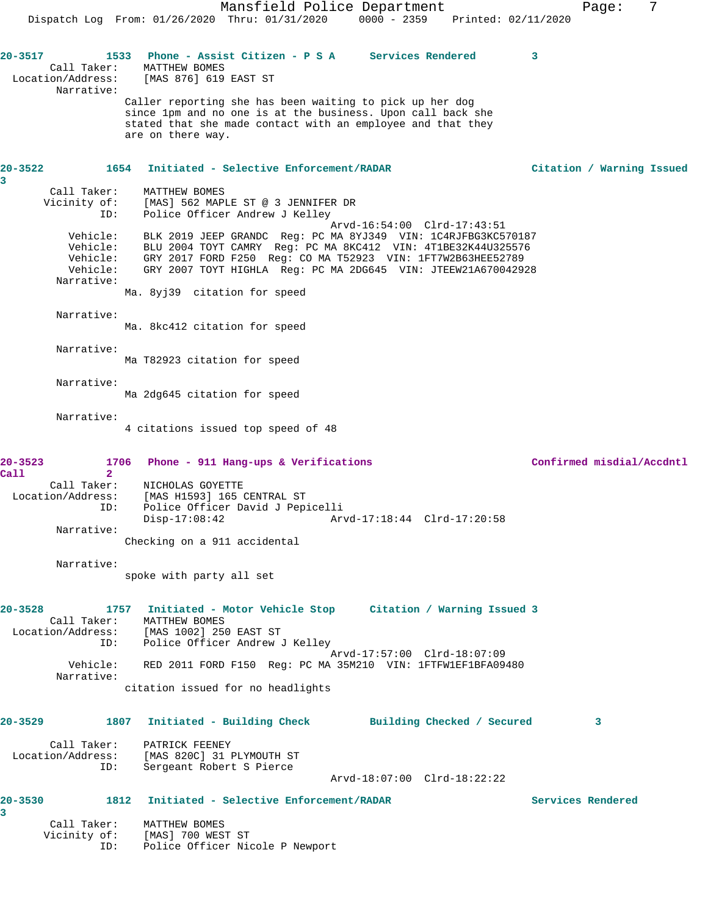Mansfield Police Department Fage: 7 Dispatch Log From: 01/26/2020 Thru: 01/31/2020 0000 - 2359 Printed: 02/11/2020 **20-3517 1533 Phone - Assist Citizen - P S A Services Rendered 3**  Call Taker: MATTHEW BOMES Location/Address: [MAS 876] 619 EAST ST Narrative: Caller reporting she has been waiting to pick up her dog since 1pm and no one is at the business. Upon call back she stated that she made contact with an employee and that they are on there way. **20-3522 1654 Initiated - Selective Enforcement/RADAR Citation / Warning Issued 3**  Call Taker: MATTHEW BOMES Vicinity of: [MAS] 562 MAPLE ST @ 3 JENNIFER DR ID: Police Officer Andrew J Kelley Arvd-16:54:00 Clrd-17:43:51 Vehicle: BLK 2019 JEEP GRANDC Reg: PC MA 8YJ349 VIN: 1C4RJFBG3KC570187 Vehicle: BLU 2004 TOYT CAMRY Reg: PC MA 8KC412 VIN: 4T1BE32K44U325576 Vehicle: GRY 2017 FORD F250 Reg: CO MA T52923 VIN: 1FT7W2B63HEE52789 Vehicle: GRY 2007 TOYT HIGHLA Reg: PC MA 2DG645 VIN: JTEEW21A670042928 Narrative: Ma. 8yj39 citation for speed Narrative: Ma. 8kc412 citation for speed Narrative: Ma T82923 citation for speed Narrative: Ma 2dg645 citation for speed Narrative: 4 citations issued top speed of 48 **20-3523 1706 Phone - 911 Hang-ups & Verifications Confirmed misdial/Accdntl Call 2**  Call Taker: NICHOLAS GOYETTE Location/Address: [MAS H1593] 165 CENTRAL ST ID: Police Officer David J Pepicelli Arvd-17:18:44 Clrd-17:20:58 Narrative: Checking on a 911 accidental Narrative: spoke with party all set **20-3528 1757 Initiated - Motor Vehicle Stop Citation / Warning Issued 3**  Call Taker: MATTHEW BOMES Location/Address: [MAS 1002] 250 EAST ST ID: Police Officer Andrew J Kelley Arvd-17:57:00 Clrd-18:07:09 Vehicle: RED 2011 FORD F150 Reg: PC MA 35M210 VIN: 1FTFW1EF1BFA09480 Narrative: citation issued for no headlights **20-3529 1807 Initiated - Building Check Building Checked / Secured 3** Call Taker: PATRICK FEENEY Location/Address: [MAS 820C] 31 PLYMOUTH ST ID: Sergeant Robert S Pierce Arvd-18:07:00 Clrd-18:22:22 **20-3530 1812 Initiated - Selective Enforcement/RADAR Services Rendered 3**  Call Taker: MATTHEW BOMES Vicinity of: [MAS] 700 WEST ST ID: Police Officer Nicole P Newport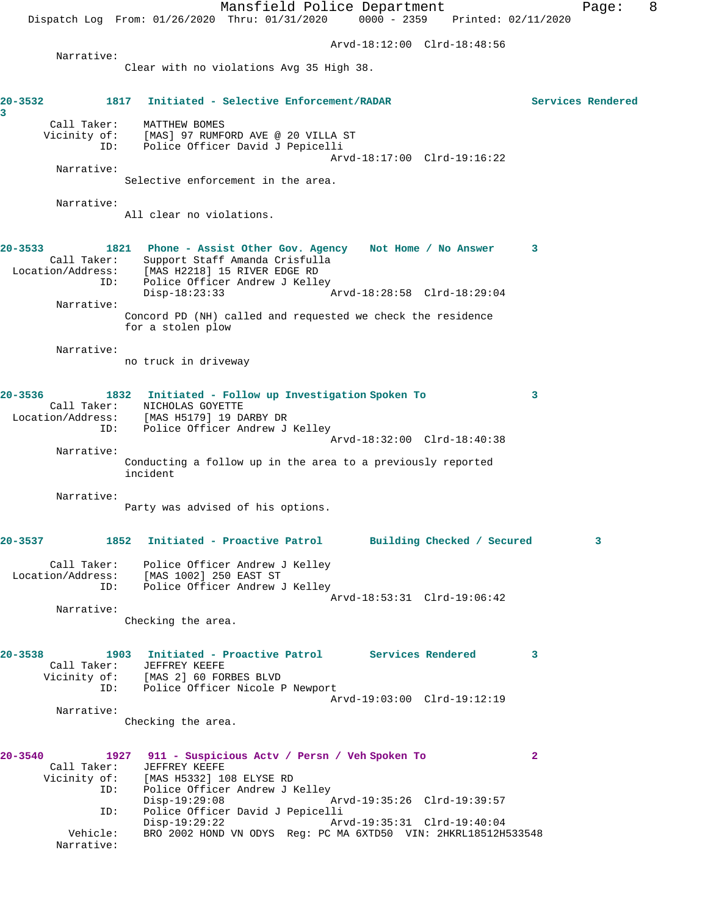Mansfield Police Department Form Page: 8 Dispatch Log From: 01/26/2020 Thru: 01/31/2020 0000 - 2359 Printed: 02/11/2020 Arvd-18:12:00 Clrd-18:48:56 Narrative: Clear with no violations Avg 35 High 38. **20-3532 1817 Initiated - Selective Enforcement/RADAR Services Rendered 3**  Call Taker: MATTHEW BOMES Vicinity of: [MAS] 97 RUMFORD AVE @ 20 VILLA ST<br>ID: Police Officer David J Pepicelli Police Officer David J Pepicelli Arvd-18:17:00 Clrd-19:16:22 Narrative: Selective enforcement in the area. Narrative: All clear no violations. **20-3533 1821 Phone - Assist Other Gov. Agency Not Home / No Answer 3**  Call Taker: Support Staff Amanda Crisfulla Location/Address: [MAS H2218] 15 RIVER EDGE RD ID: Police Officer Andrew J Kelley<br>Disp-18:23:33 Disp-18:23:33 Arvd-18:28:58 Clrd-18:29:04 Narrative: Concord PD (NH) called and requested we check the residence for a stolen plow Narrative: no truck in driveway **20-3536 1832 Initiated - Follow up Investigation Spoken To 3**  Call Taker: NICHOLAS GOYETTE Location/Address: [MAS H5179] 19 DARBY DR ID: Police Officer Andrew J Kelley Arvd-18:32:00 Clrd-18:40:38 Narrative: Conducting a follow up in the area to a previously reported incident Narrative: Party was advised of his options. **20-3537 1852 Initiated - Proactive Patrol Building Checked / Secured 3** Call Taker: Police Officer Andrew J Kelley Location/Address: [MAS 1002] 250 EAST ST Police Officer Andrew J Kelley Arvd-18:53:31 Clrd-19:06:42 Narrative: Checking the area. **20-3538 1903 Initiated - Proactive Patrol Services Rendered 3**  Call Taker: JEFFREY KEEFE Vicinity of: [MAS 2] 60 FORBES BLVD ID: Police Officer Nicole P Newport Arvd-19:03:00 Clrd-19:12:19 Narrative: Checking the area. **20-3540 1927 911 - Suspicious Actv / Persn / Veh Spoken To 2**  Call Taker: JEFFREY KEEFE<br>Vicinity of: [MAS H5332] 10 [MAS H5332] 108 ELYSE RD ID: Police Officer Andrew J Kelley Disp-19:29:08 Arvd-19:35:26 Clrd-19:39:57 ID: Police Officer David J Pepicelli Disp-19:29:22 Arvd-19:35:31 Clrd-19:40:04 Vehicle: BRO 2002 HOND VN ODYS Reg: PC MA 6XTD50 VIN: 2HKRL18512H533548 Narrative: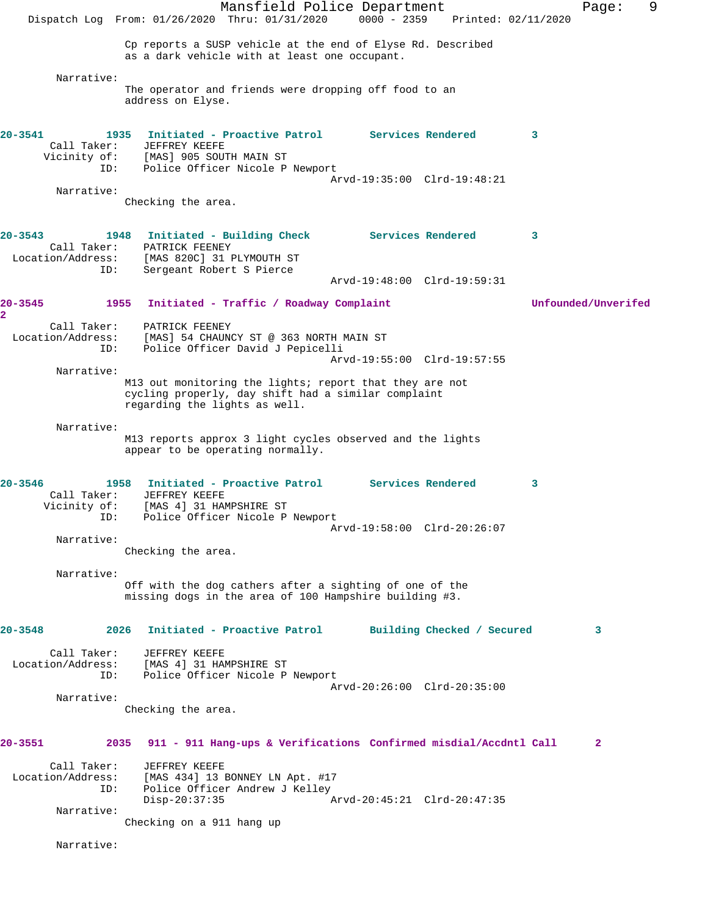Mansfield Police Department Fage: 9 Dispatch Log From: 01/26/2020 Thru: 01/31/2020 0000 - 2359 Printed: 02/11/2020 Cp reports a SUSP vehicle at the end of Elyse Rd. Described as a dark vehicle with at least one occupant. Narrative: The operator and friends were dropping off food to an address on Elyse. **20-3541 1935 Initiated - Proactive Patrol Services Rendered 3**  Call Taker: JEFFREY KEEFE Vicinity of: [MAS] 905 SOUTH MAIN ST ID: Police Officer Nicole P Newport Arvd-19:35:00 Clrd-19:48:21 Narrative: Checking the area. **20-3543 1948 Initiated - Building Check Services Rendered 3**  Call Taker: PATRICK FEENEY Location/Address: [MAS 820C] 31 PLYMOUTH ST ID: Sergeant Robert S Pierce Arvd-19:48:00 Clrd-19:59:31 **20-3545 1955 Initiated - Traffic / Roadway Complaint Unfounded/Unverifed 2**  Call Taker: PATRICK FEENEY Location/Address: [MAS] 54 CHAUNCY ST @ 363 NORTH MAIN ST<br>ID: Police Officer David J Pepicelli Police Officer David J Pepicelli Arvd-19:55:00 Clrd-19:57:55 Narrative: M13 out monitoring the lights; report that they are not cycling properly, day shift had a similar complaint regarding the lights as well. Narrative: M13 reports approx 3 light cycles observed and the lights appear to be operating normally. **20-3546 1958 Initiated - Proactive Patrol Services Rendered 3**  Call Taker: JEFFREY KEEFE Vicinity of: [MAS 4] 31 HAMPSHIRE ST ID: Police Officer Nicole P Newport Arvd-19:58:00 Clrd-20:26:07 Narrative: Checking the area. Narrative: Off with the dog cathers after a sighting of one of the missing dogs in the area of 100 Hampshire building #3. **20-3548 2026 Initiated - Proactive Patrol Building Checked / Secured 3** Call Taker: JEFFREY KEEFE Location/Address: [MAS 4] 31 HAMPSHIRE ST ID: Police Officer Nicole P Newport Arvd-20:26:00 Clrd-20:35:00 Narrative: Checking the area. **20-3551 2035 911 - 911 Hang-ups & Verifications Confirmed misdial/Accdntl Call 2** Call Taker: JEFFREY KEEFE Location/Address: [MAS 434] 13 BONNEY LN Apt. #17 ID: Police Officer Andrew J Kelley<br>Disp-20:37:35 Disp-20:37:35 Arvd-20:45:21 Clrd-20:47:35 Narrative: Checking on a 911 hang up Narrative: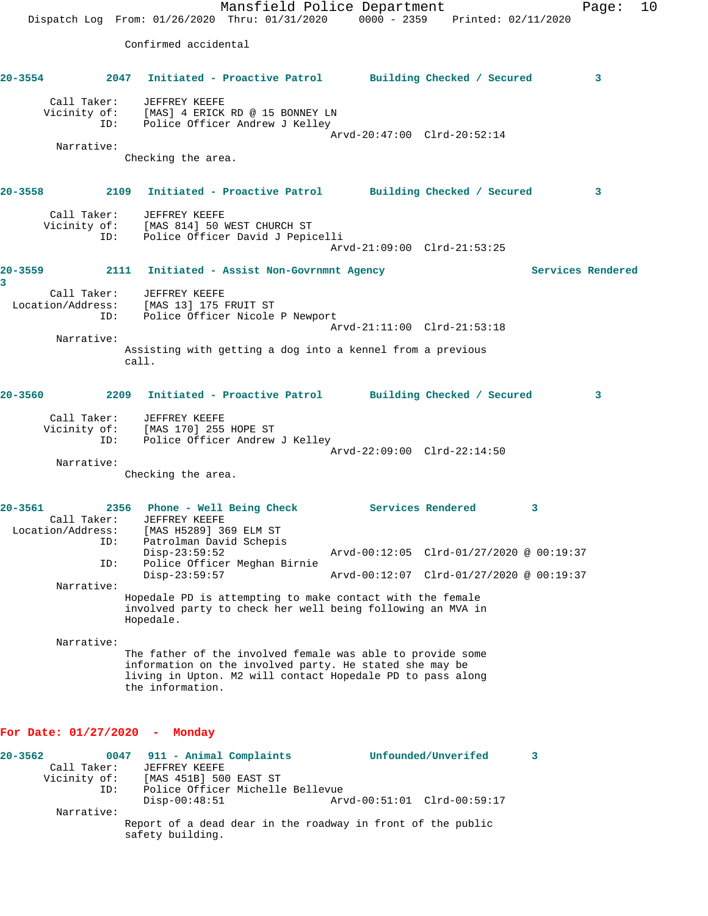Mansfield Police Department Page: 10 Dispatch Log From: 01/26/2020 Thru: 01/31/2020 0000 - 2359 Printed: 02/11/2020 Confirmed accidental **20-3554 2047 Initiated - Proactive Patrol Building Checked / Secured 3** Call Taker: JEFFREY KEEFE Vicinity of: [MAS] 4 ERICK RD @ 15 BONNEY LN ID: Police Officer Andrew J Kelley Arvd-20:47:00 Clrd-20:52:14 Narrative: Checking the area. **20-3558 2109 Initiated - Proactive Patrol Building Checked / Secured 3** Call Taker: JEFFREY KEEFE Vicinity of: [MAS 814] 50 WEST CHURCH ST ID: Police Officer David J Pepicelli Arvd-21:09:00 Clrd-21:53:25 **20-3559 2111 Initiated - Assist Non-Govrnmnt Agency Services Rendered 3**  Call Taker: JEFFREY KEEFE Location/Address: [MAS 13] 175 FRUIT ST ID: Police Officer Nicole P Newport Arvd-21:11:00 Clrd-21:53:18 Narrative: Assisting with getting a dog into a kennel from a previous call. **20-3560 2209 Initiated - Proactive Patrol Building Checked / Secured 3** Call Taker: JEFFREY KEEFE Vicinity of: [MAS 170] 255 HOPE ST ID: Police Officer Andrew J Kelley Arvd-22:09:00 Clrd-22:14:50 Narrative: Checking the area. **20-3561 2356 Phone - Well Being Check Services Rendered 3**  Call Taker: JEFFREY KEEFE Location/Address: [MAS H5289] 369 ELM ST ID: Patrolman David Schepis<br>Disp-23:59:52 Disp-23:59:52 Arvd-00:12:05 Clrd-01/27/2020 @ 00:19:37 ID: Police Officer Meghan Birnie Disp-23:59:57 Arvd-00:12:07 Clrd-01/27/2020 @ 00:19:37 Narrative: Hopedale PD is attempting to make contact with the female involved party to check her well being following an MVA in Hopedale. Narrative: The father of the involved female was able to provide some information on the involved party. He stated she may be living in Upton. M2 will contact Hopedale PD to pass along the information. **For Date: 01/27/2020 - Monday**

**20-3562 0047 911 - Animal Complaints Unfounded/Unverifed 3**  Call Taker: JEFFREY KEEFE Vicinity of: [MAS 451B] 500 EAST ST ID: Police Officer Michelle Bellevue Disp-00:48:51 Arvd-00:51:01 Clrd-00:59:17 Narrative: Report of a dead dear in the roadway in front of the public safety building.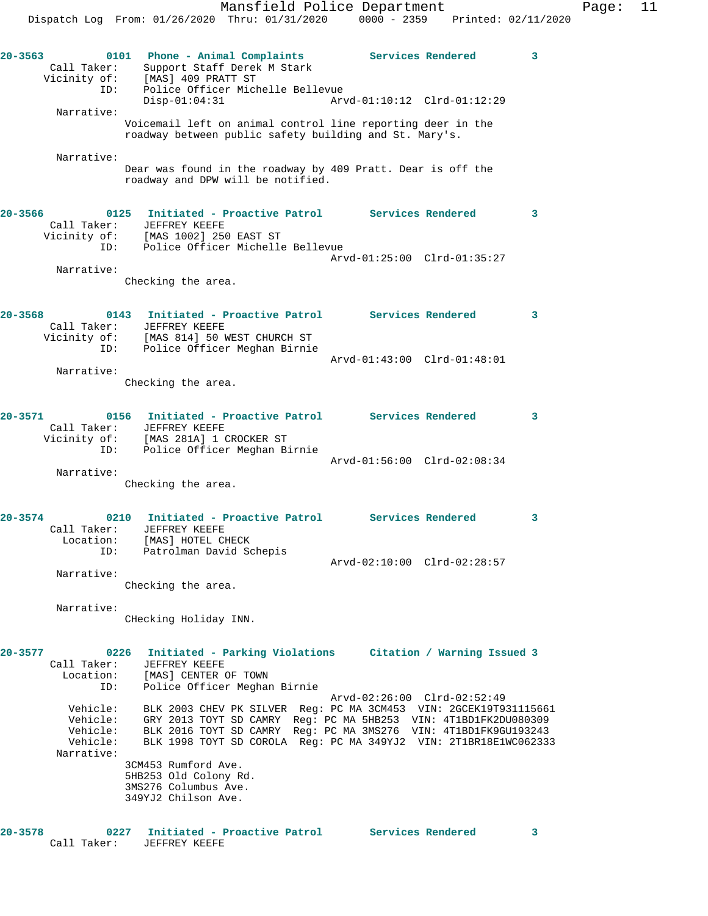| $20 - 3563$ | Call Taker:                                                | Phone - Animal Complaints<br>0101<br>Support Staff Derek M Stark<br>Vicinity of: [MAS] 409 PRATT ST                                                         |                             | Services Rendered                                                                                                                                                                                                                                                          | 3 |
|-------------|------------------------------------------------------------|-------------------------------------------------------------------------------------------------------------------------------------------------------------|-----------------------------|----------------------------------------------------------------------------------------------------------------------------------------------------------------------------------------------------------------------------------------------------------------------------|---|
|             | ID:                                                        | Police Officer Michelle Bellevue<br>$Disp-01:04:31$                                                                                                         | Arvd-01:10:12 Clrd-01:12:29 |                                                                                                                                                                                                                                                                            |   |
|             | Narrative:                                                 | Voicemail left on animal control line reporting deer in the<br>roadway between public safety building and St. Mary's.                                       |                             |                                                                                                                                                                                                                                                                            |   |
|             | Narrative:                                                 | Dear was found in the roadway by 409 Pratt. Dear is off the<br>roadway and DPW will be notified.                                                            |                             |                                                                                                                                                                                                                                                                            |   |
| 20-3566     | Vicinity of:                                               | Initiated - Proactive Patrol Services Rendered<br>0125<br>Call Taker: JEFFREY KEEFE<br>of: [MAS 1002] 250 EAST ST<br>ID: Police Officer Michelle Bellevue   |                             |                                                                                                                                                                                                                                                                            | 3 |
|             | Narrative:                                                 | Checking the area.                                                                                                                                          | Arvd-01:25:00 Clrd-01:35:27 |                                                                                                                                                                                                                                                                            |   |
| 20-3568     | Call Taker:                                                | Initiated - Proactive Patrol Services Rendered<br>0143<br>JEFFREY KEEFE<br>Vicinity of: [MAS 814] 50 WEST CHURCH ST                                         |                             |                                                                                                                                                                                                                                                                            | 3 |
|             | ID:<br>Narrative:                                          | Police Officer Meghan Birnie                                                                                                                                | Arvd-01:43:00 Clrd-01:48:01 |                                                                                                                                                                                                                                                                            |   |
|             |                                                            | Checking the area.                                                                                                                                          |                             |                                                                                                                                                                                                                                                                            |   |
| 20-3571     | ID:                                                        | Initiated - Proactive Patrol Services Rendered<br>0156<br>Call Taker: JEFFREY KEEFE<br>Vicinity of: [MAS 281A] 1 CROCKER ST<br>Police Officer Meghan Birnie |                             |                                                                                                                                                                                                                                                                            | 3 |
|             | Narrative:                                                 | Checking the area.                                                                                                                                          | Arvd-01:56:00 Clrd-02:08:34 |                                                                                                                                                                                                                                                                            |   |
| 20-3574     | Location:<br>ID:                                           | Initiated - Proactive Patrol Services Rendered<br>0210<br>Call Taker: JEFFREY KEEFE<br>[MAS] HOTEL CHECK<br>Patrolman David Schepis                         |                             |                                                                                                                                                                                                                                                                            | 3 |
|             | Narrative:                                                 | Checking the area.                                                                                                                                          | Arvd-02:10:00 Clrd-02:28:57 |                                                                                                                                                                                                                                                                            |   |
|             | Narrative:                                                 | CHecking Holiday INN.                                                                                                                                       |                             |                                                                                                                                                                                                                                                                            |   |
| 20-3577     | Call Taker:<br>Location:<br>ID:                            | 0226<br>JEFFREY KEEFE<br>[MAS] CENTER OF TOWN<br>Police Officer Meghan Birnie                                                                               |                             | Initiated - Parking Violations Citation / Warning Issued 3                                                                                                                                                                                                                 |   |
|             | Vehicle:<br>Vehicle:<br>Vehicle:<br>Vehicle:<br>Narrative: |                                                                                                                                                             | Arvd-02:26:00 Clrd-02:52:49 | BLK 2003 CHEV PK SILVER Reg: PC MA 3CM453 VIN: 2GCEK19T931115661<br>GRY 2013 TOYT SD CAMRY Req: PC MA 5HB253 VIN: 4T1BD1FK2DU080309<br>BLK 2016 TOYT SD CAMRY Reg: PC MA 3MS276 VIN: 4T1BD1FK9GU193243<br>BLK 1998 TOYT SD COROLA Req: PC MA 349YJ2 VIN: 2T1BR18E1WC062333 |   |
|             |                                                            | 3CM453 Rumford Ave.<br>5HB253 Old Colony Rd.<br>3MS276 Columbus Ave.<br>349YJ2 Chilson Ave.                                                                 |                             |                                                                                                                                                                                                                                                                            |   |
| 20-3578     | Call Taker:                                                | Initiated - Proactive Patrol Services Rendered<br>0227<br>JEFFREY KEEFE                                                                                     |                             |                                                                                                                                                                                                                                                                            | 3 |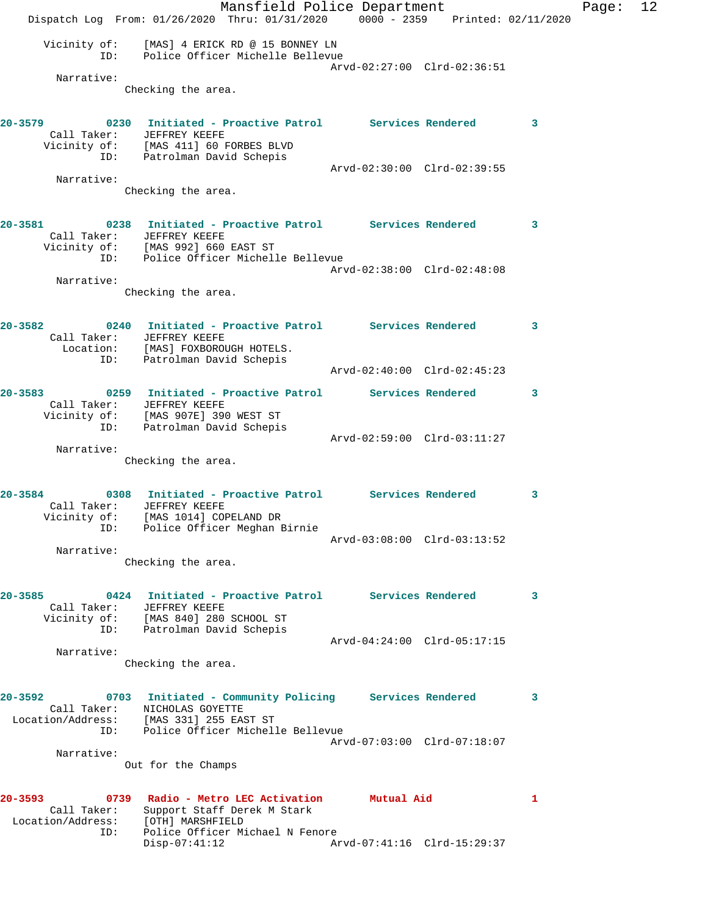Mansfield Police Department Fage: 12 Dispatch Log From: 01/26/2020 Thru: 01/31/2020 0000 - 2359 Printed: 02/11/2020 Vicinity of: [MAS] 4 ERICK RD @ 15 BONNEY LN ID: Police Officer Michelle Bellevue Arvd-02:27:00 Clrd-02:36:51 Narrative: Checking the area. **20-3579 0230 Initiated - Proactive Patrol Services Rendered 3**  Call Taker: JEFFREY KEEFE Vicinity of: [MAS 411] 60 FORBES BLVD ID: Patrolman David Schepis Arvd-02:30:00 Clrd-02:39:55 Narrative: Checking the area. **20-3581 0238 Initiated - Proactive Patrol Services Rendered 3**  Call Taker: JEFFREY KEEFE Vicinity of: [MAS 992] 660 EAST ST ID: Police Officer Michelle Bellevue Arvd-02:38:00 Clrd-02:48:08 Narrative: Checking the area. **20-3582 0240 Initiated - Proactive Patrol Services Rendered 3**  Call Taker: JEFFREY KEEFE Location: [MAS] FOXBOROUGH HOTELS. ID: Patrolman David Schepis Arvd-02:40:00 Clrd-02:45:23 **20-3583 0259 Initiated - Proactive Patrol Services Rendered 3**  Call Taker: JEFFREY KEEFE Vicinity of: [MAS 907E] 390 WEST ST ID: Patrolman David Schepis Arvd-02:59:00 Clrd-03:11:27 Narrative: Checking the area. **20-3584 0308 Initiated - Proactive Patrol Services Rendered 3**  Call Taker: JEFFREY KEEFE Vicinity of: [MAS 1014] COPELAND DR ID: Police Officer Meghan Birnie Arvd-03:08:00 Clrd-03:13:52 Narrative: Checking the area. **20-3585 0424 Initiated - Proactive Patrol Services Rendered 3**  Call Taker: JEFFREY KEEFE Vicinity of: [MAS 840] 280 SCHOOL ST ID: Patrolman David Schepis Arvd-04:24:00 Clrd-05:17:15 Narrative: Checking the area. **20-3592 0703 Initiated - Community Policing Services Rendered 3**  Call Taker: NICHOLAS GOYETTE Location/Address: [MAS 331] 255 EAST ST ID: Police Officer Michelle Bellevue Arvd-07:03:00 Clrd-07:18:07 Narrative: Out for the Champs **20-3593 0739 Radio - Metro LEC Activation Mutual Aid 1**  Call Taker: Support Staff Derek M Stark Location/Address: [OTH] MARSHFIELD ID: Police Officer Michael N Fenore<br>Disp-07:41:12 Ar Disp-07:41:12 Arvd-07:41:16 Clrd-15:29:37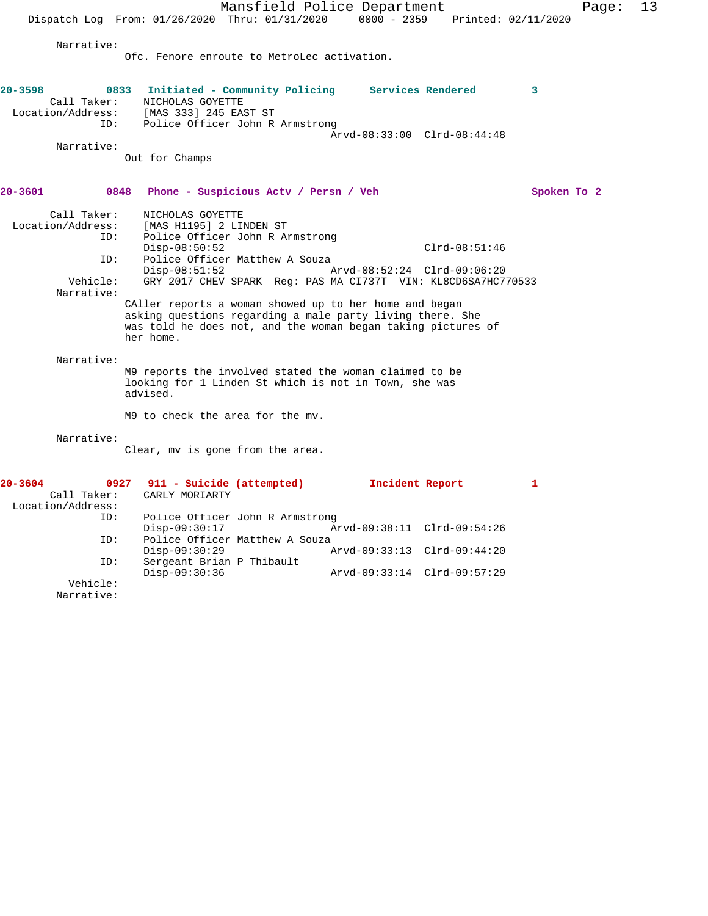Mansfield Police Department Page: 13 Dispatch Log From: 01/26/2020 Thru: 01/31/2020 0000 - 2359 Printed: 02/11/2020 Narrative: Ofc. Fenore enroute to MetroLec activation. **20-3598 0833 Initiated - Community Policing Services Rendered 3**  Call Taker: NICHOLAS GOYETTE Location/Address: [MAS 333] 245 EAST ST ID: Police Officer John R Armstrong Arvd-08:33:00 Clrd-08:44:48 Narrative: Out for Champs **20-3601 0848 Phone - Suspicious Actv / Persn / Veh Spoken To 2** Call Taker: NICHOLAS GOYETTE<br>Location/Address: [MAS H1195] 2 LII ESS: [MAS H1195] 2 LINDEN ST<br>ID: Police Officer John P Police Officer John R Armstrong Disp-08:50:52 Clrd-08:51:46 ID: Police Officer Matthew A Souza Disp-08:51:52 Arvd-08:52:24 Clrd-09:06:20<br>Vehicle: GRY 2017 CHEV SPARK Req: PAS MA CI737T VIN: KL8CD6SA7HC7 GRY 2017 CHEV SPARK Reg: PAS MA CI737T VIN: KL8CD6SA7HC770533 Narrative: CAller reports a woman showed up to her home and began asking questions regarding a male party living there. She was told he does not, and the woman began taking pictures of her home. Narrative: M9 reports the involved stated the woman claimed to be looking for 1 Linden St which is not in Town, she was advised. M9 to check the area for the mv. Narrative: Clear, mv is gone from the area. **20-3604 0927 911 - Suicide (attempted) Incident Report 1**  Call Taker: CARLY MORIARTY Location/Address: ID: Police Officer John R Armstrong<br>Disp-09:30:17 A Disp-09:30:17 Arvd-09:38:11 Clrd-09:54:26<br>ID: Police Officer Matthew A Souza Police Officer Matthew A Souza<br>Disp-09:30:29 / Disp-09:30:29 Arvd-09:33:13 Clrd-09:44:20 ID: Sergeant Brian P Thibault

Disp-09:30:36 Arvd-09:33:14 Clrd-09:57:29

 Vehicle: Narrative: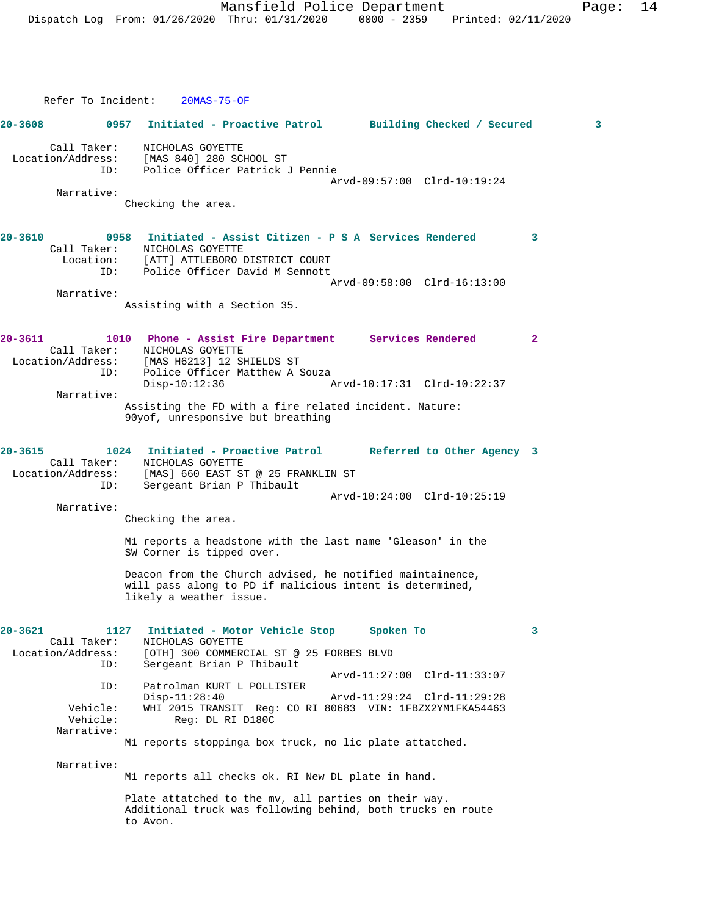Refer To Incident: 20MAS-75-OF **20-3608 0957 Initiated - Proactive Patrol Building Checked / Secured 3** Call Taker: NICHOLAS GOYETTE<br>ion/Address: [MAS 840] 280 SCHOOL ST Location/Address:<br>ID: Police Officer Patrick J Pennie Arvd-09:57:00 Clrd-10:19:24 Narrative: Checking the area. **20-3610 0958 Initiated - Assist Citizen - P S A Services Rendered 3**  Call Taker: NICHOLAS GOYETTE Location: [ATT] ATTLEBORO DISTRICT COURT ID: Police Officer David M Sennott Arvd-09:58:00 Clrd-16:13:00 Narrative: Assisting with a Section 35. **20-3611 1010 Phone - Assist Fire Department Services Rendered 2**  Call Taker: NICHOLAS GOYETTE Location/Address: [MAS H6213] 12 SHIELDS ST ID: Police Officer Matthew A Souza Disp-10:12:36 Arvd-10:17:31 Clrd-10:22:37 Narrative: Assisting the FD with a fire related incident. Nature: 90yof, unresponsive but breathing **20-3615 1024 Initiated - Proactive Patrol Referred to Other Agency 3**  Call Taker: NICHOLAS GOYETTE Location/Address: [MAS] 660 EAST ST @ 25 FRANKLIN ST ID: Sergeant Brian P Thibault Arvd-10:24:00 Clrd-10:25:19 Narrative: Checking the area. M1 reports a headstone with the last name 'Gleason' in the SW Corner is tipped over. Deacon from the Church advised, he notified maintainence, will pass along to PD if malicious intent is determined, likely a weather issue. **20-3621 1127 Initiated - Motor Vehicle Stop Spoken To 3**  Call Taker: <br>
MICHOLAS GOYETTE<br>
Location/Address: [OTH] 300 COMMER Location/Address: [OTH] 300 COMMERCIAL ST @ 25 FORBES BLVD ID: Sergeant Brian P Thibault Arvd-11:27:00 Clrd-11:33:07<br>ID: Patrolman KURT L POLLISTER Patrolman KURT L POLLISTER<br>Disp-11:28:40 Disp-11:28:40 Arvd-11:29:24 Clrd-11:29:28 Vehicle: WHI 2015 TRANSIT Reg: CO RI 80683 VIN: 1FBZX2YM1FKA54463 Reg: DL RI D180C Narrative: M1 reports stoppinga box truck, no lic plate attatched. Narrative: M1 reports all checks ok. RI New DL plate in hand. Plate attatched to the mv, all parties on their way. Additional truck was following behind, both trucks en route to Avon.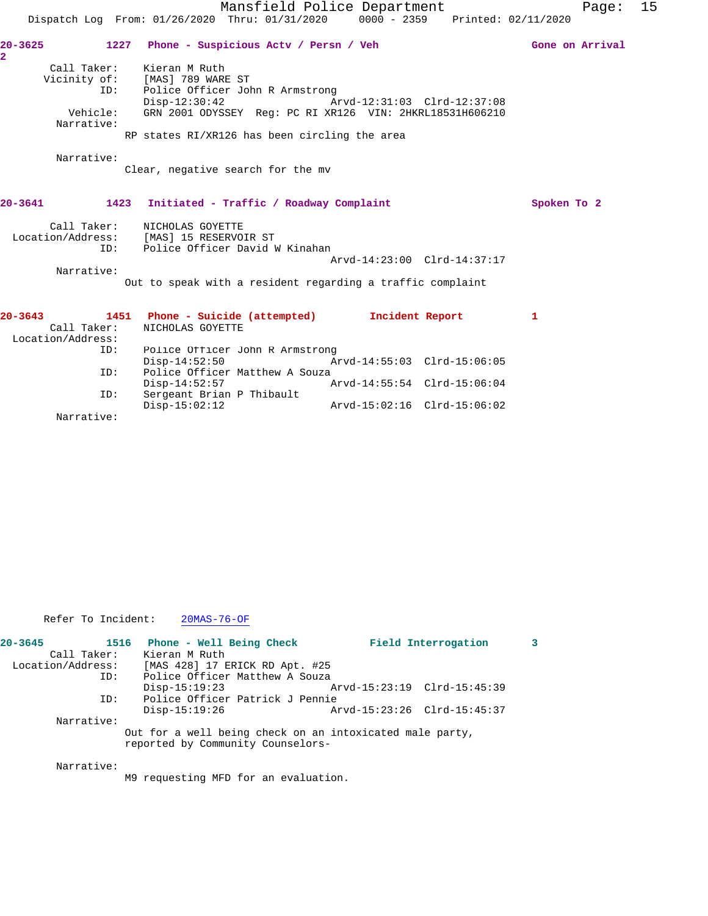|                                                 |                                                                                          | Mansfield Police Department | Page: 15            |  |
|-------------------------------------------------|------------------------------------------------------------------------------------------|-----------------------------|---------------------|--|
|                                                 | Dispatch Log From: 01/26/2020 Thru: 01/31/2020                                           | $0000 - 2359$               | Printed: 02/11/2020 |  |
| $20 - 3625$<br>2                                | 1227<br>Phone - Suspicious Actv / Persn / Veh                                            |                             | Gone on Arrival     |  |
| Call Taker:<br>Vicinity of:<br>ID:              | Kieran M Ruth<br>[MAS] 789 WARE ST<br>Police Officer John R Armstrong<br>$Disp-12:30:42$ | Arvd-12:31:03 Clrd-12:37:08 |                     |  |
| Vehicle:<br>Narrative:                          | GRN 2001 ODYSSEY Req: PC RI XR126 VIN: 2HKRL18531H606210                                 |                             |                     |  |
|                                                 | RP states RI/XR126 has been circling the area                                            |                             |                     |  |
| Narrative:                                      | Clear, negative search for the mv                                                        |                             |                     |  |
| 20-3641                                         | 1423 Initiated - Traffic / Roadway Complaint                                             |                             | Spoken To 2         |  |
| Call Taker:<br>Location/Address:<br>ID:         | NICHOLAS GOYETTE<br>[MAS] 15 RESERVOIR ST<br>Police Officer David W Kinahan              | Arvd-14:23:00 Clrd-14:37:17 |                     |  |
| Narrative:                                      |                                                                                          |                             |                     |  |
|                                                 | Out to speak with a resident regarding a traffic complaint                               |                             |                     |  |
| $20 - 3643$<br>Call Taker:<br>Location/Address: | 1451 Phone - Suicide (attempted)<br>NICHOLAS GOYETTE                                     | Incident Report             | $\mathbf{1}$        |  |
| ID:                                             | Police Officer John R Armstrong<br>$Disp-14:52:50$                                       | Arvd-14:55:03 Clrd-15:06:05 |                     |  |
| ID:                                             | Police Officer Matthew A Souza<br>$Disp-14:52:57$                                        | Arvd-14:55:54 Clrd-15:06:04 |                     |  |
| ID:                                             | Sergeant Brian P Thibault<br>$Disp-15:02:12$                                             | Arvd-15:02:16 Clrd-15:06:02 |                     |  |

Narrative:

Refer To Incident: 20MAS-76-OF

| $20 - 3645$       |             | 1516 Phone - Well Being Check                                                                 |  | Field Interrogation         |  |
|-------------------|-------------|-----------------------------------------------------------------------------------------------|--|-----------------------------|--|
|                   | Call Taker: | Kieran M Ruth                                                                                 |  |                             |  |
| Location/Address: |             | [MAS 428] 17 ERICK RD Apt. #25                                                                |  |                             |  |
|                   | ID:         | Police Officer Matthew A Souza                                                                |  |                             |  |
|                   |             | $Disp-15:19:23$                                                                               |  | Arvd-15:23:19 Clrd-15:45:39 |  |
|                   | ID:         | Police Officer Patrick J Pennie                                                               |  |                             |  |
|                   |             | $Disp-15:19:26$                                                                               |  | Arvd-15:23:26 Clrd-15:45:37 |  |
|                   | Narrative:  |                                                                                               |  |                             |  |
|                   |             | Out for a well being check on an intoxicated male party,<br>reported by Community Counselors- |  |                             |  |
|                   | Narrative:  |                                                                                               |  |                             |  |

M9 requesting MFD for an evaluation.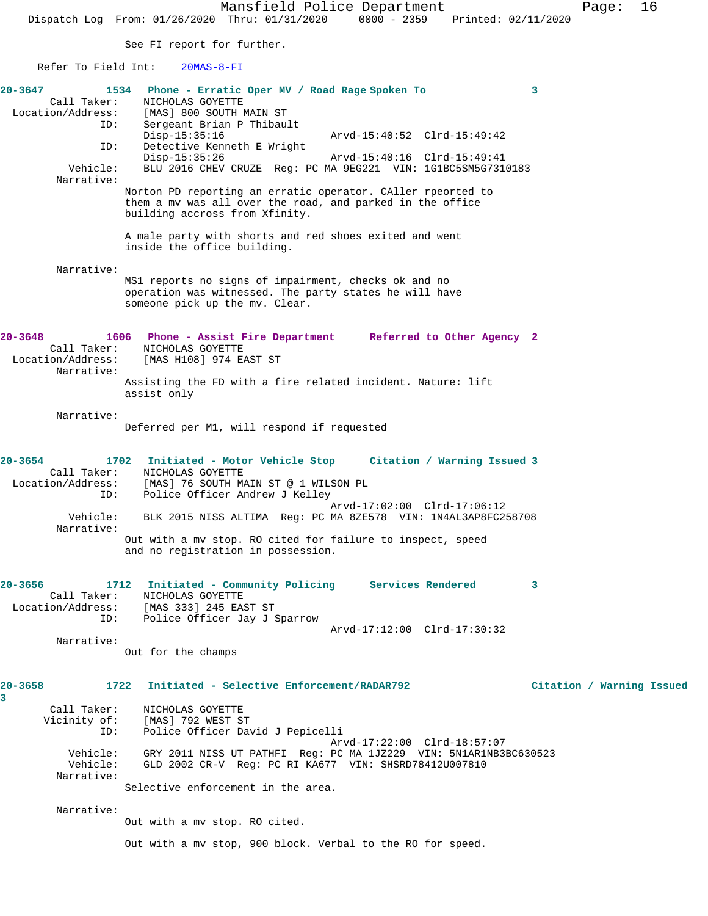**20-3658 1722 Initiated - Selective Enforcement/RADAR792 Citation / Warning Issued**

See FI report for further.

Refer To Field Int: 20MAS-8-FI

| 20-3647<br>Call Taker:           | 1534<br>Phone - Erratic Oper MV / Road Rage Spoken To<br>3<br>NICHOLAS GOYETTE                                 |          |
|----------------------------------|----------------------------------------------------------------------------------------------------------------|----------|
| Location/Address:                | [MAS] 800 SOUTH MAIN ST                                                                                        |          |
|                                  | Sergeant Brian P Thibault<br>ID:<br>$Disp-15:35:16$<br>Arvd-15:40:52 Clrd-15:49:42                             |          |
|                                  | Detective Kenneth E Wright<br>ID:                                                                              |          |
| Vehicle:                         | $Disp-15:35:26$<br>Arvd-15:40:16 Clrd-15:49:41<br>BLU 2016 CHEV CRUZE Req: PC MA 9EG221 VIN: 1G1BC5SM5G7310183 |          |
| Narrative:                       |                                                                                                                |          |
|                                  | Norton PD reporting an erratic operator. CAller rpeorted to                                                    |          |
|                                  | them a my was all over the road, and parked in the office<br>building accross from Xfinity.                    |          |
|                                  | A male party with shorts and red shoes exited and went<br>inside the office building.                          |          |
| Narrative:                       |                                                                                                                |          |
|                                  | MS1 reports no signs of impairment, checks ok and no                                                           |          |
|                                  | operation was witnessed. The party states he will have<br>someone pick up the mv. Clear.                       |          |
| $20 - 3648$                      | 1606<br>Phone - Assist Fire Department Referred to Other Agency 2                                              |          |
| Call Taker:                      | NICHOLAS GOYETTE                                                                                               |          |
| Location/Address:<br>Narrative:  | [MAS H108] 974 EAST ST                                                                                         |          |
|                                  | Assisting the FD with a fire related incident. Nature: lift                                                    |          |
|                                  | assist only                                                                                                    |          |
| Narrative:                       |                                                                                                                |          |
|                                  | Deferred per M1, will respond if requested                                                                     |          |
| 20-3654                          | 1702<br>Initiated - Motor Vehicle Stop Citation / Warning Issued 3                                             |          |
| Call Taker:                      | NICHOLAS GOYETTE                                                                                               |          |
| Location/Address:                | [MAS] 76 SOUTH MAIN ST @ 1 WILSON PL<br>Police Officer Andrew J Kelley<br>ID:                                  |          |
| Vehicle:                         | Arvd-17:02:00 Clrd-17:06:12<br>BLK 2015 NISS ALTIMA Req: PC MA 8ZE578 VIN: 1N4AL3AP8FC258708                   |          |
| Narrative:                       |                                                                                                                |          |
|                                  | Out with a mv stop. RO cited for failure to inspect, speed<br>and no registration in possession.               |          |
| 20-3656                          | Initiated - Community Policing Services Rendered<br>1712<br>3                                                  |          |
| Call Taker:<br>Location/Address: | NICHOLAS GOYETTE<br>[MAS 333] 245 EAST ST                                                                      |          |
|                                  | Police Officer Jay J Sparrow<br>ID:                                                                            |          |
| Narrative:                       | Arvd-17:12:00 Clrd-17:30:32                                                                                    |          |
|                                  | Out for the champs                                                                                             |          |
| $20 - 3658$                      | Initiated - Selective Enforcement/RADAR792<br>1722                                                             | Citation |
| 3                                |                                                                                                                |          |
| Call Taker:<br>Vicinity of:      | NICHOLAS GOYETTE<br>[MAS] 792 WEST ST                                                                          |          |
|                                  | Police Officer David J Pepicelli<br>ID:                                                                        |          |
| Vehicle:                         | Arvd-17:22:00 Clrd-18:57:07<br>GRY 2011 NISS UT PATHFI Req: PC MA 1JZ229 VIN: 5N1AR1NB3BC630523                |          |
| Vehicle:                         | GLD 2002 CR-V Reg: PC RI KA677 VIN: SHSRD78412U007810                                                          |          |
| Narrative:                       | Selective enforcement in the area.                                                                             |          |
|                                  |                                                                                                                |          |
| Narrative:                       | Out with a mv stop. RO cited.                                                                                  |          |
|                                  |                                                                                                                |          |
|                                  | Out with a mv stop, 900 block. Verbal to the RO for speed.                                                     |          |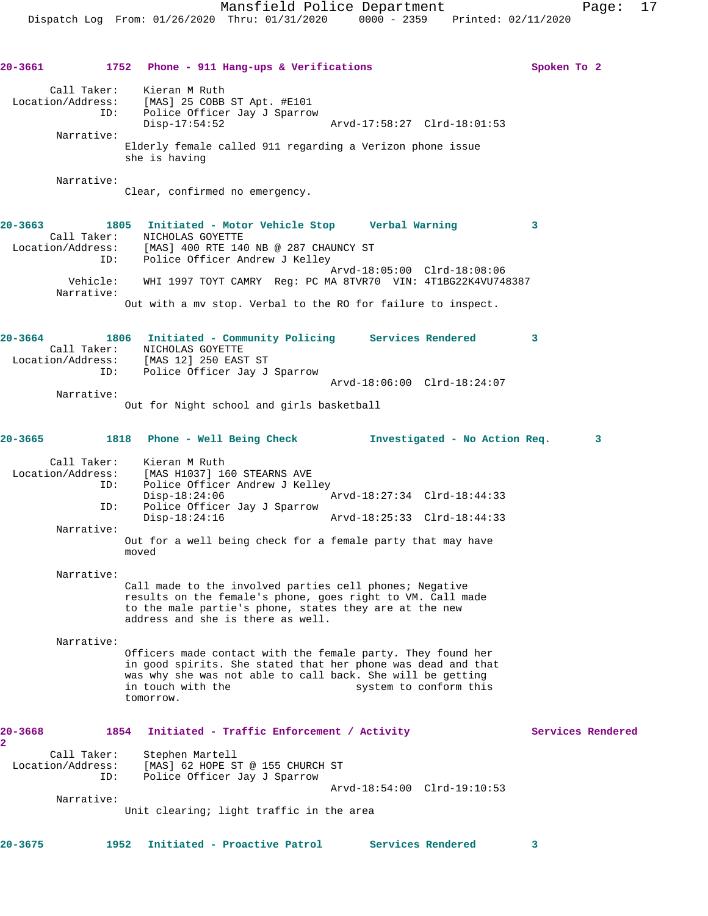**20-3661 1752 Phone - 911 Hang-ups & Verifications Spoken To 2** Call Taker: Kieran M Ruth Location/Address: [MAS] 25 COBB ST Apt. #E101 ID: Police Officer Jay J Sparrow Disp-17:54:52 Arvd-17:58:27 Clrd-18:01:53 Narrative: Elderly female called 911 regarding a Verizon phone issue she is having Narrative: Clear, confirmed no emergency. **20-3663 1805 Initiated - Motor Vehicle Stop Verbal Warning 3**  Call Taker: NICHOLAS GOYETTE Location/Address: [MAS] 400 RTE 140 NB @ 287 CHAUNCY ST ID: Police Officer Andrew J Kelley Arvd-18:05:00 Clrd-18:08:06 Vehicle: WHI 1997 TOYT CAMRY Reg: PC MA 8TVR70 VIN: 4T1BG22K4VU748387 Narrative: Out with a mv stop. Verbal to the RO for failure to inspect. **20-3664 1806 Initiated - Community Policing Services Rendered 3**  Call Taker: NICHOLAS GOYETTE Location/Address: [MAS 12] 250 EAST ST ID: Police Officer Jay J Sparrow Arvd-18:06:00 Clrd-18:24:07 Narrative: Out for Night school and girls basketball **20-3665 1818 Phone - Well Being Check Investigated - No Action Req. 3** Call Taker: Kieran M Ruth Location/Address: [MAS H1037] 160 STEARNS AVE ID: Police Officer Andrew J Kelley Disp-18:24:06 Arvd-18:27:34 Clrd-18:44:33<br>TD: Police Officer Jav J Sparrow Police Officer Jay J Sparrow Disp-18:24:16 Arvd-18:25:33 Clrd-18:44:33 Narrative: Out for a well being check for a female party that may have moved Narrative: Call made to the involved parties cell phones; Negative results on the female's phone, goes right to VM. Call made to the male partie's phone, states they are at the new address and she is there as well. Narrative: Officers made contact with the female party. They found her in good spirits. She stated that her phone was dead and that was why she was not able to call back. She will be getting<br>in touch with the system to conform this system to conform this tomorrow. 20-3668 1854 Initiated - Traffic Enforcement / Activity **Services Rendered 2**  Call Taker: Stephen Martell Location/Address: [MAS] 62 HOPE ST @ 155 CHURCH ST ID: Police Officer Jay J Sparrow Arvd-18:54:00 Clrd-19:10:53 Narrative: Unit clearing; light traffic in the area **20-3675 1952 Initiated - Proactive Patrol Services Rendered 3**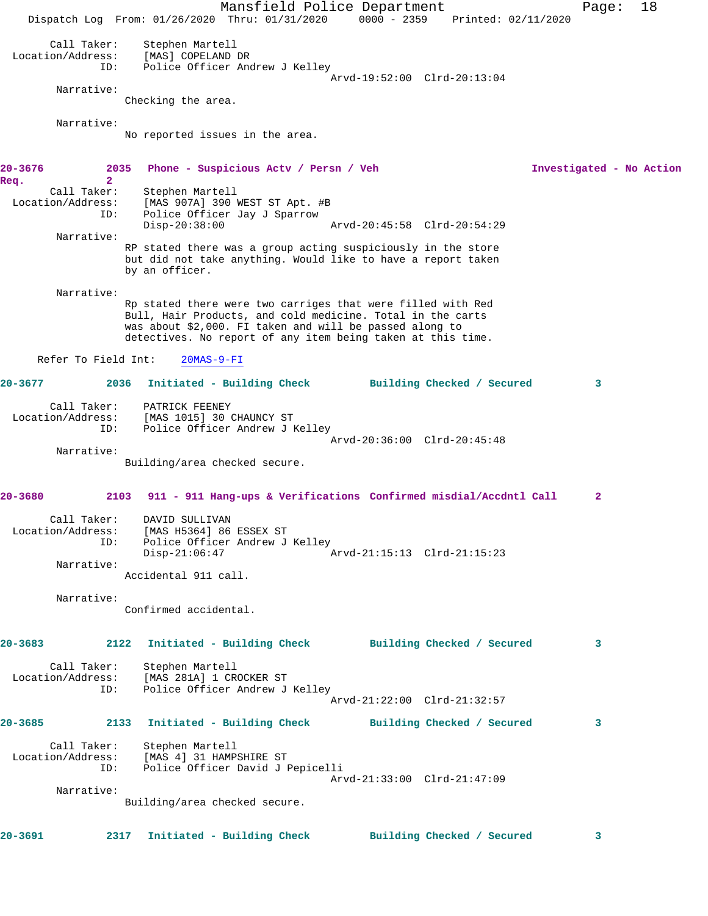Mansfield Police Department Fage: 18 Dispatch Log From: 01/26/2020 Thru: 01/31/2020 0000 - 2359 Printed: 02/11/2020 Call Taker: Stephen Martell Location/Address: [MAS] COPELAND DR ID: Police Officer Andrew J Kelley Arvd-19:52:00 Clrd-20:13:04 Narrative: Checking the area. Narrative: No reported issues in the area. **20-3676 2035 Phone - Suspicious Actv / Persn / Veh Investigated - No Action Req. 2**  Call Taker: Stephen Martell Location/Address: [MAS 907A] 390 WEST ST Apt. #B ID: Police Officer Jay J Sparrow Disp-20:38:00 Arvd-20:45:58 Clrd-20:54:29 Narrative: RP stated there was a group acting suspiciously in the store but did not take anything. Would like to have a report taken by an officer. Narrative: Rp stated there were two carriges that were filled with Red Bull, Hair Products, and cold medicine. Total in the carts was about \$2,000. FI taken and will be passed along to detectives. No report of any item being taken at this time. Refer To Field Int: 20MAS-9-FI **20-3677 2036 Initiated - Building Check Building Checked / Secured 3** Call Taker: PATRICK FEENEY Location/Address: [MAS 1015] 30 CHAUNCY ST ID: Police Officer Andrew J Kelley Arvd-20:36:00 Clrd-20:45:48 Narrative: Building/area checked secure. **20-3680 2103 911 - 911 Hang-ups & Verifications Confirmed misdial/Accdntl Call 2** Call Taker: DAVID SULLIVAN Location/Address: [MAS H5364] 86 ESSEX ST ID: Police Officer Andrew J Kelley Disp-21:06:47 Arvd-21:15:13 Clrd-21:15:23 Narrative: Accidental 911 call. Narrative: Confirmed accidental. **20-3683 2122 Initiated - Building Check Building Checked / Secured 3** Call Taker: Stephen Martell Location/Address: [MAS 281A] 1 CROCKER ST ID: Police Officer Andrew J Kelley Arvd-21:22:00 Clrd-21:32:57 **20-3685 2133 Initiated - Building Check Building Checked / Secured 3** Call Taker: Stephen Martell Location/Address: [MAS 4] 31 HAMPSHIRE ST ID: Police Officer David J Pepicelli Arvd-21:33:00 Clrd-21:47:09 Narrative: Building/area checked secure. **20-3691 2317 Initiated - Building Check Building Checked / Secured 3**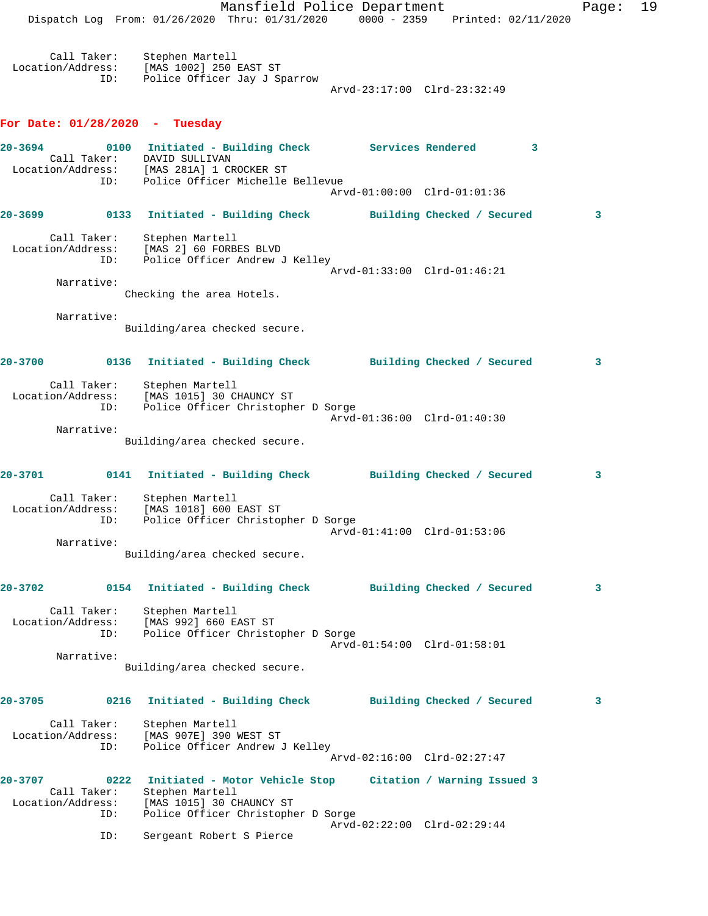Mansfield Police Department Fage: 19 Dispatch Log From: 01/26/2020 Thru: 01/31/2020 0000 - 2359 Printed: 02/11/2020 Call Taker: Stephen Martell Location/Address: [MAS 1002] 250 EAST ST ID: Police Officer Jay J Sparrow Arvd-23:17:00 Clrd-23:32:49 **For Date: 01/28/2020 - Tuesday 20-3694 0100 Initiated - Building Check Services Rendered 3**  Call Taker: DAVID SULLIVAN Location/Address: [MAS 281A] 1 CROCKER ST ID: Police Officer Michelle Bellevue Arvd-01:00:00 Clrd-01:01:36 **20-3699 0133 Initiated - Building Check Building Checked / Secured 3** Call Taker: Stephen Martell Location/Address: [MAS 2] 60 FORBES BLVD ID: Police Officer Andrew J Kelley Arvd-01:33:00 Clrd-01:46:21 Narrative: Checking the area Hotels. Narrative: Building/area checked secure. **20-3700 0136 Initiated - Building Check Building Checked / Secured 3** Call Taker: Stephen Martell Location/Address: [MAS 1015] 30 CHAUNCY ST ID: Police Officer Christopher D Sorge Arvd-01:36:00 Clrd-01:40:30 Narrative: Building/area checked secure. **20-3701 0141 Initiated - Building Check Building Checked / Secured 3** Call Taker: Stephen Martell Location/Address: [MAS 1018] 600 EAST ST ID: Police Officer Christopher D Sorge Arvd-01:41:00 Clrd-01:53:06 Narrative: Building/area checked secure. **20-3702 0154 Initiated - Building Check Building Checked / Secured 3** Call Taker: Stephen Martell Location/Address: [MAS 992] 660 EAST ST ID: Police Officer Christopher D Sorge Arvd-01:54:00 Clrd-01:58:01 Narrative: Building/area checked secure. **20-3705 0216 Initiated - Building Check Building Checked / Secured 3** Call Taker: Stephen Martell Location/Address: [MAS 907E] 390 WEST ST ID: Police Officer Andrew J Kelley Arvd-02:16:00 Clrd-02:27:47 **20-3707 0222 Initiated - Motor Vehicle Stop Citation / Warning Issued 3**  Call Taker: Stephen Martell Location/Address: [MAS 1015] 30 CHAUNCY ST ID: Police Officer Christopher D Sorge Arvd-02:22:00 Clrd-02:29:44

ID: Sergeant Robert S Pierce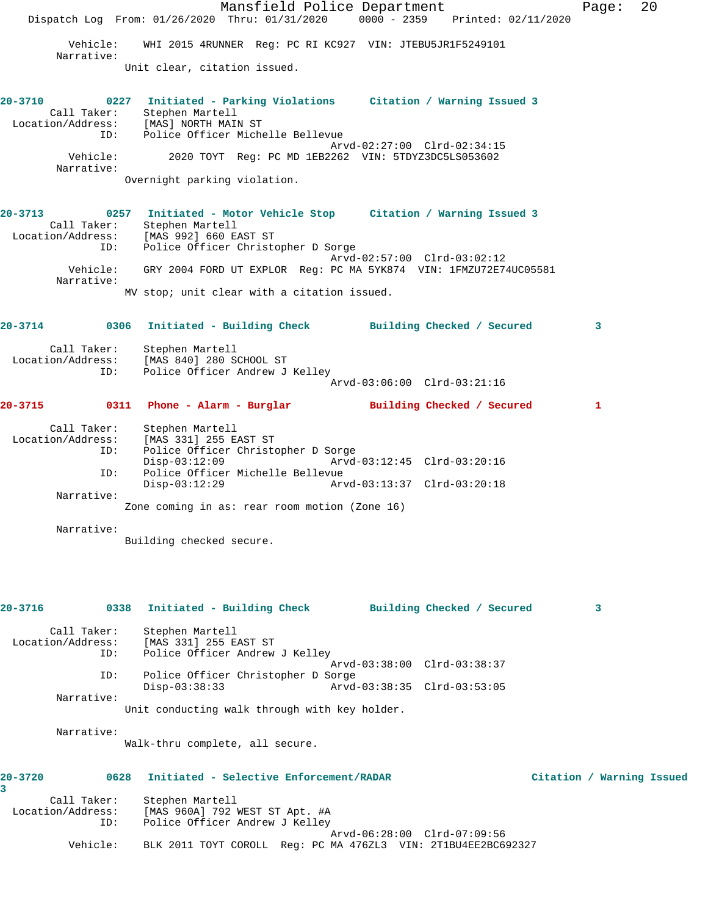Mansfield Police Department Page: 20 Dispatch Log From: 01/26/2020 Thru: 01/31/2020 0000 - 2359 Printed: 02/11/2020 Vehicle: WHI 2015 4RUNNER Reg: PC RI KC927 VIN: JTEBU5JR1F5249101 Narrative: Unit clear, citation issued. **20-3710 0227 Initiated - Parking Violations Citation / Warning Issued 3**  Call Taker: Stephen Martell Location/Address: [MAS] NORTH MAIN ST ID: Police Officer Michelle Bellevue Arvd-02:27:00 Clrd-02:34:15<br>Vehicle: 2020 TOYT Req: PC MD 1EB2262 VIN: 5TDYZ3DC5LS053602 2020 TOYT Reg: PC MD 1EB2262 VIN: 5TDYZ3DC5LS053602 Narrative: Overnight parking violation. **20-3713 0257 Initiated - Motor Vehicle Stop Citation / Warning Issued 3**  Call Taker: Stephen Martell Location/Address: [MAS 992] 660 EAST ST ID: Police Officer Christopher D Sorge Arvd-02:57:00 Clrd-03:02:12 Vehicle: GRY 2004 FORD UT EXPLOR Reg: PC MA 5YK874 VIN: 1FMZU72E74UC05581 Narrative: MV stop; unit clear with a citation issued. **20-3714 0306 Initiated - Building Check Building Checked / Secured 3** Call Taker: Stephen Martell Location/Address: [MAS 840] 280 SCHOOL ST ID: Police Officer Andrew J Kelley Arvd-03:06:00 Clrd-03:21:16 **20-3715 0311 Phone - Alarm - Burglar Building Checked / Secured 1** Call Taker: Stephen Martell<br>Location/Address: [MAS 331] 255 E  $[MAS 331] 255 EAST ST$  ID: Police Officer Christopher D Sorge Disp-03:12:09 Arvd-03:12:45 Clrd-03:20:16 ID: Police Officer Michelle Bellevue Disp-03:12:29 Arvd-03:13:37 Clrd-03:20:18 Narrative: Zone coming in as: rear room motion (Zone 16) Narrative: Building checked secure. **20-3716 0338 Initiated - Building Check Building Checked / Secured 3** Call Taker: Stephen Martell<br>Location/Address: [MAS 331] 255 E ss: [MAS 331] 255 EAST ST<br>ID: Police Officer Andrew Police Officer Andrew J Kelley Arvd-03:38:00 Clrd-03:38:37 ID: Police Officer Christopher D Sorge Disp-03:38:33 Arvd-03:38:35 Clrd-03:53:05 Narrative: Unit conducting walk through with key holder. Narrative: Walk-thru complete, all secure. **20-3720 0628 Initiated - Selective Enforcement/RADAR Citation / Warning Issued 3**  Call Taker: Stephen Martell Location/Address: [MAS 960A] 792 WEST ST Apt. #A ID: Police Officer Andrew J Kelley Arvd-06:28:00 Clrd-07:09:56 Vehicle: BLK 2011 TOYT COROLL Reg: PC MA 476ZL3 VIN: 2T1BU4EE2BC692327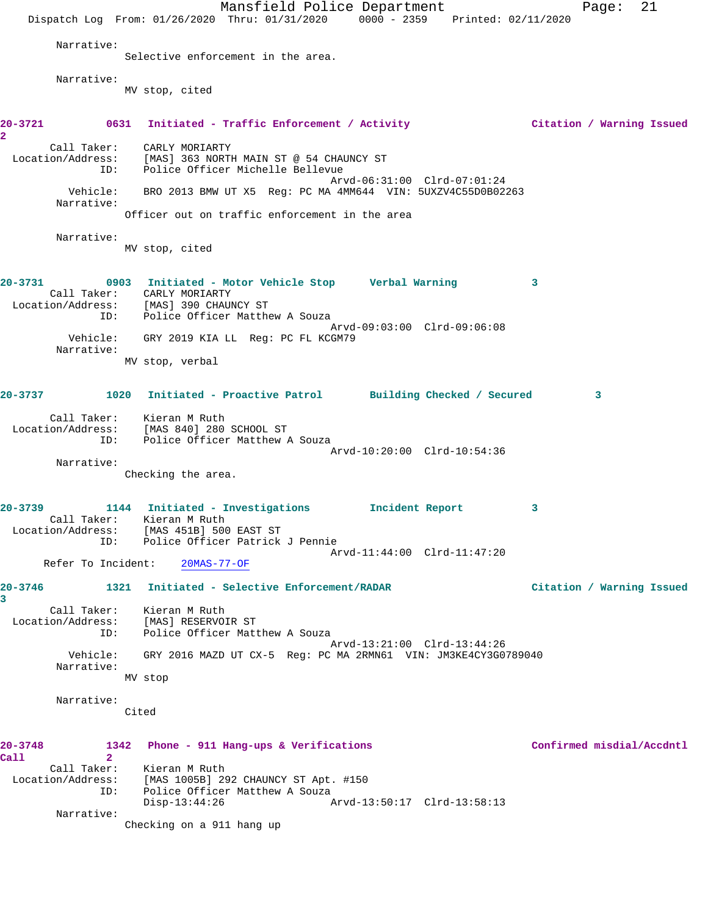Mansfield Police Department Fage: 21 Dispatch Log From: 01/26/2020 Thru: 01/31/2020 0000 - 2359 Printed: 02/11/2020 Narrative: Selective enforcement in the area. Narrative: MV stop, cited **20-3721 0631 Initiated - Traffic Enforcement / Activity Citation / Warning Issued 2**  Call Taker: CARLY MORIARTY Location/Address: [MAS] 363 NORTH MAIN ST @ 54 CHAUNCY ST ID: Police Officer Michelle Bellevue Arvd-06:31:00 Clrd-07:01:24 Vehicle: BRO 2013 BMW UT X5 Reg: PC MA 4MM644 VIN: 5UXZV4C55D0B02263 Narrative: Officer out on traffic enforcement in the area Narrative: MV stop, cited **20-3731 0903 Initiated - Motor Vehicle Stop Verbal Warning 3**  Call Taker: CARLY MORIARTY Location/Address: [MAS] 390 CHAUNCY ST ID: Police Officer Matthew A Souza Arvd-09:03:00 Clrd-09:06:08 Vehicle: GRY 2019 KIA LL Reg: PC FL KCGM79 Narrative: MV stop, verbal **20-3737 1020 Initiated - Proactive Patrol Building Checked / Secured 3** Call Taker: Kieran M Ruth Location/Address: [MAS 840] 280 SCHOOL ST ID: Police Officer Matthew A Souza Arvd-10:20:00 Clrd-10:54:36 Narrative: Checking the area. **20-3739 1144 Initiated - Investigations Incident Report 3**  Call Taker: Kieran M Ruth Location/Address: [MAS 451B] 500 EAST ST ID: Police Officer Patrick J Pennie Arvd-11:44:00 Clrd-11:47:20 Refer To Incident: 20MAS-77-OF **20-3746 1321 Initiated - Selective Enforcement/RADAR Citation / Warning Issued 3**  Call Taker: Kieran M Ruth Location/Address: [MAS] RESERVOIR ST CESS. ITHAS ABSBANGLA SI<br>ID: Police Officer Matthew A Souza Arvd-13:21:00 Clrd-13:44:26 Vehicle: GRY 2016 MAZD UT CX-5 Reg: PC MA 2RMN61 VIN: JM3KE4CY3G0789040 Narrative: MV stop Narrative: Cited **20-3748 1342 Phone - 911 Hang-ups & Verifications Confirmed misdial/Accdntl Call 2**  Call Taker: Kieran M Ruth Location/Address: [MAS 1005B] 292 CHAUNCY ST Apt. #150 ID: Police Officer Matthew A Souza<br>Disp-13:44:26 A Disp-13:44:26 Arvd-13:50:17 Clrd-13:58:13 Narrative: Checking on a 911 hang up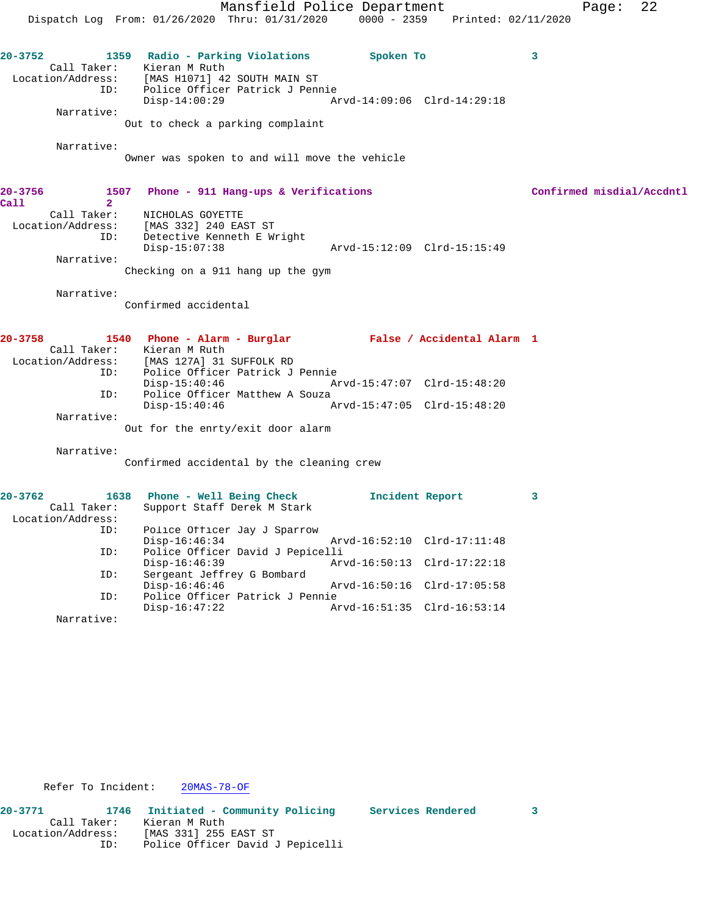Mansfield Police Department Form Page: 22 Dispatch Log From: 01/26/2020 Thru: 01/31/2020 0000 - 2359 Printed: 02/11/2020 **20-3752 1359 Radio - Parking Violations Spoken To 3**  Call Taker: Kieran M Ruth Location/Address: [MAS H1071] 42 SOUTH MAIN ST ID: Police Officer Patrick J Pennie Disp-14:00:29 Arvd-14:09:06 Clrd-14:29:18 Narrative: Out to check a parking complaint Narrative: Owner was spoken to and will move the vehicle **20-3756 1507 Phone - 911 Hang-ups & Verifications Confirmed misdial/Accdntl Call 2**  Call Taker: NICHOLAS GOYETTE Location/Address: [MAS 332] 240 EAST ST ID: Detective Kenneth E Wright Disp-15:07:38 Arvd-15:12:09 Clrd-15:15:49 Narrative: Checking on a 911 hang up the gym Narrative: Confirmed accidental **20-3758 1540 Phone - Alarm - Burglar False / Accidental Alarm 1**  Call Taker: Kieran M Ruth<br>Location/Address: [MAS 127A] 31 ess: [MAS 127A] 31 SUFFOLK RD<br>ID: Police Officer Patrick J Police Officer Patrick J Pennie<br>Disp-15:40:46 Ar Disp-15:40:46 Arvd-15:47:07 Clrd-15:48:20 ID: Police Officer Matthew A Souza Disp-15:40:46 Arvd-15:47:05 Clrd-15:48:20 Narrative: Out for the enrty/exit door alarm Narrative: Confirmed accidental by the cleaning crew **20-3762 1638 Phone - Well Being Check Incident Report 3**  Call Taker: Support Staff Derek M Stark Location/Address: ID: Police Officer Jay J Sparrow Disp-16:46:34 Arvd-16:52:10 Clrd-17:11:48 ID: Police Officer David J Pepicelli Disp-16:46:39 Arvd-16:50:13 Clrd-17:22:18<br>ID: Sergeant Jeffrey G Bombard Sergeant Jeffrey G Bombard<br>Disp-16:46:46 Arvd-16:50:16 Clrd-17:05:58 ID: Police Officer Patrick J Pennie

Refer To Incident: 20MAS-78-OF

Narrative:

**20-3771 1746 Initiated - Community Policing Services Rendered 3**  Call Taker: Kieran M Ruth Location/Address: [MAS 331] 255 EAST ST ID: Police Officer David J Pepicelli

Arvd-16:51:35 Clrd-16:53:14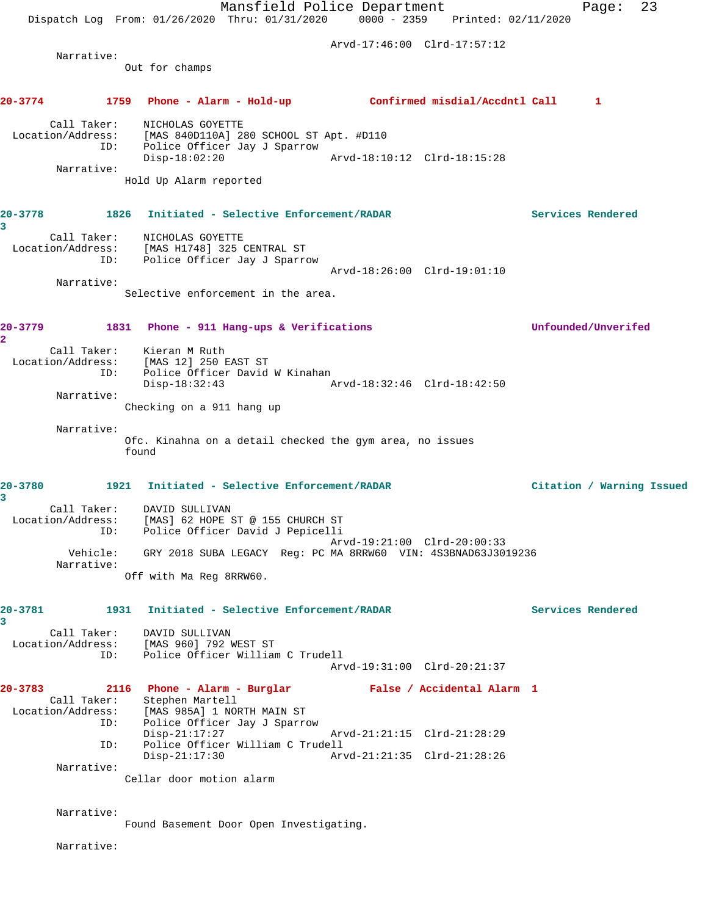Mansfield Police Department Fage: 23 Dispatch Log From: 01/26/2020 Thru: 01/31/2020 0000 - 2359 Printed: 02/11/2020 Arvd-17:46:00 Clrd-17:57:12 Narrative: Out for champs **20-3774 1759 Phone - Alarm - Hold-up Confirmed misdial/Accdntl Call 1** Call Taker: NICHOLAS GOYETTE Location/Address: [MAS 840D110A] 280 SCHOOL ST Apt. #D110<br>ID: Police Officer Jay J Sparrow<br>Disp-18:02:20 Arvd-18:10 Police Officer Jay J Sparrow Disp-18:02:20 Arvd-18:10:12 Clrd-18:15:28 Narrative: Hold Up Alarm reported **20-3778 1826 Initiated - Selective Enforcement/RADAR Services Rendered 3**  Call Taker: NICHOLAS GOYETTE Location/Address: [MAS H1748] 325 CENTRAL ST ID: Police Officer Jay J Sparrow Arvd-18:26:00 Clrd-19:01:10 Narrative: Selective enforcement in the area. **20-3779 1831 Phone - 911 Hang-ups & Verifications Unfounded/Unverifed 2**  Call Taker: Kieran M Ruth Location/Address: [MAS 12] 250 EAST ST ID: Police Officer David W Kinahan<br>Disp-18:32:43 Disp-18:32:43 Arvd-18:32:46 Clrd-18:42:50 Narrative: Checking on a 911 hang up Narrative: Ofc. Kinahna on a detail checked the gym area, no issues found **20-3780 1921 Initiated - Selective Enforcement/RADAR Citation / Warning Issued 3**  Call Taker: DAVID SULLIVAN Location/Address: [MAS] 62 HOPE ST @ 155 CHURCH ST ID: Police Officer David J Pepicelli Arvd-19:21:00 Clrd-20:00:33 Vehicle: GRY 2018 SUBA LEGACY Reg: PC MA 8RRW60 VIN: 4S3BNAD63J3019236 Narrative: Off with Ma Reg 8RRW60. **20-3781 1931 Initiated - Selective Enforcement/RADAR Services Rendered 3**  Call Taker: DAVID SULLIVAN Location/Address: [MAS 960] 792 WEST ST ID: Police Officer William C Trudell Arvd-19:31:00 Clrd-20:21:37 **20-3783 2116 Phone - Alarm - Burglar False / Accidental Alarm 1**  Call Taker: Stephen Martell Location/Address: [MAS 985A] 1 NORTH MAIN ST ID: Police Officer Jay J Sparrow Disp-21:17:27 Arvd-21:21:15 Clrd-21:28:29<br>ID: Police Officer William C Trudell Police Officer William C Trudell Disp-21:17:30 Arvd-21:21:35 Clrd-21:28:26 Narrative: Cellar door motion alarm Narrative: Found Basement Door Open Investigating.

Narrative: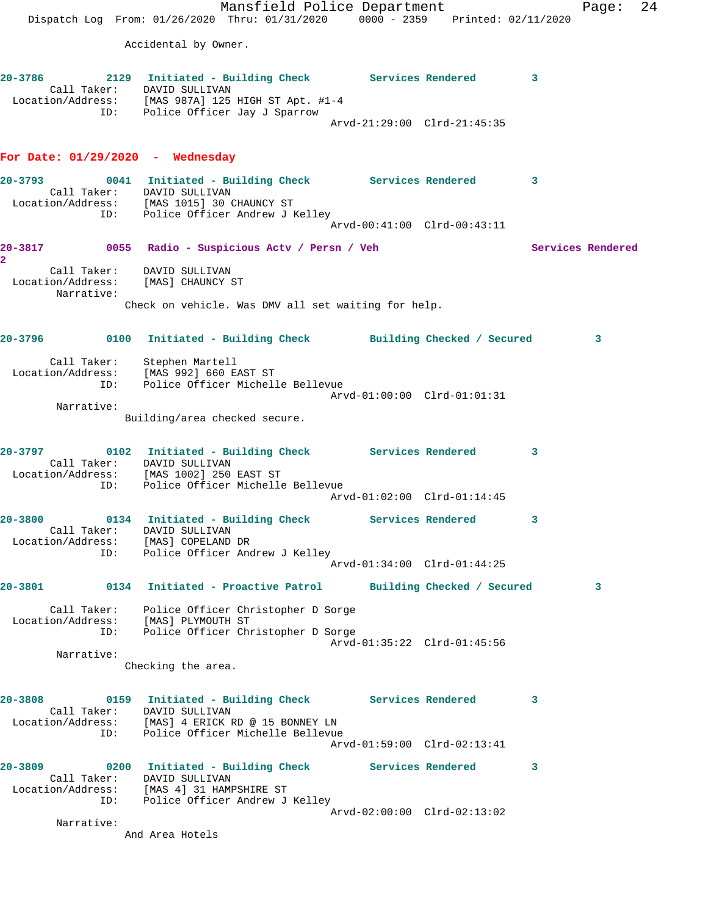Mansfield Police Department Fage: 24 Dispatch Log From: 01/26/2020 Thru: 01/31/2020 0000 - 2359 Printed: 02/11/2020 Accidental by Owner. **20-3786 2129 Initiated - Building Check Services Rendered 3**  Call Taker: DAVID SULLIVAN Location/Address: [MAS 987A] 125 HIGH ST Apt. #1-4 ID: Police Officer Jay J Sparrow Arvd-21:29:00 Clrd-21:45:35 **For Date: 01/29/2020 - Wednesday 20-3793 0041 Initiated - Building Check Services Rendered 3**  Call Taker: DAVID SULLIVAN Location/Address: [MAS 1015] 30 CHAUNCY ST ID: Police Officer Andrew J Kelley Arvd-00:41:00 Clrd-00:43:11 20-3817 **0055** Radio - Suspicious Actv / Persn / Veh Services Rendered **2**  Call Taker: DAVID SULLIVAN Location/Address: [MAS] CHAUNCY ST Narrative: Check on vehicle. Was DMV all set waiting for help. **20-3796 0100 Initiated - Building Check Building Checked / Secured 3** Call Taker: Stephen Martell Location/Address: [MAS 992] 660 EAST ST ID: Police Officer Michelle Bellevue Arvd-01:00:00 Clrd-01:01:31 Narrative: Building/area checked secure. **20-3797 0102 Initiated - Building Check Services Rendered 3**  Call Taker: DAVID SULLIVAN Location/Address: [MAS 1002] 250 EAST ST ID: Police Officer Michelle Bellevue Arvd-01:02:00 Clrd-01:14:45 **20-3800 0134 Initiated - Building Check Services Rendered 3**  Call Taker: DAVID SULLIVAN Location/Address: [MAS] COPELAND DR ID: Police Officer Andrew J Kelley Arvd-01:34:00 Clrd-01:44:25 **20-3801 0134 Initiated - Proactive Patrol Building Checked / Secured 3** Call Taker: Police Officer Christopher D Sorge Location/Address: [MAS] PLYMOUTH ST ID: Police Officer Christopher D Sorge Arvd-01:35:22 Clrd-01:45:56 Narrative: Checking the area. **20-3808 0159 Initiated - Building Check Services Rendered 3**  Call Taker: DAVID SULLIVAN Location/Address: [MAS] 4 ERICK RD @ 15 BONNEY LN ID: Police Officer Michelle Bellevue Arvd-01:59:00 Clrd-02:13:41 **20-3809 0200 Initiated - Building Check Services Rendered 3**  Call Taker: DAVID SULLIVAN Location/Address: [MAS 4] 31 HAMPSHIRE ST ID: Police Officer Andrew J Kelley Arvd-02:00:00 Clrd-02:13:02 Narrative: And Area Hotels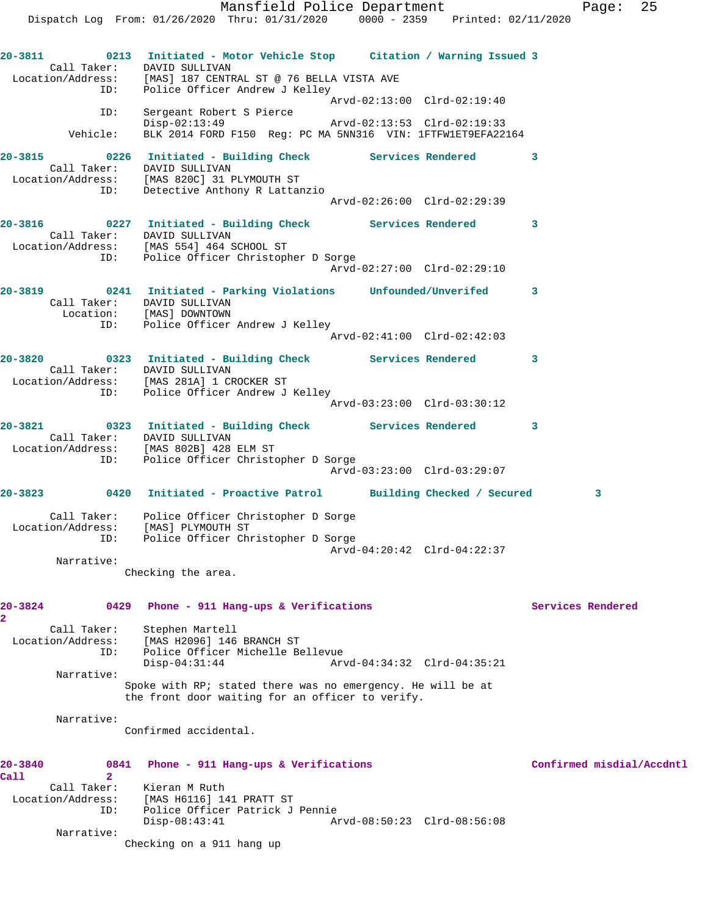Dispatch Log From: 01/26/2020 Thru: 01/31/2020 0000 - 2359 Printed: 02/11/2020 **20-3811 0213 Initiated - Motor Vehicle Stop Citation / Warning Issued 3**  Call Taker: DAVID SULLIVAN Location/Address: [MAS] 187 CENTRAL ST @ 76 BELLA VISTA AVE ID: Police Officer Andrew J Kelley Arvd-02:13:00 Clrd-02:19:40 ID: Sergeant Robert S Pierce Disp-02:13:49 Arvd-02:13:53 Clrd-02:19:33 Vehicle: BLK 2014 FORD F150 Reg: PC MA 5NN316 VIN: 1FTFW1ET9EFA22164 **20-3815 0226 Initiated - Building Check Services Rendered 3**  Call Taker: DAVID SULLIVAN Location/Address: [MAS 820C] 31 PLYMOUTH ST ID: Detective Anthony R Lattanzio Arvd-02:26:00 Clrd-02:29:39 **20-3816 0227 Initiated - Building Check Services Rendered 3**  Call Taker: DAVID SULLIVAN Location/Address: [MAS 554] 464 SCHOOL ST ID: Police Officer Christopher D Sorge Arvd-02:27:00 Clrd-02:29:10 **20-3819 0241 Initiated - Parking Violations Unfounded/Unverifed 3**  Call Taker: DAVID SULLIVAN Location: [MAS] DOWNTOWN ID: Police Officer Andrew J Kelley Arvd-02:41:00 Clrd-02:42:03 **20-3820 0323 Initiated - Building Check Services Rendered 3**  Call Taker: DAVID SULLIVAN Location/Address: [MAS 281A] 1 CROCKER ST ID: Police Officer Andrew J Kelley Arvd-03:23:00 Clrd-03:30:12 **20-3821 0323 Initiated - Building Check Services Rendered 3**  Call Taker: DAVID SULLIVAN Location/Address: [MAS 802B] 428 ELM ST ID: Police Officer Christopher D Sorge Arvd-03:23:00 Clrd-03:29:07 **20-3823 0420 Initiated - Proactive Patrol Building Checked / Secured 3** Call Taker: Police Officer Christopher D Sorge Location/Address: [MAS] PLYMOUTH ST ID: Police Officer Christopher D Sorge Arvd-04:20:42 Clrd-04:22:37 Narrative: Checking the area. 20-3824 0429 Phone - 911 Hang-ups & Verifications **Services Rendered 2**  Call Taker: Stephen Martell Location/Address: [MAS H2096] 146 BRANCH ST ID: Police Officer Michelle Bellevue Disp-04:31:44 Arvd-04:34:32 Clrd-04:35:21 Narrative: Spoke with RP; stated there was no emergency. He will be at the front door waiting for an officer to verify. Narrative: Confirmed accidental. **20-3840 0841 Phone - 911 Hang-ups & Verifications Confirmed misdial/Accdntl Call 2**  Call Taker: Kieran M Ruth Location/Address: [MAS H6116] 141 PRATT ST ID: Police Officer Patrick J Pennie Disp-08:43:41 Arvd-08:50:23 Clrd-08:56:08 Narrative:

Checking on a 911 hang up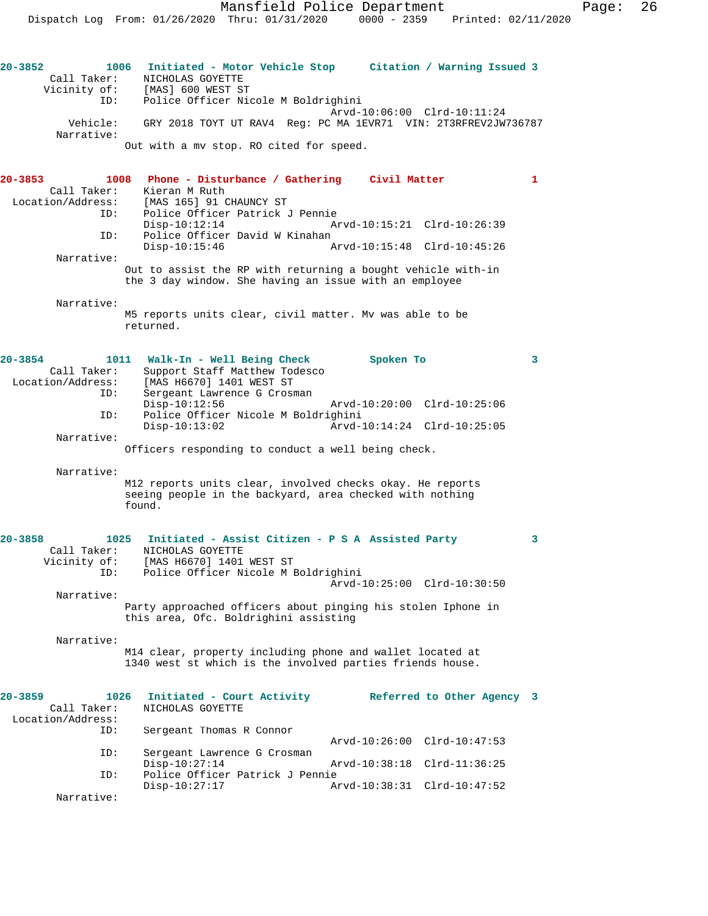Mansfield Police Department Page: 26 Dispatch Log From: 01/26/2020 Thru: 01/31/2020 0000 - 2359 Printed: 02/11/2020

**20-3852 1006 Initiated - Motor Vehicle Stop Citation / Warning Issued 3**  Call Taker: NICHOLAS GOYETTE<br>Vicinity of: [MAS] 600 WEST ST [MAS] 600 WEST ST ID: Police Officer Nicole M Boldrighini Arvd-10:06:00 Clrd-10:11:24 Vehicle: GRY 2018 TOYT UT RAV4 Reg: PC MA 1EVR71 VIN: 2T3RFREV2JW736787 Narrative: Out with a mv stop. RO cited for speed. **20-3853 1008 Phone - Disturbance / Gathering Civil Matter 1**  Call Taker: Kieran M Ruth<br>Location/Address: [MAS 165] 91 C ess: [MAS 165] 91 CHAUNCY ST<br>ID: Police Officer Patrick Police Officer Patrick J Pennie<br>Disp-10:12:14 Ar Disp-10:12:14 Arvd-10:15:21 Clrd-10:26:39 ID: Police Officer David W Kinahan Disp-10:15:46 Arvd-10:15:48 Clrd-10:45:26 Narrative: Out to assist the RP with returning a bought vehicle with-in the 3 day window. She having an issue with an employee Narrative: M5 reports units clear, civil matter. Mv was able to be returned. **20-3854 1011 Walk-In - Well Being Check Spoken To 3**  Call Taker: Support Staff Matthew Todesco<br>Location/Address: [MAS H6670] 1401 WEST ST ess: [MAS H6670] 1401 WEST ST<br>ID: Sergeant Lawrence G Crosm Sergeant Lawrence G Crosman<br>Disp-10:12:56 Disp-10:12:56 Arvd-10:20:00 Clrd-10:25:06<br>ID: Police Officer Nicole M Boldrighini Police Officer Nicole M Boldrighini Disp-10:13:02 Arvd-10:14:24 Clrd-10:25:05 Narrative: Officers responding to conduct a well being check.

Narrative:

M12 reports units clear, involved checks okay. He reports seeing people in the backyard, area checked with nothing found.

| $20 - 3858$ | 1025         | Initiated - Assist Citizen - P S A Assisted Party            |  |
|-------------|--------------|--------------------------------------------------------------|--|
|             | Call Taker:  | NICHOLAS GOYETTE                                             |  |
|             | Vicinity of: | [MAS H6670] 1401 WEST ST                                     |  |
|             | ID:          | Police Officer Nicole M Boldrighini                          |  |
|             |              | Arvd-10:25:00 Clrd-10:30:50                                  |  |
|             | Narrative:   |                                                              |  |
|             |              | Party approached officers about pinging his stolen Iphone in |  |
|             |              | this area, Ofc. Boldrighini assisting                        |  |
|             | Narrative:   |                                                              |  |
|             |              | M14 clear, property including phone and wallet located at    |  |

M14 clear, property including phone and wallet located at 1340 west st which is the involved parties friends house.

| $20 - 3859$       | 1026 | Initiated - Court Activity      |                             | Referred to Other Agency 3 |  |
|-------------------|------|---------------------------------|-----------------------------|----------------------------|--|
| Call Taker:       |      | NICHOLAS GOYETTE                |                             |                            |  |
| Location/Address: |      |                                 |                             |                            |  |
|                   | ID:  | Sergeant Thomas R Connor        |                             |                            |  |
|                   |      |                                 | Arvd-10:26:00 Clrd-10:47:53 |                            |  |
|                   | ID:  | Sergeant Lawrence G Crosman     |                             |                            |  |
|                   |      | $Disp-10:27:14$                 | Arvd-10:38:18 Clrd-11:36:25 |                            |  |
|                   | ID:  | Police Officer Patrick J Pennie |                             |                            |  |
|                   |      | $Disp-10:27:17$                 | Arvd-10:38:31 Clrd-10:47:52 |                            |  |
| Narrative:        |      |                                 |                             |                            |  |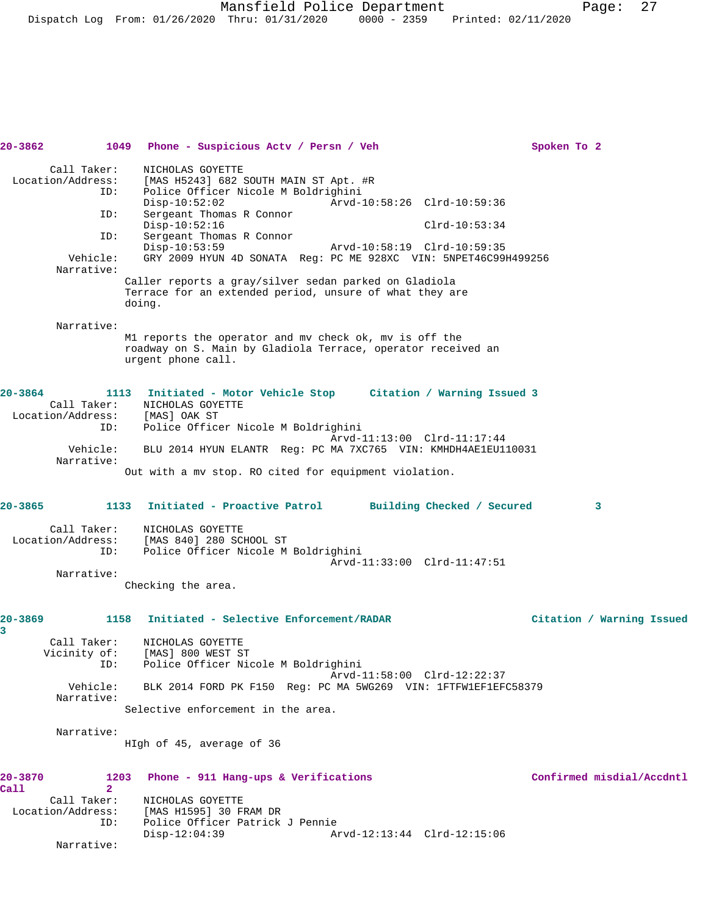Mansfield Police Department Page: 27 Dispatch Log From: 01/26/2020 Thru: 01/31/2020 0000 - 2359 Printed: 02/11/2020

| 20-3862         |                                  |                              | 1049 Phone - Suspicious Acty / Persn / Veh                                                                       |                                                                                                |                             | Spoken To 2 |                           |
|-----------------|----------------------------------|------------------------------|------------------------------------------------------------------------------------------------------------------|------------------------------------------------------------------------------------------------|-----------------------------|-------------|---------------------------|
|                 | Call Taker:                      |                              | NICHOLAS GOYETTE                                                                                                 |                                                                                                |                             |             |                           |
|                 | Location/Address:                |                              | [MAS H5243] 682 SOUTH MAIN ST Apt. #R                                                                            |                                                                                                |                             |             |                           |
|                 | ID:                              | $Disp-10:52:02$              | Police Officer Nicole M Boldrighini                                                                              | Arvd-10:58:26 Clrd-10:59:36                                                                    |                             |             |                           |
|                 | ID:                              |                              | Sergeant Thomas R Connor                                                                                         |                                                                                                |                             |             |                           |
|                 | ID:                              | $Disp-10:52:16$              | Sergeant Thomas R Connor                                                                                         |                                                                                                | $Clrd-10:53:34$             |             |                           |
|                 |                                  | $Disp-10:53:59$              |                                                                                                                  | Arvd-10:58:19 Clrd-10:59:35<br>GRY 2009 HYUN 4D SONATA Req: PC ME 928XC VIN: 5NPET46C99H499256 |                             |             |                           |
|                 | Vehicle:<br>Narrative:           |                              |                                                                                                                  |                                                                                                |                             |             |                           |
|                 |                                  | doing.                       | Caller reports a gray/silver sedan parked on Gladiola<br>Terrace for an extended period, unsure of what they are |                                                                                                |                             |             |                           |
|                 | Narrative:                       |                              |                                                                                                                  |                                                                                                |                             |             |                           |
|                 |                                  |                              | M1 reports the operator and mv check ok, mv is off the                                                           |                                                                                                |                             |             |                           |
|                 |                                  | urgent phone call.           | roadway on S. Main by Gladiola Terrace, operator received an                                                     |                                                                                                |                             |             |                           |
| $20 - 3864$     |                                  |                              | 1113 Initiated - Motor Vehicle Stop Citation / Warning Issued 3                                                  |                                                                                                |                             |             |                           |
|                 |                                  | Call Taker: NICHOLAS GOYETTE |                                                                                                                  |                                                                                                |                             |             |                           |
|                 | Location/Address:<br>ID:         | [MAS] OAK ST                 | Police Officer Nicole M Boldrighini                                                                              |                                                                                                |                             |             |                           |
|                 |                                  |                              |                                                                                                                  |                                                                                                | Arvd-11:13:00 Clrd-11:17:44 |             |                           |
|                 | Vehicle:<br>Narrative:           |                              | BLU 2014 HYUN ELANTR Req: PC MA 7XC765 VIN: KMHDH4AE1EU110031                                                    |                                                                                                |                             |             |                           |
|                 |                                  |                              | Out with a mv stop. RO cited for equipment violation.                                                            |                                                                                                |                             |             |                           |
| $20 - 3865$     |                                  | 1133                         | Initiated - Proactive Patrol                                                                                     |                                                                                                | Building Checked / Secured  |             | 3                         |
|                 | Call Taker:                      |                              | NICHOLAS GOYETTE                                                                                                 |                                                                                                |                             |             |                           |
|                 | Location/Address:<br>ID:         |                              | [MAS 840] 280 SCHOOL ST<br>Police Officer Nicole M Boldrighini                                                   |                                                                                                |                             |             |                           |
|                 |                                  |                              |                                                                                                                  |                                                                                                | Arvd-11:33:00 Clrd-11:47:51 |             |                           |
|                 | Narrative:                       | Checking the area.           |                                                                                                                  |                                                                                                |                             |             |                           |
|                 |                                  |                              |                                                                                                                  |                                                                                                |                             |             |                           |
| 20-3869<br>3    |                                  | 1158                         | Initiated - Selective Enforcement/RADAR                                                                          |                                                                                                |                             |             | Citation / Warning Issued |
|                 | Call Taker:<br>Vicinity of:      |                              | NICHOLAS GOYETTE<br>[MAS] 800 WEST ST                                                                            |                                                                                                |                             |             |                           |
|                 | ID:                              |                              | Police Officer Nicole M Boldrighini                                                                              |                                                                                                |                             |             |                           |
|                 | Vehicle:                         |                              | BLK 2014 FORD PK F150 Req: PC MA 5WG269 VIN: 1FTFW1EF1EFC58379                                                   |                                                                                                | Arvd-11:58:00 Clrd-12:22:37 |             |                           |
|                 | Narrative:                       |                              | Selective enforcement in the area.                                                                               |                                                                                                |                             |             |                           |
|                 | Narrative:                       |                              |                                                                                                                  |                                                                                                |                             |             |                           |
|                 |                                  |                              | HIgh of 45, average of 36                                                                                        |                                                                                                |                             |             |                           |
| 20-3870<br>Call | 1203<br>$\overline{2}$           |                              | Phone - 911 Hang-ups & Verifications                                                                             |                                                                                                |                             |             | Confirmed misdial/Accdntl |
|                 | Call Taker:<br>Location/Address: |                              | NICHOLAS GOYETTE<br>[MAS H1595] 30 FRAM DR                                                                       |                                                                                                |                             |             |                           |
|                 | ID:                              |                              | Police Officer Patrick J Pennie                                                                                  |                                                                                                |                             |             |                           |
|                 | Narrative:                       | $Disp-12:04:39$              |                                                                                                                  |                                                                                                | Arvd-12:13:44 Clrd-12:15:06 |             |                           |
|                 |                                  |                              |                                                                                                                  |                                                                                                |                             |             |                           |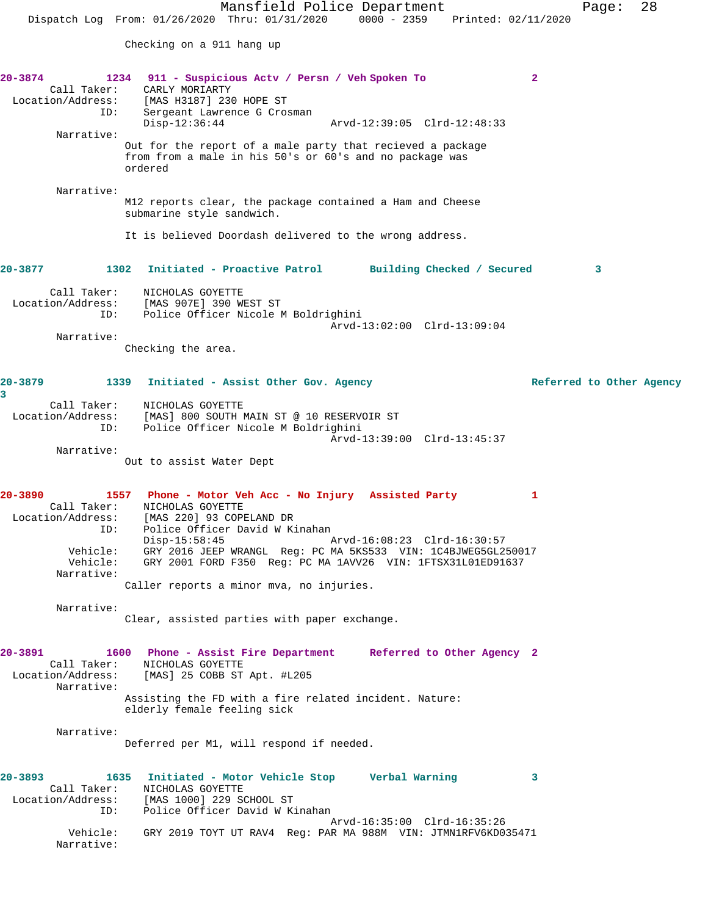Mansfield Police Department Page: 28 Dispatch Log From: 01/26/2020 Thru: 01/31/2020 0000 - 2359 Printed: 02/11/2020 Checking on a 911 hang up **20-3874 1234 911 - Suspicious Actv / Persn / Veh Spoken To 2**  Call Taker: CARLY MORIARTY Location/Address: [MAS H3187] 230 HOPE ST ID: Sergeant Lawrence G Crosman<br>Disp-12:36:44 Disp-12:36:44 Arvd-12:39:05 Clrd-12:48:33 Narrative: Out for the report of a male party that recieved a package from from a male in his 50's or 60's and no package was ordered Narrative: M12 reports clear, the package contained a Ham and Cheese submarine style sandwich. It is believed Doordash delivered to the wrong address. **20-3877 1302 Initiated - Proactive Patrol Building Checked / Secured 3** Call Taker: NICHOLAS GOYETTE Location/Address: [MAS 907E] 390 WEST ST ID: Police Officer Nicole M Boldrighini Arvd-13:02:00 Clrd-13:09:04 Narrative: Checking the area. **20-3879 1339 Initiated - Assist Other Gov. Agency Referred to Other Agency 3**  Call Taker: NICHOLAS GOYETTE Location/Address: [MAS] 800 SOUTH MAIN ST @ 10 RESERVOIR ST ID: Police Officer Nicole M Boldrighini Arvd-13:39:00 Clrd-13:45:37 Narrative: Out to assist Water Dept **20-3890 1557 Phone - Motor Veh Acc - No Injury Assisted Party 1**  Call Taker: NICHOLAS GOYETTE Location/Address: [MAS 220] 93 COPELAND DR ID: Police Officer David W Kinahan<br>Disp-15:58:45 Arvd-16:08:23 Clrd-16:30:57 Vehicle: GRY 2016 JEEP WRANGL Reg: PC MA 5KS533 VIN: 1C4BJWEG5GL250017 GRY 2001 FORD F350  $Reg: PCMA$  1AVV26 VIN: 1FTSX31L01ED91637 Narrative: Caller reports a minor mva, no injuries. Narrative: Clear, assisted parties with paper exchange. **20-3891 1600 Phone - Assist Fire Department Referred to Other Agency 2**  Call Taker: NICHOLAS GOYETTE Location/Address: [MAS] 25 COBB ST Apt. #L205 Narrative: Assisting the FD with a fire related incident. Nature: elderly female feeling sick Narrative: Deferred per M1, will respond if needed. **20-3893 1635 Initiated - Motor Vehicle Stop Verbal Warning 3**  Call Taker: NICHOLAS GOYETTE Location/Address: [MAS 1000] 229 SCHOOL ST ISS: [MAS 1000] 229 SCHOOL ST<br>ID: Police Officer David W Kinahan Arvd-16:35:00 Clrd-16:35:26 Vehicle: GRY 2019 TOYT UT RAV4 Reg: PAR MA 988M VIN: JTMN1RFV6KD035471 Narrative: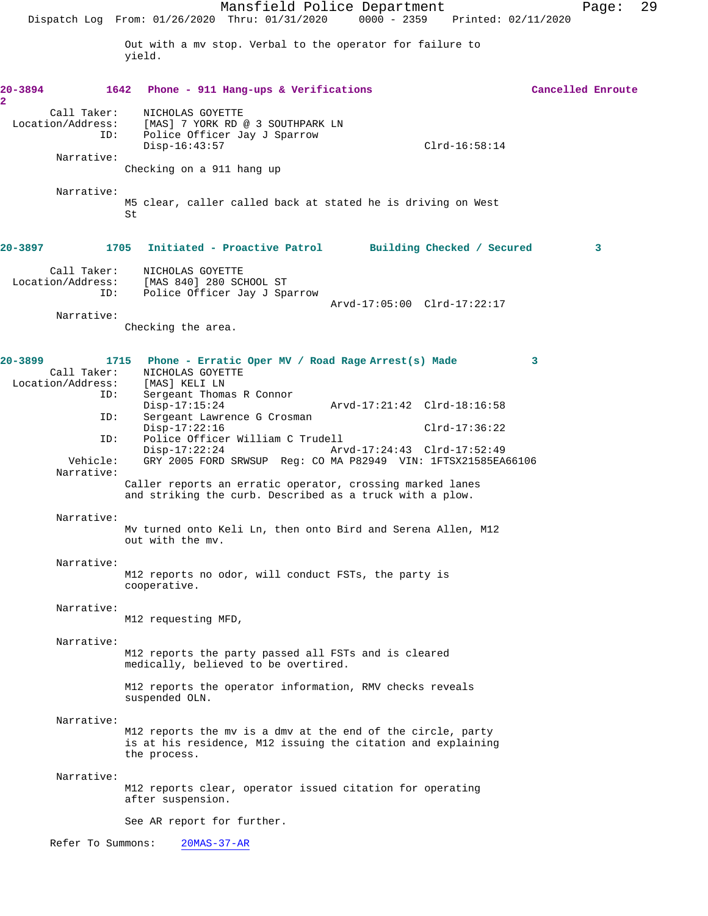Mansfield Police Department Page: 29 Dispatch Log From: 01/26/2020 Thru: 01/31/2020 0000 - 2359 Printed: 02/11/2020 Out with a mv stop. Verbal to the operator for failure to yield. **20-3894 1642 Phone - 911 Hang-ups & Verifications Cancelled Enroute** Call Taker: NICHOLAS GOYETTE Location/Address: [MAS] 7 YORK RD @ 3 SOUTHPARK LN<br>ID: Police Officer Jay J Sparrow Police Officer Jay J Sparrow Disp-16:43:57 Clrd-16:58:14 Narrative: Checking on a 911 hang up Narrative: M5 clear, caller called back at stated he is driving on West St **20-3897 1705 Initiated - Proactive Patrol Building Checked / Secured 3** Call Taker: NICHOLAS GOYETTE<br>Location/Address: [MAS 840] 280 SC ess: [MAS 840] 280 SCHOOL ST<br>ID: Police Officer Jay J Spa Police Officer Jay J Sparrow Arvd-17:05:00 Clrd-17:22:17 Narrative: Checking the area. **20-3899 1715 Phone - Erratic Oper MV / Road Rage Arrest(s) Made 3**  NICHOLAS GOYETTE<br>[MAS] KELI LN Location/Address:<br>ID: Sergeant Thomas R Connor<br>Disp-17:15:24 Disp-17:15:24 Arvd-17:21:42 Clrd-18:16:58 ID: Sergeant Lawrence G Crosman Disp-17:22:16 Clrd-17:36:22<br>ID: Police Officer William C Trudell Police Officer William C Trudell<br>Disp-17:22:24 Arv Disp-17:22:24 Arvd-17:24:43 Clrd-17:52:49 Vehicle: GRY 2005 FORD SRWSUP Reg: CO MA P82949 VIN: 1FTSX21585EA66106 Narrative: Caller reports an erratic operator, crossing marked lanes and striking the curb. Described as a truck with a plow. Narrative: Mv turned onto Keli Ln, then onto Bird and Serena Allen, M12 out with the mv. Narrative: M12 reports no odor, will conduct FSTs, the party is cooperative. Narrative: M12 requesting MFD, Narrative: M12 reports the party passed all FSTs and is cleared medically, believed to be overtired. M12 reports the operator information, RMV checks reveals suspended OLN. Narrative: M12 reports the mv is a dmv at the end of the circle, party is at his residence, M12 issuing the citation and explaining the process. Narrative: M12 reports clear, operator issued citation for operating after suspension. See AR report for further. Refer To Summons: 20MAS-37-AR

**2**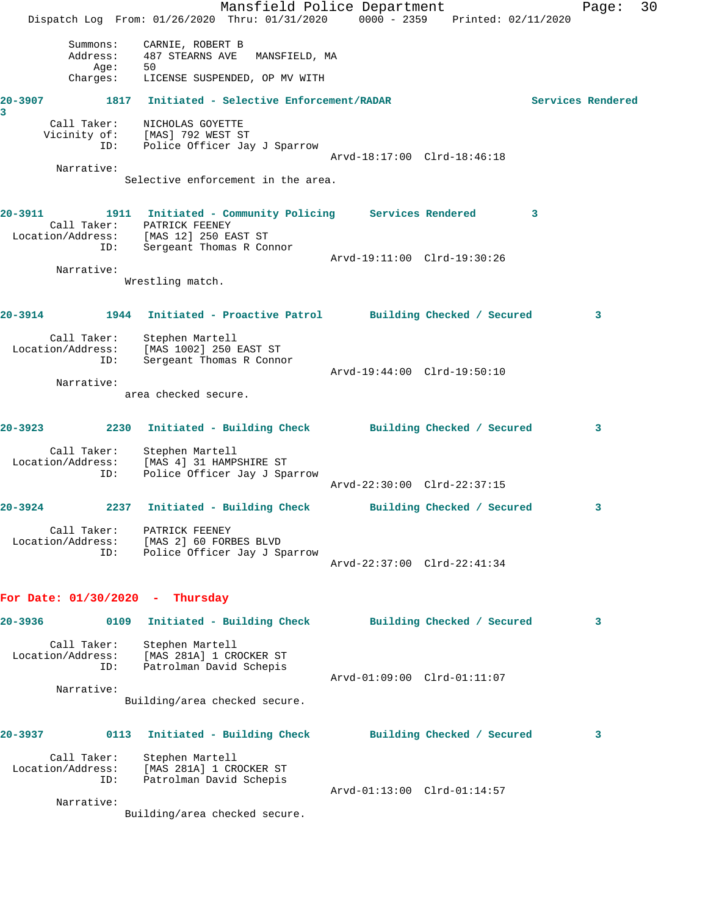|              |                                         | Mansfield Police Department<br>Dispatch Log From: 01/26/2020 Thru: 01/31/2020 0000 - 2359 Printed: 02/11/2020                           |                            |                             |   | Page:             | 30 |
|--------------|-----------------------------------------|-----------------------------------------------------------------------------------------------------------------------------------------|----------------------------|-----------------------------|---|-------------------|----|
|              | Summons:<br>Address:<br>Age:            | CARNIE, ROBERT B<br>487 STEARNS AVE<br>MANSFIELD, MA<br>50                                                                              |                            |                             |   |                   |    |
|              | Charges:                                | LICENSE SUSPENDED, OP MV WITH                                                                                                           |                            |                             |   |                   |    |
| 20-3907<br>3 |                                         | 1817 Initiated - Selective Enforcement/RADAR                                                                                            |                            |                             |   | Services Rendered |    |
|              | Call Taker:<br>ID:                      | NICHOLAS GOYETTE<br>Vicinity of: [MAS] 792 WEST ST<br>Police Officer Jay J Sparrow                                                      |                            | Arvd-18:17:00 Clrd-18:46:18 |   |                   |    |
|              | Narrative:                              | Selective enforcement in the area.                                                                                                      |                            |                             |   |                   |    |
| 20-3911      | Location/Address:<br>ID:                | 1911 Initiated - Community Policing Services Rendered<br>Call Taker: PATRICK FEENEY<br>[MAS 12] 250 EAST ST<br>Sergeant Thomas R Connor |                            |                             | 3 |                   |    |
|              | Narrative:                              | Wrestling match.                                                                                                                        |                            | Arvd-19:11:00 Clrd-19:30:26 |   |                   |    |
| 20-3914      |                                         | 1944 Initiated - Proactive Patrol Building Checked / Secured                                                                            |                            |                             |   | 3                 |    |
|              | Location/Address:<br>ID:                | Call Taker: Stephen Martell<br>[MAS 1002] 250 EAST ST<br>Sergeant Thomas R Connor                                                       |                            | Arvd-19:44:00 Clrd-19:50:10 |   |                   |    |
|              | Narrative:                              |                                                                                                                                         |                            |                             |   |                   |    |
|              |                                         | area checked secure.                                                                                                                    |                            |                             |   |                   |    |
| 20-3923      | 2230                                    | Initiated - Building Check                                                                                                              | Building Checked / Secured |                             |   | 3                 |    |
|              | Call Taker:<br>Location/Address:<br>ID: | Stephen Martell<br>[MAS 4] 31 HAMPSHIRE ST<br>Police Officer Jay J Sparrow                                                              |                            | Arvd-22:30:00 Clrd-22:37:15 |   |                   |    |
| 20-3924      |                                         | 2237 Initiated - Building Check                                                                                                         |                            | Building Checked / Secured  |   | 3                 |    |
|              | Call Taker:<br>Location/Address:<br>ID: | PATRICK FEENEY<br>[MAS 2] 60 FORBES BLVD<br>Police Officer Jay J Sparrow                                                                |                            | Arvd-22:37:00 Clrd-22:41:34 |   |                   |    |
|              |                                         | For Date: $01/30/2020$ - Thursday                                                                                                       |                            |                             |   |                   |    |
| 20-3936      | 0109                                    | Initiated - Building Check                                                                                                              |                            | Building Checked / Secured  |   | 3                 |    |
|              | Call Taker:<br>Location/Address:<br>ID: | Stephen Martell<br>[MAS 281A] 1 CROCKER ST<br>Patrolman David Schepis                                                                   |                            |                             |   |                   |    |
|              | Narrative:                              |                                                                                                                                         |                            | Arvd-01:09:00 Clrd-01:11:07 |   |                   |    |
|              |                                         | Building/area checked secure.                                                                                                           |                            |                             |   |                   |    |
| 20-3937      | 0113                                    | Initiated - Building Check                                                                                                              |                            | Building Checked / Secured  |   | 3                 |    |
|              | Call Taker:<br>Location/Address:<br>ID: | Stephen Martell<br>[MAS 281A] 1 CROCKER ST<br>Patrolman David Schepis                                                                   |                            |                             |   |                   |    |
|              | Narrative:                              | Building/area checked secure.                                                                                                           |                            | Arvd-01:13:00 Clrd-01:14:57 |   |                   |    |
|              |                                         |                                                                                                                                         |                            |                             |   |                   |    |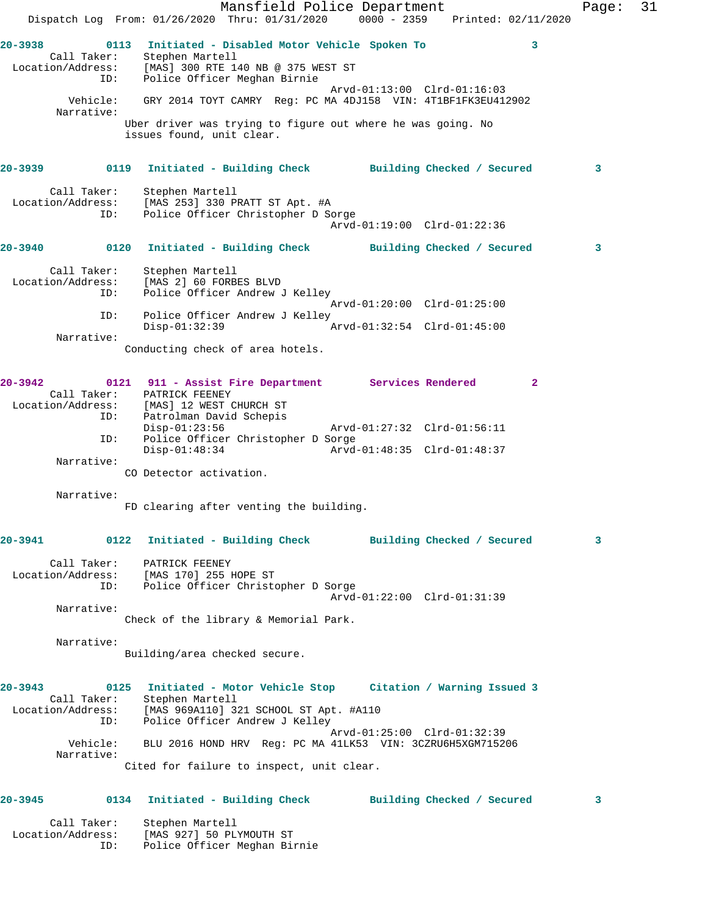Mansfield Police Department Fage: 31 Dispatch Log From: 01/26/2020 Thru: 01/31/2020 0000 - 2359 Printed: 02/11/2020 **20-3938 0113 Initiated - Disabled Motor Vehicle Spoken To 3**  Call Taker: Stephen Martell Location/Address: [MAS] 300 RTE 140 NB @ 375 WEST ST ID: Police Officer Meghan Birnie Arvd-01:13:00 Clrd-01:16:03 Vehicle: GRY 2014 TOYT CAMRY Reg: PC MA 4DJ158 VIN: 4T1BF1FK3EU412902 Narrative: Uber driver was trying to figure out where he was going. No issues found, unit clear. **20-3939 0119 Initiated - Building Check Building Checked / Secured 3** Call Taker: Stephen Martell Location/Address: [MAS 253] 330 PRATT ST Apt. #A ID: Police Officer Christopher D Sorge Arvd-01:19:00 Clrd-01:22:36 **20-3940 0120 Initiated - Building Check Building Checked / Secured 3** Call Taker: Stephen Martell Location/Address: [MAS 2] 60 FORBES BLVD<br>TD: Police Officer Andrew Police Officer Andrew J Kelley Arvd-01:20:00 Clrd-01:25:00 ID: Police Officer Andrew J Kelley Disp-01:32:39 Narrative: Conducting check of area hotels. **20-3942 0121 911 - Assist Fire Department Services Rendered 2**  Call Taker: PATRICK FEENEY Location/Address: [MAS] 12 WEST CHURCH ST ID: Patrolman David Schepis<br>
Disp-01:23:56<br>
ID: Police Officer Christopher I<br>
Disp-01:48:34 Disp-01:23:56 Arvd-01:27:32 Clrd-01:56:11 Police Officer Christopher D Sorge Disp-01:48:34 Arvd-01:48:35 Clrd-01:48:37 Narrative: CO Detector activation. Narrative: FD clearing after venting the building. **20-3941 0122 Initiated - Building Check Building Checked / Secured 3** Call Taker: PATRICK FEENEY Location/Address: [MAS 170] 255 HOPE ST ID: Police Officer Christopher D Sorge Arvd-01:22:00 Clrd-01:31:39 Narrative: Check of the library & Memorial Park. Narrative: Building/area checked secure. **20-3943 0125 Initiated - Motor Vehicle Stop Citation / Warning Issued 3**  Call Taker: Stephen Martell Location/Address: [MAS 969A110] 321 SCHOOL ST Apt. #A110 ID: Police Officer Andrew J Kelley Arvd-01:25:00 Clrd-01:32:39 Vehicle: BLU 2016 HOND HRV Reg: PC MA 41LK53 VIN: 3CZRU6H5XGM715206 Narrative: Cited for failure to inspect, unit clear. **20-3945 0134 Initiated - Building Check Building Checked / Secured 3** Call Taker: Stephen Martell Location/Address: [MAS 927] 50 PLYMOUTH ST

ID: Police Officer Meghan Birnie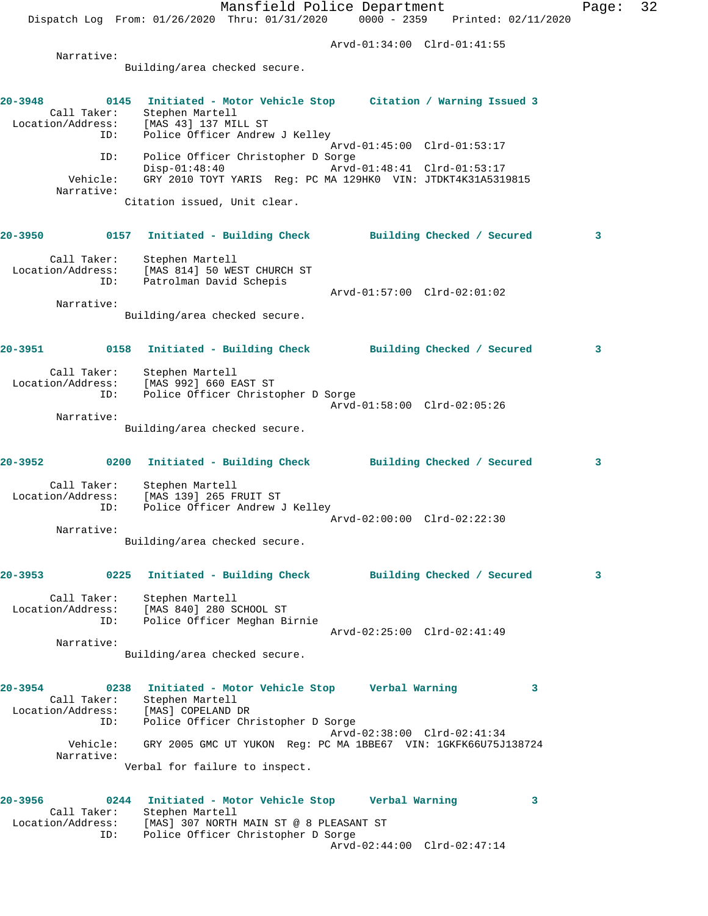Mansfield Police Department Page: 32 Dispatch Log From: 01/26/2020 Thru: 01/31/2020 0000 - 2359 Printed: 02/11/2020 Arvd-01:34:00 Clrd-01:41:55 Narrative: Building/area checked secure. **20-3948 0145 Initiated - Motor Vehicle Stop Citation / Warning Issued 3**  Call Taker: Stephen Martell Location/Address: [MAS 43] 137 MILL ST ID: Police Officer Andrew J Kelley Arvd-01:45:00 Clrd-01:53:17 ID: Police Officer Christopher D Sorge Disp-01:48:40 Arvd-01:48:41 Clrd-01:53:17 Vehicle: GRY 2010 TOYT YARIS Reg: PC MA 129HK0 VIN: JTDKT4K31A5319815 Narrative: Citation issued, Unit clear. **20-3950 0157 Initiated - Building Check Building Checked / Secured 3** Call Taker: Stephen Martell Location/Address: [MAS 814] 50 WEST CHURCH ST ID: Patrolman David Schepis Arvd-01:57:00 Clrd-02:01:02 Narrative: Building/area checked secure. **20-3951 0158 Initiated - Building Check Building Checked / Secured 3** Call Taker: Stephen Martell Location/Address: [MAS 992] 660 EAST ST ID: Police Officer Christopher D Sorge Arvd-01:58:00 Clrd-02:05:26 Narrative: Building/area checked secure. **20-3952 0200 Initiated - Building Check Building Checked / Secured 3** Call Taker: Stephen Martell Location/Address: [MAS 139] 265 FRUIT ST ID: Police Officer Andrew J Kelley Arvd-02:00:00 Clrd-02:22:30 Narrative: Building/area checked secure. **20-3953 0225 Initiated - Building Check Building Checked / Secured 3** Call Taker: Stephen Martell Location/Address: [MAS 840] 280 SCHOOL ST ID: Police Officer Meghan Birnie Arvd-02:25:00 Clrd-02:41:49 Narrative: Building/area checked secure. **20-3954 0238 Initiated - Motor Vehicle Stop Verbal Warning 3**  Call Taker: Stephen Martell Location/Address: [MAS] COPELAND DR ID: Police Officer Christopher D Sorge Arvd-02:38:00 Clrd-02:41:34 Vehicle: GRY 2005 GMC UT YUKON Reg: PC MA 1BBE67 VIN: 1GKFK66U75J138724 Narrative: Verbal for failure to inspect. **20-3956 0244 Initiated - Motor Vehicle Stop Verbal Warning 3**  Call Taker: Stephen Martell Location/Address: [MAS] 307 NORTH MAIN ST @ 8 PLEASANT ST ID: Police Officer Christopher D Sorge Arvd-02:44:00 Clrd-02:47:14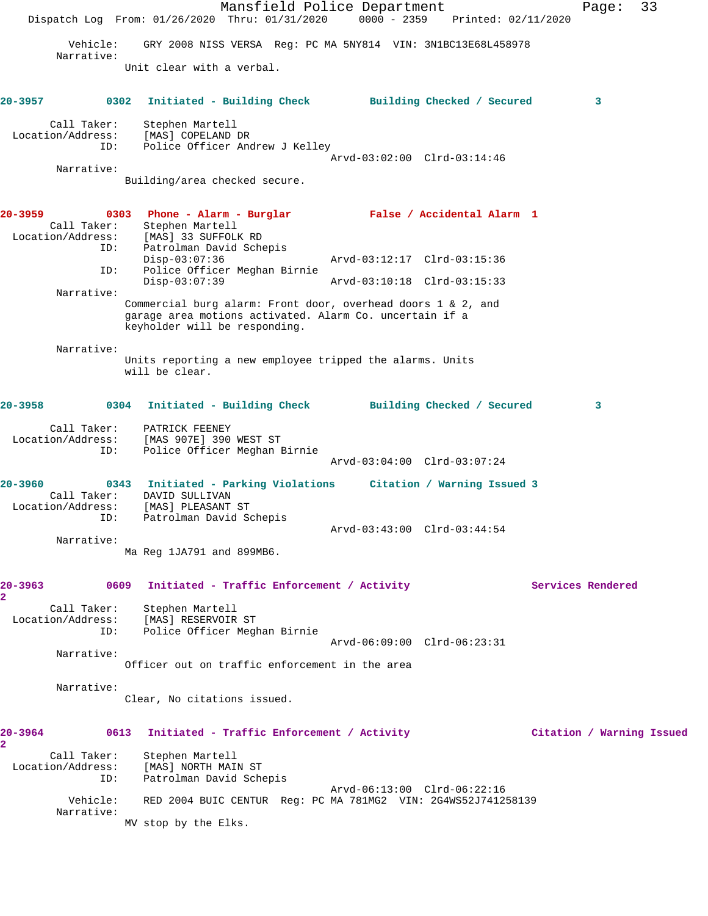Mansfield Police Department Fage: 33 Dispatch Log From: 01/26/2020 Thru: 01/31/2020 0000 - 2359 Printed: 02/11/2020 Vehicle: GRY 2008 NISS VERSA Reg: PC MA 5NY814 VIN: 3N1BC13E68L458978 Narrative: Unit clear with a verbal. **20-3957 0302 Initiated - Building Check Building Checked / Secured 3** Call Taker: Stephen Martell Location/Address: [MAS] COPELAND DR ID: Police Officer Andrew J Kelley Arvd-03:02:00 Clrd-03:14:46 Narrative: Building/area checked secure. **20-3959 0303 Phone - Alarm - Burglar False / Accidental Alarm 1**  Call Taker: Stephen Martell Location/Address: [MAS] 33 SUFFOLK RD ID: Patrolman David Schepis Disp-03:07:36 Arvd-03:12:17 Clrd-03:15:36 ID: Police Officer Meghan Birnie Disp-03:07:39 Arvd-03:10:18 Clrd-03:15:33 Narrative: Commercial burg alarm: Front door, overhead doors 1 & 2, and garage area motions activated. Alarm Co. uncertain if a keyholder will be responding. Narrative: Units reporting a new employee tripped the alarms. Units will be clear. **20-3958 0304 Initiated - Building Check Building Checked / Secured 3** Call Taker: PATRICK FEENEY<br>ion/Address: [MAS 907E] 390 WEST ST Location/Address:<br>ID: Police Officer Meghan Birnie Arvd-03:04:00 Clrd-03:07:24 **20-3960 0343 Initiated - Parking Violations Citation / Warning Issued 3**  Call Taker: DAVID SULLIVAN Location/Address: [MAS] PLEASANT ST ID: Patrolman David Schepis Arvd-03:43:00 Clrd-03:44:54 Narrative: Ma Reg 1JA791 and 899MB6. 20-3963 **0609** Initiated - Traffic Enforcement / Activity **Services Rendered 2**  Call Taker: Stephen Martell Location/Address: [MAS] RESERVOIR ST ID: Police Officer Meghan Birnie Arvd-06:09:00 Clrd-06:23:31 Narrative: Officer out on traffic enforcement in the area Narrative: Clear, No citations issued. **20-3964 0613 Initiated - Traffic Enforcement / Activity Citation / Warning Issued 2**  Call Taker: Stephen Martell Location/Address: [MAS] NORTH MAIN ST ID: Patrolman David Schepis Arvd-06:13:00 Clrd-06:22:16 Vehicle: RED 2004 BUIC CENTUR Reg: PC MA 781MG2 VIN: 2G4WS52J741258139 Narrative: MV stop by the Elks.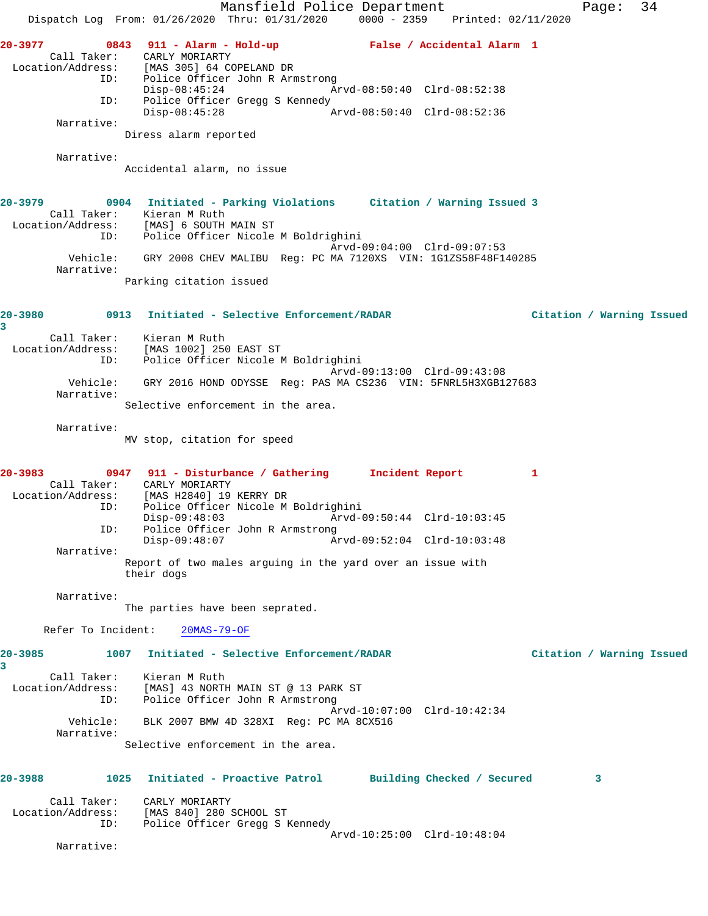Mansfield Police Department Fage: 34 Dispatch Log From: 01/26/2020 Thru: 01/31/2020 0000 - 2359 Printed: 02/11/2020 **20-3977 0843 911 - Alarm - Hold-up False / Accidental Alarm 1**  Call Taker: CARLY MORIARTY<br>Location/Address: [MAS 305] 64 CO  $[MAS 305] 64 COPELAND DR$  ID: Police Officer John R Armstrong Disp-08:45:24 Arvd-08:50:40 Clrd-08:52:38 ID: Police Officer Gregg S Kennedy<br>Disp-08:45:28 Ar Disp-08:45:28 Arvd-08:50:40 Clrd-08:52:36 Narrative: Diress alarm reported Narrative: Accidental alarm, no issue **20-3979 0904 Initiated - Parking Violations Citation / Warning Issued 3**  Call Taker: Kieran M Ruth Location/Address: [MAS] 6 SOUTH MAIN ST The Community of South Police Controller Micole M Boldrighini<br>ID: Police Officer Nicole M Boldrighini Arvd-09:04:00 Clrd-09:07:53 Vehicle: GRY 2008 CHEV MALIBU Reg: PC MA 7120XS VIN: 1G1ZS58F48F140285 Narrative: Parking citation issued **20-3980 0913 Initiated - Selective Enforcement/RADAR Citation / Warning Issued 3**  Call Taker: Kieran M Ruth Location/Address: [MAS 1002] 250 EAST ST ID: Police Officer Nicole M Boldrighini Arvd-09:13:00 Clrd-09:43:08 Vehicle: GRY 2016 HOND ODYSSE Reg: PAS MA CS236 VIN: 5FNRL5H3XGB127683 Narrative: Selective enforcement in the area. Narrative: MV stop, citation for speed **20-3983 0947 911 - Disturbance / Gathering Incident Report 1**  Call Taker: CARLY MORIARTY Location/Address: [MAS H2840] 19 KERRY DR<br>TD: Police Officer Nicole M Police Officer Nicole M Boldrighini Disp-09:48:03 Arvd-09:50:44 Clrd-10:03:45 ID: Police Officer John R Armstrong<br>Disp-09:48:07 Ar Disp-09:48:07 Arvd-09:52:04 Clrd-10:03:48 Narrative: Report of two males arguing in the yard over an issue with their dogs Narrative: The parties have been seprated. Refer To Incident: 20MAS-79-OF **20-3985 1007 Initiated - Selective Enforcement/RADAR Citation / Warning Issued 3**  Call Taker: Kieran M Ruth Location/Address: [MAS] 43 NORTH MAIN ST @ 13 PARK ST ID: Police Officer John R Armstrong Arvd-10:07:00 Clrd-10:42:34 Vehicle: BLK 2007 BMW 4D 328XI Reg: PC MA 8CX516 Narrative: Selective enforcement in the area. **20-3988 1025 Initiated - Proactive Patrol Building Checked / Secured 3** Call Taker: CARLY MORIARTY Location/Address: [MAS 840] 280 SCHOOL ST ID: Police Officer Gregg S Kennedy Arvd-10:25:00 Clrd-10:48:04 Narrative: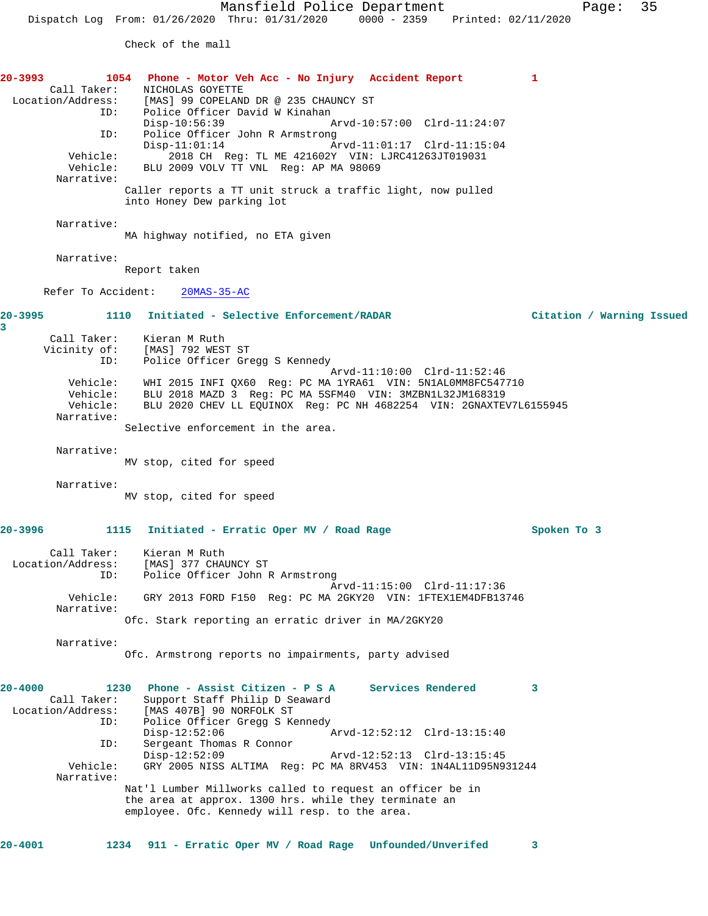Check of the mall

**20-3993 1054 Phone - Motor Veh Acc - No Injury Accident Report 1**  Call Taker: NICHOLAS GOYETTE<br>Location/Address: [MAS] 99 COPELAN ess: [MAS] 99 COPELAND DR @ 235 CHAUNCY ST<br>ID: Police Officer David W Kinahan Police Officer David W Kinahan<br>Disp-10:56:39 Disp-10:56:39 Arvd-10:57:00 Clrd-11:24:07<br>ID: Police Officer John R Armstrong Police Officer John R Armstrong Disp-11:01:14 Arvd-11:01:17 Clrd-11:15:04<br>Vehicle: 2018 CH Req: TL ME 421602Y VIN: LJRC41263JT019031 Vehicle: 2018 CH Reg: TL ME 421602Y VIN: LJRC41263JT019031 Vehicle: BLU 2009 VOLV TT VNL Reg: AP MA 98069 Narrative: Caller reports a TT unit struck a traffic light, now pulled into Honey Dew parking lot Narrative: MA highway notified, no ETA given Narrative: Report taken Refer To Accident: 20MAS-35-AC **20-3995 1110 Initiated - Selective Enforcement/RADAR Citation / Warning Issued 3**  Call Taker: Kieran M Ruth Vicinity of: [MAS] 792 WEST ST<br>ID: Police Officer Gre Police Officer Gregg S Kennedy Arvd-11:10:00 Clrd-11:52:46 Vehicle: WHI 2015 INFI QX60 Reg: PC MA 1YRA61 VIN: 5N1AL0MM8FC547710 Vehicle: BLU 2018 MAZD 3 Reg: PC MA 5SFM40 VIN: 3MZBN1L32JM168319 Vehicle: BLU 2020 CHEV LL EQUINOX Reg: PC NH 4682254 VIN: 2GNAXTEV7L6155945 Narrative: Selective enforcement in the area. Narrative: MV stop, cited for speed Narrative: MV stop, cited for speed **20-3996 1115 Initiated - Erratic Oper MV / Road Rage Spoken To 3** Call Taker: Kieran M Ruth Location/Address: [MAS] 377 CHAUNCY ST ID: Police Officer John R Armstrong Arvd-11:15:00 Clrd-11:17:36<br>Vehicle: GRY 2013 FORD F150 Req: PC MA 2GKY20 VIN: 1FTEX1EM4DFB13 GRY 2013 FORD F150 Reg: PC MA 2GKY20 VIN: 1FTEX1EM4DFB13746 Narrative: Ofc. Stark reporting an erratic driver in MA/2GKY20 Narrative: Ofc. Armstrong reports no impairments, party advised **20-4000 1230 Phone - Assist Citizen - P S A Services Rendered 3**  Call Taker: Support Staff Philip D Seaward<br>Location/Address: [MAS 407B] 90 NORFOLK ST [MAS 407B] 90 NORFOLK ST ID: Police Officer Gregg S Kennedy<br>Disp-12:52:06 Disp-12:52:06 Arvd-12:52:12 Clrd-13:15:40 ID: Sergeant Thomas R Connor Disp-12:52:09 Arvd-12:52:13 Clrd-13:15:45 Vehicle: GRY 2005 NISS ALTIMA Reg: PC MA 8RV453 VIN: 1N4AL11D95N931244 Narrative: Nat'l Lumber Millworks called to request an officer be in the area at approx. 1300 hrs. while they terminate an employee. Ofc. Kennedy will resp. to the area.

**20-4001 1234 911 - Erratic Oper MV / Road Rage Unfounded/Unverifed 3**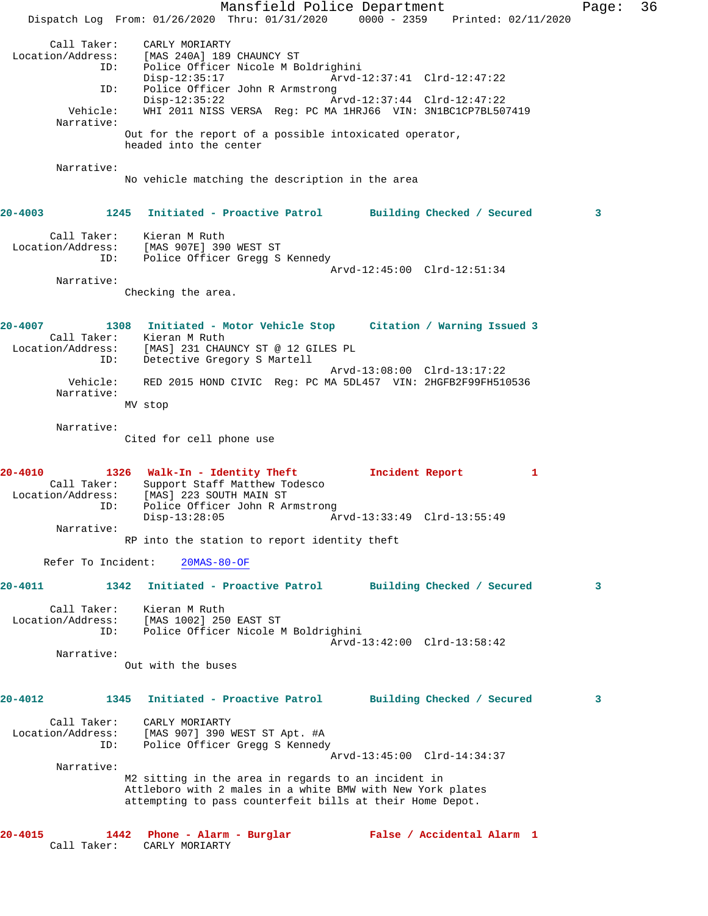Mansfield Police Department Fage: 36 Dispatch Log From: 01/26/2020 Thru: 01/31/2020 0000 - 2359 Printed: 02/11/2020 Call Taker: CARLY MORIARTY Location/Address: [MAS 240A] 189 CHAUNCY ST ID: Police Officer Nicole M Boldrighini Disp-12:35:17 Arvd-12:37:41 Clrd-12:47:22 ID: Police Officer John R Armstrong Disp-12:35:22 Arvd-12:37:44 Clrd-12:47:22 Vehicle: WHI 2011 NISS VERSA Reg: PC MA 1HRJ66 VIN: 3N1BC1CP7BL507419 Narrative: Out for the report of a possible intoxicated operator, headed into the center Narrative: No vehicle matching the description in the area **20-4003 1245 Initiated - Proactive Patrol Building Checked / Secured 3** Call Taker: Kieran M Ruth Location/Address: [MAS 907E] 390 WEST ST ID: Police Officer Gregg S Kennedy Arvd-12:45:00 Clrd-12:51:34 Narrative: Checking the area. **20-4007 1308 Initiated - Motor Vehicle Stop Citation / Warning Issued 3**  Call Taker: Kieran M Ruth Location/Address: [MAS] 231 CHAUNCY ST @ 12 GILES PL ID: Detective Gregory S Martell Arvd-13:08:00 Clrd-13:17:22 Vehicle: RED 2015 HOND CIVIC Reg: PC MA 5DL457 VIN: 2HGFB2F99FH510536 Narrative: MV stop Narrative: Cited for cell phone use **20-4010 1326 Walk-In - Identity Theft Incident Report 1**  Call Taker: Support Staff Matthew Todesco Location/Address: [MAS] 223 SOUTH MAIN ST ID: Police Officer John R Armstrong Disp-13:28:05 Arvd-13:33:49 Clrd-13:55:49 Narrative: RP into the station to report identity theft Refer To Incident: 20MAS-80-OF **20-4011 1342 Initiated - Proactive Patrol Building Checked / Secured 3** Call Taker: Kieran M Ruth Location/Address: [MAS 1002] 250 EAST ST ID: Police Officer Nicole M Boldrighini Arvd-13:42:00 Clrd-13:58:42 Narrative: Out with the buses **20-4012 1345 Initiated - Proactive Patrol Building Checked / Secured 3** Call Taker: CARLY MORIARTY Location/Address: [MAS 907] 390 WEST ST Apt. #A ID: Police Officer Gregg S Kennedy Arvd-13:45:00 Clrd-14:34:37 Narrative: M2 sitting in the area in regards to an incident in Attleboro with 2 males in a white BMW with New York plates attempting to pass counterfeit bills at their Home Depot. **20-4015 1442 Phone - Alarm - Burglar False / Accidental Alarm 1**  Call Taker: CARLY MORIARTY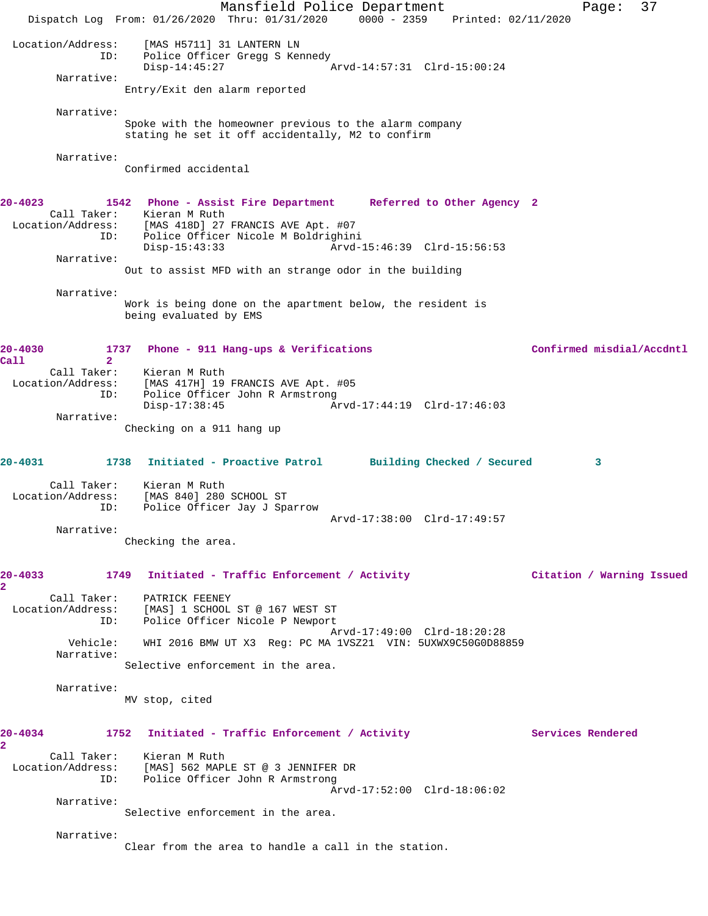Mansfield Police Department Fage: 37 Dispatch Log From: 01/26/2020 Thru: 01/31/2020 0000 - 2359 Printed: 02/11/2020 Location/Address: [MAS H5711] 31 LANTERN LN ID: Police Officer Gregg S Kennedy<br>Disp-14:45:27 Disp-14:45:27 Arvd-14:57:31 Clrd-15:00:24 Narrative: Entry/Exit den alarm reported Narrative: Spoke with the homeowner previous to the alarm company stating he set it off accidentally, M2 to confirm Narrative: Confirmed accidental **20-4023 1542 Phone - Assist Fire Department Referred to Other Agency 2**  Call Taker: Kieran M Ruth Location/Address: [MAS 418D] 27 FRANCIS AVE Apt. #07 ID: Police Officer Nicole M Boldrighini Disp-15:43:33 Arvd-15:46:39 Clrd-15:56:53 Narrative: Out to assist MFD with an strange odor in the building Narrative: Work is being done on the apartment below, the resident is being evaluated by EMS **20-4030 1737 Phone - 911 Hang-ups & Verifications Confirmed misdial/Accdntl Call 2**  Call Taker: Kieran M Ruth Location/Address: [MAS 417H] 19 FRANCIS AVE Apt. #05 ID: Police Officer John R Armstrong Disp-17:38:45 Arvd-17:44:19 Clrd-17:46:03 Narrative: Checking on a 911 hang up **20-4031 1738 Initiated - Proactive Patrol Building Checked / Secured 3** Call Taker: Kieran M Ruth Location/Address: [MAS 840] 280 SCHOOL ST ID: Police Officer Jay J Sparrow Arvd-17:38:00 Clrd-17:49:57 Narrative: Checking the area. **20-4033 1749 Initiated - Traffic Enforcement / Activity Citation / Warning Issued 2**  Call Taker: PATRICK FEENEY Location/Address: [MAS] 1 SCHOOL ST @ 167 WEST ST ID: Police Officer Nicole P Newport Arvd-17:49:00 Clrd-18:20:28 Vehicle: WHI 2016 BMW UT X3 Reg: PC MA 1VSZ21 VIN: 5UXWX9C50G0D88859 Narrative: Selective enforcement in the area. Narrative: MV stop, cited 20-4034 1752 Initiated - Traffic Enforcement / Activity **Services Rendered 2**  Call Taker: Kieran M Ruth Location/Address: [MAS] 562 MAPLE ST @ 3 JENNIFER DR ID: Police Officer John R Armstrong Arvd-17:52:00 Clrd-18:06:02 Narrative: Selective enforcement in the area. Narrative: Clear from the area to handle a call in the station.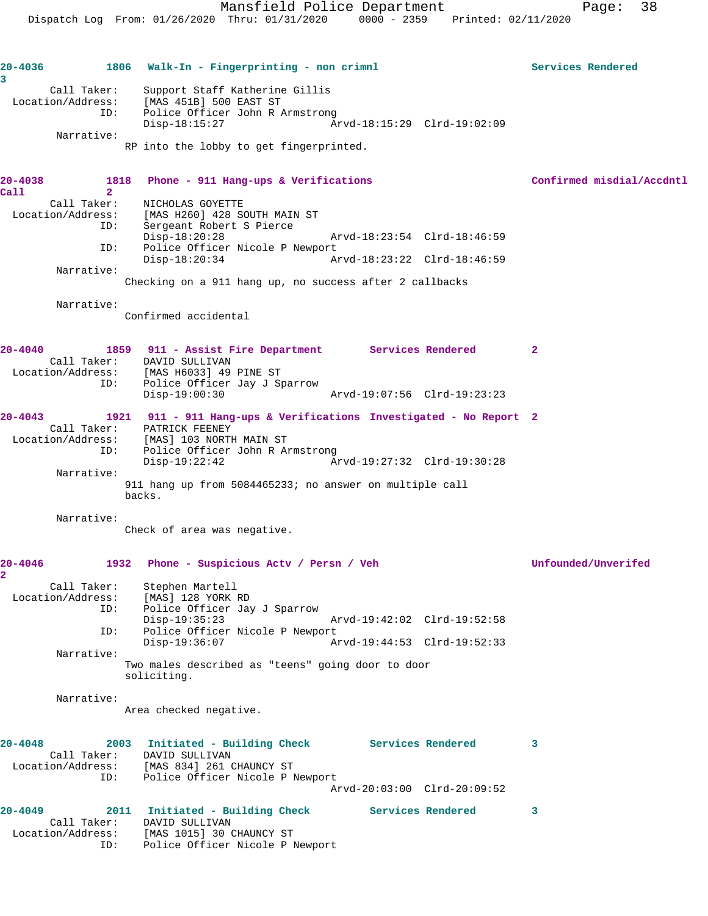| 20-4036<br>3 |                                  | 1806 Walk-In - Fingerprinting - non crimnl                                        | Services Rendered         |
|--------------|----------------------------------|-----------------------------------------------------------------------------------|---------------------------|
|              | Call Taker:                      | Support Staff Katherine Gillis                                                    |                           |
|              | ID:                              | Location/Address: [MAS 451B] 500 EAST ST<br>Police Officer John R Armstrong       |                           |
|              |                                  | $Disp-18:15:27$<br>Arvd-18:15:29 Clrd-19:02:09                                    |                           |
|              | Narrative:                       |                                                                                   |                           |
|              |                                  | RP into the lobby to get fingerprinted.                                           |                           |
| $20 - 4038$  | 1818                             | Phone - 911 Hang-ups & Verifications                                              | Confirmed misdial/Accdntl |
| Call         | $\overline{2}$                   |                                                                                   |                           |
|              | Call Taker:<br>Location/Address: | NICHOLAS GOYETTE<br>[MAS H260] 428 SOUTH MAIN ST                                  |                           |
|              | ID:                              | Sergeant Robert S Pierce                                                          |                           |
|              | ID:                              | Arvd-18:23:54 Clrd-18:46:59<br>$Disp-18:20:28$<br>Police Officer Nicole P Newport |                           |
|              |                                  | $Disp-18:20:34$<br>Arvd-18:23:22 Clrd-18:46:59                                    |                           |
|              | Narrative:                       | Checking on a 911 hang up, no success after 2 callbacks                           |                           |
|              |                                  |                                                                                   |                           |
|              | Narrative:                       | Confirmed accidental                                                              |                           |
|              |                                  |                                                                                   |                           |
| $20 - 4040$  |                                  | 1859 911 - Assist Fire Department Services Rendered                               | $\mathbf{2}$              |
|              |                                  | Call Taker: DAVID SULLIVAN<br>Location/Address: [MAS H6033] 49 PINE ST            |                           |
|              | ID:                              | Police Officer Jay J Sparrow                                                      |                           |
|              |                                  | $Disp-19:00:30$<br>Arvd-19:07:56 Clrd-19:23:23                                    |                           |
| $20 - 4043$  |                                  | 1921 911 - 911 Hang-ups & Verifications Investigated - No Report 2                |                           |
|              | Location/Address:                | Call Taker: PATRICK FEENEY<br>[MAS] 103 NORTH MAIN ST                             |                           |
|              | ID:                              | Police Officer John R Armstrong                                                   |                           |
|              | Narrative:                       | $Disp-19:22:42$<br>Arvd-19:27:32 Clrd-19:30:28                                    |                           |
|              |                                  | 911 hang up from 5084465233; no answer on multiple call                           |                           |
|              |                                  | backs.                                                                            |                           |
|              | Narrative:                       | Check of area was negative.                                                       |                           |
|              |                                  |                                                                                   |                           |
| $20 - 4046$  |                                  | 1932 Phone - Suspicious Acty / Persn / Veh                                        | Unfounded/Unverifed       |
|              | Call Taker:                      | Stephen Martell                                                                   |                           |
|              | Location/Address:                | [MAS] 128 YORK RD                                                                 |                           |
|              | ID:                              | Police Officer Jay J Sparrow<br>$Disp-19:35:23$<br>Arvd-19:42:02 Clrd-19:52:58    |                           |
|              | ID:                              | Police Officer Nicole P Newport                                                   |                           |
|              | Narrative:                       | $Disp-19:36:07$<br>Arvd-19:44:53 Clrd-19:52:33                                    |                           |
|              |                                  | Two males described as "teens" going door to door                                 |                           |
|              |                                  | soliciting.                                                                       |                           |
|              | Narrative:                       |                                                                                   |                           |
|              |                                  | Area checked negative.                                                            |                           |
| $20 - 4048$  |                                  | 2003 Initiated - Building Check Services Rendered                                 | 3                         |
|              | Call Taker:                      | DAVID SULLIVAN                                                                    |                           |
|              | ID:                              | Location/Address: [MAS 834] 261 CHAUNCY ST<br>Police Officer Nicole P Newport     |                           |
|              |                                  | Arvd-20:03:00 Clrd-20:09:52                                                       |                           |
| $20 - 4049$  |                                  | 2011 Initiated - Building Check Services Rendered                                 | 3                         |
|              | Call Taker:                      | DAVID SULLIVAN                                                                    |                           |
|              | Location/Address:<br>ID:         | [MAS 1015] 30 CHAUNCY ST<br>Police Officer Nicole P Newport                       |                           |
|              |                                  |                                                                                   |                           |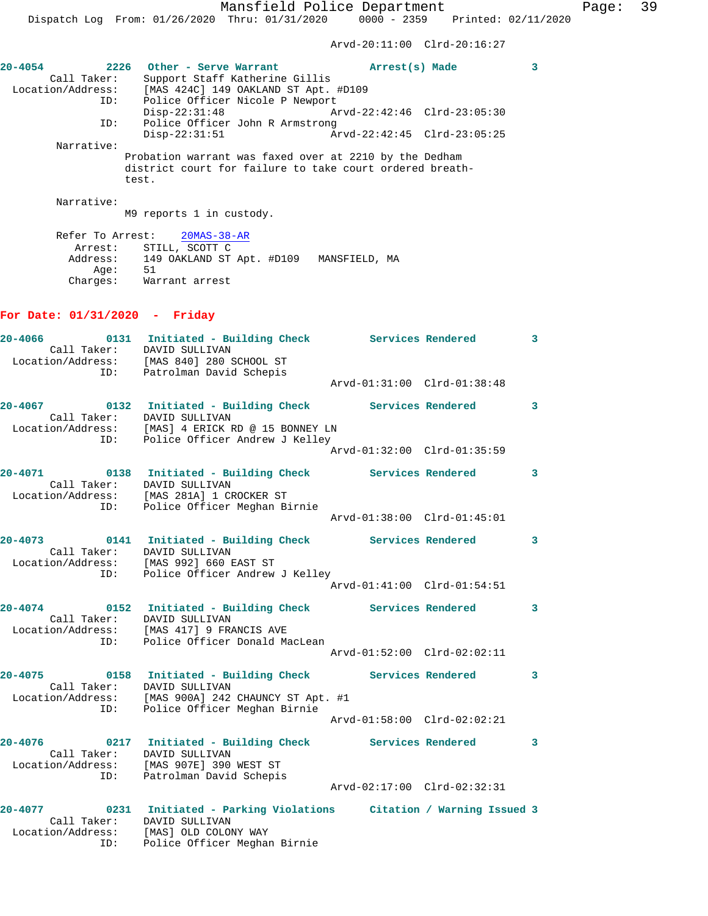**20-4054 2226 Other - Serve Warrant Arrest(s) Made 3** 

Arvd-20:11:00 Clrd-20:16:27

| Call Taker:<br>Location/Address: | Support Staff Katherine Gillis<br>[MAS 424C] 149 OAKLAND ST Apt. #D109                                                      |              |
|----------------------------------|-----------------------------------------------------------------------------------------------------------------------------|--------------|
| ID:                              | Police Officer Nicole P Newport<br>$Disp-22:31:48$<br>Arvd-22:42:46 Clrd-23:05:30                                           |              |
| ID:                              | Police Officer John R Armstrong<br>Arvd-22:42:45 Clrd-23:05:25<br>$Disp-22:31:51$                                           |              |
| Narrative:                       |                                                                                                                             |              |
|                                  | Probation warrant was faxed over at 2210 by the Dedham<br>district court for failure to take court ordered breath-<br>test. |              |
| Narrative:                       | M9 reports 1 in custody.                                                                                                    |              |
|                                  | Refer To Arrest: 20MAS-38-AR                                                                                                |              |
|                                  | Arrest: STILL, SCOTT C<br>Address: 149 OAKLAND ST Apt. #D109 MANSFIELD, MA                                                  |              |
|                                  | Age: 51<br>Charges: Warrant arrest                                                                                          |              |
|                                  |                                                                                                                             |              |
| For Date: $01/31/2020$ - Friday  |                                                                                                                             |              |
| $20 - 4066$<br>Call Taker:       | 0131 Initiated - Building Check Services Rendered<br>DAVID SULLIVAN                                                         | $\mathbf{3}$ |
|                                  | Location/Address: [MAS 840] 280 SCHOOL ST                                                                                   |              |
| ID:                              | Patrolman David Schepis<br>Arvd-01:31:00 Clrd-01:38:48                                                                      |              |
| 20-4067                          | 0132 Initiated - Building Check Services Rendered                                                                           | 3            |
| Call Taker:<br>Location/Address: | DAVID SULLIVAN<br>[MAS] 4 ERICK RD @ 15 BONNEY LN                                                                           |              |
| ID:                              | Police Officer Andrew J Kelley<br>Arvd-01:32:00 Clrd-01:35:59                                                               |              |
| 20-4071                          | 0138 Initiated - Building Check Services Rendered                                                                           | 3            |
| Call Taker:<br>Location/Address: | DAVID SULLIVAN<br>[MAS 281A] 1 CROCKER ST                                                                                   |              |
| ID:                              | Police Officer Meghan Birnie                                                                                                |              |
|                                  | Arvd-01:38:00 Clrd-01:45:01                                                                                                 |              |
| 20-4073<br>Call Taker:           | 0141 Initiated - Building Check Services Rendered<br>DAVID SULLIVAN                                                         | 3            |
| ID:                              | Location/Address: [MAS 992] 660 EAST ST<br>Police Officer Andrew J Kelley                                                   |              |
|                                  | Arvd-01:41:00 Clrd-01:54:51                                                                                                 |              |
| 20-4074                          | 0152 Initiated - Building Check Services Rendered<br>Call Taker: DAVID SULLIVAN                                             | 3            |
|                                  | Location/Address: [MAS 417] 9 FRANCIS AVE<br>ID: Police Officer Donald Ma                                                   |              |
|                                  | Police Officer Donald MacLean<br>Arvd-01:52:00 Clrd-02:02:11                                                                |              |
| 20-4075                          | 0158 Initiated - Building Check Services Rendered                                                                           | 3            |
|                                  | Call Taker: DAVID SULLIVAN<br>Location/Address: [MAS 900A] 242 CHAUNCY ST Apt. #1                                           |              |
| ID:                              | Police Officer Meghan Birnie<br>Arvd-01:58:00 Clrd-02:02:21                                                                 |              |
| 20-4076                          | 0217 Initiated - Building Check Services Rendered                                                                           | $\mathbf{3}$ |
|                                  | Call Taker: DAVID SULLIVAN<br>Location/Address: [MAS 907E] 390 WEST ST                                                      |              |
| ID:                              | Patrolman David Schepis                                                                                                     |              |
|                                  | Arvd-02:17:00 Clrd-02:32:31                                                                                                 |              |
| 20-4077                          | 0231 Initiated - Parking Violations Citation / Warning Issued 3<br>Call Taker: DAVID SULLIVAN                               |              |
|                                  | Location/Address: [MAS] OLD COLONY WAY<br>ID: Police Officer Meghan Birnie                                                  |              |
|                                  |                                                                                                                             |              |
|                                  |                                                                                                                             |              |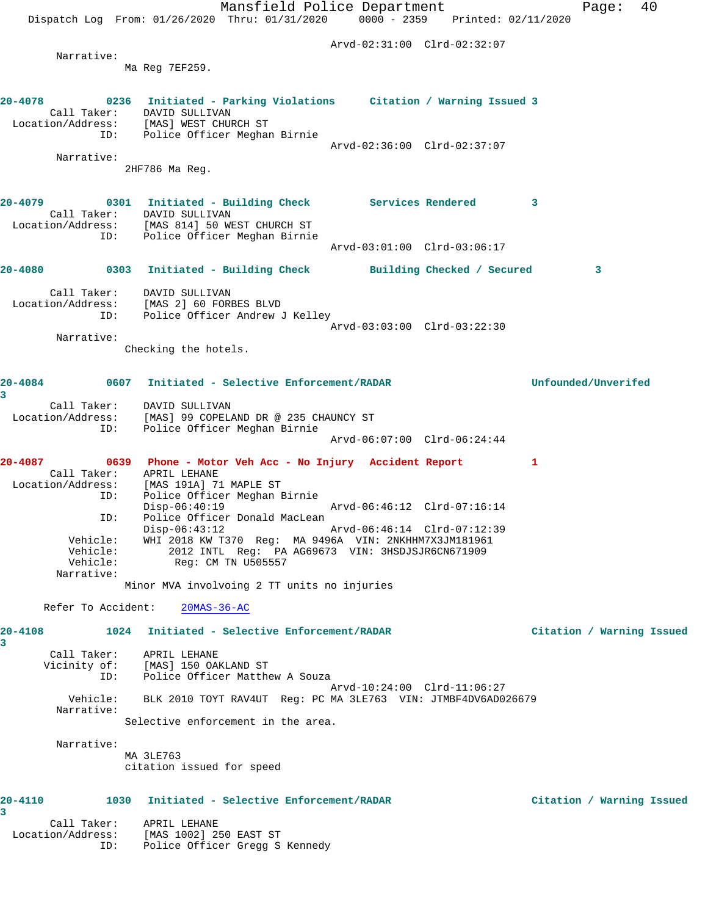Mansfield Police Department Fage: 40 Dispatch Log From: 01/26/2020 Thru: 01/31/2020 0000 - 2359 Printed: 02/11/2020 Arvd-02:31:00 Clrd-02:32:07 Narrative: Ma Reg 7EF259. **20-4078 0236 Initiated - Parking Violations Citation / Warning Issued 3**  Call Taker: DAVID SULLIVAN Location/Address: [MAS] WEST CHURCH ST ID: Police Officer Meghan Birnie Arvd-02:36:00 Clrd-02:37:07 Narrative: 2HF786 Ma Reg. **20-4079 0301 Initiated - Building Check Services Rendered 3**  Call Taker: DAVID SULLIVAN Location/Address: [MAS 814] 50 WEST CHURCH ST ID: Police Officer Meghan Birnie Arvd-03:01:00 Clrd-03:06:17 **20-4080 0303 Initiated - Building Check Building Checked / Secured 3** Call Taker: DAVID SULLIVAN Location/Address: [MAS 2] 60 FORBES BLVD ID: Police Officer Andrew J Kelley Arvd-03:03:00 Clrd-03:22:30 Narrative: Checking the hotels. **20-4084 0607 Initiated - Selective Enforcement/RADAR Unfounded/Unverifed 3**  Call Taker: DAVID SULLIVAN Location/Address: [MAS] 99 COPELAND DR @ 235 CHAUNCY ST ID: Police Officer Meghan Birnie Arvd-06:07:00 Clrd-06:24:44 **20-4087 0639 Phone - Motor Veh Acc - No Injury Accident Report 1**  Call Taker: APRIL LEHANE Location/Address: [MAS 191A] 71 MAPLE ST ID: Police Officer Meghan Birnie Disp-06:40:19 Arvd-06:46:12 Clrd-07:16:14<br>ID: Police Officer Donald MacLean ID: Police Officer Donald MacLean Disp-06:43:12 Arvd-06:46:14 Clrd-07:12:39 Vehicle: WHI 2018 KW T370 Reg: MA 9496A VIN: 2NKHHM7X3JM181961 Vehicle: 2012 INTL Reg: PA AG69673 VIN: 3HSDJSJR6CN671909 Vehicle: Reg: CM TN U505557 Narrative: Minor MVA involvoing 2 TT units no injuries Refer To Accident: 20MAS-36-AC **20-4108 1024 Initiated - Selective Enforcement/RADAR Citation / Warning Issued 3**  Call Taker: APRIL LEHANE Vicinity of: [MAS] 150 OAKLAND ST ID: Police Officer Matthew A Souza Arvd-10:24:00 Clrd-11:06:27 Vehicle: BLK 2010 TOYT RAV4UT Reg: PC MA 3LE763 VIN: JTMBF4DV6AD026679 Narrative: Selective enforcement in the area. Narrative: MA 3LE763 citation issued for speed **20-4110 1030 Initiated - Selective Enforcement/RADAR Citation / Warning Issued 3**  Call Taker: APRIL LEHANE Location/Address: [MAS 1002] 250 EAST ST ID: Police Officer Gregg S Kennedy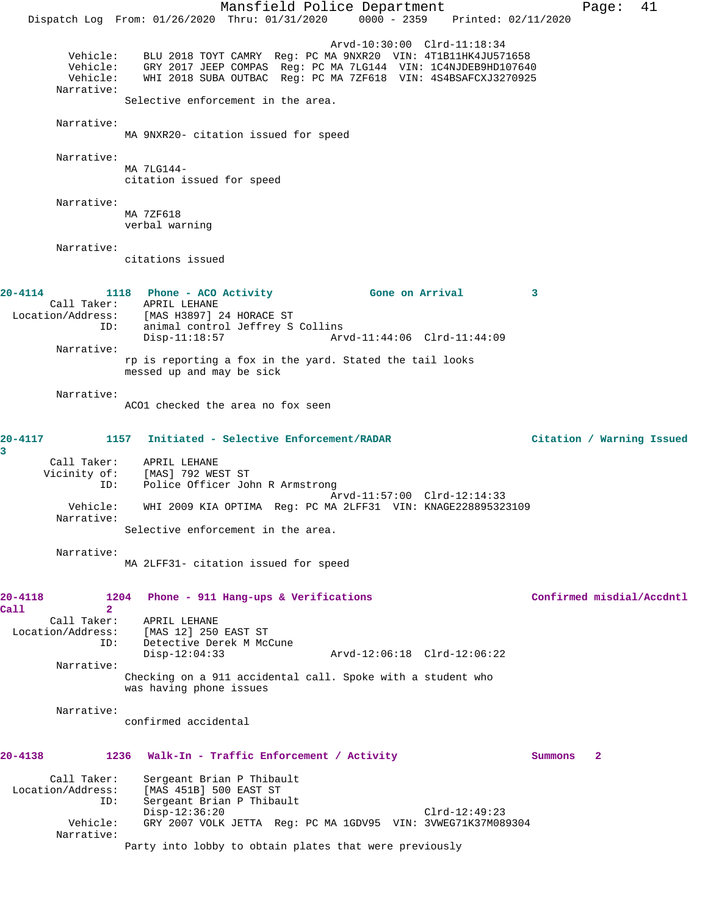Mansfield Police Department Fage: 41 Dispatch Log From: 01/26/2020 Thru: 01/31/2020 0000 - 2359 Printed: 02/11/2020 Arvd-10:30:00 Clrd-11:18:34 Vehicle: BLU 2018 TOYT CAMRY Reg: PC MA 9NXR20 VIN: 4T1B11HK4JU571658 Vehicle: GRY 2017 JEEP COMPAS Reg: PC MA 7LG144 VIN: 1C4NJDEB9HD107640 Vehicle: WHI 2018 SUBA OUTBAC Reg: PC MA 7ZF618 VIN: 4S4BSAFCXJ3270925 Narrative: Selective enforcement in the area. Narrative: MA 9NXR20- citation issued for speed Narrative: MA 7LG144 citation issued for speed Narrative: MA 7ZF618 verbal warning Narrative: citations issued **20-4114 1118 Phone - ACO Activity Gone on Arrival 3**  Call Taker: APRIL LEHANE<br>Location/Address: [MAS H3897] : [MAS H3897] 24 HORACE ST ID: animal control Jeffrey S Collins<br>Disp-11:18:57 Arm Disp-11:18:57 Arvd-11:44:06 Clrd-11:44:09 Narrative: rp is reporting a fox in the yard. Stated the tail looks messed up and may be sick Narrative: ACO1 checked the area no fox seen **20-4117 1157 Initiated - Selective Enforcement/RADAR Citation / Warning Issued 3**  Call Taker: APRIL LEHANE Vicinity of: [MAS] 792 WEST ST ID: Police Officer John R Armstrong Arvd-11:57:00 Clrd-12:14:33<br>Vehicle: WHI 2009 KIA OPTIMA Reg: PC MA 2LEE31 VIN: KNAGE22889532 Vehicle: WHI 2009 KIA OPTIMA Reg: PC MA 2LFF31 VIN: KNAGE228895323109 Narrative: Selective enforcement in the area. Narrative: MA 2LFF31- citation issued for speed **20-4118 1204 Phone - 911 Hang-ups & Verifications Confirmed misdial/Accdntl Call 2**  Call Taker: APRIL LEHANE<br>Location/Address: [MAS 12] 250 ess: [MAS 12] 250 EAST ST<br>ID: Detective Derek M McC Detective Derek M McCune<br>Disp-12:04:33 Disp-12:04:33 Arvd-12:06:18 Clrd-12:06:22 Narrative: Checking on a 911 accidental call. Spoke with a student who was having phone issues Narrative: confirmed accidental **20-4138 1236 Walk-In - Traffic Enforcement / Activity Summons 2** Call Taker: Sergeant Brian P Thibault Location/Address: [MAS 451B] 500 EAST ST ID: Sergeant Brian P Thibault Disp-12:36:20 Clrd-12:49:23 Vehicle: GRY 2007 VOLK JETTA Reg: PC MA 1GDV95 VIN: 3VWEG71K37M089304 Narrative: Party into lobby to obtain plates that were previously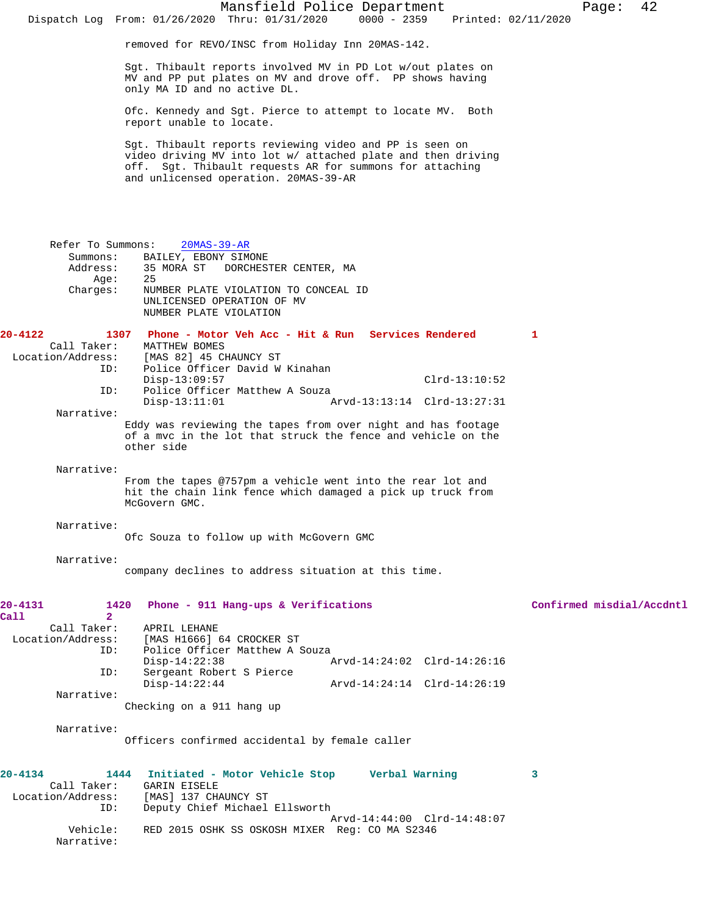Sgt. Thibault reports involved MV in PD Lot w/out plates on MV and PP put plates on MV and drove off. PP shows having only MA ID and no active DL.

Ofc. Kennedy and Sgt. Pierce to attempt to locate MV. Both report unable to locate.

Sgt. Thibault reports reviewing video and PP is seen on video driving MV into lot w/ attached plate and then driving off. Sgt. Thibault requests AR for summons for attaching and unlicensed operation. 20MAS-39-AR

 Refer To Summons: 20MAS-39-AR Summons: BAILEY, EBONY SIMONE<br>Address: 35 MORA ST DORCHES 35 MORA ST DORCHESTER CENTER, MA<br>25 Age: Charges: NUMBER PLATE VIOLATION TO CONCEAL ID UNLICENSED OPERATION OF MV NUMBER PLATE VIOLATION **20-4122 1307 Phone - Motor Veh Acc - Hit & Run Services Rendered 1**  Call Taker: MATTHEW BOMES<br>Location/Address: [MAS 82] 45 C [MAS 82] 45 CHAUNCY ST ID: Police Officer David W Kinahan Disp-13:09:57 Clrd-13:10:52<br>ID: Police Officer Matthew A Souza Police Officer Matthew A Souza Disp-13:11:01 Arvd-13:13:14 Clrd-13:27:31 Narrative: Eddy was reviewing the tapes from over night and has footage of a mvc in the lot that struck the fence and vehicle on the other side Narrative: From the tapes @757pm a vehicle went into the rear lot and hit the chain link fence which damaged a pick up truck from McGovern GMC. Narrative: Ofc Souza to follow up with McGovern GMC Narrative: company declines to address situation at this time. **20-4131 1420 Phone - 911 Hang-ups & Verifications Confirmed misdial/Accdntl Call 2**  Call Taker: APRIL LEHANE Location/Address: [MAS H1666] 64 CROCKER ST ID: Police Officer Matthew A Souza Disp-14:22:38 Arvd-14:24:02 Clrd-14:26:16<br>TD: Sergeant Robert S Pierce Sergeant Robert S Pierce<br>Disp-14:22:44 Disp-14:22:44 Arvd-14:24:14 Clrd-14:26:19 Narrative: Checking on a 911 hang up Narrative: Officers confirmed accidental by female caller **20-4134 1444 Initiated - Motor Vehicle Stop Verbal Warning 3**  Call Taker: GARIN EISELE Location/Address: [MAS] 137 CHAUNCY ST ID: Deputy Chief Michael Ellsworth Arvd-14:44:00 Clrd-14:48:07 Vehicle: RED 2015 OSHK SS OSKOSH MIXER Reg: CO MA S2346

Narrative: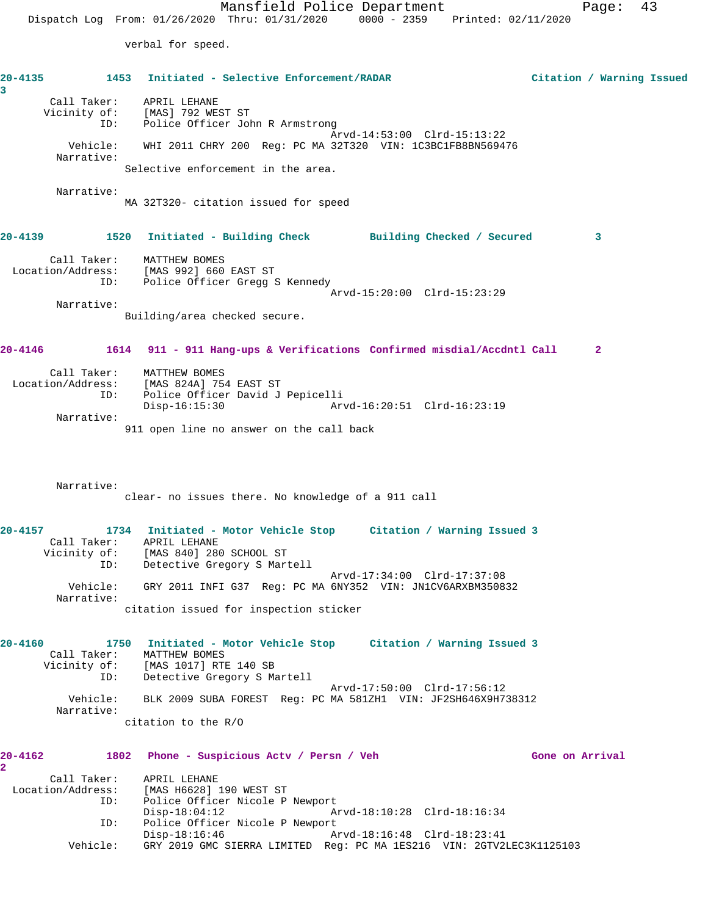verbal for speed.

**20-4135 1453 Initiated - Selective Enforcement/RADAR Citation / Warning Issued 3**  Call Taker: APRIL LEHANE Vicinity of: [MAS] 792 WEST ST ID: Police Officer John R Armstrong Arvd-14:53:00 Clrd-15:13:22 Vehicle: WHI 2011 CHRY 200 Reg: PC MA 32T320 VIN: 1C3BC1FB8BN569476 Narrative: Selective enforcement in the area. Narrative: MA 32T320- citation issued for speed **20-4139 1520 Initiated - Building Check Building Checked / Secured 3** Call Taker: MATTHEW BOMES Location/Address: [MAS 992] 660 EAST ST ID: Police Officer Gregg S Kennedy Arvd-15:20:00 Clrd-15:23:29 Narrative: Building/area checked secure. **20-4146 1614 911 - 911 Hang-ups & Verifications Confirmed misdial/Accdntl Call 2** Call Taker: MATTHEW BOMES Location/Address: [MAS 824A] 754 EAST ST ID: Police Officer David J Pepicelli Disp-16:15:30 Arvd-16:20:51 Clrd-16:23:19 Narrative: 911 open line no answer on the call back Narrative: clear- no issues there. No knowledge of a 911 call **20-4157 1734 Initiated - Motor Vehicle Stop Citation / Warning Issued 3**  Call Taker: APRIL LEHANE Vicinity of: [MAS 840] 280 SCHOOL ST ID: Detective Gregory S Martell Arvd-17:34:00 Clrd-17:37:08 Vehicle: GRY 2011 INFI G37 Reg: PC MA 6NY352 VIN: JN1CV6ARXBM350832 Narrative: citation issued for inspection sticker **20-4160 1750 Initiated - Motor Vehicle Stop Citation / Warning Issued 3**  Call Taker: MATTHEW BOMES Vicinity of: [MAS 1017] RTE 140 SB ID: Detective Gregory S Martell Arvd-17:50:00 Clrd-17:56:12 Vehicle: BLK 2009 SUBA FOREST Reg: PC MA 581ZH1 VIN: JF2SH646X9H738312 Narrative: citation to the R/O 20-4162 1802 Phone - Suspicious Actv / Persn / Veh Gone on Arrival **2**  Call Taker: APRIL LEHANE Location/Address: [MAS H6628] 190 WEST ST ID: Police Officer Nicole P Newport Disp-18:04:12 Arvd-18:10:28 Clrd-18:16:34 ID: Police Officer Nicole P Newport Disp-18:16:46 Arvd-18:16:48 Clrd-18:23:41 Vehicle: GRY 2019 GMC SIERRA LIMITED Reg: PC MA 1ES216 VIN: 2GTV2LEC3K1125103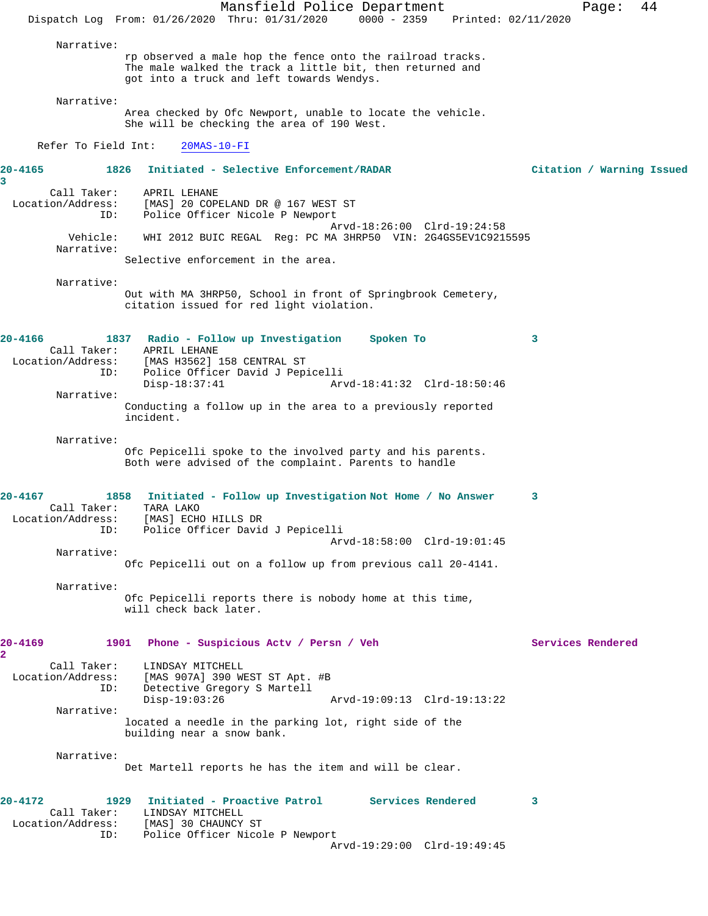Mansfield Police Department Page: 44 Dispatch Log From: 01/26/2020 Thru: 01/31/2020 0000 - 2359 Printed: 02/11/2020 Narrative: rp observed a male hop the fence onto the railroad tracks. The male walked the track a little bit, then returned and got into a truck and left towards Wendys. Narrative: Area checked by Ofc Newport, unable to locate the vehicle. She will be checking the area of 190 West. Refer To Field Int: 20MAS-10-FI **20-4165 1826 Initiated - Selective Enforcement/RADAR Citation / Warning Issued 3**  Call Taker: APRIL LEHANE Location/Address: [MAS] 20 COPELAND DR @ 167 WEST ST ID: Police Officer Nicole P Newport Arvd-18:26:00 Clrd-19:24:58 Vehicle: WHI 2012 BUIC REGAL Reg: PC MA 3HRP50 VIN: 2G4GS5EV1C9215595 Narrative: Selective enforcement in the area. Narrative: Out with MA 3HRP50, School in front of Springbrook Cemetery, citation issued for red light violation. **20-4166 1837 Radio - Follow up Investigation Spoken To 3**  Call Taker: APRIL LEHANE<br>Location/Address: [MAS H3562] [MAS H3562] 158 CENTRAL ST ID: Police Officer David J Pepicelli Disp-18:37:41 Arvd-18:41:32 Clrd-18:50:46 Narrative: Conducting a follow up in the area to a previously reported incident. Narrative: Ofc Pepicelli spoke to the involved party and his parents. Both were advised of the complaint. Parents to handle **20-4167 1858 Initiated - Follow up Investigation Not Home / No Answer 3**  Call Taker: TARA LAKO Location/Address: [MAS] ECHO HILLS DR ID: Police Officer David J Pepicelli Arvd-18:58:00 Clrd-19:01:45 Narrative: Ofc Pepicelli out on a follow up from previous call 20-4141. Narrative: Ofc Pepicelli reports there is nobody home at this time, will check back later. **20-4169 1901 Phone - Suspicious Actv / Persn / Veh Services Rendered 2**  Call Taker: LINDSAY MITCHELL Location/Address: [MAS 907A] 390 WEST ST Apt. #B ID: Detective Gregory S Martell Disp-19:03:26 Arvd-19:09:13 Clrd-19:13:22 Narrative: located a needle in the parking lot, right side of the building near a snow bank. Narrative: Det Martell reports he has the item and will be clear. **20-4172 1929 Initiated - Proactive Patrol Services Rendered 3**  Call Taker: LINDSAY MITCHELL Location/Address: [MAS] 30 CHAUNCY ST<br>ID: Police Officer Nicol Police Officer Nicole P Newport Arvd-19:29:00 Clrd-19:49:45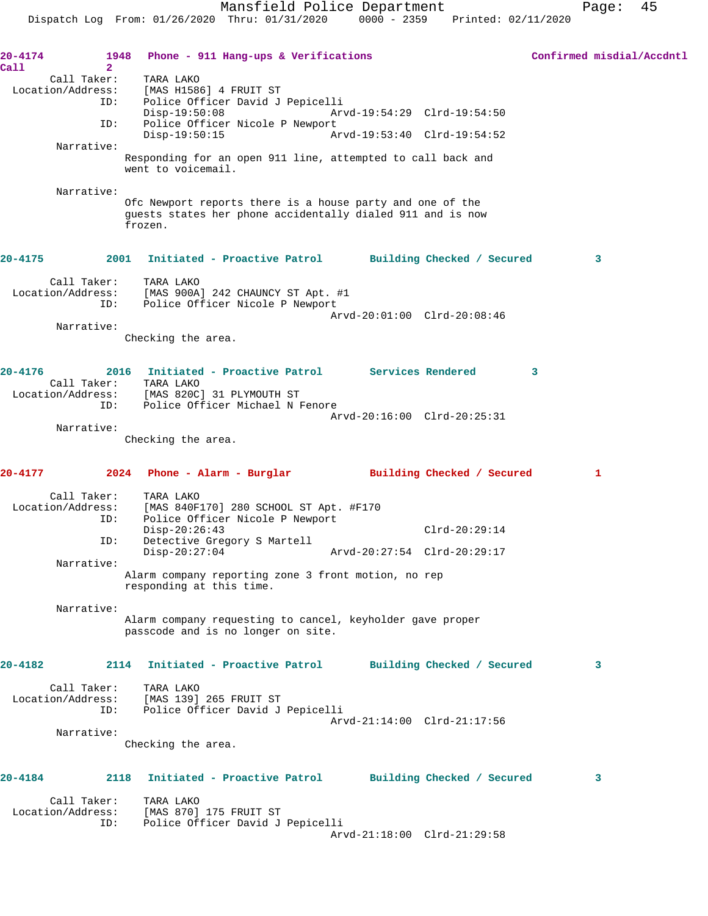| 20-4174     | 1948                                               | Phone - 911 Hang-ups & Verifications                                                                                               | Confirmed misdial/Accdntl |
|-------------|----------------------------------------------------|------------------------------------------------------------------------------------------------------------------------------------|---------------------------|
| Call        | $\overline{2}$<br>Call Taker:<br>Location/Address: | TARA LAKO<br>[MAS H1586] 4 FRUIT ST                                                                                                |                           |
|             | ID:                                                | Police Officer David J Pepicelli<br>$Disp-19:50:08$<br>Arvd-19:54:29 Clrd-19:54:50                                                 |                           |
|             | ID:                                                | Police Officer Nicole P Newport<br>Disp-19:50:15<br>Arvd-19:53:40 Clrd-19:54:52                                                    |                           |
|             | Narrative:                                         | Responding for an open 911 line, attempted to call back and<br>went to voicemail.                                                  |                           |
|             | Narrative:                                         | Ofc Newport reports there is a house party and one of the<br>guests states her phone accidentally dialed 911 and is now<br>frozen. |                           |
| 20-4175     |                                                    | 2001 Initiated - Proactive Patrol Building Checked / Secured                                                                       | 3                         |
|             | Call Taker:<br>ID:                                 | TARA LAKO<br>Location/Address: [MAS 900A] 242 CHAUNCY ST Apt. #1<br>Police Officer Nicole P Newport                                |                           |
|             |                                                    | Arvd-20:01:00 Clrd-20:08:46                                                                                                        |                           |
|             | Narrative:                                         | Checking the area.                                                                                                                 |                           |
| $20 - 4176$ | Call Taker:                                        | 2016 Initiated - Proactive Patrol Services Rendered<br>TARA LAKO<br>Location/Address: [MAS 820C] 31 PLYMOUTH ST                    | 3                         |
|             | ID:                                                | Police Officer Michael N Fenore<br>Arvd-20:16:00 Clrd-20:25:31                                                                     |                           |
|             | Narrative:                                         | Checking the area.                                                                                                                 |                           |
| 20-4177     |                                                    | 2024<br>Phone - Alarm - Burglar               Building Checked / Secured                                                           | 1                         |
|             | Call Taker:<br>Location/Address:<br>ID:            | TARA LAKO<br>[MAS 840F170] 280 SCHOOL ST Apt. #F170<br>Police Officer Nicole P Newport                                             |                           |
|             | ID:                                                | $Disp-20:26:43$<br>$Clrd-20:29:14$<br>Detective Gregory S Martell                                                                  |                           |
|             | Narrative:                                         | $Disp-20:27:04$<br>Arvd-20:27:54 Clrd-20:29:17                                                                                     |                           |
|             |                                                    | Alarm company reporting zone 3 front motion, no rep<br>responding at this time.                                                    |                           |
|             | Narrative:                                         | Alarm company requesting to cancel, keyholder gave proper<br>passcode and is no longer on site.                                    |                           |
| 20-4182     |                                                    | Initiated - Proactive Patrol<br>2114<br>Building Checked / Secured                                                                 | 3                         |
|             | Call Taker:<br>Location/Address:<br>ID:            | TARA LAKO<br>[MAS 139] 265 FRUIT ST<br>Police Officer David J Pepicelli<br>Arvd-21:14:00 Clrd-21:17:56                             |                           |
|             | Narrative:                                         | Checking the area.                                                                                                                 |                           |
| 20-4184     |                                                    | Initiated - Proactive Patrol<br>2118<br>Building Checked / Secured                                                                 | 3                         |
|             | Call Taker:<br>Location/Address:<br>ID:            | TARA LAKO<br>[MAS 870] 175 FRUIT ST<br>Police Officer David J Pepicelli                                                            |                           |
|             |                                                    | Arvd-21:18:00 Clrd-21:29:58                                                                                                        |                           |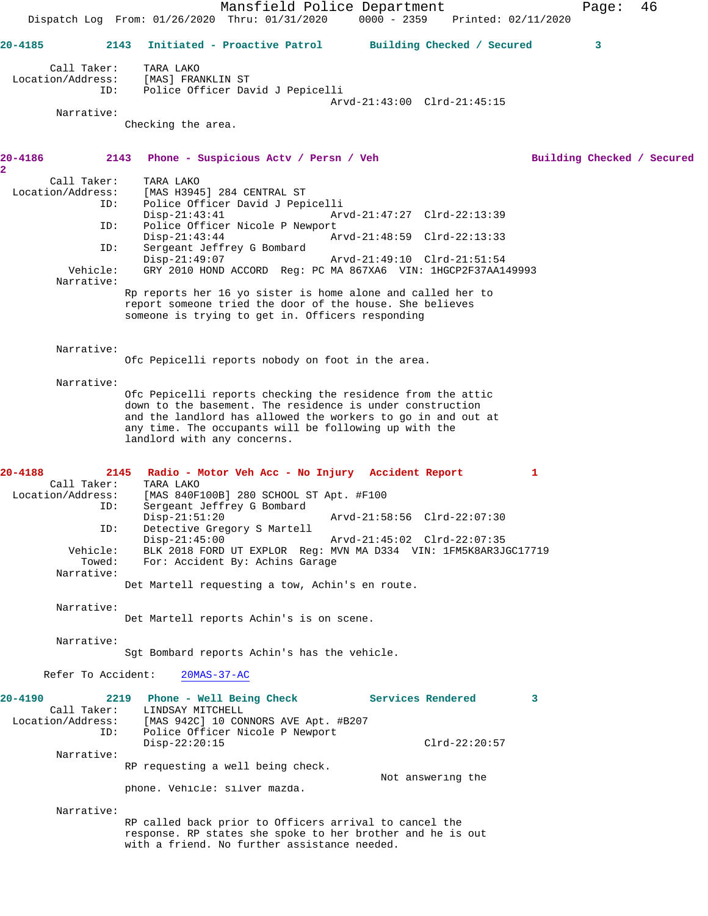Mansfield Police Department Fage: 46 Dispatch Log From: 01/26/2020 Thru: 01/31/2020 0000 - 2359 Printed: 02/11/2020 **20-4185 2143 Initiated - Proactive Patrol Building Checked / Secured 3** Call Taker: TARA LAKO Location/Address: [MAS] FRANKLIN ST ID: Police Officer David J Pepicelli Arvd-21:43:00 Clrd-21:45:15 Narrative: Checking the area. **20-4186 2143 Phone - Suspicious Actv / Persn / Veh Building Checked / Secured 2**  Call Taker: TARA LAKO Location/Address: [MAS H3945] 284 CENTRAL ST ID: Police Officer David J Pepicelli Disp-21:43:41 Arvd-21:47:27 Clrd-22:13:39<br>ID: Police Officer Nicole P Newport Police Officer Nicole P Newport Disp-21:43:44 Arvd-21:48:59 Clrd-22:13:33<br>TD: Sergeant Jeffrey G Bombard Sergeant Jeffrey G Bombard<br>Disp-21:49:07 Arvd-21:49:10 Clrd-21:51:54 Vehicle: GRY 2010 HOND ACCORD Reg: PC MA 867XA6 VIN: 1HGCP2F37AA149993 Narrative: Rp reports her 16 yo sister is home alone and called her to report someone tried the door of the house. She believes someone is trying to get in. Officers responding Narrative: Ofc Pepicelli reports nobody on foot in the area. Narrative: Ofc Pepicelli reports checking the residence from the attic down to the basement. The residence is under construction and the landlord has allowed the workers to go in and out at any time. The occupants will be following up with the landlord with any concerns. **20-4188 2145 Radio - Motor Veh Acc - No Injury Accident Report 1**  Call Taker: TARA LAKO<br>Location/Address: [MAS 840F] [MAS 840F100B] 280 SCHOOL ST Apt. #F100 ID: Sergeant Jeffrey G Bombard Disp-21:51:20 Arvd-21:58:56 Clrd-22:07:30 ID: Detective Gregory S Martell Disp-21:45:00 Arvd-21:45:02 Clrd-22:07:35 Vehicle: BLK 2018 FORD UT EXPLOR Reg: MVN MA D334 VIN: 1FM5K8AR3JGC17719 Towed: For: Accident By: Achins Garage Narrative: Det Martell requesting a tow, Achin's en route. Narrative: Det Martell reports Achin's is on scene. Narrative: Sgt Bombard reports Achin's has the vehicle. Refer To Accident: 20MAS-37-AC **20-4190 2219 Phone - Well Being Check Services Rendered 3**  Call Taker: LINDSAY MITCHELL<br>Location/Address: [MAS 942C] 10 COD ess: [MAS 942C] 10 CONNORS AVE Apt. #B207<br>ID: Police Officer Nicole P Newport Police Officer Nicole P Newport Disp-22:20:15 Clrd-22:20:57 Narrative: RP requesting a well being check. Not answering the phone. Vehicle: silver mazda. Narrative: RP called back prior to Officers arrival to cancel the response. RP states she spoke to her brother and he is out with a friend. No further assistance needed.